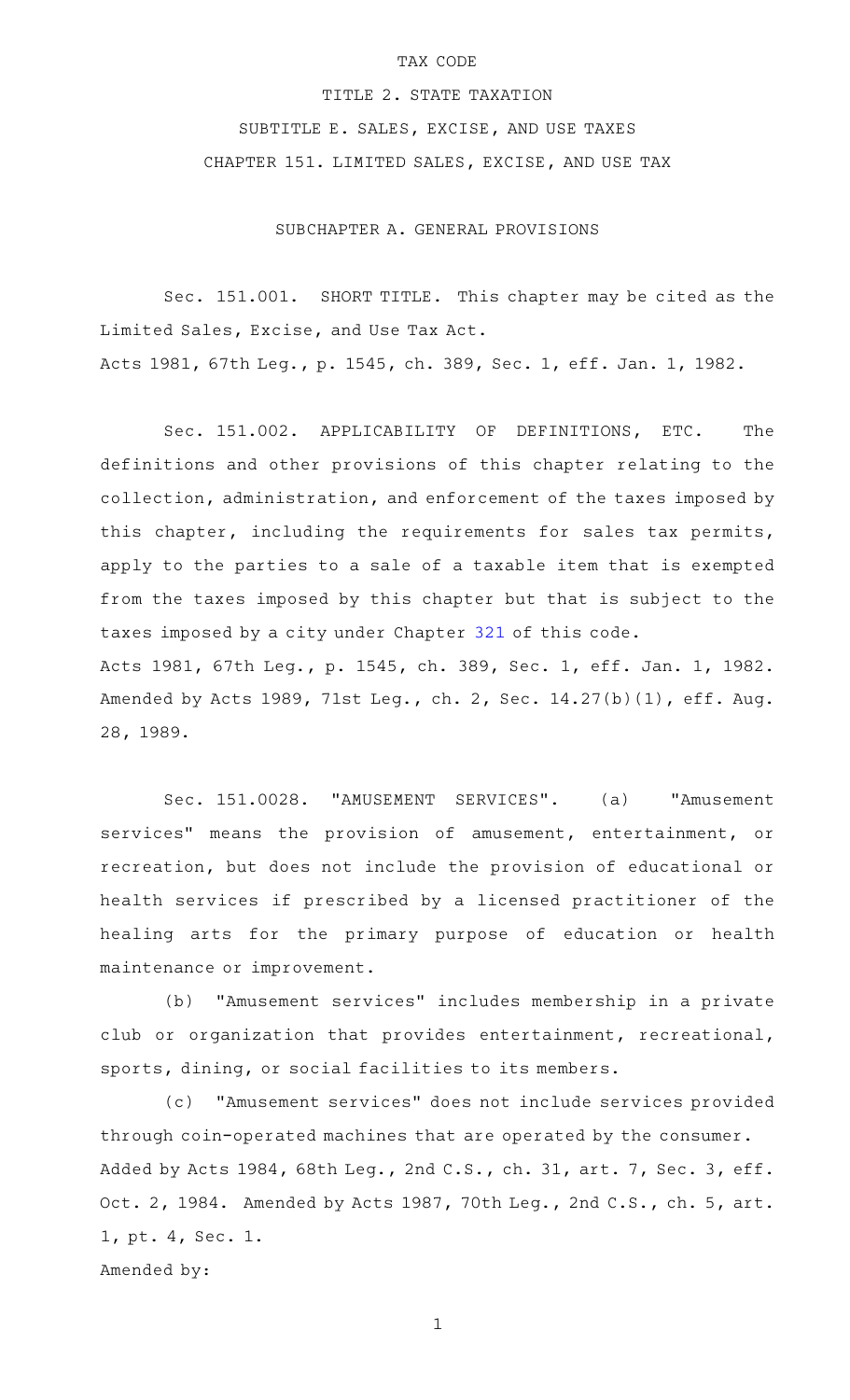## TAX CODE

TITLE 2. STATE TAXATION SUBTITLE E. SALES, EXCISE, AND USE TAXES CHAPTER 151. LIMITED SALES, EXCISE, AND USE TAX

SUBCHAPTER A. GENERAL PROVISIONS

Sec. 151.001. SHORT TITLE. This chapter may be cited as the Limited Sales, Excise, and Use Tax Act. Acts 1981, 67th Leg., p. 1545, ch. 389, Sec. 1, eff. Jan. 1, 1982.

Sec. 151.002. APPLICABILITY OF DEFINITIONS, ETC. The definitions and other provisions of this chapter relating to the collection, administration, and enforcement of the taxes imposed by this chapter, including the requirements for sales tax permits, apply to the parties to a sale of a taxable item that is exempted from the taxes imposed by this chapter but that is subject to the taxes imposed by a city under Chapter [321](https://statutes.capitol.texas.gov/GetStatute.aspx?Code=TX&Value=321) of this code. Acts 1981, 67th Leg., p. 1545, ch. 389, Sec. 1, eff. Jan. 1, 1982. Amended by Acts 1989, 71st Leg., ch. 2, Sec. 14.27(b)(1), eff. Aug. 28, 1989.

Sec. 151.0028. "AMUSEMENT SERVICES". (a) "Amusement services" means the provision of amusement, entertainment, or recreation, but does not include the provision of educational or health services if prescribed by a licensed practitioner of the healing arts for the primary purpose of education or health maintenance or improvement.

(b) "Amusement services" includes membership in a private club or organization that provides entertainment, recreational, sports, dining, or social facilities to its members.

(c) "Amusement services" does not include services provided through coin-operated machines that are operated by the consumer. Added by Acts 1984, 68th Leg., 2nd C.S., ch. 31, art. 7, Sec. 3, eff. Oct. 2, 1984. Amended by Acts 1987, 70th Leg., 2nd C.S., ch. 5, art. 1, pt. 4, Sec. 1. Amended by: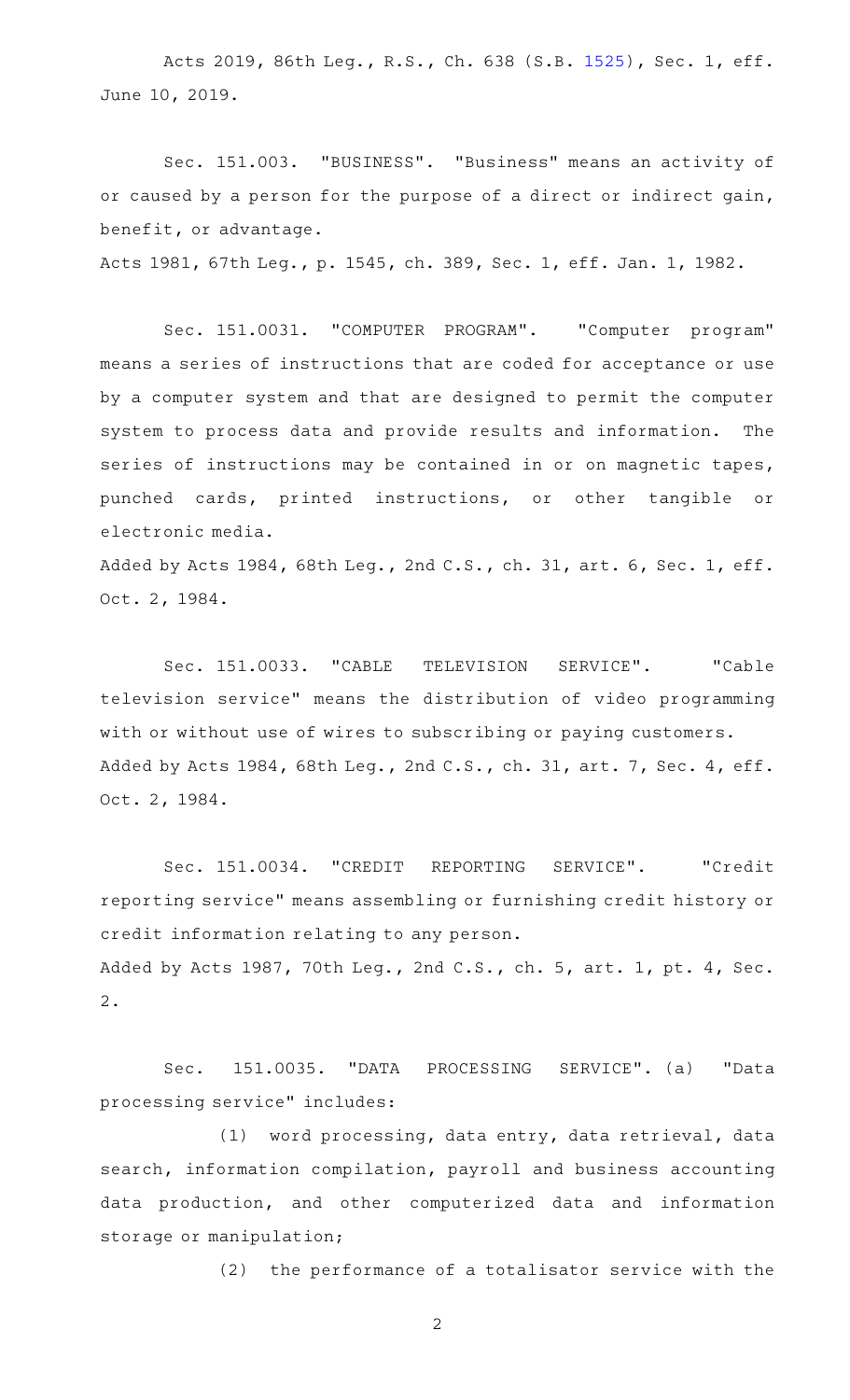Acts 2019, 86th Leg., R.S., Ch. 638 (S.B. [1525](http://www.legis.state.tx.us/tlodocs/86R/billtext/html/SB01525F.HTM)), Sec. 1, eff. June 10, 2019.

Sec. 151.003. "BUSINESS". "Business" means an activity of or caused by a person for the purpose of a direct or indirect gain, benefit, or advantage.

Acts 1981, 67th Leg., p. 1545, ch. 389, Sec. 1, eff. Jan. 1, 1982.

Sec. 151.0031. "COMPUTER PROGRAM". "Computer program" means a series of instructions that are coded for acceptance or use by a computer system and that are designed to permit the computer system to process data and provide results and information. The series of instructions may be contained in or on magnetic tapes, punched cards, printed instructions, or other tangible or electronic media.

Added by Acts 1984, 68th Leg., 2nd C.S., ch. 31, art. 6, Sec. 1, eff. Oct. 2, 1984.

Sec. 151.0033. "CABLE TELEVISION SERVICE". "Cable television service" means the distribution of video programming with or without use of wires to subscribing or paying customers. Added by Acts 1984, 68th Leg., 2nd C.S., ch. 31, art. 7, Sec. 4, eff. Oct. 2, 1984.

Sec. 151.0034. "CREDIT REPORTING SERVICE". "Credit reporting service" means assembling or furnishing credit history or credit information relating to any person. Added by Acts 1987, 70th Leg., 2nd C.S., ch. 5, art. 1, pt. 4, Sec. 2.

Sec. 151.0035. "DATA PROCESSING SERVICE". (a) "Data processing service" includes:

(1) word processing, data entry, data retrieval, data search, information compilation, payroll and business accounting data production, and other computerized data and information storage or manipulation;

(2) the performance of a totalisator service with the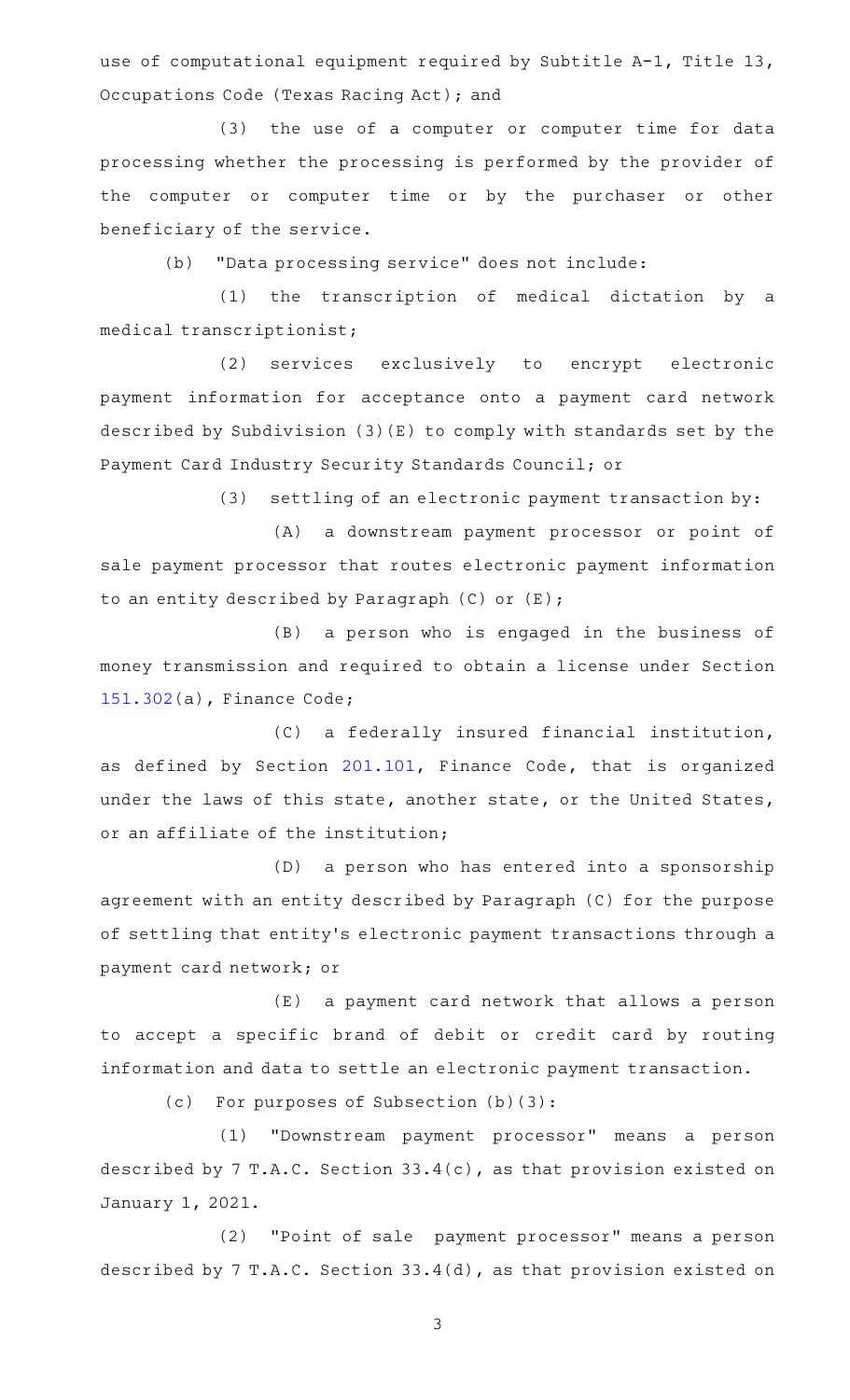use of computational equipment required by Subtitle A-1, Title 13, Occupations Code (Texas Racing Act); and

(3) the use of a computer or computer time for data processing whether the processing is performed by the provider of the computer or computer time or by the purchaser or other beneficiary of the service.

(b) "Data processing service" does not include:

(1) the transcription of medical dictation by a medical transcriptionist;

(2) services exclusively to encrypt electronic payment information for acceptance onto a payment card network described by Subdivision (3)(E) to comply with standards set by the Payment Card Industry Security Standards Council; or

 $(3)$  settling of an electronic payment transaction by:

(A) a downstream payment processor or point of sale payment processor that routes electronic payment information to an entity described by Paragraph (C) or (E);

(B) a person who is engaged in the business of money transmission and required to obtain a license under Section [151.302\(](https://statutes.capitol.texas.gov/GetStatute.aspx?Code=FI&Value=151.302)a), Finance Code;

(C) a federally insured financial institution, as defined by Section [201.101,](https://statutes.capitol.texas.gov/GetStatute.aspx?Code=FI&Value=201.101) Finance Code, that is organized under the laws of this state, another state, or the United States, or an affiliate of the institution;

(D) a person who has entered into a sponsorship agreement with an entity described by Paragraph (C) for the purpose of settling that entity 's electronic payment transactions through a payment card network; or

(E) a payment card network that allows a person to accept a specific brand of debit or credit card by routing information and data to settle an electronic payment transaction.

 $(c)$  For purposes of Subsection  $(b)(3):$ 

(1) "Downstream payment processor" means a person described by 7 T.A.C. Section 33.4(c), as that provision existed on January 1, 2021.

(2) "Point of sale payment processor" means a person described by 7 T.A.C. Section 33.4(d), as that provision existed on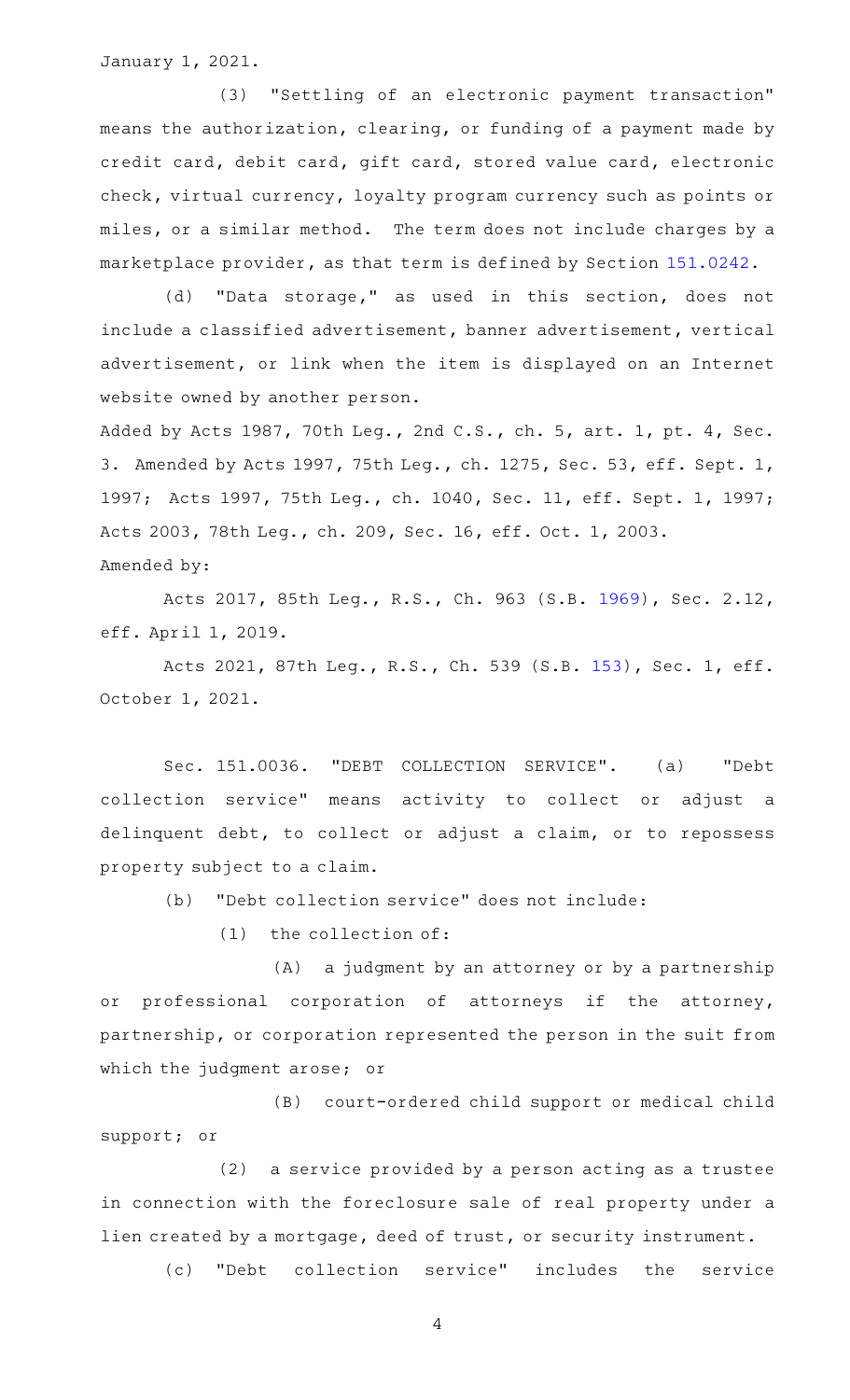January 1, 2021.

(3) "Settling of an electronic payment transaction" means the authorization, clearing, or funding of a payment made by credit card, debit card, gift card, stored value card, electronic check, virtual currency, loyalty program currency such as points or miles, or a similar method. The term does not include charges by a marketplace provider, as that term is defined by Section [151.0242.](https://statutes.capitol.texas.gov/GetStatute.aspx?Code=TX&Value=151.0242)

(d) "Data storage," as used in this section, does not include a classified advertisement, banner advertisement, vertical advertisement, or link when the item is displayed on an Internet website owned by another person.

Added by Acts 1987, 70th Leg., 2nd C.S., ch. 5, art. 1, pt. 4, Sec. 3. Amended by Acts 1997, 75th Leg., ch. 1275, Sec. 53, eff. Sept. 1, 1997; Acts 1997, 75th Leg., ch. 1040, Sec. 11, eff. Sept. 1, 1997; Acts 2003, 78th Leg., ch. 209, Sec. 16, eff. Oct. 1, 2003. Amended by:

Acts 2017, 85th Leg., R.S., Ch. 963 (S.B. [1969\)](http://www.legis.state.tx.us/tlodocs/85R/billtext/html/SB01969F.HTM), Sec. 2.12, eff. April 1, 2019.

Acts 2021, 87th Leg., R.S., Ch. 539 (S.B. [153](http://www.legis.state.tx.us/tlodocs/87R/billtext/html/SB00153F.HTM)), Sec. 1, eff. October 1, 2021.

Sec. 151.0036. "DEBT COLLECTION SERVICE". (a) "Debt collection service" means activity to collect or adjust a delinquent debt, to collect or adjust a claim, or to repossess property subject to a claim.

(b) "Debt collection service" does not include:

 $(1)$  the collection of:

(A) a judgment by an attorney or by a partnership or professional corporation of attorneys if the attorney, partnership, or corporation represented the person in the suit from which the judgment arose; or

(B) court-ordered child support or medical child support; or

(2) a service provided by a person acting as a trustee in connection with the foreclosure sale of real property under a lien created by a mortgage, deed of trust, or security instrument.

(c) "Debt collection service" includes the service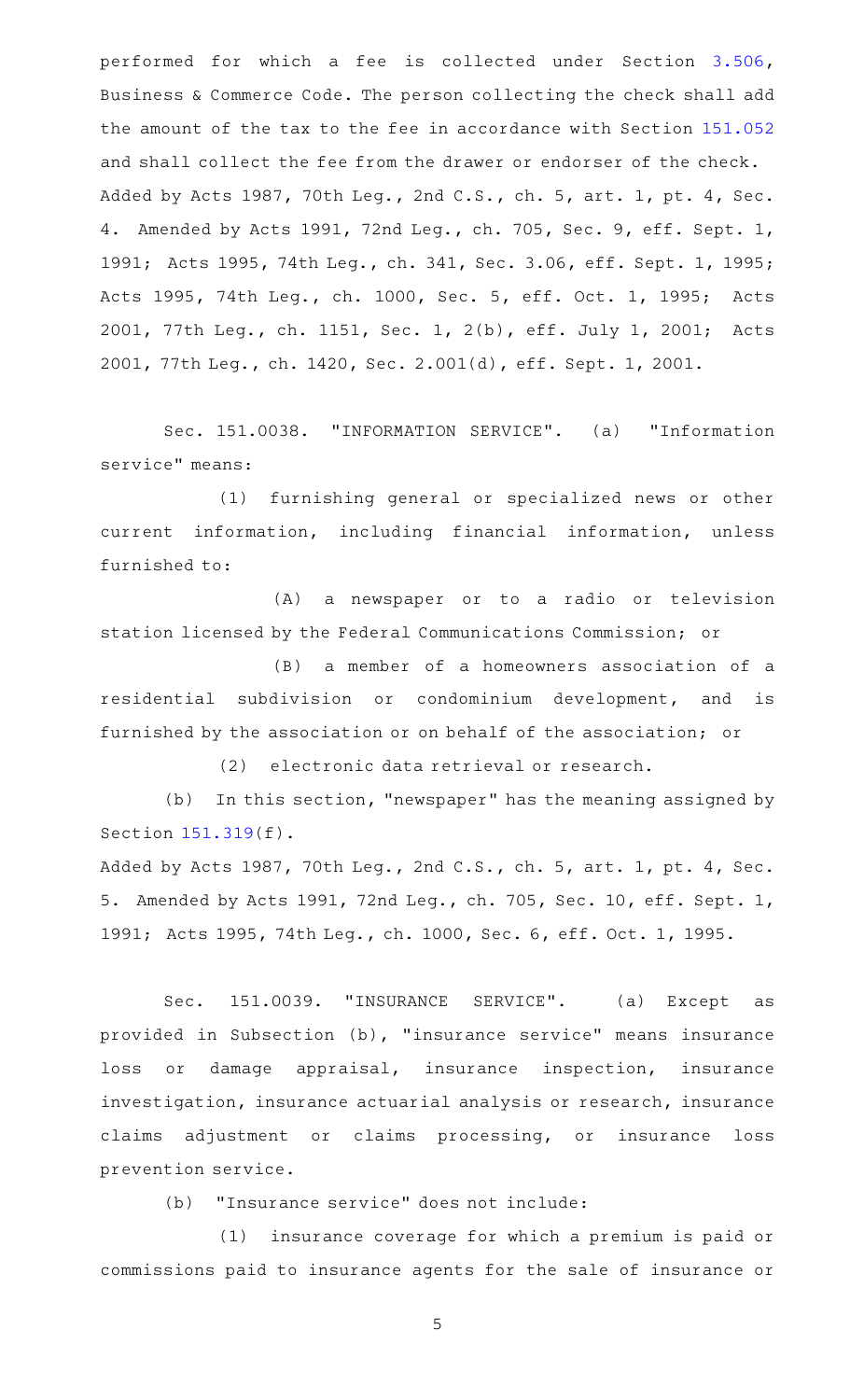performed for which a fee is collected under Section [3.506](https://statutes.capitol.texas.gov/GetStatute.aspx?Code=BC&Value=3.506), Business & Commerce Code. The person collecting the check shall add the amount of the tax to the fee in accordance with Section [151.052](https://statutes.capitol.texas.gov/GetStatute.aspx?Code=TX&Value=151.052) and shall collect the fee from the drawer or endorser of the check. Added by Acts 1987, 70th Leg., 2nd C.S., ch. 5, art. 1, pt. 4, Sec. 4. Amended by Acts 1991, 72nd Leg., ch. 705, Sec. 9, eff. Sept. 1, 1991; Acts 1995, 74th Leg., ch. 341, Sec. 3.06, eff. Sept. 1, 1995; Acts 1995, 74th Leg., ch. 1000, Sec. 5, eff. Oct. 1, 1995; Acts 2001, 77th Leg., ch. 1151, Sec. 1, 2(b), eff. July 1, 2001; Acts 2001, 77th Leg., ch. 1420, Sec. 2.001(d), eff. Sept. 1, 2001.

Sec. 151.0038. "INFORMATION SERVICE". (a) "Information service" means:

(1) furnishing general or specialized news or other current information, including financial information, unless furnished to:

(A) a newspaper or to a radio or television station licensed by the Federal Communications Commission; or

(B) a member of a homeowners association of a residential subdivision or condominium development, and is furnished by the association or on behalf of the association; or

(2) electronic data retrieval or research.

(b) In this section, "newspaper" has the meaning assigned by Section [151.319\(](https://statutes.capitol.texas.gov/GetStatute.aspx?Code=TX&Value=151.319)f).

Added by Acts 1987, 70th Leg., 2nd C.S., ch. 5, art. 1, pt. 4, Sec. 5. Amended by Acts 1991, 72nd Leg., ch. 705, Sec. 10, eff. Sept. 1, 1991; Acts 1995, 74th Leg., ch. 1000, Sec. 6, eff. Oct. 1, 1995.

Sec. 151.0039. "INSURANCE SERVICE". (a) Except as provided in Subsection (b), "insurance service" means insurance loss or damage appraisal, insurance inspection, insurance investigation, insurance actuarial analysis or research, insurance claims adjustment or claims processing, or insurance loss prevention service.

(b) "Insurance service" does not include:

(1) insurance coverage for which a premium is paid or commissions paid to insurance agents for the sale of insurance or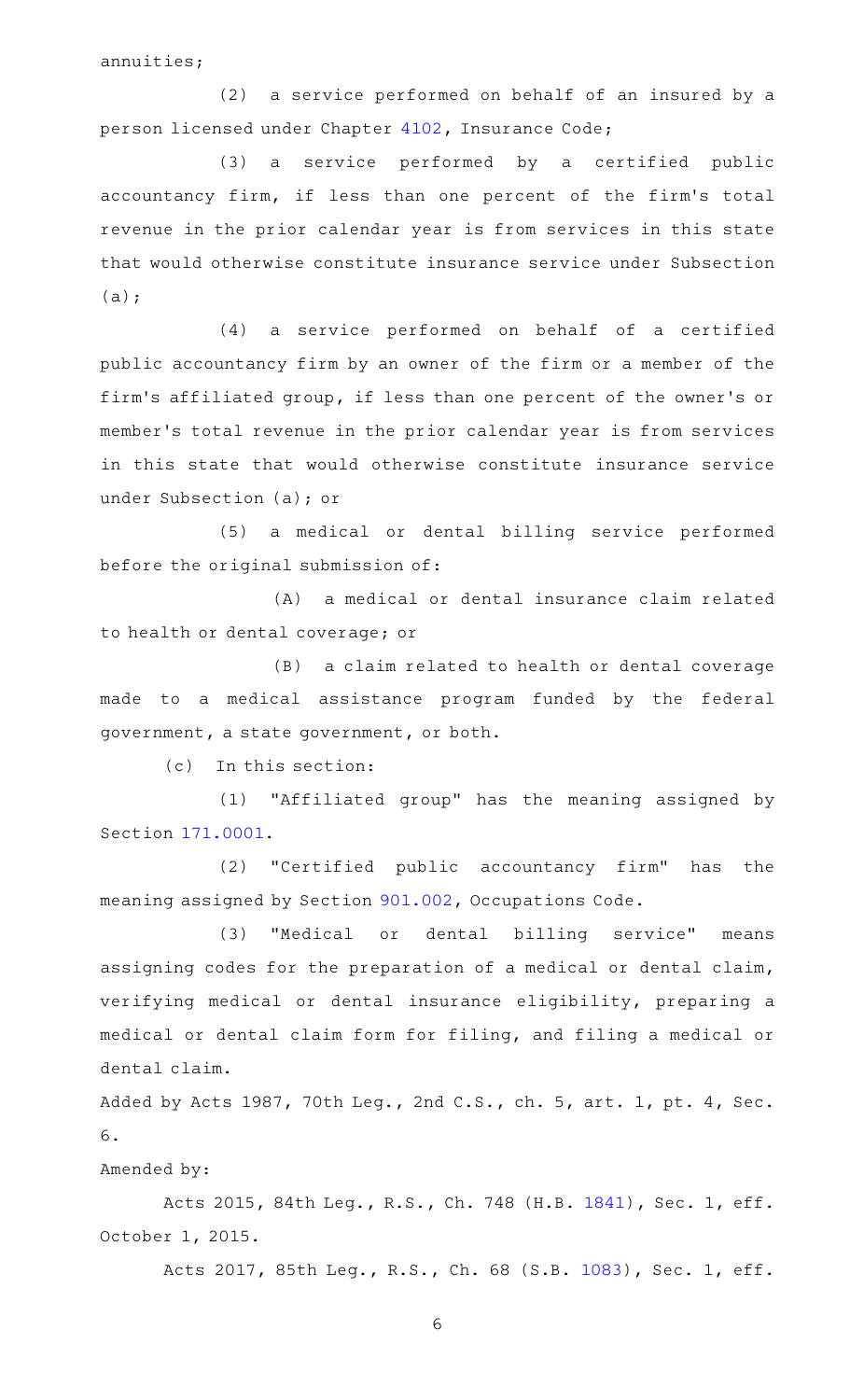annuities;

(2) a service performed on behalf of an insured by a person licensed under Chapter [4102,](https://statutes.capitol.texas.gov/GetStatute.aspx?Code=IN&Value=4102) Insurance Code;

(3) a service performed by a certified public accountancy firm, if less than one percent of the firm's total revenue in the prior calendar year is from services in this state that would otherwise constitute insurance service under Subsection (a);

(4) a service performed on behalf of a certified public accountancy firm by an owner of the firm or a member of the firm 's affiliated group, if less than one percent of the owner 's or member 's total revenue in the prior calendar year is from services in this state that would otherwise constitute insurance service under Subsection (a); or

(5) a medical or dental billing service performed before the original submission of:

(A) a medical or dental insurance claim related to health or dental coverage; or

(B) a claim related to health or dental coverage made to a medical assistance program funded by the federal government, a state government, or both.

(c) In this section:

(1) "Affiliated group" has the meaning assigned by Section [171.0001](https://statutes.capitol.texas.gov/GetStatute.aspx?Code=TX&Value=171.0001).

(2) "Certified public accountancy firm" has the meaning assigned by Section [901.002](https://statutes.capitol.texas.gov/GetStatute.aspx?Code=OC&Value=901.002), Occupations Code.

(3) "Medical or dental billing service" means assigning codes for the preparation of a medical or dental claim, verifying medical or dental insurance eligibility, preparing a medical or dental claim form for filing, and filing a medical or dental claim.

Added by Acts 1987, 70th Leg., 2nd C.S., ch. 5, art. 1, pt. 4, Sec. 6.

# Amended by:

Acts 2015, 84th Leg., R.S., Ch. 748 (H.B. [1841](http://www.legis.state.tx.us/tlodocs/84R/billtext/html/HB01841F.HTM)), Sec. 1, eff. October 1, 2015.

Acts 2017, 85th Leg., R.S., Ch. 68 (S.B. [1083](http://www.legis.state.tx.us/tlodocs/85R/billtext/html/SB01083F.HTM)), Sec. 1, eff.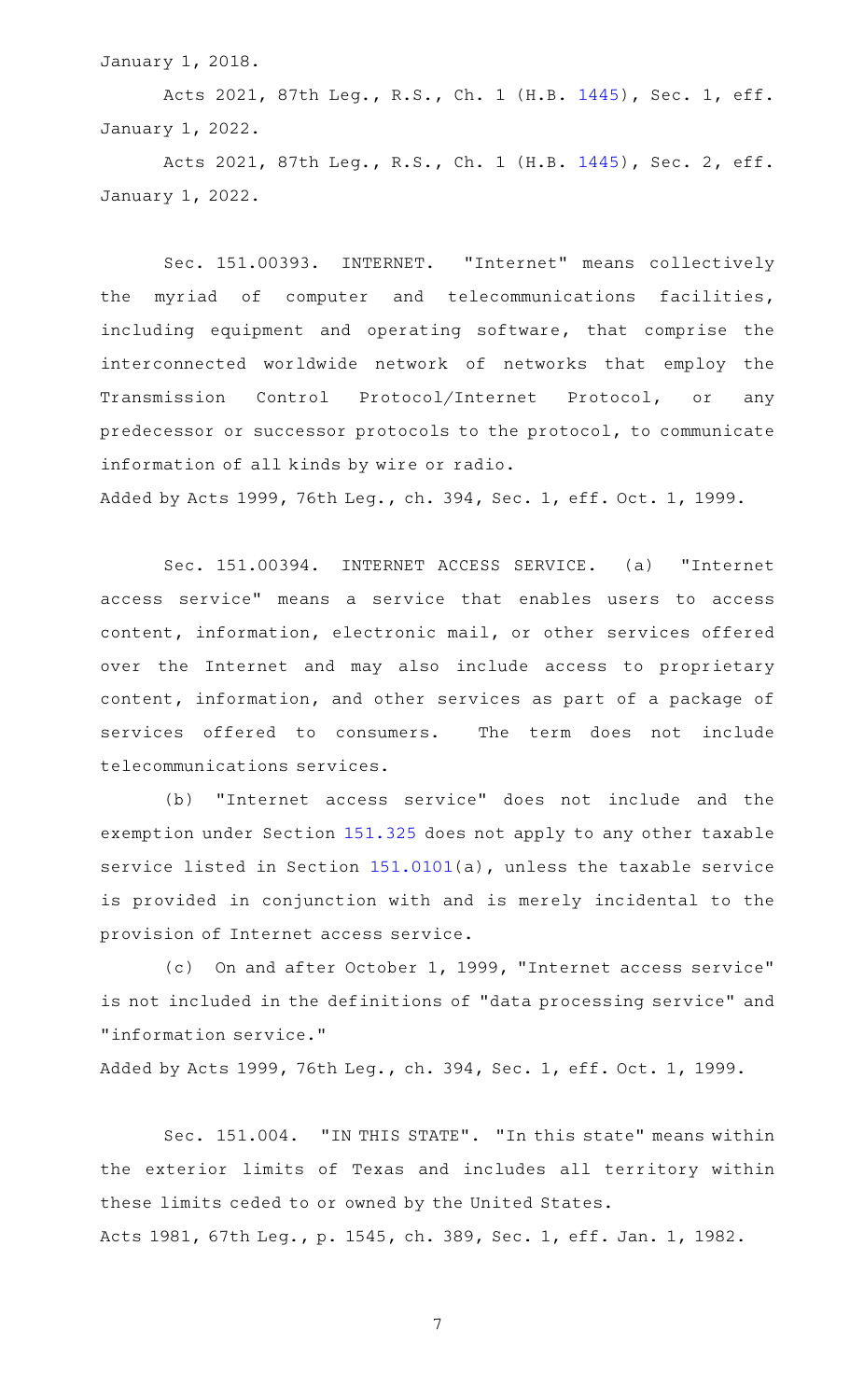January 1, 2018.

Acts 2021, 87th Leg., R.S., Ch. 1 (H.B. [1445](http://www.legis.state.tx.us/tlodocs/87R/billtext/html/HB01445F.HTM)), Sec. 1, eff. January 1, 2022.

Acts 2021, 87th Leg., R.S., Ch. 1 (H.B. [1445](http://www.legis.state.tx.us/tlodocs/87R/billtext/html/HB01445F.HTM)), Sec. 2, eff. January 1, 2022.

Sec. 151.00393. INTERNET. "Internet" means collectively the myriad of computer and telecommunications facilities, including equipment and operating software, that comprise the interconnected worldwide network of networks that employ the Transmission Control Protocol/Internet Protocol, or any predecessor or successor protocols to the protocol, to communicate information of all kinds by wire or radio.

Added by Acts 1999, 76th Leg., ch. 394, Sec. 1, eff. Oct. 1, 1999.

Sec. 151.00394. INTERNET ACCESS SERVICE. (a) "Internet access service" means a service that enables users to access content, information, electronic mail, or other services offered over the Internet and may also include access to proprietary content, information, and other services as part of a package of services offered to consumers. The term does not include telecommunications services.

(b) "Internet access service" does not include and the exemption under Section [151.325](https://statutes.capitol.texas.gov/GetStatute.aspx?Code=TX&Value=151.325) does not apply to any other taxable service listed in Section [151.0101](https://statutes.capitol.texas.gov/GetStatute.aspx?Code=TX&Value=151.0101)(a), unless the taxable service is provided in conjunction with and is merely incidental to the provision of Internet access service.

(c) On and after October 1, 1999, "Internet access service" is not included in the definitions of "data processing service" and "information service."

Added by Acts 1999, 76th Leg., ch. 394, Sec. 1, eff. Oct. 1, 1999.

Sec. 151.004. "IN THIS STATE". "In this state" means within the exterior limits of Texas and includes all territory within these limits ceded to or owned by the United States. Acts 1981, 67th Leg., p. 1545, ch. 389, Sec. 1, eff. Jan. 1, 1982.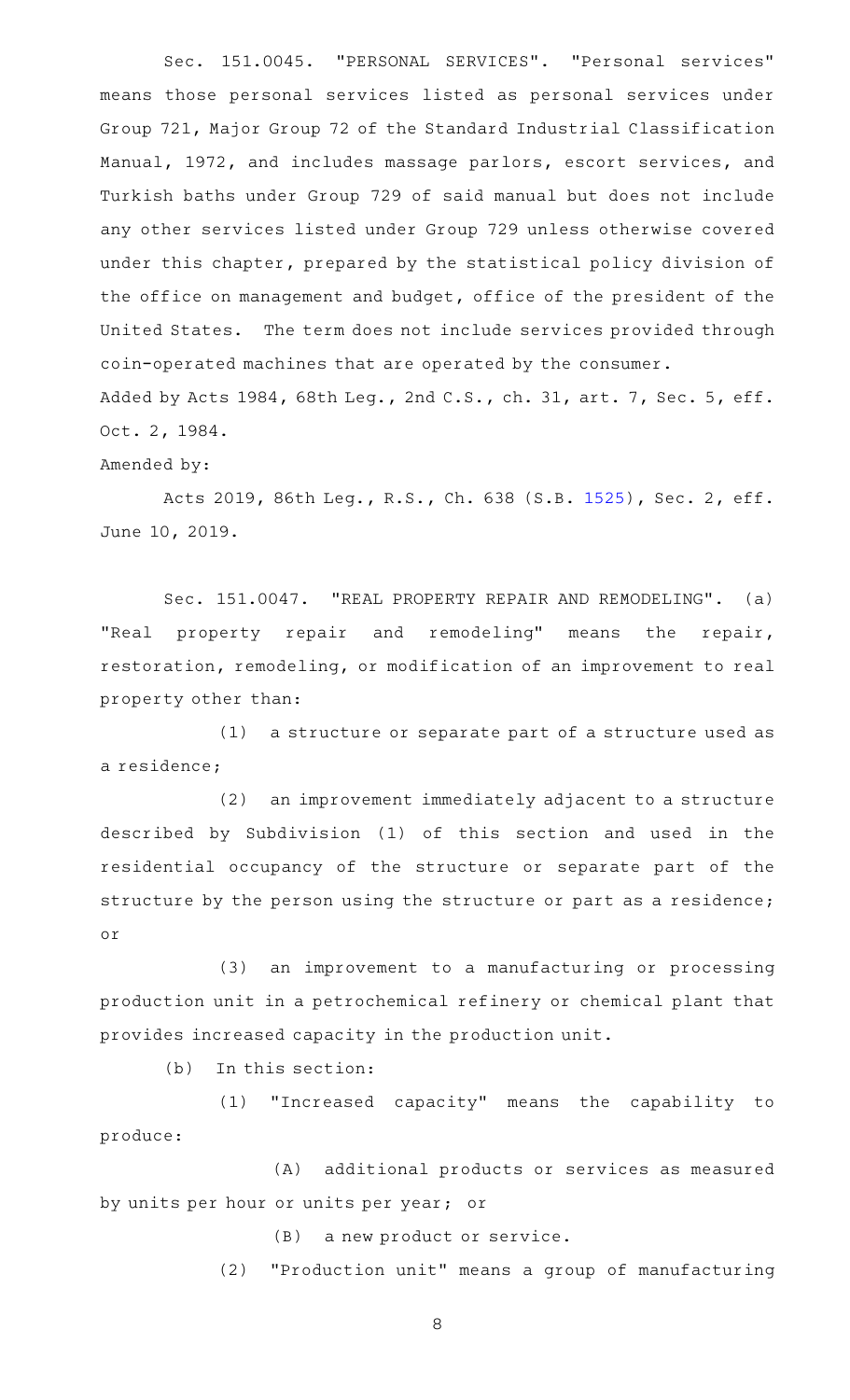Sec. 151.0045. "PERSONAL SERVICES". "Personal services" means those personal services listed as personal services under Group 721, Major Group 72 of the Standard Industrial Classification Manual, 1972, and includes massage parlors, escort services, and Turkish baths under Group 729 of said manual but does not include any other services listed under Group 729 unless otherwise covered under this chapter, prepared by the statistical policy division of the office on management and budget, office of the president of the United States. The term does not include services provided through coin-operated machines that are operated by the consumer. Added by Acts 1984, 68th Leg., 2nd C.S., ch. 31, art. 7, Sec. 5, eff. Oct. 2, 1984.

Amended by:

Acts 2019, 86th Leg., R.S., Ch. 638 (S.B. [1525](http://www.legis.state.tx.us/tlodocs/86R/billtext/html/SB01525F.HTM)), Sec. 2, eff. June 10, 2019.

Sec. 151.0047. "REAL PROPERTY REPAIR AND REMODELING". (a) "Real property repair and remodeling" means the repair, restoration, remodeling, or modification of an improvement to real property other than:

 $(1)$  a structure or separate part of a structure used as a residence;

(2) an improvement immediately adjacent to a structure described by Subdivision (1) of this section and used in the residential occupancy of the structure or separate part of the structure by the person using the structure or part as a residence; or

(3) an improvement to a manufacturing or processing production unit in a petrochemical refinery or chemical plant that provides increased capacity in the production unit.

 $(b)$  In this section:

(1) "Increased capacity" means the capability to produce:

(A) additional products or services as measured by units per hour or units per year; or

(B) a new product or service.

(2) "Production unit" means a group of manufacturing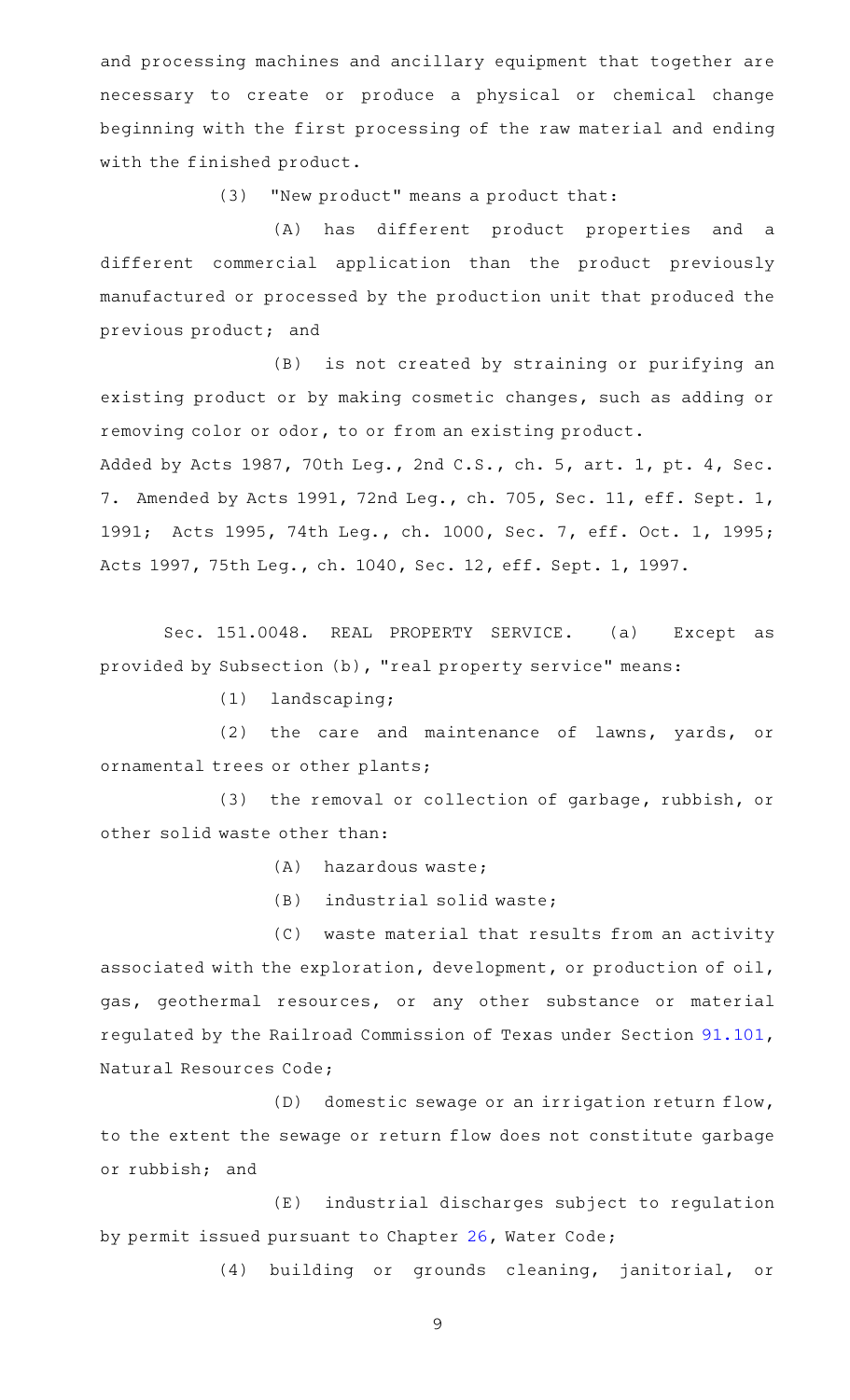and processing machines and ancillary equipment that together are necessary to create or produce a physical or chemical change beginning with the first processing of the raw material and ending with the finished product.

(3) "New product" means a product that:

(A) has different product properties and a different commercial application than the product previously manufactured or processed by the production unit that produced the previous product; and

(B) is not created by straining or purifying an existing product or by making cosmetic changes, such as adding or removing color or odor, to or from an existing product.

Added by Acts 1987, 70th Leg., 2nd C.S., ch. 5, art. 1, pt. 4, Sec. 7. Amended by Acts 1991, 72nd Leg., ch. 705, Sec. 11, eff. Sept. 1, 1991; Acts 1995, 74th Leg., ch. 1000, Sec. 7, eff. Oct. 1, 1995; Acts 1997, 75th Leg., ch. 1040, Sec. 12, eff. Sept. 1, 1997.

Sec. 151.0048. REAL PROPERTY SERVICE. (a) Except as provided by Subsection (b), "real property service" means:

 $(1)$  landscaping;

(2) the care and maintenance of lawns, yards, or ornamental trees or other plants;

(3) the removal or collection of garbage, rubbish, or other solid waste other than:

(A) hazardous waste;

 $(B)$  industrial solid waste;

(C) waste material that results from an activity associated with the exploration, development, or production of oil, gas, geothermal resources, or any other substance or material regulated by the Railroad Commission of Texas under Section [91.101](https://statutes.capitol.texas.gov/GetStatute.aspx?Code=NR&Value=91.101), Natural Resources Code;

(D) domestic sewage or an irrigation return flow, to the extent the sewage or return flow does not constitute garbage or rubbish; and

(E) industrial discharges subject to regulation by permit issued pursuant to Chapter [26](https://statutes.capitol.texas.gov/GetStatute.aspx?Code=WA&Value=26), Water Code;

(4) building or grounds cleaning, janitorial, or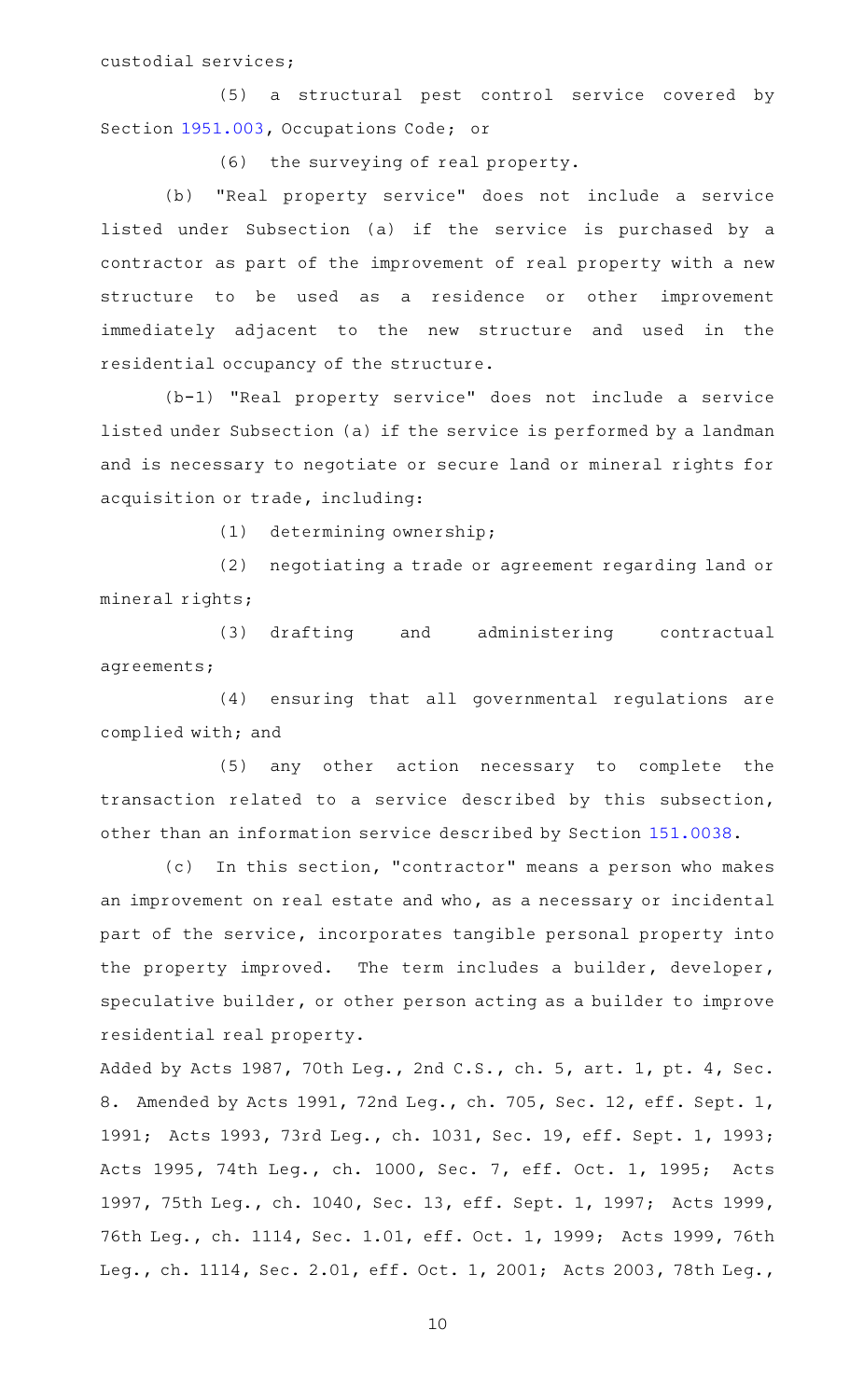custodial services;

(5) a structural pest control service covered by Section [1951.003](https://statutes.capitol.texas.gov/GetStatute.aspx?Code=OC&Value=1951.003), Occupations Code; or

(6) the surveying of real property.

(b) "Real property service" does not include a service listed under Subsection (a) if the service is purchased by a contractor as part of the improvement of real property with a new structure to be used as a residence or other improvement immediately adjacent to the new structure and used in the residential occupancy of the structure.

(b-1) "Real property service" does not include a service listed under Subsection (a) if the service is performed by a landman and is necessary to negotiate or secure land or mineral rights for acquisition or trade, including:

(1) determining ownership;

(2) negotiating a trade or agreement regarding land or mineral rights;

(3) drafting and administering contractual agreements;

(4) ensuring that all governmental regulations are complied with; and

(5) any other action necessary to complete the transaction related to a service described by this subsection, other than an information service described by Section [151.0038](https://statutes.capitol.texas.gov/GetStatute.aspx?Code=TX&Value=151.0038).

(c) In this section, "contractor" means a person who makes an improvement on real estate and who, as a necessary or incidental part of the service, incorporates tangible personal property into the property improved. The term includes a builder, developer, speculative builder, or other person acting as a builder to improve residential real property.

Added by Acts 1987, 70th Leg., 2nd C.S., ch. 5, art. 1, pt. 4, Sec. 8. Amended by Acts 1991, 72nd Leg., ch. 705, Sec. 12, eff. Sept. 1, 1991; Acts 1993, 73rd Leg., ch. 1031, Sec. 19, eff. Sept. 1, 1993; Acts 1995, 74th Leg., ch. 1000, Sec. 7, eff. Oct. 1, 1995; Acts 1997, 75th Leg., ch. 1040, Sec. 13, eff. Sept. 1, 1997; Acts 1999, 76th Leg., ch. 1114, Sec. 1.01, eff. Oct. 1, 1999; Acts 1999, 76th Leg., ch. 1114, Sec. 2.01, eff. Oct. 1, 2001; Acts 2003, 78th Leg.,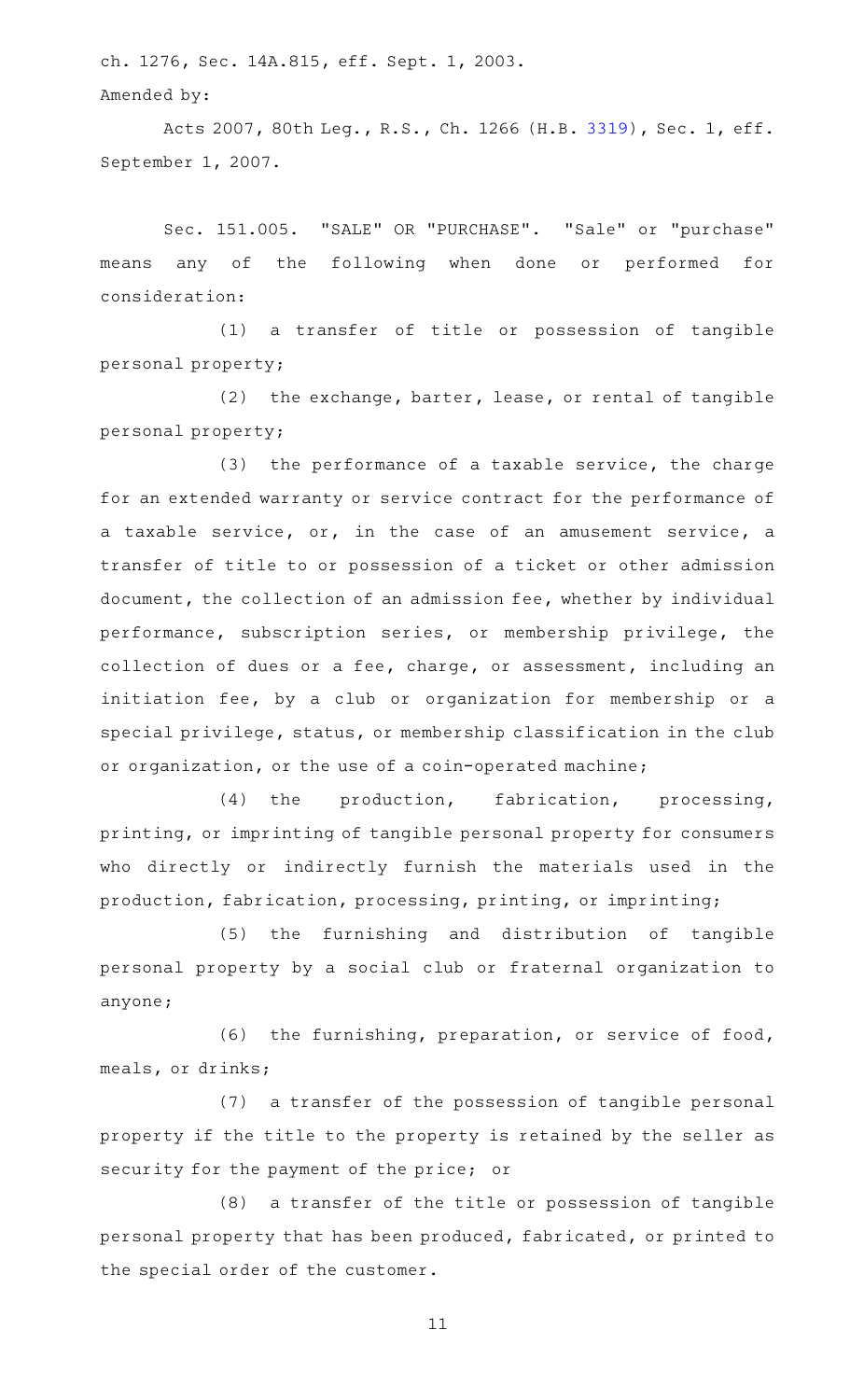ch. 1276, Sec. 14A.815, eff. Sept. 1, 2003. Amended by:

Acts 2007, 80th Leg., R.S., Ch. 1266 (H.B. [3319](http://www.legis.state.tx.us/tlodocs/80R/billtext/html/HB03319F.HTM)), Sec. 1, eff. September 1, 2007.

Sec. 151.005. "SALE" OR "PURCHASE". "Sale" or "purchase" means any of the following when done or performed for consideration:

(1) a transfer of title or possession of tangible personal property;

 $(2)$  the exchange, barter, lease, or rental of tangible personal property;

 $(3)$  the performance of a taxable service, the charge for an extended warranty or service contract for the performance of a taxable service, or, in the case of an amusement service, a transfer of title to or possession of a ticket or other admission document, the collection of an admission fee, whether by individual performance, subscription series, or membership privilege, the collection of dues or a fee, charge, or assessment, including an initiation fee, by a club or organization for membership or a special privilege, status, or membership classification in the club or organization, or the use of a coin-operated machine;

(4) the production, fabrication, processing, printing, or imprinting of tangible personal property for consumers who directly or indirectly furnish the materials used in the production, fabrication, processing, printing, or imprinting;

(5) the furnishing and distribution of tangible personal property by a social club or fraternal organization to anyone;

 $(6)$  the furnishing, preparation, or service of food, meals, or drinks;

(7) a transfer of the possession of tangible personal property if the title to the property is retained by the seller as security for the payment of the price; or

 $(8)$  a transfer of the title or possession of tangible personal property that has been produced, fabricated, or printed to the special order of the customer.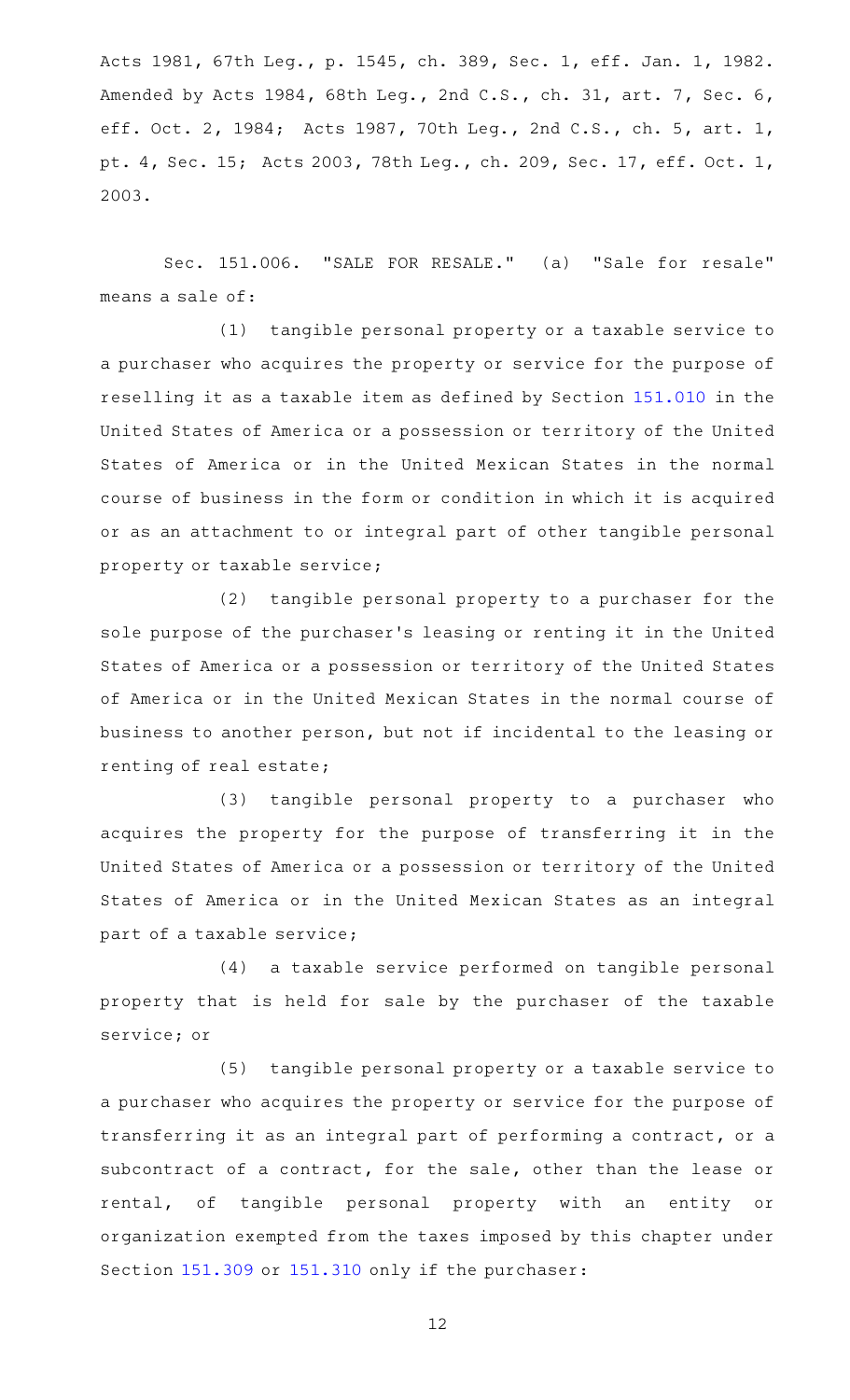Acts 1981, 67th Leg., p. 1545, ch. 389, Sec. 1, eff. Jan. 1, 1982. Amended by Acts 1984, 68th Leg., 2nd C.S., ch. 31, art. 7, Sec. 6, eff. Oct. 2, 1984; Acts 1987, 70th Leg., 2nd C.S., ch. 5, art. 1, pt. 4, Sec. 15; Acts 2003, 78th Leg., ch. 209, Sec. 17, eff. Oct. 1, 2003.

Sec. 151.006. "SALE FOR RESALE." (a) "Sale for resale" means a sale of:

(1) tangible personal property or a taxable service to a purchaser who acquires the property or service for the purpose of reselling it as a taxable item as defined by Section [151.010](https://statutes.capitol.texas.gov/GetStatute.aspx?Code=TX&Value=151.010) in the United States of America or a possession or territory of the United States of America or in the United Mexican States in the normal course of business in the form or condition in which it is acquired or as an attachment to or integral part of other tangible personal property or taxable service;

(2) tangible personal property to a purchaser for the sole purpose of the purchaser 's leasing or renting it in the United States of America or a possession or territory of the United States of America or in the United Mexican States in the normal course of business to another person, but not if incidental to the leasing or renting of real estate;

(3) tangible personal property to a purchaser who acquires the property for the purpose of transferring it in the United States of America or a possession or territory of the United States of America or in the United Mexican States as an integral part of a taxable service;

(4) a taxable service performed on tangible personal property that is held for sale by the purchaser of the taxable service; or

(5) tangible personal property or a taxable service to a purchaser who acquires the property or service for the purpose of transferring it as an integral part of performing a contract, or a subcontract of a contract, for the sale, other than the lease or rental, of tangible personal property with an entity or organization exempted from the taxes imposed by this chapter under Section [151.309](https://statutes.capitol.texas.gov/GetStatute.aspx?Code=TX&Value=151.309) or [151.310](https://statutes.capitol.texas.gov/GetStatute.aspx?Code=TX&Value=151.310) only if the purchaser: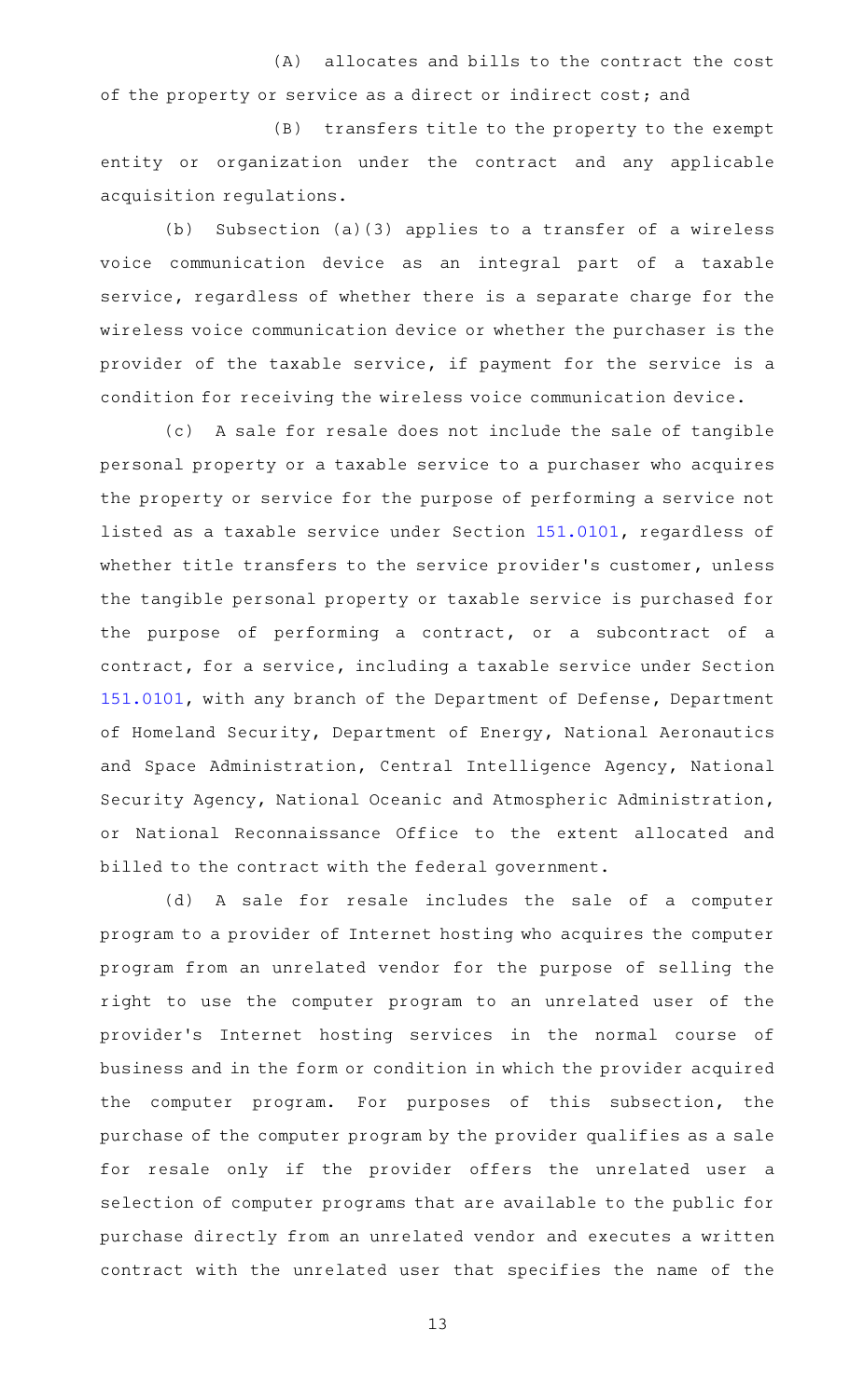# (A) allocates and bills to the contract the cost of the property or service as a direct or indirect cost; and

(B) transfers title to the property to the exempt entity or organization under the contract and any applicable acquisition regulations.

(b) Subsection (a)(3) applies to a transfer of a wireless voice communication device as an integral part of a taxable service, regardless of whether there is a separate charge for the wireless voice communication device or whether the purchaser is the provider of the taxable service, if payment for the service is a condition for receiving the wireless voice communication device.

(c) A sale for resale does not include the sale of tangible personal property or a taxable service to a purchaser who acquires the property or service for the purpose of performing a service not listed as a taxable service under Section [151.0101,](https://statutes.capitol.texas.gov/GetStatute.aspx?Code=TX&Value=151.0101) regardless of whether title transfers to the service provider 's customer, unless the tangible personal property or taxable service is purchased for the purpose of performing a contract, or a subcontract of a contract, for a service, including a taxable service under Section [151.0101](https://statutes.capitol.texas.gov/GetStatute.aspx?Code=TX&Value=151.0101), with any branch of the Department of Defense, Department of Homeland Security, Department of Energy, National Aeronautics and Space Administration, Central Intelligence Agency, National Security Agency, National Oceanic and Atmospheric Administration, or National Reconnaissance Office to the extent allocated and billed to the contract with the federal government.

(d) A sale for resale includes the sale of a computer program to a provider of Internet hosting who acquires the computer program from an unrelated vendor for the purpose of selling the right to use the computer program to an unrelated user of the provider's Internet hosting services in the normal course of business and in the form or condition in which the provider acquired the computer program. For purposes of this subsection, the purchase of the computer program by the provider qualifies as a sale for resale only if the provider offers the unrelated user a selection of computer programs that are available to the public for purchase directly from an unrelated vendor and executes a written contract with the unrelated user that specifies the name of the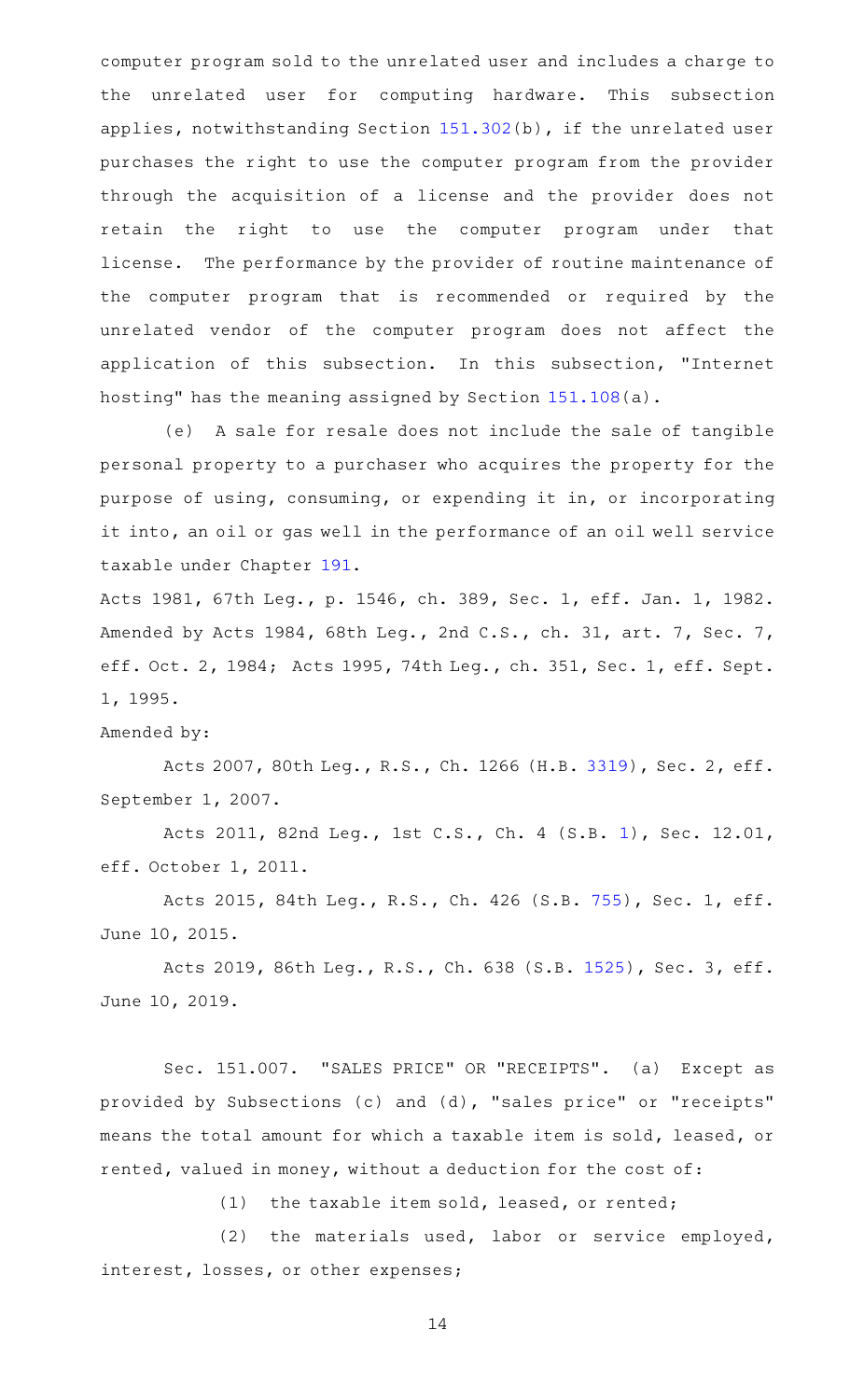computer program sold to the unrelated user and includes a charge to the unrelated user for computing hardware. This subsection applies, notwithstanding Section [151.302\(](https://statutes.capitol.texas.gov/GetStatute.aspx?Code=TX&Value=151.302)b), if the unrelated user purchases the right to use the computer program from the provider through the acquisition of a license and the provider does not retain the right to use the computer program under that license. The performance by the provider of routine maintenance of the computer program that is recommended or required by the unrelated vendor of the computer program does not affect the application of this subsection. In this subsection, "Internet hosting" has the meaning assigned by Section [151.108\(](https://statutes.capitol.texas.gov/GetStatute.aspx?Code=TX&Value=151.108)a).

(e) A sale for resale does not include the sale of tangible personal property to a purchaser who acquires the property for the purpose of using, consuming, or expending it in, or incorporating it into, an oil or gas well in the performance of an oil well service taxable under Chapter [191](https://statutes.capitol.texas.gov/GetStatute.aspx?Code=TX&Value=191).

Acts 1981, 67th Leg., p. 1546, ch. 389, Sec. 1, eff. Jan. 1, 1982. Amended by Acts 1984, 68th Leg., 2nd C.S., ch. 31, art. 7, Sec. 7, eff. Oct. 2, 1984; Acts 1995, 74th Leg., ch. 351, Sec. 1, eff. Sept. 1, 1995.

# Amended by:

Acts 2007, 80th Leg., R.S., Ch. 1266 (H.B. [3319](http://www.legis.state.tx.us/tlodocs/80R/billtext/html/HB03319F.HTM)), Sec. 2, eff. September 1, 2007.

Acts 2011, 82nd Leg., 1st C.S., Ch. 4 (S.B. [1](http://www.legis.state.tx.us/tlodocs/821/billtext/html/SB00001F.HTM)), Sec. 12.01, eff. October 1, 2011.

Acts 2015, 84th Leg., R.S., Ch. 426 (S.B. [755](http://www.legis.state.tx.us/tlodocs/84R/billtext/html/SB00755F.HTM)), Sec. 1, eff. June 10, 2015.

Acts 2019, 86th Leg., R.S., Ch. 638 (S.B. [1525](http://www.legis.state.tx.us/tlodocs/86R/billtext/html/SB01525F.HTM)), Sec. 3, eff. June 10, 2019.

Sec. 151.007. "SALES PRICE" OR "RECEIPTS". (a) Except as provided by Subsections (c) and (d), "sales price" or "receipts" means the total amount for which a taxable item is sold, leased, or rented, valued in money, without a deduction for the cost of:

 $(1)$  the taxable item sold, leased, or rented;

 $(2)$  the materials used, labor or service employed, interest, losses, or other expenses;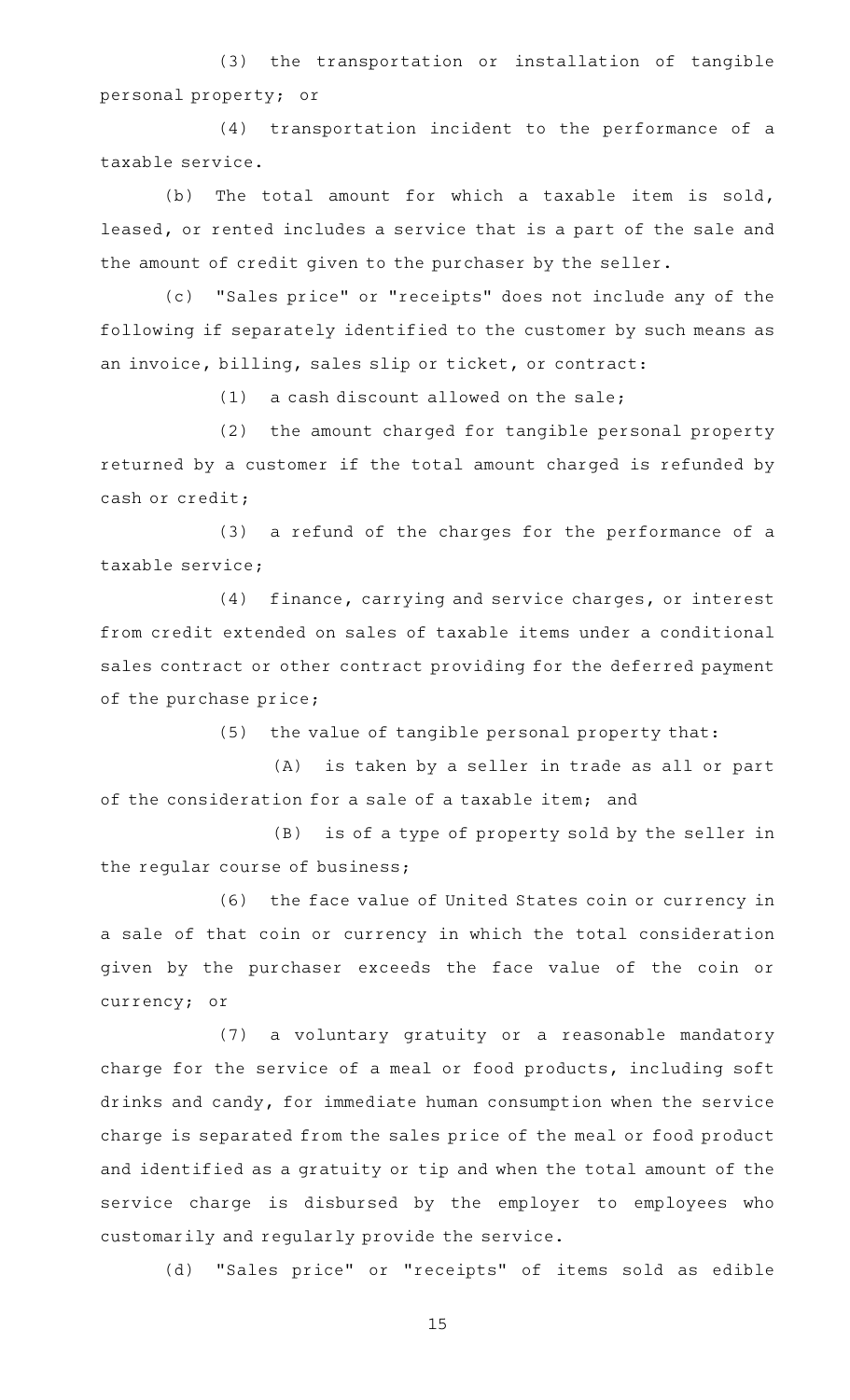(3) the transportation or installation of tangible personal property; or

(4) transportation incident to the performance of a taxable service.

(b) The total amount for which a taxable item is sold, leased, or rented includes a service that is a part of the sale and the amount of credit given to the purchaser by the seller.

(c) "Sales price" or "receipts" does not include any of the following if separately identified to the customer by such means as an invoice, billing, sales slip or ticket, or contract:

 $(1)$  a cash discount allowed on the sale;

(2) the amount charged for tangible personal property returned by a customer if the total amount charged is refunded by cash or credit;

 $(3)$  a refund of the charges for the performance of a taxable service;

(4) finance, carrying and service charges, or interest from credit extended on sales of taxable items under a conditional sales contract or other contract providing for the deferred payment of the purchase price;

 $(5)$  the value of tangible personal property that:

(A) is taken by a seller in trade as all or part of the consideration for a sale of a taxable item; and

 $(B)$  is of a type of property sold by the seller in the regular course of business;

(6) the face value of United States coin or currency in a sale of that coin or currency in which the total consideration given by the purchaser exceeds the face value of the coin or currency; or

(7) a voluntary gratuity or a reasonable mandatory charge for the service of a meal or food products, including soft drinks and candy, for immediate human consumption when the service charge is separated from the sales price of the meal or food product and identified as a gratuity or tip and when the total amount of the service charge is disbursed by the employer to employees who customarily and regularly provide the service.

(d) "Sales price" or "receipts" of items sold as edible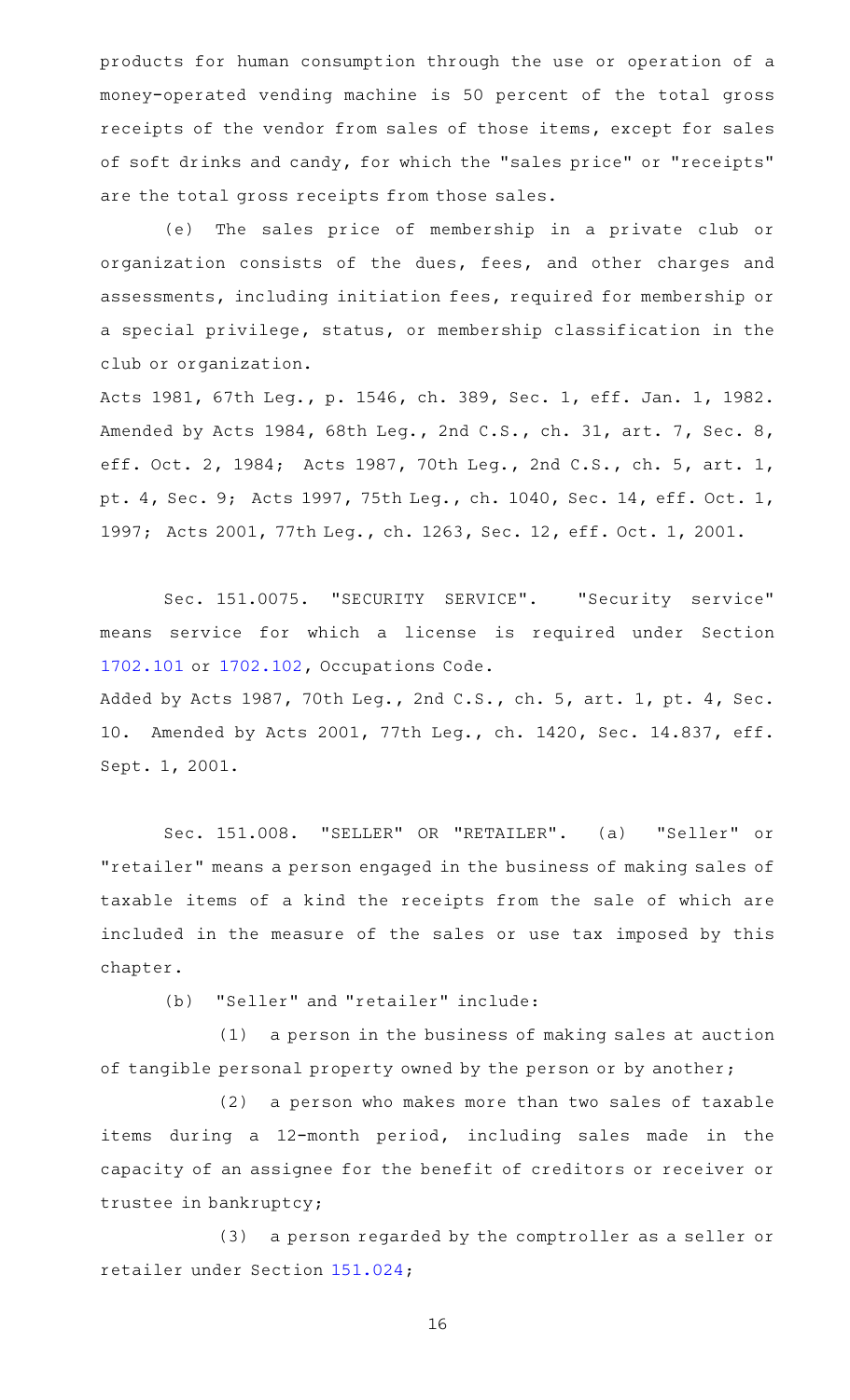products for human consumption through the use or operation of a money-operated vending machine is 50 percent of the total gross receipts of the vendor from sales of those items, except for sales of soft drinks and candy, for which the "sales price" or "receipts" are the total gross receipts from those sales.

(e) The sales price of membership in a private club or organization consists of the dues, fees, and other charges and assessments, including initiation fees, required for membership or a special privilege, status, or membership classification in the club or organization.

Acts 1981, 67th Leg., p. 1546, ch. 389, Sec. 1, eff. Jan. 1, 1982. Amended by Acts 1984, 68th Leg., 2nd C.S., ch. 31, art. 7, Sec. 8, eff. Oct. 2, 1984; Acts 1987, 70th Leg., 2nd C.S., ch. 5, art. 1, pt. 4, Sec. 9; Acts 1997, 75th Leg., ch. 1040, Sec. 14, eff. Oct. 1, 1997; Acts 2001, 77th Leg., ch. 1263, Sec. 12, eff. Oct. 1, 2001.

Sec. 151.0075. "SECURITY SERVICE". "Security service" means service for which a license is required under Section [1702.101](https://statutes.capitol.texas.gov/GetStatute.aspx?Code=OC&Value=1702.101) or [1702.102,](https://statutes.capitol.texas.gov/GetStatute.aspx?Code=OC&Value=1702.102) Occupations Code.

Added by Acts 1987, 70th Leg., 2nd C.S., ch. 5, art. 1, pt. 4, Sec. 10. Amended by Acts 2001, 77th Leg., ch. 1420, Sec. 14.837, eff. Sept. 1, 2001.

Sec. 151.008. "SELLER" OR "RETAILER". (a) "Seller" or "retailer" means a person engaged in the business of making sales of taxable items of a kind the receipts from the sale of which are included in the measure of the sales or use tax imposed by this chapter.

(b) "Seller" and "retailer" include:

 $(1)$  a person in the business of making sales at auction of tangible personal property owned by the person or by another;

(2) a person who makes more than two sales of taxable items during a 12-month period, including sales made in the capacity of an assignee for the benefit of creditors or receiver or trustee in bankruptcy;

(3) a person regarded by the comptroller as a seller or retailer under Section [151.024;](https://statutes.capitol.texas.gov/GetStatute.aspx?Code=TX&Value=151.024)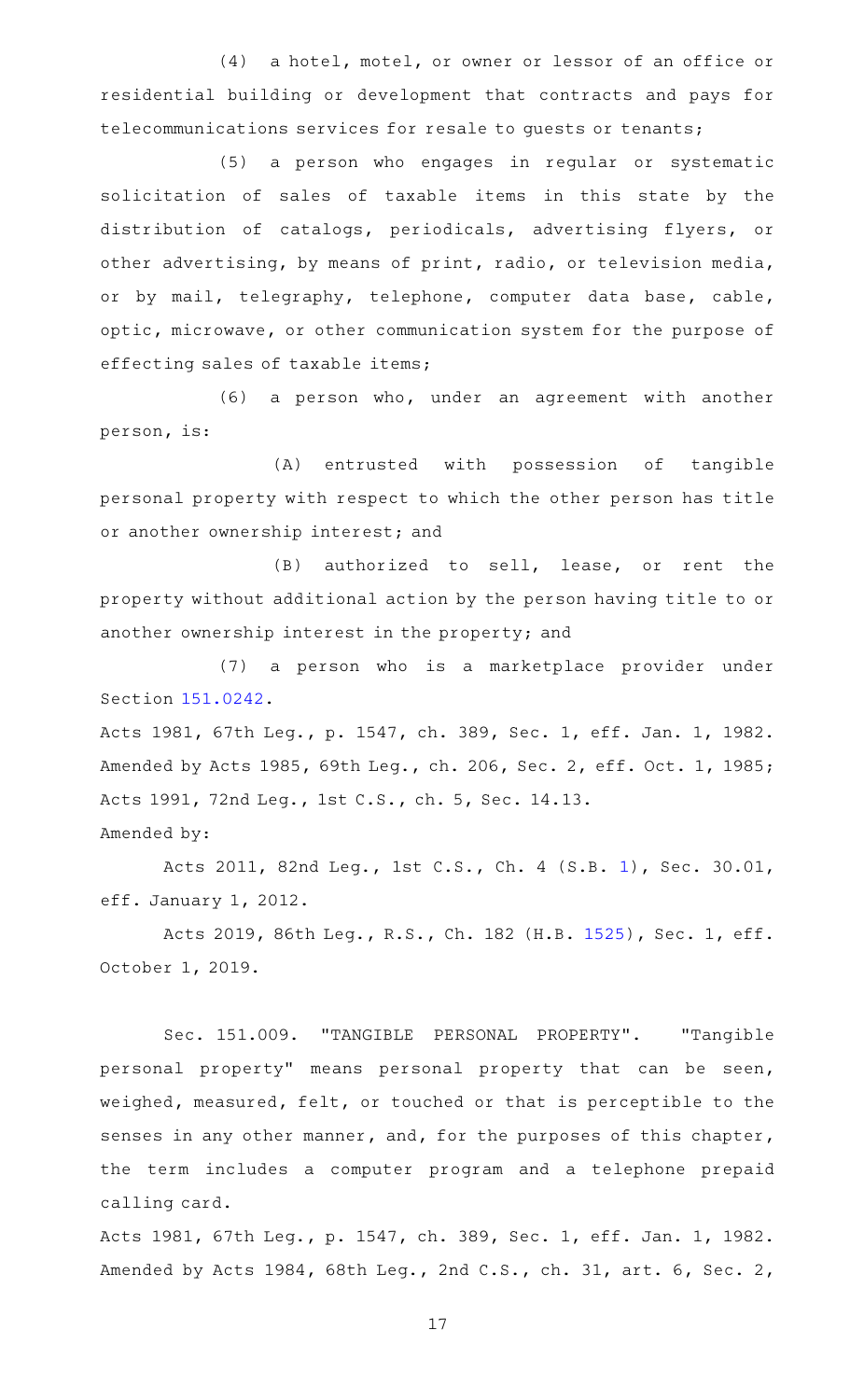(4) a hotel, motel, or owner or lessor of an office or residential building or development that contracts and pays for telecommunications services for resale to guests or tenants;

(5) a person who engages in regular or systematic solicitation of sales of taxable items in this state by the distribution of catalogs, periodicals, advertising flyers, or other advertising, by means of print, radio, or television media, or by mail, telegraphy, telephone, computer data base, cable, optic, microwave, or other communication system for the purpose of effecting sales of taxable items;

(6) a person who, under an agreement with another person, is:

(A) entrusted with possession of tangible personal property with respect to which the other person has title or another ownership interest; and

 $(B)$  authorized to sell, lease, or rent the property without additional action by the person having title to or another ownership interest in the property; and

(7) a person who is a marketplace provider under Section [151.0242](https://statutes.capitol.texas.gov/GetStatute.aspx?Code=TX&Value=151.0242).

Acts 1981, 67th Leg., p. 1547, ch. 389, Sec. 1, eff. Jan. 1, 1982. Amended by Acts 1985, 69th Leg., ch. 206, Sec. 2, eff. Oct. 1, 1985; Acts 1991, 72nd Leg., 1st C.S., ch. 5, Sec. 14.13. Amended by:

Acts 2011, 82nd Leg., 1st C.S., Ch. 4 (S.B. [1](http://www.legis.state.tx.us/tlodocs/821/billtext/html/SB00001F.HTM)), Sec. 30.01, eff. January 1, 2012.

Acts 2019, 86th Leg., R.S., Ch. 182 (H.B. [1525](http://www.legis.state.tx.us/tlodocs/86R/billtext/html/HB01525F.HTM)), Sec. 1, eff. October 1, 2019.

Sec. 151.009. "TANGIBLE PERSONAL PROPERTY". "Tangible personal property" means personal property that can be seen, weighed, measured, felt, or touched or that is perceptible to the senses in any other manner, and, for the purposes of this chapter, the term includes a computer program and a telephone prepaid calling card.

Acts 1981, 67th Leg., p. 1547, ch. 389, Sec. 1, eff. Jan. 1, 1982. Amended by Acts 1984, 68th Leg., 2nd C.S., ch. 31, art. 6, Sec. 2,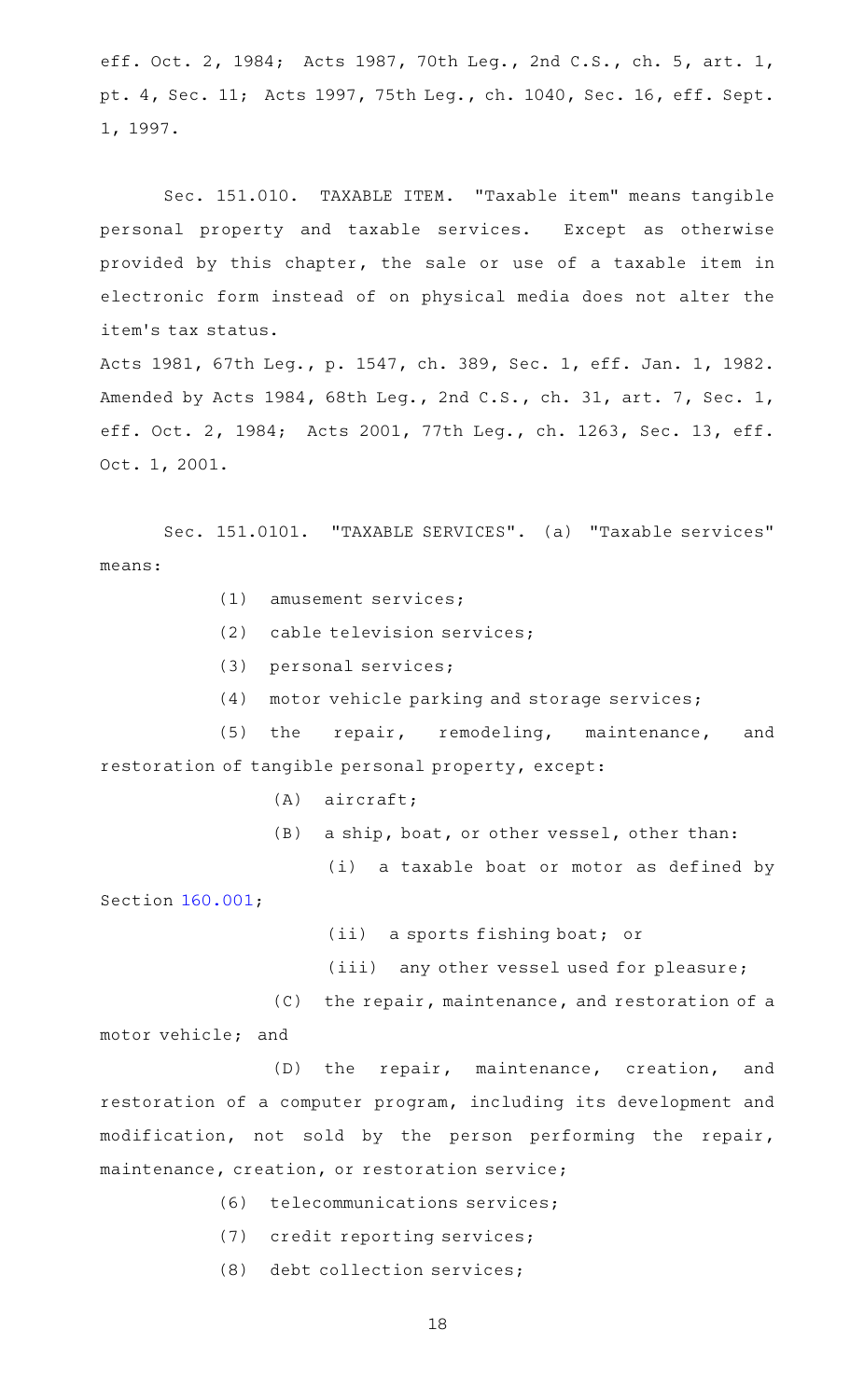eff. Oct. 2, 1984; Acts 1987, 70th Leg., 2nd C.S., ch. 5, art. 1, pt. 4, Sec. 11; Acts 1997, 75th Leg., ch. 1040, Sec. 16, eff. Sept. 1, 1997.

Sec. 151.010. TAXABLE ITEM. "Taxable item" means tangible personal property and taxable services. Except as otherwise provided by this chapter, the sale or use of a taxable item in electronic form instead of on physical media does not alter the item 's tax status.

Acts 1981, 67th Leg., p. 1547, ch. 389, Sec. 1, eff. Jan. 1, 1982. Amended by Acts 1984, 68th Leg., 2nd C.S., ch. 31, art. 7, Sec. 1, eff. Oct. 2, 1984; Acts 2001, 77th Leg., ch. 1263, Sec. 13, eff. Oct. 1, 2001.

Sec. 151.0101. "TAXABLE SERVICES". (a) "Taxable services" means:

- $(1)$  amusement services;
- (2) cable television services;
- $(3)$  personal services;
- $(4)$  motor vehicle parking and storage services;

(5) the repair, remodeling, maintenance, and restoration of tangible personal property, except:

- $(A)$  aircraft;
- (B) a ship, boat, or other vessel, other than:
	- (i) a taxable boat or motor as defined by

Section [160.001;](https://statutes.capitol.texas.gov/GetStatute.aspx?Code=TX&Value=160.001)

- (ii) a sports fishing boat; or
- (iii) any other vessel used for pleasure;
- $(C)$  the repair, maintenance, and restoration of a motor vehicle; and

(D) the repair, maintenance, creation, and restoration of a computer program, including its development and modification, not sold by the person performing the repair, maintenance, creation, or restoration service;

- (6) telecommunications services;
- (7) credit reporting services;
- (8) debt collection services;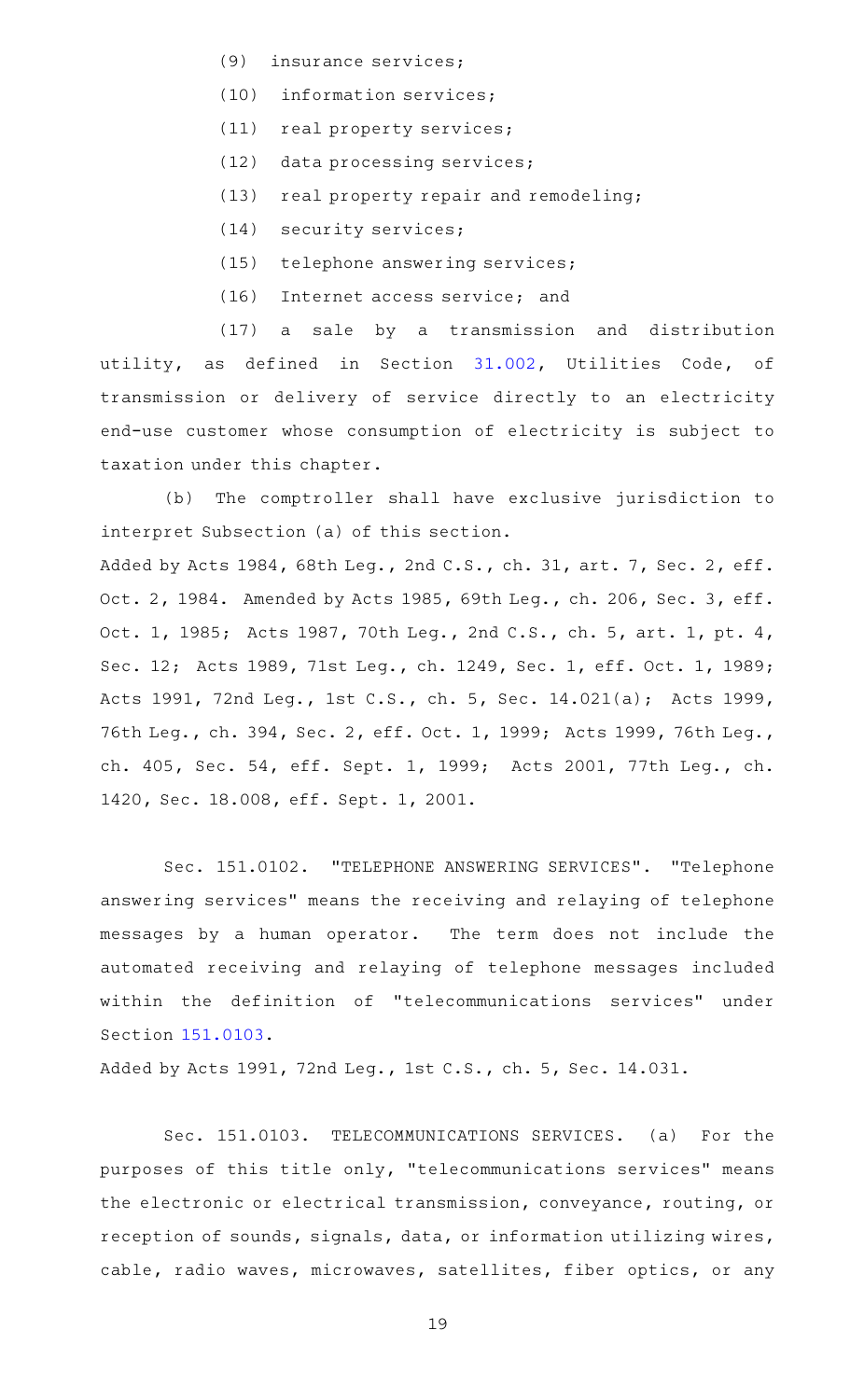- (9) insurance services;
- (10) information services;
- (11) real property services;
- (12) data processing services;
- (13) real property repair and remodeling;
- (14) security services;
- (15) telephone answering services;
- (16) Internet access service; and

(17) a sale by a transmission and distribution utility, as defined in Section [31.002](https://statutes.capitol.texas.gov/GetStatute.aspx?Code=UT&Value=31.002), Utilities Code, of transmission or delivery of service directly to an electricity end-use customer whose consumption of electricity is subject to taxation under this chapter.

(b) The comptroller shall have exclusive jurisdiction to interpret Subsection (a) of this section. Added by Acts 1984, 68th Leg., 2nd C.S., ch. 31, art. 7, Sec. 2, eff. Oct. 2, 1984. Amended by Acts 1985, 69th Leg., ch. 206, Sec. 3, eff. Oct. 1, 1985; Acts 1987, 70th Leg., 2nd C.S., ch. 5, art. 1, pt. 4, Sec. 12; Acts 1989, 71st Leg., ch. 1249, Sec. 1, eff. Oct. 1, 1989; Acts 1991, 72nd Leg., 1st C.S., ch. 5, Sec. 14.021(a); Acts 1999, 76th Leg., ch. 394, Sec. 2, eff. Oct. 1, 1999; Acts 1999, 76th Leg., ch. 405, Sec. 54, eff. Sept. 1, 1999; Acts 2001, 77th Leg., ch. 1420, Sec. 18.008, eff. Sept. 1, 2001.

Sec. 151.0102. "TELEPHONE ANSWERING SERVICES". "Telephone answering services" means the receiving and relaying of telephone messages by a human operator. The term does not include the automated receiving and relaying of telephone messages included within the definition of "telecommunications services" under Section [151.0103](https://statutes.capitol.texas.gov/GetStatute.aspx?Code=TX&Value=151.0103).

Added by Acts 1991, 72nd Leg., 1st C.S., ch. 5, Sec. 14.031.

Sec. 151.0103. TELECOMMUNICATIONS SERVICES. (a) For the purposes of this title only, "telecommunications services" means the electronic or electrical transmission, conveyance, routing, or reception of sounds, signals, data, or information utilizing wires, cable, radio waves, microwaves, satellites, fiber optics, or any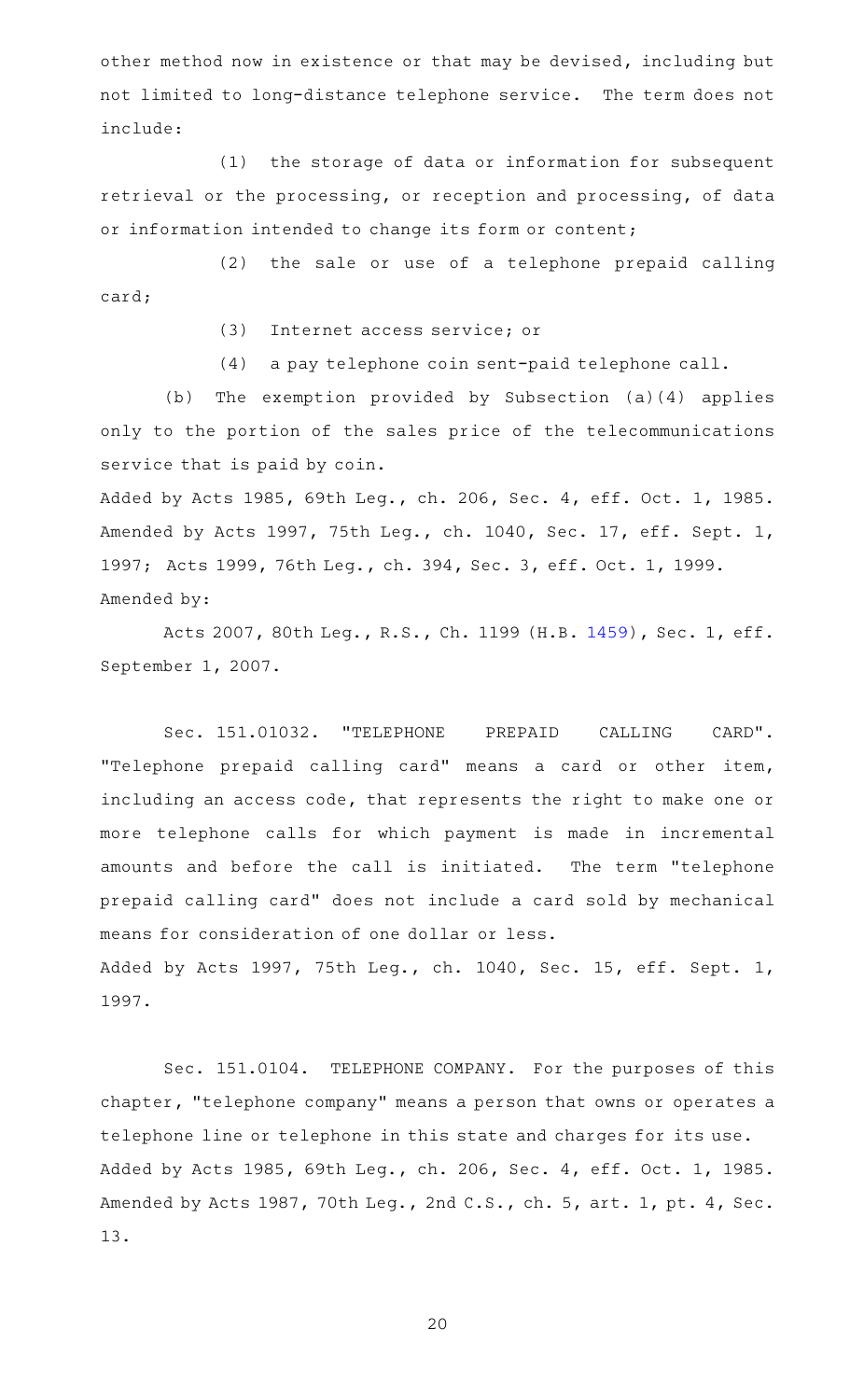other method now in existence or that may be devised, including but not limited to long-distance telephone service. The term does not include:

(1) the storage of data or information for subsequent retrieval or the processing, or reception and processing, of data or information intended to change its form or content;

(2) the sale or use of a telephone prepaid calling card;

(3) Internet access service; or

(4) a pay telephone coin sent-paid telephone call.

(b) The exemption provided by Subsection (a)(4) applies only to the portion of the sales price of the telecommunications service that is paid by coin.

Added by Acts 1985, 69th Leg., ch. 206, Sec. 4, eff. Oct. 1, 1985. Amended by Acts 1997, 75th Leg., ch. 1040, Sec. 17, eff. Sept. 1, 1997; Acts 1999, 76th Leg., ch. 394, Sec. 3, eff. Oct. 1, 1999. Amended by:

Acts 2007, 80th Leg., R.S., Ch. 1199 (H.B. [1459](http://www.legis.state.tx.us/tlodocs/80R/billtext/html/HB01459F.HTM)), Sec. 1, eff. September 1, 2007.

Sec. 151.01032. "TELEPHONE PREPAID CALLING CARD". "Telephone prepaid calling card" means a card or other item, including an access code, that represents the right to make one or more telephone calls for which payment is made in incremental amounts and before the call is initiated. The term "telephone prepaid calling card" does not include a card sold by mechanical means for consideration of one dollar or less. Added by Acts 1997, 75th Leg., ch. 1040, Sec. 15, eff. Sept. 1, 1997.

Sec. 151.0104. TELEPHONE COMPANY. For the purposes of this chapter, "telephone company" means a person that owns or operates a telephone line or telephone in this state and charges for its use. Added by Acts 1985, 69th Leg., ch. 206, Sec. 4, eff. Oct. 1, 1985. Amended by Acts 1987, 70th Leg., 2nd C.S., ch. 5, art. 1, pt. 4, Sec. 13.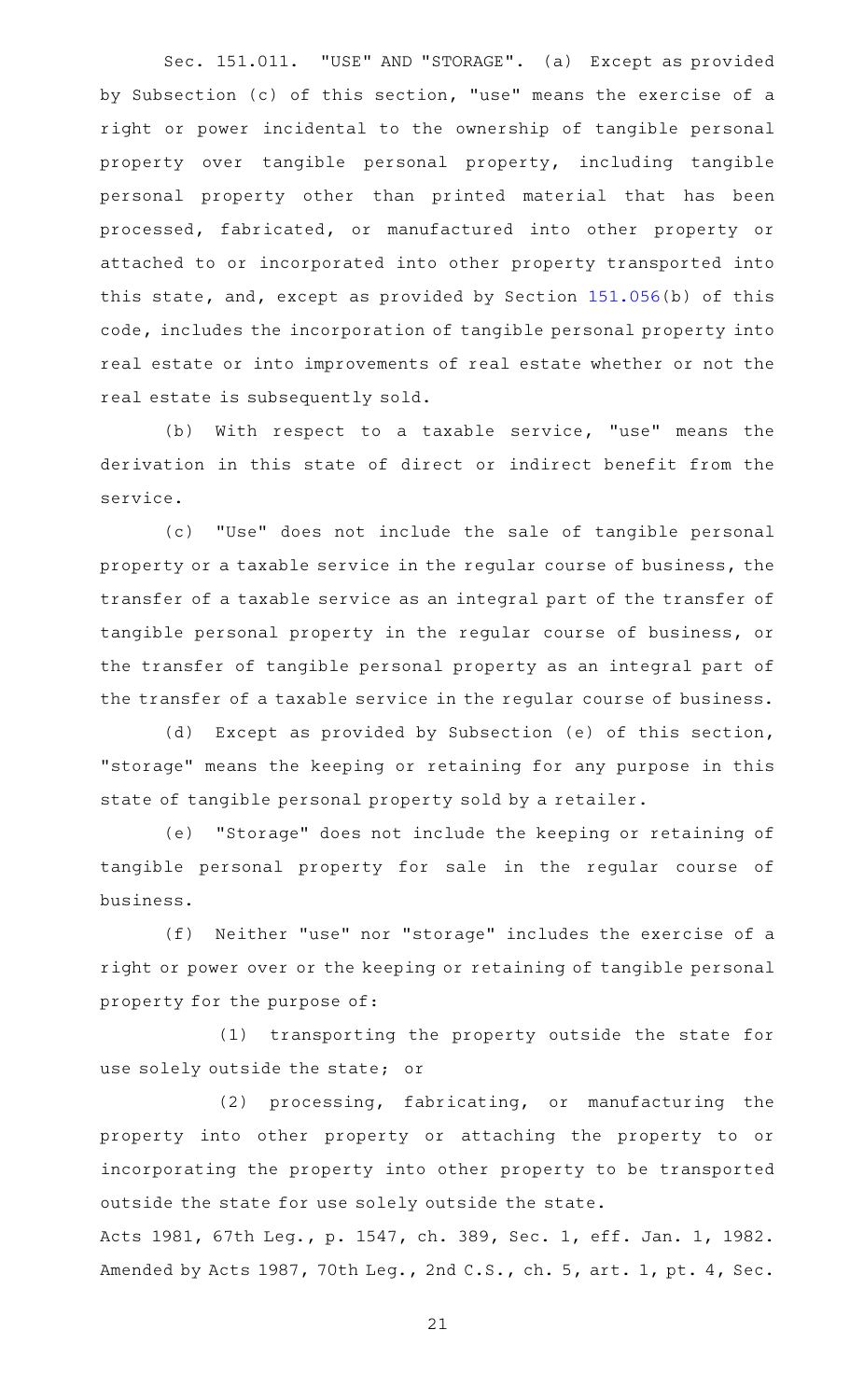Sec. 151.011. "USE" AND "STORAGE". (a) Except as provided by Subsection (c) of this section, "use" means the exercise of a right or power incidental to the ownership of tangible personal property over tangible personal property, including tangible personal property other than printed material that has been processed, fabricated, or manufactured into other property or attached to or incorporated into other property transported into this state, and, except as provided by Section [151.056\(](https://statutes.capitol.texas.gov/GetStatute.aspx?Code=TX&Value=151.056)b) of this code, includes the incorporation of tangible personal property into real estate or into improvements of real estate whether or not the real estate is subsequently sold.

(b) With respect to a taxable service, "use" means the derivation in this state of direct or indirect benefit from the service.

(c) "Use" does not include the sale of tangible personal property or a taxable service in the regular course of business, the transfer of a taxable service as an integral part of the transfer of tangible personal property in the regular course of business, or the transfer of tangible personal property as an integral part of the transfer of a taxable service in the regular course of business.

(d) Except as provided by Subsection (e) of this section, "storage" means the keeping or retaining for any purpose in this state of tangible personal property sold by a retailer.

(e) "Storage" does not include the keeping or retaining of tangible personal property for sale in the regular course of business.

(f) Neither "use" nor "storage" includes the exercise of a right or power over or the keeping or retaining of tangible personal property for the purpose of:

(1) transporting the property outside the state for use solely outside the state; or

(2) processing, fabricating, or manufacturing the property into other property or attaching the property to or incorporating the property into other property to be transported outside the state for use solely outside the state.

Acts 1981, 67th Leg., p. 1547, ch. 389, Sec. 1, eff. Jan. 1, 1982. Amended by Acts 1987, 70th Leg., 2nd C.S., ch. 5, art. 1, pt. 4, Sec.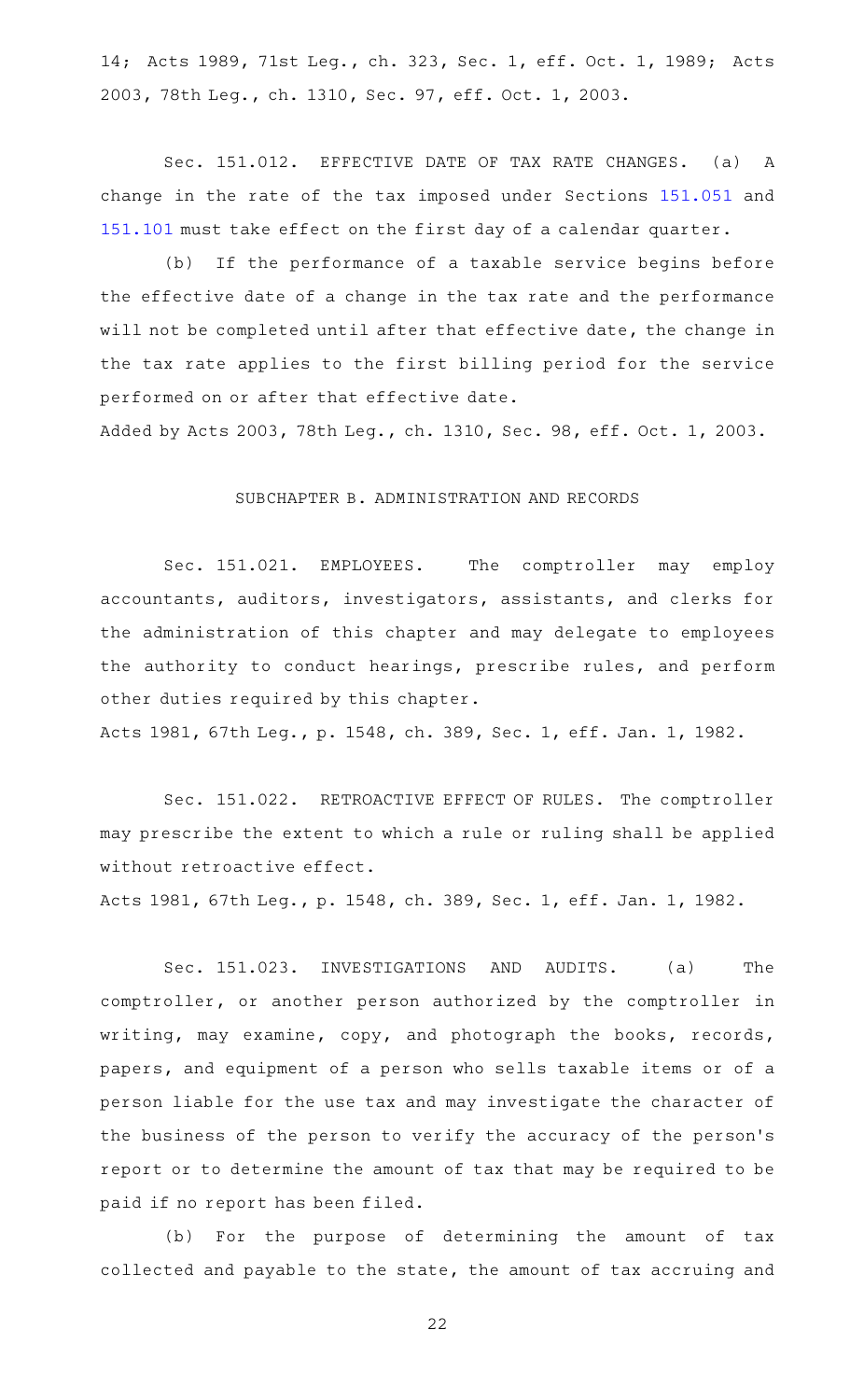14; Acts 1989, 71st Leg., ch. 323, Sec. 1, eff. Oct. 1, 1989; Acts 2003, 78th Leg., ch. 1310, Sec. 97, eff. Oct. 1, 2003.

Sec. 151.012. EFFECTIVE DATE OF TAX RATE CHANGES. (a) A change in the rate of the tax imposed under Sections [151.051](https://statutes.capitol.texas.gov/GetStatute.aspx?Code=TX&Value=151.051) and [151.101](https://statutes.capitol.texas.gov/GetStatute.aspx?Code=TX&Value=151.101) must take effect on the first day of a calendar quarter.

(b) If the performance of a taxable service begins before the effective date of a change in the tax rate and the performance will not be completed until after that effective date, the change in the tax rate applies to the first billing period for the service performed on or after that effective date.

Added by Acts 2003, 78th Leg., ch. 1310, Sec. 98, eff. Oct. 1, 2003.

#### SUBCHAPTER B. ADMINISTRATION AND RECORDS

Sec. 151.021. EMPLOYEES. The comptroller may employ accountants, auditors, investigators, assistants, and clerks for the administration of this chapter and may delegate to employees the authority to conduct hearings, prescribe rules, and perform other duties required by this chapter.

Acts 1981, 67th Leg., p. 1548, ch. 389, Sec. 1, eff. Jan. 1, 1982.

Sec. 151.022. RETROACTIVE EFFECT OF RULES. The comptroller may prescribe the extent to which a rule or ruling shall be applied without retroactive effect.

Acts 1981, 67th Leg., p. 1548, ch. 389, Sec. 1, eff. Jan. 1, 1982.

Sec. 151.023. INVESTIGATIONS AND AUDITS. (a) The comptroller, or another person authorized by the comptroller in writing, may examine, copy, and photograph the books, records, papers, and equipment of a person who sells taxable items or of a person liable for the use tax and may investigate the character of the business of the person to verify the accuracy of the person 's report or to determine the amount of tax that may be required to be paid if no report has been filed.

(b) For the purpose of determining the amount of tax collected and payable to the state, the amount of tax accruing and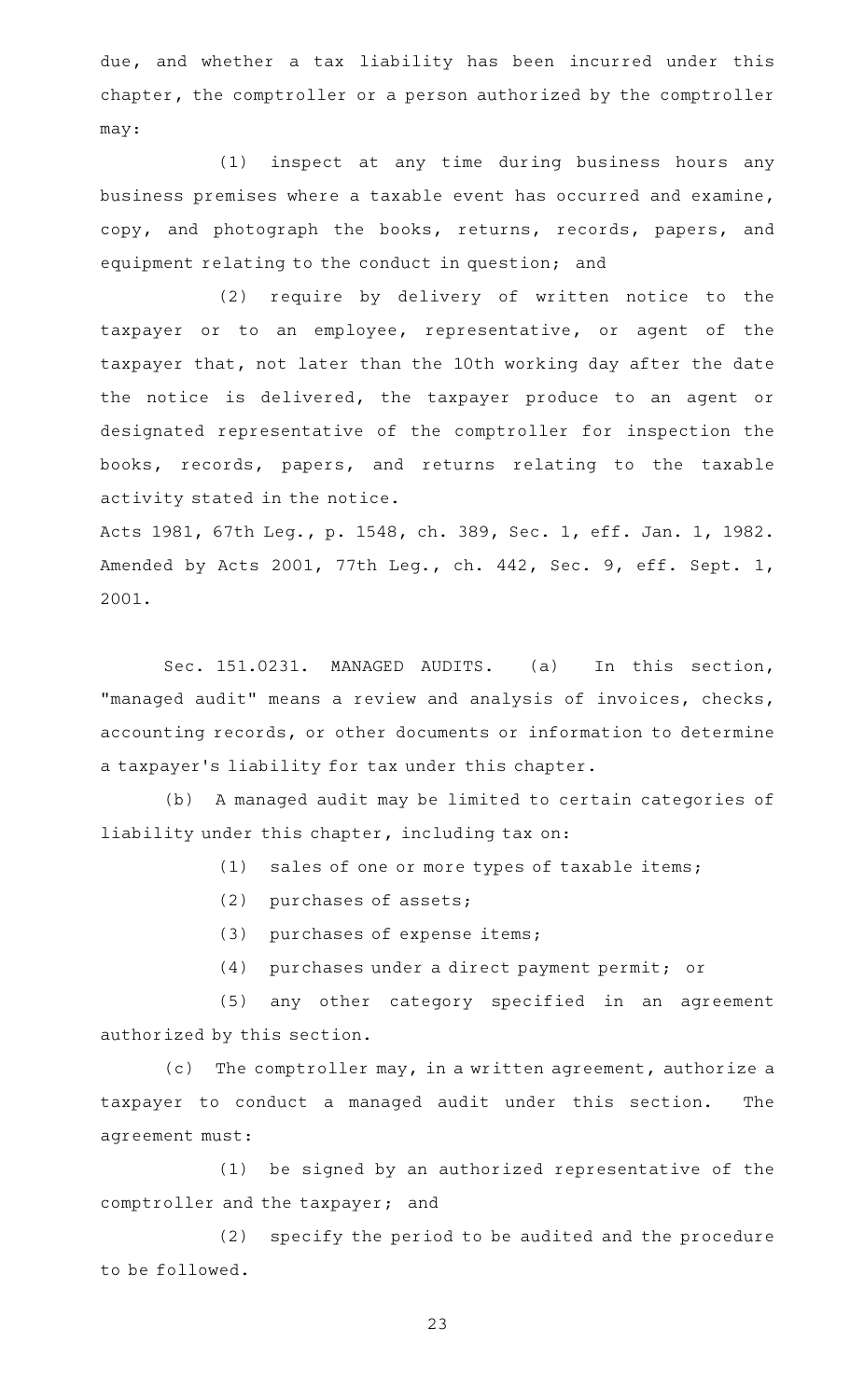due, and whether a tax liability has been incurred under this chapter, the comptroller or a person authorized by the comptroller may:

(1) inspect at any time during business hours any business premises where a taxable event has occurred and examine, copy, and photograph the books, returns, records, papers, and equipment relating to the conduct in question; and

(2) require by delivery of written notice to the taxpayer or to an employee, representative, or agent of the taxpayer that, not later than the 10th working day after the date the notice is delivered, the taxpayer produce to an agent or designated representative of the comptroller for inspection the books, records, papers, and returns relating to the taxable activity stated in the notice.

Acts 1981, 67th Leg., p. 1548, ch. 389, Sec. 1, eff. Jan. 1, 1982. Amended by Acts 2001, 77th Leg., ch. 442, Sec. 9, eff. Sept. 1, 2001.

Sec. 151.0231. MANAGED AUDITS. (a) In this section, "managed audit" means a review and analysis of invoices, checks, accounting records, or other documents or information to determine a taxpayer 's liability for tax under this chapter.

(b) A managed audit may be limited to certain categories of liability under this chapter, including tax on:

(1) sales of one or more types of taxable items;

- (2) purchases of assets;
- (3) purchases of expense items;
- (4) purchases under a direct payment permit; or

(5) any other category specified in an agreement authorized by this section.

(c) The comptroller may, in a written agreement, authorize a taxpayer to conduct a managed audit under this section. The agreement must:

 $(1)$  be signed by an authorized representative of the comptroller and the taxpayer; and

(2) specify the period to be audited and the procedure to be followed.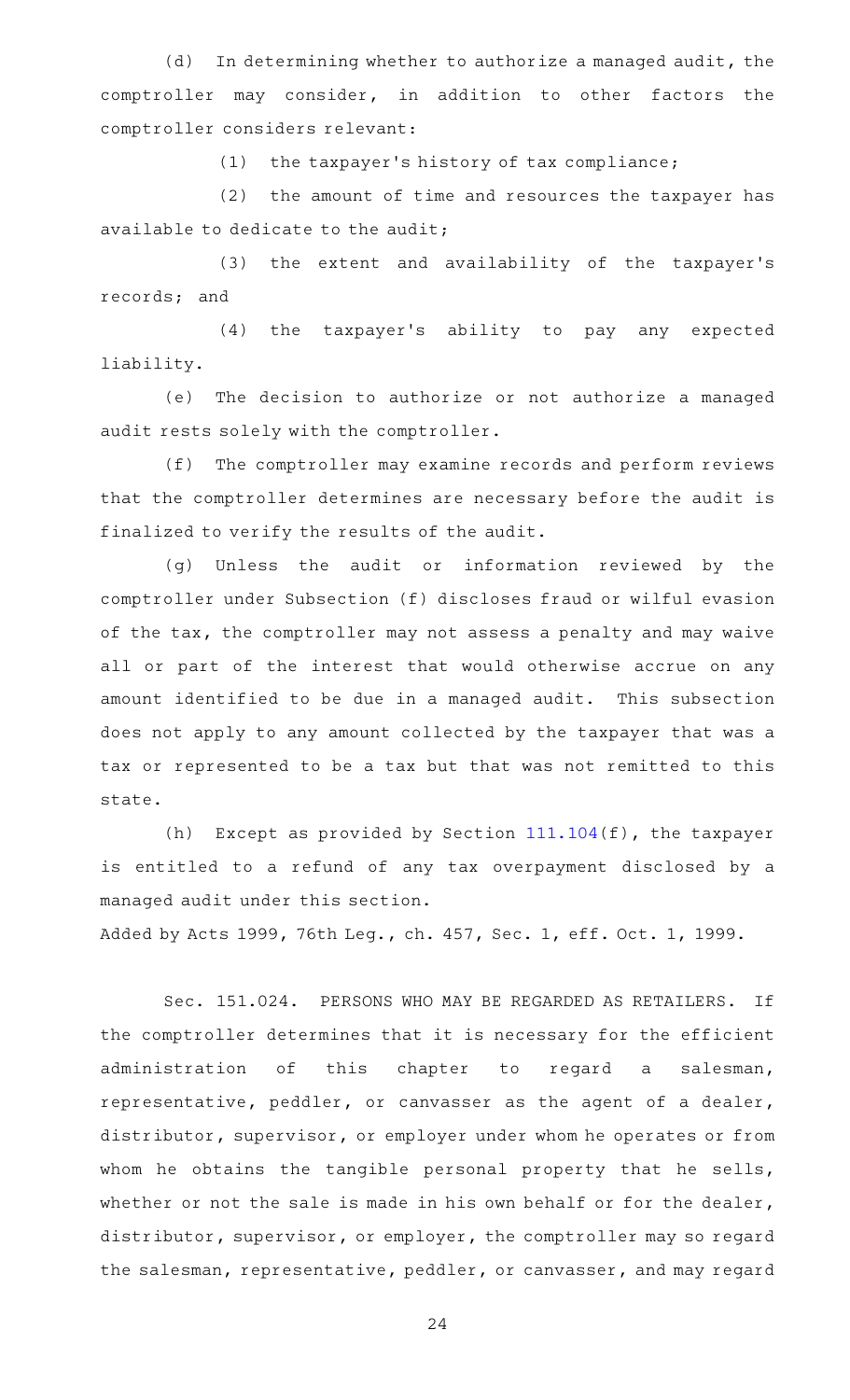(d) In determining whether to authorize a managed audit, the comptroller may consider, in addition to other factors the comptroller considers relevant:

 $(1)$  the taxpayer's history of tax compliance;

 $(2)$  the amount of time and resources the taxpayer has available to dedicate to the audit;

(3) the extent and availability of the taxpayer's records; and

(4) the taxpayer's ability to pay any expected liability.

(e) The decision to authorize or not authorize a managed audit rests solely with the comptroller.

(f) The comptroller may examine records and perform reviews that the comptroller determines are necessary before the audit is finalized to verify the results of the audit.

(g) Unless the audit or information reviewed by the comptroller under Subsection (f) discloses fraud or wilful evasion of the tax, the comptroller may not assess a penalty and may waive all or part of the interest that would otherwise accrue on any amount identified to be due in a managed audit. This subsection does not apply to any amount collected by the taxpayer that was a tax or represented to be a tax but that was not remitted to this state.

(h) Except as provided by Section  $111.104(f)$  $111.104(f)$ , the taxpayer is entitled to a refund of any tax overpayment disclosed by a managed audit under this section.

Added by Acts 1999, 76th Leg., ch. 457, Sec. 1, eff. Oct. 1, 1999.

Sec. 151.024. PERSONS WHO MAY BE REGARDED AS RETAILERS. If the comptroller determines that it is necessary for the efficient administration of this chapter to regard a salesman, representative, peddler, or canvasser as the agent of a dealer, distributor, supervisor, or employer under whom he operates or from whom he obtains the tangible personal property that he sells, whether or not the sale is made in his own behalf or for the dealer, distributor, supervisor, or employer, the comptroller may so regard the salesman, representative, peddler, or canvasser, and may regard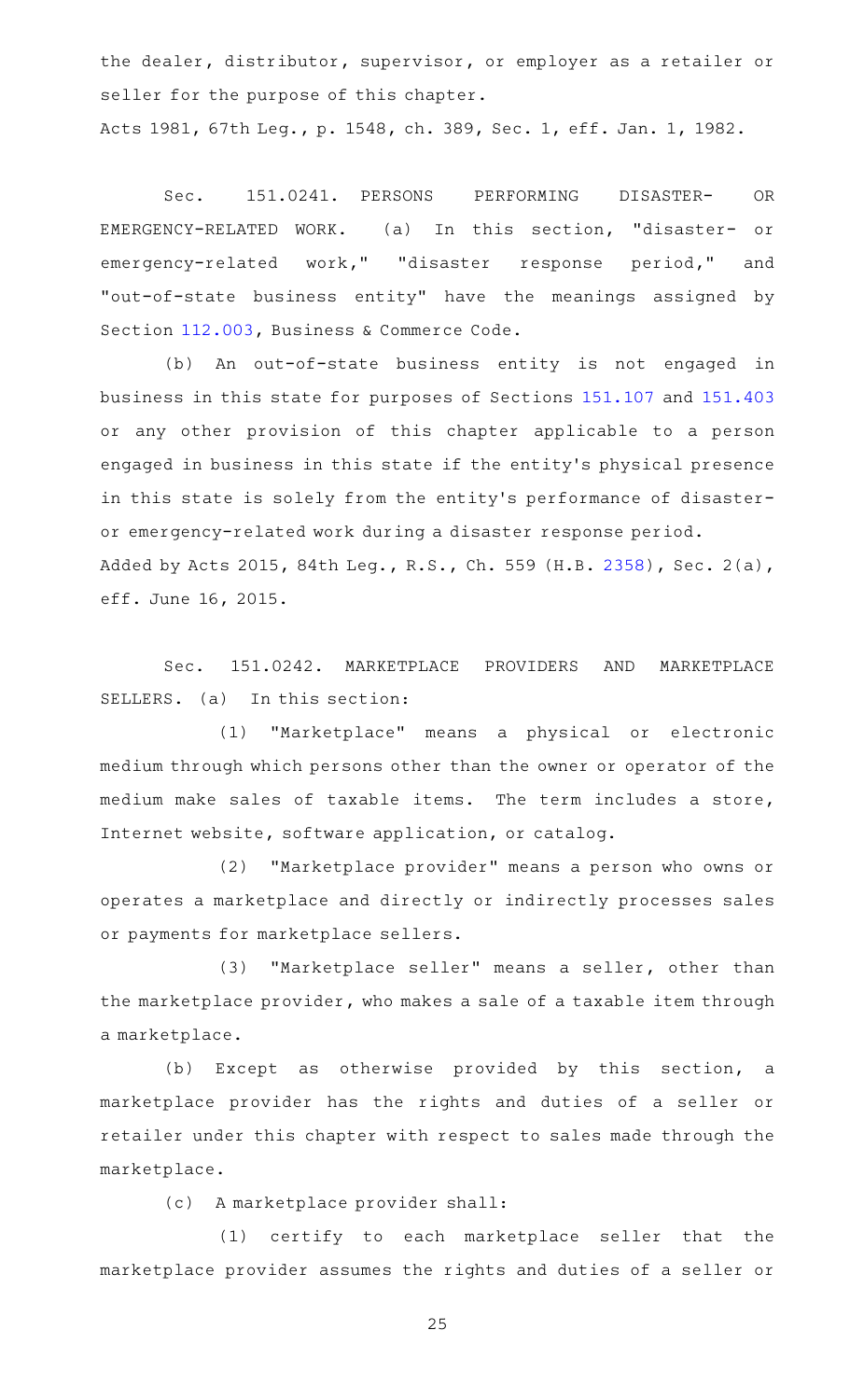the dealer, distributor, supervisor, or employer as a retailer or seller for the purpose of this chapter.

Acts 1981, 67th Leg., p. 1548, ch. 389, Sec. 1, eff. Jan. 1, 1982.

Sec. 151.0241. PERSONS PERFORMING DISASTER- OR EMERGENCY-RELATED WORK. (a) In this section, "disaster- or emergency-related work," "disaster response period," and "out-of-state business entity" have the meanings assigned by Section [112.003,](https://statutes.capitol.texas.gov/GetStatute.aspx?Code=BC&Value=112.003) Business & Commerce Code.

(b) An out-of-state business entity is not engaged in business in this state for purposes of Sections [151.107](https://statutes.capitol.texas.gov/GetStatute.aspx?Code=TX&Value=151.107) and [151.403](https://statutes.capitol.texas.gov/GetStatute.aspx?Code=TX&Value=151.403) or any other provision of this chapter applicable to a person engaged in business in this state if the entity 's physical presence in this state is solely from the entity's performance of disasteror emergency-related work during a disaster response period. Added by Acts 2015, 84th Leg., R.S., Ch. 559 (H.B. [2358](http://www.legis.state.tx.us/tlodocs/84R/billtext/html/HB02358F.HTM)), Sec. 2(a), eff. June 16, 2015.

Sec. 151.0242. MARKETPLACE PROVIDERS AND MARKETPLACE SELLERS. (a) In this section:

(1) "Marketplace" means a physical or electronic medium through which persons other than the owner or operator of the medium make sales of taxable items. The term includes a store, Internet website, software application, or catalog.

(2) "Marketplace provider" means a person who owns or operates a marketplace and directly or indirectly processes sales or payments for marketplace sellers.

(3) "Marketplace seller" means a seller, other than the marketplace provider, who makes a sale of a taxable item through a marketplace.

(b) Except as otherwise provided by this section, a marketplace provider has the rights and duties of a seller or retailer under this chapter with respect to sales made through the marketplace.

(c) A marketplace provider shall:

(1) certify to each marketplace seller that the marketplace provider assumes the rights and duties of a seller or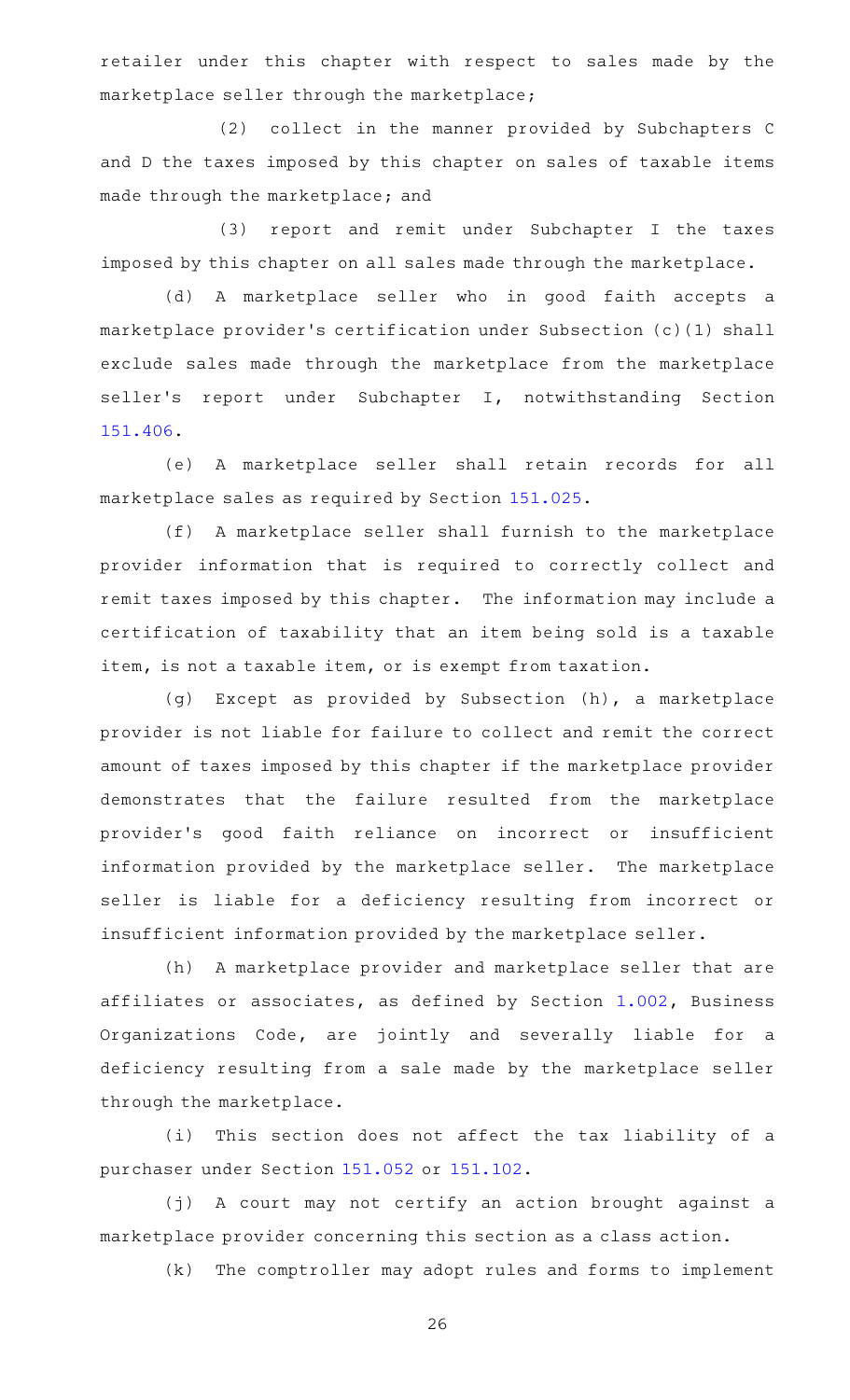retailer under this chapter with respect to sales made by the marketplace seller through the marketplace;

(2) collect in the manner provided by Subchapters C and D the taxes imposed by this chapter on sales of taxable items made through the marketplace; and

(3) report and remit under Subchapter I the taxes imposed by this chapter on all sales made through the marketplace.

(d) A marketplace seller who in good faith accepts a marketplace provider 's certification under Subsection (c)(1) shall exclude sales made through the marketplace from the marketplace seller's report under Subchapter I, notwithstanding Section [151.406.](https://statutes.capitol.texas.gov/GetStatute.aspx?Code=TX&Value=151.406)

(e) A marketplace seller shall retain records for all marketplace sales as required by Section [151.025](https://statutes.capitol.texas.gov/GetStatute.aspx?Code=TX&Value=151.025).

(f) A marketplace seller shall furnish to the marketplace provider information that is required to correctly collect and remit taxes imposed by this chapter. The information may include a certification of taxability that an item being sold is a taxable item, is not a taxable item, or is exempt from taxation.

(g) Except as provided by Subsection (h), a marketplace provider is not liable for failure to collect and remit the correct amount of taxes imposed by this chapter if the marketplace provider demonstrates that the failure resulted from the marketplace provider 's good faith reliance on incorrect or insufficient information provided by the marketplace seller. The marketplace seller is liable for a deficiency resulting from incorrect or insufficient information provided by the marketplace seller.

(h) A marketplace provider and marketplace seller that are affiliates or associates, as defined by Section [1.002](https://statutes.capitol.texas.gov/GetStatute.aspx?Code=BO&Value=1.002), Business Organizations Code, are jointly and severally liable for a deficiency resulting from a sale made by the marketplace seller through the marketplace.

(i) This section does not affect the tax liability of a purchaser under Section [151.052](https://statutes.capitol.texas.gov/GetStatute.aspx?Code=TX&Value=151.052) or [151.102](https://statutes.capitol.texas.gov/GetStatute.aspx?Code=TX&Value=151.102).

(j) A court may not certify an action brought against a marketplace provider concerning this section as a class action.

(k) The comptroller may adopt rules and forms to implement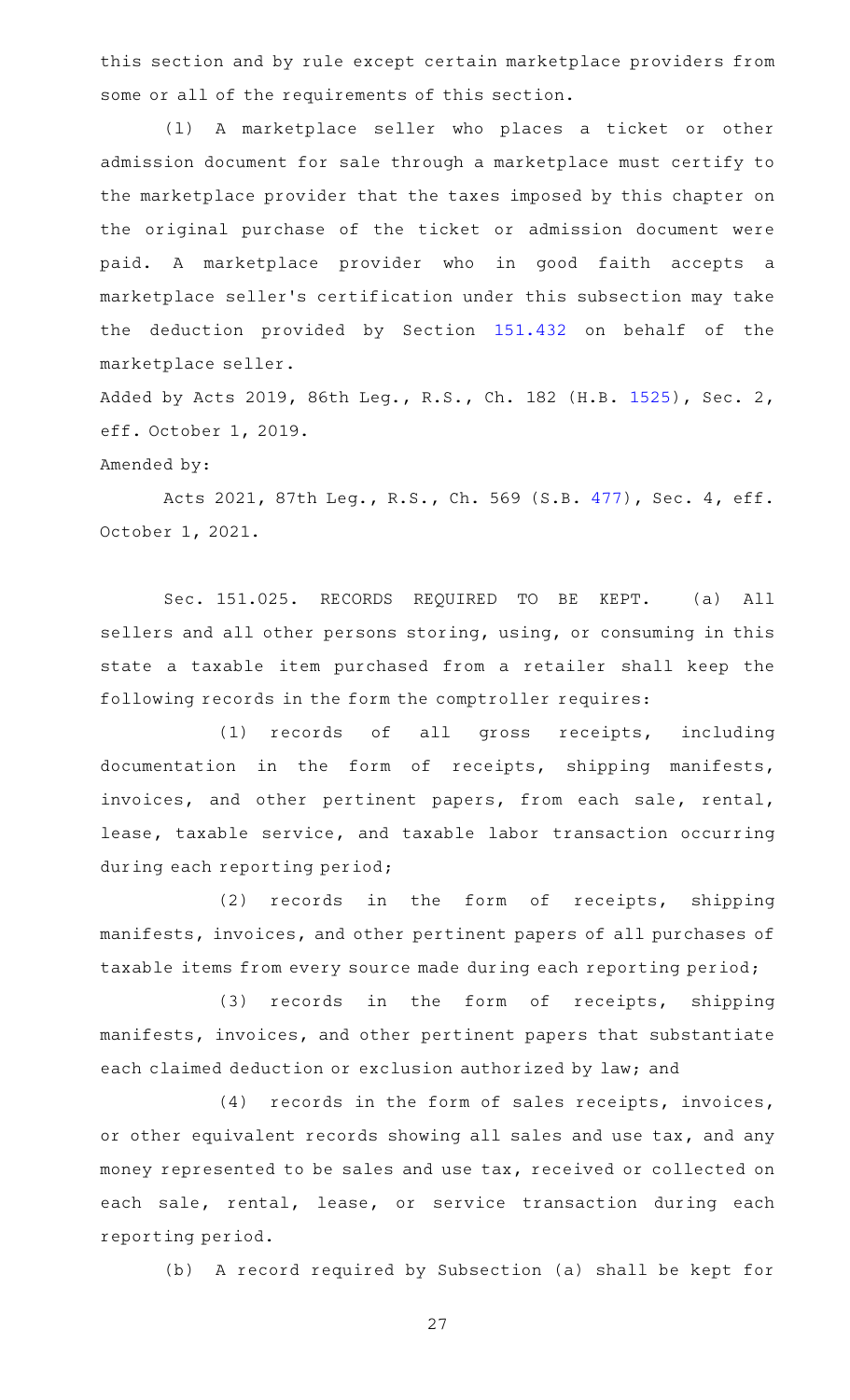this section and by rule except certain marketplace providers from some or all of the requirements of this section.

(1) A marketplace seller who places a ticket or other admission document for sale through a marketplace must certify to the marketplace provider that the taxes imposed by this chapter on the original purchase of the ticket or admission document were paid. A marketplace provider who in good faith accepts a marketplace seller 's certification under this subsection may take the deduction provided by Section [151.432](https://statutes.capitol.texas.gov/GetStatute.aspx?Code=TX&Value=151.432) on behalf of the marketplace seller.

Added by Acts 2019, 86th Leg., R.S., Ch. 182 (H.B. [1525](http://www.legis.state.tx.us/tlodocs/86R/billtext/html/HB01525F.HTM)), Sec. 2, eff. October 1, 2019.

## Amended by:

Acts 2021, 87th Leg., R.S., Ch. 569 (S.B. [477](http://www.legis.state.tx.us/tlodocs/87R/billtext/html/SB00477F.HTM)), Sec. 4, eff. October 1, 2021.

Sec. 151.025. RECORDS REQUIRED TO BE KEPT. (a) All sellers and all other persons storing, using, or consuming in this state a taxable item purchased from a retailer shall keep the following records in the form the comptroller requires:

(1) records of all gross receipts, including documentation in the form of receipts, shipping manifests, invoices, and other pertinent papers, from each sale, rental, lease, taxable service, and taxable labor transaction occurring during each reporting period;

(2) records in the form of receipts, shipping manifests, invoices, and other pertinent papers of all purchases of taxable items from every source made during each reporting period;

(3) records in the form of receipts, shipping manifests, invoices, and other pertinent papers that substantiate each claimed deduction or exclusion authorized by law; and

(4) records in the form of sales receipts, invoices, or other equivalent records showing all sales and use tax, and any money represented to be sales and use tax, received or collected on each sale, rental, lease, or service transaction during each reporting period.

(b) A record required by Subsection (a) shall be kept for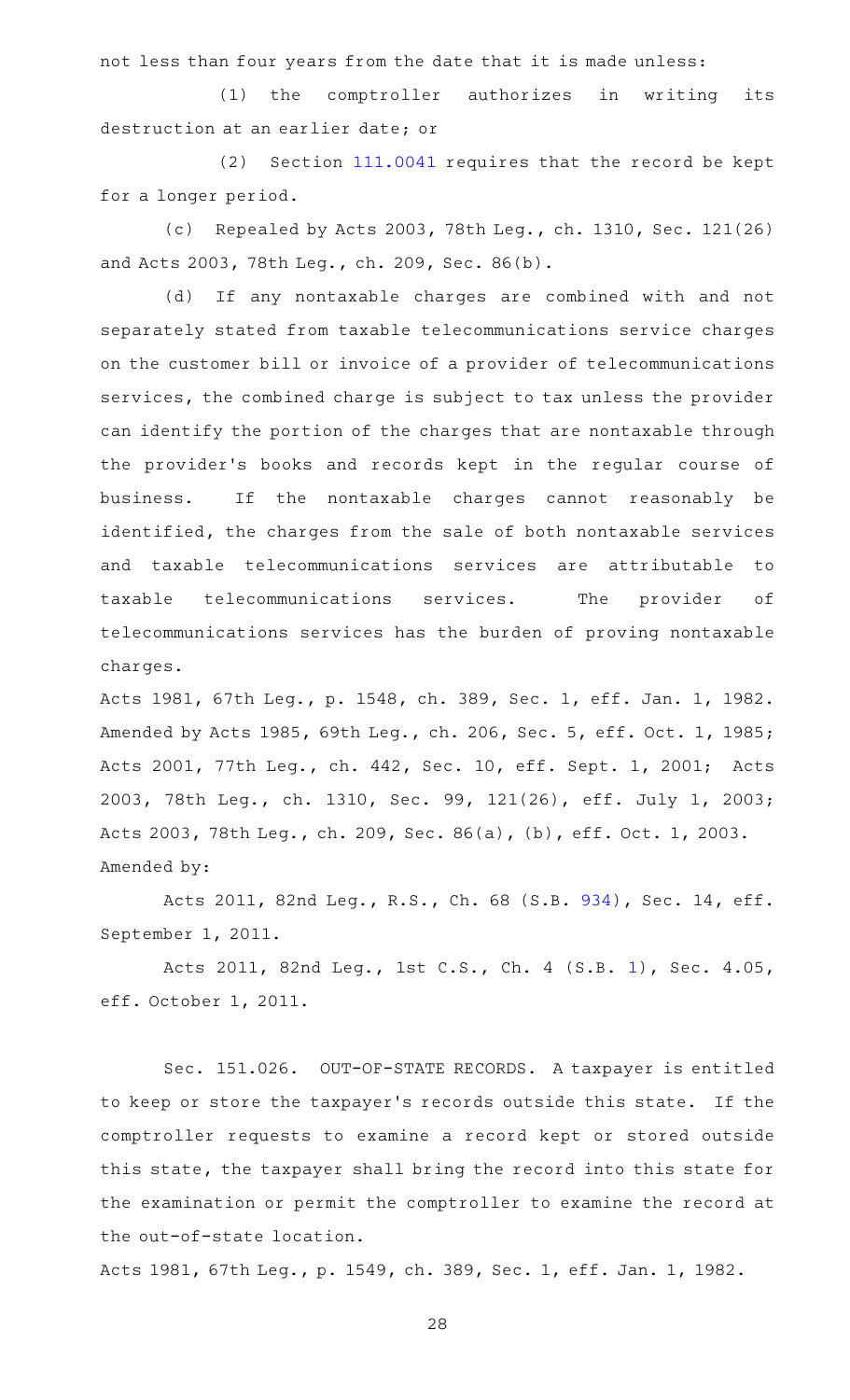not less than four years from the date that it is made unless:

(1) the comptroller authorizes in writing its destruction at an earlier date; or

(2) Section  $111.0041$  requires that the record be kept for a longer period.

(c) Repealed by Acts 2003, 78th Leg., ch. 1310, Sec. 121(26) and Acts 2003, 78th Leg., ch. 209, Sec. 86(b).

(d) If any nontaxable charges are combined with and not separately stated from taxable telecommunications service charges on the customer bill or invoice of a provider of telecommunications services, the combined charge is subject to tax unless the provider can identify the portion of the charges that are nontaxable through the provider 's books and records kept in the regular course of business. If the nontaxable charges cannot reasonably be identified, the charges from the sale of both nontaxable services and taxable telecommunications services are attributable to taxable telecommunications services. The provider of telecommunications services has the burden of proving nontaxable charges.

Acts 1981, 67th Leg., p. 1548, ch. 389, Sec. 1, eff. Jan. 1, 1982. Amended by Acts 1985, 69th Leg., ch. 206, Sec. 5, eff. Oct. 1, 1985; Acts 2001, 77th Leg., ch. 442, Sec. 10, eff. Sept. 1, 2001; Acts 2003, 78th Leg., ch. 1310, Sec. 99, 121(26), eff. July 1, 2003; Acts 2003, 78th Leg., ch. 209, Sec. 86(a), (b), eff. Oct. 1, 2003. Amended by:

Acts 2011, 82nd Leg., R.S., Ch. 68 (S.B. [934\)](http://www.legis.state.tx.us/tlodocs/82R/billtext/html/SB00934F.HTM), Sec. 14, eff. September 1, 2011.

Acts 2011, 82nd Leg., 1st C.S., Ch. 4 (S.B. [1](http://www.legis.state.tx.us/tlodocs/821/billtext/html/SB00001F.HTM)), Sec. 4.05, eff. October 1, 2011.

Sec. 151.026. OUT-OF-STATE RECORDS. A taxpayer is entitled to keep or store the taxpayer 's records outside this state. If the comptroller requests to examine a record kept or stored outside this state, the taxpayer shall bring the record into this state for the examination or permit the comptroller to examine the record at the out-of-state location.

Acts 1981, 67th Leg., p. 1549, ch. 389, Sec. 1, eff. Jan. 1, 1982.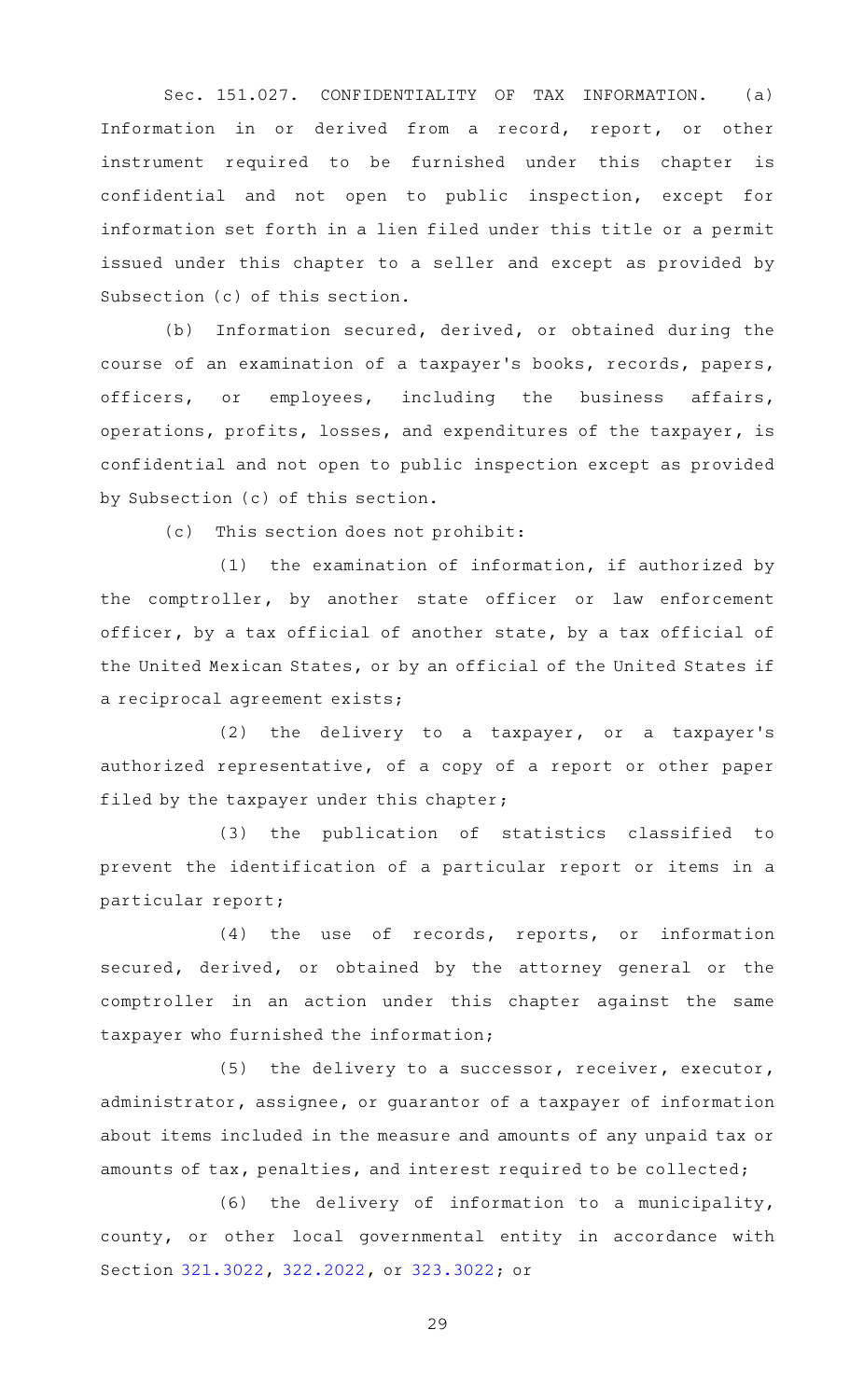Sec. 151.027. CONFIDENTIALITY OF TAX INFORMATION. (a) Information in or derived from a record, report, or other instrument required to be furnished under this chapter is confidential and not open to public inspection, except for information set forth in a lien filed under this title or a permit issued under this chapter to a seller and except as provided by Subsection (c) of this section.

(b) Information secured, derived, or obtained during the course of an examination of a taxpayer 's books, records, papers, officers, or employees, including the business affairs, operations, profits, losses, and expenditures of the taxpayer, is confidential and not open to public inspection except as provided by Subsection (c) of this section.

 $(c)$  This section does not prohibit:

(1) the examination of information, if authorized by the comptroller, by another state officer or law enforcement officer, by a tax official of another state, by a tax official of the United Mexican States, or by an official of the United States if a reciprocal agreement exists;

(2) the delivery to a taxpayer, or a taxpayer's authorized representative, of a copy of a report or other paper filed by the taxpayer under this chapter;

(3) the publication of statistics classified to prevent the identification of a particular report or items in a particular report;

 $(4)$  the use of records, reports, or information secured, derived, or obtained by the attorney general or the comptroller in an action under this chapter against the same taxpayer who furnished the information;

(5) the delivery to a successor, receiver, executor, administrator, assignee, or guarantor of a taxpayer of information about items included in the measure and amounts of any unpaid tax or amounts of tax, penalties, and interest required to be collected;

(6) the delivery of information to a municipality, county, or other local governmental entity in accordance with Section [321.3022](https://statutes.capitol.texas.gov/GetStatute.aspx?Code=TX&Value=321.3022), [322.2022](https://statutes.capitol.texas.gov/GetStatute.aspx?Code=TX&Value=322.2022), or [323.3022](https://statutes.capitol.texas.gov/GetStatute.aspx?Code=TX&Value=323.3022); or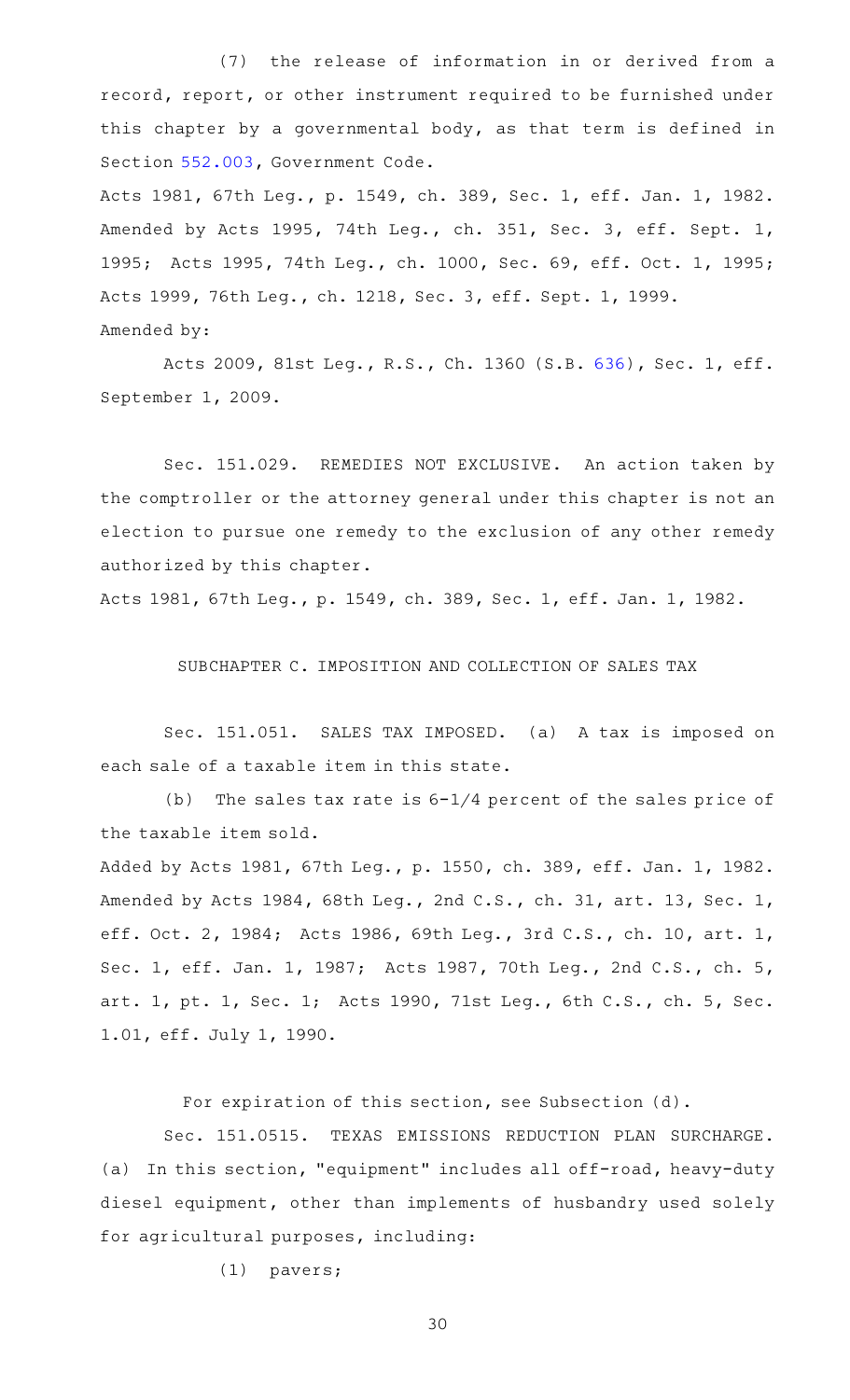(7) the release of information in or derived from a record, report, or other instrument required to be furnished under this chapter by a governmental body, as that term is defined in Section [552.003,](https://statutes.capitol.texas.gov/GetStatute.aspx?Code=GV&Value=552.003) Government Code.

Acts 1981, 67th Leg., p. 1549, ch. 389, Sec. 1, eff. Jan. 1, 1982. Amended by Acts 1995, 74th Leg., ch. 351, Sec. 3, eff. Sept. 1, 1995; Acts 1995, 74th Leg., ch. 1000, Sec. 69, eff. Oct. 1, 1995; Acts 1999, 76th Leg., ch. 1218, Sec. 3, eff. Sept. 1, 1999. Amended by:

Acts 2009, 81st Leg., R.S., Ch. 1360 (S.B. [636](http://www.legis.state.tx.us/tlodocs/81R/billtext/html/SB00636F.HTM)), Sec. 1, eff. September 1, 2009.

Sec. 151.029. REMEDIES NOT EXCLUSIVE. An action taken by the comptroller or the attorney general under this chapter is not an election to pursue one remedy to the exclusion of any other remedy authorized by this chapter.

Acts 1981, 67th Leg., p. 1549, ch. 389, Sec. 1, eff. Jan. 1, 1982.

SUBCHAPTER C. IMPOSITION AND COLLECTION OF SALES TAX

Sec. 151.051. SALES TAX IMPOSED. (a) A tax is imposed on each sale of a taxable item in this state.

(b) The sales tax rate is  $6-1/4$  percent of the sales price of the taxable item sold.

Added by Acts 1981, 67th Leg., p. 1550, ch. 389, eff. Jan. 1, 1982. Amended by Acts 1984, 68th Leg., 2nd C.S., ch. 31, art. 13, Sec. 1, eff. Oct. 2, 1984; Acts 1986, 69th Leg., 3rd C.S., ch. 10, art. 1, Sec. 1, eff. Jan. 1, 1987; Acts 1987, 70th Leg., 2nd C.S., ch. 5, art. 1, pt. 1, Sec. 1; Acts 1990, 71st Leg., 6th C.S., ch. 5, Sec. 1.01, eff. July 1, 1990.

For expiration of this section, see Subsection (d).

Sec. 151.0515. TEXAS EMISSIONS REDUCTION PLAN SURCHARGE. (a) In this section, "equipment" includes all off-road, heavy-duty diesel equipment, other than implements of husbandry used solely for agricultural purposes, including:

 $(1)$  pavers;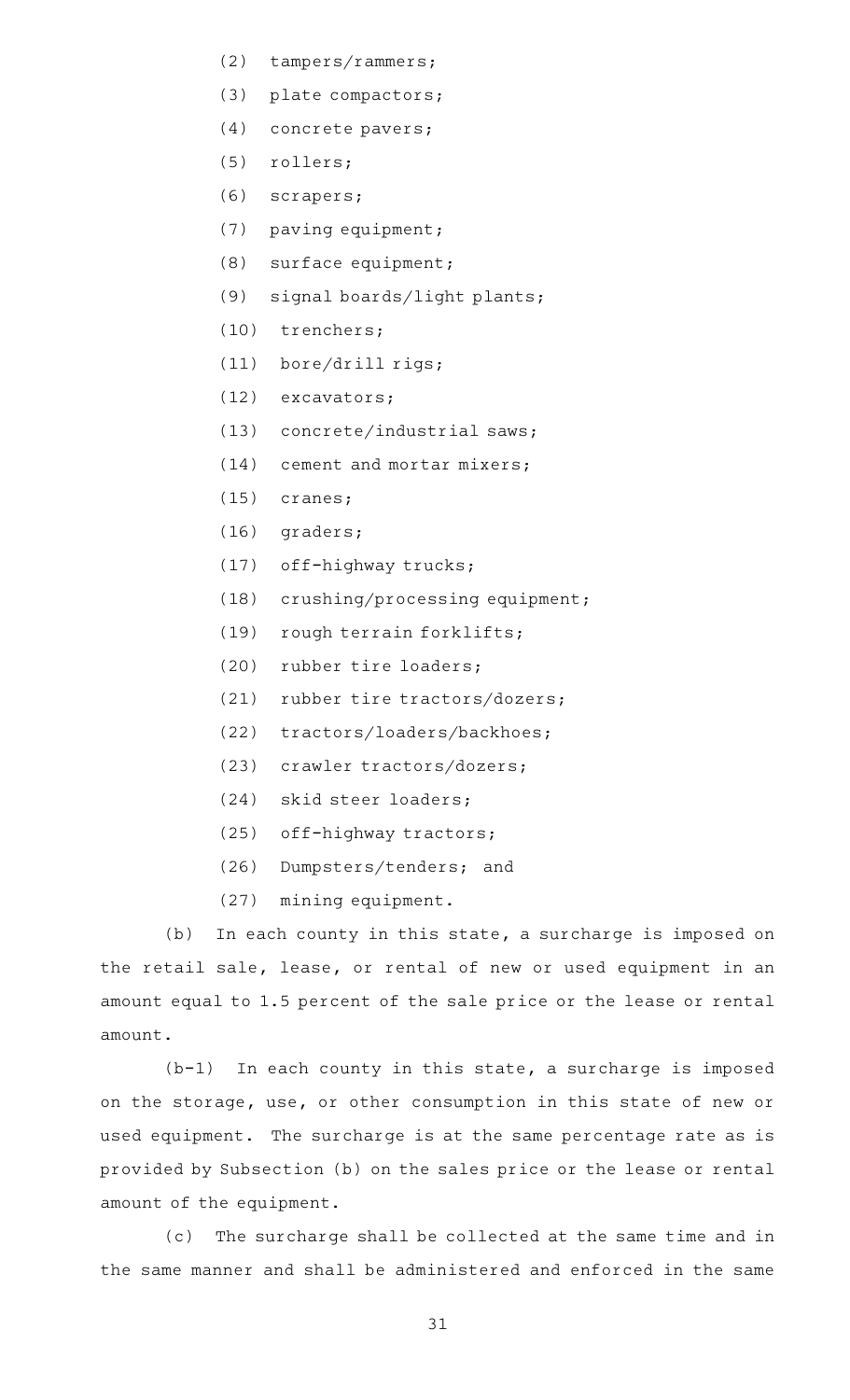- (2)  $tampers/rammers;$
- (3) plate compactors;
- (4) concrete pavers;
- (5) rollers;
- (6) scrapers;
- $(7)$  paving equipment;
- $(8)$  surface equipment;
- (9) signal boards/light plants;
- (10) trenchers;
- (11) bore/drill rigs;
- (12) excavators;
- $(13)$  concrete/industrial saws;
- $(14)$  cement and mortar mixers;
- $(15)$  cranes;
- $(16)$  graders;
- (17) off-highway trucks;
- (18) crushing/processing equipment;
- (19) rough terrain forklifts;
- (20) rubber tire loaders;
- $(21)$  rubber tire tractors/dozers;
- (22) tractors/loaders/backhoes;
- (23) crawler tractors/dozers;
- (24) skid steer loaders;
- (25) off-highway tractors;
- (26) Dumpsters/tenders; and
- (27) mining equipment.

(b) In each county in this state, a surcharge is imposed on the retail sale, lease, or rental of new or used equipment in an amount equal to 1.5 percent of the sale price or the lease or rental amount.

 $(b-1)$  In each county in this state, a surcharge is imposed on the storage, use, or other consumption in this state of new or used equipment. The surcharge is at the same percentage rate as is provided by Subsection (b) on the sales price or the lease or rental amount of the equipment.

(c) The surcharge shall be collected at the same time and in the same manner and shall be administered and enforced in the same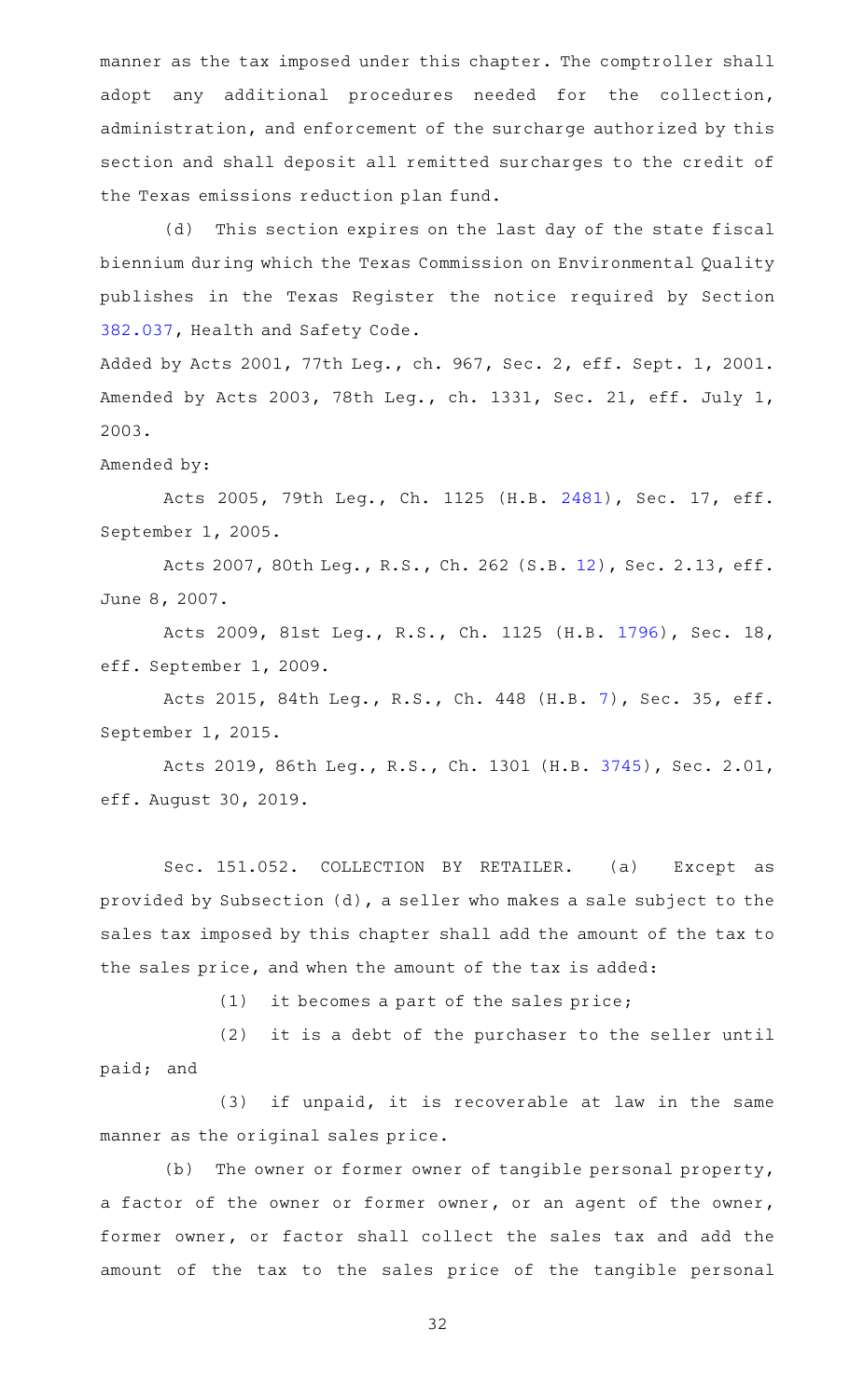manner as the tax imposed under this chapter. The comptroller shall adopt any additional procedures needed for the collection, administration, and enforcement of the surcharge authorized by this section and shall deposit all remitted surcharges to the credit of the Texas emissions reduction plan fund.

(d) This section expires on the last day of the state fiscal biennium during which the Texas Commission on Environmental Quality publishes in the Texas Register the notice required by Section [382.037,](https://statutes.capitol.texas.gov/GetStatute.aspx?Code=HS&Value=382.037) Health and Safety Code.

Added by Acts 2001, 77th Leg., ch. 967, Sec. 2, eff. Sept. 1, 2001. Amended by Acts 2003, 78th Leg., ch. 1331, Sec. 21, eff. July 1, 2003.

## Amended by:

Acts 2005, 79th Leg., Ch. 1125 (H.B. [2481](http://www.legis.state.tx.us/tlodocs/79R/billtext/html/HB02481F.HTM)), Sec. 17, eff. September 1, 2005.

Acts 2007, 80th Leg., R.S., Ch. 262 (S.B. [12\)](http://www.legis.state.tx.us/tlodocs/80R/billtext/html/SB00012F.HTM), Sec. 2.13, eff. June 8, 2007.

Acts 2009, 81st Leg., R.S., Ch. 1125 (H.B. [1796](http://www.legis.state.tx.us/tlodocs/81R/billtext/html/HB01796F.HTM)), Sec. 18, eff. September 1, 2009.

Acts 2015, 84th Leg., R.S., Ch. 448 (H.B. [7\)](http://www.legis.state.tx.us/tlodocs/84R/billtext/html/HB00007F.HTM), Sec. 35, eff. September 1, 2015.

Acts 2019, 86th Leg., R.S., Ch. 1301 (H.B. [3745](http://www.legis.state.tx.us/tlodocs/86R/billtext/html/HB03745F.HTM)), Sec. 2.01, eff. August 30, 2019.

Sec. 151.052. COLLECTION BY RETAILER. (a) Except as provided by Subsection (d), a seller who makes a sale subject to the sales tax imposed by this chapter shall add the amount of the tax to the sales price, and when the amount of the tax is added:

 $(1)$  it becomes a part of the sales price;

(2) it is a debt of the purchaser to the seller until paid; and

(3) if unpaid, it is recoverable at law in the same manner as the original sales price.

(b) The owner or former owner of tangible personal property, a factor of the owner or former owner, or an agent of the owner, former owner, or factor shall collect the sales tax and add the amount of the tax to the sales price of the tangible personal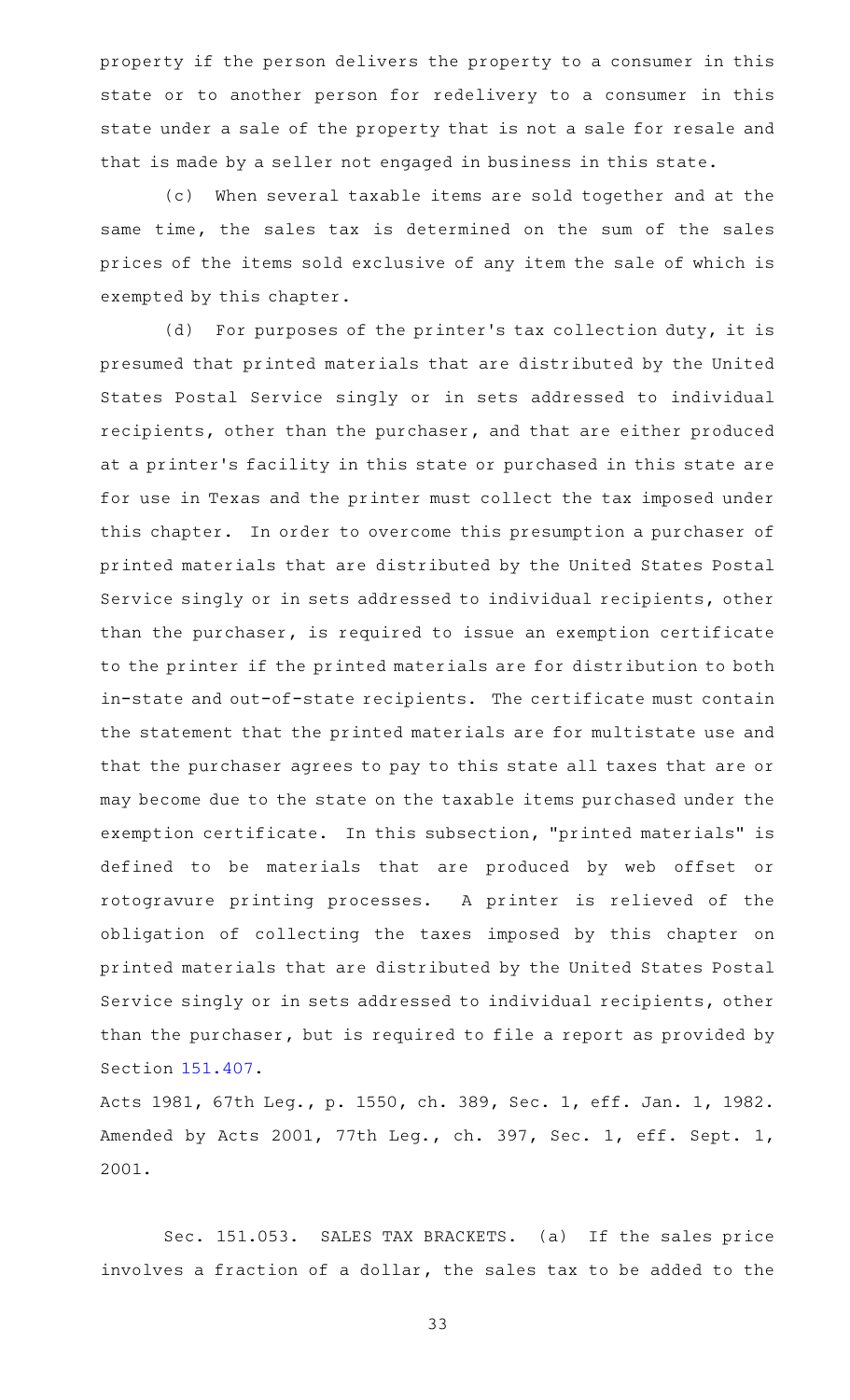property if the person delivers the property to a consumer in this state or to another person for redelivery to a consumer in this state under a sale of the property that is not a sale for resale and that is made by a seller not engaged in business in this state.

(c) When several taxable items are sold together and at the same time, the sales tax is determined on the sum of the sales prices of the items sold exclusive of any item the sale of which is exempted by this chapter.

(d) For purposes of the printer's tax collection duty, it is presumed that printed materials that are distributed by the United States Postal Service singly or in sets addressed to individual recipients, other than the purchaser, and that are either produced at a printer 's facility in this state or purchased in this state are for use in Texas and the printer must collect the tax imposed under this chapter. In order to overcome this presumption a purchaser of printed materials that are distributed by the United States Postal Service singly or in sets addressed to individual recipients, other than the purchaser, is required to issue an exemption certificate to the printer if the printed materials are for distribution to both in-state and out-of-state recipients. The certificate must contain the statement that the printed materials are for multistate use and that the purchaser agrees to pay to this state all taxes that are or may become due to the state on the taxable items purchased under the exemption certificate. In this subsection, "printed materials" is defined to be materials that are produced by web offset or rotogravure printing processes. A printer is relieved of the obligation of collecting the taxes imposed by this chapter on printed materials that are distributed by the United States Postal Service singly or in sets addressed to individual recipients, other than the purchaser, but is required to file a report as provided by Section [151.407.](https://statutes.capitol.texas.gov/GetStatute.aspx?Code=TX&Value=151.407)

Acts 1981, 67th Leg., p. 1550, ch. 389, Sec. 1, eff. Jan. 1, 1982. Amended by Acts 2001, 77th Leg., ch. 397, Sec. 1, eff. Sept. 1, 2001.

Sec. 151.053. SALES TAX BRACKETS. (a) If the sales price involves a fraction of a dollar, the sales tax to be added to the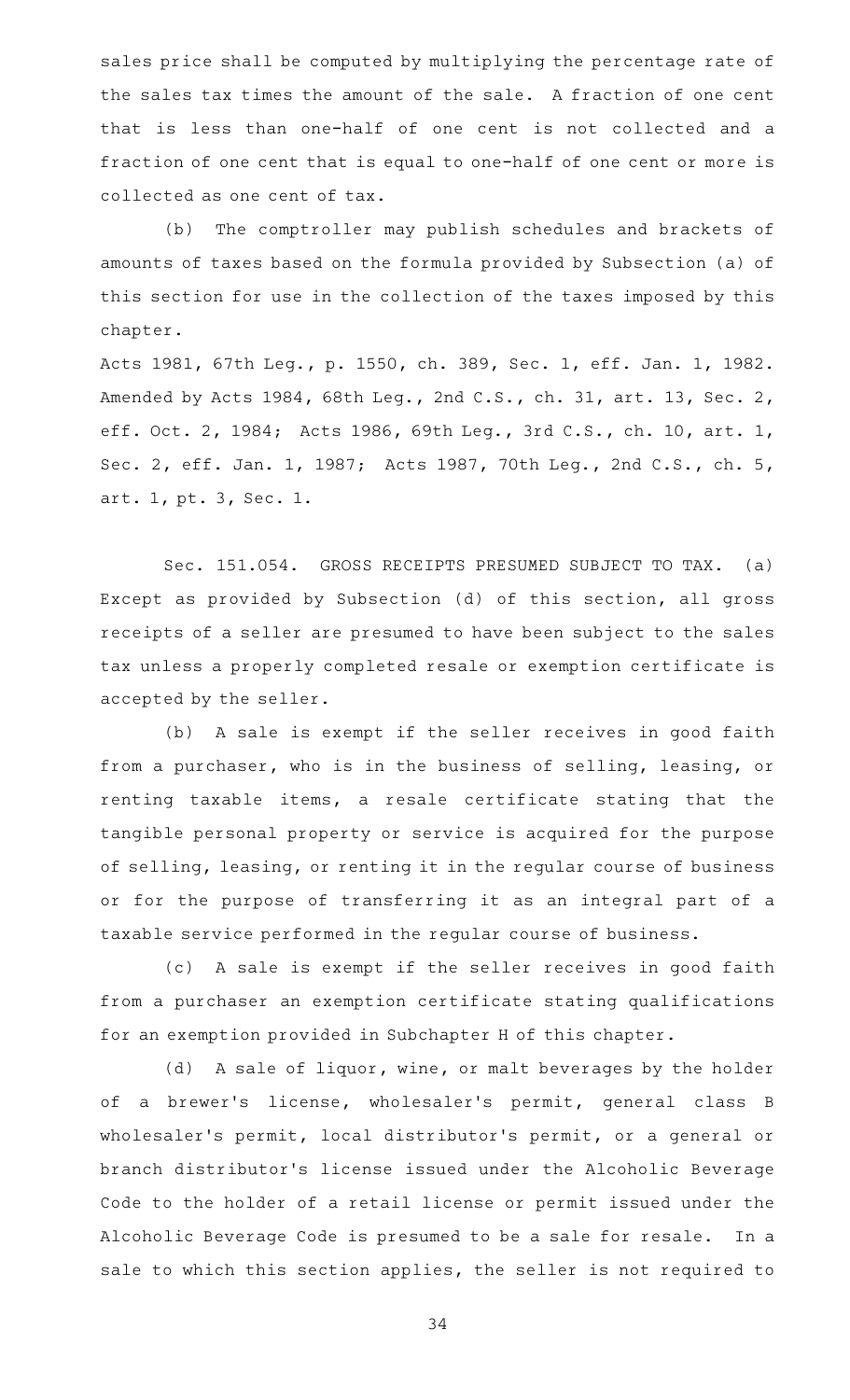sales price shall be computed by multiplying the percentage rate of the sales tax times the amount of the sale. A fraction of one cent that is less than one-half of one cent is not collected and a fraction of one cent that is equal to one-half of one cent or more is collected as one cent of tax.

(b) The comptroller may publish schedules and brackets of amounts of taxes based on the formula provided by Subsection (a) of this section for use in the collection of the taxes imposed by this chapter.

Acts 1981, 67th Leg., p. 1550, ch. 389, Sec. 1, eff. Jan. 1, 1982. Amended by Acts 1984, 68th Leg., 2nd C.S., ch. 31, art. 13, Sec. 2, eff. Oct. 2, 1984; Acts 1986, 69th Leg., 3rd C.S., ch. 10, art. 1, Sec. 2, eff. Jan. 1, 1987; Acts 1987, 70th Leg., 2nd C.S., ch. 5, art. 1, pt. 3, Sec. 1.

Sec. 151.054. GROSS RECEIPTS PRESUMED SUBJECT TO TAX. (a) Except as provided by Subsection (d) of this section, all gross receipts of a seller are presumed to have been subject to the sales tax unless a properly completed resale or exemption certificate is accepted by the seller.

(b) A sale is exempt if the seller receives in good faith from a purchaser, who is in the business of selling, leasing, or renting taxable items, a resale certificate stating that the tangible personal property or service is acquired for the purpose of selling, leasing, or renting it in the regular course of business or for the purpose of transferring it as an integral part of a taxable service performed in the regular course of business.

(c) A sale is exempt if the seller receives in good faith from a purchaser an exemption certificate stating qualifications for an exemption provided in Subchapter H of this chapter.

(d) A sale of liquor, wine, or malt beverages by the holder of a brewer's license, wholesaler's permit, general class B wholesaler 's permit, local distributor 's permit, or a general or branch distributor 's license issued under the Alcoholic Beverage Code to the holder of a retail license or permit issued under the Alcoholic Beverage Code is presumed to be a sale for resale. In a sale to which this section applies, the seller is not required to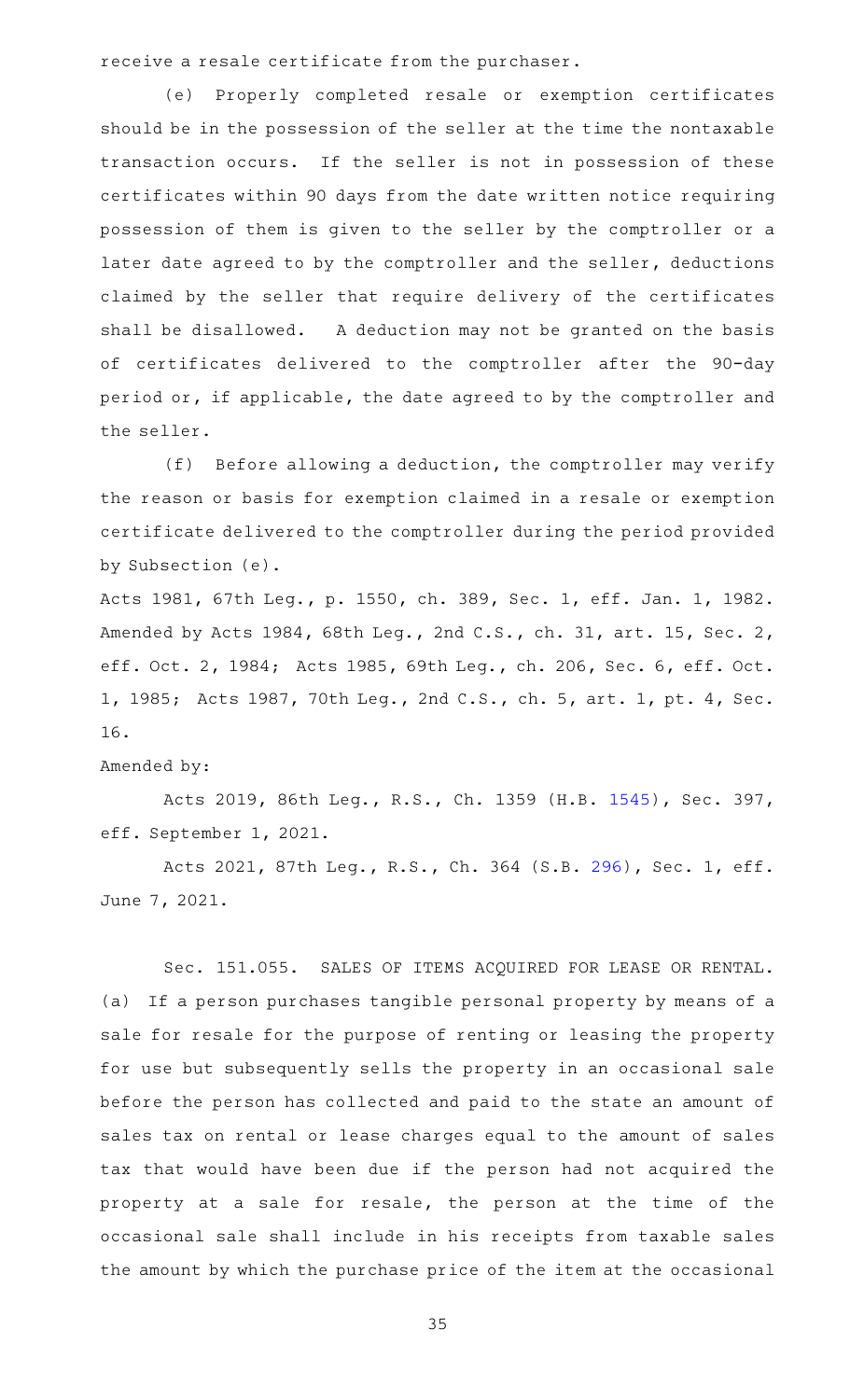receive a resale certificate from the purchaser.

(e) Properly completed resale or exemption certificates should be in the possession of the seller at the time the nontaxable transaction occurs. If the seller is not in possession of these certificates within 90 days from the date written notice requiring possession of them is given to the seller by the comptroller or a later date agreed to by the comptroller and the seller, deductions claimed by the seller that require delivery of the certificates shall be disallowed. A deduction may not be granted on the basis of certificates delivered to the comptroller after the 90-day period or, if applicable, the date agreed to by the comptroller and the seller.

(f) Before allowing a deduction, the comptroller may verify the reason or basis for exemption claimed in a resale or exemption certificate delivered to the comptroller during the period provided by Subsection (e).

Acts 1981, 67th Leg., p. 1550, ch. 389, Sec. 1, eff. Jan. 1, 1982. Amended by Acts 1984, 68th Leg., 2nd C.S., ch. 31, art. 15, Sec. 2, eff. Oct. 2, 1984; Acts 1985, 69th Leg., ch. 206, Sec. 6, eff. Oct. 1, 1985; Acts 1987, 70th Leg., 2nd C.S., ch. 5, art. 1, pt. 4, Sec. 16.

## Amended by:

Acts 2019, 86th Leg., R.S., Ch. 1359 (H.B. [1545](http://www.legis.state.tx.us/tlodocs/86R/billtext/html/HB01545F.HTM)), Sec. 397, eff. September 1, 2021.

Acts 2021, 87th Leg., R.S., Ch. 364 (S.B. [296](http://www.legis.state.tx.us/tlodocs/87R/billtext/html/SB00296F.HTM)), Sec. 1, eff. June 7, 2021.

Sec. 151.055. SALES OF ITEMS ACQUIRED FOR LEASE OR RENTAL. (a) If a person purchases tangible personal property by means of a sale for resale for the purpose of renting or leasing the property for use but subsequently sells the property in an occasional sale before the person has collected and paid to the state an amount of sales tax on rental or lease charges equal to the amount of sales tax that would have been due if the person had not acquired the property at a sale for resale, the person at the time of the occasional sale shall include in his receipts from taxable sales the amount by which the purchase price of the item at the occasional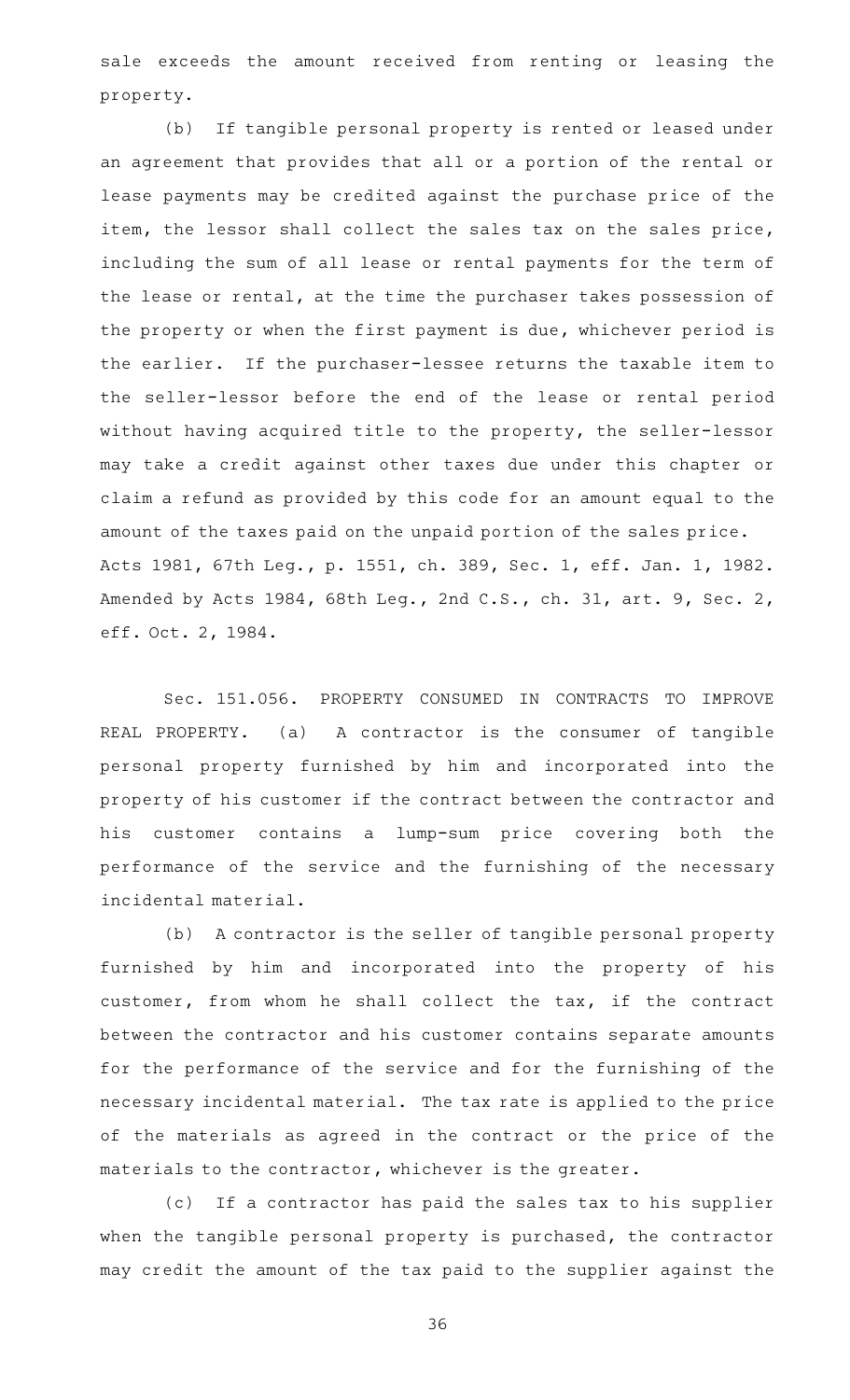sale exceeds the amount received from renting or leasing the property.

(b) If tangible personal property is rented or leased under an agreement that provides that all or a portion of the rental or lease payments may be credited against the purchase price of the item, the lessor shall collect the sales tax on the sales price, including the sum of all lease or rental payments for the term of the lease or rental, at the time the purchaser takes possession of the property or when the first payment is due, whichever period is the earlier. If the purchaser-lessee returns the taxable item to the seller-lessor before the end of the lease or rental period without having acquired title to the property, the seller-lessor may take a credit against other taxes due under this chapter or claim a refund as provided by this code for an amount equal to the amount of the taxes paid on the unpaid portion of the sales price. Acts 1981, 67th Leg., p. 1551, ch. 389, Sec. 1, eff. Jan. 1, 1982. Amended by Acts 1984, 68th Leg., 2nd C.S., ch. 31, art. 9, Sec. 2, eff. Oct. 2, 1984.

Sec. 151.056. PROPERTY CONSUMED IN CONTRACTS TO IMPROVE REAL PROPERTY. (a) A contractor is the consumer of tangible personal property furnished by him and incorporated into the property of his customer if the contract between the contractor and his customer contains a lump-sum price covering both the performance of the service and the furnishing of the necessary incidental material.

(b) A contractor is the seller of tangible personal property furnished by him and incorporated into the property of his customer, from whom he shall collect the tax, if the contract between the contractor and his customer contains separate amounts for the performance of the service and for the furnishing of the necessary incidental material. The tax rate is applied to the price of the materials as agreed in the contract or the price of the materials to the contractor, whichever is the greater.

(c) If a contractor has paid the sales tax to his supplier when the tangible personal property is purchased, the contractor may credit the amount of the tax paid to the supplier against the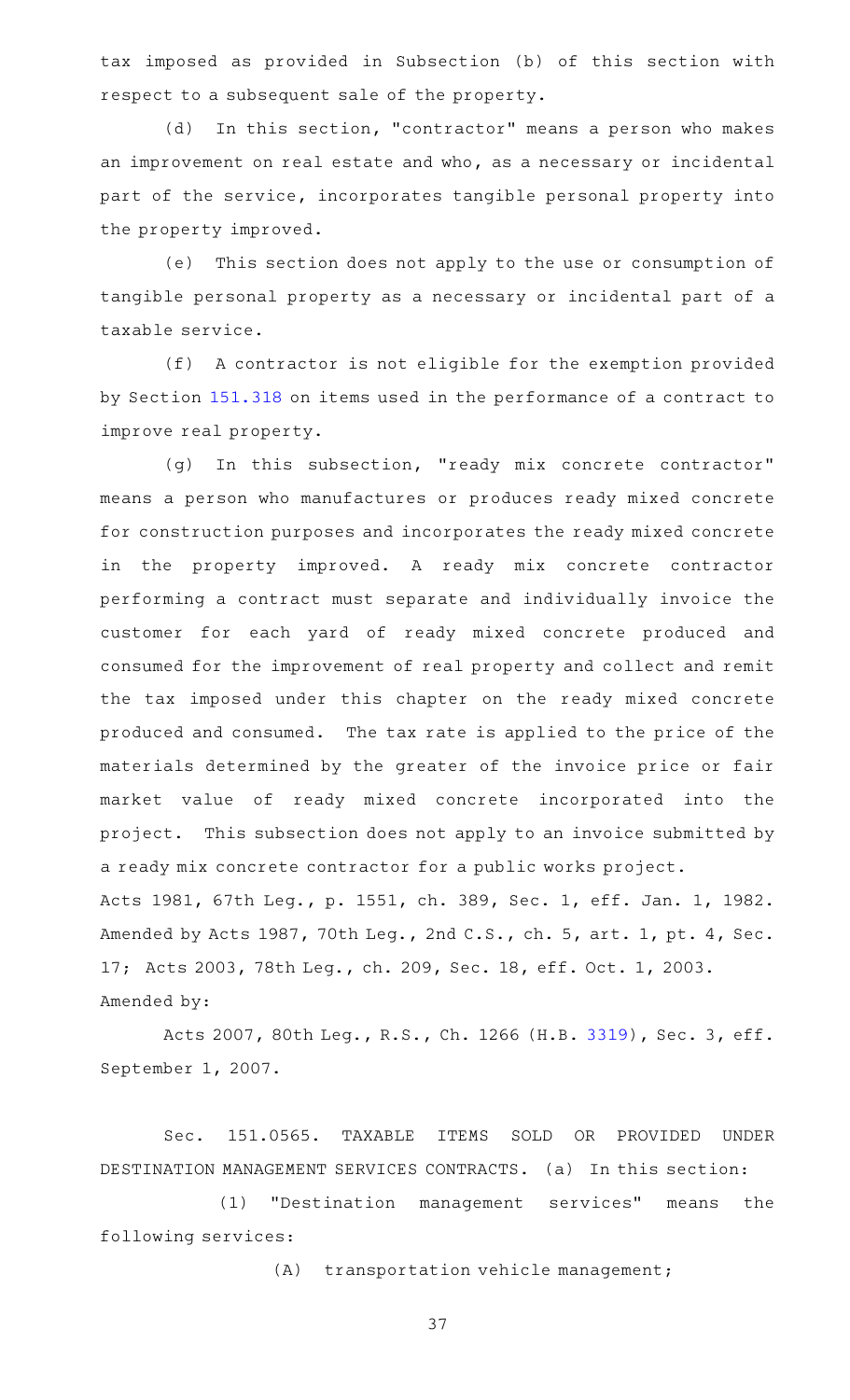tax imposed as provided in Subsection (b) of this section with respect to a subsequent sale of the property.

(d) In this section, "contractor" means a person who makes an improvement on real estate and who, as a necessary or incidental part of the service, incorporates tangible personal property into the property improved.

(e) This section does not apply to the use or consumption of tangible personal property as a necessary or incidental part of a taxable service.

(f) A contractor is not eligible for the exemption provided by Section [151.318](https://statutes.capitol.texas.gov/GetStatute.aspx?Code=TX&Value=151.318) on items used in the performance of a contract to improve real property.

(g) In this subsection, "ready mix concrete contractor" means a person who manufactures or produces ready mixed concrete for construction purposes and incorporates the ready mixed concrete in the property improved. A ready mix concrete contractor performing a contract must separate and individually invoice the customer for each yard of ready mixed concrete produced and consumed for the improvement of real property and collect and remit the tax imposed under this chapter on the ready mixed concrete produced and consumed. The tax rate is applied to the price of the materials determined by the greater of the invoice price or fair market value of ready mixed concrete incorporated into the project. This subsection does not apply to an invoice submitted by a ready mix concrete contractor for a public works project. Acts 1981, 67th Leg., p. 1551, ch. 389, Sec. 1, eff. Jan. 1, 1982. Amended by Acts 1987, 70th Leg., 2nd C.S., ch. 5, art. 1, pt. 4, Sec. 17; Acts 2003, 78th Leg., ch. 209, Sec. 18, eff. Oct. 1, 2003. Amended by:

Acts 2007, 80th Leg., R.S., Ch. 1266 (H.B. [3319](http://www.legis.state.tx.us/tlodocs/80R/billtext/html/HB03319F.HTM)), Sec. 3, eff. September 1, 2007.

Sec. 151.0565. TAXABLE ITEMS SOLD OR PROVIDED UNDER DESTINATION MANAGEMENT SERVICES CONTRACTS. (a) In this section:

(1) "Destination management services" means the following services:

(A) transportation vehicle management;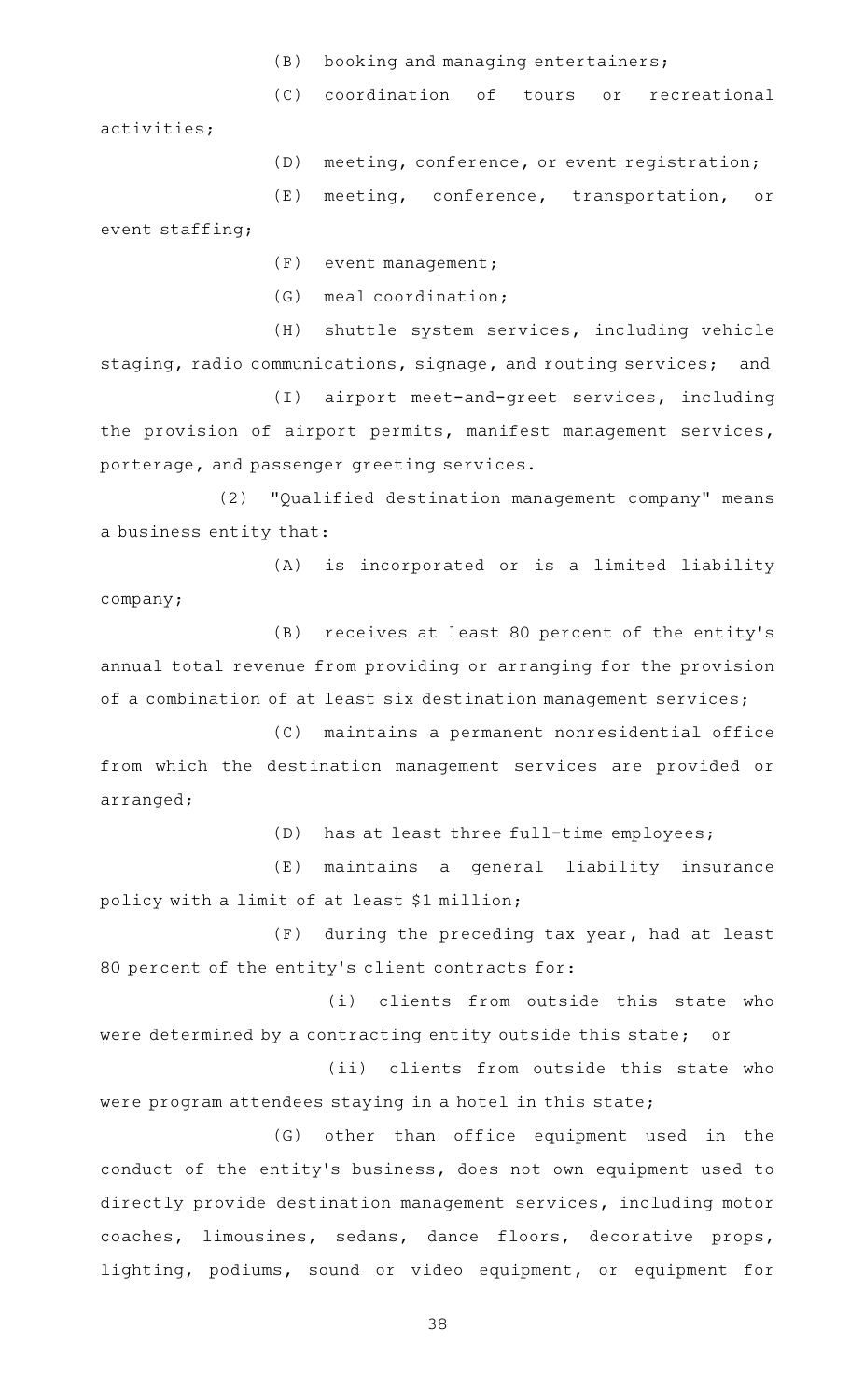- $(B)$  booking and managing entertainers;
- (C) coordination of tours or recreational

activities;

(D) meeting, conference, or event registration;

(E) meeting, conference, transportation, or event staffing;

 $(F)$  event management;

(G) meal coordination;

(H) shuttle system services, including vehicle staging, radio communications, signage, and routing services; and

(I) airport meet-and-greet services, including the provision of airport permits, manifest management services, porterage, and passenger greeting services.

(2) "Qualified destination management company" means a business entity that:

(A) is incorporated or is a limited liability company;

(B) receives at least 80 percent of the entity's annual total revenue from providing or arranging for the provision of a combination of at least six destination management services;

(C) maintains a permanent nonresidential office from which the destination management services are provided or arranged;

(D) has at least three full-time employees;

(E) maintains a general liability insurance policy with a limit of at least \$1 million;

 $(F)$  during the preceding tax year, had at least 80 percent of the entity's client contracts for:

(i) clients from outside this state who were determined by a contracting entity outside this state; or

(ii) clients from outside this state who were program attendees staying in a hotel in this state;

(G) other than office equipment used in the conduct of the entity 's business, does not own equipment used to directly provide destination management services, including motor coaches, limousines, sedans, dance floors, decorative props, lighting, podiums, sound or video equipment, or equipment for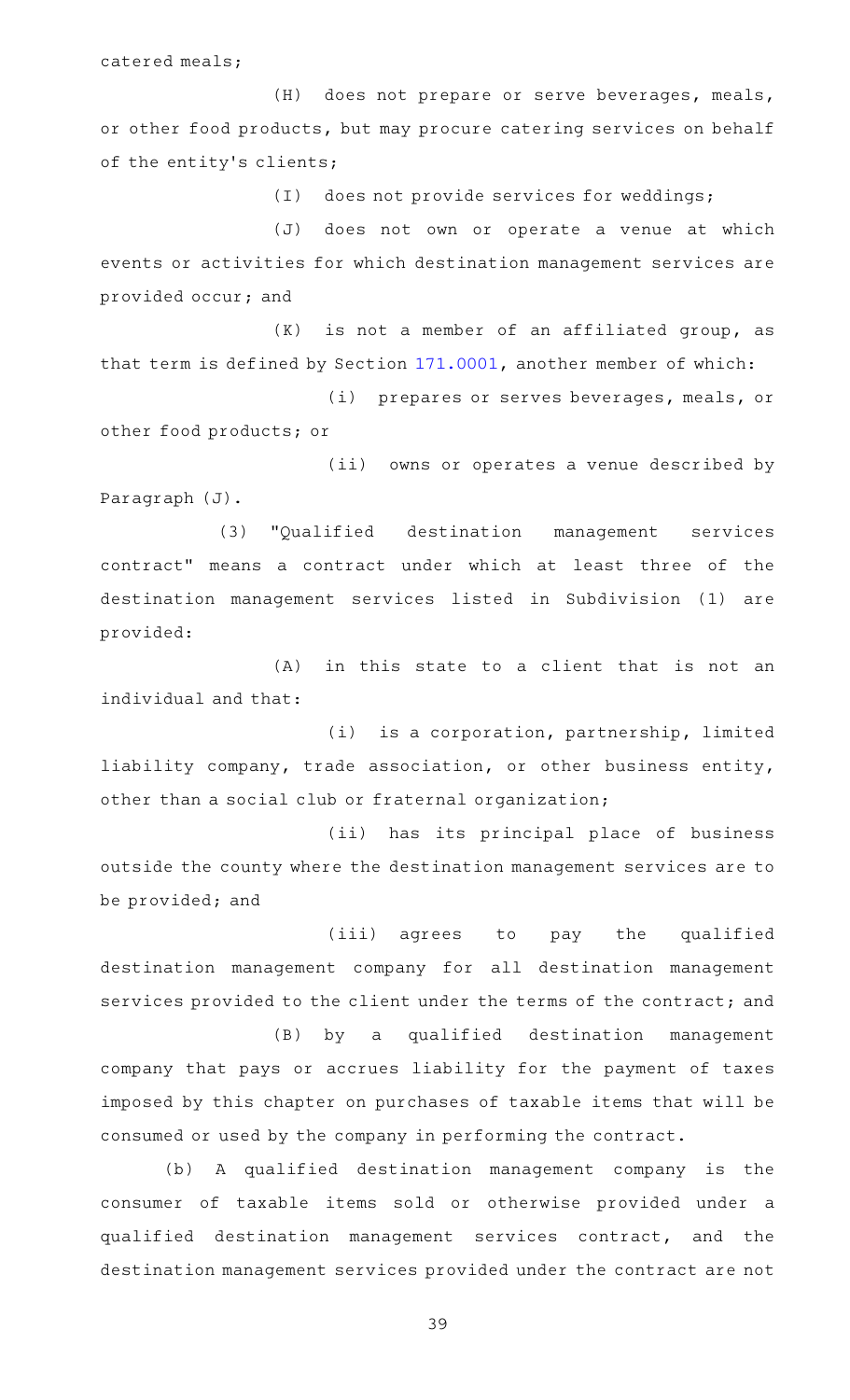catered meals;

(H) does not prepare or serve beverages, meals, or other food products, but may procure catering services on behalf of the entity's clients;

(I) does not provide services for weddings;

(J) does not own or operate a venue at which events or activities for which destination management services are provided occur; and

 $(K)$  is not a member of an affiliated group, as that term is defined by Section [171.0001,](https://statutes.capitol.texas.gov/GetStatute.aspx?Code=TX&Value=171.0001) another member of which:

(i) prepares or serves beverages, meals, or other food products; or

(ii) owns or operates a venue described by Paragraph (J).

(3) "Qualified destination management services contract" means a contract under which at least three of the destination management services listed in Subdivision (1) are provided:

 $(A)$  in this state to a client that is not an individual and that:

(i) is a corporation, partnership, limited liability company, trade association, or other business entity, other than a social club or fraternal organization;

(ii) has its principal place of business outside the county where the destination management services are to be provided; and

(iii) agrees to pay the qualified destination management company for all destination management services provided to the client under the terms of the contract; and

(B) by a qualified destination management company that pays or accrues liability for the payment of taxes imposed by this chapter on purchases of taxable items that will be consumed or used by the company in performing the contract.

(b) A qualified destination management company is the consumer of taxable items sold or otherwise provided under a qualified destination management services contract, and the destination management services provided under the contract are not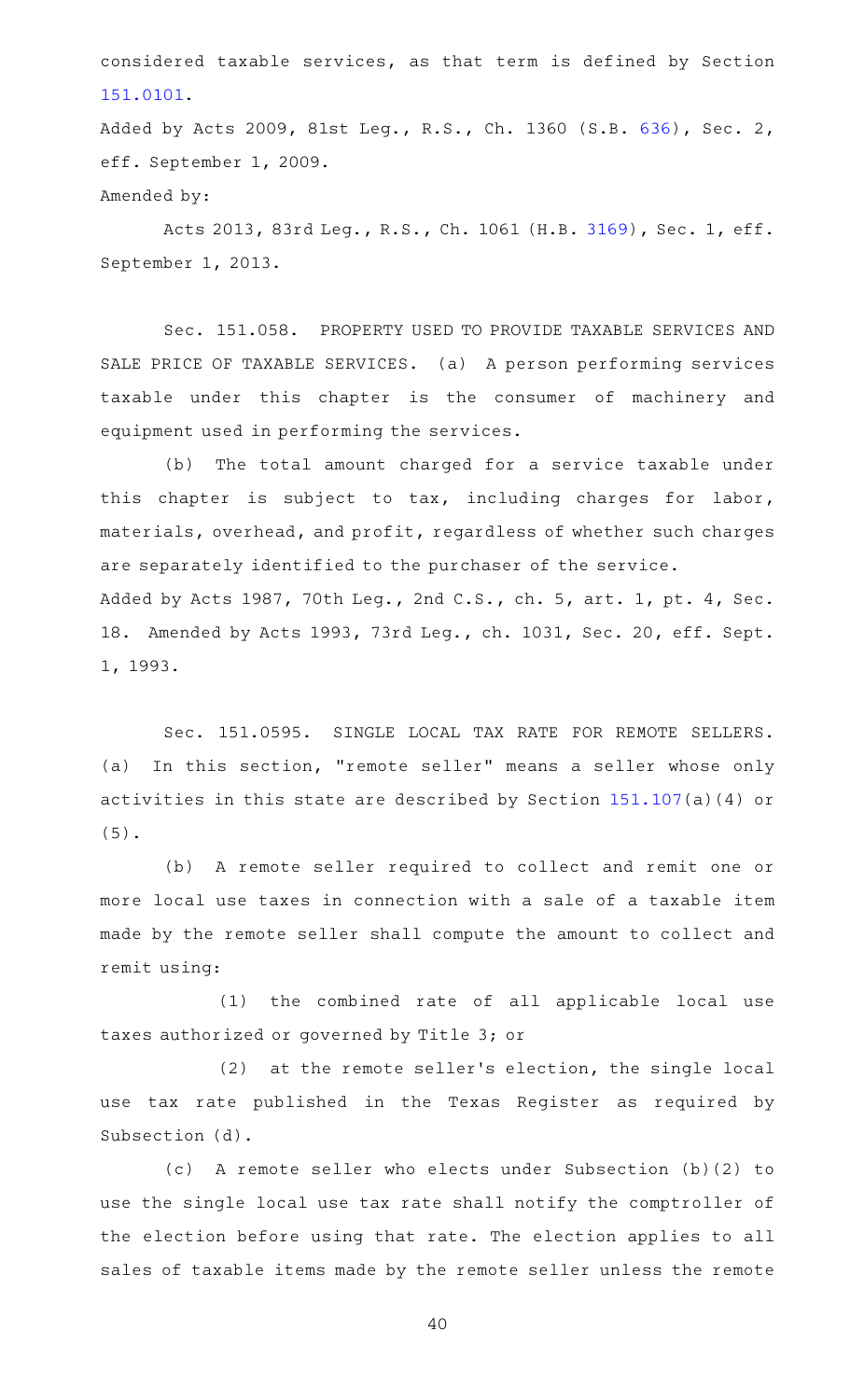considered taxable services, as that term is defined by Section [151.0101](https://statutes.capitol.texas.gov/GetStatute.aspx?Code=TX&Value=151.0101).

Added by Acts 2009, 81st Leg., R.S., Ch. 1360 (S.B. [636](http://www.legis.state.tx.us/tlodocs/81R/billtext/html/SB00636F.HTM)), Sec. 2, eff. September 1, 2009.

Amended by:

Acts 2013, 83rd Leg., R.S., Ch. 1061 (H.B. [3169](http://www.legis.state.tx.us/tlodocs/83R/billtext/html/HB03169F.HTM)), Sec. 1, eff. September 1, 2013.

Sec. 151.058. PROPERTY USED TO PROVIDE TAXABLE SERVICES AND SALE PRICE OF TAXABLE SERVICES. (a) A person performing services taxable under this chapter is the consumer of machinery and equipment used in performing the services.

(b) The total amount charged for a service taxable under this chapter is subject to tax, including charges for labor, materials, overhead, and profit, regardless of whether such charges are separately identified to the purchaser of the service. Added by Acts 1987, 70th Leg., 2nd C.S., ch. 5, art. 1, pt. 4, Sec. 18. Amended by Acts 1993, 73rd Leg., ch. 1031, Sec. 20, eff. Sept. 1, 1993.

Sec. 151.0595. SINGLE LOCAL TAX RATE FOR REMOTE SELLERS. (a) In this section, "remote seller" means a seller whose only activities in this state are described by Section [151.107](https://statutes.capitol.texas.gov/GetStatute.aspx?Code=TX&Value=151.107)(a)(4) or (5).

(b) A remote seller required to collect and remit one or more local use taxes in connection with a sale of a taxable item made by the remote seller shall compute the amount to collect and remit using:

 $(1)$  the combined rate of all applicable local use taxes authorized or governed by Title 3; or

 $(2)$  at the remote seller's election, the single local use tax rate published in the Texas Register as required by Subsection (d).

(c)AAA remote seller who elects under Subsection (b)(2) to use the single local use tax rate shall notify the comptroller of the election before using that rate. The election applies to all sales of taxable items made by the remote seller unless the remote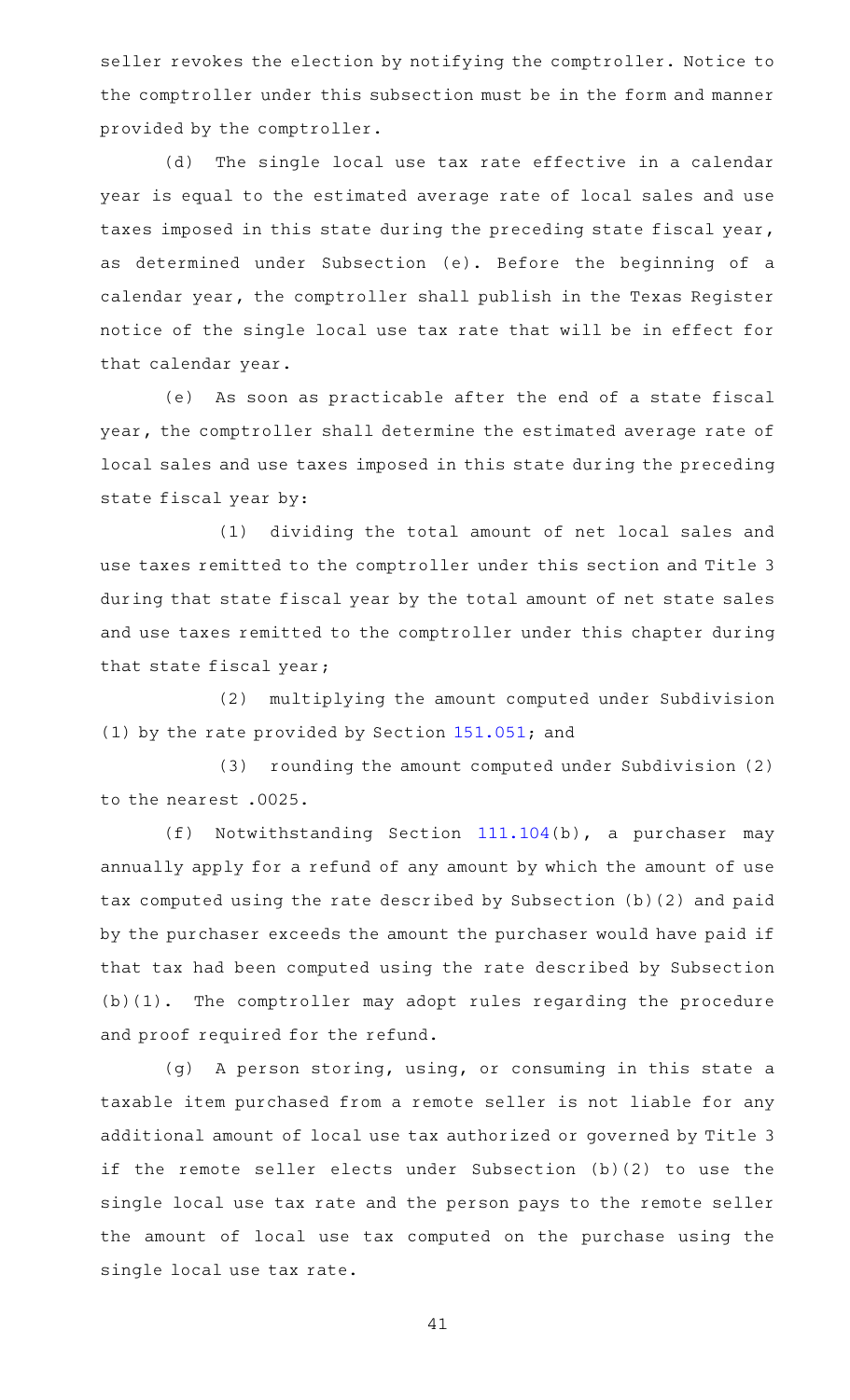seller revokes the election by notifying the comptroller. Notice to the comptroller under this subsection must be in the form and manner provided by the comptroller.

(d) The single local use tax rate effective in a calendar year is equal to the estimated average rate of local sales and use taxes imposed in this state during the preceding state fiscal year, as determined under Subsection (e). Before the beginning of a calendar year, the comptroller shall publish in the Texas Register notice of the single local use tax rate that will be in effect for that calendar year.

(e) As soon as practicable after the end of a state fiscal year, the comptroller shall determine the estimated average rate of local sales and use taxes imposed in this state during the preceding state fiscal year by:

(1) dividing the total amount of net local sales and use taxes remitted to the comptroller under this section and Title 3 during that state fiscal year by the total amount of net state sales and use taxes remitted to the comptroller under this chapter during that state fiscal year;

(2) multiplying the amount computed under Subdivision (1) by the rate provided by Section [151.051;](https://statutes.capitol.texas.gov/GetStatute.aspx?Code=TX&Value=151.051) and

(3) rounding the amount computed under Subdivision (2) to the nearest .0025.

(f) Notwithstanding Section  $111.104(b)$  $111.104(b)$ , a purchaser may annually apply for a refund of any amount by which the amount of use tax computed using the rate described by Subsection (b)(2) and paid by the purchaser exceeds the amount the purchaser would have paid if that tax had been computed using the rate described by Subsection  $(b)(1)$ . The comptroller may adopt rules regarding the procedure and proof required for the refund.

(g) A person storing, using, or consuming in this state a taxable item purchased from a remote seller is not liable for any additional amount of local use tax authorized or governed by Title 3 if the remote seller elects under Subsection (b)(2) to use the single local use tax rate and the person pays to the remote seller the amount of local use tax computed on the purchase using the single local use tax rate.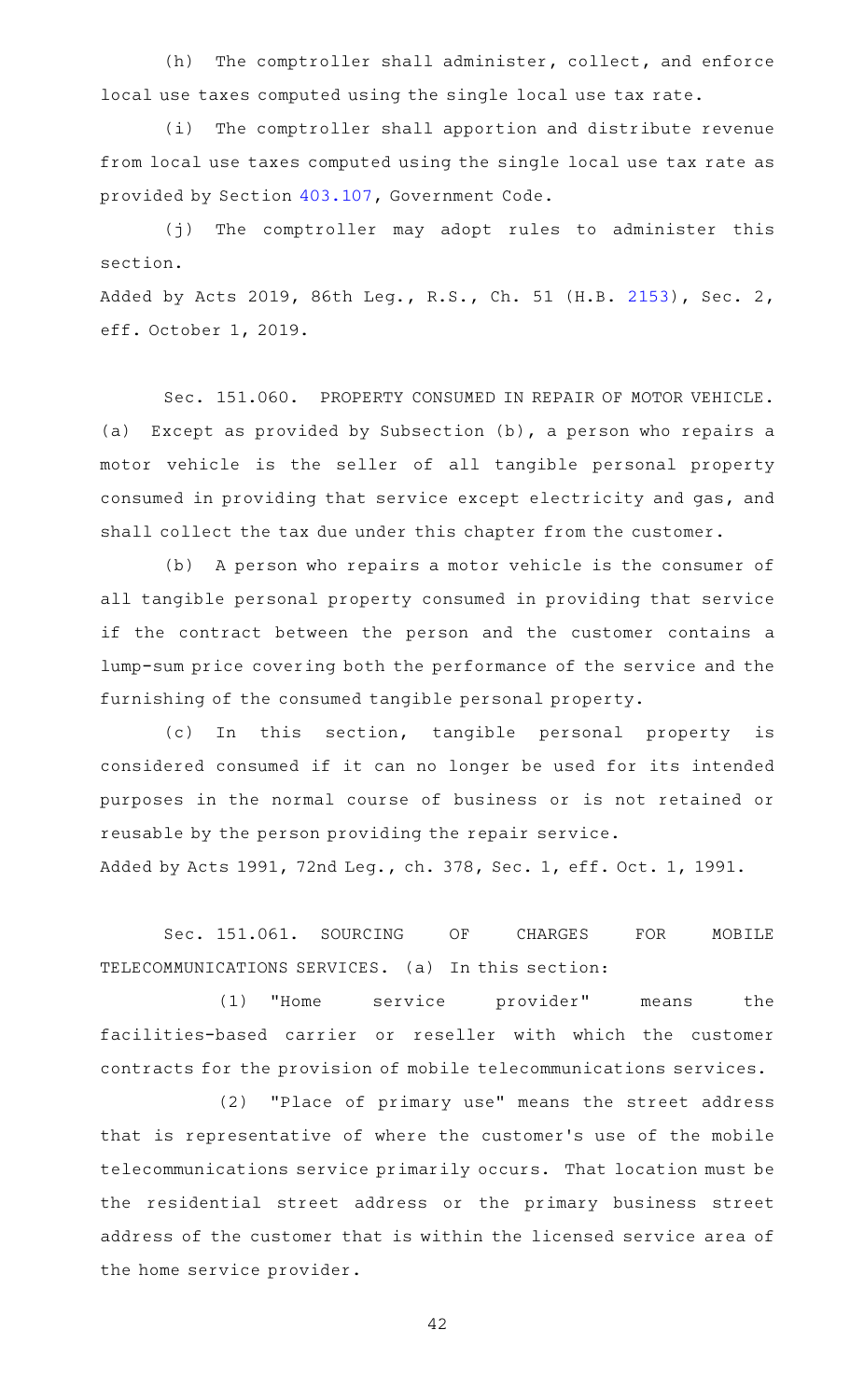(h) The comptroller shall administer, collect, and enforce local use taxes computed using the single local use tax rate.

(i) The comptroller shall apportion and distribute revenue from local use taxes computed using the single local use tax rate as provided by Section [403.107](https://statutes.capitol.texas.gov/GetStatute.aspx?Code=GV&Value=403.107), Government Code.

(j) The comptroller may adopt rules to administer this section.

Added by Acts 2019, 86th Leg., R.S., Ch. 51 (H.B. [2153](http://www.legis.state.tx.us/tlodocs/86R/billtext/html/HB02153F.HTM)), Sec. 2, eff. October 1, 2019.

Sec. 151.060. PROPERTY CONSUMED IN REPAIR OF MOTOR VEHICLE. (a) Except as provided by Subsection (b), a person who repairs a motor vehicle is the seller of all tangible personal property consumed in providing that service except electricity and gas, and shall collect the tax due under this chapter from the customer.

(b) A person who repairs a motor vehicle is the consumer of all tangible personal property consumed in providing that service if the contract between the person and the customer contains a lump-sum price covering both the performance of the service and the furnishing of the consumed tangible personal property.

(c) In this section, tangible personal property is considered consumed if it can no longer be used for its intended purposes in the normal course of business or is not retained or reusable by the person providing the repair service.

Added by Acts 1991, 72nd Leg., ch. 378, Sec. 1, eff. Oct. 1, 1991.

Sec. 151.061. SOURCING OF CHARGES FOR MOBILE TELECOMMUNICATIONS SERVICES. (a) In this section:

(1) "Home service provider" means the facilities-based carrier or reseller with which the customer contracts for the provision of mobile telecommunications services.

(2) "Place of primary use" means the street address that is representative of where the customer 's use of the mobile telecommunications service primarily occurs. That location must be the residential street address or the primary business street address of the customer that is within the licensed service area of the home service provider.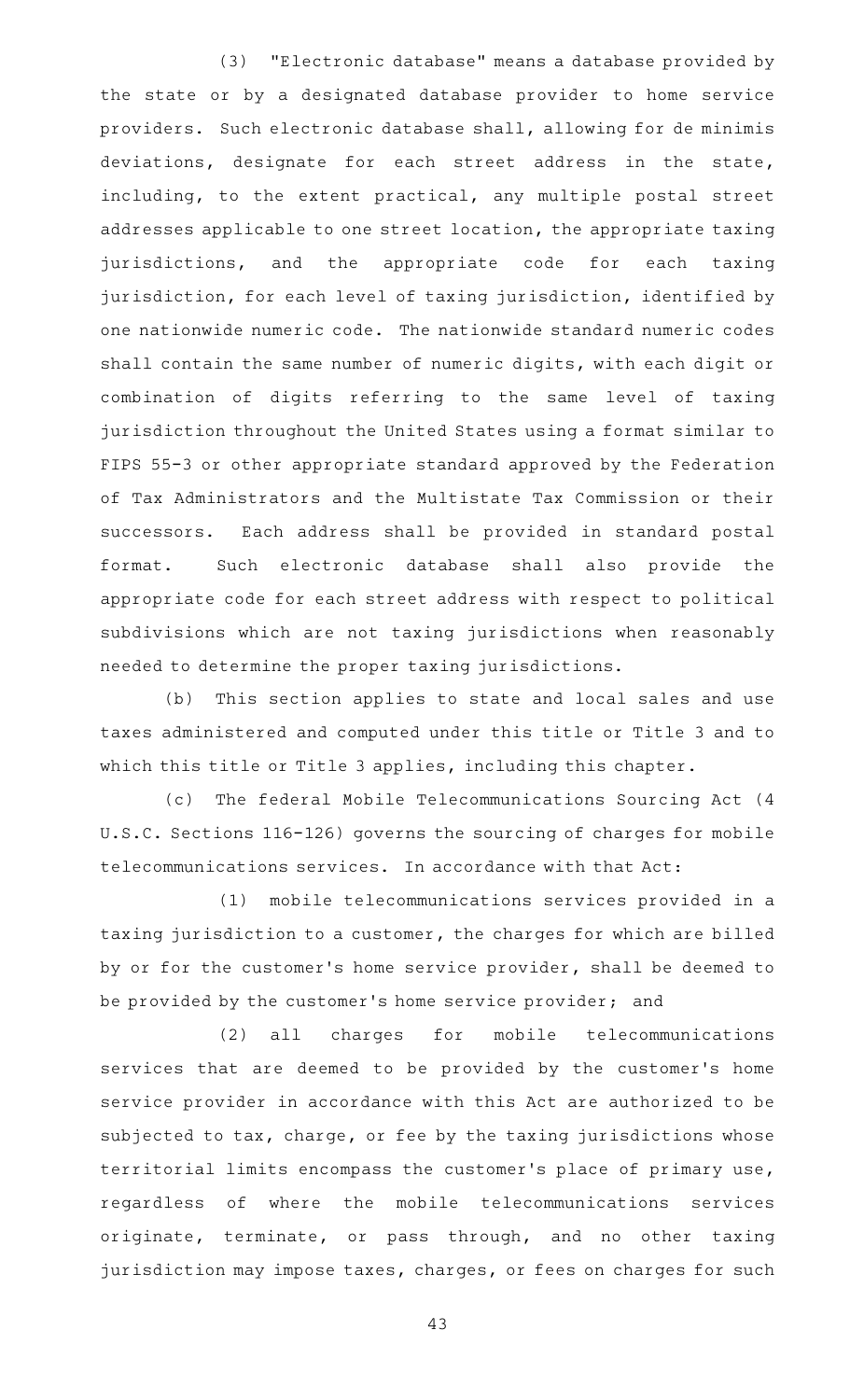(3) "Electronic database" means a database provided by the state or by a designated database provider to home service providers. Such electronic database shall, allowing for de minimis deviations, designate for each street address in the state, including, to the extent practical, any multiple postal street addresses applicable to one street location, the appropriate taxing jurisdictions, and the appropriate code for each taxing jurisdiction, for each level of taxing jurisdiction, identified by one nationwide numeric code. The nationwide standard numeric codes shall contain the same number of numeric digits, with each digit or combination of digits referring to the same level of taxing jurisdiction throughout the United States using a format similar to FIPS 55-3 or other appropriate standard approved by the Federation of Tax Administrators and the Multistate Tax Commission or their successors. Each address shall be provided in standard postal format. Such electronic database shall also provide the appropriate code for each street address with respect to political subdivisions which are not taxing jurisdictions when reasonably needed to determine the proper taxing jurisdictions.

(b) This section applies to state and local sales and use taxes administered and computed under this title or Title 3 and to which this title or Title 3 applies, including this chapter.

(c) The federal Mobile Telecommunications Sourcing Act (4 U.S.C. Sections 116-126) governs the sourcing of charges for mobile telecommunications services. In accordance with that Act:

(1) mobile telecommunications services provided in a taxing jurisdiction to a customer, the charges for which are billed by or for the customer 's home service provider, shall be deemed to be provided by the customer 's home service provider; and

(2) all charges for mobile telecommunications services that are deemed to be provided by the customer 's home service provider in accordance with this Act are authorized to be subjected to tax, charge, or fee by the taxing jurisdictions whose territorial limits encompass the customer 's place of primary use, regardless of where the mobile telecommunications services originate, terminate, or pass through, and no other taxing jurisdiction may impose taxes, charges, or fees on charges for such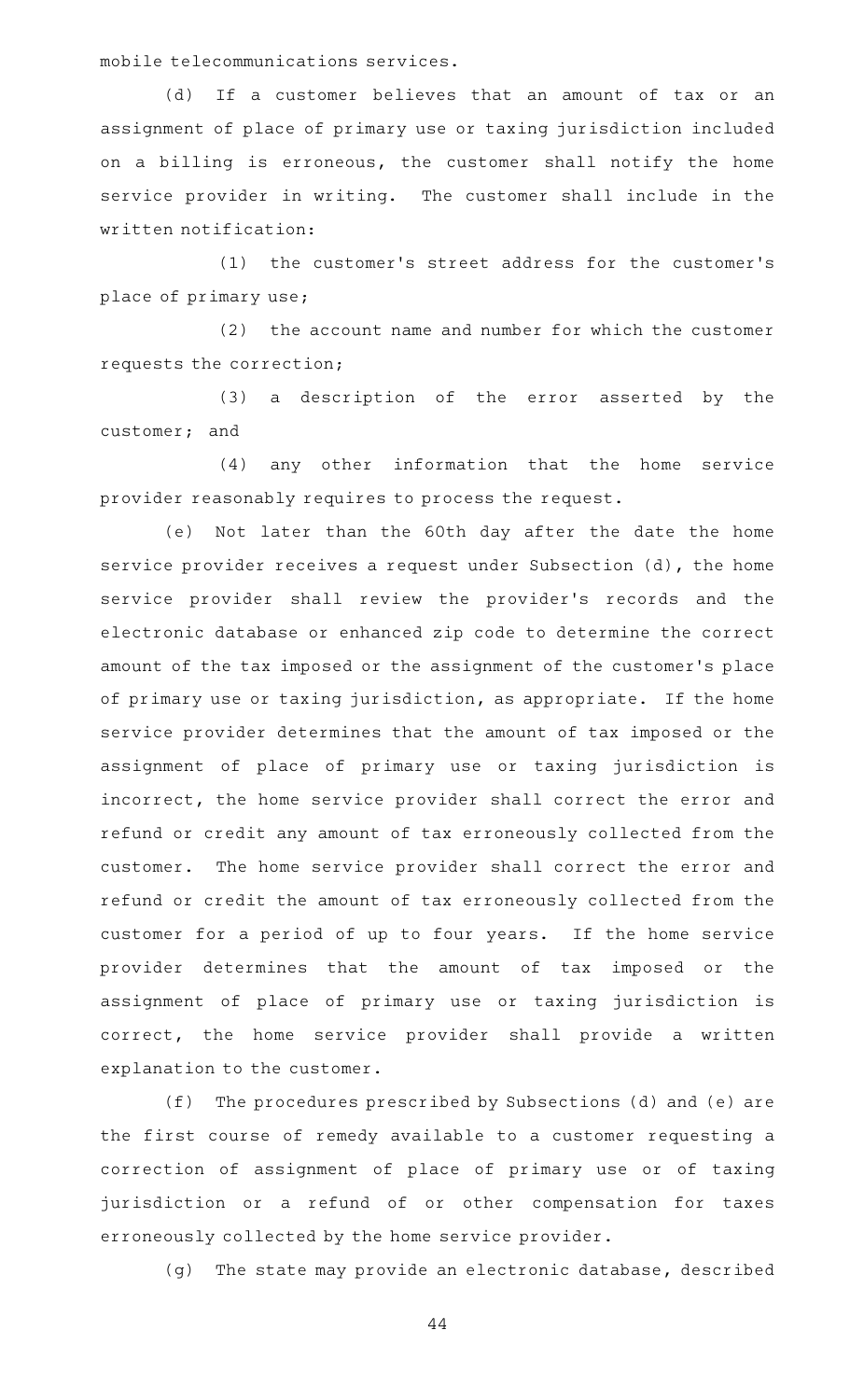mobile telecommunications services.

(d) If a customer believes that an amount of tax or an assignment of place of primary use or taxing jurisdiction included on a billing is erroneous, the customer shall notify the home service provider in writing. The customer shall include in the written notification:

(1) the customer's street address for the customer's place of primary use;

(2) the account name and number for which the customer requests the correction;

(3) a description of the error asserted by the customer; and

(4) any other information that the home service provider reasonably requires to process the request.

(e) Not later than the 60th day after the date the home service provider receives a request under Subsection (d), the home service provider shall review the provider's records and the electronic database or enhanced zip code to determine the correct amount of the tax imposed or the assignment of the customer 's place of primary use or taxing jurisdiction, as appropriate. If the home service provider determines that the amount of tax imposed or the assignment of place of primary use or taxing jurisdiction is incorrect, the home service provider shall correct the error and refund or credit any amount of tax erroneously collected from the customer. The home service provider shall correct the error and refund or credit the amount of tax erroneously collected from the customer for a period of up to four years. If the home service provider determines that the amount of tax imposed or the assignment of place of primary use or taxing jurisdiction is correct, the home service provider shall provide a written explanation to the customer.

(f) The procedures prescribed by Subsections (d) and (e) are the first course of remedy available to a customer requesting a correction of assignment of place of primary use or of taxing jurisdiction or a refund of or other compensation for taxes erroneously collected by the home service provider.

(g) The state may provide an electronic database, described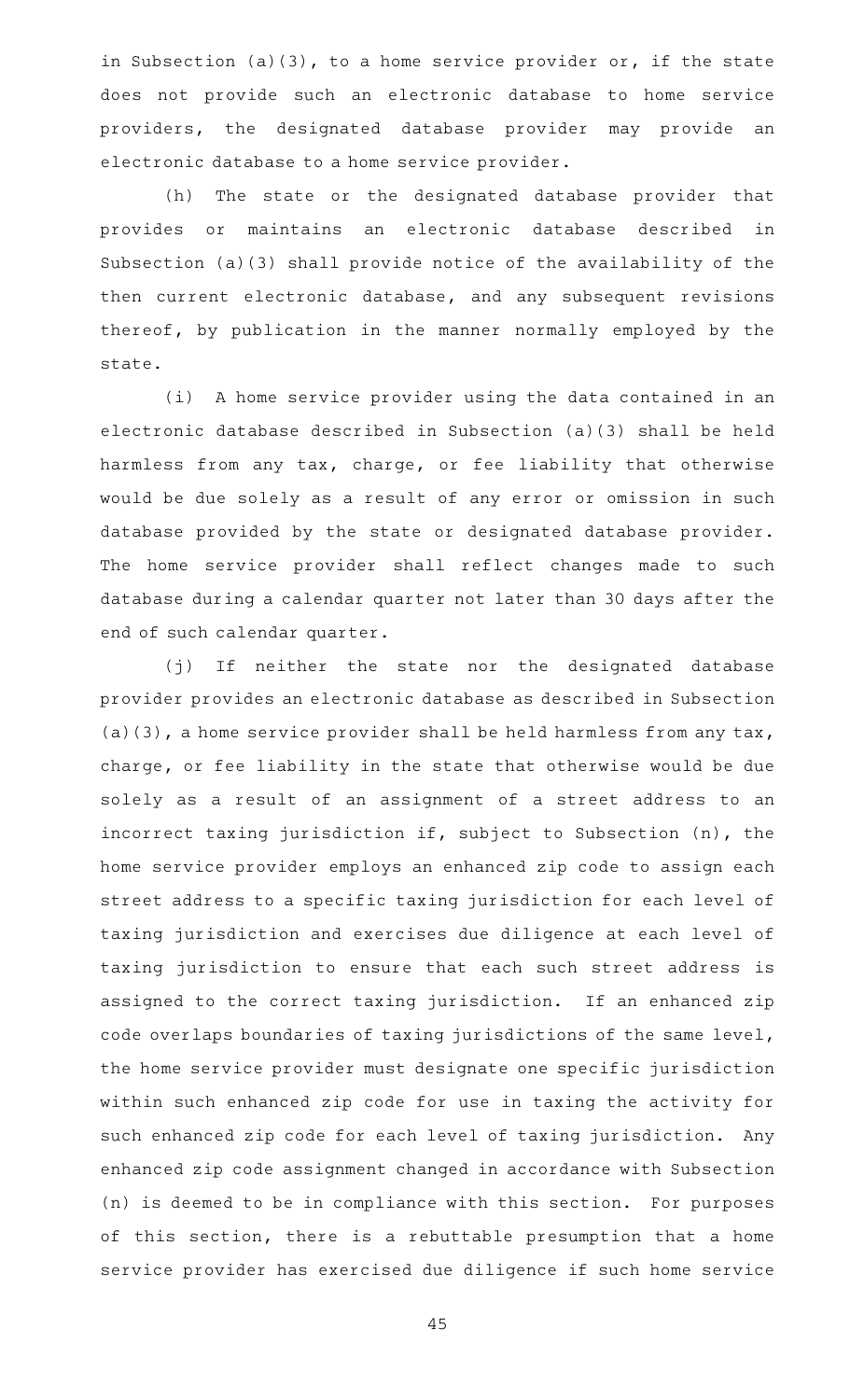in Subsection (a)(3), to a home service provider or, if the state does not provide such an electronic database to home service providers, the designated database provider may provide an electronic database to a home service provider.

(h) The state or the designated database provider that provides or maintains an electronic database described in Subsection (a)(3) shall provide notice of the availability of the then current electronic database, and any subsequent revisions thereof, by publication in the manner normally employed by the state.

(i) A home service provider using the data contained in an electronic database described in Subsection (a)(3) shall be held harmless from any tax, charge, or fee liability that otherwise would be due solely as a result of any error or omission in such database provided by the state or designated database provider. The home service provider shall reflect changes made to such database during a calendar quarter not later than 30 days after the end of such calendar quarter.

(j) If neither the state nor the designated database provider provides an electronic database as described in Subsection (a)(3), a home service provider shall be held harmless from any tax, charge, or fee liability in the state that otherwise would be due solely as a result of an assignment of a street address to an incorrect taxing jurisdiction if, subject to Subsection (n), the home service provider employs an enhanced zip code to assign each street address to a specific taxing jurisdiction for each level of taxing jurisdiction and exercises due diligence at each level of taxing jurisdiction to ensure that each such street address is assigned to the correct taxing jurisdiction. If an enhanced zip code overlaps boundaries of taxing jurisdictions of the same level, the home service provider must designate one specific jurisdiction within such enhanced zip code for use in taxing the activity for such enhanced zip code for each level of taxing jurisdiction. Any enhanced zip code assignment changed in accordance with Subsection (n) is deemed to be in compliance with this section. For purposes of this section, there is a rebuttable presumption that a home service provider has exercised due diligence if such home service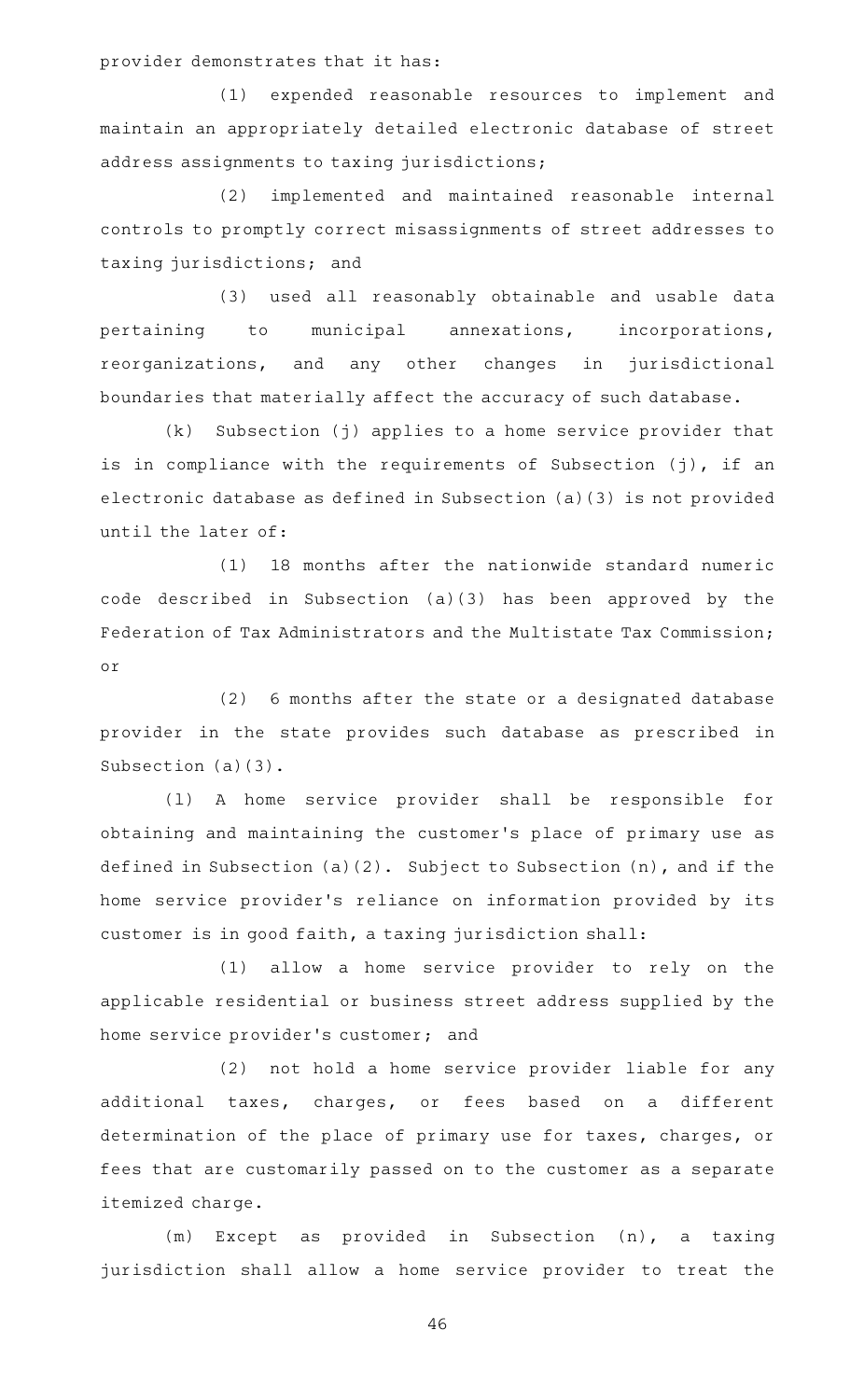provider demonstrates that it has:

(1) expended reasonable resources to implement and maintain an appropriately detailed electronic database of street address assignments to taxing jurisdictions;

(2) implemented and maintained reasonable internal controls to promptly correct misassignments of street addresses to taxing jurisdictions; and

(3) used all reasonably obtainable and usable data pertaining to municipal annexations, incorporations, reorganizations, and any other changes in jurisdictional boundaries that materially affect the accuracy of such database.

 $(k)$  Subsection (j) applies to a home service provider that is in compliance with the requirements of Subsection (j), if an electronic database as defined in Subsection (a)(3) is not provided until the later of:

 $(1)$  18 months after the nationwide standard numeric code described in Subsection (a)(3) has been approved by the Federation of Tax Administrators and the Multistate Tax Commission; or

 $(2)$  6 months after the state or a designated database provider in the state provides such database as prescribed in Subsection (a)(3).

(l)AAA home service provider shall be responsible for obtaining and maintaining the customer 's place of primary use as defined in Subsection (a)(2). Subject to Subsection (n), and if the home service provider 's reliance on information provided by its customer is in good faith, a taxing jurisdiction shall:

(1) allow a home service provider to rely on the applicable residential or business street address supplied by the home service provider 's customer; and

(2) not hold a home service provider liable for any additional taxes, charges, or fees based on a different determination of the place of primary use for taxes, charges, or fees that are customarily passed on to the customer as a separate itemized charge.

(m) Except as provided in Subsection (n), a taxing jurisdiction shall allow a home service provider to treat the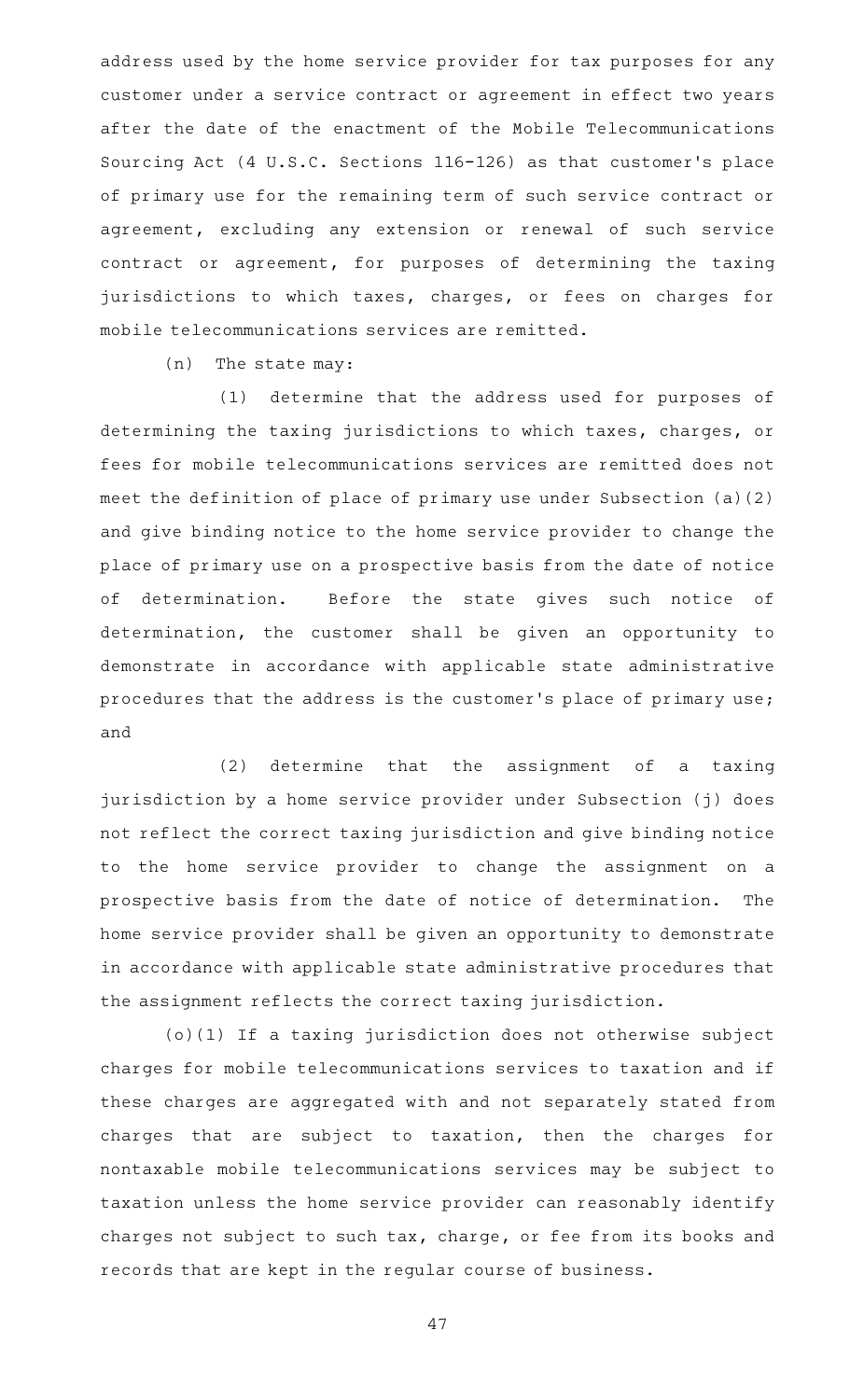address used by the home service provider for tax purposes for any customer under a service contract or agreement in effect two years after the date of the enactment of the Mobile Telecommunications Sourcing Act (4 U.S.C. Sections 116-126) as that customer 's place of primary use for the remaining term of such service contract or agreement, excluding any extension or renewal of such service contract or agreement, for purposes of determining the taxing jurisdictions to which taxes, charges, or fees on charges for mobile telecommunications services are remitted.

 $(n)$  The state may:

(1) determine that the address used for purposes of determining the taxing jurisdictions to which taxes, charges, or fees for mobile telecommunications services are remitted does not meet the definition of place of primary use under Subsection (a)(2) and give binding notice to the home service provider to change the place of primary use on a prospective basis from the date of notice of determination. Before the state gives such notice of determination, the customer shall be given an opportunity to demonstrate in accordance with applicable state administrative procedures that the address is the customer 's place of primary use; and

 $(2)$  determine that the assignment of a taxing jurisdiction by a home service provider under Subsection (j) does not reflect the correct taxing jurisdiction and give binding notice to the home service provider to change the assignment on a prospective basis from the date of notice of determination. The home service provider shall be given an opportunity to demonstrate in accordance with applicable state administrative procedures that the assignment reflects the correct taxing jurisdiction.

(o)(1) If a taxing jurisdiction does not otherwise subject charges for mobile telecommunications services to taxation and if these charges are aggregated with and not separately stated from charges that are subject to taxation, then the charges for nontaxable mobile telecommunications services may be subject to taxation unless the home service provider can reasonably identify charges not subject to such tax, charge, or fee from its books and records that are kept in the regular course of business.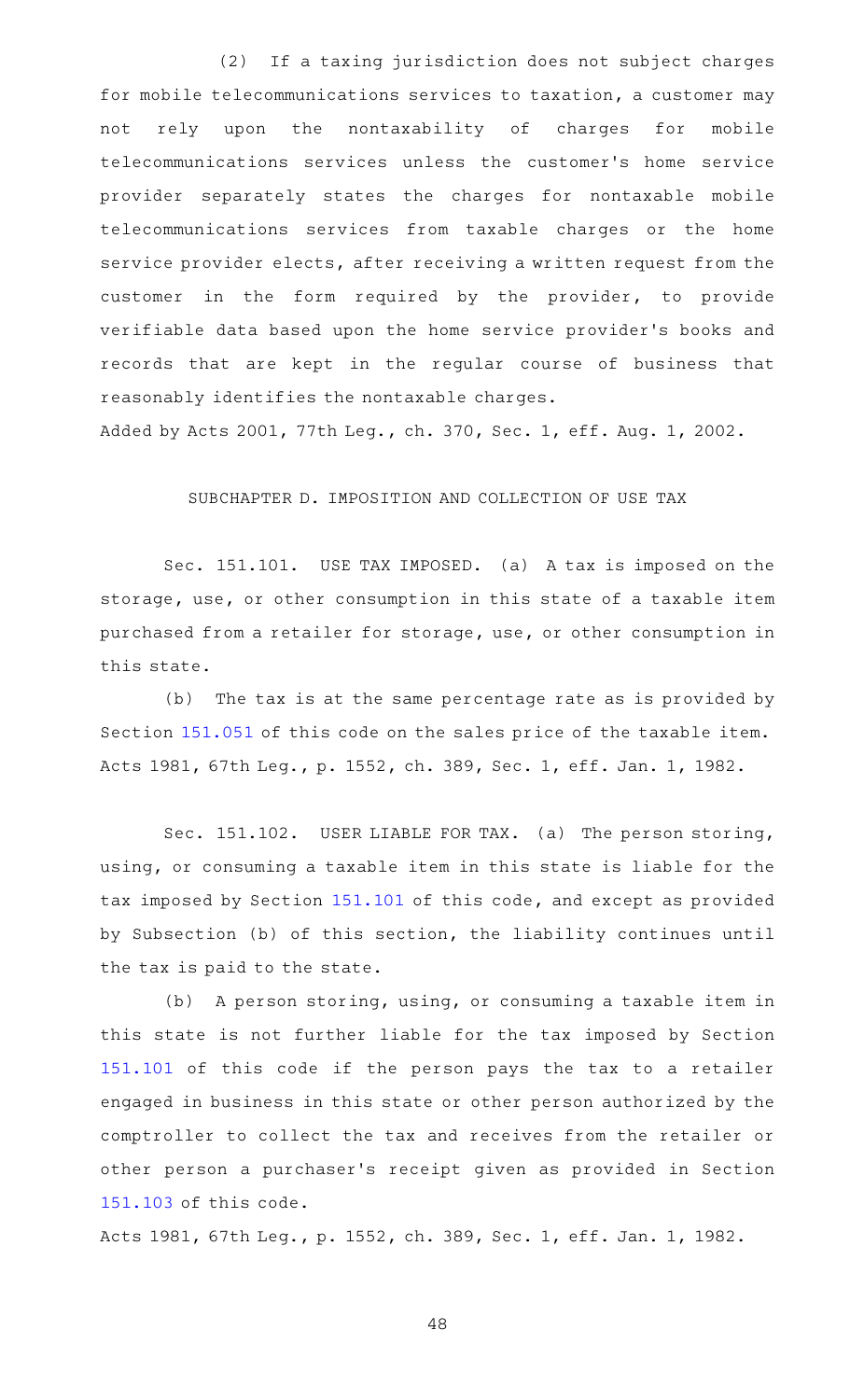(2) If a taxing jurisdiction does not subject charges for mobile telecommunications services to taxation, a customer may not rely upon the nontaxability of charges for mobile telecommunications services unless the customer 's home service provider separately states the charges for nontaxable mobile telecommunications services from taxable charges or the home service provider elects, after receiving a written request from the customer in the form required by the provider, to provide verifiable data based upon the home service provider 's books and records that are kept in the regular course of business that reasonably identifies the nontaxable charges.

Added by Acts 2001, 77th Leg., ch. 370, Sec. 1, eff. Aug. 1, 2002.

## SUBCHAPTER D. IMPOSITION AND COLLECTION OF USE TAX

Sec. 151.101. USE TAX IMPOSED. (a) A tax is imposed on the storage, use, or other consumption in this state of a taxable item purchased from a retailer for storage, use, or other consumption in this state.

(b) The tax is at the same percentage rate as is provided by Section [151.051](https://statutes.capitol.texas.gov/GetStatute.aspx?Code=TX&Value=151.051) of this code on the sales price of the taxable item. Acts 1981, 67th Leg., p. 1552, ch. 389, Sec. 1, eff. Jan. 1, 1982.

Sec. 151.102. USER LIABLE FOR TAX. (a) The person storing, using, or consuming a taxable item in this state is liable for the tax imposed by Section [151.101](https://statutes.capitol.texas.gov/GetStatute.aspx?Code=TX&Value=151.101) of this code, and except as provided by Subsection (b) of this section, the liability continues until the tax is paid to the state.

(b) A person storing, using, or consuming a taxable item in this state is not further liable for the tax imposed by Section [151.101](https://statutes.capitol.texas.gov/GetStatute.aspx?Code=TX&Value=151.101) of this code if the person pays the tax to a retailer engaged in business in this state or other person authorized by the comptroller to collect the tax and receives from the retailer or other person a purchaser 's receipt given as provided in Section [151.103](https://statutes.capitol.texas.gov/GetStatute.aspx?Code=TX&Value=151.103) of this code.

Acts 1981, 67th Leg., p. 1552, ch. 389, Sec. 1, eff. Jan. 1, 1982.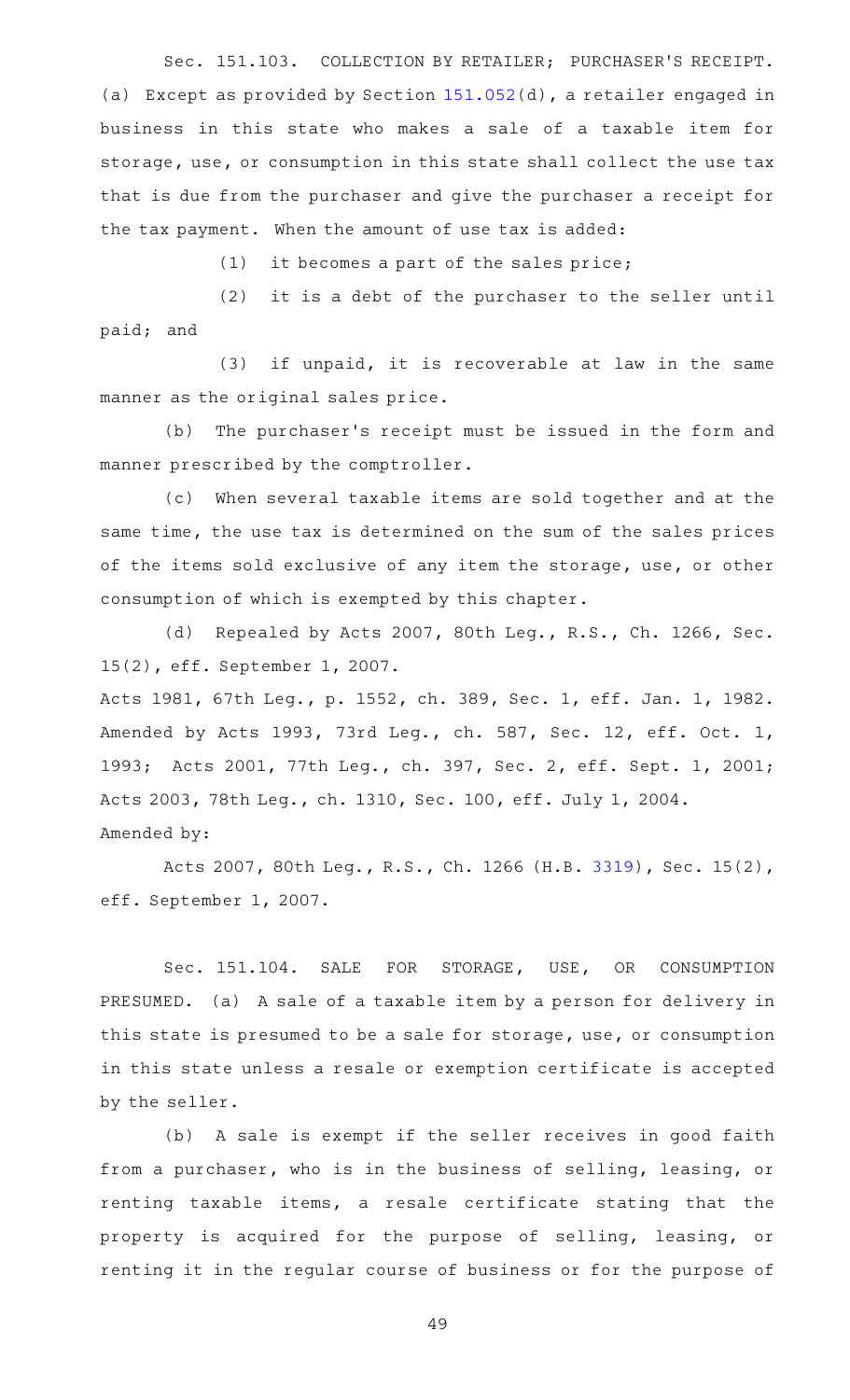Sec. 151.103. COLLECTION BY RETAILER; PURCHASER'S RECEIPT. (a) Except as provided by Section [151.052\(](https://statutes.capitol.texas.gov/GetStatute.aspx?Code=TX&Value=151.052)d), a retailer engaged in business in this state who makes a sale of a taxable item for storage, use, or consumption in this state shall collect the use tax that is due from the purchaser and give the purchaser a receipt for the tax payment. When the amount of use tax is added:

 $(1)$  it becomes a part of the sales price;

(2) it is a debt of the purchaser to the seller until paid; and

 $(3)$  if unpaid, it is recoverable at law in the same manner as the original sales price.

(b) The purchaser's receipt must be issued in the form and manner prescribed by the comptroller.

(c) When several taxable items are sold together and at the same time, the use tax is determined on the sum of the sales prices of the items sold exclusive of any item the storage, use, or other consumption of which is exempted by this chapter.

(d) Repealed by Acts 2007, 80th Leg., R.S., Ch. 1266, Sec. 15(2), eff. September 1, 2007.

Acts 1981, 67th Leg., p. 1552, ch. 389, Sec. 1, eff. Jan. 1, 1982. Amended by Acts 1993, 73rd Leg., ch. 587, Sec. 12, eff. Oct. 1, 1993; Acts 2001, 77th Leg., ch. 397, Sec. 2, eff. Sept. 1, 2001; Acts 2003, 78th Leg., ch. 1310, Sec. 100, eff. July 1, 2004. Amended by:

Acts 2007, 80th Leg., R.S., Ch. 1266 (H.B. [3319](http://www.legis.state.tx.us/tlodocs/80R/billtext/html/HB03319F.HTM)), Sec. 15(2), eff. September 1, 2007.

Sec. 151.104. SALE FOR STORAGE, USE, OR CONSUMPTION PRESUMED. (a) A sale of a taxable item by a person for delivery in this state is presumed to be a sale for storage, use, or consumption in this state unless a resale or exemption certificate is accepted by the seller.

(b) A sale is exempt if the seller receives in good faith from a purchaser, who is in the business of selling, leasing, or renting taxable items, a resale certificate stating that the property is acquired for the purpose of selling, leasing, or renting it in the regular course of business or for the purpose of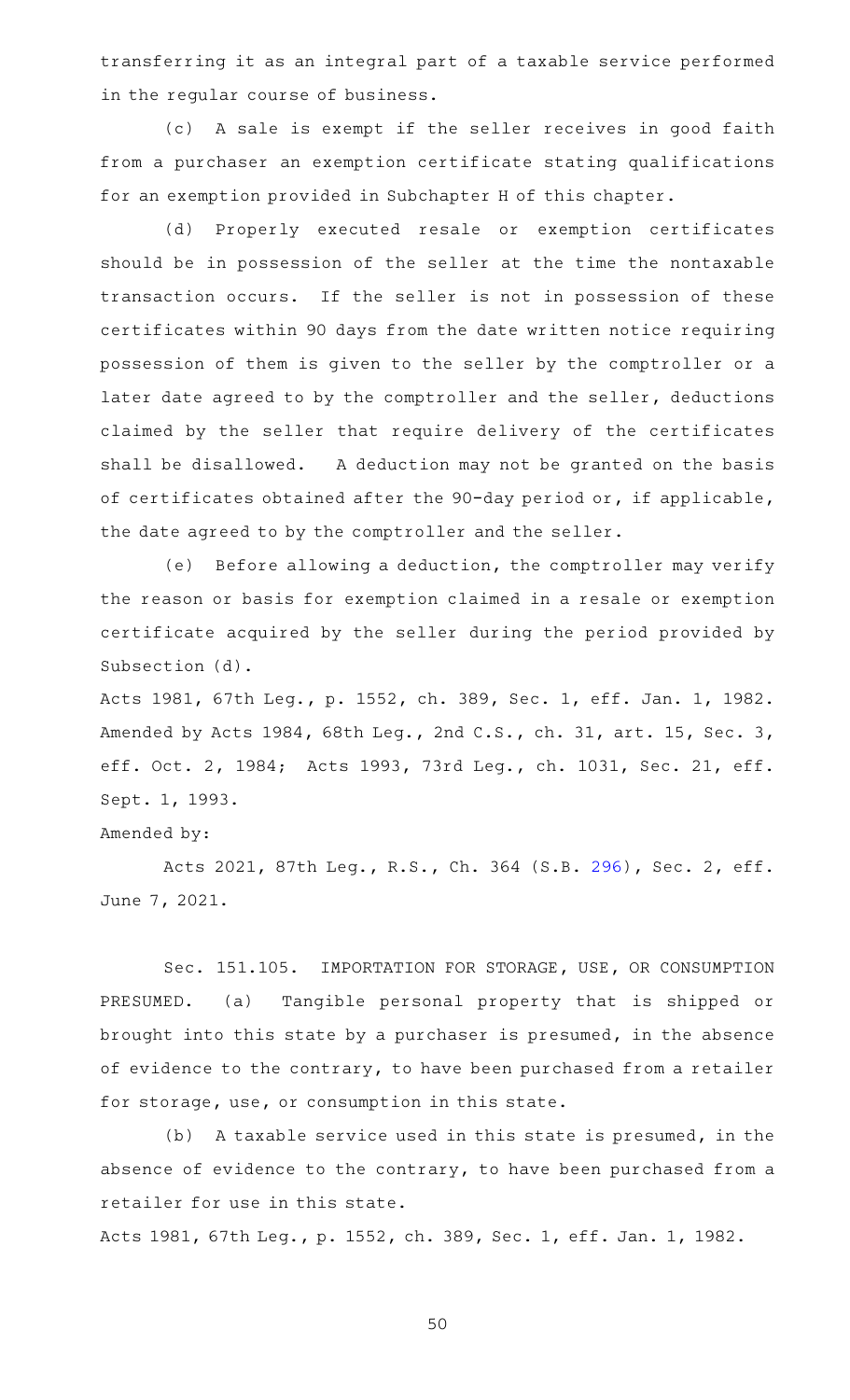transferring it as an integral part of a taxable service performed in the regular course of business.

(c)AAA sale is exempt if the seller receives in good faith from a purchaser an exemption certificate stating qualifications for an exemption provided in Subchapter H of this chapter.

(d) Properly executed resale or exemption certificates should be in possession of the seller at the time the nontaxable transaction occurs. If the seller is not in possession of these certificates within 90 days from the date written notice requiring possession of them is given to the seller by the comptroller or a later date agreed to by the comptroller and the seller, deductions claimed by the seller that require delivery of the certificates shall be disallowed. A deduction may not be granted on the basis of certificates obtained after the 90-day period or, if applicable, the date agreed to by the comptroller and the seller.

(e) Before allowing a deduction, the comptroller may verify the reason or basis for exemption claimed in a resale or exemption certificate acquired by the seller during the period provided by Subsection (d).

Acts 1981, 67th Leg., p. 1552, ch. 389, Sec. 1, eff. Jan. 1, 1982. Amended by Acts 1984, 68th Leg., 2nd C.S., ch. 31, art. 15, Sec. 3, eff. Oct. 2, 1984; Acts 1993, 73rd Leg., ch. 1031, Sec. 21, eff. Sept. 1, 1993.

Amended by:

Acts 2021, 87th Leg., R.S., Ch. 364 (S.B. [296](http://www.legis.state.tx.us/tlodocs/87R/billtext/html/SB00296F.HTM)), Sec. 2, eff. June 7, 2021.

Sec. 151.105. IMPORTATION FOR STORAGE, USE, OR CONSUMPTION PRESUMED. (a) Tangible personal property that is shipped or brought into this state by a purchaser is presumed, in the absence of evidence to the contrary, to have been purchased from a retailer for storage, use, or consumption in this state.

(b) A taxable service used in this state is presumed, in the absence of evidence to the contrary, to have been purchased from a retailer for use in this state.

Acts 1981, 67th Leg., p. 1552, ch. 389, Sec. 1, eff. Jan. 1, 1982.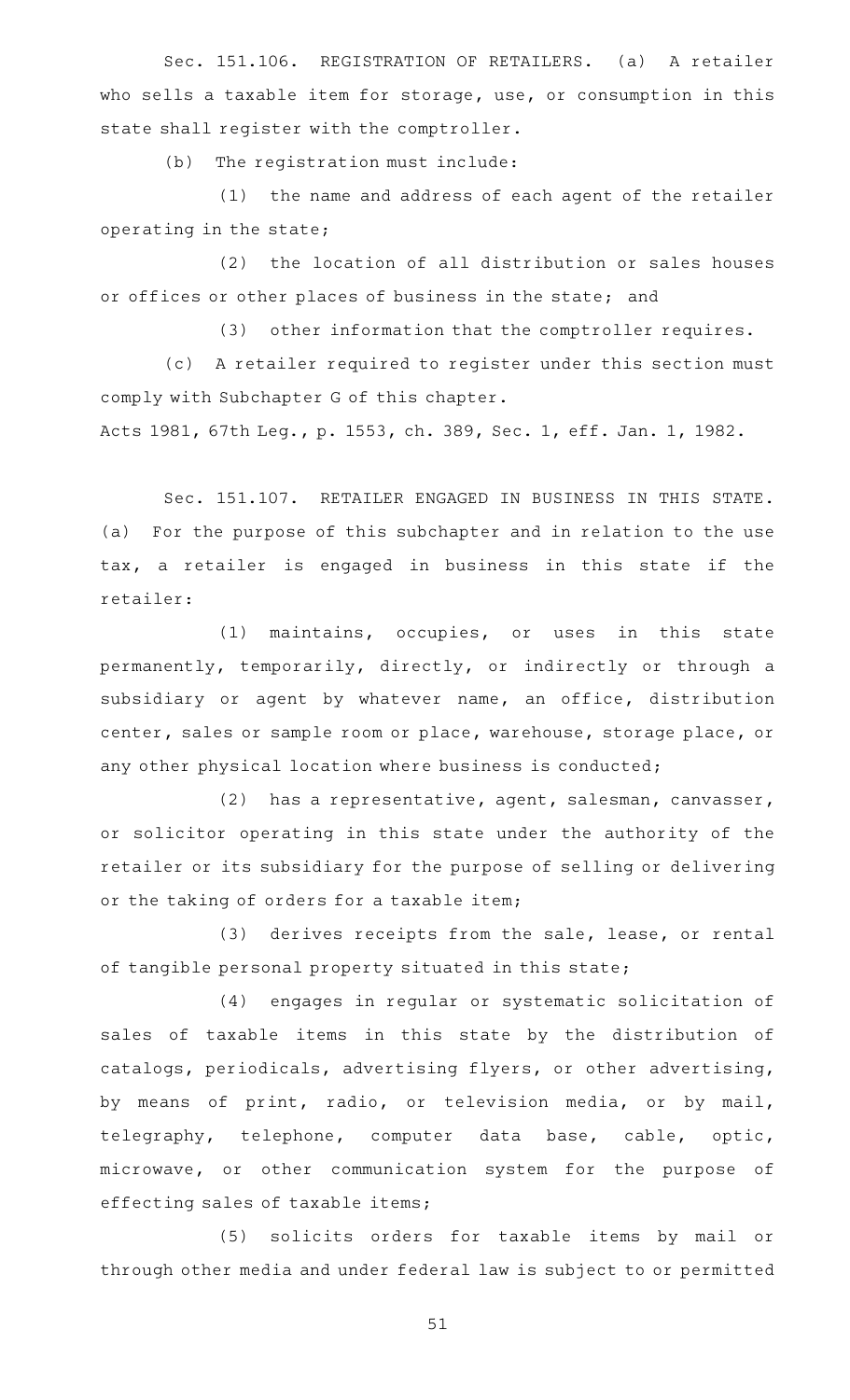Sec. 151.106. REGISTRATION OF RETAILERS. (a) A retailer who sells a taxable item for storage, use, or consumption in this state shall register with the comptroller.

(b) The registration must include:

(1) the name and address of each agent of the retailer operating in the state;

(2) the location of all distribution or sales houses or offices or other places of business in the state; and

(3) other information that the comptroller requires.

(c) A retailer required to register under this section must comply with Subchapter G of this chapter.

Acts 1981, 67th Leg., p. 1553, ch. 389, Sec. 1, eff. Jan. 1, 1982.

Sec. 151.107. RETAILER ENGAGED IN BUSINESS IN THIS STATE. (a) For the purpose of this subchapter and in relation to the use tax, a retailer is engaged in business in this state if the retailer:

(1) maintains, occupies, or uses in this state permanently, temporarily, directly, or indirectly or through a subsidiary or agent by whatever name, an office, distribution center, sales or sample room or place, warehouse, storage place, or any other physical location where business is conducted;

(2) has a representative, agent, salesman, canvasser, or solicitor operating in this state under the authority of the retailer or its subsidiary for the purpose of selling or delivering or the taking of orders for a taxable item;

(3) derives receipts from the sale, lease, or rental of tangible personal property situated in this state;

(4) engages in regular or systematic solicitation of sales of taxable items in this state by the distribution of catalogs, periodicals, advertising flyers, or other advertising, by means of print, radio, or television media, or by mail, telegraphy, telephone, computer data base, cable, optic, microwave, or other communication system for the purpose of effecting sales of taxable items;

(5) solicits orders for taxable items by mail or through other media and under federal law is subject to or permitted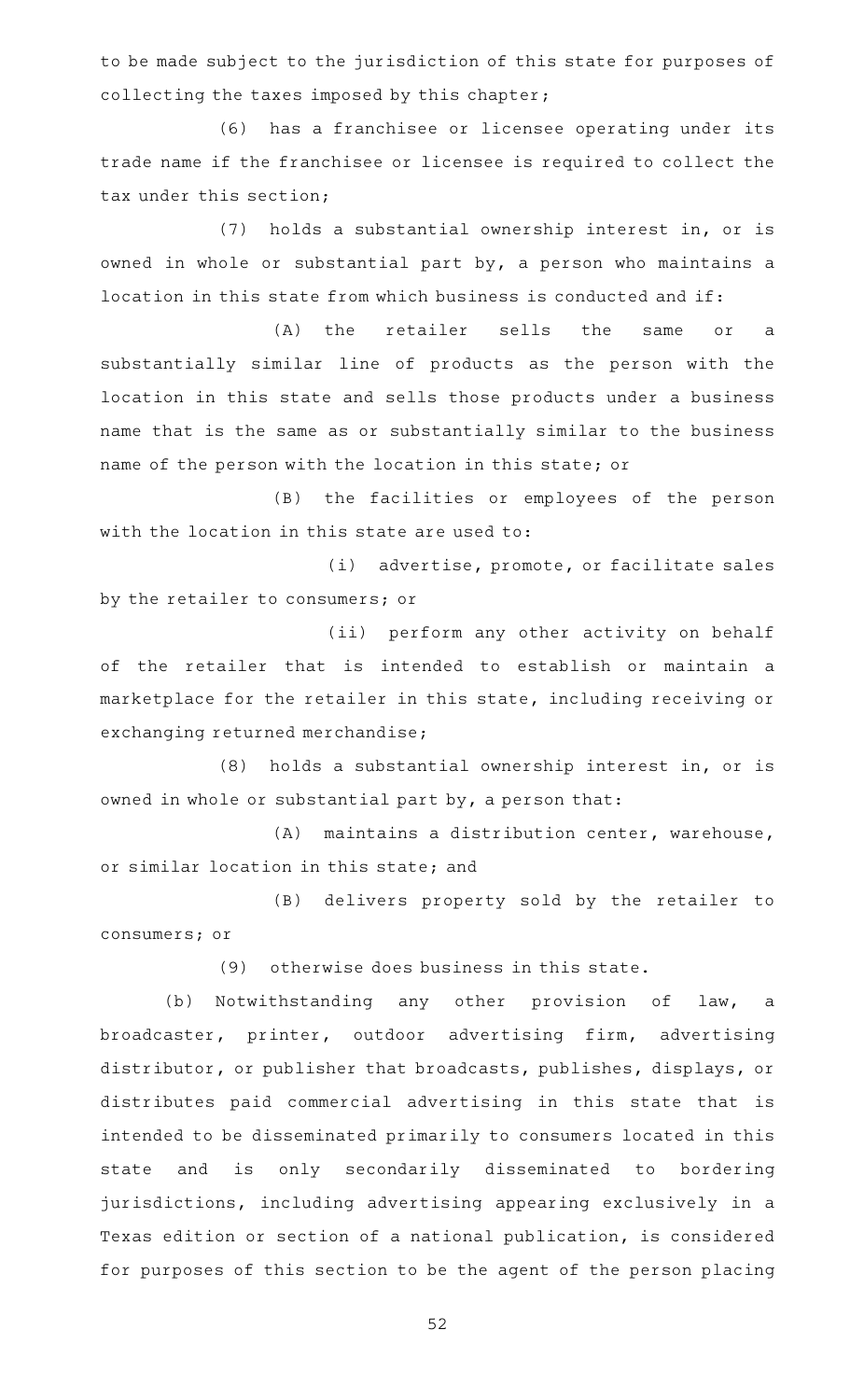to be made subject to the jurisdiction of this state for purposes of collecting the taxes imposed by this chapter;

(6) has a franchisee or licensee operating under its trade name if the franchisee or licensee is required to collect the tax under this section;

(7) holds a substantial ownership interest in, or is owned in whole or substantial part by, a person who maintains a location in this state from which business is conducted and if:

(A) the retailer sells the same or a substantially similar line of products as the person with the location in this state and sells those products under a business name that is the same as or substantially similar to the business name of the person with the location in this state; or

(B) the facilities or employees of the person with the location in this state are used to:

(i) advertise, promote, or facilitate sales by the retailer to consumers; or

(ii) perform any other activity on behalf of the retailer that is intended to establish or maintain a marketplace for the retailer in this state, including receiving or exchanging returned merchandise;

(8) holds a substantial ownership interest in, or is owned in whole or substantial part by, a person that:

(A) maintains a distribution center, warehouse, or similar location in this state; and

(B) delivers property sold by the retailer to consumers; or

(9) otherwise does business in this state.

(b) Notwithstanding any other provision of law, a broadcaster, printer, outdoor advertising firm, advertising distributor, or publisher that broadcasts, publishes, displays, or distributes paid commercial advertising in this state that is intended to be disseminated primarily to consumers located in this state and is only secondarily disseminated to bordering jurisdictions, including advertising appearing exclusively in a Texas edition or section of a national publication, is considered for purposes of this section to be the agent of the person placing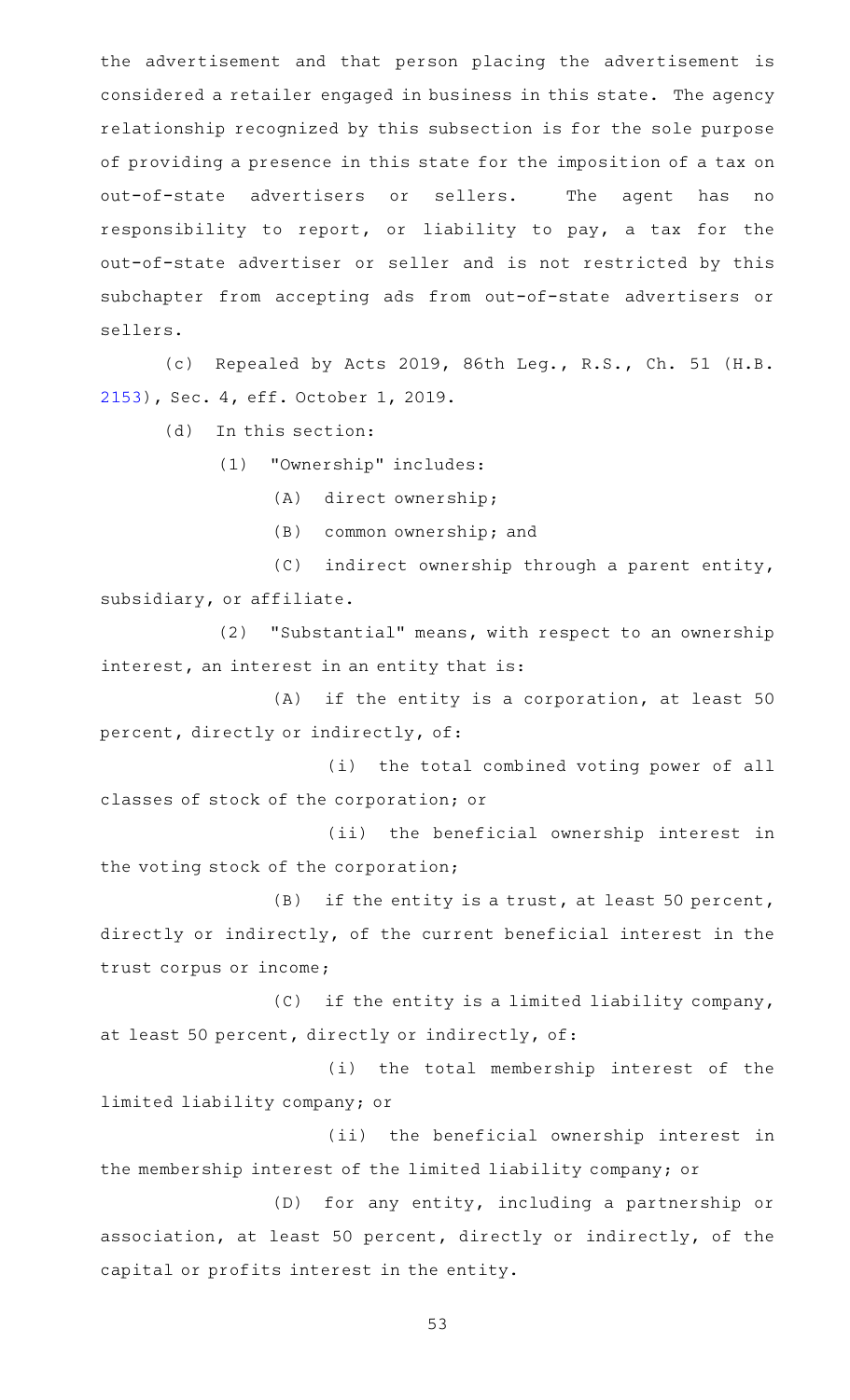the advertisement and that person placing the advertisement is considered a retailer engaged in business in this state. The agency relationship recognized by this subsection is for the sole purpose of providing a presence in this state for the imposition of a tax on out-of-state advertisers or sellers. The agent has no responsibility to report, or liability to pay, a tax for the out-of-state advertiser or seller and is not restricted by this subchapter from accepting ads from out-of-state advertisers or sellers.

(c) Repealed by Acts 2019, 86th Leg., R.S., Ch. 51 (H.B. [2153](http://www.legis.state.tx.us/tlodocs/86R/billtext/html/HB02153F.HTM)), Sec. 4, eff. October 1, 2019.

(d) In this section:

(1) "Ownership" includes:

(A) direct ownership;

 $(B)$  common ownership; and

(C) indirect ownership through a parent entity, subsidiary, or affiliate.

(2) "Substantial" means, with respect to an ownership interest, an interest in an entity that is:

 $(A)$  if the entity is a corporation, at least 50 percent, directly or indirectly, of:

(i) the total combined voting power of all classes of stock of the corporation; or

(ii) the beneficial ownership interest in the voting stock of the corporation;

 $(B)$  if the entity is a trust, at least 50 percent, directly or indirectly, of the current beneficial interest in the trust corpus or income;

 $(C)$  if the entity is a limited liability company, at least 50 percent, directly or indirectly, of:

(i) the total membership interest of the limited liability company; or

(ii) the beneficial ownership interest in the membership interest of the limited liability company; or

(D) for any entity, including a partnership or association, at least 50 percent, directly or indirectly, of the capital or profits interest in the entity.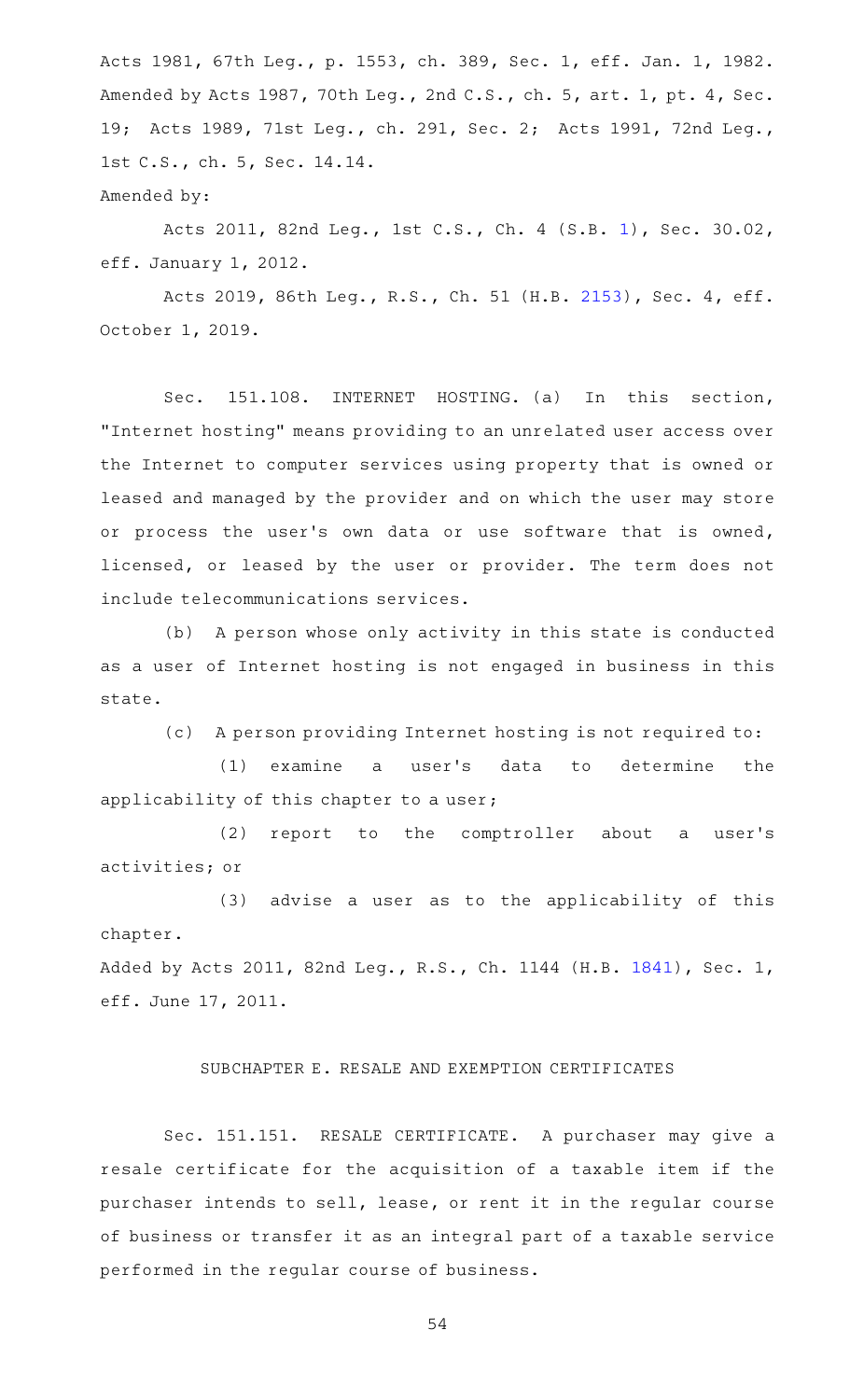Acts 1981, 67th Leg., p. 1553, ch. 389, Sec. 1, eff. Jan. 1, 1982. Amended by Acts 1987, 70th Leg., 2nd C.S., ch. 5, art. 1, pt. 4, Sec. 19; Acts 1989, 71st Leg., ch. 291, Sec. 2; Acts 1991, 72nd Leg., 1st C.S., ch. 5, Sec. 14.14. Amended by:

Acts 2011, 82nd Leg., 1st C.S., Ch. 4 (S.B. [1](http://www.legis.state.tx.us/tlodocs/821/billtext/html/SB00001F.HTM)), Sec. 30.02, eff. January 1, 2012.

Acts 2019, 86th Leg., R.S., Ch. 51 (H.B. [2153](http://www.legis.state.tx.us/tlodocs/86R/billtext/html/HB02153F.HTM)), Sec. 4, eff. October 1, 2019.

Sec. 151.108. INTERNET HOSTING. (a) In this section, "Internet hosting" means providing to an unrelated user access over the Internet to computer services using property that is owned or leased and managed by the provider and on which the user may store or process the user's own data or use software that is owned, licensed, or leased by the user or provider. The term does not include telecommunications services.

(b) A person whose only activity in this state is conducted as a user of Internet hosting is not engaged in business in this state.

(c) A person providing Internet hosting is not required to:

(1) examine a user's data to determine the applicability of this chapter to a user;

(2) report to the comptroller about a user's activities; or

(3) advise a user as to the applicability of this chapter.

Added by Acts 2011, 82nd Leg., R.S., Ch. 1144 (H.B. [1841\)](http://www.legis.state.tx.us/tlodocs/82R/billtext/html/HB01841F.HTM), Sec. 1, eff. June 17, 2011.

## SUBCHAPTER E. RESALE AND EXEMPTION CERTIFICATES

Sec. 151.151. RESALE CERTIFICATE. A purchaser may give a resale certificate for the acquisition of a taxable item if the purchaser intends to sell, lease, or rent it in the regular course of business or transfer it as an integral part of a taxable service performed in the regular course of business.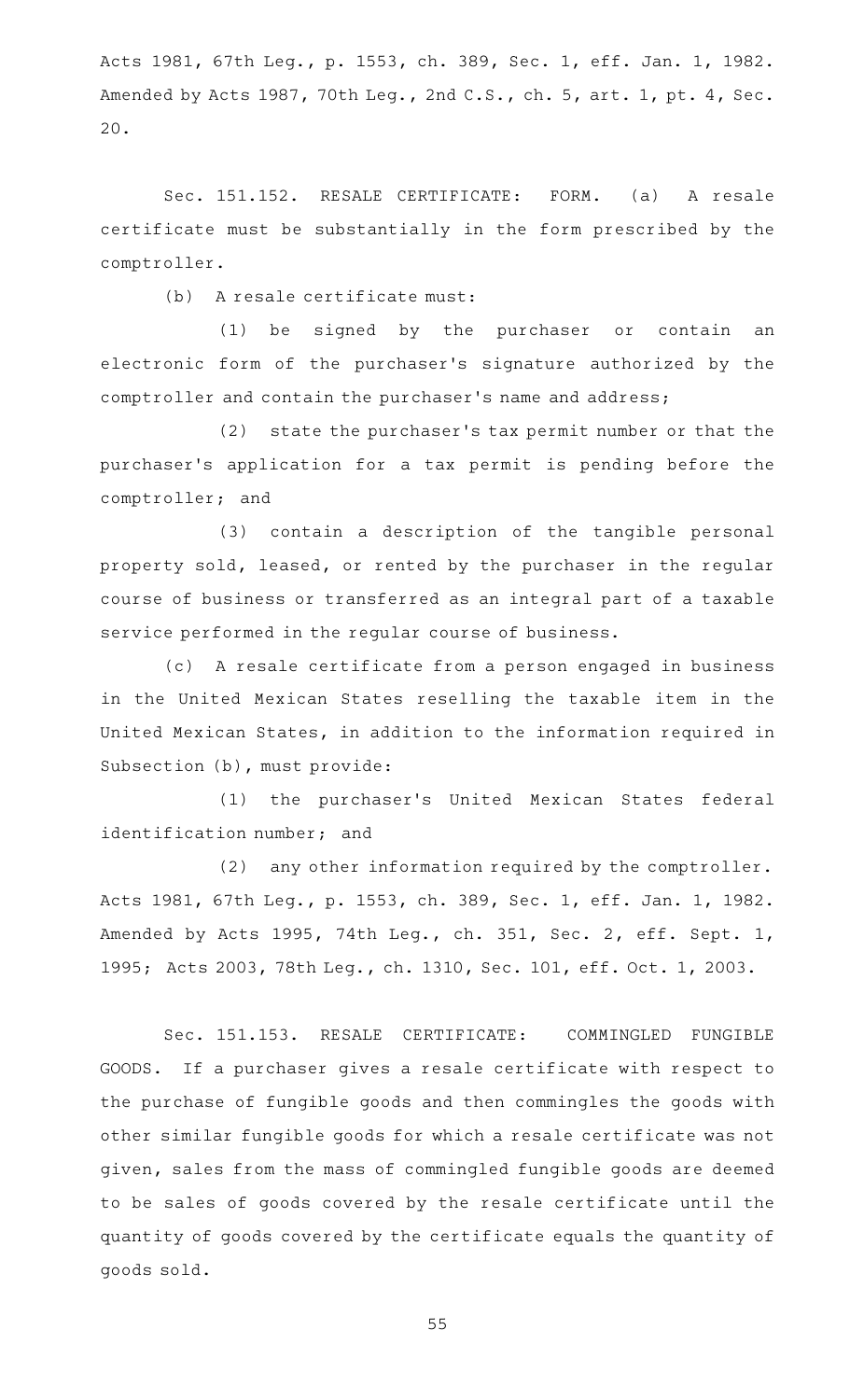Acts 1981, 67th Leg., p. 1553, ch. 389, Sec. 1, eff. Jan. 1, 1982. Amended by Acts 1987, 70th Leg., 2nd C.S., ch. 5, art. 1, pt. 4, Sec. 20.

Sec. 151.152. RESALE CERTIFICATE: FORM. (a) A resale certificate must be substantially in the form prescribed by the comptroller.

(b) A resale certificate must:

(1) be signed by the purchaser or contain an electronic form of the purchaser 's signature authorized by the comptroller and contain the purchaser 's name and address;

(2) state the purchaser's tax permit number or that the purchaser 's application for a tax permit is pending before the comptroller; and

(3) contain a description of the tangible personal property sold, leased, or rented by the purchaser in the regular course of business or transferred as an integral part of a taxable service performed in the regular course of business.

(c) A resale certificate from a person engaged in business in the United Mexican States reselling the taxable item in the United Mexican States, in addition to the information required in Subsection (b), must provide:

(1) the purchaser's United Mexican States federal identification number; and

(2) any other information required by the comptroller. Acts 1981, 67th Leg., p. 1553, ch. 389, Sec. 1, eff. Jan. 1, 1982. Amended by Acts 1995, 74th Leg., ch. 351, Sec. 2, eff. Sept. 1, 1995; Acts 2003, 78th Leg., ch. 1310, Sec. 101, eff. Oct. 1, 2003.

Sec. 151.153. RESALE CERTIFICATE: COMMINGLED FUNGIBLE GOODS. If a purchaser gives a resale certificate with respect to the purchase of fungible goods and then commingles the goods with other similar fungible goods for which a resale certificate was not given, sales from the mass of commingled fungible goods are deemed to be sales of goods covered by the resale certificate until the quantity of goods covered by the certificate equals the quantity of goods sold.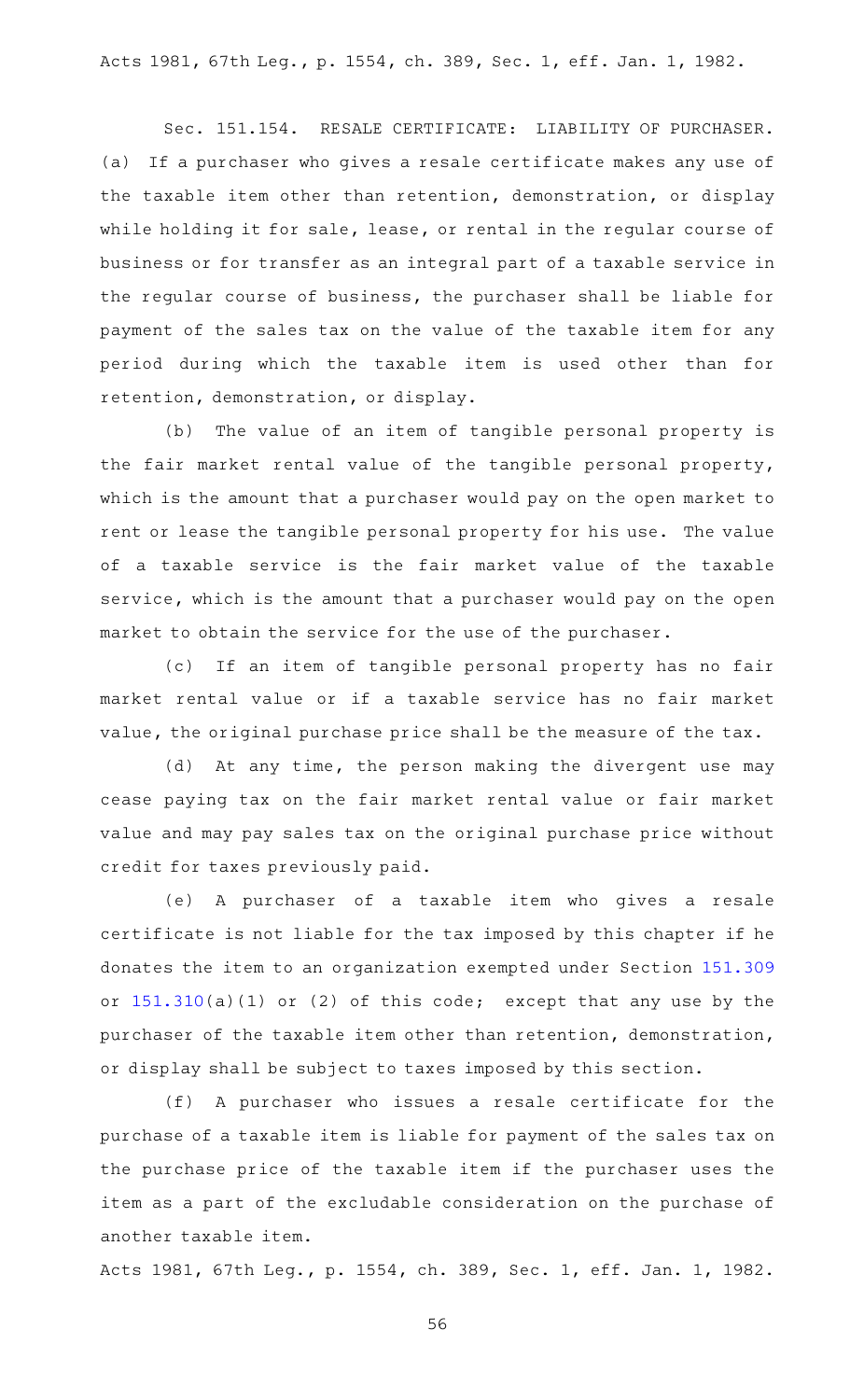Acts 1981, 67th Leg., p. 1554, ch. 389, Sec. 1, eff. Jan. 1, 1982.

Sec. 151.154. RESALE CERTIFICATE: LIABILITY OF PURCHASER. (a) If a purchaser who gives a resale certificate makes any use of the taxable item other than retention, demonstration, or display while holding it for sale, lease, or rental in the regular course of business or for transfer as an integral part of a taxable service in the regular course of business, the purchaser shall be liable for payment of the sales tax on the value of the taxable item for any period during which the taxable item is used other than for retention, demonstration, or display.

(b) The value of an item of tangible personal property is the fair market rental value of the tangible personal property, which is the amount that a purchaser would pay on the open market to rent or lease the tangible personal property for his use. The value of a taxable service is the fair market value of the taxable service, which is the amount that a purchaser would pay on the open market to obtain the service for the use of the purchaser.

(c) If an item of tangible personal property has no fair market rental value or if a taxable service has no fair market value, the original purchase price shall be the measure of the tax.

(d) At any time, the person making the divergent use may cease paying tax on the fair market rental value or fair market value and may pay sales tax on the original purchase price without credit for taxes previously paid.

(e)AAA purchaser of a taxable item who gives a resale certificate is not liable for the tax imposed by this chapter if he donates the item to an organization exempted under Section [151.309](https://statutes.capitol.texas.gov/GetStatute.aspx?Code=TX&Value=151.309) or [151.310](https://statutes.capitol.texas.gov/GetStatute.aspx?Code=TX&Value=151.310)(a)(1) or (2) of this code; except that any use by the purchaser of the taxable item other than retention, demonstration, or display shall be subject to taxes imposed by this section.

(f) A purchaser who issues a resale certificate for the purchase of a taxable item is liable for payment of the sales tax on the purchase price of the taxable item if the purchaser uses the item as a part of the excludable consideration on the purchase of another taxable item.

Acts 1981, 67th Leg., p. 1554, ch. 389, Sec. 1, eff. Jan. 1, 1982.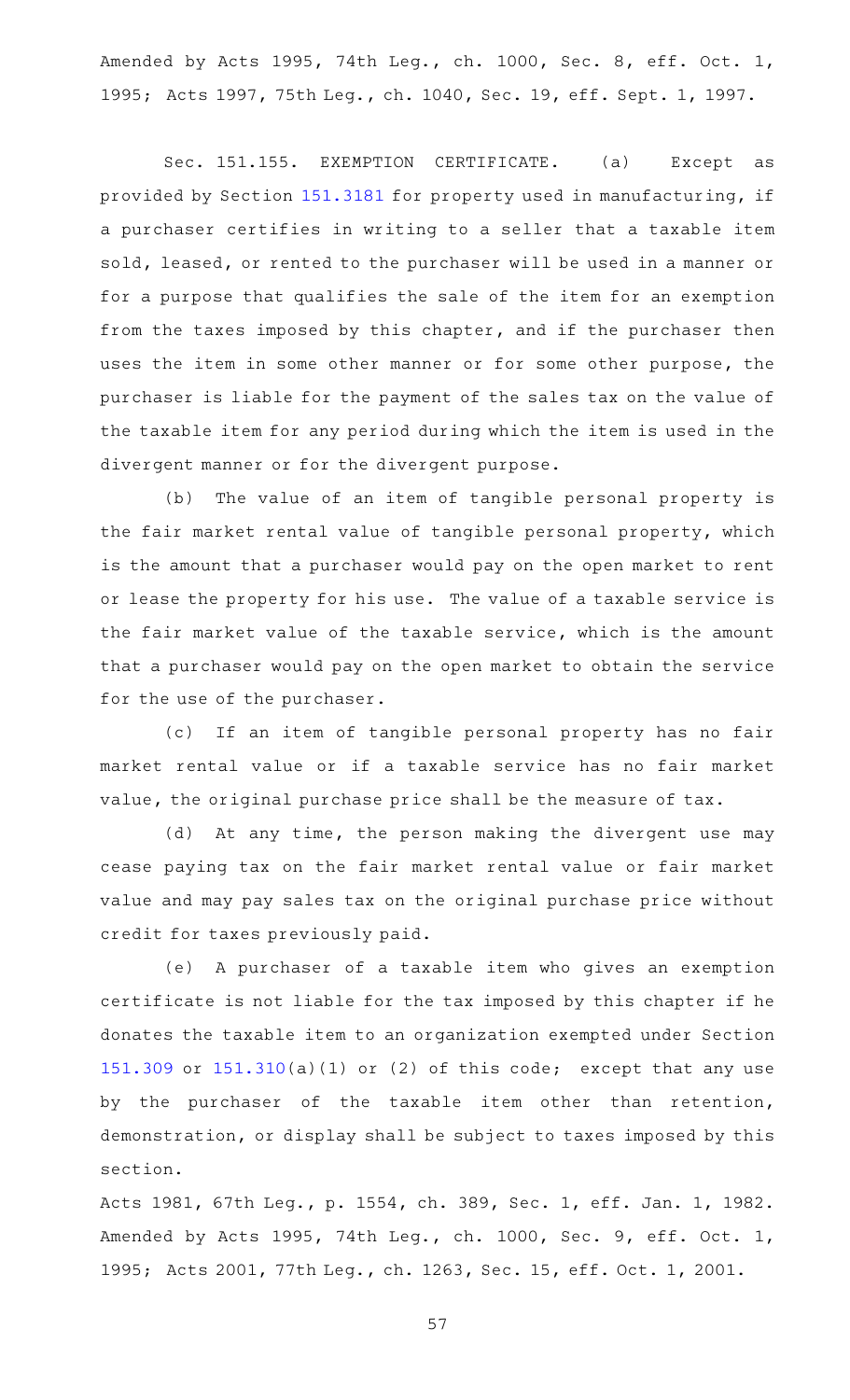Amended by Acts 1995, 74th Leg., ch. 1000, Sec. 8, eff. Oct. 1, 1995; Acts 1997, 75th Leg., ch. 1040, Sec. 19, eff. Sept. 1, 1997.

Sec. 151.155. EXEMPTION CERTIFICATE. (a) Except as provided by Section [151.3181](https://statutes.capitol.texas.gov/GetStatute.aspx?Code=TX&Value=151.3181) for property used in manufacturing, if a purchaser certifies in writing to a seller that a taxable item sold, leased, or rented to the purchaser will be used in a manner or for a purpose that qualifies the sale of the item for an exemption from the taxes imposed by this chapter, and if the purchaser then uses the item in some other manner or for some other purpose, the purchaser is liable for the payment of the sales tax on the value of the taxable item for any period during which the item is used in the divergent manner or for the divergent purpose.

(b) The value of an item of tangible personal property is the fair market rental value of tangible personal property, which is the amount that a purchaser would pay on the open market to rent or lease the property for his use. The value of a taxable service is the fair market value of the taxable service, which is the amount that a purchaser would pay on the open market to obtain the service for the use of the purchaser.

(c) If an item of tangible personal property has no fair market rental value or if a taxable service has no fair market value, the original purchase price shall be the measure of tax.

(d) At any time, the person making the divergent use may cease paying tax on the fair market rental value or fair market value and may pay sales tax on the original purchase price without credit for taxes previously paid.

(e) A purchaser of a taxable item who gives an exemption certificate is not liable for the tax imposed by this chapter if he donates the taxable item to an organization exempted under Section [151.309](https://statutes.capitol.texas.gov/GetStatute.aspx?Code=TX&Value=151.309) or [151.310\(](https://statutes.capitol.texas.gov/GetStatute.aspx?Code=TX&Value=151.310)a)(1) or (2) of this code; except that any use by the purchaser of the taxable item other than retention, demonstration, or display shall be subject to taxes imposed by this section.

Acts 1981, 67th Leg., p. 1554, ch. 389, Sec. 1, eff. Jan. 1, 1982. Amended by Acts 1995, 74th Leg., ch. 1000, Sec. 9, eff. Oct. 1, 1995; Acts 2001, 77th Leg., ch. 1263, Sec. 15, eff. Oct. 1, 2001.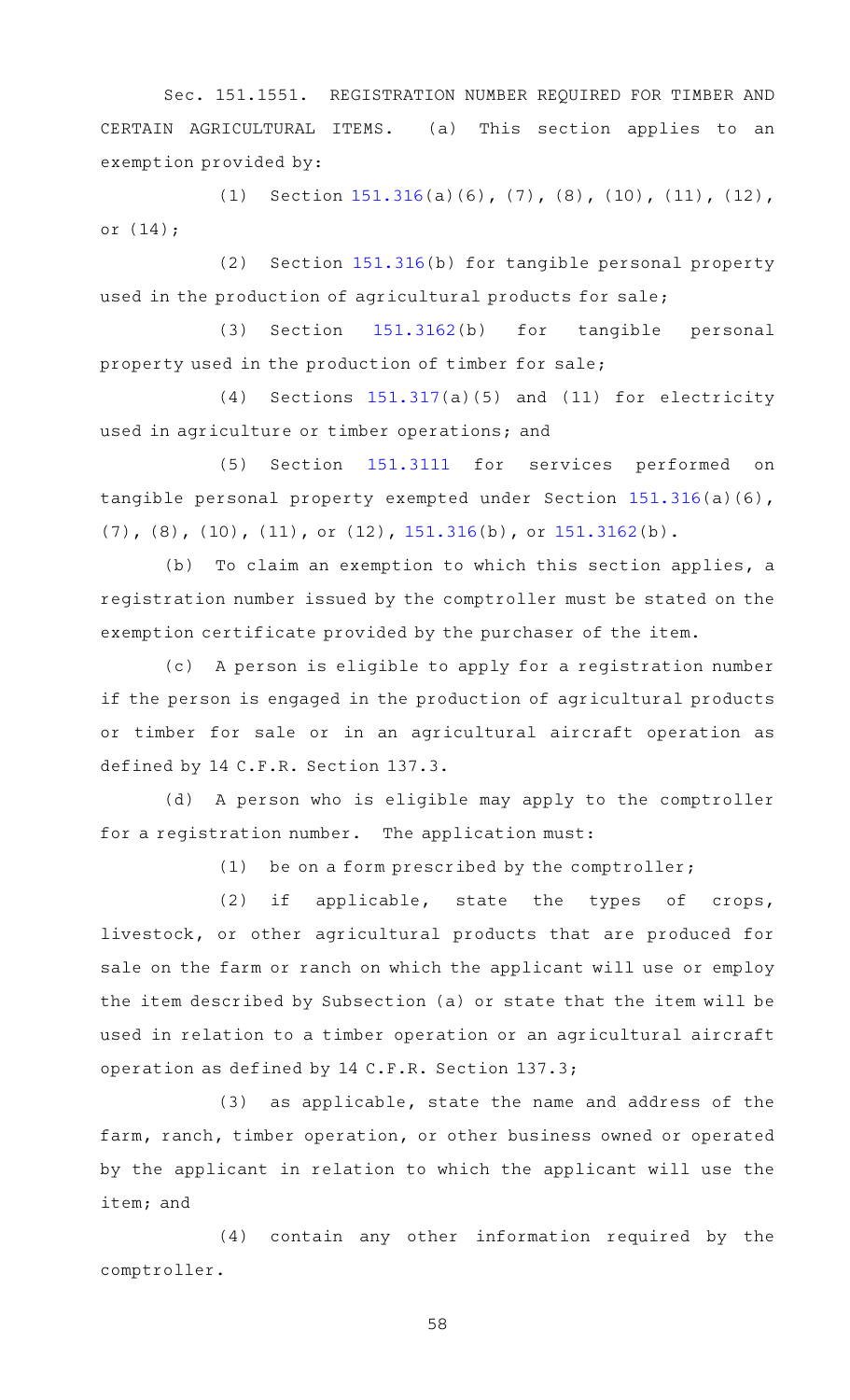Sec. 151.1551. REGISTRATION NUMBER REQUIRED FOR TIMBER AND CERTAIN AGRICULTURAL ITEMS. (a) This section applies to an exemption provided by:

(1) Section  $151.316(a)(6)$  $151.316(a)(6)$ , (7), (8), (10), (11), (12), or (14);

(2) Section  $151.316(b)$  $151.316(b)$  for tangible personal property used in the production of agricultural products for sale;

(3) Section  $151.3162(b)$  $151.3162(b)$  for tangible personal property used in the production of timber for sale;

(4) Sections  $151.317(a)(5)$  $151.317(a)(5)$  and (11) for electricity used in agriculture or timber operations; and

(5) Section [151.3111](https://statutes.capitol.texas.gov/GetStatute.aspx?Code=TX&Value=151.3111) for services performed on tangible personal property exempted under Section [151.316](https://statutes.capitol.texas.gov/GetStatute.aspx?Code=TX&Value=151.316)(a)(6), (7), (8), (10), (11), or (12), [151.316\(](https://statutes.capitol.texas.gov/GetStatute.aspx?Code=TX&Value=151.316)b), or [151.3162](https://statutes.capitol.texas.gov/GetStatute.aspx?Code=TX&Value=151.3162)(b).

(b) To claim an exemption to which this section applies, a registration number issued by the comptroller must be stated on the exemption certificate provided by the purchaser of the item.

(c) A person is eligible to apply for a registration number if the person is engaged in the production of agricultural products or timber for sale or in an agricultural aircraft operation as defined by 14 C.F.R. Section 137.3.

(d) A person who is eligible may apply to the comptroller for a registration number. The application must:

(1) be on a form prescribed by the comptroller;

(2) if applicable, state the types of crops, livestock, or other agricultural products that are produced for sale on the farm or ranch on which the applicant will use or employ the item described by Subsection (a) or state that the item will be used in relation to a timber operation or an agricultural aircraft operation as defined by 14 C.F.R. Section 137.3;

(3) as applicable, state the name and address of the farm, ranch, timber operation, or other business owned or operated by the applicant in relation to which the applicant will use the item; and

(4) contain any other information required by the comptroller.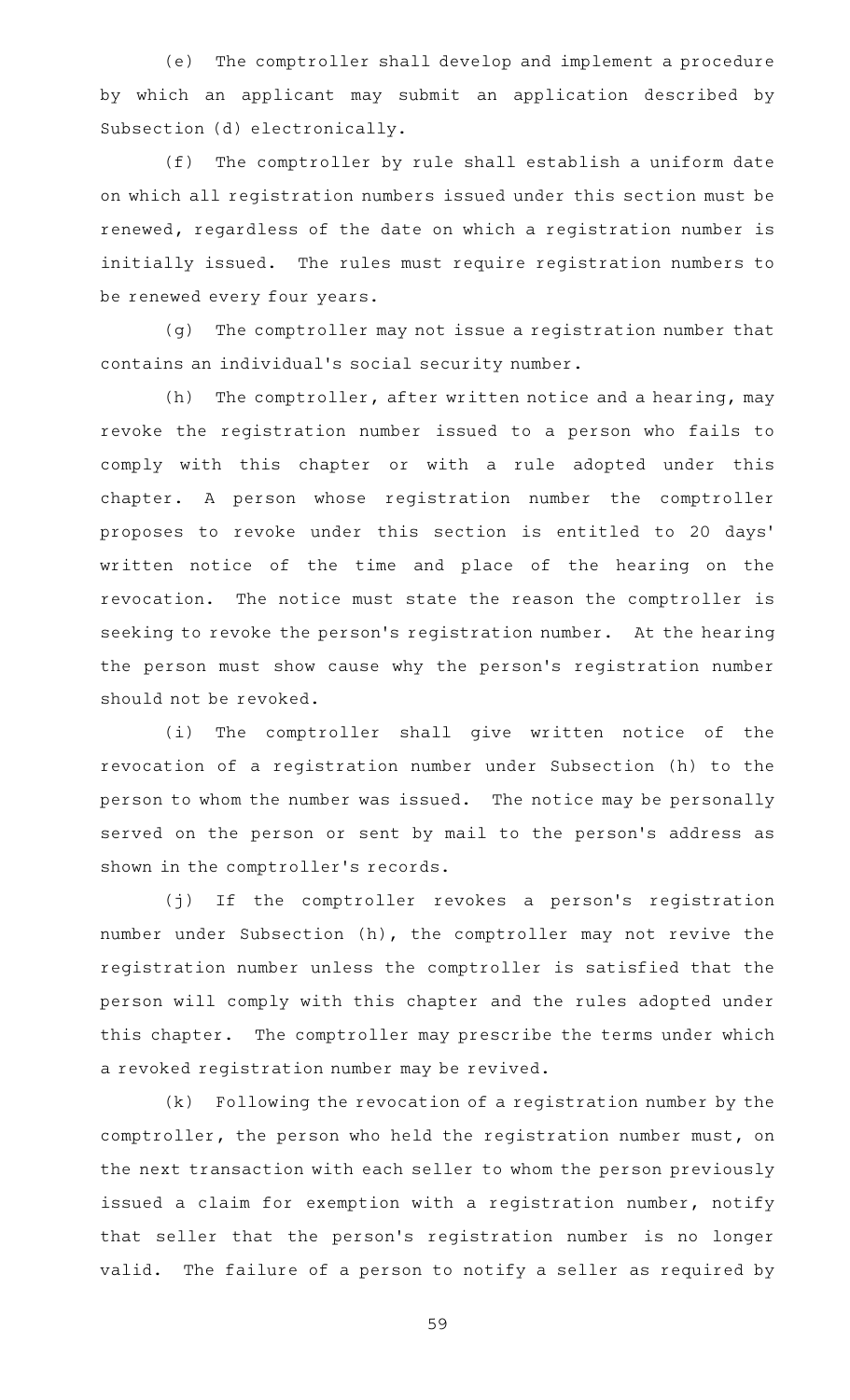(e) The comptroller shall develop and implement a procedure by which an applicant may submit an application described by Subsection (d) electronically.

(f) The comptroller by rule shall establish a uniform date on which all registration numbers issued under this section must be renewed, regardless of the date on which a registration number is initially issued. The rules must require registration numbers to be renewed every four years.

(g) The comptroller may not issue a registration number that contains an individual 's social security number.

(h) The comptroller, after written notice and a hearing, may revoke the registration number issued to a person who fails to comply with this chapter or with a rule adopted under this chapter. A person whose registration number the comptroller proposes to revoke under this section is entitled to 20 days ' written notice of the time and place of the hearing on the revocation. The notice must state the reason the comptroller is seeking to revoke the person's registration number. At the hearing the person must show cause why the person's registration number should not be revoked.

(i) The comptroller shall give written notice of the revocation of a registration number under Subsection (h) to the person to whom the number was issued. The notice may be personally served on the person or sent by mail to the person's address as shown in the comptroller 's records.

(j) If the comptroller revokes a person's registration number under Subsection (h), the comptroller may not revive the registration number unless the comptroller is satisfied that the person will comply with this chapter and the rules adopted under this chapter. The comptroller may prescribe the terms under which a revoked registration number may be revived.

 $(k)$  Following the revocation of a registration number by the comptroller, the person who held the registration number must, on the next transaction with each seller to whom the person previously issued a claim for exemption with a registration number, notify that seller that the person 's registration number is no longer valid. The failure of a person to notify a seller as required by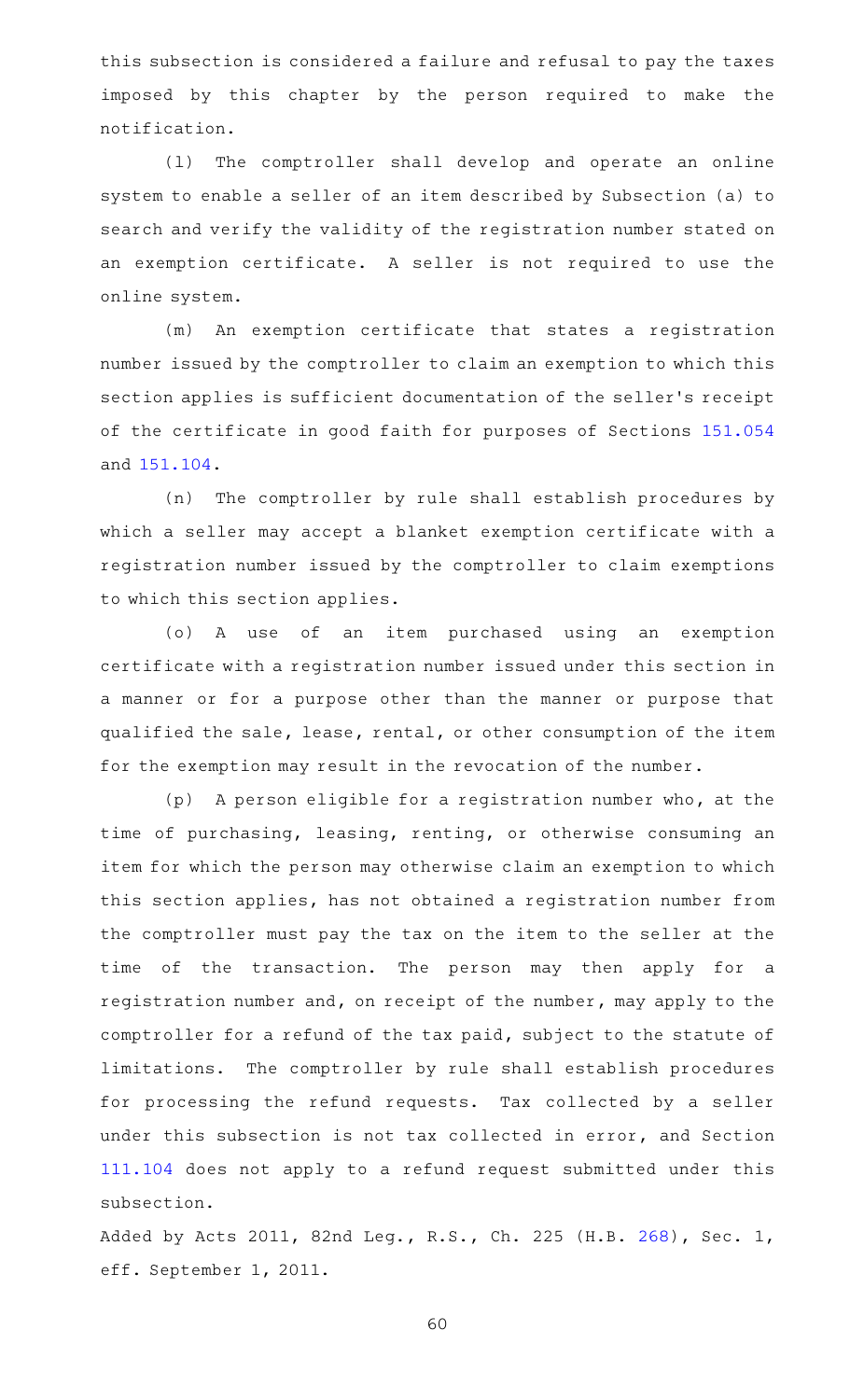this subsection is considered a failure and refusal to pay the taxes imposed by this chapter by the person required to make the notification.

(1) The comptroller shall develop and operate an online system to enable a seller of an item described by Subsection (a) to search and verify the validity of the registration number stated on an exemption certificate. A seller is not required to use the online system.

(m) An exemption certificate that states a registration number issued by the comptroller to claim an exemption to which this section applies is sufficient documentation of the seller 's receipt of the certificate in good faith for purposes of Sections [151.054](https://statutes.capitol.texas.gov/GetStatute.aspx?Code=TX&Value=151.054) and [151.104.](https://statutes.capitol.texas.gov/GetStatute.aspx?Code=TX&Value=151.104)

(n) The comptroller by rule shall establish procedures by which a seller may accept a blanket exemption certificate with a registration number issued by the comptroller to claim exemptions to which this section applies.

(o)AAA use of an item purchased using an exemption certificate with a registration number issued under this section in a manner or for a purpose other than the manner or purpose that qualified the sale, lease, rental, or other consumption of the item for the exemption may result in the revocation of the number.

 $(p)$  A person eligible for a registration number who, at the time of purchasing, leasing, renting, or otherwise consuming an item for which the person may otherwise claim an exemption to which this section applies, has not obtained a registration number from the comptroller must pay the tax on the item to the seller at the time of the transaction. The person may then apply for a registration number and, on receipt of the number, may apply to the comptroller for a refund of the tax paid, subject to the statute of limitations. The comptroller by rule shall establish procedures for processing the refund requests. Tax collected by a seller under this subsection is not tax collected in error, and Section [111.104](https://statutes.capitol.texas.gov/GetStatute.aspx?Code=TX&Value=111.104) does not apply to a refund request submitted under this subsection.

Added by Acts 2011, 82nd Leg., R.S., Ch. 225 (H.B. [268](http://www.legis.state.tx.us/tlodocs/82R/billtext/html/HB00268F.HTM)), Sec. 1, eff. September 1, 2011.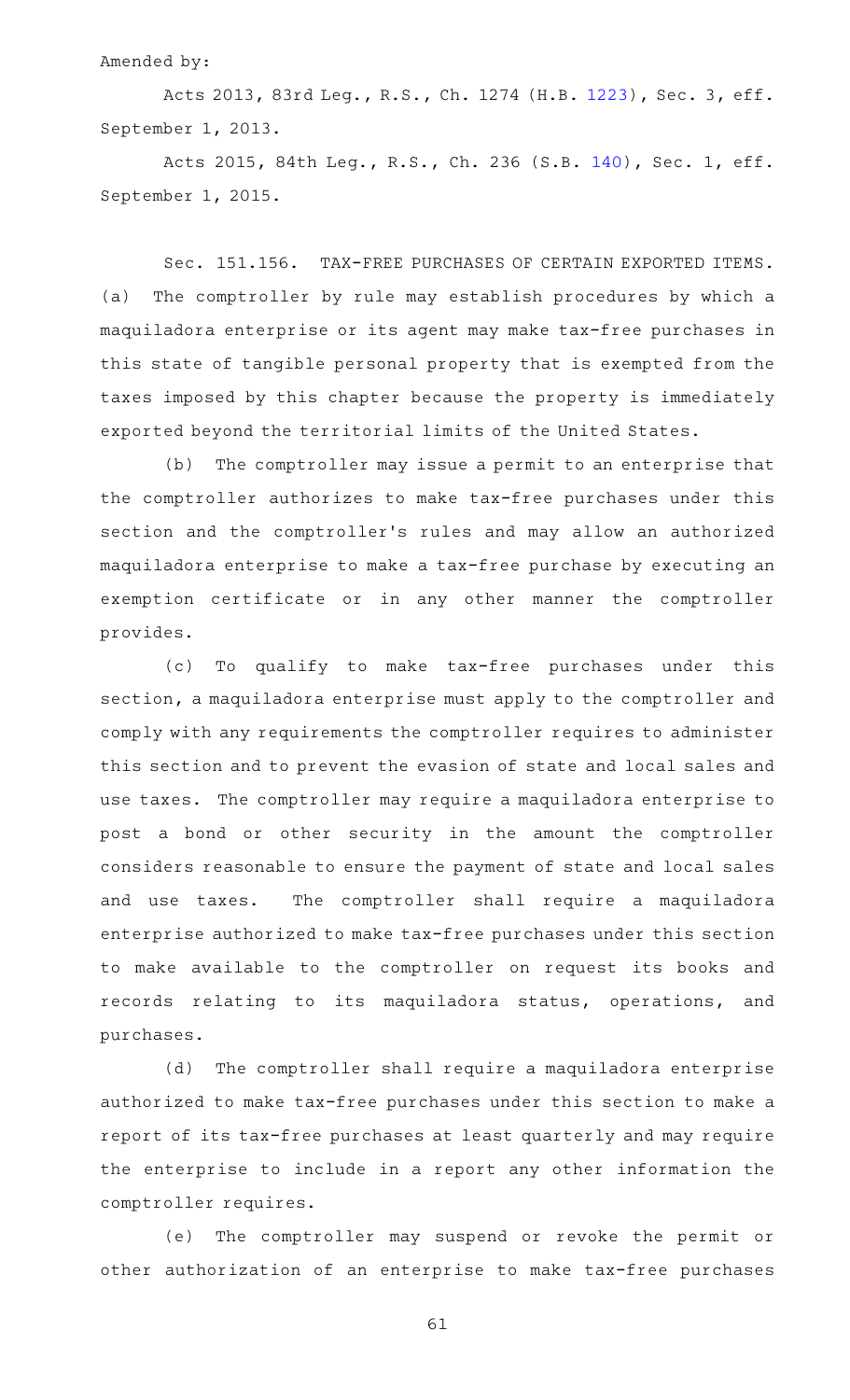## Amended by:

Acts 2013, 83rd Leg., R.S., Ch. 1274 (H.B. [1223](http://www.legis.state.tx.us/tlodocs/83R/billtext/html/HB01223F.HTM)), Sec. 3, eff. September 1, 2013.

Acts 2015, 84th Leg., R.S., Ch. 236 (S.B. [140](http://www.legis.state.tx.us/tlodocs/84R/billtext/html/SB00140F.HTM)), Sec. 1, eff. September 1, 2015.

Sec. 151.156. TAX-FREE PURCHASES OF CERTAIN EXPORTED ITEMS. (a) The comptroller by rule may establish procedures by which a maquiladora enterprise or its agent may make tax-free purchases in this state of tangible personal property that is exempted from the taxes imposed by this chapter because the property is immediately exported beyond the territorial limits of the United States.

(b) The comptroller may issue a permit to an enterprise that the comptroller authorizes to make tax-free purchases under this section and the comptroller 's rules and may allow an authorized maquiladora enterprise to make a tax-free purchase by executing an exemption certificate or in any other manner the comptroller provides.

(c) To qualify to make tax-free purchases under this section, a maquiladora enterprise must apply to the comptroller and comply with any requirements the comptroller requires to administer this section and to prevent the evasion of state and local sales and use taxes. The comptroller may require a maquiladora enterprise to post a bond or other security in the amount the comptroller considers reasonable to ensure the payment of state and local sales and use taxes. The comptroller shall require a maquiladora enterprise authorized to make tax-free purchases under this section to make available to the comptroller on request its books and records relating to its maquiladora status, operations, and purchases.

(d) The comptroller shall require a maquiladora enterprise authorized to make tax-free purchases under this section to make a report of its tax-free purchases at least quarterly and may require the enterprise to include in a report any other information the comptroller requires.

(e) The comptroller may suspend or revoke the permit or other authorization of an enterprise to make tax-free purchases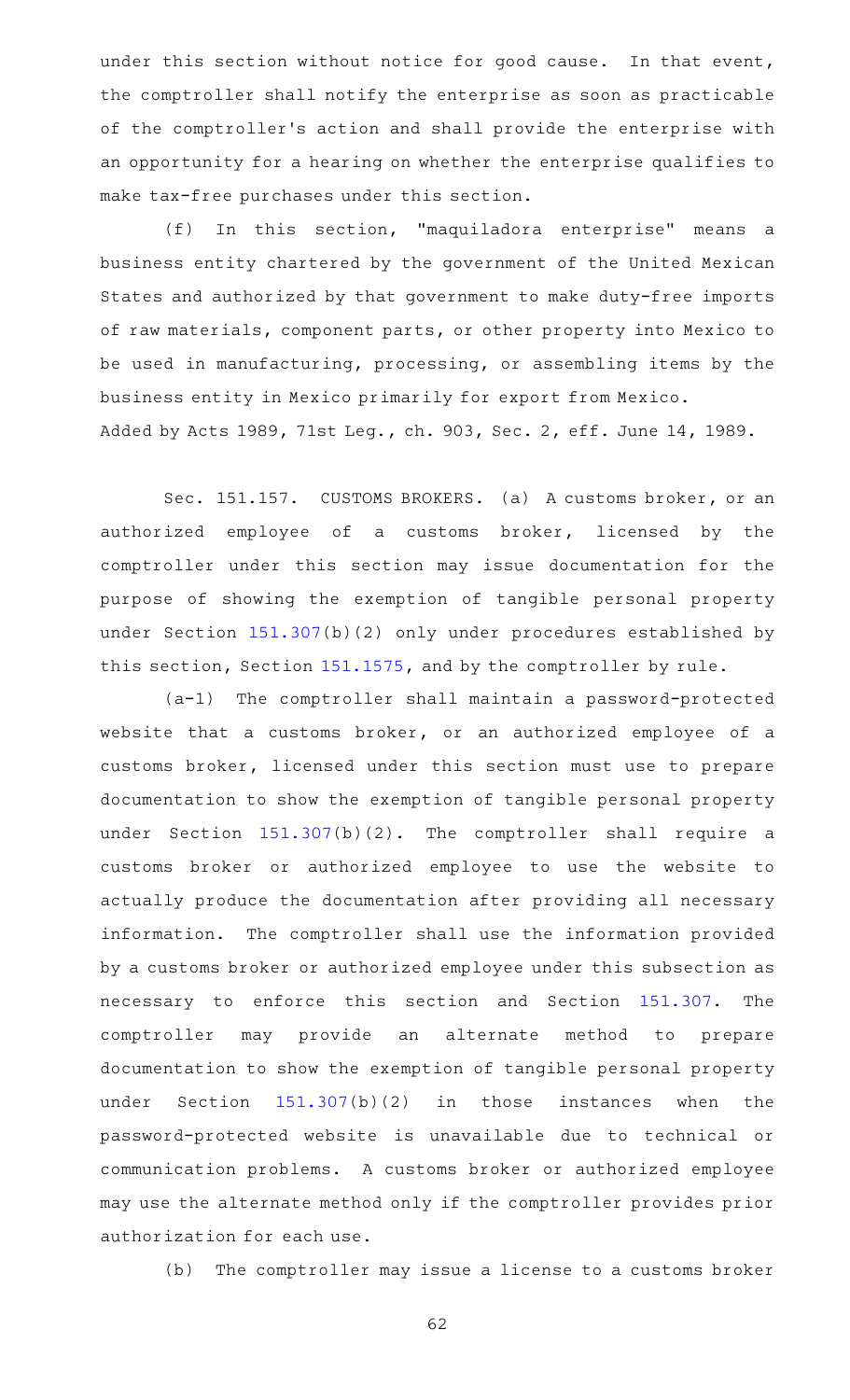under this section without notice for good cause. In that event, the comptroller shall notify the enterprise as soon as practicable of the comptroller 's action and shall provide the enterprise with an opportunity for a hearing on whether the enterprise qualifies to make tax-free purchases under this section.

(f) In this section, "maquiladora enterprise" means a business entity chartered by the government of the United Mexican States and authorized by that government to make duty-free imports of raw materials, component parts, or other property into Mexico to be used in manufacturing, processing, or assembling items by the business entity in Mexico primarily for export from Mexico. Added by Acts 1989, 71st Leg., ch. 903, Sec. 2, eff. June 14, 1989.

Sec. 151.157. CUSTOMS BROKERS. (a) A customs broker, or an authorized employee of a customs broker, licensed by the comptroller under this section may issue documentation for the purpose of showing the exemption of tangible personal property under Section [151.307](https://statutes.capitol.texas.gov/GetStatute.aspx?Code=TX&Value=151.307)(b)(2) only under procedures established by this section, Section [151.1575,](https://statutes.capitol.texas.gov/GetStatute.aspx?Code=TX&Value=151.1575) and by the comptroller by rule.

 $(a-1)$  The comptroller shall maintain a password-protected website that a customs broker, or an authorized employee of a customs broker, licensed under this section must use to prepare documentation to show the exemption of tangible personal property under Section  $151.307(b)(2)$  $151.307(b)(2)$ . The comptroller shall require a customs broker or authorized employee to use the website to actually produce the documentation after providing all necessary information. The comptroller shall use the information provided by a customs broker or authorized employee under this subsection as necessary to enforce this section and Section [151.307.](https://statutes.capitol.texas.gov/GetStatute.aspx?Code=TX&Value=151.307) The comptroller may provide an alternate method to prepare documentation to show the exemption of tangible personal property under Section [151.307\(](https://statutes.capitol.texas.gov/GetStatute.aspx?Code=TX&Value=151.307)b)(2) in those instances when the password-protected website is unavailable due to technical or communication problems. A customs broker or authorized employee may use the alternate method only if the comptroller provides prior authorization for each use.

(b) The comptroller may issue a license to a customs broker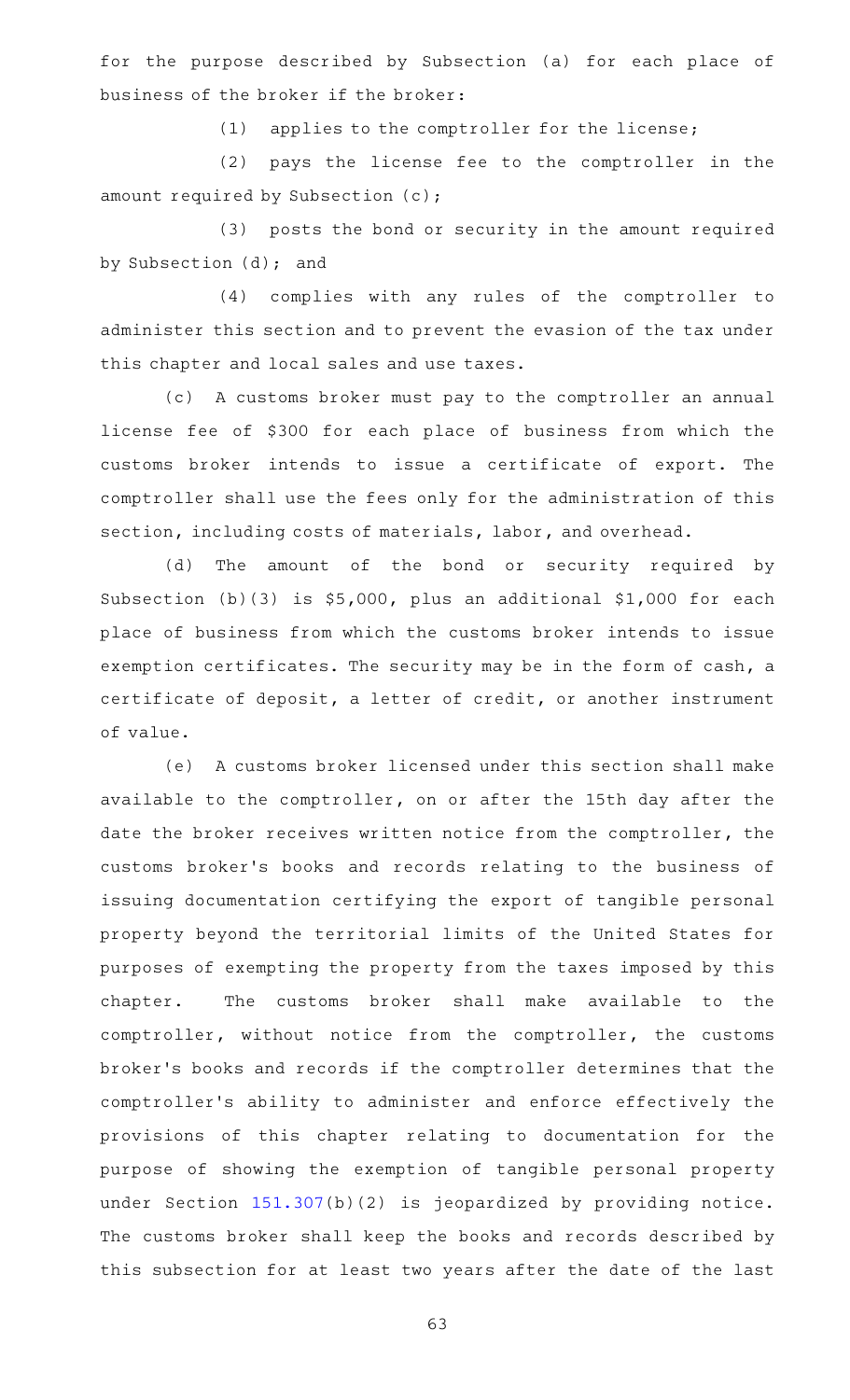for the purpose described by Subsection (a) for each place of business of the broker if the broker:

(1) applies to the comptroller for the license;

(2) pays the license fee to the comptroller in the amount required by Subsection (c);

(3) posts the bond or security in the amount required by Subsection (d); and

(4) complies with any rules of the comptroller to administer this section and to prevent the evasion of the tax under this chapter and local sales and use taxes.

(c) A customs broker must pay to the comptroller an annual license fee of \$300 for each place of business from which the customs broker intends to issue a certificate of export. The comptroller shall use the fees only for the administration of this section, including costs of materials, labor, and overhead.

(d) The amount of the bond or security required by Subsection (b)(3) is \$5,000, plus an additional \$1,000 for each place of business from which the customs broker intends to issue exemption certificates. The security may be in the form of cash, a certificate of deposit, a letter of credit, or another instrument of value.

(e) A customs broker licensed under this section shall make available to the comptroller, on or after the 15th day after the date the broker receives written notice from the comptroller, the customs broker 's books and records relating to the business of issuing documentation certifying the export of tangible personal property beyond the territorial limits of the United States for purposes of exempting the property from the taxes imposed by this chapter. The customs broker shall make available to the comptroller, without notice from the comptroller, the customs broker 's books and records if the comptroller determines that the comptroller 's ability to administer and enforce effectively the provisions of this chapter relating to documentation for the purpose of showing the exemption of tangible personal property under Section [151.307\(](https://statutes.capitol.texas.gov/GetStatute.aspx?Code=TX&Value=151.307)b)(2) is jeopardized by providing notice. The customs broker shall keep the books and records described by this subsection for at least two years after the date of the last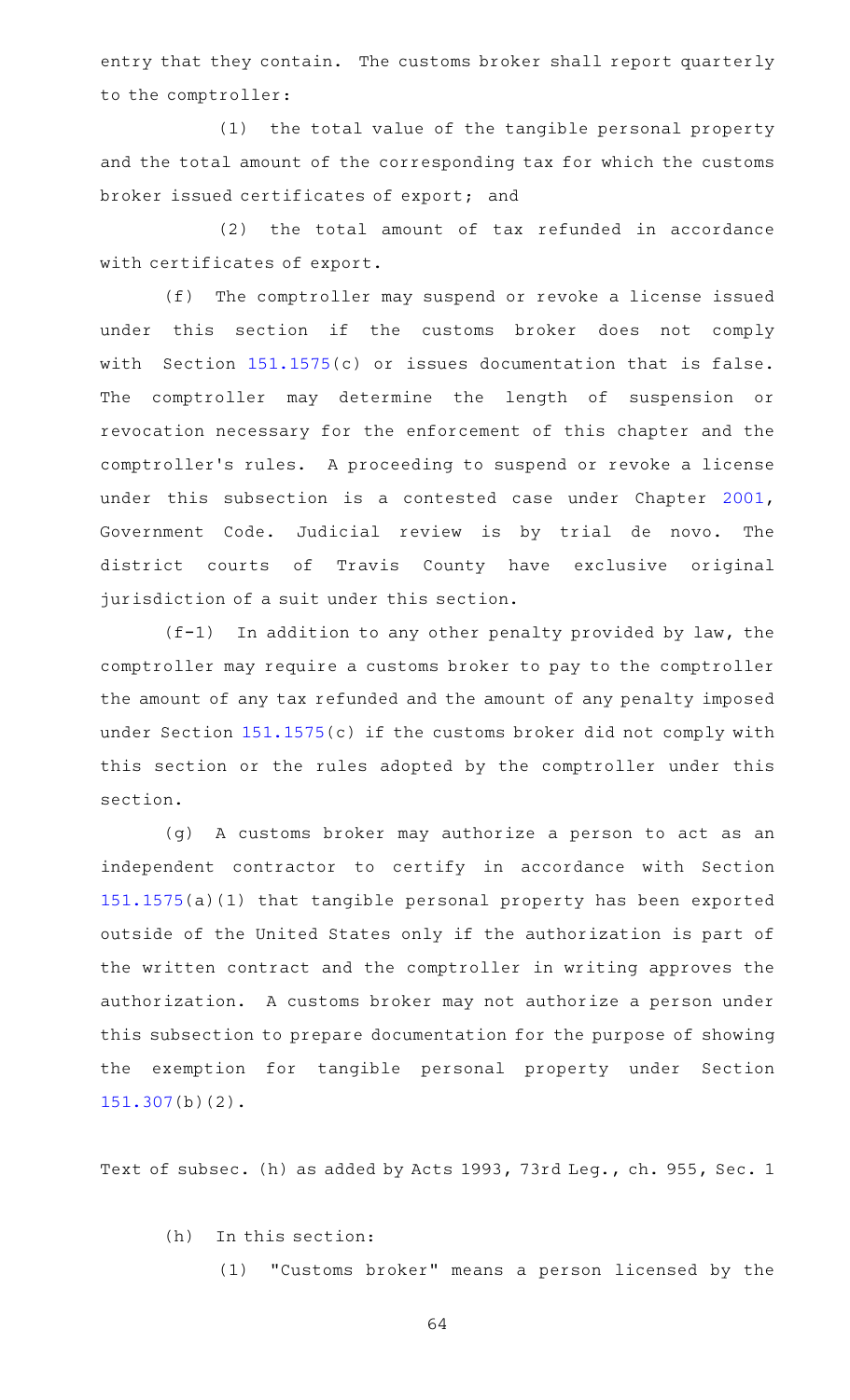entry that they contain. The customs broker shall report quarterly to the comptroller:

(1) the total value of the tangible personal property and the total amount of the corresponding tax for which the customs broker issued certificates of export; and

 $(2)$  the total amount of tax refunded in accordance with certificates of export.

(f) The comptroller may suspend or revoke a license issued under this section if the customs broker does not comply with Section  $151.1575(c)$  $151.1575(c)$  or issues documentation that is false. The comptroller may determine the length of suspension or revocation necessary for the enforcement of this chapter and the comptroller's rules. A proceeding to suspend or revoke a license under this subsection is a contested case under Chapter [2001](https://statutes.capitol.texas.gov/GetStatute.aspx?Code=GV&Value=2001), Government Code. Judicial review is by trial de novo. The district courts of Travis County have exclusive original jurisdiction of a suit under this section.

 $(f-1)$  In addition to any other penalty provided by law, the comptroller may require a customs broker to pay to the comptroller the amount of any tax refunded and the amount of any penalty imposed under Section [151.1575](https://statutes.capitol.texas.gov/GetStatute.aspx?Code=TX&Value=151.1575)(c) if the customs broker did not comply with this section or the rules adopted by the comptroller under this section.

(g) A customs broker may authorize a person to act as an independent contractor to certify in accordance with Section [151.1575](https://statutes.capitol.texas.gov/GetStatute.aspx?Code=TX&Value=151.1575)(a)(1) that tangible personal property has been exported outside of the United States only if the authorization is part of the written contract and the comptroller in writing approves the authorization. A customs broker may not authorize a person under this subsection to prepare documentation for the purpose of showing the exemption for tangible personal property under Section [151.307\(](https://statutes.capitol.texas.gov/GetStatute.aspx?Code=TX&Value=151.307)b)(2).

Text of subsec. (h) as added by Acts 1993, 73rd Leg., ch. 955, Sec. 1

 $(h)$  In this section:

(1) "Customs broker" means a person licensed by the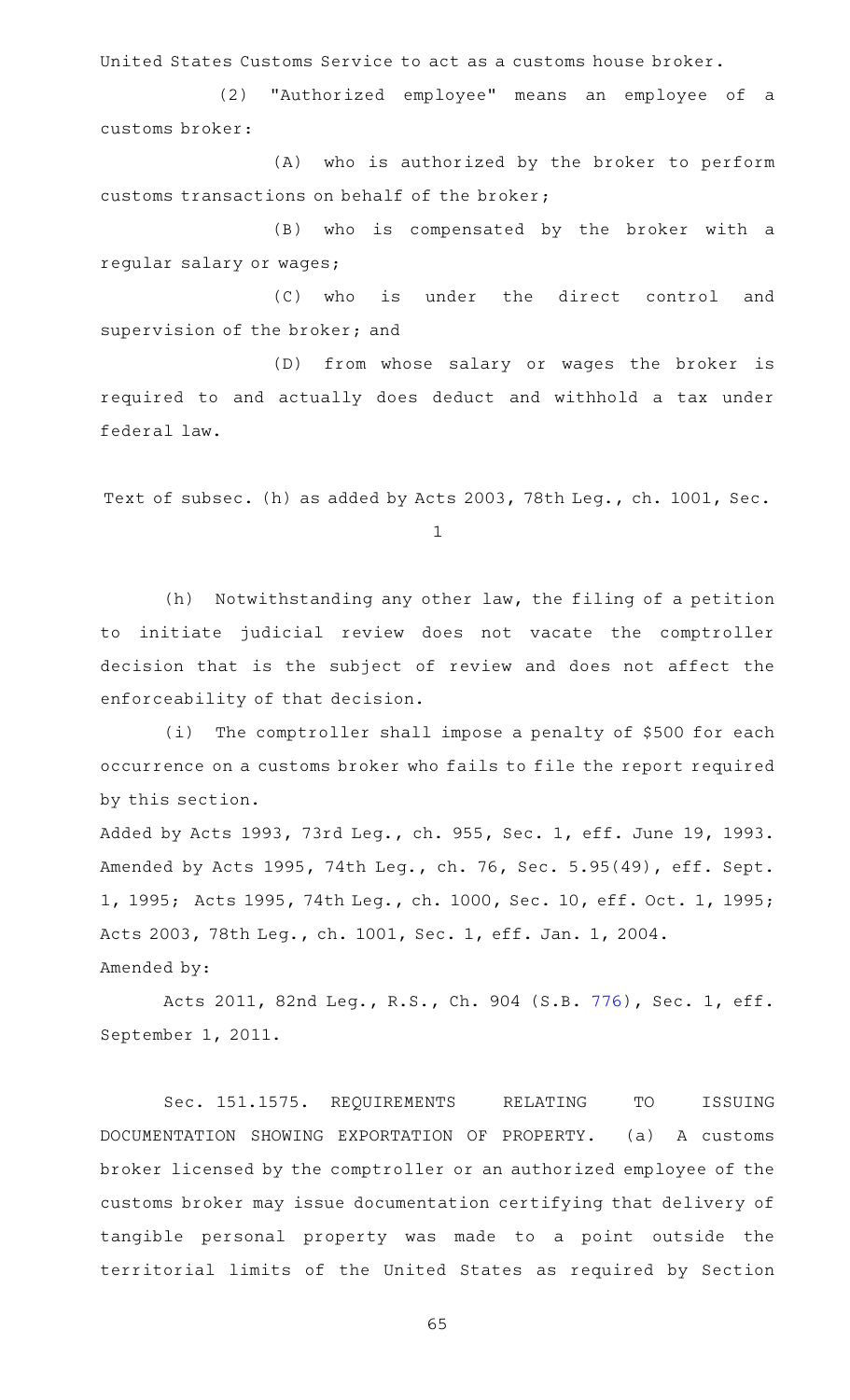United States Customs Service to act as a customs house broker.

(2) "Authorized employee" means an employee of a customs broker:

(A) who is authorized by the broker to perform customs transactions on behalf of the broker;

(B) who is compensated by the broker with a regular salary or wages;

(C) who is under the direct control and supervision of the broker; and

(D) from whose salary or wages the broker is required to and actually does deduct and withhold a tax under federal law.

Text of subsec. (h) as added by Acts 2003, 78th Leg., ch. 1001, Sec.

1

(h) Notwithstanding any other law, the filing of a petition to initiate judicial review does not vacate the comptroller decision that is the subject of review and does not affect the enforceability of that decision.

(i) The comptroller shall impose a penalty of \$500 for each occurrence on a customs broker who fails to file the report required by this section.

Added by Acts 1993, 73rd Leg., ch. 955, Sec. 1, eff. June 19, 1993. Amended by Acts 1995, 74th Leg., ch. 76, Sec. 5.95(49), eff. Sept. 1, 1995; Acts 1995, 74th Leg., ch. 1000, Sec. 10, eff. Oct. 1, 1995; Acts 2003, 78th Leg., ch. 1001, Sec. 1, eff. Jan. 1, 2004. Amended by:

Acts 2011, 82nd Leg., R.S., Ch. 904 (S.B. [776](http://www.legis.state.tx.us/tlodocs/82R/billtext/html/SB00776F.HTM)), Sec. 1, eff. September 1, 2011.

Sec. 151.1575. REQUIREMENTS RELATING TO ISSUING DOCUMENTATION SHOWING EXPORTATION OF PROPERTY. (a) A customs broker licensed by the comptroller or an authorized employee of the customs broker may issue documentation certifying that delivery of tangible personal property was made to a point outside the territorial limits of the United States as required by Section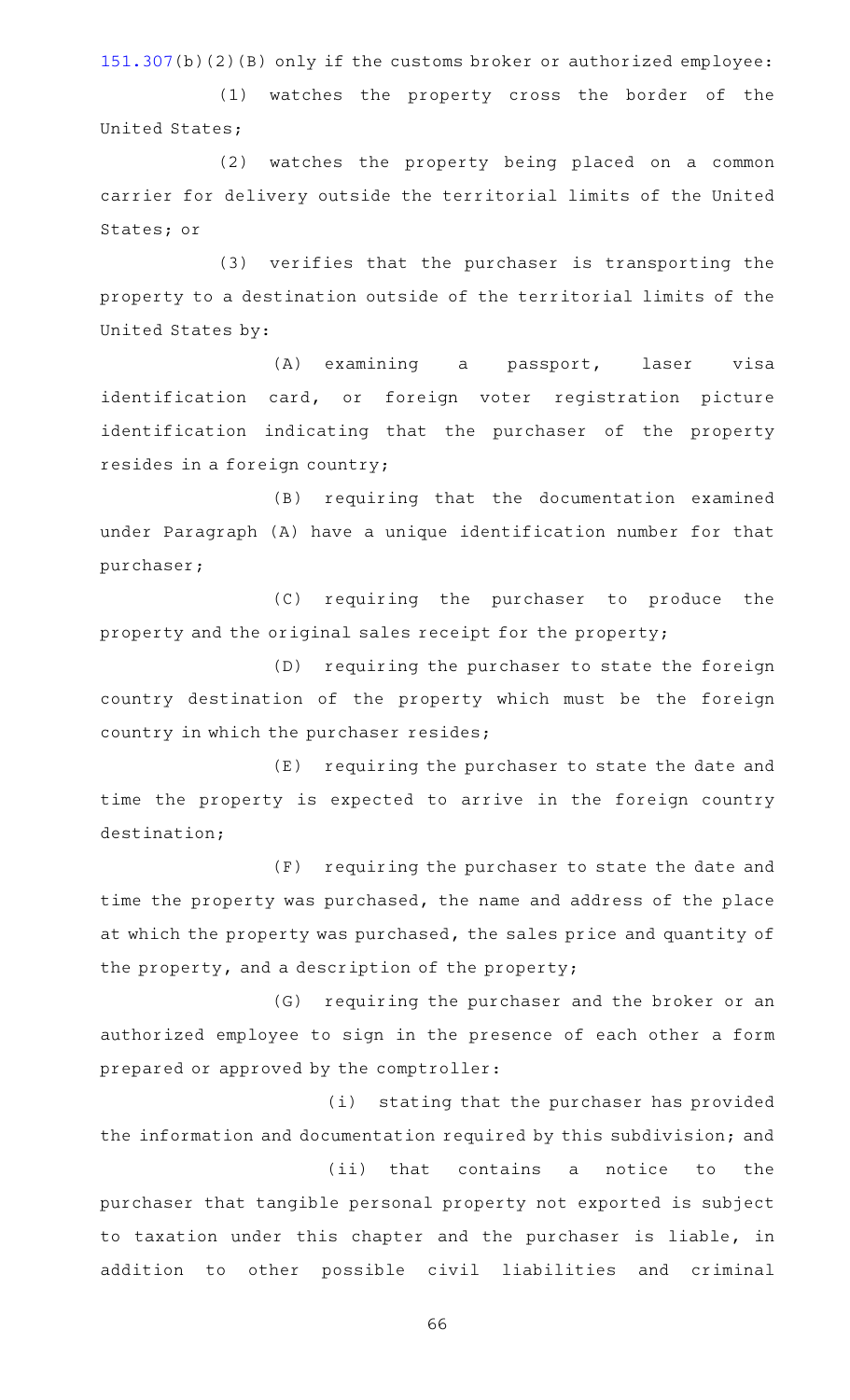[151.307\(](https://statutes.capitol.texas.gov/GetStatute.aspx?Code=TX&Value=151.307)b)(2)(B) only if the customs broker or authorized employee:

(1) watches the property cross the border of the United States;

(2) watches the property being placed on a common carrier for delivery outside the territorial limits of the United States; or

(3) verifies that the purchaser is transporting the property to a destination outside of the territorial limits of the United States by:

(A) examining a passport, laser visa identification card, or foreign voter registration picture identification indicating that the purchaser of the property resides in a foreign country;

(B) requiring that the documentation examined under Paragraph (A) have a unique identification number for that purchaser;

(C) requiring the purchaser to produce the property and the original sales receipt for the property;

(D) requiring the purchaser to state the foreign country destination of the property which must be the foreign country in which the purchaser resides;

(E) requiring the purchaser to state the date and time the property is expected to arrive in the foreign country destination;

(F) requiring the purchaser to state the date and time the property was purchased, the name and address of the place at which the property was purchased, the sales price and quantity of the property, and a description of the property;

(G) requiring the purchaser and the broker or an authorized employee to sign in the presence of each other a form prepared or approved by the comptroller:

(i) stating that the purchaser has provided the information and documentation required by this subdivision; and (ii) that contains a notice to the

purchaser that tangible personal property not exported is subject to taxation under this chapter and the purchaser is liable, in addition to other possible civil liabilities and criminal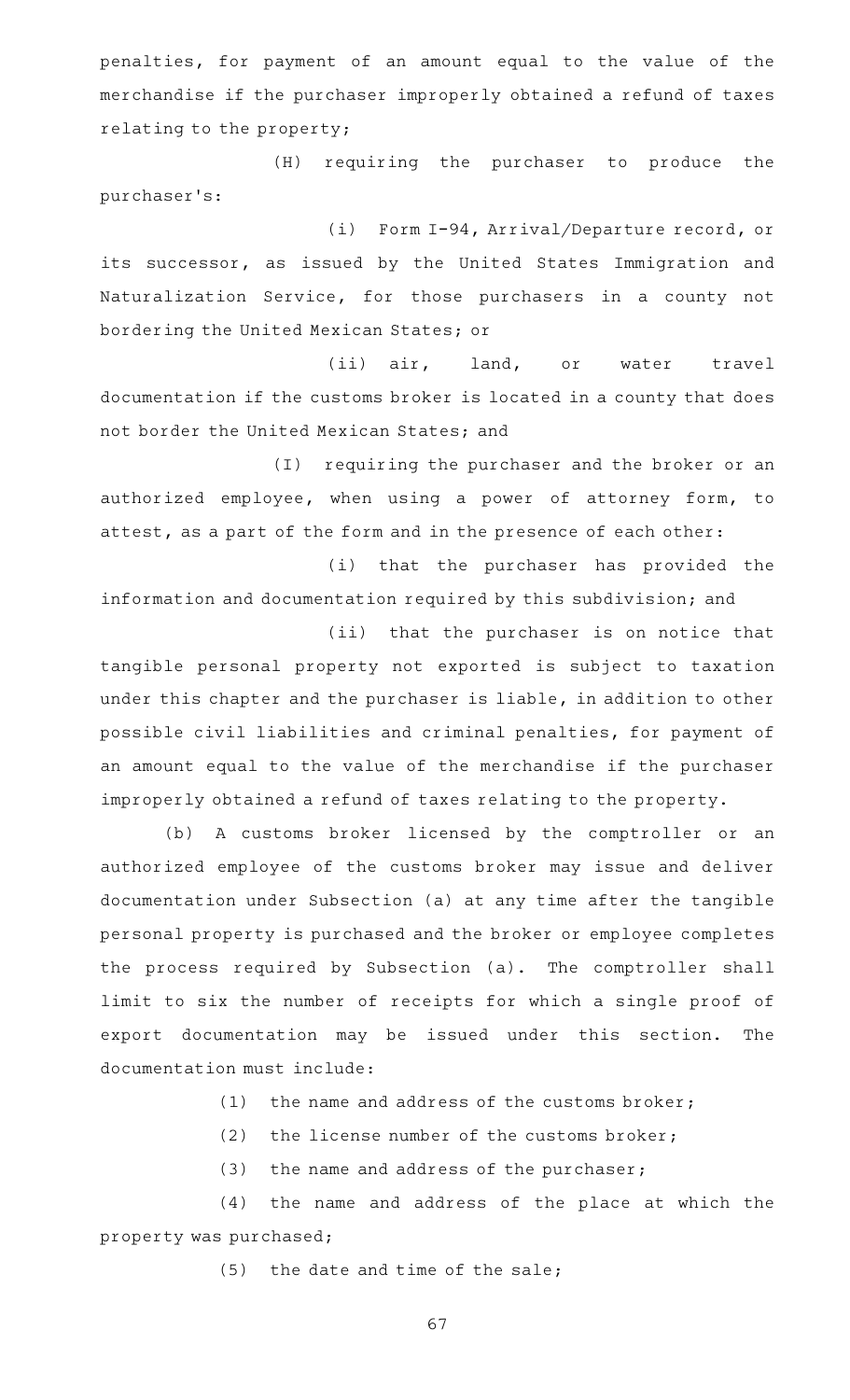penalties, for payment of an amount equal to the value of the merchandise if the purchaser improperly obtained a refund of taxes relating to the property;

(H) requiring the purchaser to produce the purchaser 's:

(i) Form I-94, Arrival/Departure record, or its successor, as issued by the United States Immigration and Naturalization Service, for those purchasers in a county not bordering the United Mexican States; or

(ii) air, land, or water travel documentation if the customs broker is located in a county that does not border the United Mexican States; and

(I) requiring the purchaser and the broker or an authorized employee, when using a power of attorney form, to attest, as a part of the form and in the presence of each other:

(i) that the purchaser has provided the information and documentation required by this subdivision; and

(ii) that the purchaser is on notice that tangible personal property not exported is subject to taxation under this chapter and the purchaser is liable, in addition to other possible civil liabilities and criminal penalties, for payment of an amount equal to the value of the merchandise if the purchaser improperly obtained a refund of taxes relating to the property.

(b) A customs broker licensed by the comptroller or an authorized employee of the customs broker may issue and deliver documentation under Subsection (a) at any time after the tangible personal property is purchased and the broker or employee completes the process required by Subsection (a). The comptroller shall limit to six the number of receipts for which a single proof of export documentation may be issued under this section. The documentation must include:

(1) the name and address of the customs broker;

(2) the license number of the customs broker;

 $(3)$  the name and address of the purchaser;

(4) the name and address of the place at which the property was purchased;

 $(5)$  the date and time of the sale;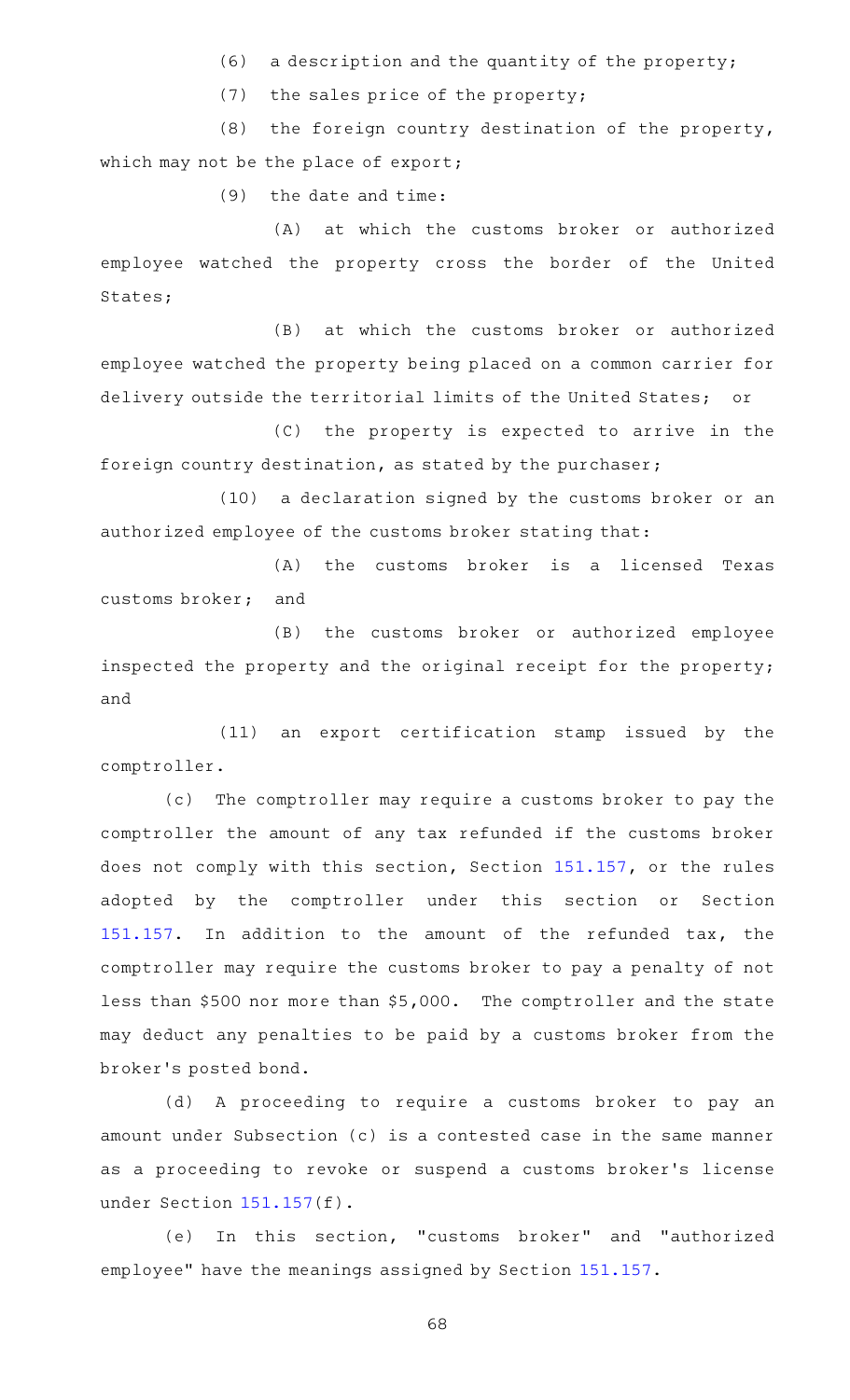$(6)$  a description and the quantity of the property;

 $(7)$  the sales price of the property;

 $(8)$  the foreign country destination of the property, which may not be the place of export;

 $(9)$  the date and time:

(A) at which the customs broker or authorized employee watched the property cross the border of the United States;

(B) at which the customs broker or authorized employee watched the property being placed on a common carrier for delivery outside the territorial limits of the United States; or

(C) the property is expected to arrive in the foreign country destination, as stated by the purchaser;

(10) a declaration signed by the customs broker or an authorized employee of the customs broker stating that:

(A) the customs broker is a licensed Texas customs broker; and

(B) the customs broker or authorized employee inspected the property and the original receipt for the property; and

(11) an export certification stamp issued by the comptroller.

(c) The comptroller may require a customs broker to pay the comptroller the amount of any tax refunded if the customs broker does not comply with this section, Section [151.157](https://statutes.capitol.texas.gov/GetStatute.aspx?Code=TX&Value=151.157), or the rules adopted by the comptroller under this section or Section [151.157.](https://statutes.capitol.texas.gov/GetStatute.aspx?Code=TX&Value=151.157) In addition to the amount of the refunded tax, the comptroller may require the customs broker to pay a penalty of not less than \$500 nor more than \$5,000. The comptroller and the state may deduct any penalties to be paid by a customs broker from the broker 's posted bond.

(d)AAA proceeding to require a customs broker to pay an amount under Subsection (c) is a contested case in the same manner as a proceeding to revoke or suspend a customs broker 's license under Section [151.157](https://statutes.capitol.texas.gov/GetStatute.aspx?Code=TX&Value=151.157)(f).

(e) In this section, "customs broker" and "authorized employee" have the meanings assigned by Section [151.157.](https://statutes.capitol.texas.gov/GetStatute.aspx?Code=TX&Value=151.157)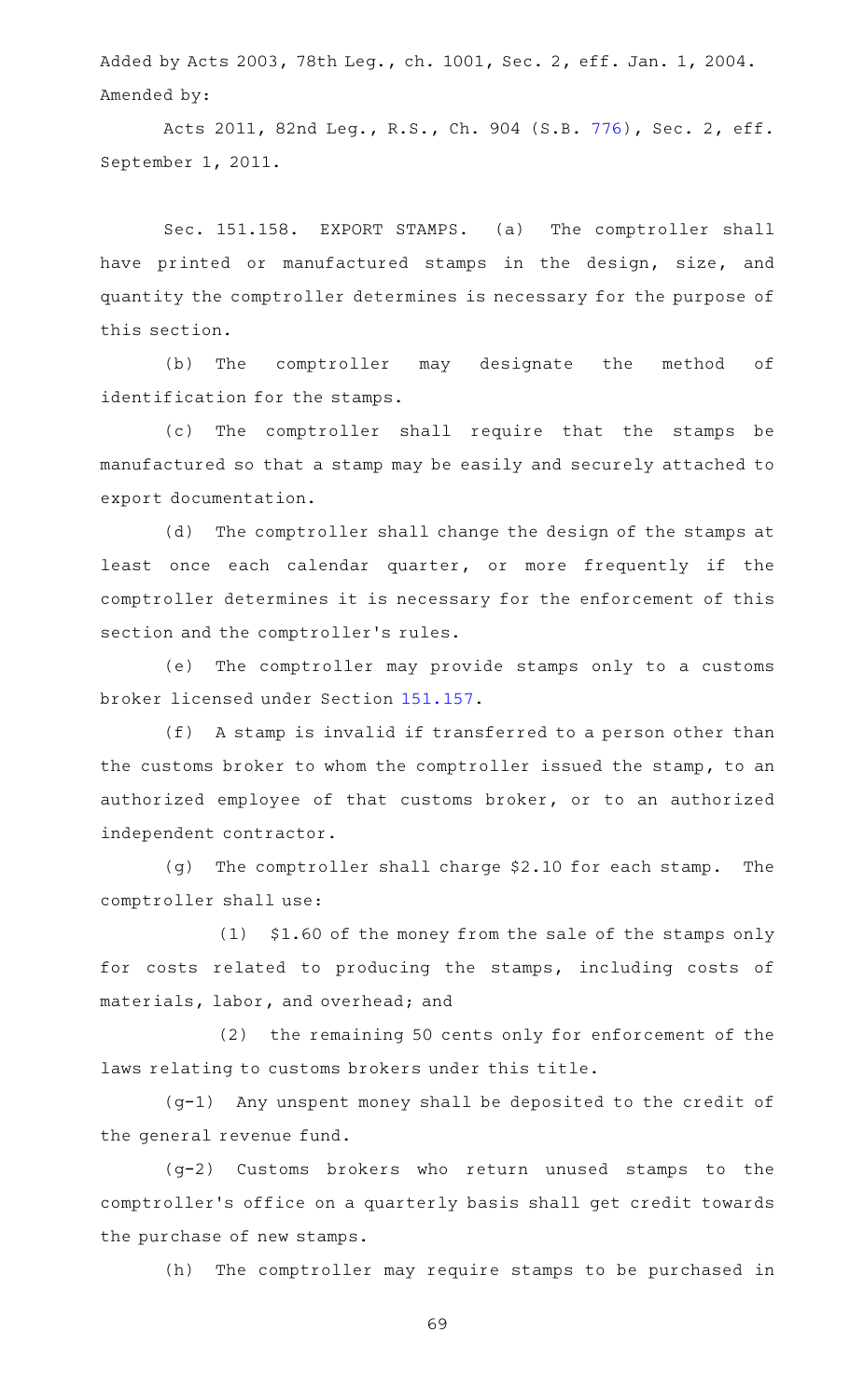Added by Acts 2003, 78th Leg., ch. 1001, Sec. 2, eff. Jan. 1, 2004. Amended by:

Acts 2011, 82nd Leg., R.S., Ch. 904 (S.B. [776](http://www.legis.state.tx.us/tlodocs/82R/billtext/html/SB00776F.HTM)), Sec. 2, eff. September 1, 2011.

Sec. 151.158. EXPORT STAMPS. (a) The comptroller shall have printed or manufactured stamps in the design, size, and quantity the comptroller determines is necessary for the purpose of this section.

(b) The comptroller may designate the method of identification for the stamps.

(c) The comptroller shall require that the stamps be manufactured so that a stamp may be easily and securely attached to export documentation.

(d) The comptroller shall change the design of the stamps at least once each calendar quarter, or more frequently if the comptroller determines it is necessary for the enforcement of this section and the comptroller 's rules.

(e) The comptroller may provide stamps only to a customs broker licensed under Section [151.157](https://statutes.capitol.texas.gov/GetStatute.aspx?Code=TX&Value=151.157).

(f) A stamp is invalid if transferred to a person other than the customs broker to whom the comptroller issued the stamp, to an authorized employee of that customs broker, or to an authorized independent contractor.

(g) The comptroller shall charge  $$2.10$  for each stamp. The comptroller shall use:

 $(1)$  \$1.60 of the money from the sale of the stamps only for costs related to producing the stamps, including costs of materials, labor, and overhead; and

(2) the remaining 50 cents only for enforcement of the laws relating to customs brokers under this title.

(g-1) Any unspent money shall be deposited to the credit of the general revenue fund.

(g-2) Customs brokers who return unused stamps to the comptroller 's office on a quarterly basis shall get credit towards the purchase of new stamps.

(h) The comptroller may require stamps to be purchased in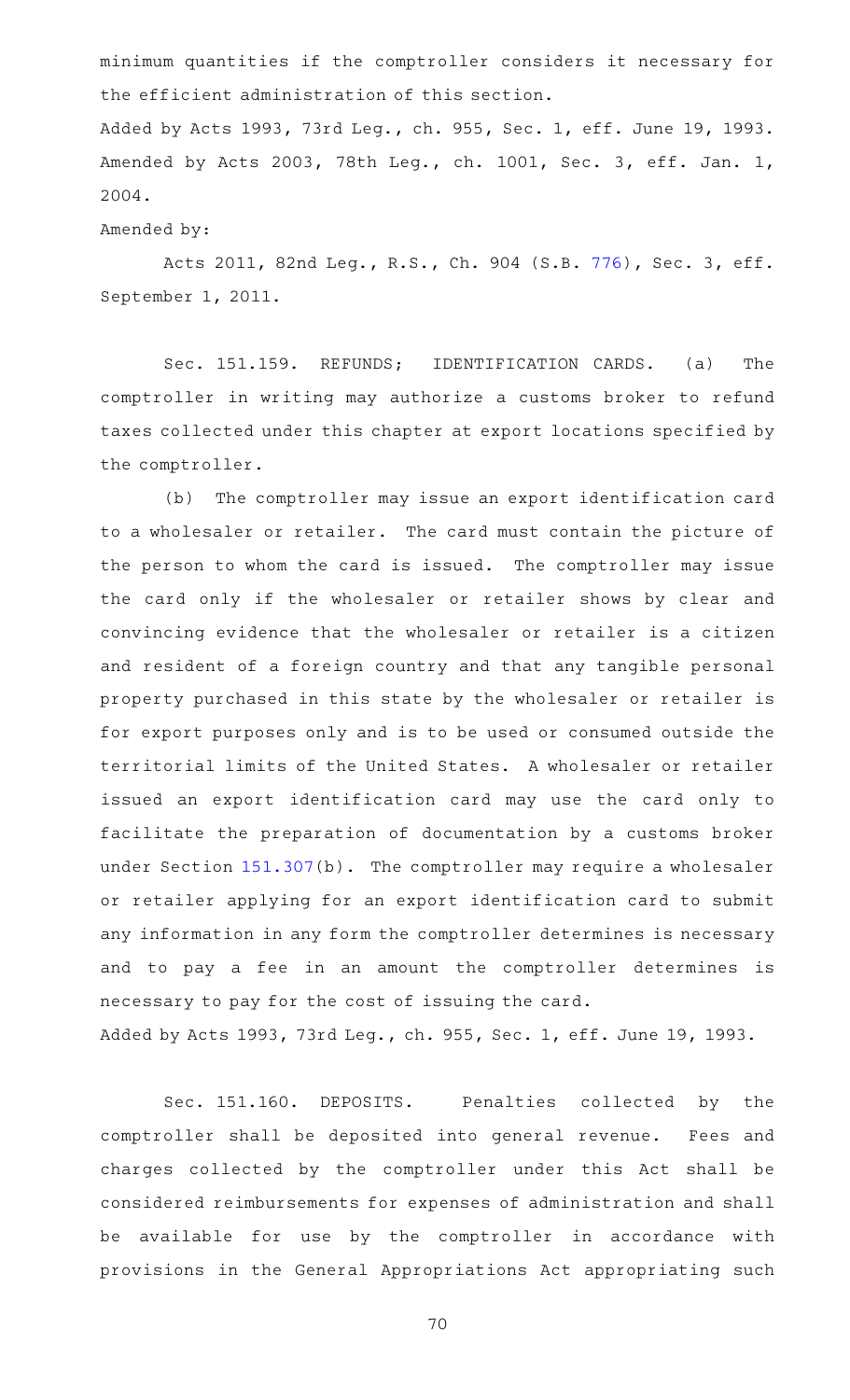minimum quantities if the comptroller considers it necessary for the efficient administration of this section.

Added by Acts 1993, 73rd Leg., ch. 955, Sec. 1, eff. June 19, 1993. Amended by Acts 2003, 78th Leg., ch. 1001, Sec. 3, eff. Jan. 1, 2004.

Amended by:

Acts 2011, 82nd Leg., R.S., Ch. 904 (S.B. [776](http://www.legis.state.tx.us/tlodocs/82R/billtext/html/SB00776F.HTM)), Sec. 3, eff. September 1, 2011.

Sec. 151.159. REFUNDS; IDENTIFICATION CARDS. (a) The comptroller in writing may authorize a customs broker to refund taxes collected under this chapter at export locations specified by the comptroller.

(b) The comptroller may issue an export identification card to a wholesaler or retailer. The card must contain the picture of the person to whom the card is issued. The comptroller may issue the card only if the wholesaler or retailer shows by clear and convincing evidence that the wholesaler or retailer is a citizen and resident of a foreign country and that any tangible personal property purchased in this state by the wholesaler or retailer is for export purposes only and is to be used or consumed outside the territorial limits of the United States. A wholesaler or retailer issued an export identification card may use the card only to facilitate the preparation of documentation by a customs broker under Section [151.307](https://statutes.capitol.texas.gov/GetStatute.aspx?Code=TX&Value=151.307)(b). The comptroller may require a wholesaler or retailer applying for an export identification card to submit any information in any form the comptroller determines is necessary and to pay a fee in an amount the comptroller determines is necessary to pay for the cost of issuing the card.

Added by Acts 1993, 73rd Leg., ch. 955, Sec. 1, eff. June 19, 1993.

Sec. 151.160. DEPOSITS. Penalties collected by the comptroller shall be deposited into general revenue. Fees and charges collected by the comptroller under this Act shall be considered reimbursements for expenses of administration and shall be available for use by the comptroller in accordance with provisions in the General Appropriations Act appropriating such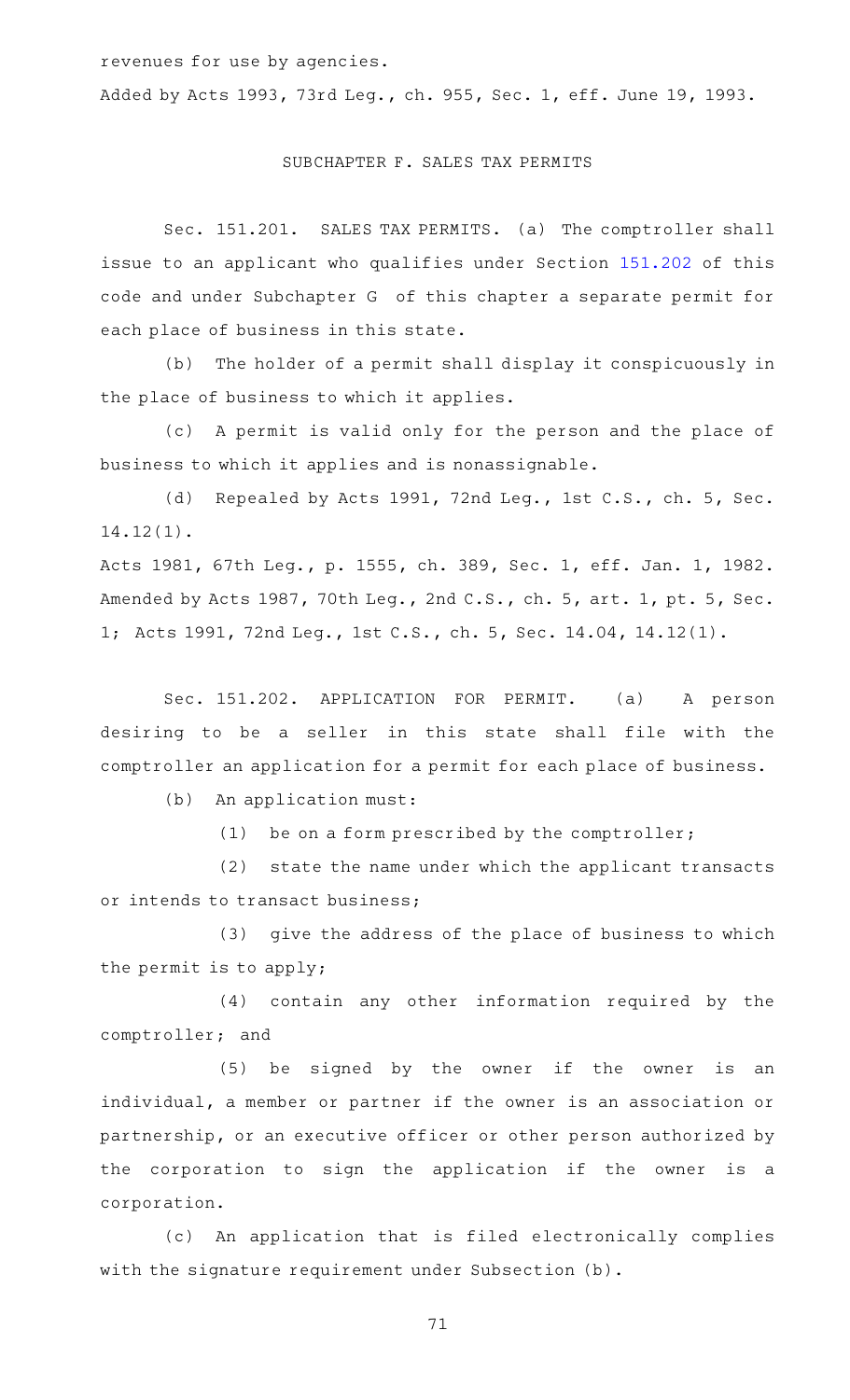revenues for use by agencies.

Added by Acts 1993, 73rd Leg., ch. 955, Sec. 1, eff. June 19, 1993.

## SUBCHAPTER F. SALES TAX PERMITS

Sec. 151.201. SALES TAX PERMITS. (a) The comptroller shall issue to an applicant who qualifies under Section [151.202](https://statutes.capitol.texas.gov/GetStatute.aspx?Code=TX&Value=151.202) of this code and under Subchapter G of this chapter a separate permit for each place of business in this state.

(b) The holder of a permit shall display it conspicuously in the place of business to which it applies.

(c) A permit is valid only for the person and the place of business to which it applies and is nonassignable.

(d) Repealed by Acts 1991, 72nd Leg., 1st C.S., ch. 5, Sec. 14.12(1).

Acts 1981, 67th Leg., p. 1555, ch. 389, Sec. 1, eff. Jan. 1, 1982. Amended by Acts 1987, 70th Leg., 2nd C.S., ch. 5, art. 1, pt. 5, Sec. 1; Acts 1991, 72nd Leg., 1st C.S., ch. 5, Sec. 14.04, 14.12(1).

Sec. 151.202. APPLICATION FOR PERMIT. (a) A person desiring to be a seller in this state shall file with the comptroller an application for a permit for each place of business.

(b) An application must:

(1) be on a form prescribed by the comptroller;

(2) state the name under which the applicant transacts or intends to transact business;

(3) give the address of the place of business to which the permit is to apply;

(4) contain any other information required by the comptroller; and

(5) be signed by the owner if the owner is an individual, a member or partner if the owner is an association or partnership, or an executive officer or other person authorized by the corporation to sign the application if the owner is a corporation.

(c) An application that is filed electronically complies with the signature requirement under Subsection (b).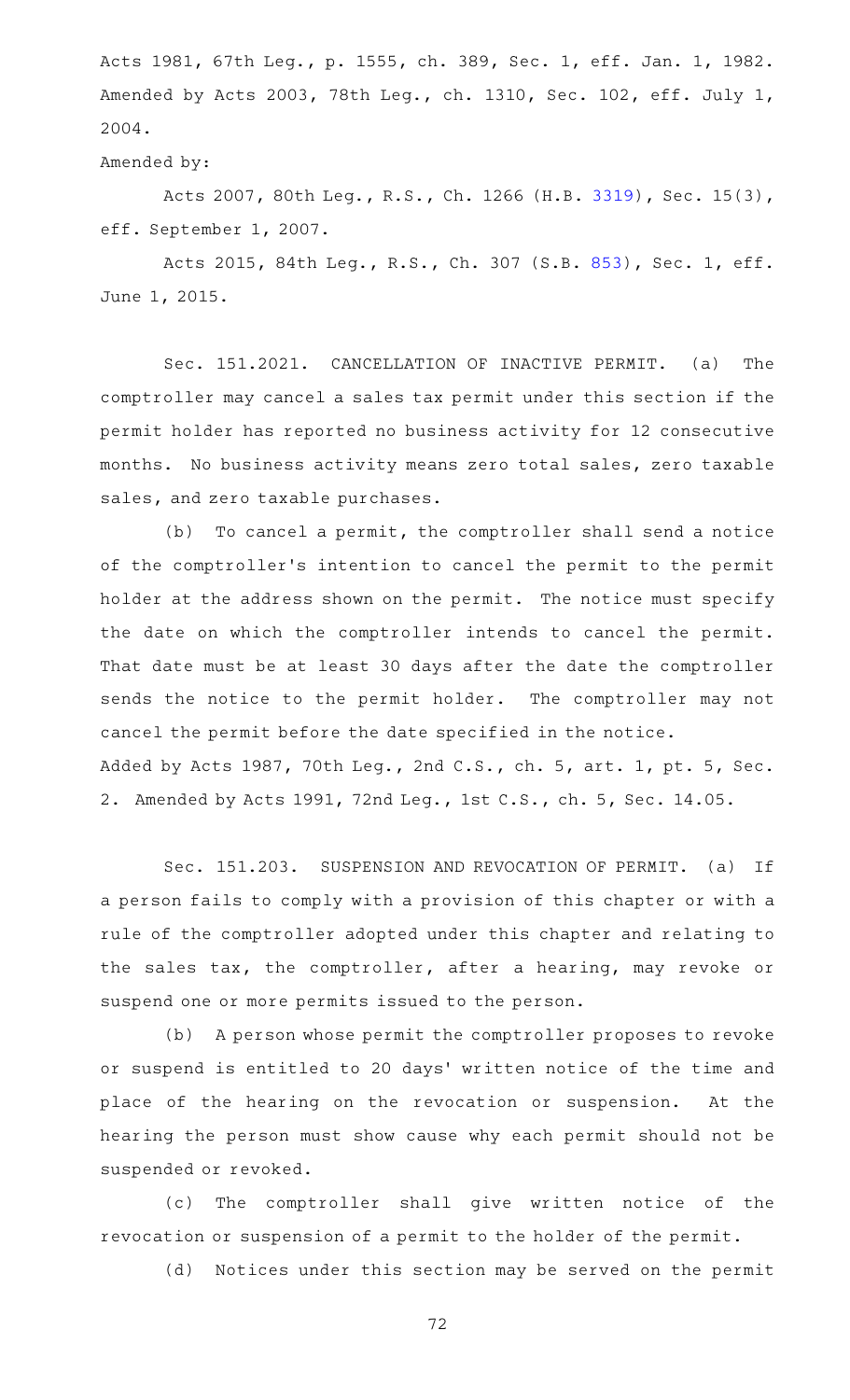Acts 1981, 67th Leg., p. 1555, ch. 389, Sec. 1, eff. Jan. 1, 1982. Amended by Acts 2003, 78th Leg., ch. 1310, Sec. 102, eff. July 1, 2004.

Amended by:

Acts 2007, 80th Leg., R.S., Ch. 1266 (H.B. [3319](http://www.legis.state.tx.us/tlodocs/80R/billtext/html/HB03319F.HTM)), Sec. 15(3), eff. September 1, 2007.

Acts 2015, 84th Leg., R.S., Ch. 307 (S.B. [853](http://www.legis.state.tx.us/tlodocs/84R/billtext/html/SB00853F.HTM)), Sec. 1, eff. June 1, 2015.

Sec. 151.2021. CANCELLATION OF INACTIVE PERMIT. (a) The comptroller may cancel a sales tax permit under this section if the permit holder has reported no business activity for 12 consecutive months. No business activity means zero total sales, zero taxable sales, and zero taxable purchases.

(b) To cancel a permit, the comptroller shall send a notice of the comptroller 's intention to cancel the permit to the permit holder at the address shown on the permit. The notice must specify the date on which the comptroller intends to cancel the permit. That date must be at least 30 days after the date the comptroller sends the notice to the permit holder. The comptroller may not cancel the permit before the date specified in the notice. Added by Acts 1987, 70th Leg., 2nd C.S., ch. 5, art. 1, pt. 5, Sec. 2. Amended by Acts 1991, 72nd Leg., 1st C.S., ch. 5, Sec. 14.05.

Sec. 151.203. SUSPENSION AND REVOCATION OF PERMIT. (a) If a person fails to comply with a provision of this chapter or with a rule of the comptroller adopted under this chapter and relating to the sales tax, the comptroller, after a hearing, may revoke or suspend one or more permits issued to the person.

(b) A person whose permit the comptroller proposes to revoke or suspend is entitled to 20 days' written notice of the time and place of the hearing on the revocation or suspension. At the hearing the person must show cause why each permit should not be suspended or revoked.

(c) The comptroller shall give written notice of the revocation or suspension of a permit to the holder of the permit.

(d) Notices under this section may be served on the permit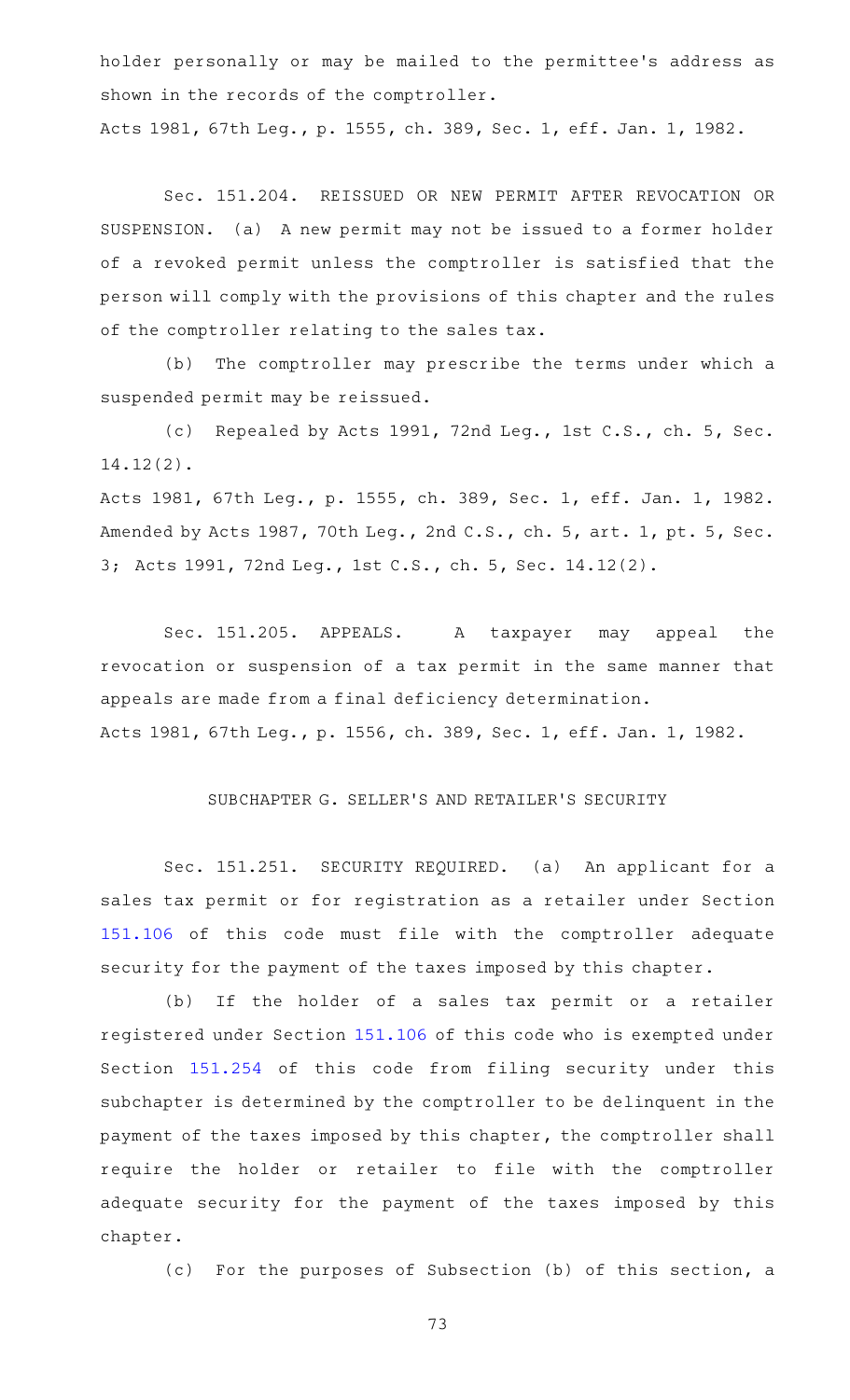holder personally or may be mailed to the permittee 's address as shown in the records of the comptroller.

Acts 1981, 67th Leg., p. 1555, ch. 389, Sec. 1, eff. Jan. 1, 1982.

Sec. 151.204. REISSUED OR NEW PERMIT AFTER REVOCATION OR SUSPENSION. (a) A new permit may not be issued to a former holder of a revoked permit unless the comptroller is satisfied that the person will comply with the provisions of this chapter and the rules of the comptroller relating to the sales tax.

(b) The comptroller may prescribe the terms under which a suspended permit may be reissued.

(c) Repealed by Acts 1991, 72nd Leg., 1st C.S., ch. 5, Sec. 14.12(2).

Acts 1981, 67th Leg., p. 1555, ch. 389, Sec. 1, eff. Jan. 1, 1982. Amended by Acts 1987, 70th Leg., 2nd C.S., ch. 5, art. 1, pt. 5, Sec. 3; Acts 1991, 72nd Leg., 1st C.S., ch. 5, Sec. 14.12(2).

Sec. 151.205. APPEALS. A taxpayer may appeal the revocation or suspension of a tax permit in the same manner that appeals are made from a final deficiency determination. Acts 1981, 67th Leg., p. 1556, ch. 389, Sec. 1, eff. Jan. 1, 1982.

## SUBCHAPTER G. SELLER 'S AND RETAILER 'S SECURITY

Sec. 151.251. SECURITY REQUIRED. (a) An applicant for a sales tax permit or for registration as a retailer under Section [151.106](https://statutes.capitol.texas.gov/GetStatute.aspx?Code=TX&Value=151.106) of this code must file with the comptroller adequate security for the payment of the taxes imposed by this chapter.

(b) If the holder of a sales tax permit or a retailer registered under Section [151.106](https://statutes.capitol.texas.gov/GetStatute.aspx?Code=TX&Value=151.106) of this code who is exempted under Section [151.254](https://statutes.capitol.texas.gov/GetStatute.aspx?Code=TX&Value=151.254) of this code from filing security under this subchapter is determined by the comptroller to be delinquent in the payment of the taxes imposed by this chapter, the comptroller shall require the holder or retailer to file with the comptroller adequate security for the payment of the taxes imposed by this chapter.

(c) For the purposes of Subsection (b) of this section, a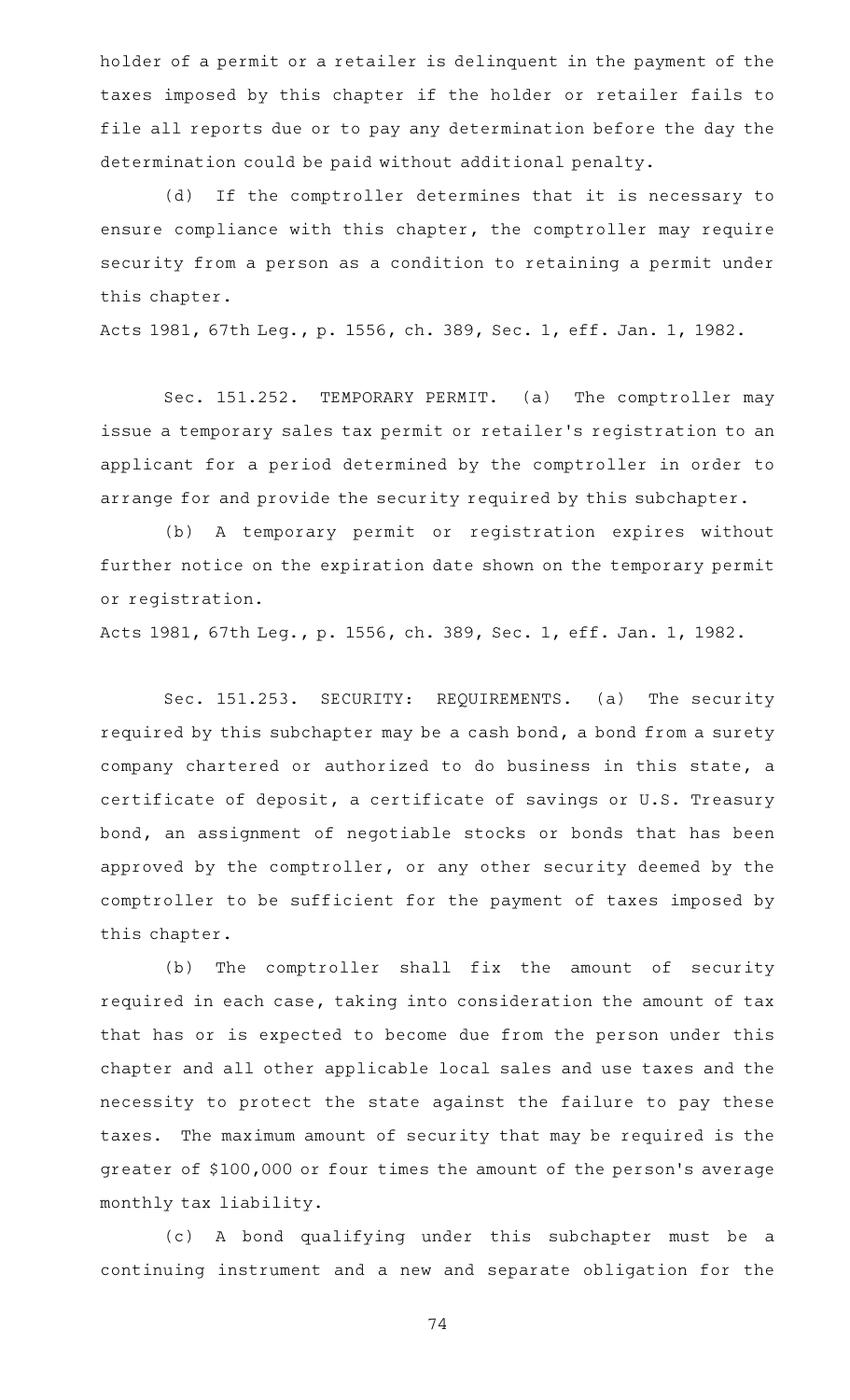holder of a permit or a retailer is delinquent in the payment of the taxes imposed by this chapter if the holder or retailer fails to file all reports due or to pay any determination before the day the determination could be paid without additional penalty.

(d) If the comptroller determines that it is necessary to ensure compliance with this chapter, the comptroller may require security from a person as a condition to retaining a permit under this chapter.

Acts 1981, 67th Leg., p. 1556, ch. 389, Sec. 1, eff. Jan. 1, 1982.

Sec. 151.252. TEMPORARY PERMIT. (a) The comptroller may issue a temporary sales tax permit or retailer 's registration to an applicant for a period determined by the comptroller in order to arrange for and provide the security required by this subchapter.

(b) A temporary permit or registration expires without further notice on the expiration date shown on the temporary permit or registration.

Acts 1981, 67th Leg., p. 1556, ch. 389, Sec. 1, eff. Jan. 1, 1982.

Sec. 151.253. SECURITY: REQUIREMENTS. (a) The security required by this subchapter may be a cash bond, a bond from a surety company chartered or authorized to do business in this state, a certificate of deposit, a certificate of savings or U.S. Treasury bond, an assignment of negotiable stocks or bonds that has been approved by the comptroller, or any other security deemed by the comptroller to be sufficient for the payment of taxes imposed by this chapter.

(b) The comptroller shall fix the amount of security required in each case, taking into consideration the amount of tax that has or is expected to become due from the person under this chapter and all other applicable local sales and use taxes and the necessity to protect the state against the failure to pay these taxes. The maximum amount of security that may be required is the greater of \$100,000 or four times the amount of the person 's average monthly tax liability.

(c)AAA bond qualifying under this subchapter must be a continuing instrument and a new and separate obligation for the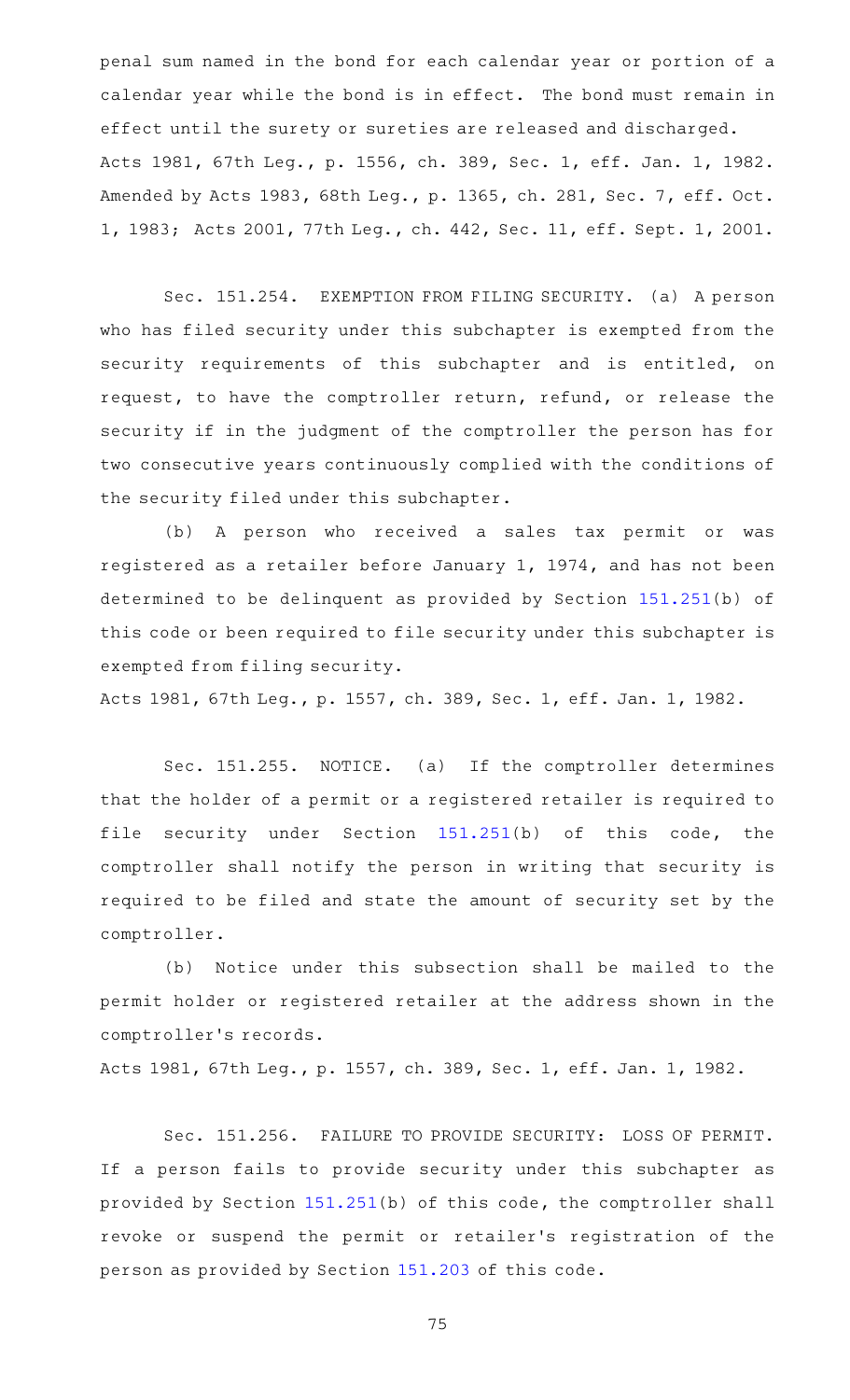penal sum named in the bond for each calendar year or portion of a calendar year while the bond is in effect. The bond must remain in effect until the surety or sureties are released and discharged. Acts 1981, 67th Leg., p. 1556, ch. 389, Sec. 1, eff. Jan. 1, 1982. Amended by Acts 1983, 68th Leg., p. 1365, ch. 281, Sec. 7, eff. Oct. 1, 1983; Acts 2001, 77th Leg., ch. 442, Sec. 11, eff. Sept. 1, 2001.

Sec. 151.254. EXEMPTION FROM FILING SECURITY. (a) A person who has filed security under this subchapter is exempted from the security requirements of this subchapter and is entitled, on request, to have the comptroller return, refund, or release the security if in the judgment of the comptroller the person has for two consecutive years continuously complied with the conditions of the security filed under this subchapter.

(b) A person who received a sales tax permit or was registered as a retailer before January 1, 1974, and has not been determined to be delinquent as provided by Section [151.251](https://statutes.capitol.texas.gov/GetStatute.aspx?Code=TX&Value=151.251)(b) of this code or been required to file security under this subchapter is exempted from filing security.

Acts 1981, 67th Leg., p. 1557, ch. 389, Sec. 1, eff. Jan. 1, 1982.

Sec. 151.255. NOTICE. (a) If the comptroller determines that the holder of a permit or a registered retailer is required to file security under Section [151.251\(](https://statutes.capitol.texas.gov/GetStatute.aspx?Code=TX&Value=151.251)b) of this code, the comptroller shall notify the person in writing that security is required to be filed and state the amount of security set by the comptroller.

(b) Notice under this subsection shall be mailed to the permit holder or registered retailer at the address shown in the comptroller 's records.

Acts 1981, 67th Leg., p. 1557, ch. 389, Sec. 1, eff. Jan. 1, 1982.

Sec. 151.256. FAILURE TO PROVIDE SECURITY: LOSS OF PERMIT. If a person fails to provide security under this subchapter as provided by Section [151.251\(](https://statutes.capitol.texas.gov/GetStatute.aspx?Code=TX&Value=151.251)b) of this code, the comptroller shall revoke or suspend the permit or retailer 's registration of the person as provided by Section [151.203](https://statutes.capitol.texas.gov/GetStatute.aspx?Code=TX&Value=151.203) of this code.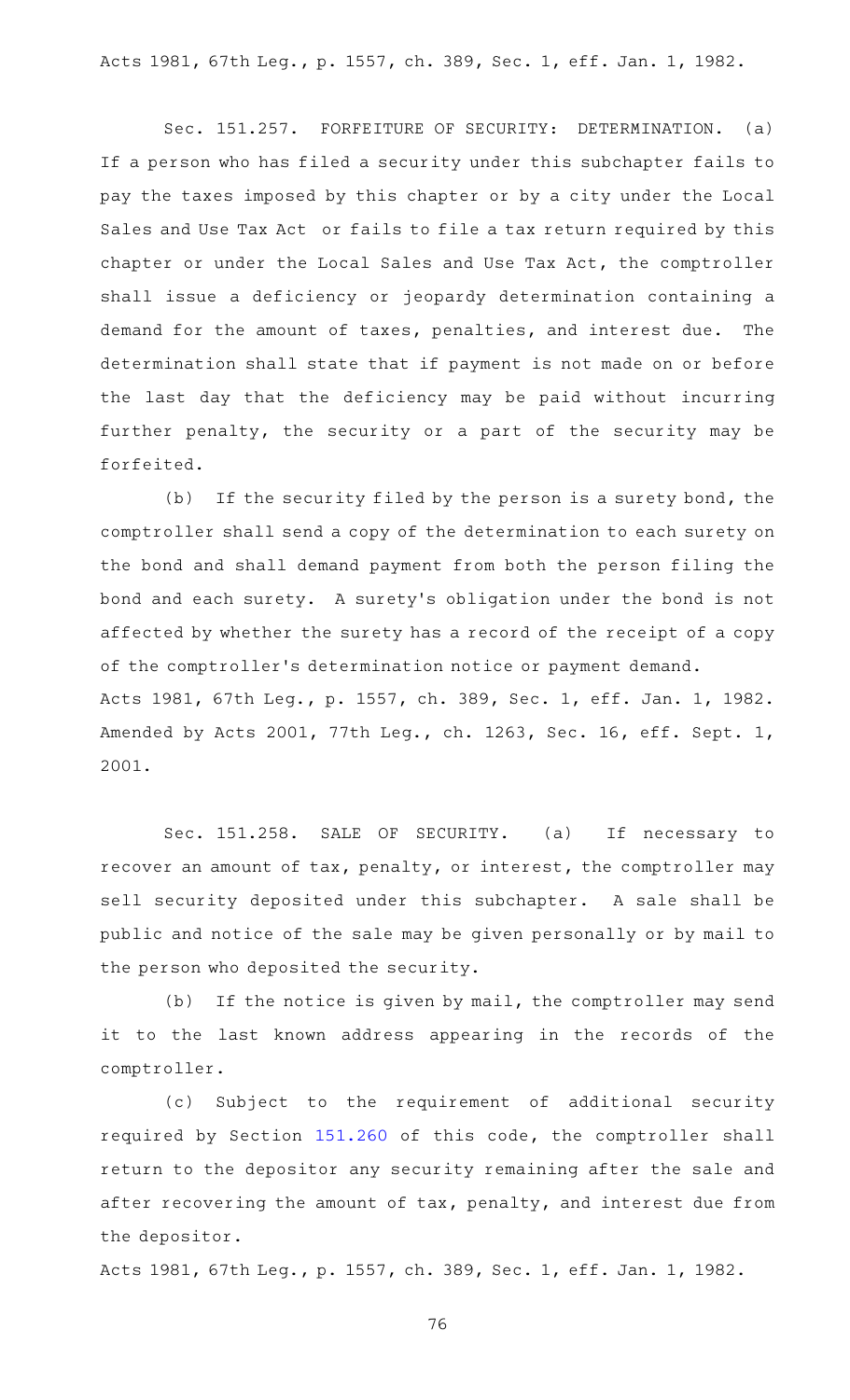Acts 1981, 67th Leg., p. 1557, ch. 389, Sec. 1, eff. Jan. 1, 1982.

Sec. 151.257. FORFEITURE OF SECURITY: DETERMINATION. (a) If a person who has filed a security under this subchapter fails to pay the taxes imposed by this chapter or by a city under the Local Sales and Use Tax Act or fails to file a tax return required by this chapter or under the Local Sales and Use Tax Act, the comptroller shall issue a deficiency or jeopardy determination containing a demand for the amount of taxes, penalties, and interest due. The determination shall state that if payment is not made on or before the last day that the deficiency may be paid without incurring further penalty, the security or a part of the security may be forfeited.

(b) If the security filed by the person is a surety bond, the comptroller shall send a copy of the determination to each surety on the bond and shall demand payment from both the person filing the bond and each surety. A surety 's obligation under the bond is not affected by whether the surety has a record of the receipt of a copy of the comptroller 's determination notice or payment demand. Acts 1981, 67th Leg., p. 1557, ch. 389, Sec. 1, eff. Jan. 1, 1982. Amended by Acts 2001, 77th Leg., ch. 1263, Sec. 16, eff. Sept. 1, 2001.

Sec. 151.258. SALE OF SECURITY. (a) If necessary to recover an amount of tax, penalty, or interest, the comptroller may sell security deposited under this subchapter. A sale shall be public and notice of the sale may be given personally or by mail to the person who deposited the security.

(b) If the notice is given by mail, the comptroller may send it to the last known address appearing in the records of the comptroller.

(c) Subject to the requirement of additional security required by Section [151.260](https://statutes.capitol.texas.gov/GetStatute.aspx?Code=TX&Value=151.260) of this code, the comptroller shall return to the depositor any security remaining after the sale and after recovering the amount of tax, penalty, and interest due from the depositor.

Acts 1981, 67th Leg., p. 1557, ch. 389, Sec. 1, eff. Jan. 1, 1982.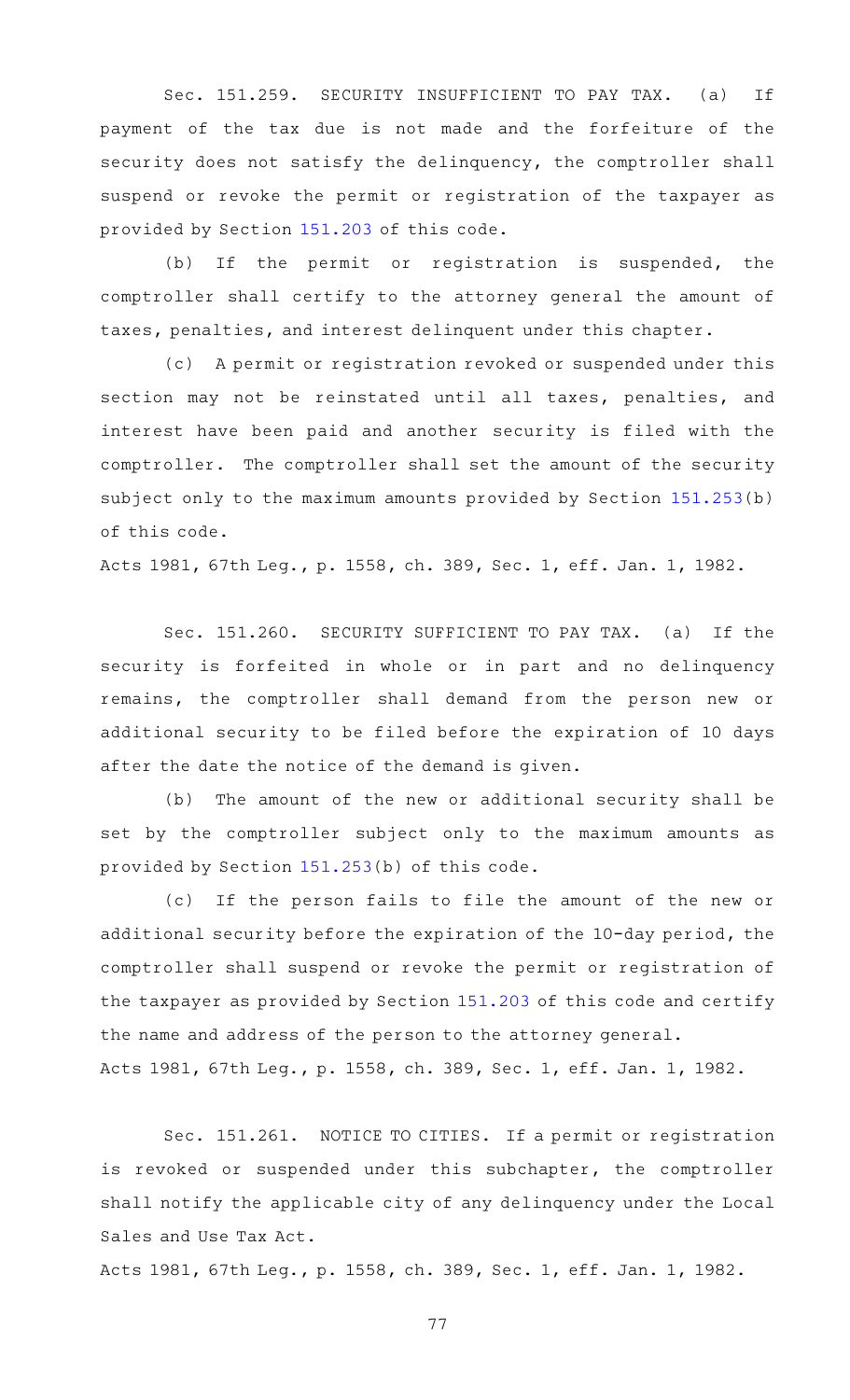Sec. 151.259. SECURITY INSUFFICIENT TO PAY TAX. (a) If payment of the tax due is not made and the forfeiture of the security does not satisfy the delinquency, the comptroller shall suspend or revoke the permit or registration of the taxpayer as provided by Section [151.203](https://statutes.capitol.texas.gov/GetStatute.aspx?Code=TX&Value=151.203) of this code.

(b) If the permit or registration is suspended, the comptroller shall certify to the attorney general the amount of taxes, penalties, and interest delinquent under this chapter.

(c) A permit or registration revoked or suspended under this section may not be reinstated until all taxes, penalties, and interest have been paid and another security is filed with the comptroller. The comptroller shall set the amount of the security subject only to the maximum amounts provided by Section [151.253](https://statutes.capitol.texas.gov/GetStatute.aspx?Code=TX&Value=151.253)(b) of this code.

Acts 1981, 67th Leg., p. 1558, ch. 389, Sec. 1, eff. Jan. 1, 1982.

Sec. 151.260. SECURITY SUFFICIENT TO PAY TAX. (a) If the security is forfeited in whole or in part and no delinquency remains, the comptroller shall demand from the person new or additional security to be filed before the expiration of 10 days after the date the notice of the demand is given.

(b) The amount of the new or additional security shall be set by the comptroller subject only to the maximum amounts as provided by Section [151.253](https://statutes.capitol.texas.gov/GetStatute.aspx?Code=TX&Value=151.253)(b) of this code.

(c) If the person fails to file the amount of the new or additional security before the expiration of the 10-day period, the comptroller shall suspend or revoke the permit or registration of the taxpayer as provided by Section [151.203](https://statutes.capitol.texas.gov/GetStatute.aspx?Code=TX&Value=151.203) of this code and certify the name and address of the person to the attorney general. Acts 1981, 67th Leg., p. 1558, ch. 389, Sec. 1, eff. Jan. 1, 1982.

Sec. 151.261. NOTICE TO CITIES. If a permit or registration is revoked or suspended under this subchapter, the comptroller shall notify the applicable city of any delinquency under the Local Sales and Use Tax Act.

Acts 1981, 67th Leg., p. 1558, ch. 389, Sec. 1, eff. Jan. 1, 1982.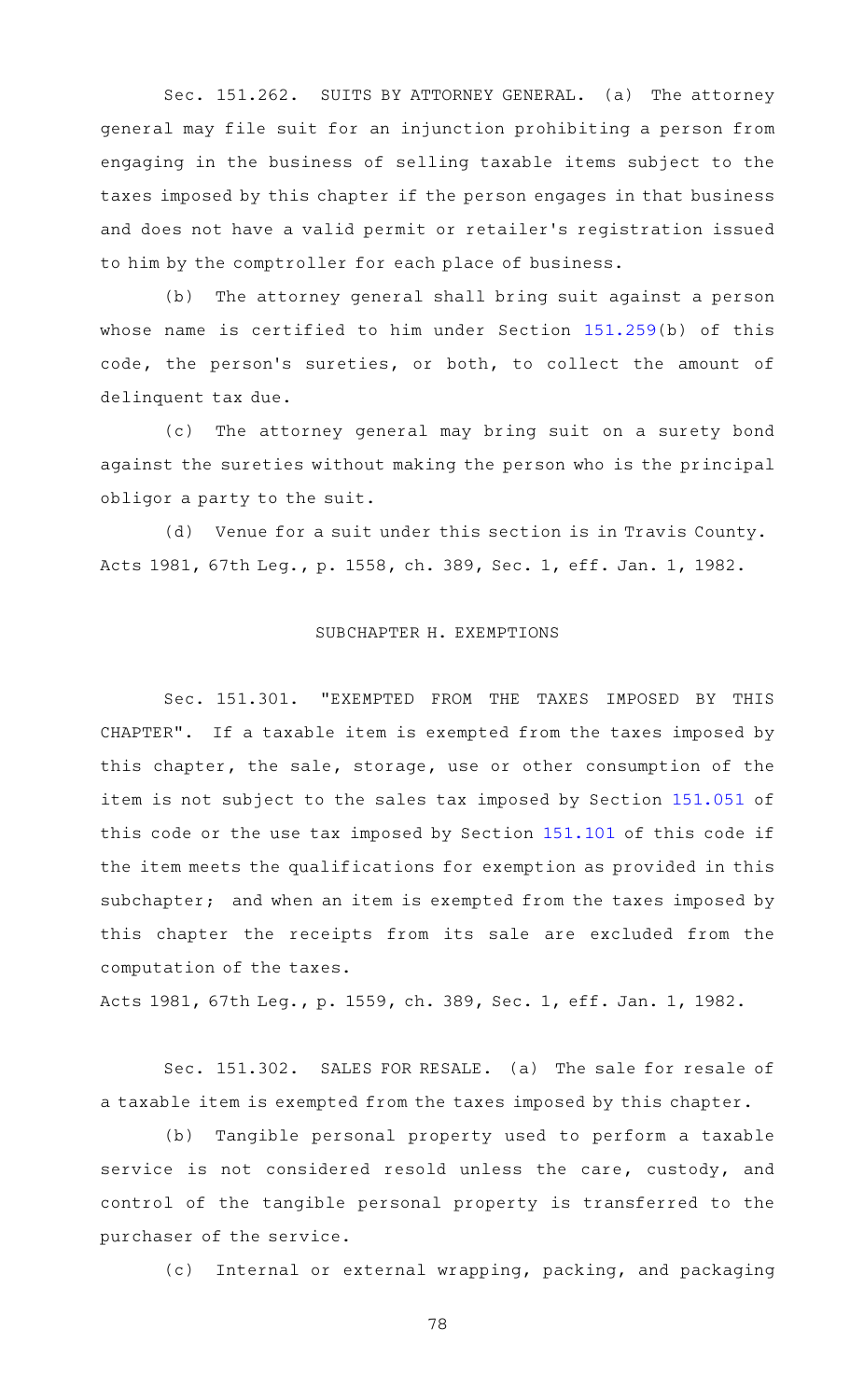Sec. 151.262. SUITS BY ATTORNEY GENERAL. (a) The attorney general may file suit for an injunction prohibiting a person from engaging in the business of selling taxable items subject to the taxes imposed by this chapter if the person engages in that business and does not have a valid permit or retailer 's registration issued to him by the comptroller for each place of business.

(b) The attorney general shall bring suit against a person whose name is certified to him under Section [151.259\(](https://statutes.capitol.texas.gov/GetStatute.aspx?Code=TX&Value=151.259)b) of this code, the person's sureties, or both, to collect the amount of delinquent tax due.

(c) The attorney general may bring suit on a surety bond against the sureties without making the person who is the principal obligor a party to the suit.

(d) Venue for a suit under this section is in Travis County. Acts 1981, 67th Leg., p. 1558, ch. 389, Sec. 1, eff. Jan. 1, 1982.

# SUBCHAPTER H. EXEMPTIONS

Sec. 151.301. "EXEMPTED FROM THE TAXES IMPOSED BY THIS CHAPTER". If a taxable item is exempted from the taxes imposed by this chapter, the sale, storage, use or other consumption of the item is not subject to the sales tax imposed by Section [151.051](https://statutes.capitol.texas.gov/GetStatute.aspx?Code=TX&Value=151.051) of this code or the use tax imposed by Section [151.101](https://statutes.capitol.texas.gov/GetStatute.aspx?Code=TX&Value=151.101) of this code if the item meets the qualifications for exemption as provided in this subchapter; and when an item is exempted from the taxes imposed by this chapter the receipts from its sale are excluded from the computation of the taxes.

Acts 1981, 67th Leg., p. 1559, ch. 389, Sec. 1, eff. Jan. 1, 1982.

Sec. 151.302. SALES FOR RESALE. (a) The sale for resale of a taxable item is exempted from the taxes imposed by this chapter.

(b) Tangible personal property used to perform a taxable service is not considered resold unless the care, custody, and control of the tangible personal property is transferred to the purchaser of the service.

(c) Internal or external wrapping, packing, and packaging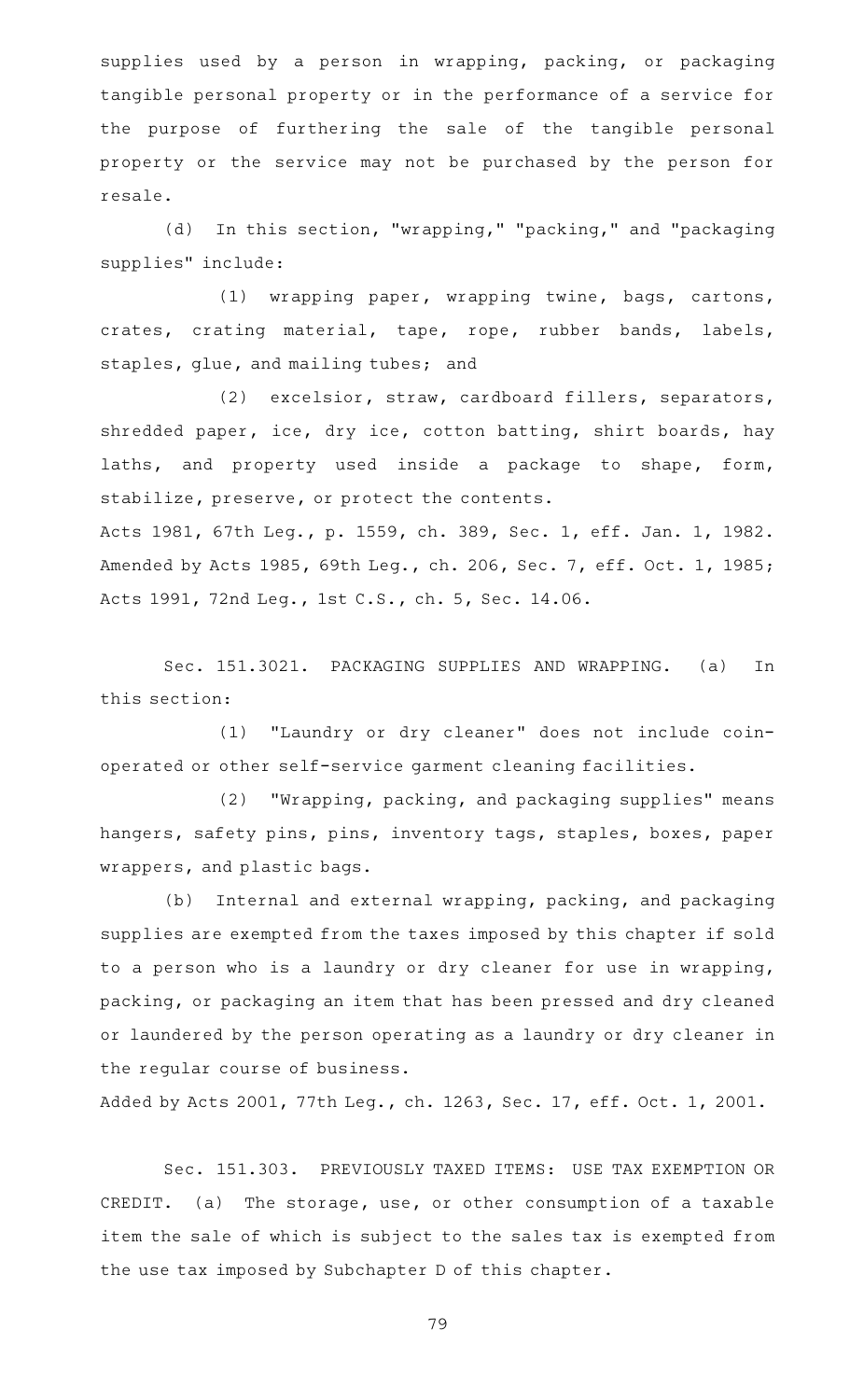supplies used by a person in wrapping, packing, or packaging tangible personal property or in the performance of a service for the purpose of furthering the sale of the tangible personal property or the service may not be purchased by the person for resale.

(d) In this section, "wrapping," "packing," and "packaging supplies" include:

(1) wrapping paper, wrapping twine, bags, cartons, crates, crating material, tape, rope, rubber bands, labels, staples, glue, and mailing tubes; and

(2) excelsior, straw, cardboard fillers, separators, shredded paper, ice, dry ice, cotton batting, shirt boards, hay laths, and property used inside a package to shape, form, stabilize, preserve, or protect the contents.

Acts 1981, 67th Leg., p. 1559, ch. 389, Sec. 1, eff. Jan. 1, 1982. Amended by Acts 1985, 69th Leg., ch. 206, Sec. 7, eff. Oct. 1, 1985; Acts 1991, 72nd Leg., 1st C.S., ch. 5, Sec. 14.06.

Sec. 151.3021. PACKAGING SUPPLIES AND WRAPPING. (a) In this section:

(1) "Laundry or dry cleaner" does not include coinoperated or other self-service garment cleaning facilities.

(2) "Wrapping, packing, and packaging supplies" means hangers, safety pins, pins, inventory tags, staples, boxes, paper wrappers, and plastic bags.

(b) Internal and external wrapping, packing, and packaging supplies are exempted from the taxes imposed by this chapter if sold to a person who is a laundry or dry cleaner for use in wrapping, packing, or packaging an item that has been pressed and dry cleaned or laundered by the person operating as a laundry or dry cleaner in the regular course of business.

Added by Acts 2001, 77th Leg., ch. 1263, Sec. 17, eff. Oct. 1, 2001.

Sec. 151.303. PREVIOUSLY TAXED ITEMS: USE TAX EXEMPTION OR CREDIT. (a) The storage, use, or other consumption of a taxable item the sale of which is subject to the sales tax is exempted from the use tax imposed by Subchapter D of this chapter.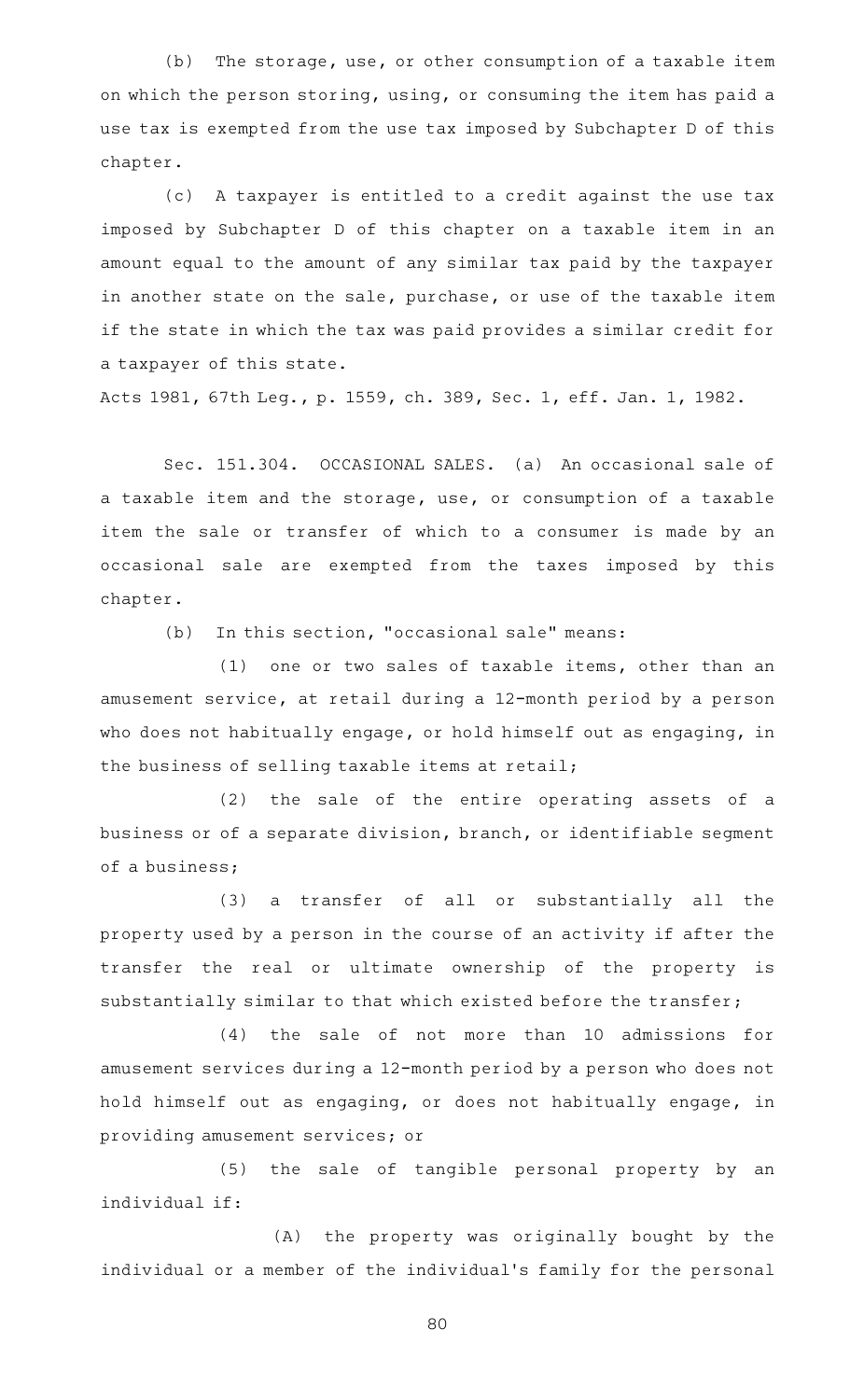$(b)$  The storage, use, or other consumption of a taxable item on which the person storing, using, or consuming the item has paid a use tax is exempted from the use tax imposed by Subchapter D of this chapter.

(c) A taxpayer is entitled to a credit against the use tax imposed by Subchapter D of this chapter on a taxable item in an amount equal to the amount of any similar tax paid by the taxpayer in another state on the sale, purchase, or use of the taxable item if the state in which the tax was paid provides a similar credit for a taxpayer of this state.

Acts 1981, 67th Leg., p. 1559, ch. 389, Sec. 1, eff. Jan. 1, 1982.

Sec. 151.304. OCCASIONAL SALES. (a) An occasional sale of a taxable item and the storage, use, or consumption of a taxable item the sale or transfer of which to a consumer is made by an occasional sale are exempted from the taxes imposed by this chapter.

 $(b)$  In this section, "occasional sale" means:

 $(1)$  one or two sales of taxable items, other than an amusement service, at retail during a 12-month period by a person who does not habitually engage, or hold himself out as engaging, in the business of selling taxable items at retail;

(2) the sale of the entire operating assets of a business or of a separate division, branch, or identifiable segment of a business;

(3) a transfer of all or substantially all the property used by a person in the course of an activity if after the transfer the real or ultimate ownership of the property is substantially similar to that which existed before the transfer;

(4) the sale of not more than 10 admissions for amusement services during a 12-month period by a person who does not hold himself out as engaging, or does not habitually engage, in providing amusement services; or

(5) the sale of tangible personal property by an individual if:

(A) the property was originally bought by the individual or a member of the individual 's family for the personal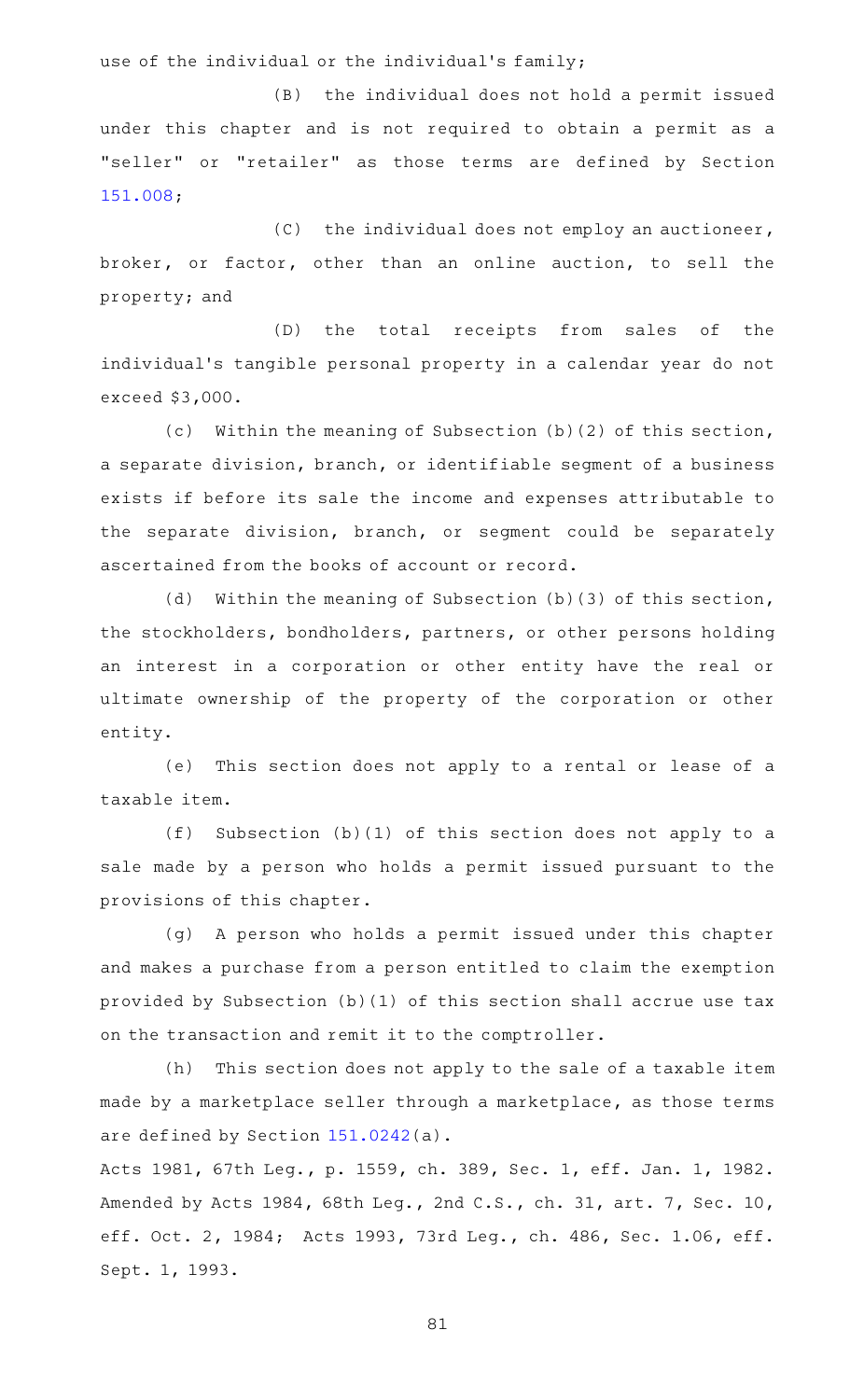use of the individual or the individual's family;

(B) the individual does not hold a permit issued under this chapter and is not required to obtain a permit as a "seller" or "retailer" as those terms are defined by Section [151.008;](https://statutes.capitol.texas.gov/GetStatute.aspx?Code=TX&Value=151.008)

 $(C)$  the individual does not employ an auctioneer, broker, or factor, other than an online auction, to sell the property; and

(D) the total receipts from sales of the individual's tangible personal property in a calendar year do not exceed \$3,000.

(c) Within the meaning of Subsection (b)(2) of this section, a separate division, branch, or identifiable segment of a business exists if before its sale the income and expenses attributable to the separate division, branch, or segment could be separately ascertained from the books of account or record.

(d) Within the meaning of Subsection (b)(3) of this section, the stockholders, bondholders, partners, or other persons holding an interest in a corporation or other entity have the real or ultimate ownership of the property of the corporation or other entity.

(e) This section does not apply to a rental or lease of a taxable item.

(f) Subsection (b)(1) of this section does not apply to a sale made by a person who holds a permit issued pursuant to the provisions of this chapter.

(g) A person who holds a permit issued under this chapter and makes a purchase from a person entitled to claim the exemption provided by Subsection (b)(1) of this section shall accrue use tax on the transaction and remit it to the comptroller.

(h) This section does not apply to the sale of a taxable item made by a marketplace seller through a marketplace, as those terms are defined by Section [151.0242\(](https://statutes.capitol.texas.gov/GetStatute.aspx?Code=TX&Value=151.0242)a).

Acts 1981, 67th Leg., p. 1559, ch. 389, Sec. 1, eff. Jan. 1, 1982. Amended by Acts 1984, 68th Leg., 2nd C.S., ch. 31, art. 7, Sec. 10, eff. Oct. 2, 1984; Acts 1993, 73rd Leg., ch. 486, Sec. 1.06, eff. Sept. 1, 1993.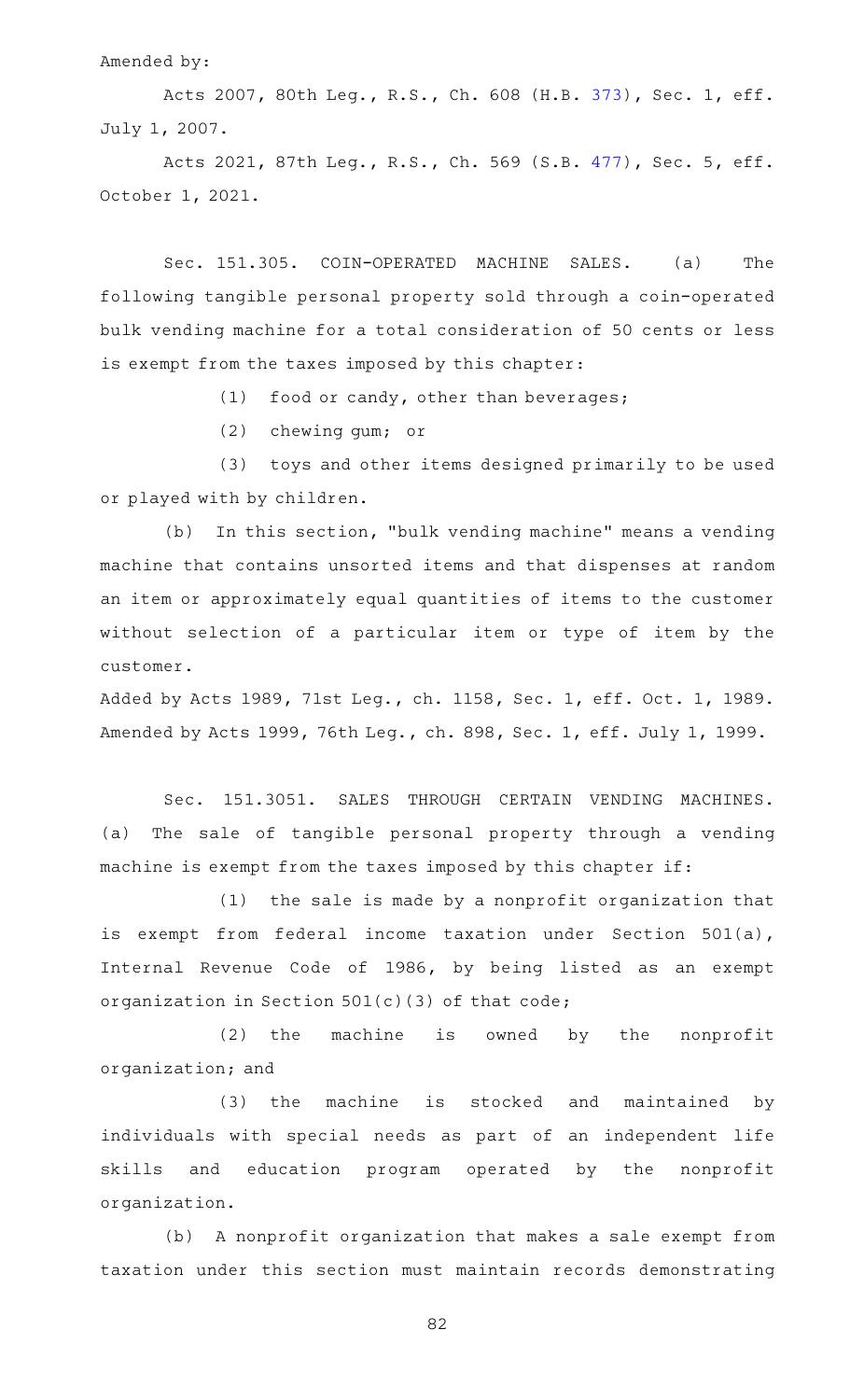#### Amended by:

Acts 2007, 80th Leg., R.S., Ch. 608 (H.B. [373](http://www.legis.state.tx.us/tlodocs/80R/billtext/html/HB00373F.HTM)), Sec. 1, eff. July 1, 2007.

Acts 2021, 87th Leg., R.S., Ch. 569 (S.B. [477](http://www.legis.state.tx.us/tlodocs/87R/billtext/html/SB00477F.HTM)), Sec. 5, eff. October 1, 2021.

Sec. 151.305. COIN-OPERATED MACHINE SALES. (a) The following tangible personal property sold through a coin-operated bulk vending machine for a total consideration of 50 cents or less is exempt from the taxes imposed by this chapter:

(1) food or candy, other than beverages;

(2) chewing gum; or

(3) toys and other items designed primarily to be used or played with by children.

(b) In this section, "bulk vending machine" means a vending machine that contains unsorted items and that dispenses at random an item or approximately equal quantities of items to the customer without selection of a particular item or type of item by the customer.

Added by Acts 1989, 71st Leg., ch. 1158, Sec. 1, eff. Oct. 1, 1989. Amended by Acts 1999, 76th Leg., ch. 898, Sec. 1, eff. July 1, 1999.

Sec. 151.3051. SALES THROUGH CERTAIN VENDING MACHINES. (a) The sale of tangible personal property through a vending machine is exempt from the taxes imposed by this chapter if:

 $(1)$  the sale is made by a nonprofit organization that is exempt from federal income taxation under Section 501(a), Internal Revenue Code of 1986, by being listed as an exempt organization in Section 501(c)(3) of that code;

 $(2)$  the machine is owned by the nonprofit organization; and

(3) the machine is stocked and maintained by individuals with special needs as part of an independent life skills and education program operated by the nonprofit organization.

(b) A nonprofit organization that makes a sale exempt from taxation under this section must maintain records demonstrating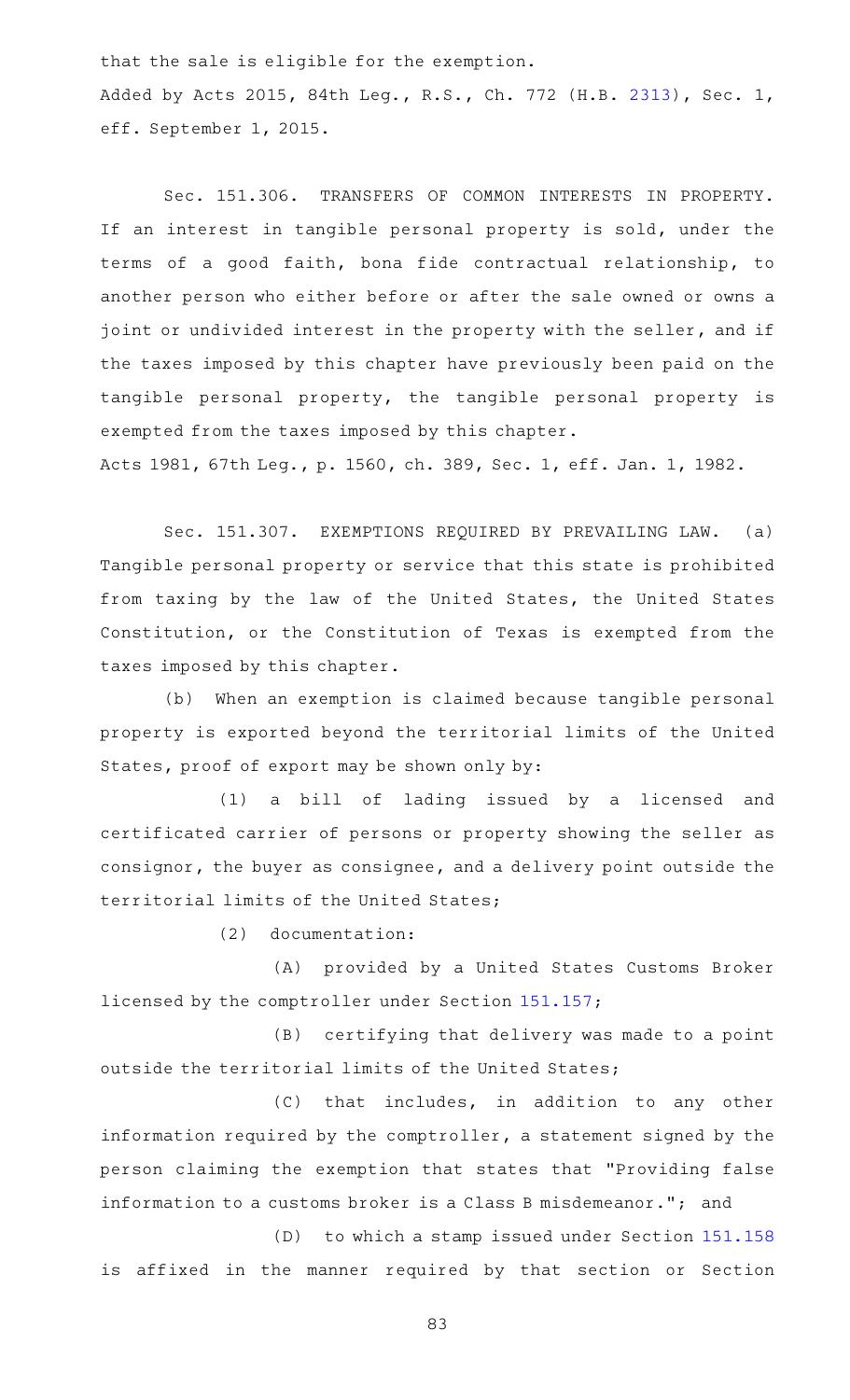that the sale is eligible for the exemption. Added by Acts 2015, 84th Leg., R.S., Ch. 772 (H.B. [2313](http://www.legis.state.tx.us/tlodocs/84R/billtext/html/HB02313F.HTM)), Sec. 1, eff. September 1, 2015.

Sec. 151.306. TRANSFERS OF COMMON INTERESTS IN PROPERTY. If an interest in tangible personal property is sold, under the terms of a good faith, bona fide contractual relationship, to another person who either before or after the sale owned or owns a joint or undivided interest in the property with the seller, and if the taxes imposed by this chapter have previously been paid on the tangible personal property, the tangible personal property is exempted from the taxes imposed by this chapter.

Acts 1981, 67th Leg., p. 1560, ch. 389, Sec. 1, eff. Jan. 1, 1982.

Sec. 151.307. EXEMPTIONS REQUIRED BY PREVAILING LAW. (a) Tangible personal property or service that this state is prohibited from taxing by the law of the United States, the United States Constitution, or the Constitution of Texas is exempted from the taxes imposed by this chapter.

(b) When an exemption is claimed because tangible personal property is exported beyond the territorial limits of the United States, proof of export may be shown only by:

(1) a bill of lading issued by a licensed and certificated carrier of persons or property showing the seller as consignor, the buyer as consignee, and a delivery point outside the territorial limits of the United States;

 $(2)$  documentation:

(A) provided by a United States Customs Broker licensed by the comptroller under Section [151.157;](https://statutes.capitol.texas.gov/GetStatute.aspx?Code=TX&Value=151.157)

(B) certifying that delivery was made to a point outside the territorial limits of the United States;

(C) that includes, in addition to any other information required by the comptroller, a statement signed by the person claiming the exemption that states that "Providing false information to a customs broker is a Class B misdemeanor."; and

 $(D)$  to which a stamp issued under Section  $151.158$ is affixed in the manner required by that section or Section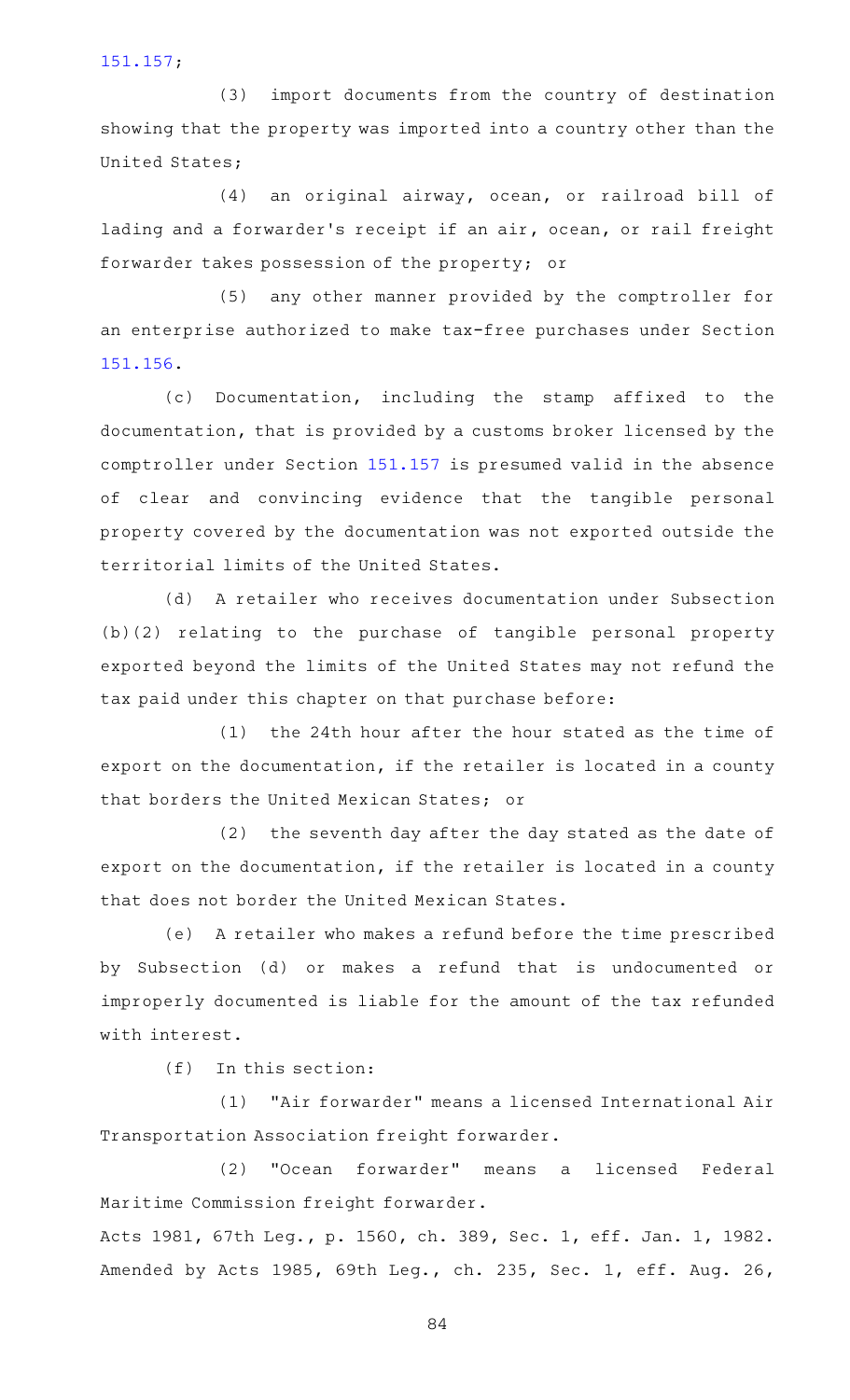[151.157;](https://statutes.capitol.texas.gov/GetStatute.aspx?Code=TX&Value=151.157)

(3) import documents from the country of destination showing that the property was imported into a country other than the United States;

(4) an original airway, ocean, or railroad bill of lading and a forwarder 's receipt if an air, ocean, or rail freight forwarder takes possession of the property; or

(5) any other manner provided by the comptroller for an enterprise authorized to make tax-free purchases under Section [151.156.](https://statutes.capitol.texas.gov/GetStatute.aspx?Code=TX&Value=151.156)

(c) Documentation, including the stamp affixed to the documentation, that is provided by a customs broker licensed by the comptroller under Section [151.157](https://statutes.capitol.texas.gov/GetStatute.aspx?Code=TX&Value=151.157) is presumed valid in the absence of clear and convincing evidence that the tangible personal property covered by the documentation was not exported outside the territorial limits of the United States.

(d) A retailer who receives documentation under Subsection (b)(2) relating to the purchase of tangible personal property exported beyond the limits of the United States may not refund the tax paid under this chapter on that purchase before:

 $(1)$  the 24th hour after the hour stated as the time of export on the documentation, if the retailer is located in a county that borders the United Mexican States; or

(2) the seventh day after the day stated as the date of export on the documentation, if the retailer is located in a county that does not border the United Mexican States.

(e) A retailer who makes a refund before the time prescribed by Subsection (d) or makes a refund that is undocumented or improperly documented is liable for the amount of the tax refunded with interest.

 $(f)$  In this section:

(1) "Air forwarder" means a licensed International Air Transportation Association freight forwarder.

(2) "Ocean forwarder" means a licensed Federal Maritime Commission freight forwarder.

Acts 1981, 67th Leg., p. 1560, ch. 389, Sec. 1, eff. Jan. 1, 1982. Amended by Acts 1985, 69th Leg., ch. 235, Sec. 1, eff. Aug. 26,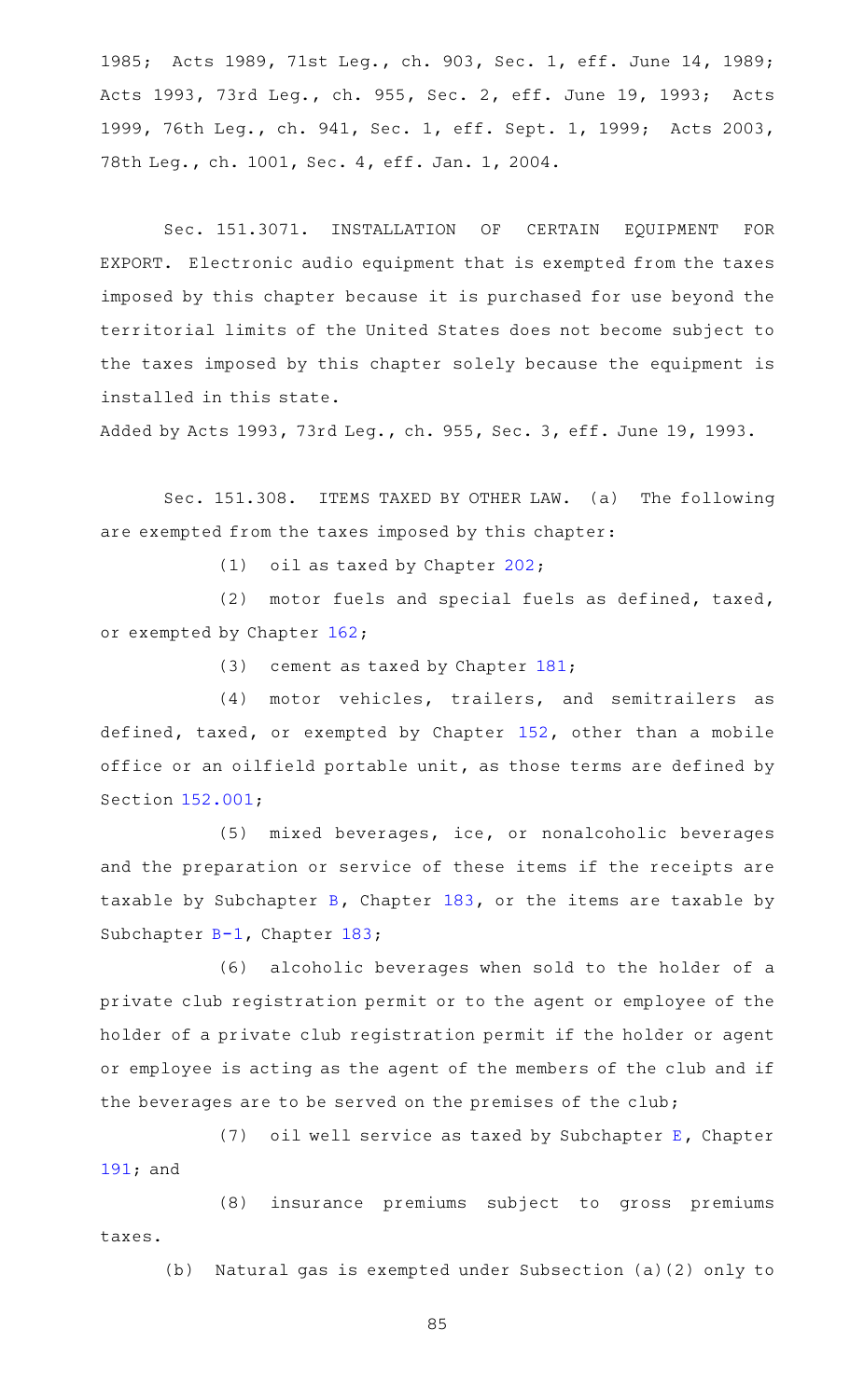1985; Acts 1989, 71st Leg., ch. 903, Sec. 1, eff. June 14, 1989; Acts 1993, 73rd Leg., ch. 955, Sec. 2, eff. June 19, 1993; Acts 1999, 76th Leg., ch. 941, Sec. 1, eff. Sept. 1, 1999; Acts 2003, 78th Leg., ch. 1001, Sec. 4, eff. Jan. 1, 2004.

Sec. 151.3071. INSTALLATION OF CERTAIN EQUIPMENT FOR EXPORT. Electronic audio equipment that is exempted from the taxes imposed by this chapter because it is purchased for use beyond the territorial limits of the United States does not become subject to the taxes imposed by this chapter solely because the equipment is installed in this state.

Added by Acts 1993, 73rd Leg., ch. 955, Sec. 3, eff. June 19, 1993.

Sec. 151.308. ITEMS TAXED BY OTHER LAW. (a) The following are exempted from the taxes imposed by this chapter:

(1) oil as taxed by Chapter  $202$ ;

(2) motor fuels and special fuels as defined, taxed, or exempted by Chapter [162](https://statutes.capitol.texas.gov/GetStatute.aspx?Code=TX&Value=162);

(3) cement as taxed by Chapter  $181;$  $181;$ 

(4) motor vehicles, trailers, and semitrailers as defined, taxed, or exempted by Chapter [152](https://statutes.capitol.texas.gov/GetStatute.aspx?Code=TX&Value=152), other than a mobile office or an oilfield portable unit, as those terms are defined by Section [152.001;](https://statutes.capitol.texas.gov/GetStatute.aspx?Code=TX&Value=152.001)

(5) mixed beverages, ice, or nonalcoholic beverages and the preparation or service of these items if the receipts are taxable by Subchapter [B](https://statutes.capitol.texas.gov/GetStatute.aspx?Code=TX&Value=183.021), Chapter [183,](https://statutes.capitol.texas.gov/GetStatute.aspx?Code=TX&Value=183) or the items are taxable by Subchapter [B-1](https://statutes.capitol.texas.gov/GetStatute.aspx?Code=TX&Value=183.041), Chapter [183](https://statutes.capitol.texas.gov/GetStatute.aspx?Code=TX&Value=183);

(6) alcoholic beverages when sold to the holder of a private club registration permit or to the agent or employee of the holder of a private club registration permit if the holder or agent or employee is acting as the agent of the members of the club and if the beverages are to be served on the premises of the club;

(7) oil well service as taxed by Subchapter  $E$ , Chapter [191;](https://statutes.capitol.texas.gov/GetStatute.aspx?Code=TX&Value=191) and

(8) insurance premiums subject to gross premiums taxes.

(b) Natural gas is exempted under Subsection (a)(2) only to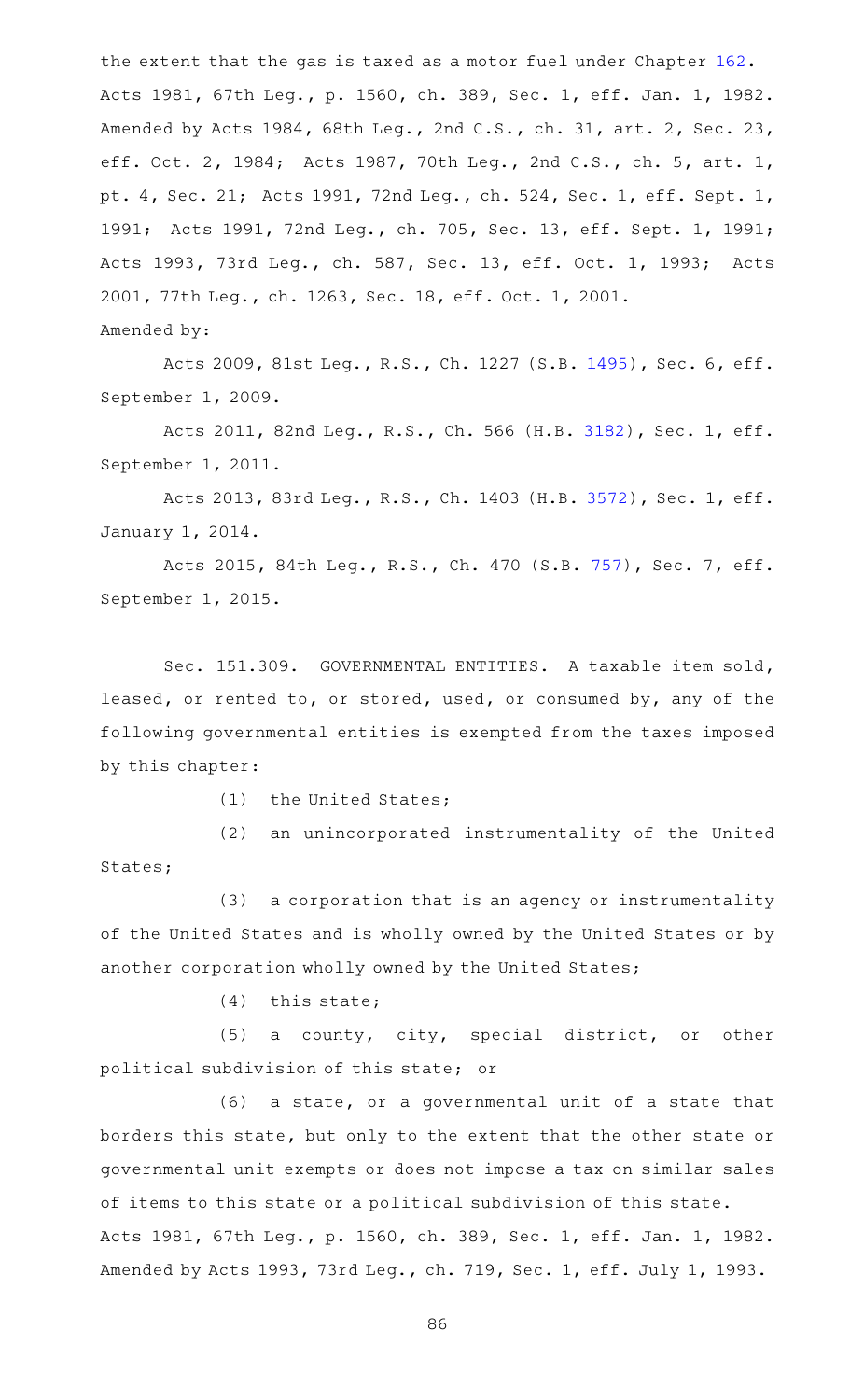the extent that the gas is taxed as a motor fuel under Chapter [162](https://statutes.capitol.texas.gov/GetStatute.aspx?Code=TX&Value=162). Acts 1981, 67th Leg., p. 1560, ch. 389, Sec. 1, eff. Jan. 1, 1982. Amended by Acts 1984, 68th Leg., 2nd C.S., ch. 31, art. 2, Sec. 23, eff. Oct. 2, 1984; Acts 1987, 70th Leg., 2nd C.S., ch. 5, art. 1, pt. 4, Sec. 21; Acts 1991, 72nd Leg., ch. 524, Sec. 1, eff. Sept. 1, 1991; Acts 1991, 72nd Leg., ch. 705, Sec. 13, eff. Sept. 1, 1991; Acts 1993, 73rd Leg., ch. 587, Sec. 13, eff. Oct. 1, 1993; Acts 2001, 77th Leg., ch. 1263, Sec. 18, eff. Oct. 1, 2001. Amended by:

Acts 2009, 81st Leg., R.S., Ch. 1227 (S.B. [1495](http://www.legis.state.tx.us/tlodocs/81R/billtext/html/SB01495F.HTM)), Sec. 6, eff. September 1, 2009.

Acts 2011, 82nd Leg., R.S., Ch. 566 (H.B. [3182](http://www.legis.state.tx.us/tlodocs/82R/billtext/html/HB03182F.HTM)), Sec. 1, eff. September 1, 2011.

Acts 2013, 83rd Leg., R.S., Ch. 1403 (H.B. [3572](http://www.legis.state.tx.us/tlodocs/83R/billtext/html/HB03572F.HTM)), Sec. 1, eff. January 1, 2014.

Acts 2015, 84th Leg., R.S., Ch. 470 (S.B. [757](http://www.legis.state.tx.us/tlodocs/84R/billtext/html/SB00757F.HTM)), Sec. 7, eff. September 1, 2015.

Sec. 151.309. GOVERNMENTAL ENTITIES. A taxable item sold, leased, or rented to, or stored, used, or consumed by, any of the following governmental entities is exempted from the taxes imposed by this chapter:

(1) the United States;

(2) an unincorporated instrumentality of the United States;

(3) a corporation that is an agency or instrumentality of the United States and is wholly owned by the United States or by another corporation wholly owned by the United States;

 $(4)$  this state;

(5) a county, city, special district, or other political subdivision of this state; or

 $(6)$  a state, or a governmental unit of a state that borders this state, but only to the extent that the other state or governmental unit exempts or does not impose a tax on similar sales of items to this state or a political subdivision of this state. Acts 1981, 67th Leg., p. 1560, ch. 389, Sec. 1, eff. Jan. 1, 1982. Amended by Acts 1993, 73rd Leg., ch. 719, Sec. 1, eff. July 1, 1993.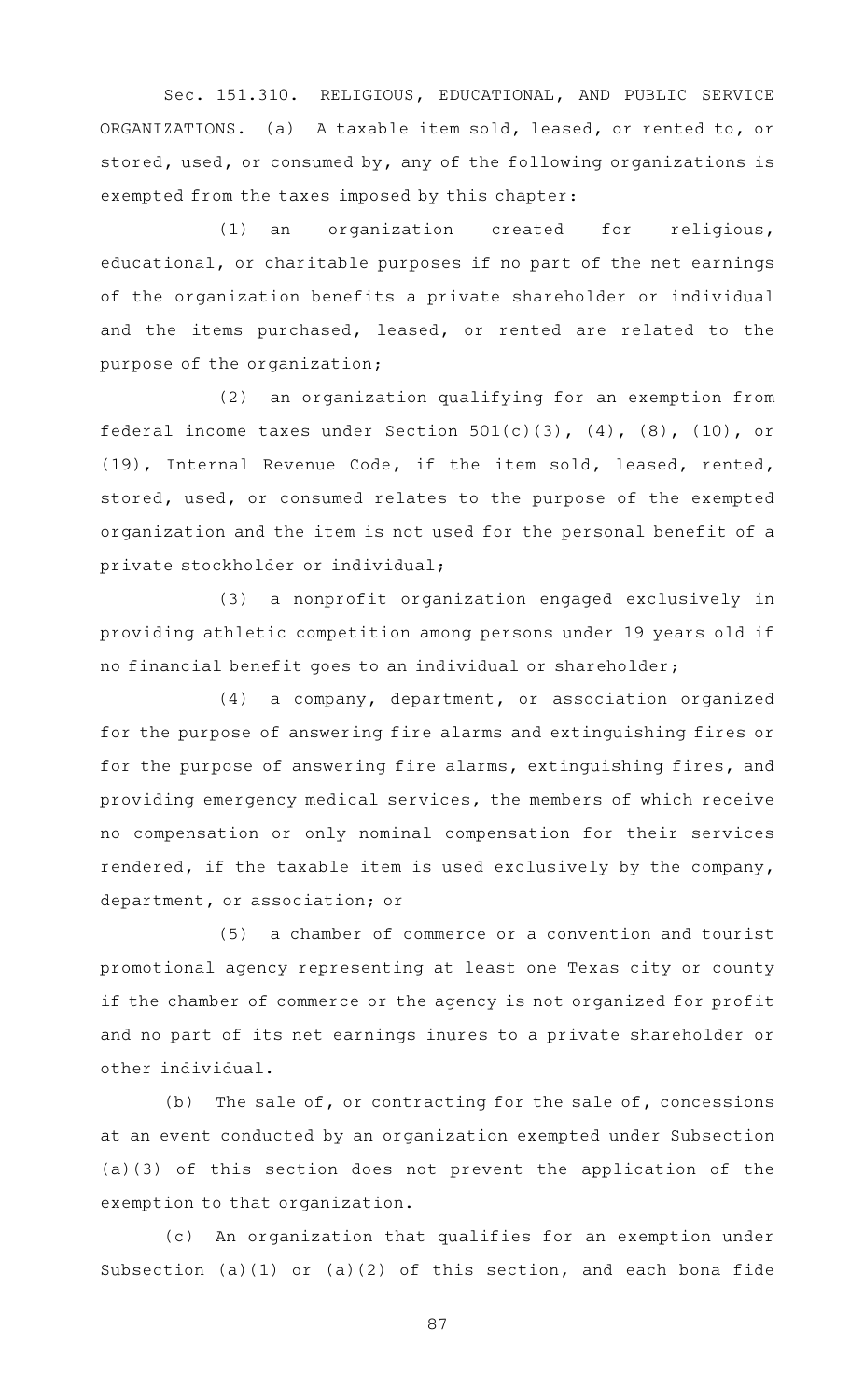Sec. 151.310. RELIGIOUS, EDUCATIONAL, AND PUBLIC SERVICE ORGANIZATIONS. (a) A taxable item sold, leased, or rented to, or stored, used, or consumed by, any of the following organizations is exempted from the taxes imposed by this chapter:

 $(1)$  an organization created for religious, educational, or charitable purposes if no part of the net earnings of the organization benefits a private shareholder or individual and the items purchased, leased, or rented are related to the purpose of the organization;

(2) an organization qualifying for an exemption from federal income taxes under Section  $501(c)(3)$ ,  $(4)$ ,  $(8)$ ,  $(10)$ , or (19), Internal Revenue Code, if the item sold, leased, rented, stored, used, or consumed relates to the purpose of the exempted organization and the item is not used for the personal benefit of a private stockholder or individual;

(3) a nonprofit organization engaged exclusively in providing athletic competition among persons under 19 years old if no financial benefit goes to an individual or shareholder;

 $(4)$  a company, department, or association organized for the purpose of answering fire alarms and extinguishing fires or for the purpose of answering fire alarms, extinguishing fires, and providing emergency medical services, the members of which receive no compensation or only nominal compensation for their services rendered, if the taxable item is used exclusively by the company, department, or association; or

(5) a chamber of commerce or a convention and tourist promotional agency representing at least one Texas city or county if the chamber of commerce or the agency is not organized for profit and no part of its net earnings inures to a private shareholder or other individual.

(b) The sale of, or contracting for the sale of, concessions at an event conducted by an organization exempted under Subsection (a)(3) of this section does not prevent the application of the exemption to that organization.

(c) An organization that qualifies for an exemption under Subsection (a)(1) or (a)(2) of this section, and each bona fide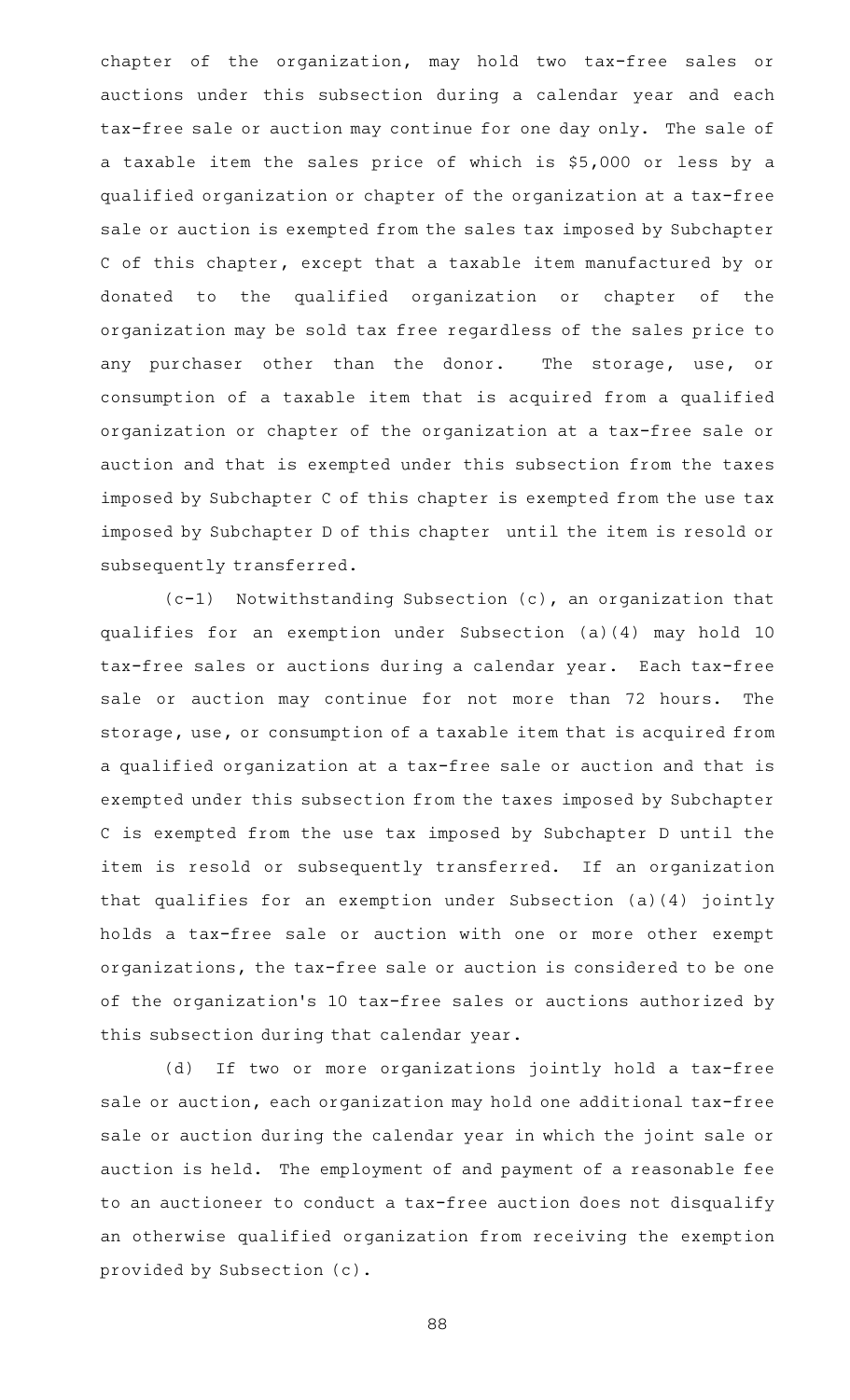chapter of the organization, may hold two tax-free sales or auctions under this subsection during a calendar year and each tax-free sale or auction may continue for one day only. The sale of a taxable item the sales price of which is \$5,000 or less by a qualified organization or chapter of the organization at a tax-free sale or auction is exempted from the sales tax imposed by Subchapter C of this chapter, except that a taxable item manufactured by or donated to the qualified organization or chapter of the organization may be sold tax free regardless of the sales price to any purchaser other than the donor. The storage, use, or consumption of a taxable item that is acquired from a qualified organization or chapter of the organization at a tax-free sale or auction and that is exempted under this subsection from the taxes imposed by Subchapter C of this chapter is exempted from the use tax imposed by Subchapter D of this chapter until the item is resold or subsequently transferred.

 $(c-1)$  Notwithstanding Subsection (c), an organization that qualifies for an exemption under Subsection (a)(4) may hold 10 tax-free sales or auctions during a calendar year. Each tax-free sale or auction may continue for not more than 72 hours. The storage, use, or consumption of a taxable item that is acquired from a qualified organization at a tax-free sale or auction and that is exempted under this subsection from the taxes imposed by Subchapter C is exempted from the use tax imposed by Subchapter D until the item is resold or subsequently transferred. If an organization that qualifies for an exemption under Subsection (a)(4) jointly holds a tax-free sale or auction with one or more other exempt organizations, the tax-free sale or auction is considered to be one of the organization 's 10 tax-free sales or auctions authorized by this subsection during that calendar year.

(d) If two or more organizations jointly hold a tax-free sale or auction, each organization may hold one additional tax-free sale or auction during the calendar year in which the joint sale or auction is held. The employment of and payment of a reasonable fee to an auctioneer to conduct a tax-free auction does not disqualify an otherwise qualified organization from receiving the exemption provided by Subsection (c).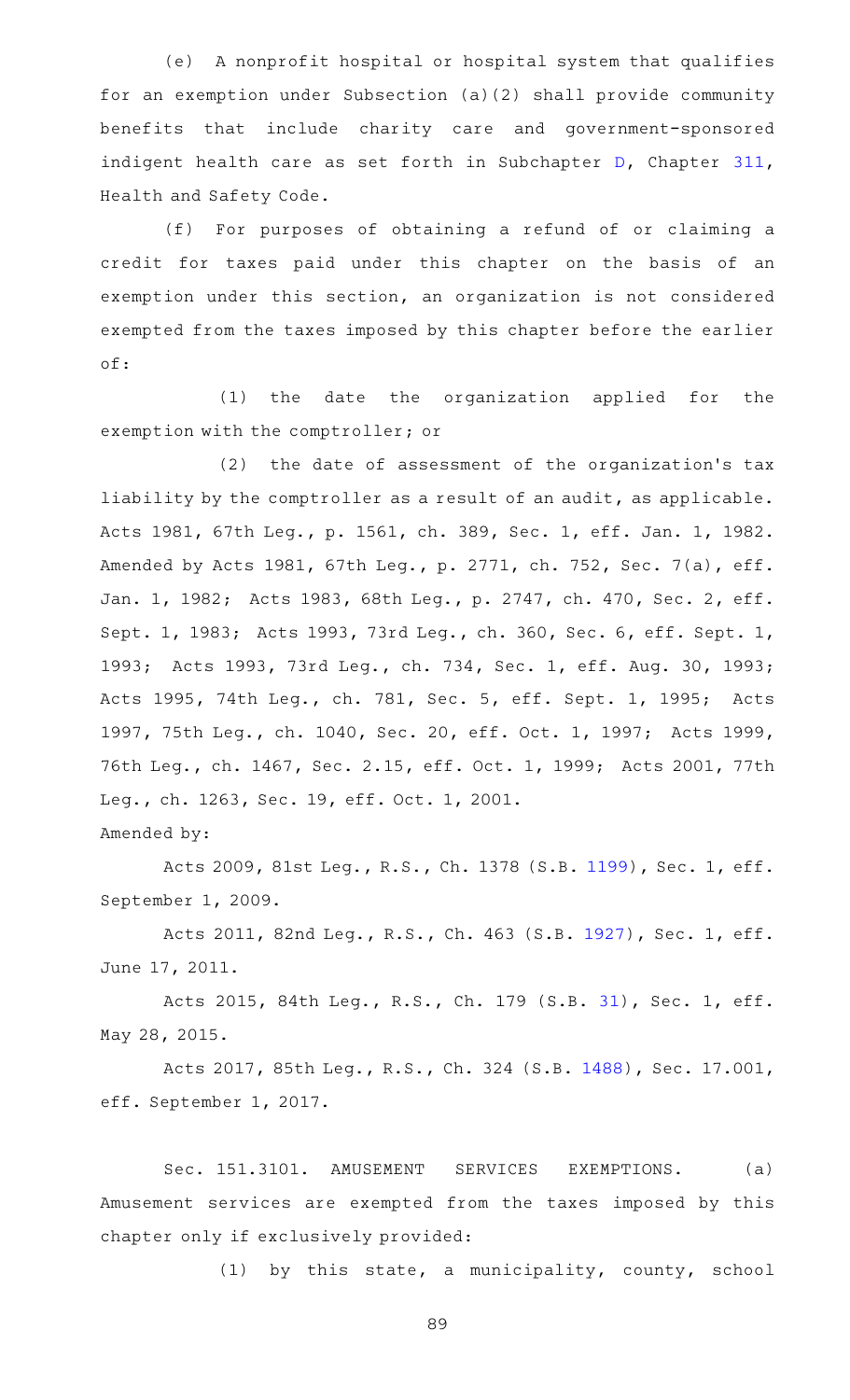(e) A nonprofit hospital or hospital system that qualifies for an exemption under Subsection (a)(2) shall provide community benefits that include charity care and government-sponsored indigent health care as set forth in Subchapter [D](https://statutes.capitol.texas.gov/GetStatute.aspx?Code=HS&Value=311.041), Chapter [311](https://statutes.capitol.texas.gov/GetStatute.aspx?Code=HS&Value=311), Health and Safety Code.

(f) For purposes of obtaining a refund of or claiming a credit for taxes paid under this chapter on the basis of an exemption under this section, an organization is not considered exempted from the taxes imposed by this chapter before the earlier of:

(1) the date the organization applied for the exemption with the comptroller; or

(2) the date of assessment of the organization's tax liability by the comptroller as a result of an audit, as applicable. Acts 1981, 67th Leg., p. 1561, ch. 389, Sec. 1, eff. Jan. 1, 1982. Amended by Acts 1981, 67th Leg., p. 2771, ch. 752, Sec. 7(a), eff. Jan. 1, 1982; Acts 1983, 68th Leg., p. 2747, ch. 470, Sec. 2, eff. Sept. 1, 1983; Acts 1993, 73rd Leg., ch. 360, Sec. 6, eff. Sept. 1, 1993; Acts 1993, 73rd Leg., ch. 734, Sec. 1, eff. Aug. 30, 1993; Acts 1995, 74th Leg., ch. 781, Sec. 5, eff. Sept. 1, 1995; Acts 1997, 75th Leg., ch. 1040, Sec. 20, eff. Oct. 1, 1997; Acts 1999, 76th Leg., ch. 1467, Sec. 2.15, eff. Oct. 1, 1999; Acts 2001, 77th Leg., ch. 1263, Sec. 19, eff. Oct. 1, 2001.

Amended by:

Acts 2009, 81st Leg., R.S., Ch. 1378 (S.B. [1199](http://www.legis.state.tx.us/tlodocs/81R/billtext/html/SB01199F.HTM)), Sec. 1, eff. September 1, 2009.

Acts 2011, 82nd Leg., R.S., Ch. 463 (S.B. [1927](http://www.legis.state.tx.us/tlodocs/82R/billtext/html/SB01927F.HTM)), Sec. 1, eff. June 17, 2011.

Acts 2015, 84th Leg., R.S., Ch. 179 (S.B. [31](http://www.legis.state.tx.us/tlodocs/84R/billtext/html/SB00031F.HTM)), Sec. 1, eff. May 28, 2015.

Acts 2017, 85th Leg., R.S., Ch. 324 (S.B. [1488\)](http://www.legis.state.tx.us/tlodocs/85R/billtext/html/SB01488F.HTM), Sec. 17.001, eff. September 1, 2017.

Sec. 151.3101. AMUSEMENT SERVICES EXEMPTIONS. (a) Amusement services are exempted from the taxes imposed by this chapter only if exclusively provided:

(1) by this state, a municipality, county, school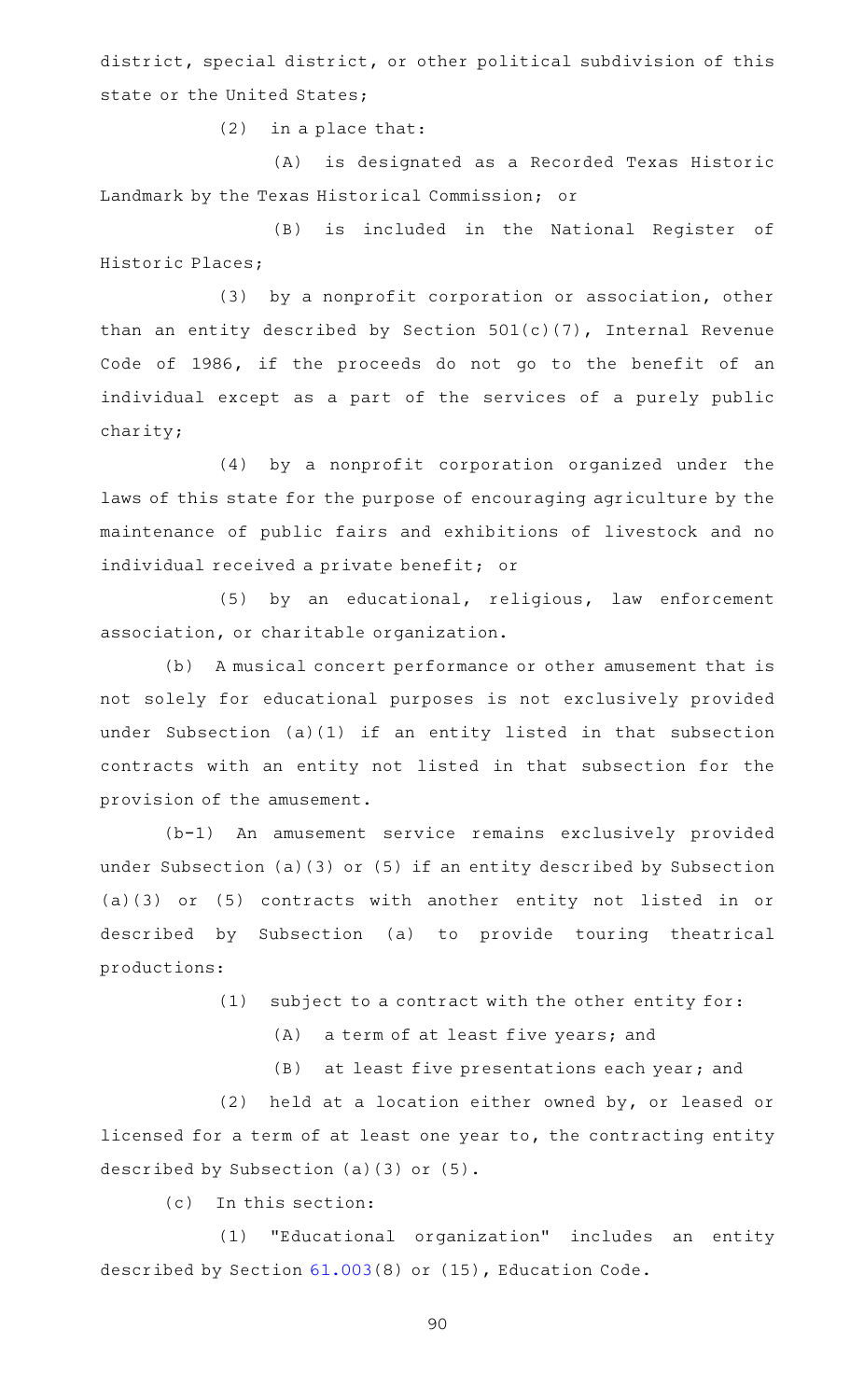district, special district, or other political subdivision of this state or the United States;

 $(2)$  in a place that:

(A) is designated as a Recorded Texas Historic Landmark by the Texas Historical Commission; or

(B) is included in the National Register of Historic Places;

(3) by a nonprofit corporation or association, other than an entity described by Section 501(c)(7), Internal Revenue Code of 1986, if the proceeds do not go to the benefit of an individual except as a part of the services of a purely public charity;

(4) by a nonprofit corporation organized under the laws of this state for the purpose of encouraging agriculture by the maintenance of public fairs and exhibitions of livestock and no individual received a private benefit; or

(5) by an educational, religious, law enforcement association, or charitable organization.

(b) A musical concert performance or other amusement that is not solely for educational purposes is not exclusively provided under Subsection (a)(1) if an entity listed in that subsection contracts with an entity not listed in that subsection for the provision of the amusement.

(b-1) An amusement service remains exclusively provided under Subsection (a)(3) or (5) if an entity described by Subsection (a)(3) or (5) contracts with another entity not listed in or described by Subsection (a) to provide touring theatrical productions:

 $(1)$  subject to a contract with the other entity for:

(A) a term of at least five years; and

 $(B)$  at least five presentations each year; and

(2) held at a location either owned by, or leased or licensed for a term of at least one year to, the contracting entity described by Subsection (a)(3) or (5).

(c) In this section:

(1) "Educational organization" includes an entity described by Section [61.003](https://statutes.capitol.texas.gov/GetStatute.aspx?Code=ED&Value=61.003)(8) or (15), Education Code.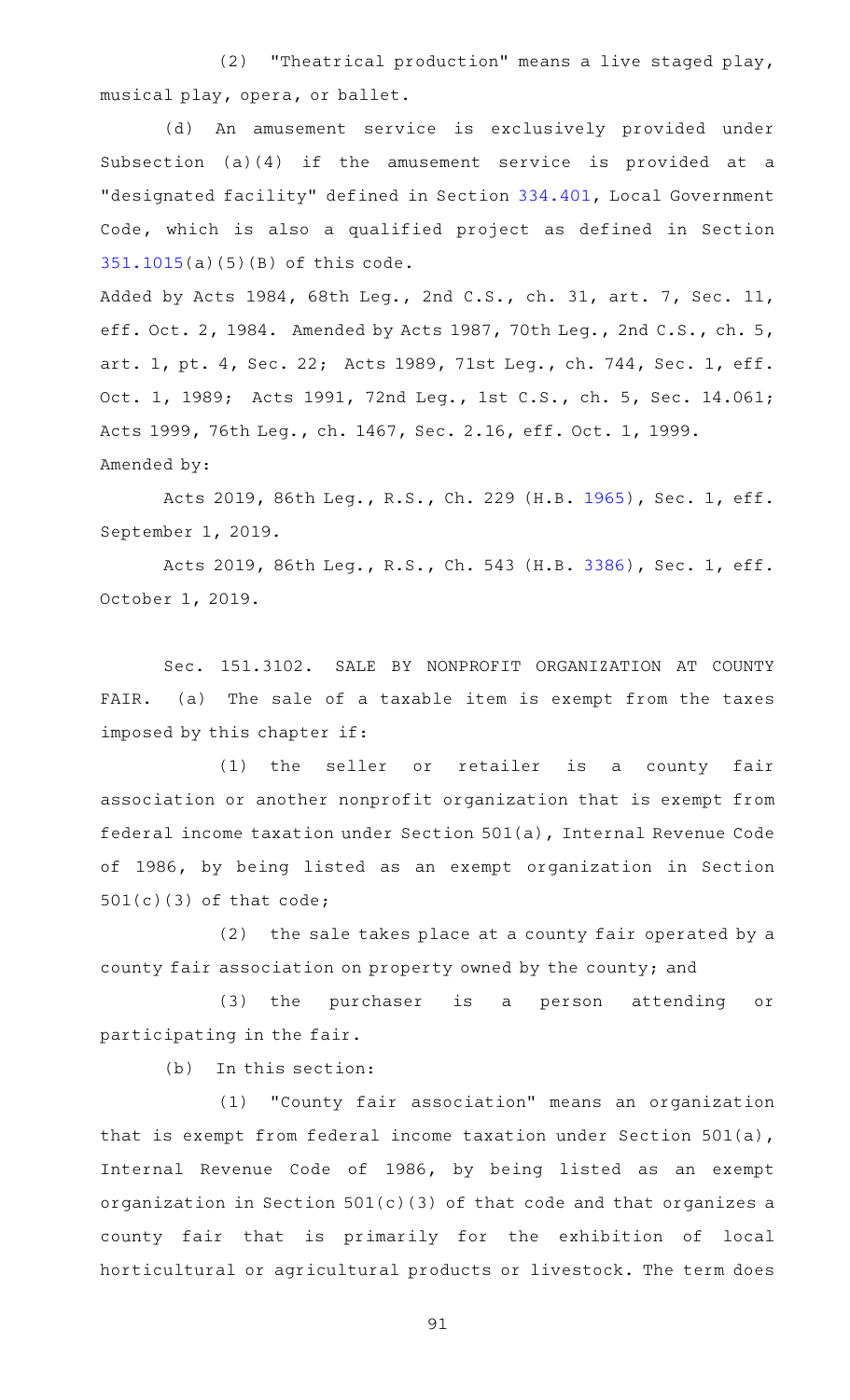(2) "Theatrical production" means a live staged play, musical play, opera, or ballet.

(d) An amusement service is exclusively provided under Subsection (a)(4) if the amusement service is provided at a "designated facility" defined in Section [334.401,](https://statutes.capitol.texas.gov/GetStatute.aspx?Code=LG&Value=334.401) Local Government Code, which is also a qualified project as defined in Section [351.1015](https://statutes.capitol.texas.gov/GetStatute.aspx?Code=TX&Value=351.1015)(a)(5)(B) of this code.

Added by Acts 1984, 68th Leg., 2nd C.S., ch. 31, art. 7, Sec. 11, eff. Oct. 2, 1984. Amended by Acts 1987, 70th Leg., 2nd C.S., ch. 5, art. 1, pt. 4, Sec. 22; Acts 1989, 71st Leg., ch. 744, Sec. 1, eff. Oct. 1, 1989; Acts 1991, 72nd Leg., 1st C.S., ch. 5, Sec. 14.061; Acts 1999, 76th Leg., ch. 1467, Sec. 2.16, eff. Oct. 1, 1999. Amended by:

Acts 2019, 86th Leg., R.S., Ch. 229 (H.B. [1965](http://www.legis.state.tx.us/tlodocs/86R/billtext/html/HB01965F.HTM)), Sec. 1, eff. September 1, 2019.

Acts 2019, 86th Leg., R.S., Ch. 543 (H.B. [3386](http://www.legis.state.tx.us/tlodocs/86R/billtext/html/HB03386F.HTM)), Sec. 1, eff. October 1, 2019.

Sec. 151.3102. SALE BY NONPROFIT ORGANIZATION AT COUNTY FAIR. (a) The sale of a taxable item is exempt from the taxes imposed by this chapter if:

(1) the seller or retailer is a county fair association or another nonprofit organization that is exempt from federal income taxation under Section 501(a), Internal Revenue Code of 1986, by being listed as an exempt organization in Section 501(c)(3) of that code;

 $(2)$  the sale takes place at a county fair operated by a county fair association on property owned by the county; and

(3) the purchaser is a person attending or participating in the fair.

 $(b)$  In this section:

(1) "County fair association" means an organization that is exempt from federal income taxation under Section 501(a), Internal Revenue Code of 1986, by being listed as an exempt organization in Section 501(c)(3) of that code and that organizes a county fair that is primarily for the exhibition of local horticultural or agricultural products or livestock. The term does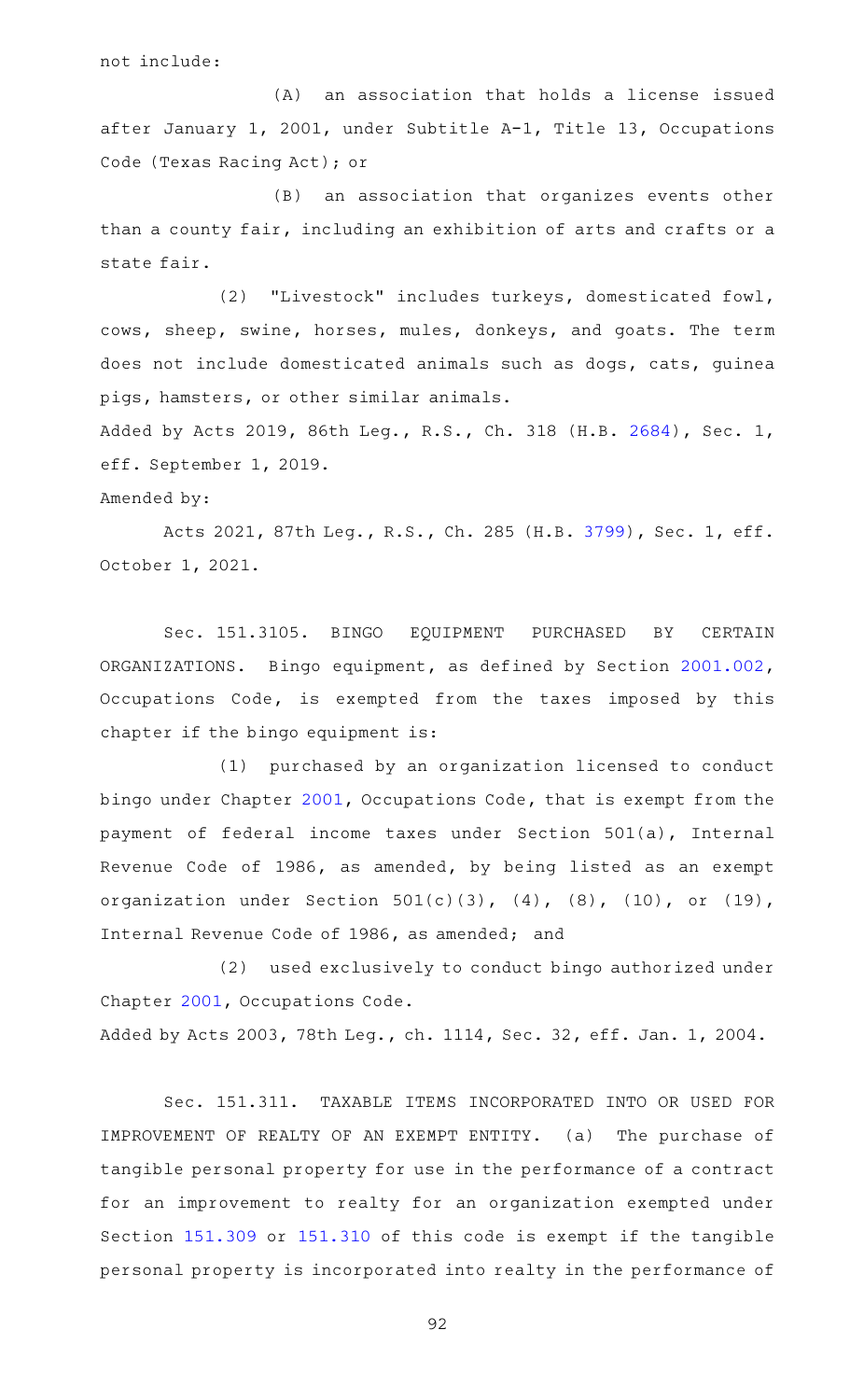not include:

(A) an association that holds a license issued after January 1, 2001, under Subtitle A-1, Title 13, Occupations Code (Texas Racing Act); or

(B) an association that organizes events other than a county fair, including an exhibition of arts and crafts or a state fair.

(2) "Livestock" includes turkeys, domesticated fowl, cows, sheep, swine, horses, mules, donkeys, and goats. The term does not include domesticated animals such as dogs, cats, guinea pigs, hamsters, or other similar animals.

Added by Acts 2019, 86th Leg., R.S., Ch. 318 (H.B. [2684](http://www.legis.state.tx.us/tlodocs/86R/billtext/html/HB02684F.HTM)), Sec. 1, eff. September 1, 2019.

### Amended by:

Acts 2021, 87th Leg., R.S., Ch. 285 (H.B. [3799](http://www.legis.state.tx.us/tlodocs/87R/billtext/html/HB03799F.HTM)), Sec. 1, eff. October 1, 2021.

Sec. 151.3105. BINGO EQUIPMENT PURCHASED BY CERTAIN ORGANIZATIONS. Bingo equipment, as defined by Section [2001.002](https://statutes.capitol.texas.gov/GetStatute.aspx?Code=OC&Value=2001.002), Occupations Code, is exempted from the taxes imposed by this chapter if the bingo equipment is:

(1) purchased by an organization licensed to conduct bingo under Chapter [2001](https://statutes.capitol.texas.gov/GetStatute.aspx?Code=OC&Value=2001), Occupations Code, that is exempt from the payment of federal income taxes under Section 501(a), Internal Revenue Code of 1986, as amended, by being listed as an exempt organization under Section  $501(c)(3)$ ,  $(4)$ ,  $(8)$ ,  $(10)$ , or  $(19)$ , Internal Revenue Code of 1986, as amended; and

(2) used exclusively to conduct bingo authorized under Chapter [2001](https://statutes.capitol.texas.gov/GetStatute.aspx?Code=OC&Value=2001), Occupations Code. Added by Acts 2003, 78th Leg., ch. 1114, Sec. 32, eff. Jan. 1, 2004.

Sec. 151.311. TAXABLE ITEMS INCORPORATED INTO OR USED FOR IMPROVEMENT OF REALTY OF AN EXEMPT ENTITY. (a) The purchase of tangible personal property for use in the performance of a contract for an improvement to realty for an organization exempted under Section [151.309](https://statutes.capitol.texas.gov/GetStatute.aspx?Code=TX&Value=151.309) or [151.310](https://statutes.capitol.texas.gov/GetStatute.aspx?Code=TX&Value=151.310) of this code is exempt if the tangible personal property is incorporated into realty in the performance of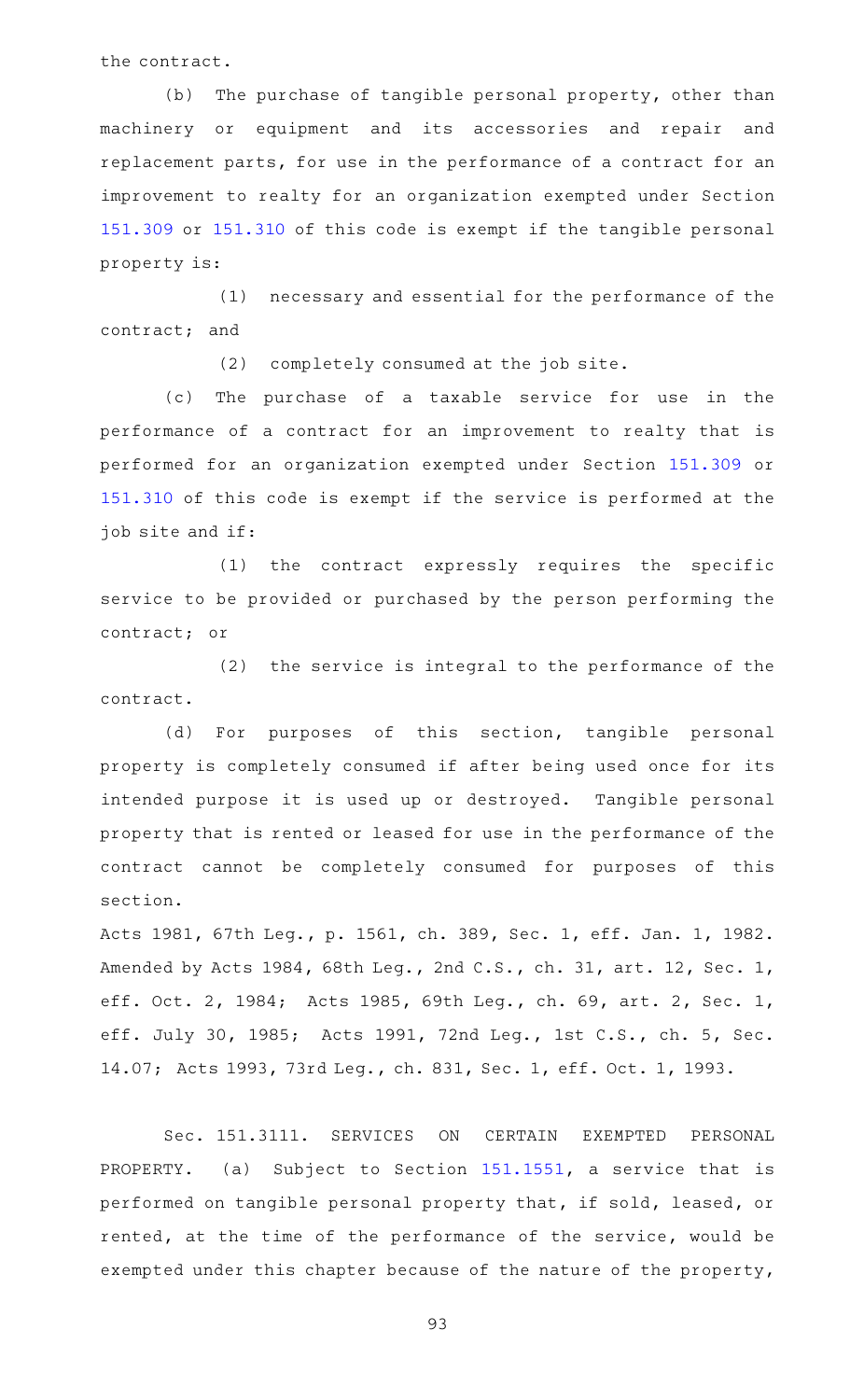the contract.

(b) The purchase of tangible personal property, other than machinery or equipment and its accessories and repair and replacement parts, for use in the performance of a contract for an improvement to realty for an organization exempted under Section [151.309](https://statutes.capitol.texas.gov/GetStatute.aspx?Code=TX&Value=151.309) or [151.310](https://statutes.capitol.texas.gov/GetStatute.aspx?Code=TX&Value=151.310) of this code is exempt if the tangible personal property is:

(1) necessary and essential for the performance of the contract; and

(2) completely consumed at the job site.

(c) The purchase of a taxable service for use in the performance of a contract for an improvement to realty that is performed for an organization exempted under Section [151.309](https://statutes.capitol.texas.gov/GetStatute.aspx?Code=TX&Value=151.309) or [151.310](https://statutes.capitol.texas.gov/GetStatute.aspx?Code=TX&Value=151.310) of this code is exempt if the service is performed at the job site and if:

 $(1)$  the contract expressly requires the specific service to be provided or purchased by the person performing the contract; or

 $(2)$  the service is integral to the performance of the contract.

(d) For purposes of this section, tangible personal property is completely consumed if after being used once for its intended purpose it is used up or destroyed. Tangible personal property that is rented or leased for use in the performance of the contract cannot be completely consumed for purposes of this section.

Acts 1981, 67th Leg., p. 1561, ch. 389, Sec. 1, eff. Jan. 1, 1982. Amended by Acts 1984, 68th Leg., 2nd C.S., ch. 31, art. 12, Sec. 1, eff. Oct. 2, 1984; Acts 1985, 69th Leg., ch. 69, art. 2, Sec. 1, eff. July 30, 1985; Acts 1991, 72nd Leg., 1st C.S., ch. 5, Sec. 14.07; Acts 1993, 73rd Leg., ch. 831, Sec. 1, eff. Oct. 1, 1993.

Sec. 151.3111. SERVICES ON CERTAIN EXEMPTED PERSONAL PROPERTY. (a) Subject to Section [151.1551](https://statutes.capitol.texas.gov/GetStatute.aspx?Code=TX&Value=151.1551), a service that is performed on tangible personal property that, if sold, leased, or rented, at the time of the performance of the service, would be exempted under this chapter because of the nature of the property,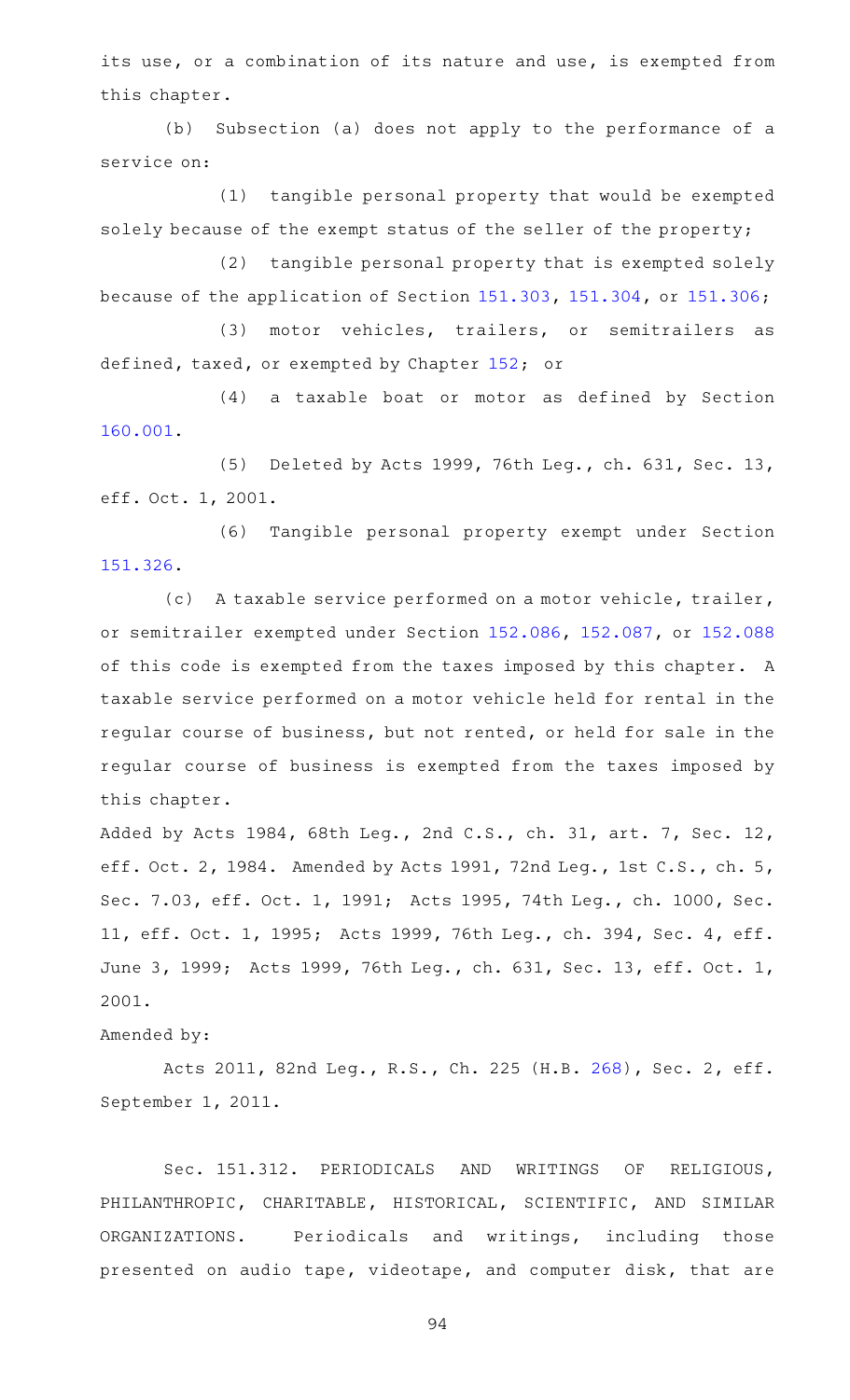its use, or a combination of its nature and use, is exempted from this chapter.

(b) Subsection (a) does not apply to the performance of a service on:

(1) tangible personal property that would be exempted solely because of the exempt status of the seller of the property;

(2) tangible personal property that is exempted solely because of the application of Section [151.303,](https://statutes.capitol.texas.gov/GetStatute.aspx?Code=TX&Value=151.303) [151.304,](https://statutes.capitol.texas.gov/GetStatute.aspx?Code=TX&Value=151.304) or [151.306;](https://statutes.capitol.texas.gov/GetStatute.aspx?Code=TX&Value=151.306)

(3) motor vehicles, trailers, or semitrailers as defined, taxed, or exempted by Chapter [152;](https://statutes.capitol.texas.gov/GetStatute.aspx?Code=TX&Value=152) or

(4) a taxable boat or motor as defined by Section [160.001.](https://statutes.capitol.texas.gov/GetStatute.aspx?Code=TX&Value=160.001)

(5) Deleted by Acts 1999, 76th Leg., ch. 631, Sec. 13, eff. Oct. 1, 2001.

(6) Tangible personal property exempt under Section [151.326.](https://statutes.capitol.texas.gov/GetStatute.aspx?Code=TX&Value=151.326)

(c) A taxable service performed on a motor vehicle, trailer, or semitrailer exempted under Section [152.086](https://statutes.capitol.texas.gov/GetStatute.aspx?Code=TX&Value=152.086), [152.087](https://statutes.capitol.texas.gov/GetStatute.aspx?Code=TX&Value=152.087), or [152.088](https://statutes.capitol.texas.gov/GetStatute.aspx?Code=TX&Value=152.088) of this code is exempted from the taxes imposed by this chapter. A taxable service performed on a motor vehicle held for rental in the regular course of business, but not rented, or held for sale in the regular course of business is exempted from the taxes imposed by this chapter.

Added by Acts 1984, 68th Leg., 2nd C.S., ch. 31, art. 7, Sec. 12, eff. Oct. 2, 1984. Amended by Acts 1991, 72nd Leg., 1st C.S., ch. 5, Sec. 7.03, eff. Oct. 1, 1991; Acts 1995, 74th Leg., ch. 1000, Sec. 11, eff. Oct. 1, 1995; Acts 1999, 76th Leg., ch. 394, Sec. 4, eff. June 3, 1999; Acts 1999, 76th Leg., ch. 631, Sec. 13, eff. Oct. 1, 2001.

### Amended by:

Acts 2011, 82nd Leg., R.S., Ch. 225 (H.B. [268](http://www.legis.state.tx.us/tlodocs/82R/billtext/html/HB00268F.HTM)), Sec. 2, eff. September 1, 2011.

Sec. 151.312. PERIODICALS AND WRITINGS OF RELIGIOUS, PHILANTHROPIC, CHARITABLE, HISTORICAL, SCIENTIFIC, AND SIMILAR ORGANIZATIONS. Periodicals and writings, including those presented on audio tape, videotape, and computer disk, that are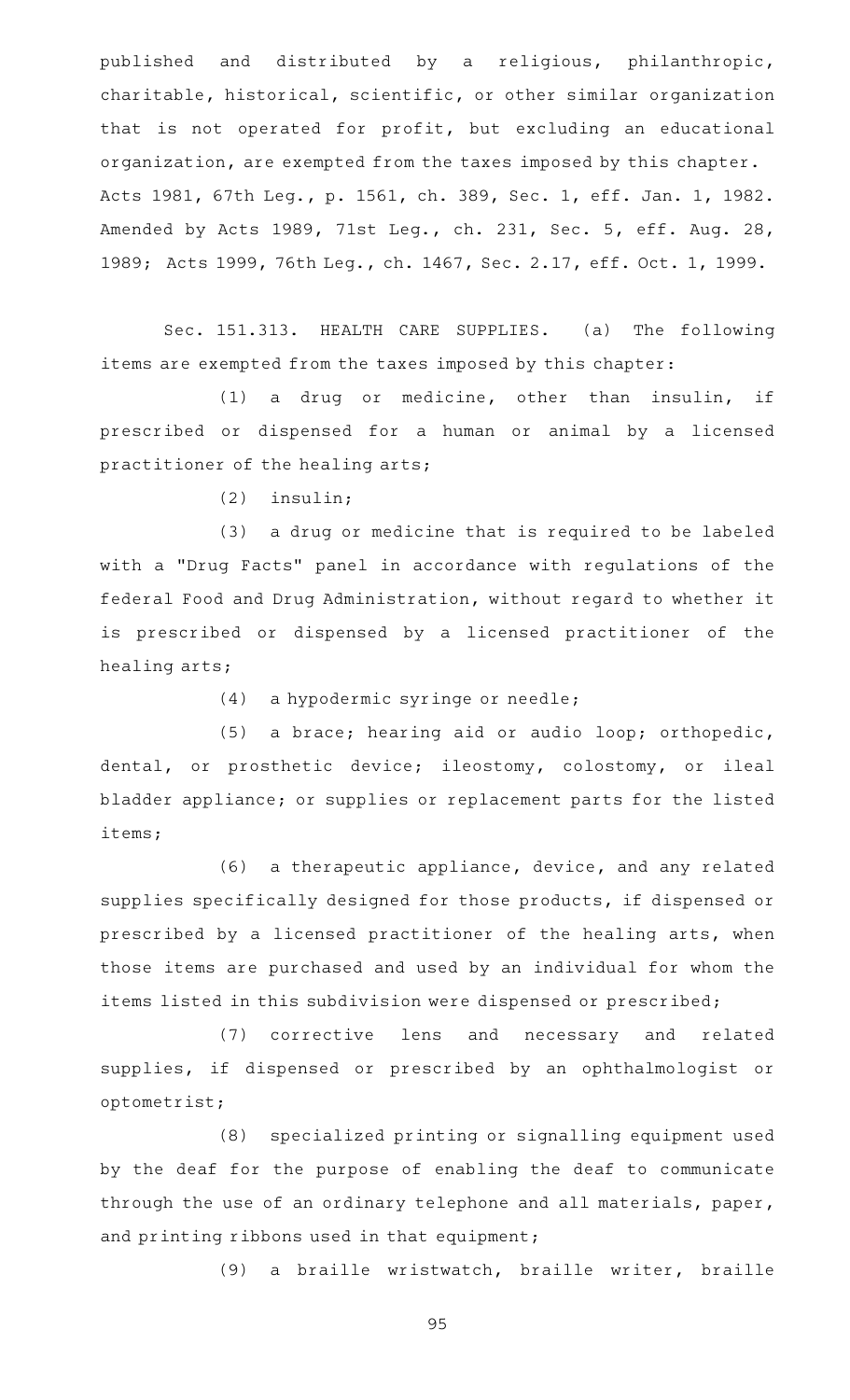published and distributed by a religious, philanthropic, charitable, historical, scientific, or other similar organization that is not operated for profit, but excluding an educational organization, are exempted from the taxes imposed by this chapter. Acts 1981, 67th Leg., p. 1561, ch. 389, Sec. 1, eff. Jan. 1, 1982. Amended by Acts 1989, 71st Leg., ch. 231, Sec. 5, eff. Aug. 28, 1989; Acts 1999, 76th Leg., ch. 1467, Sec. 2.17, eff. Oct. 1, 1999.

Sec. 151.313. HEALTH CARE SUPPLIES. (a) The following items are exempted from the taxes imposed by this chapter:

 $(1)$  a drug or medicine, other than insulin, if prescribed or dispensed for a human or animal by a licensed practitioner of the healing arts;

 $(2)$  insulin;

(3) a drug or medicine that is required to be labeled with a "Drug Facts" panel in accordance with regulations of the federal Food and Drug Administration, without regard to whether it is prescribed or dispensed by a licensed practitioner of the healing arts;

 $(4)$  a hypodermic syringe or needle;

(5) a brace; hearing aid or audio loop; orthopedic, dental, or prosthetic device; ileostomy, colostomy, or ileal bladder appliance; or supplies or replacement parts for the listed items;

(6) a therapeutic appliance, device, and any related supplies specifically designed for those products, if dispensed or prescribed by a licensed practitioner of the healing arts, when those items are purchased and used by an individual for whom the items listed in this subdivision were dispensed or prescribed;

(7) corrective lens and necessary and related supplies, if dispensed or prescribed by an ophthalmologist or optometrist;

(8) specialized printing or signalling equipment used by the deaf for the purpose of enabling the deaf to communicate through the use of an ordinary telephone and all materials, paper, and printing ribbons used in that equipment;

(9) a braille wristwatch, braille writer, braille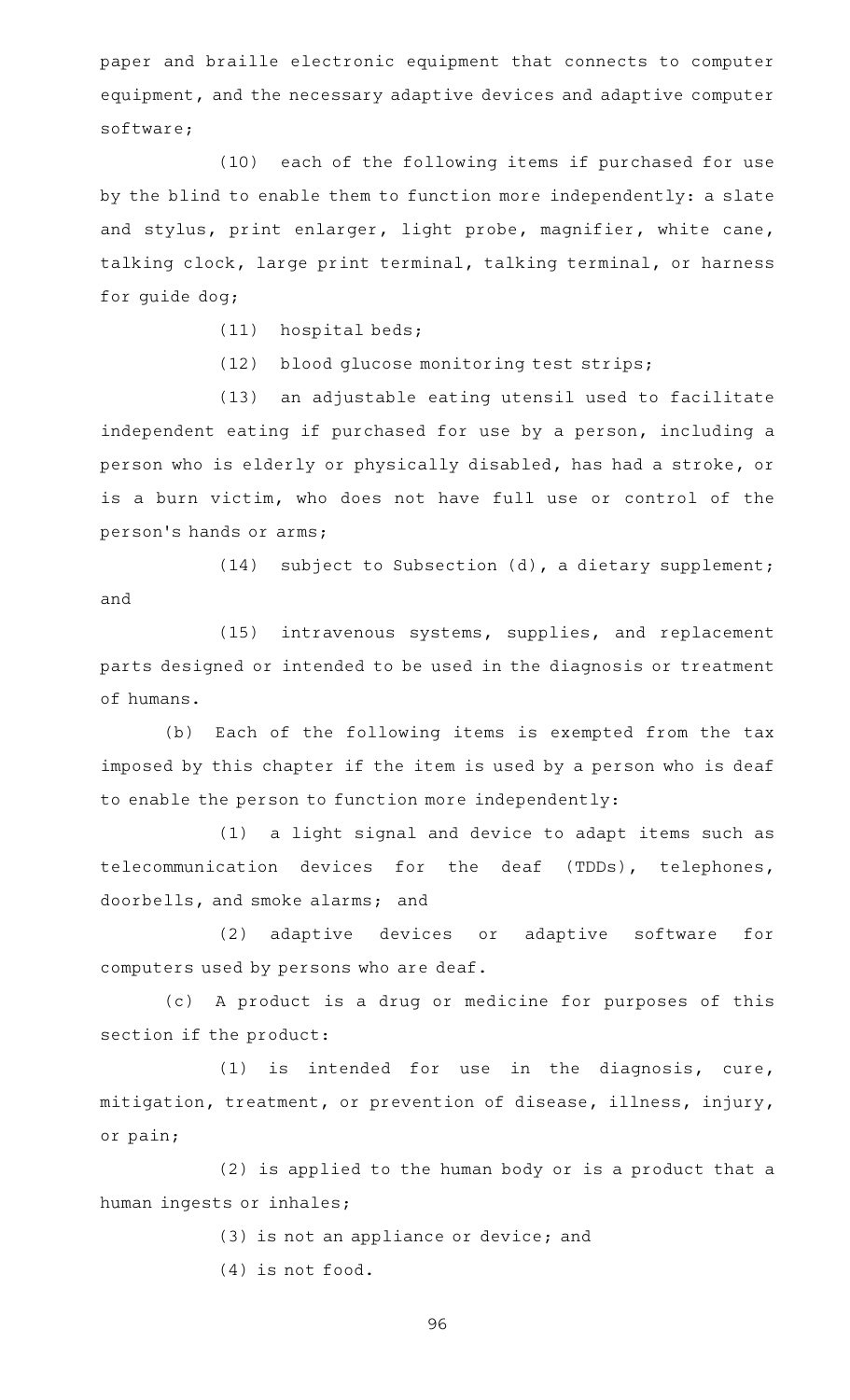paper and braille electronic equipment that connects to computer equipment, and the necessary adaptive devices and adaptive computer software;

(10) each of the following items if purchased for use by the blind to enable them to function more independently: a slate and stylus, print enlarger, light probe, magnifier, white cane, talking clock, large print terminal, talking terminal, or harness for guide dog;

- $(11)$  hospital beds;
- (12) blood glucose monitoring test strips;

(13) an adjustable eating utensil used to facilitate independent eating if purchased for use by a person, including a person who is elderly or physically disabled, has had a stroke, or is a burn victim, who does not have full use or control of the person 's hands or arms;

(14) subject to Subsection (d), a dietary supplement; and

(15) intravenous systems, supplies, and replacement parts designed or intended to be used in the diagnosis or treatment of humans.

(b) Each of the following items is exempted from the tax imposed by this chapter if the item is used by a person who is deaf to enable the person to function more independently:

(1) a light signal and device to adapt items such as telecommunication devices for the deaf (TDDs), telephones, doorbells, and smoke alarms; and

(2) adaptive devices or adaptive software for computers used by persons who are deaf.

(c)AAA product is a drug or medicine for purposes of this section if the product:

(1) is intended for use in the diagnosis, cure, mitigation, treatment, or prevention of disease, illness, injury, or pain;

(2) is applied to the human body or is a product that a human ingests or inhales;

> (3) is not an appliance or device; and (4) is not food.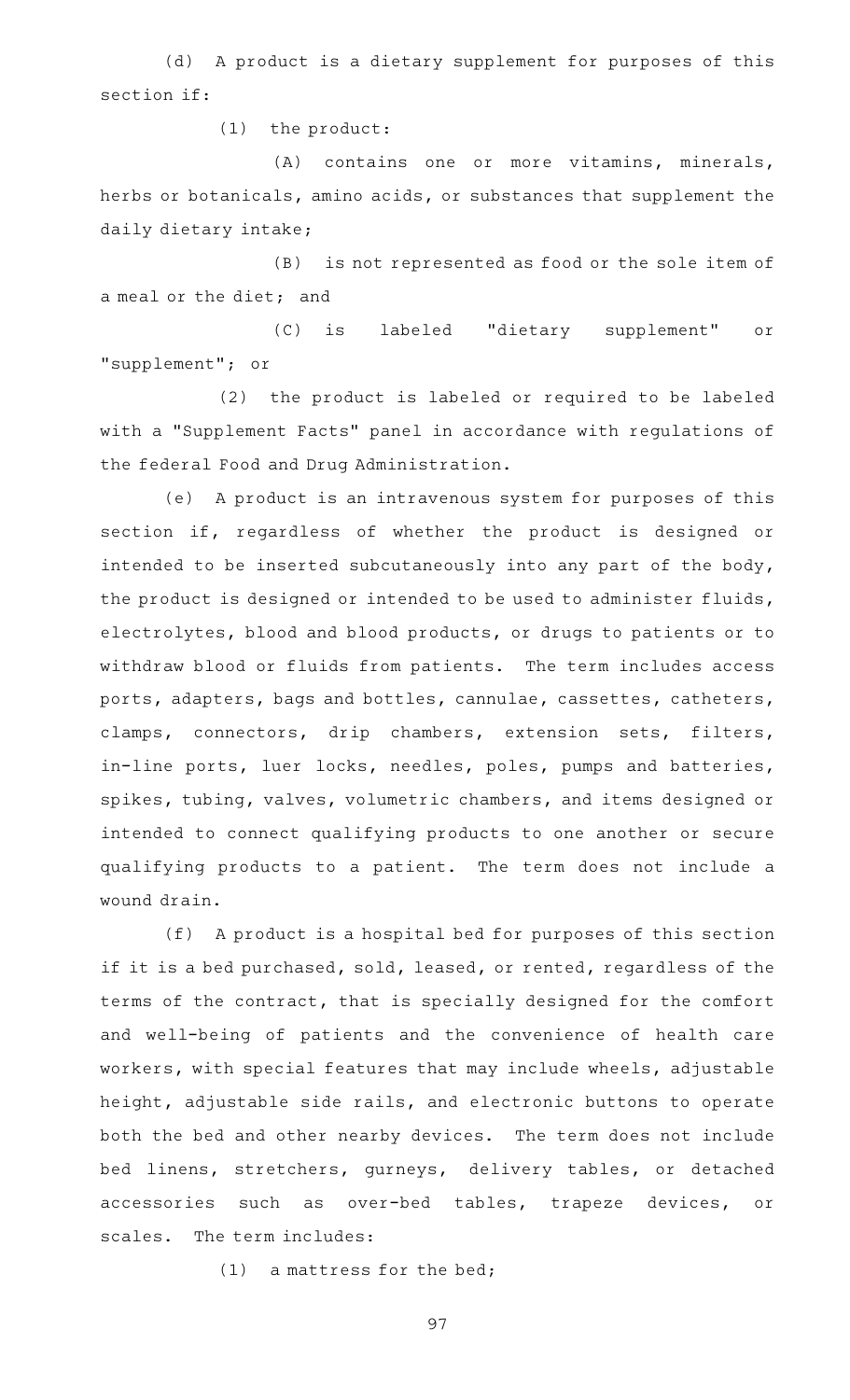(d) A product is a dietary supplement for purposes of this section if:

 $(1)$  the product:

(A) contains one or more vitamins, minerals, herbs or botanicals, amino acids, or substances that supplement the daily dietary intake;

(B) is not represented as food or the sole item of a meal or the diet; and

(C) is labeled "dietary supplement" or "supplement"; or

(2) the product is labeled or required to be labeled with a "Supplement Facts" panel in accordance with regulations of the federal Food and Drug Administration.

(e) A product is an intravenous system for purposes of this section if, regardless of whether the product is designed or intended to be inserted subcutaneously into any part of the body, the product is designed or intended to be used to administer fluids, electrolytes, blood and blood products, or drugs to patients or to withdraw blood or fluids from patients. The term includes access ports, adapters, bags and bottles, cannulae, cassettes, catheters, clamps, connectors, drip chambers, extension sets, filters, in-line ports, luer locks, needles, poles, pumps and batteries, spikes, tubing, valves, volumetric chambers, and items designed or intended to connect qualifying products to one another or secure qualifying products to a patient. The term does not include a wound drain.

(f) A product is a hospital bed for purposes of this section if it is a bed purchased, sold, leased, or rented, regardless of the terms of the contract, that is specially designed for the comfort and well-being of patients and the convenience of health care workers, with special features that may include wheels, adjustable height, adjustable side rails, and electronic buttons to operate both the bed and other nearby devices. The term does not include bed linens, stretchers, gurneys, delivery tables, or detached accessories such as over-bed tables, trapeze devices, or scales. The term includes:

 $(1)$  a mattress for the bed;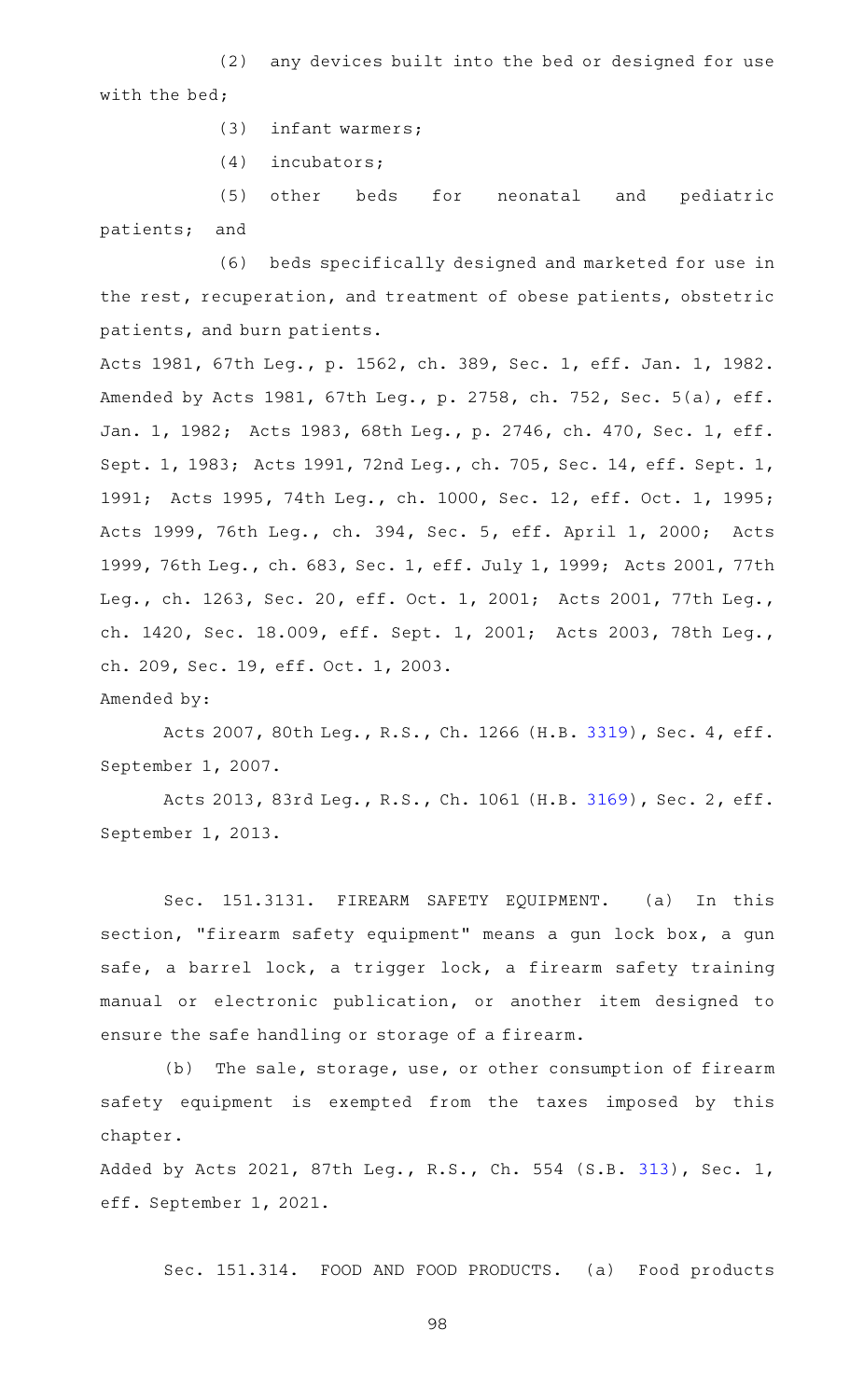(2) any devices built into the bed or designed for use with the bed;

 $(3)$  infant warmers;

 $(4)$  incubators;

(5) other beds for neonatal and pediatric patients; and

(6) beds specifically designed and marketed for use in the rest, recuperation, and treatment of obese patients, obstetric patients, and burn patients.

Acts 1981, 67th Leg., p. 1562, ch. 389, Sec. 1, eff. Jan. 1, 1982. Amended by Acts 1981, 67th Leg., p. 2758, ch. 752, Sec. 5(a), eff. Jan. 1, 1982; Acts 1983, 68th Leg., p. 2746, ch. 470, Sec. 1, eff. Sept. 1, 1983; Acts 1991, 72nd Leg., ch. 705, Sec. 14, eff. Sept. 1, 1991; Acts 1995, 74th Leg., ch. 1000, Sec. 12, eff. Oct. 1, 1995; Acts 1999, 76th Leg., ch. 394, Sec. 5, eff. April 1, 2000; Acts 1999, 76th Leg., ch. 683, Sec. 1, eff. July 1, 1999; Acts 2001, 77th Leg., ch. 1263, Sec. 20, eff. Oct. 1, 2001; Acts 2001, 77th Leg., ch. 1420, Sec. 18.009, eff. Sept. 1, 2001; Acts 2003, 78th Leg., ch. 209, Sec. 19, eff. Oct. 1, 2003.

Amended by:

Acts 2007, 80th Leg., R.S., Ch. 1266 (H.B. [3319](http://www.legis.state.tx.us/tlodocs/80R/billtext/html/HB03319F.HTM)), Sec. 4, eff. September 1, 2007.

Acts 2013, 83rd Leg., R.S., Ch. 1061 (H.B. [3169](http://www.legis.state.tx.us/tlodocs/83R/billtext/html/HB03169F.HTM)), Sec. 2, eff. September 1, 2013.

Sec. 151.3131. FIREARM SAFETY EQUIPMENT. (a) In this section, "firearm safety equipment" means a gun lock box, a gun safe, a barrel lock, a trigger lock, a firearm safety training manual or electronic publication, or another item designed to ensure the safe handling or storage of a firearm.

(b) The sale, storage, use, or other consumption of firearm safety equipment is exempted from the taxes imposed by this chapter.

Added by Acts 2021, 87th Leg., R.S., Ch. 554 (S.B. [313](http://www.legis.state.tx.us/tlodocs/87R/billtext/html/SB00313F.HTM)), Sec. 1, eff. September 1, 2021.

Sec. 151.314. FOOD AND FOOD PRODUCTS. (a) Food products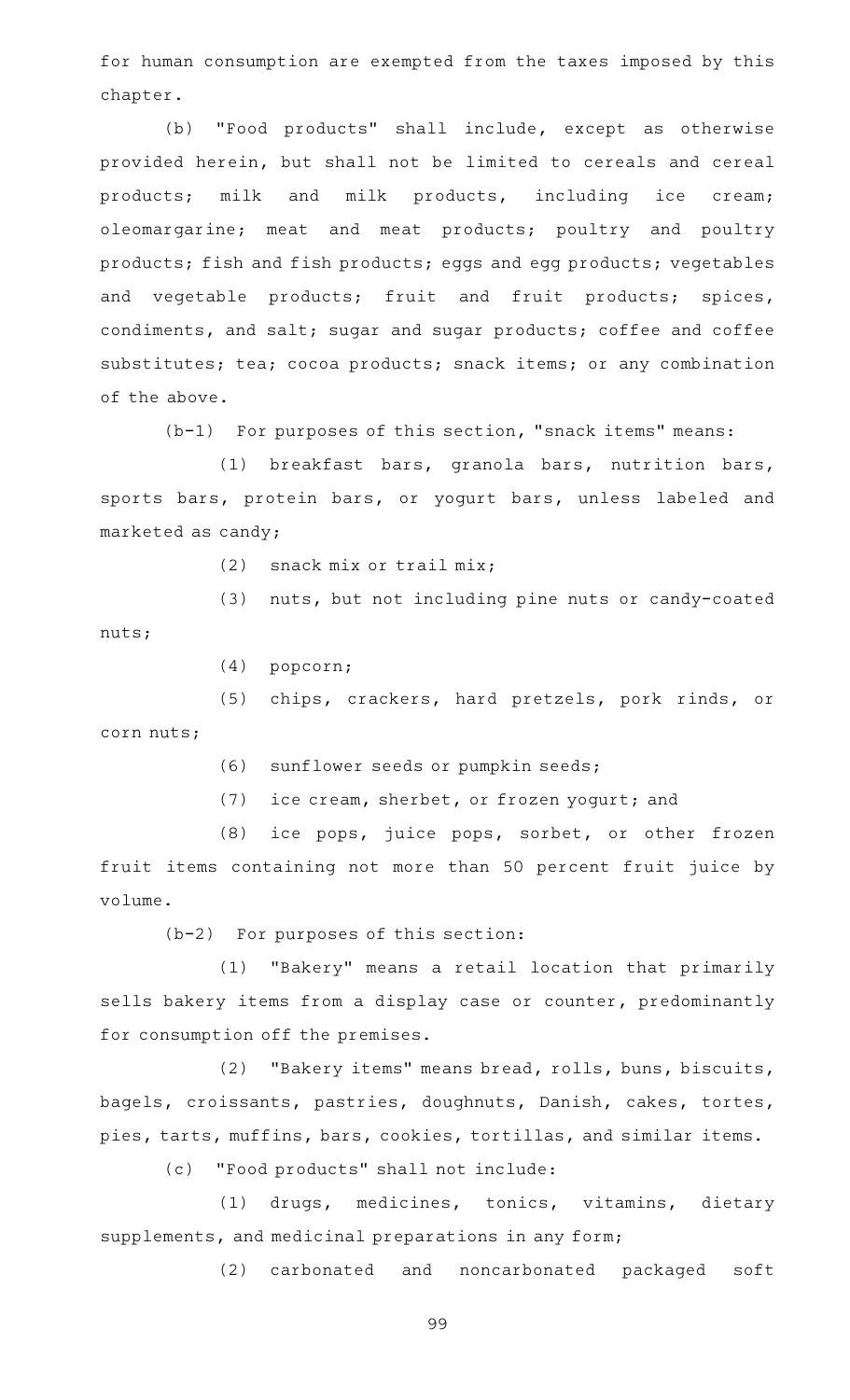for human consumption are exempted from the taxes imposed by this chapter.

(b) "Food products" shall include, except as otherwise provided herein, but shall not be limited to cereals and cereal products; milk and milk products, including ice cream; oleomargarine; meat and meat products; poultry and poultry products; fish and fish products; eggs and egg products; vegetables and vegetable products; fruit and fruit products; spices, condiments, and salt; sugar and sugar products; coffee and coffee substitutes; tea; cocoa products; snack items; or any combination of the above.

 $(b-1)$  For purposes of this section, "snack items" means:

(1) breakfast bars, granola bars, nutrition bars, sports bars, protein bars, or yogurt bars, unless labeled and marketed as candy;

 $(2)$  snack mix or trail mix;

(3) nuts, but not including pine nuts or candy-coated nuts;

 $(4)$  popcorn;

(5) chips, crackers, hard pretzels, pork rinds, or corn nuts;

(6) sunflower seeds or pumpkin seeds;

(7) ice cream, sherbet, or frozen yogurt; and

(8) ice pops, juice pops, sorbet, or other frozen fruit items containing not more than 50 percent fruit juice by volume.

 $(b-2)$  For purposes of this section:

(1) "Bakery" means a retail location that primarily sells bakery items from a display case or counter, predominantly for consumption off the premises.

(2) "Bakery items" means bread, rolls, buns, biscuits, bagels, croissants, pastries, doughnuts, Danish, cakes, tortes, pies, tarts, muffins, bars, cookies, tortillas, and similar items.

(c) "Food products" shall not include:

(1) drugs, medicines, tonics, vitamins, dietary supplements, and medicinal preparations in any form;

(2) carbonated and noncarbonated packaged soft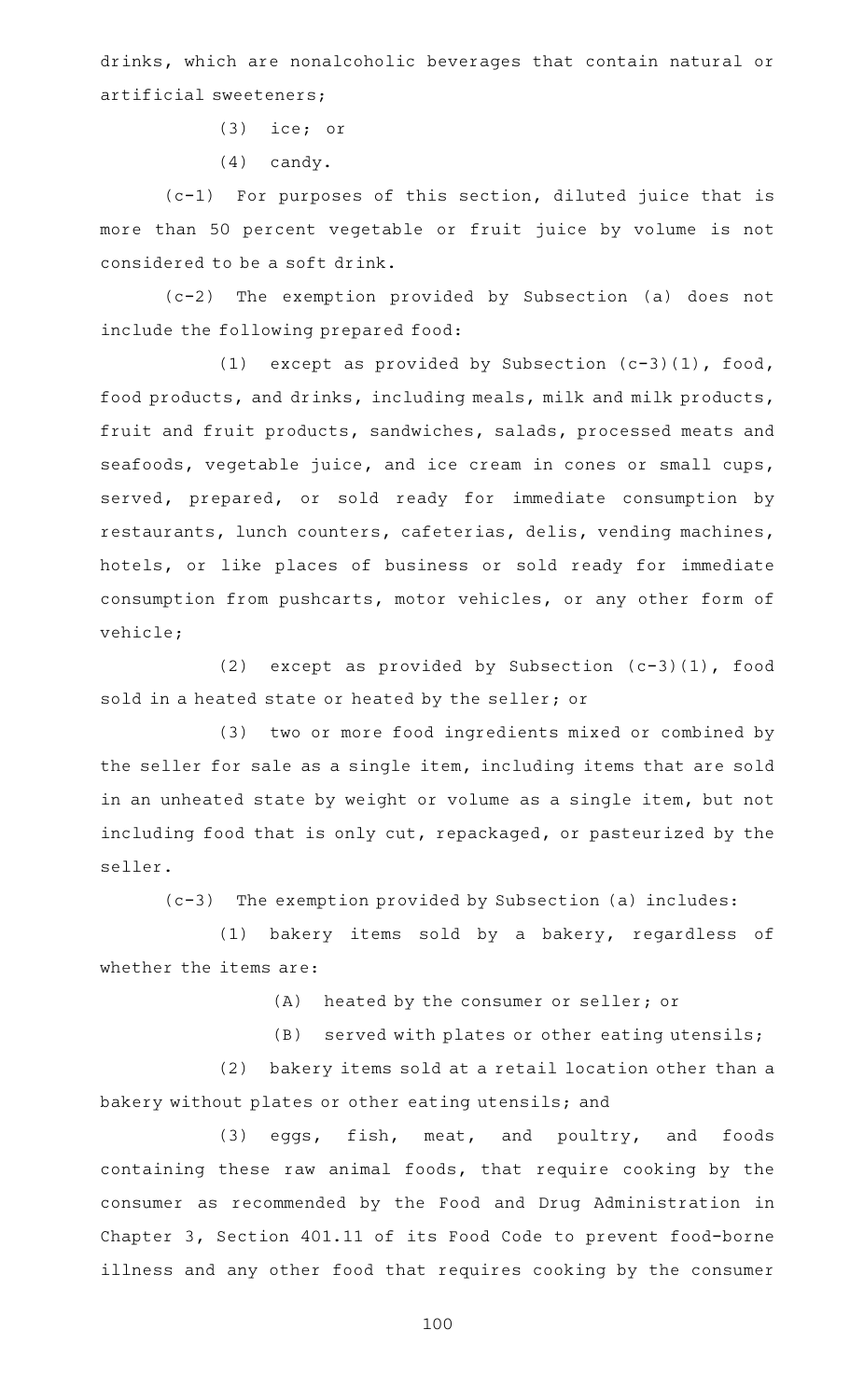drinks, which are nonalcoholic beverages that contain natural or artificial sweeteners;

 $(3)$  ice; or

 $(4)$  candy.

 $(c-1)$  For purposes of this section, diluted juice that is more than 50 percent vegetable or fruit juice by volume is not considered to be a soft drink.

(c-2) The exemption provided by Subsection (a) does not include the following prepared food:

(1) except as provided by Subsection  $(c-3)(1)$ , food, food products, and drinks, including meals, milk and milk products, fruit and fruit products, sandwiches, salads, processed meats and seafoods, vegetable juice, and ice cream in cones or small cups, served, prepared, or sold ready for immediate consumption by restaurants, lunch counters, cafeterias, delis, vending machines, hotels, or like places of business or sold ready for immediate consumption from pushcarts, motor vehicles, or any other form of vehicle;

(2) except as provided by Subsection  $(c-3)(1)$ , food sold in a heated state or heated by the seller; or

(3) two or more food ingredients mixed or combined by the seller for sale as a single item, including items that are sold in an unheated state by weight or volume as a single item, but not including food that is only cut, repackaged, or pasteurized by the seller.

(c-3) The exemption provided by Subsection (a) includes:

(1) bakery items sold by a bakery, regardless of whether the items are:

(A) heated by the consumer or seller; or

(B) served with plates or other eating utensils;

(2) bakery items sold at a retail location other than a bakery without plates or other eating utensils; and

(3) eggs, fish, meat, and poultry, and foods containing these raw animal foods, that require cooking by the consumer as recommended by the Food and Drug Administration in Chapter 3, Section 401.11 of its Food Code to prevent food-borne illness and any other food that requires cooking by the consumer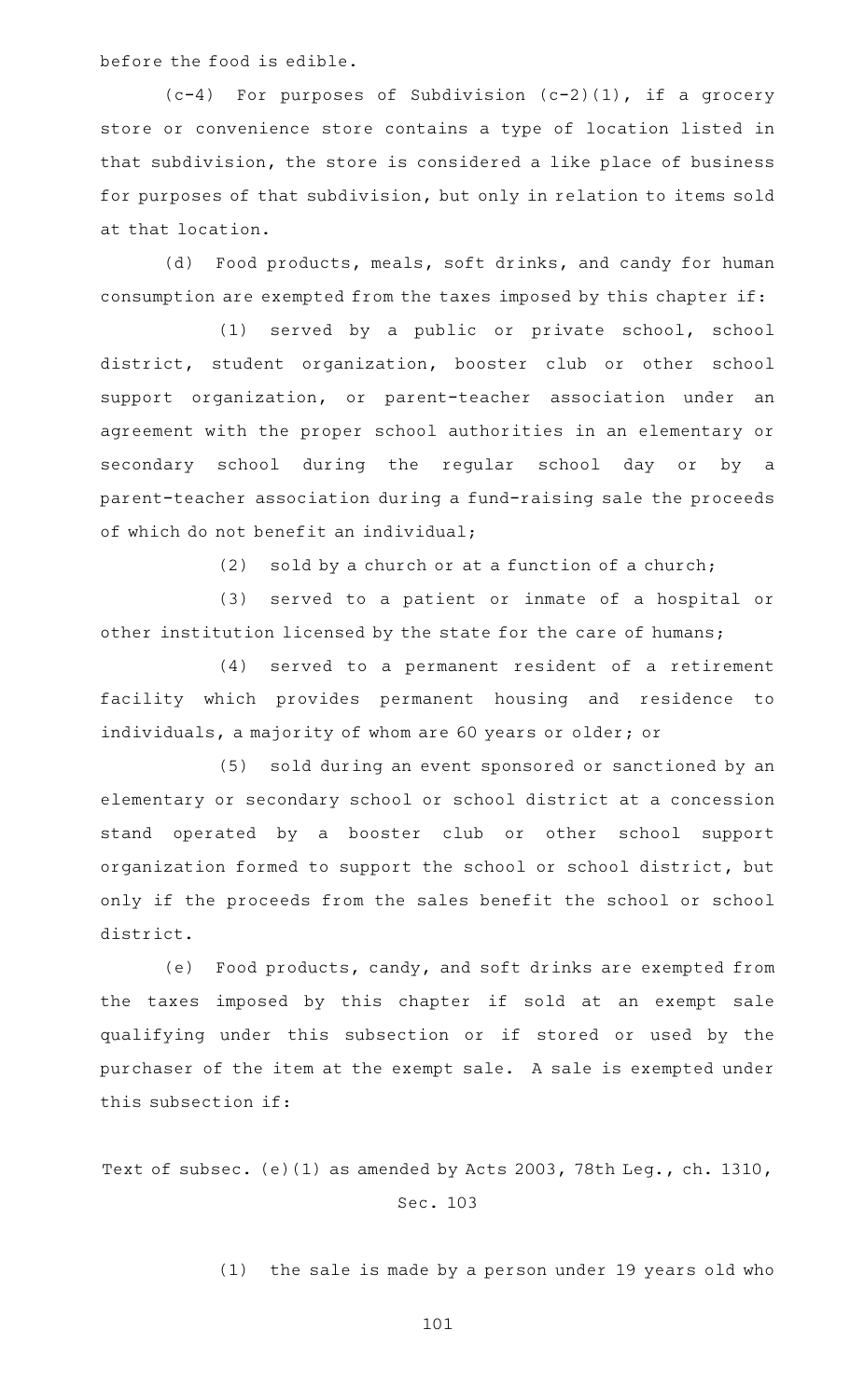before the food is edible.

 $(c-4)$  For purposes of Subdivision  $(c-2)(1)$ , if a grocery store or convenience store contains a type of location listed in that subdivision, the store is considered a like place of business for purposes of that subdivision, but only in relation to items sold at that location.

(d) Food products, meals, soft drinks, and candy for human consumption are exempted from the taxes imposed by this chapter if:

(1) served by a public or private school, school district, student organization, booster club or other school support organization, or parent-teacher association under an agreement with the proper school authorities in an elementary or secondary school during the regular school day or by a parent-teacher association during a fund-raising sale the proceeds of which do not benefit an individual;

(2) sold by a church or at a function of a church;

(3) served to a patient or inmate of a hospital or other institution licensed by the state for the care of humans;

(4) served to a permanent resident of a retirement facility which provides permanent housing and residence to individuals, a majority of whom are 60 years or older; or

(5) sold during an event sponsored or sanctioned by an elementary or secondary school or school district at a concession stand operated by a booster club or other school support organization formed to support the school or school district, but only if the proceeds from the sales benefit the school or school district.

(e) Food products, candy, and soft drinks are exempted from the taxes imposed by this chapter if sold at an exempt sale qualifying under this subsection or if stored or used by the purchaser of the item at the exempt sale. A sale is exempted under this subsection if:

Text of subsec. (e)(1) as amended by Acts 2003, 78th Leg., ch. 1310, Sec. 103

(1) the sale is made by a person under 19 years old who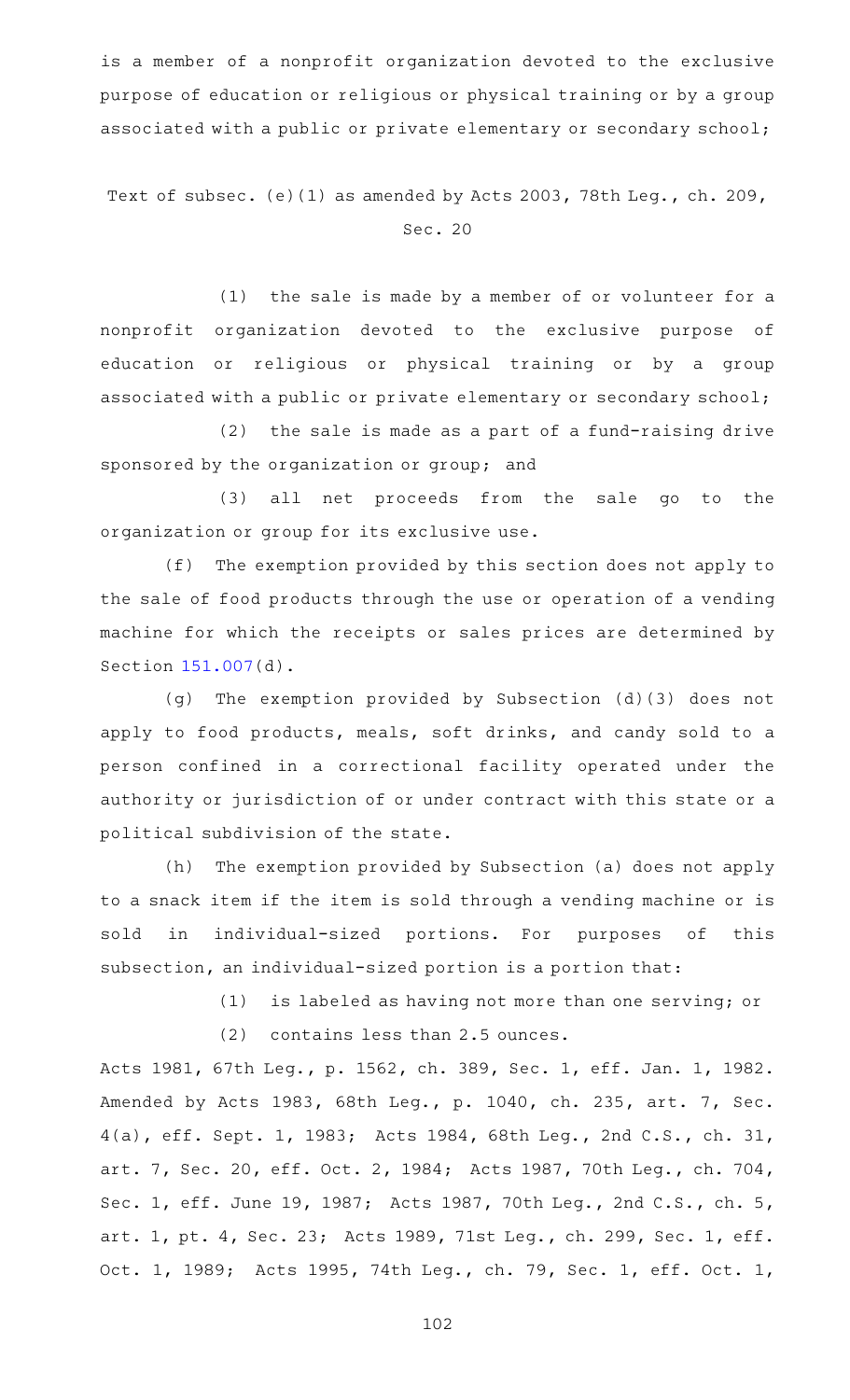is a member of a nonprofit organization devoted to the exclusive purpose of education or religious or physical training or by a group associated with a public or private elementary or secondary school;

Text of subsec. (e)(1) as amended by Acts 2003, 78th Leg., ch. 209, Sec. 20

(1) the sale is made by a member of or volunteer for a nonprofit organization devoted to the exclusive purpose of education or religious or physical training or by a group associated with a public or private elementary or secondary school;

 $(2)$  the sale is made as a part of a fund-raising drive sponsored by the organization or group; and

(3) all net proceeds from the sale go to the organization or group for its exclusive use.

 $(f)$  The exemption provided by this section does not apply to the sale of food products through the use or operation of a vending machine for which the receipts or sales prices are determined by Section [151.007\(](https://statutes.capitol.texas.gov/GetStatute.aspx?Code=TX&Value=151.007)d).

(g) The exemption provided by Subsection  $(d)(3)$  does not apply to food products, meals, soft drinks, and candy sold to a person confined in a correctional facility operated under the authority or jurisdiction of or under contract with this state or a political subdivision of the state.

(h) The exemption provided by Subsection (a) does not apply to a snack item if the item is sold through a vending machine or is sold in individual-sized portions. For purposes of this subsection, an individual-sized portion is a portion that:

(1) is labeled as having not more than one serving; or

 $(2)$  contains less than 2.5 ounces.

Acts 1981, 67th Leg., p. 1562, ch. 389, Sec. 1, eff. Jan. 1, 1982. Amended by Acts 1983, 68th Leg., p. 1040, ch. 235, art. 7, Sec. 4(a), eff. Sept. 1, 1983; Acts 1984, 68th Leg., 2nd C.S., ch. 31, art. 7, Sec. 20, eff. Oct. 2, 1984; Acts 1987, 70th Leg., ch. 704, Sec. 1, eff. June 19, 1987; Acts 1987, 70th Leg., 2nd C.S., ch. 5, art. 1, pt. 4, Sec. 23; Acts 1989, 71st Leg., ch. 299, Sec. 1, eff. Oct. 1, 1989; Acts 1995, 74th Leg., ch. 79, Sec. 1, eff. Oct. 1,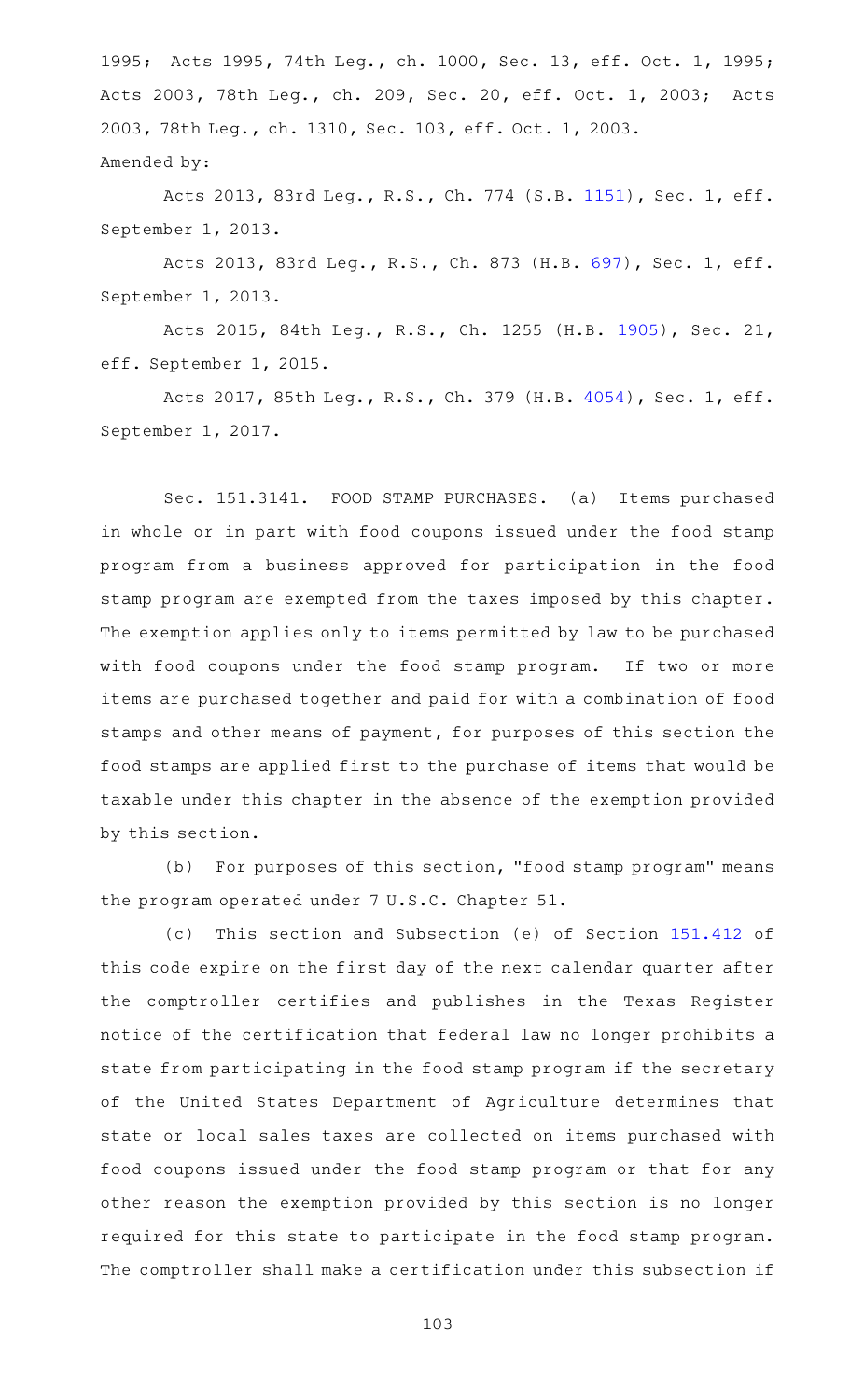1995; Acts 1995, 74th Leg., ch. 1000, Sec. 13, eff. Oct. 1, 1995; Acts 2003, 78th Leg., ch. 209, Sec. 20, eff. Oct. 1, 2003; Acts 2003, 78th Leg., ch. 1310, Sec. 103, eff. Oct. 1, 2003. Amended by:

Acts 2013, 83rd Leg., R.S., Ch. 774 (S.B. [1151](http://www.legis.state.tx.us/tlodocs/83R/billtext/html/SB01151F.HTM)), Sec. 1, eff. September 1, 2013.

Acts 2013, 83rd Leg., R.S., Ch. 873 (H.B. [697](http://www.legis.state.tx.us/tlodocs/83R/billtext/html/HB00697F.HTM)), Sec. 1, eff. September 1, 2013.

Acts 2015, 84th Leg., R.S., Ch. 1255 (H.B. [1905](http://www.legis.state.tx.us/tlodocs/84R/billtext/html/HB01905F.HTM)), Sec. 21, eff. September 1, 2015.

Acts 2017, 85th Leg., R.S., Ch. 379 (H.B. [4054](http://www.legis.state.tx.us/tlodocs/85R/billtext/html/HB04054F.HTM)), Sec. 1, eff. September 1, 2017.

Sec. 151.3141. FOOD STAMP PURCHASES. (a) Items purchased in whole or in part with food coupons issued under the food stamp program from a business approved for participation in the food stamp program are exempted from the taxes imposed by this chapter. The exemption applies only to items permitted by law to be purchased with food coupons under the food stamp program. If two or more items are purchased together and paid for with a combination of food stamps and other means of payment, for purposes of this section the food stamps are applied first to the purchase of items that would be taxable under this chapter in the absence of the exemption provided by this section.

(b) For purposes of this section, "food stamp program" means the program operated under 7 U.S.C. Chapter 51.

(c) This section and Subsection (e) of Section [151.412](https://statutes.capitol.texas.gov/GetStatute.aspx?Code=TX&Value=151.412) of this code expire on the first day of the next calendar quarter after the comptroller certifies and publishes in the Texas Register notice of the certification that federal law no longer prohibits a state from participating in the food stamp program if the secretary of the United States Department of Agriculture determines that state or local sales taxes are collected on items purchased with food coupons issued under the food stamp program or that for any other reason the exemption provided by this section is no longer required for this state to participate in the food stamp program. The comptroller shall make a certification under this subsection if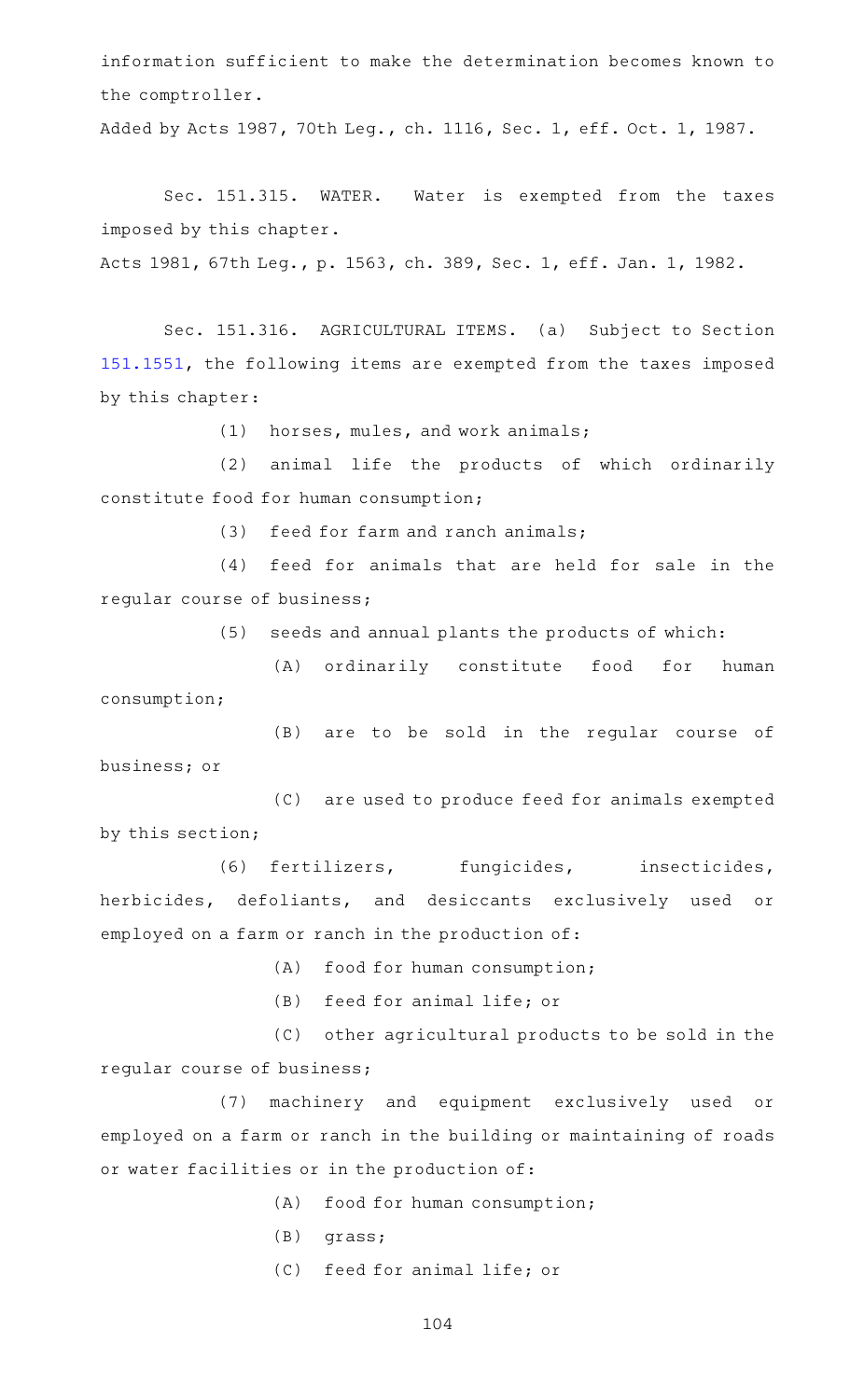information sufficient to make the determination becomes known to the comptroller.

Added by Acts 1987, 70th Leg., ch. 1116, Sec. 1, eff. Oct. 1, 1987.

Sec. 151.315. WATER. Water is exempted from the taxes imposed by this chapter.

Acts 1981, 67th Leg., p. 1563, ch. 389, Sec. 1, eff. Jan. 1, 1982.

Sec. 151.316. AGRICULTURAL ITEMS. (a) Subject to Section [151.1551](https://statutes.capitol.texas.gov/GetStatute.aspx?Code=TX&Value=151.1551), the following items are exempted from the taxes imposed by this chapter:

 $(1)$  horses, mules, and work animals;

(2) animal life the products of which ordinarily constitute food for human consumption;

 $(3)$  feed for farm and ranch animals;

(4) feed for animals that are held for sale in the regular course of business;

(5) seeds and annual plants the products of which:

(A) ordinarily constitute food for human consumption;

(B) are to be sold in the regular course of business; or

(C) are used to produce feed for animals exempted by this section;

(6) fertilizers, fungicides, insecticides, herbicides, defoliants, and desiccants exclusively used or employed on a farm or ranch in the production of:

(A) food for human consumption;

(B) feed for animal life; or

(C) other agricultural products to be sold in the regular course of business;

(7) machinery and equipment exclusively used or employed on a farm or ranch in the building or maintaining of roads or water facilities or in the production of:

 $(A)$  food for human consumption;

- $(B)$  grass;
- (C) feed for animal life; or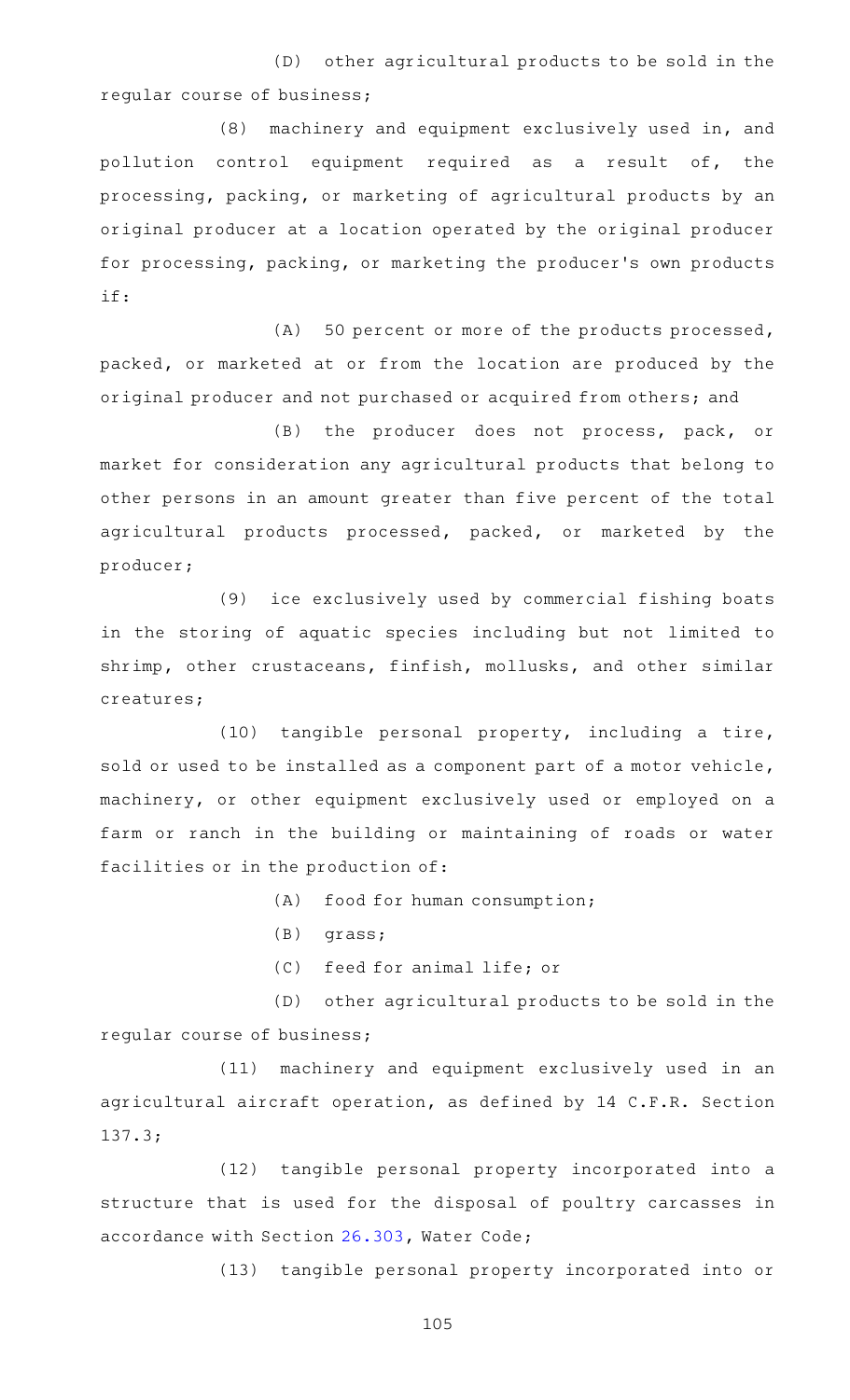(D) other agricultural products to be sold in the regular course of business;

(8) machinery and equipment exclusively used in, and pollution control equipment required as a result of, the processing, packing, or marketing of agricultural products by an original producer at a location operated by the original producer for processing, packing, or marketing the producer 's own products if:

(A) 50 percent or more of the products processed, packed, or marketed at or from the location are produced by the original producer and not purchased or acquired from others; and

(B) the producer does not process, pack, or market for consideration any agricultural products that belong to other persons in an amount greater than five percent of the total agricultural products processed, packed, or marketed by the producer;

(9) ice exclusively used by commercial fishing boats in the storing of aquatic species including but not limited to shrimp, other crustaceans, finfish, mollusks, and other similar creatures;

 $(10)$  tangible personal property, including a tire, sold or used to be installed as a component part of a motor vehicle, machinery, or other equipment exclusively used or employed on a farm or ranch in the building or maintaining of roads or water facilities or in the production of:

(A) food for human consumption;

- $(B)$  grass;
- (C) feed for animal life; or

(D) other agricultural products to be sold in the regular course of business;

(11) machinery and equipment exclusively used in an agricultural aircraft operation, as defined by 14 C.F.R. Section 137.3;

(12) tangible personal property incorporated into a structure that is used for the disposal of poultry carcasses in accordance with Section [26.303,](https://statutes.capitol.texas.gov/GetStatute.aspx?Code=WA&Value=26.303) Water Code;

(13) tangible personal property incorporated into or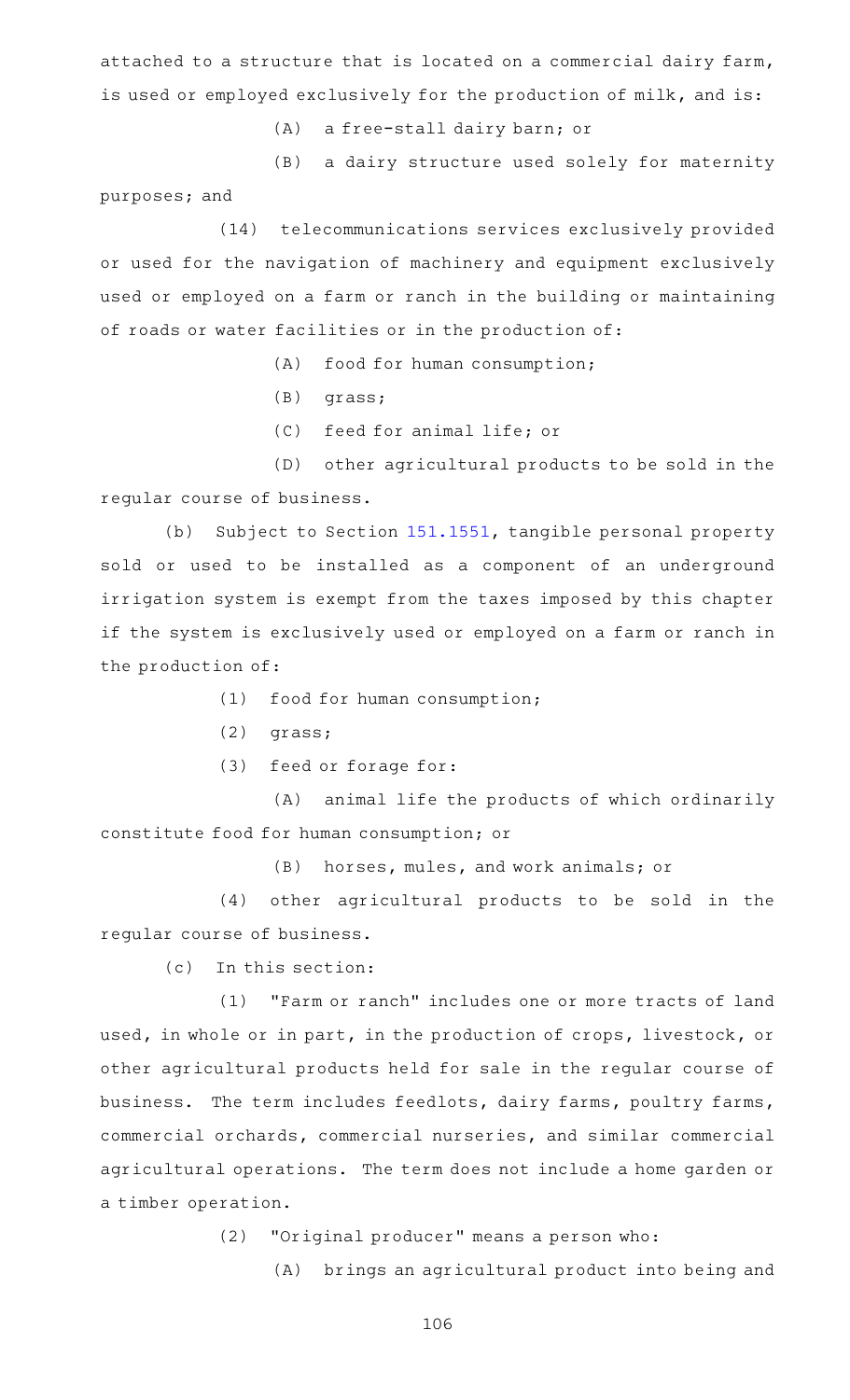attached to a structure that is located on a commercial dairy farm, is used or employed exclusively for the production of milk, and is:

(A) a free-stall dairy barn; or

(B) a dairy structure used solely for maternity

purposes; and

(14) telecommunications services exclusively provided or used for the navigation of machinery and equipment exclusively used or employed on a farm or ranch in the building or maintaining of roads or water facilities or in the production of:

 $(A)$  food for human consumption;

- $(B)$  grass;
- (C) feed for animal life; or

(D) other agricultural products to be sold in the regular course of business.

(b) Subject to Section [151.1551,](https://statutes.capitol.texas.gov/GetStatute.aspx?Code=TX&Value=151.1551) tangible personal property sold or used to be installed as a component of an underground irrigation system is exempt from the taxes imposed by this chapter if the system is exclusively used or employed on a farm or ranch in the production of:

- $(1)$  food for human consumption;
- $(2)$  grass;
- (3) feed or forage for:

(A) animal life the products of which ordinarily constitute food for human consumption; or

(B) horses, mules, and work animals; or

(4) other agricultural products to be sold in the regular course of business.

 $(c)$  In this section:

(1) "Farm or ranch" includes one or more tracts of land used, in whole or in part, in the production of crops, livestock, or other agricultural products held for sale in the regular course of business. The term includes feedlots, dairy farms, poultry farms, commercial orchards, commercial nurseries, and similar commercial agricultural operations. The term does not include a home garden or a timber operation.

(2) "Original producer" means a person who:

(A) brings an agricultural product into being and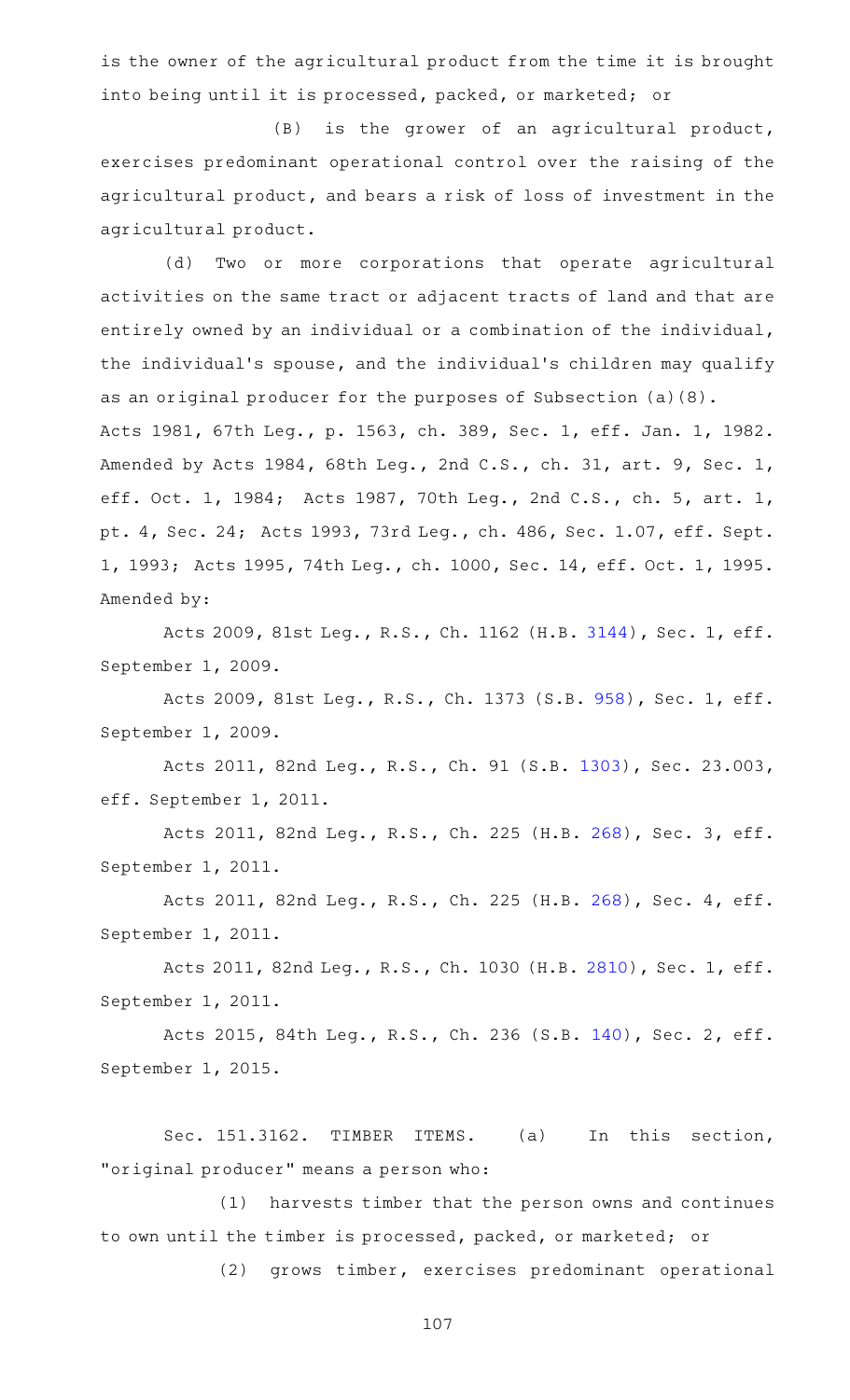is the owner of the agricultural product from the time it is brought into being until it is processed, packed, or marketed; or

 $(B)$  is the grower of an agricultural product, exercises predominant operational control over the raising of the agricultural product, and bears a risk of loss of investment in the agricultural product.

(d) Two or more corporations that operate agricultural activities on the same tract or adjacent tracts of land and that are entirely owned by an individual or a combination of the individual, the individual's spouse, and the individual's children may qualify as an original producer for the purposes of Subsection (a)(8). Acts 1981, 67th Leg., p. 1563, ch. 389, Sec. 1, eff. Jan. 1, 1982. Amended by Acts 1984, 68th Leg., 2nd C.S., ch. 31, art. 9, Sec. 1, eff. Oct. 1, 1984; Acts 1987, 70th Leg., 2nd C.S., ch. 5, art. 1, pt. 4, Sec. 24; Acts 1993, 73rd Leg., ch. 486, Sec. 1.07, eff. Sept. 1, 1993; Acts 1995, 74th Leg., ch. 1000, Sec. 14, eff. Oct. 1, 1995.

Amended by:

Acts 2009, 81st Leg., R.S., Ch. 1162 (H.B. [3144](http://www.legis.state.tx.us/tlodocs/81R/billtext/html/HB03144F.HTM)), Sec. 1, eff. September 1, 2009.

Acts 2009, 81st Leg., R.S., Ch. 1373 (S.B. [958](http://www.legis.state.tx.us/tlodocs/81R/billtext/html/SB00958F.HTM)), Sec. 1, eff. September 1, 2009.

Acts 2011, 82nd Leg., R.S., Ch. 91 (S.B. [1303](http://www.legis.state.tx.us/tlodocs/82R/billtext/html/SB01303F.HTM)), Sec. 23.003, eff. September 1, 2011.

Acts 2011, 82nd Leg., R.S., Ch. 225 (H.B. [268](http://www.legis.state.tx.us/tlodocs/82R/billtext/html/HB00268F.HTM)), Sec. 3, eff. September 1, 2011.

Acts 2011, 82nd Leg., R.S., Ch. 225 (H.B. [268](http://www.legis.state.tx.us/tlodocs/82R/billtext/html/HB00268F.HTM)), Sec. 4, eff. September 1, 2011.

Acts 2011, 82nd Leg., R.S., Ch. 1030 (H.B. [2810](http://www.legis.state.tx.us/tlodocs/82R/billtext/html/HB02810F.HTM)), Sec. 1, eff. September 1, 2011.

Acts 2015, 84th Leg., R.S., Ch. 236 (S.B. [140](http://www.legis.state.tx.us/tlodocs/84R/billtext/html/SB00140F.HTM)), Sec. 2, eff. September 1, 2015.

Sec. 151.3162. TIMBER ITEMS. (a) In this section, "original producer" means a person who:

(1) harvests timber that the person owns and continues to own until the timber is processed, packed, or marketed; or

(2) grows timber, exercises predominant operational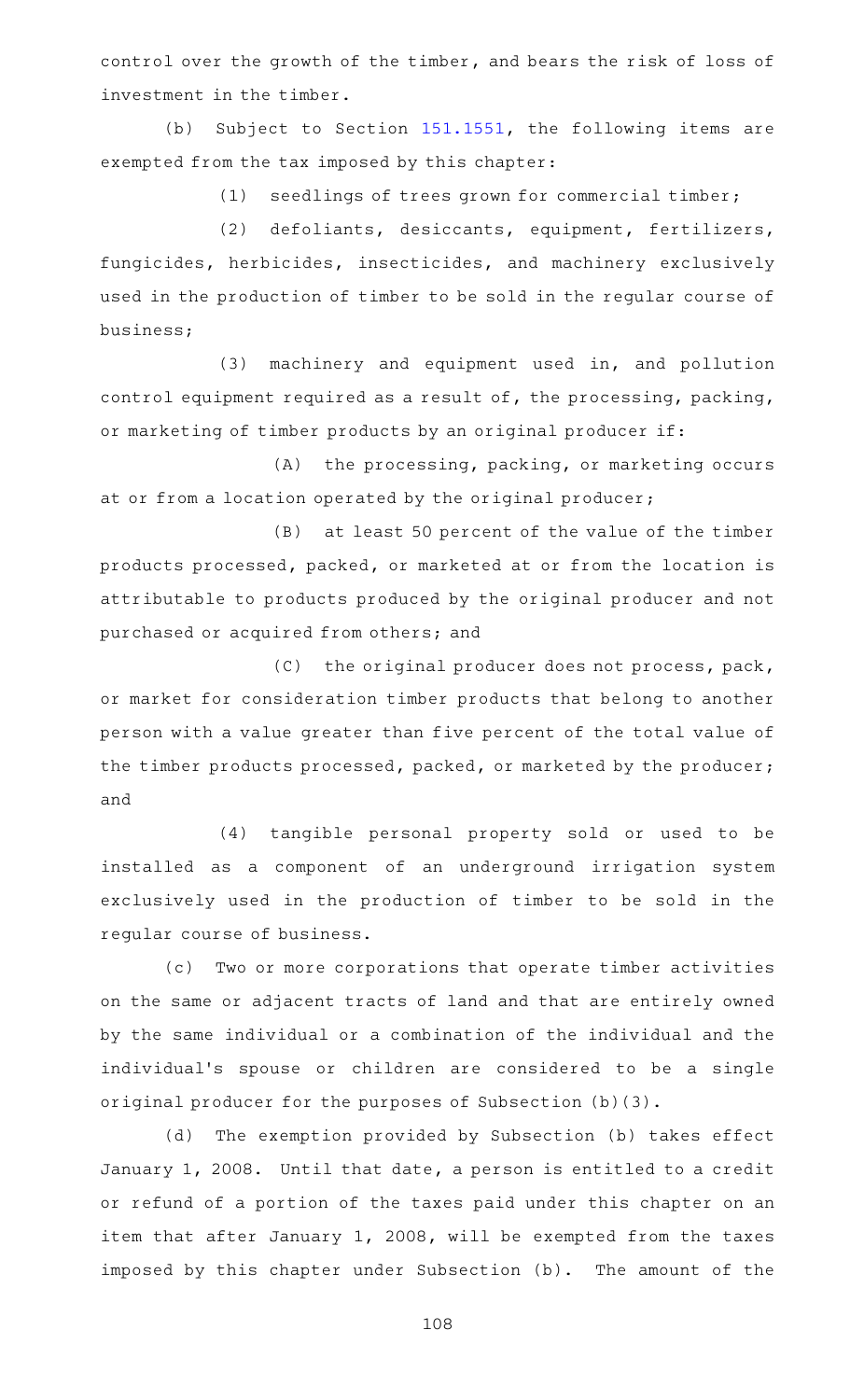control over the growth of the timber, and bears the risk of loss of investment in the timber.

(b) Subject to Section  $151.1551$ , the following items are exempted from the tax imposed by this chapter:

(1) seedlings of trees grown for commercial timber;

(2) defoliants, desiccants, equipment, fertilizers, fungicides, herbicides, insecticides, and machinery exclusively used in the production of timber to be sold in the regular course of business;

(3) machinery and equipment used in, and pollution control equipment required as a result of, the processing, packing, or marketing of timber products by an original producer if:

(A) the processing, packing, or marketing occurs at or from a location operated by the original producer;

 $(B)$  at least 50 percent of the value of the timber products processed, packed, or marketed at or from the location is attributable to products produced by the original producer and not purchased or acquired from others; and

 $(C)$  the original producer does not process, pack, or market for consideration timber products that belong to another person with a value greater than five percent of the total value of the timber products processed, packed, or marketed by the producer; and

(4) tangible personal property sold or used to be installed as a component of an underground irrigation system exclusively used in the production of timber to be sold in the regular course of business.

(c) Two or more corporations that operate timber activities on the same or adjacent tracts of land and that are entirely owned by the same individual or a combination of the individual and the individual's spouse or children are considered to be a single original producer for the purposes of Subsection (b)(3).

(d) The exemption provided by Subsection (b) takes effect January 1, 2008. Until that date, a person is entitled to a credit or refund of a portion of the taxes paid under this chapter on an item that after January 1, 2008, will be exempted from the taxes imposed by this chapter under Subsection (b). The amount of the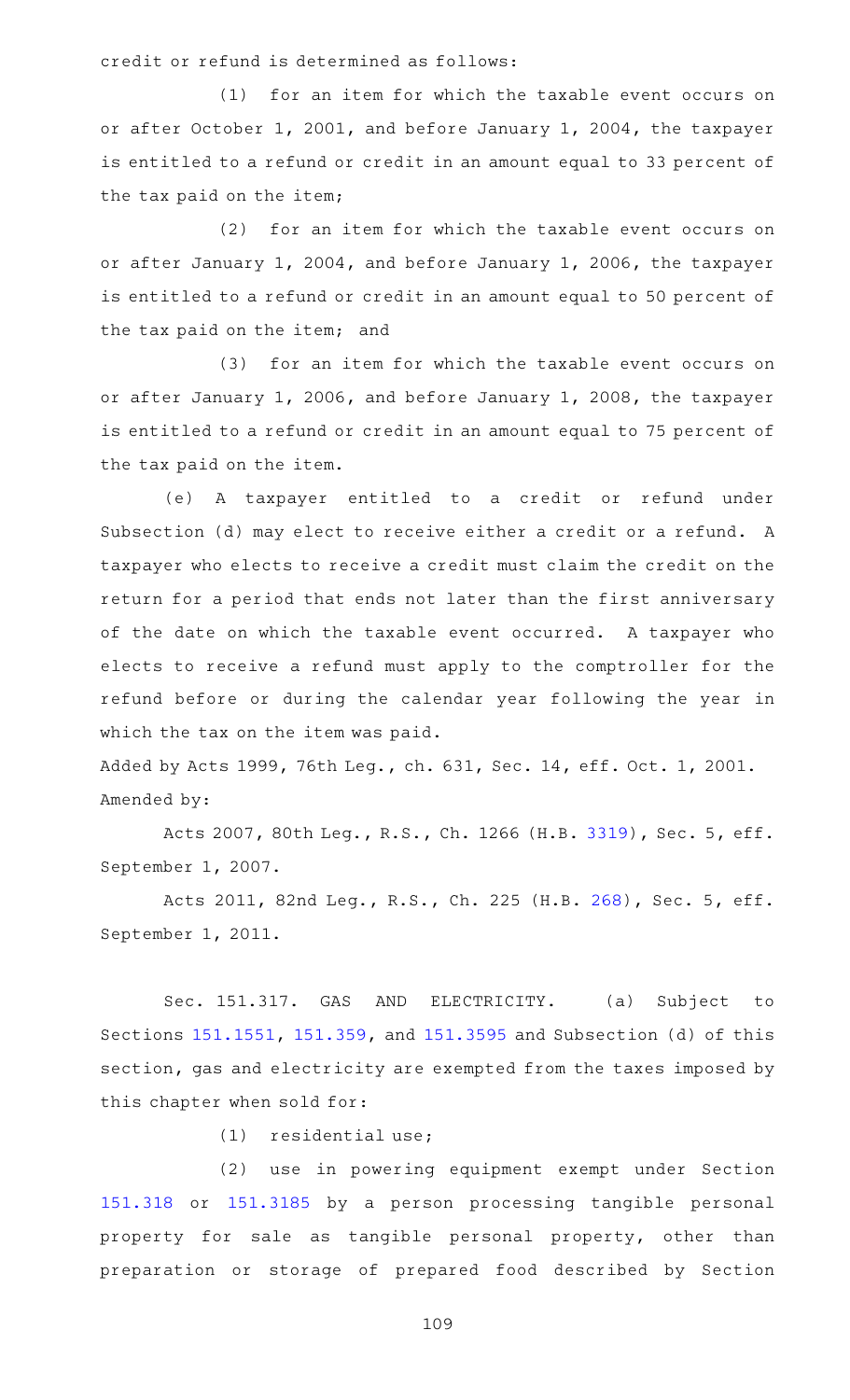credit or refund is determined as follows:

(1) for an item for which the taxable event occurs on or after October 1, 2001, and before January 1, 2004, the taxpayer is entitled to a refund or credit in an amount equal to 33 percent of the tax paid on the item;

(2) for an item for which the taxable event occurs on or after January 1, 2004, and before January 1, 2006, the taxpayer is entitled to a refund or credit in an amount equal to 50 percent of the tax paid on the item; and

(3) for an item for which the taxable event occurs on or after January 1, 2006, and before January 1, 2008, the taxpayer is entitled to a refund or credit in an amount equal to 75 percent of the tax paid on the item.

(e)AAA taxpayer entitled to a credit or refund under Subsection (d) may elect to receive either a credit or a refund. A taxpayer who elects to receive a credit must claim the credit on the return for a period that ends not later than the first anniversary of the date on which the taxable event occurred. A taxpayer who elects to receive a refund must apply to the comptroller for the refund before or during the calendar year following the year in which the tax on the item was paid.

Added by Acts 1999, 76th Leg., ch. 631, Sec. 14, eff. Oct. 1, 2001. Amended by:

Acts 2007, 80th Leg., R.S., Ch. 1266 (H.B. [3319](http://www.legis.state.tx.us/tlodocs/80R/billtext/html/HB03319F.HTM)), Sec. 5, eff. September 1, 2007.

Acts 2011, 82nd Leg., R.S., Ch. 225 (H.B. [268](http://www.legis.state.tx.us/tlodocs/82R/billtext/html/HB00268F.HTM)), Sec. 5, eff. September 1, 2011.

Sec. 151.317. GAS AND ELECTRICITY. (a) Subject to Sections [151.1551](https://statutes.capitol.texas.gov/GetStatute.aspx?Code=TX&Value=151.1551), [151.359,](https://statutes.capitol.texas.gov/GetStatute.aspx?Code=TX&Value=151.359) and [151.3595](https://statutes.capitol.texas.gov/GetStatute.aspx?Code=TX&Value=151.3595) and Subsection (d) of this section, gas and electricity are exempted from the taxes imposed by this chapter when sold for:

 $(1)$  residential use;

(2) use in powering equipment exempt under Section [151.318](https://statutes.capitol.texas.gov/GetStatute.aspx?Code=TX&Value=151.318) or [151.3185](https://statutes.capitol.texas.gov/GetStatute.aspx?Code=TX&Value=151.3185) by a person processing tangible personal property for sale as tangible personal property, other than preparation or storage of prepared food described by Section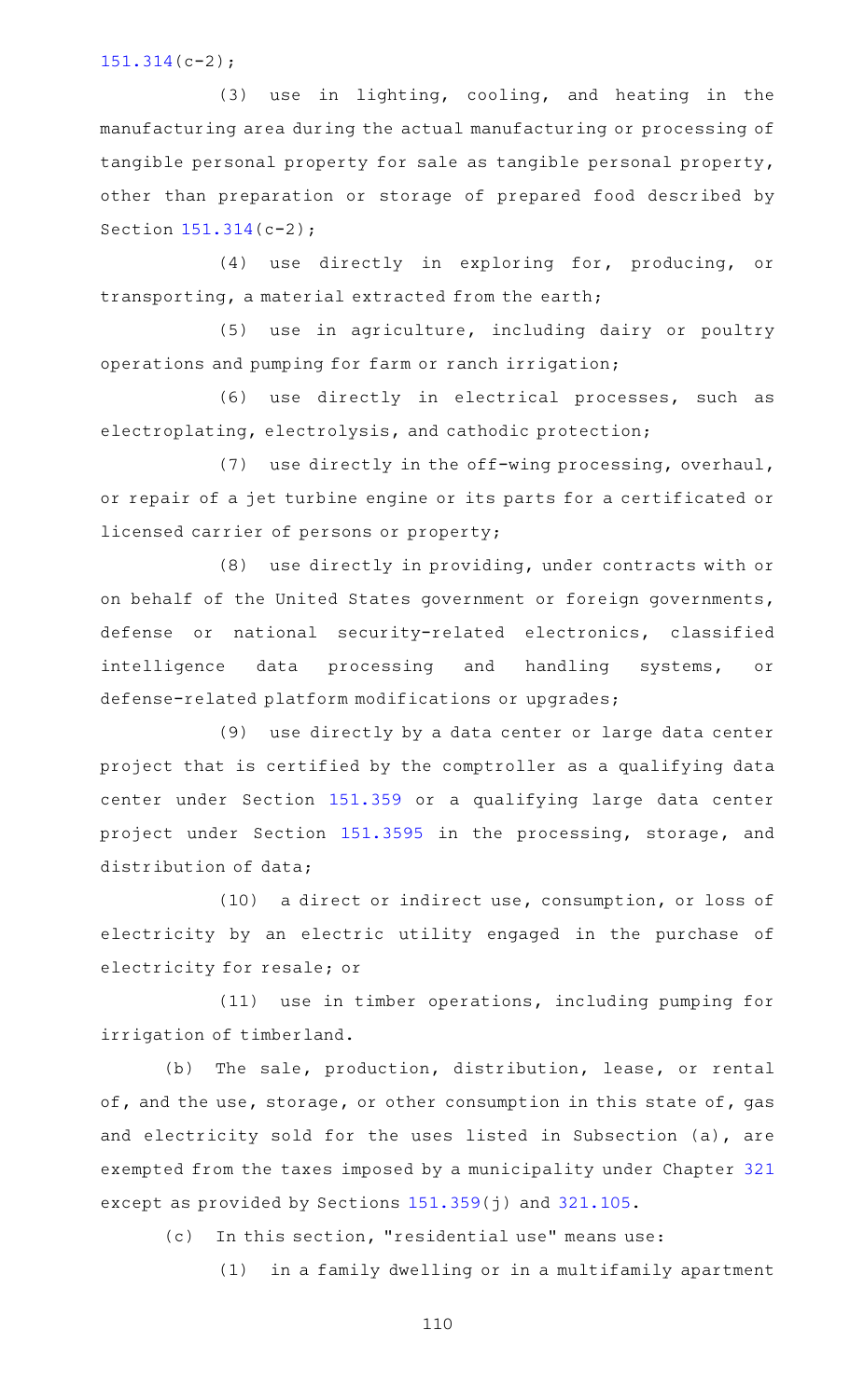#### [151.314\(](https://statutes.capitol.texas.gov/GetStatute.aspx?Code=TX&Value=151.314)c-2);

 $(3)$  use in lighting, cooling, and heating in the manufacturing area during the actual manufacturing or processing of tangible personal property for sale as tangible personal property, other than preparation or storage of prepared food described by Section [151.314\(](https://statutes.capitol.texas.gov/GetStatute.aspx?Code=TX&Value=151.314)c-2);

(4) use directly in exploring for, producing, or transporting, a material extracted from the earth;

(5) use in agriculture, including dairy or poultry operations and pumping for farm or ranch irrigation;

(6) use directly in electrical processes, such as electroplating, electrolysis, and cathodic protection;

(7) use directly in the off-wing processing, overhaul, or repair of a jet turbine engine or its parts for a certificated or licensed carrier of persons or property;

 $(8)$  use directly in providing, under contracts with or on behalf of the United States government or foreign governments, defense or national security-related electronics, classified intelligence data processing and handling systems, or defense-related platform modifications or upgrades;

(9) use directly by a data center or large data center project that is certified by the comptroller as a qualifying data center under Section [151.359](https://statutes.capitol.texas.gov/GetStatute.aspx?Code=TX&Value=151.359) or a qualifying large data center project under Section [151.3595](https://statutes.capitol.texas.gov/GetStatute.aspx?Code=TX&Value=151.3595) in the processing, storage, and distribution of data;

(10) a direct or indirect use, consumption, or loss of electricity by an electric utility engaged in the purchase of electricity for resale; or

(11) use in timber operations, including pumping for irrigation of timberland.

(b) The sale, production, distribution, lease, or rental of, and the use, storage, or other consumption in this state of, gas and electricity sold for the uses listed in Subsection (a), are exempted from the taxes imposed by a municipality under Chapter [321](https://statutes.capitol.texas.gov/GetStatute.aspx?Code=TX&Value=321) except as provided by Sections [151.359](https://statutes.capitol.texas.gov/GetStatute.aspx?Code=TX&Value=151.359)(j) and [321.105](https://statutes.capitol.texas.gov/GetStatute.aspx?Code=TX&Value=321.105).

(c) In this section, "residential use" means use:

(1) in a family dwelling or in a multifamily apartment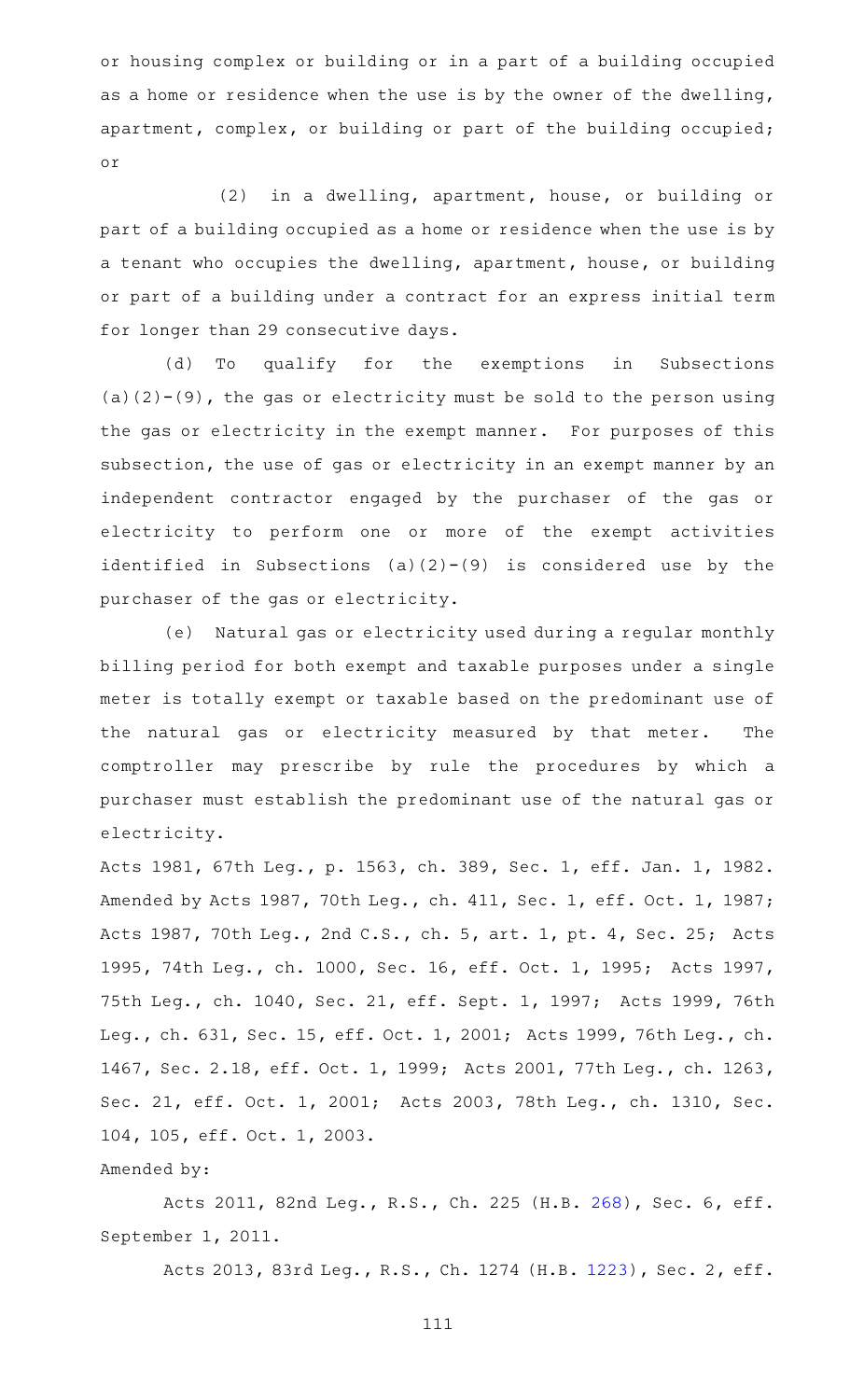or housing complex or building or in a part of a building occupied as a home or residence when the use is by the owner of the dwelling, apartment, complex, or building or part of the building occupied; or

 $(2)$  in a dwelling, apartment, house, or building or part of a building occupied as a home or residence when the use is by a tenant who occupies the dwelling, apartment, house, or building or part of a building under a contract for an express initial term for longer than 29 consecutive days.

(d) To qualify for the exemptions in Subsections  $(a)(2)-(9)$ , the gas or electricity must be sold to the person using the gas or electricity in the exempt manner. For purposes of this subsection, the use of gas or electricity in an exempt manner by an independent contractor engaged by the purchaser of the gas or electricity to perform one or more of the exempt activities identified in Subsections (a)(2)-(9) is considered use by the purchaser of the gas or electricity.

(e) Natural gas or electricity used during a regular monthly billing period for both exempt and taxable purposes under a single meter is totally exempt or taxable based on the predominant use of the natural gas or electricity measured by that meter. The comptroller may prescribe by rule the procedures by which a purchaser must establish the predominant use of the natural gas or electricity.

Acts 1981, 67th Leg., p. 1563, ch. 389, Sec. 1, eff. Jan. 1, 1982. Amended by Acts 1987, 70th Leg., ch. 411, Sec. 1, eff. Oct. 1, 1987; Acts 1987, 70th Leg., 2nd C.S., ch. 5, art. 1, pt. 4, Sec. 25; Acts 1995, 74th Leg., ch. 1000, Sec. 16, eff. Oct. 1, 1995; Acts 1997, 75th Leg., ch. 1040, Sec. 21, eff. Sept. 1, 1997; Acts 1999, 76th Leg., ch. 631, Sec. 15, eff. Oct. 1, 2001; Acts 1999, 76th Leg., ch. 1467, Sec. 2.18, eff. Oct. 1, 1999; Acts 2001, 77th Leg., ch. 1263, Sec. 21, eff. Oct. 1, 2001; Acts 2003, 78th Leg., ch. 1310, Sec. 104, 105, eff. Oct. 1, 2003.

# Amended by:

Acts 2011, 82nd Leg., R.S., Ch. 225 (H.B. [268](http://www.legis.state.tx.us/tlodocs/82R/billtext/html/HB00268F.HTM)), Sec. 6, eff. September 1, 2011.

Acts 2013, 83rd Leg., R.S., Ch. 1274 (H.B. [1223](http://www.legis.state.tx.us/tlodocs/83R/billtext/html/HB01223F.HTM)), Sec. 2, eff.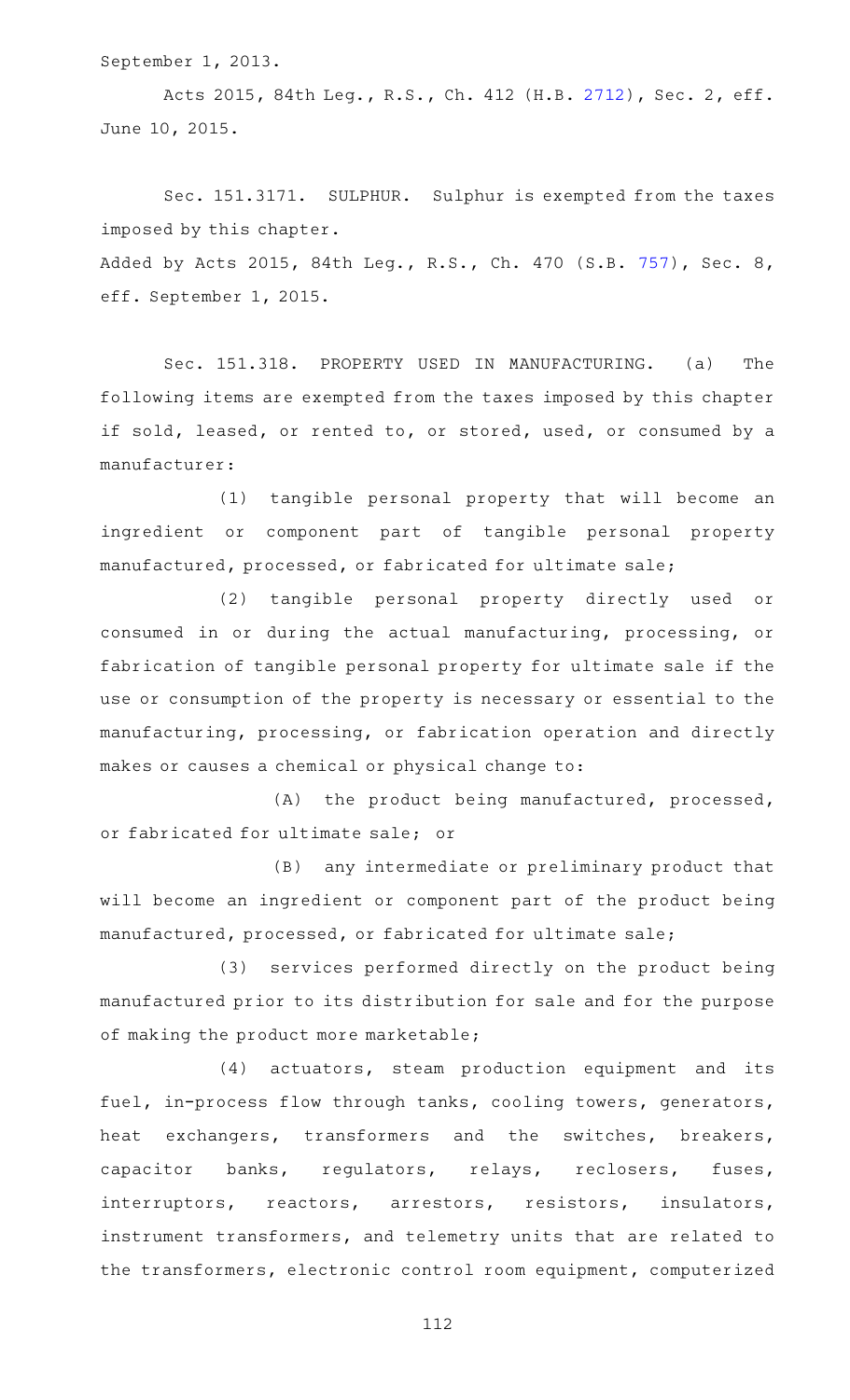September 1, 2013.

Acts 2015, 84th Leg., R.S., Ch. 412 (H.B. [2712](http://www.legis.state.tx.us/tlodocs/84R/billtext/html/HB02712F.HTM)), Sec. 2, eff. June 10, 2015.

Sec. 151.3171. SULPHUR. Sulphur is exempted from the taxes imposed by this chapter. Added by Acts 2015, 84th Leg., R.S., Ch. 470 (S.B. [757](http://www.legis.state.tx.us/tlodocs/84R/billtext/html/SB00757F.HTM)), Sec. 8, eff. September 1, 2015.

Sec. 151.318. PROPERTY USED IN MANUFACTURING. (a) The following items are exempted from the taxes imposed by this chapter if sold, leased, or rented to, or stored, used, or consumed by a manufacturer:

(1) tangible personal property that will become an ingredient or component part of tangible personal property manufactured, processed, or fabricated for ultimate sale;

(2) tangible personal property directly used or consumed in or during the actual manufacturing, processing, or fabrication of tangible personal property for ultimate sale if the use or consumption of the property is necessary or essential to the manufacturing, processing, or fabrication operation and directly makes or causes a chemical or physical change to:

(A) the product being manufactured, processed, or fabricated for ultimate sale; or

(B) any intermediate or preliminary product that will become an ingredient or component part of the product being manufactured, processed, or fabricated for ultimate sale;

(3) services performed directly on the product being manufactured prior to its distribution for sale and for the purpose of making the product more marketable;

(4) actuators, steam production equipment and its fuel, in-process flow through tanks, cooling towers, generators, heat exchangers, transformers and the switches, breakers, capacitor banks, regulators, relays, reclosers, fuses, interruptors, reactors, arrestors, resistors, insulators, instrument transformers, and telemetry units that are related to the transformers, electronic control room equipment, computerized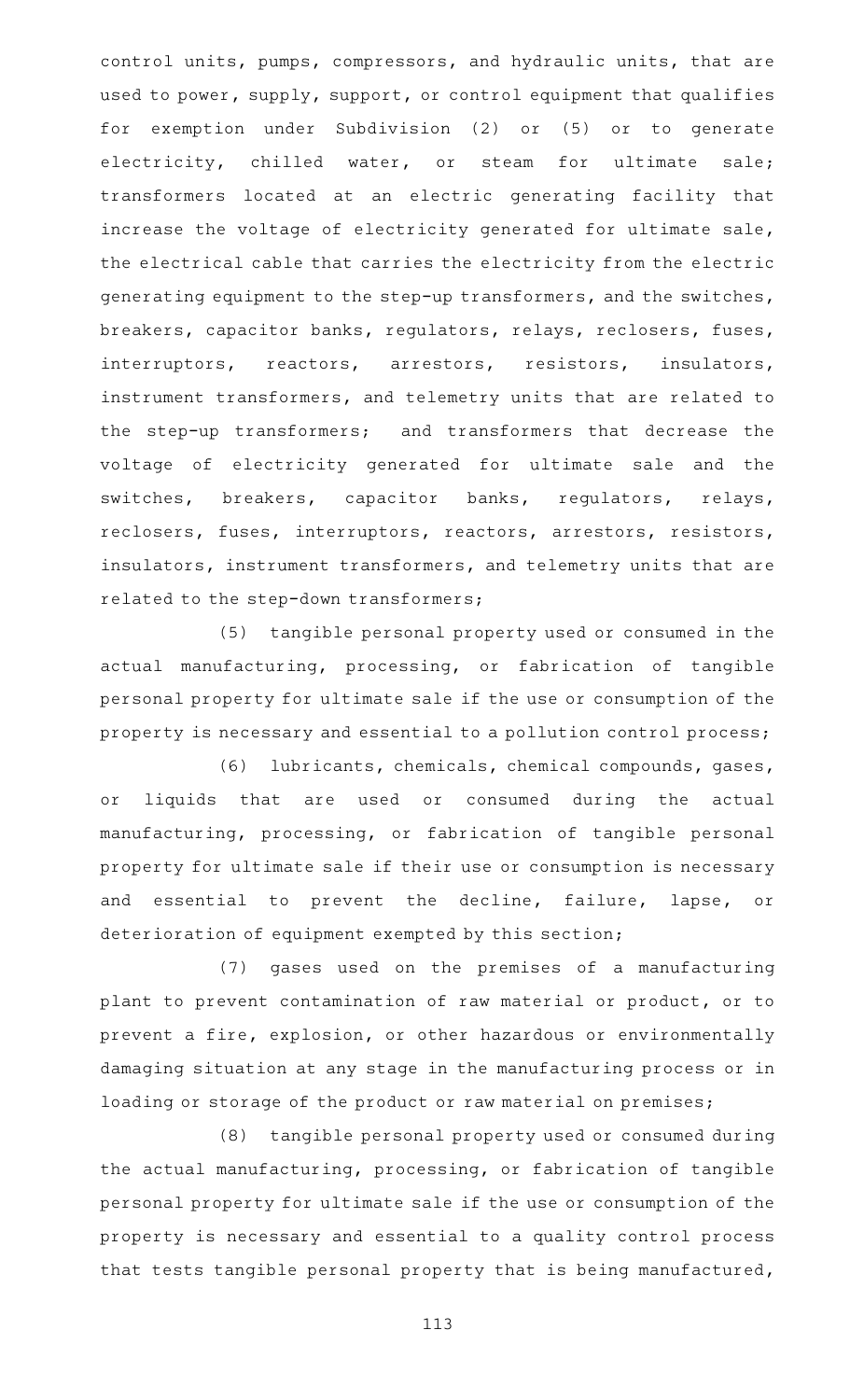control units, pumps, compressors, and hydraulic units, that are used to power, supply, support, or control equipment that qualifies for exemption under Subdivision (2) or (5) or to generate electricity, chilled water, or steam for ultimate sale; transformers located at an electric generating facility that increase the voltage of electricity generated for ultimate sale, the electrical cable that carries the electricity from the electric generating equipment to the step-up transformers, and the switches, breakers, capacitor banks, regulators, relays, reclosers, fuses, interruptors, reactors, arrestors, resistors, insulators, instrument transformers, and telemetry units that are related to the step-up transformers; and transformers that decrease the voltage of electricity generated for ultimate sale and the switches, breakers, capacitor banks, regulators, relays, reclosers, fuses, interruptors, reactors, arrestors, resistors, insulators, instrument transformers, and telemetry units that are related to the step-down transformers;

(5) tangible personal property used or consumed in the actual manufacturing, processing, or fabrication of tangible personal property for ultimate sale if the use or consumption of the property is necessary and essential to a pollution control process;

(6) lubricants, chemicals, chemical compounds, gases, or liquids that are used or consumed during the actual manufacturing, processing, or fabrication of tangible personal property for ultimate sale if their use or consumption is necessary and essential to prevent the decline, failure, lapse, or deterioration of equipment exempted by this section;

(7) gases used on the premises of a manufacturing plant to prevent contamination of raw material or product, or to prevent a fire, explosion, or other hazardous or environmentally damaging situation at any stage in the manufacturing process or in loading or storage of the product or raw material on premises;

(8) tangible personal property used or consumed during the actual manufacturing, processing, or fabrication of tangible personal property for ultimate sale if the use or consumption of the property is necessary and essential to a quality control process that tests tangible personal property that is being manufactured,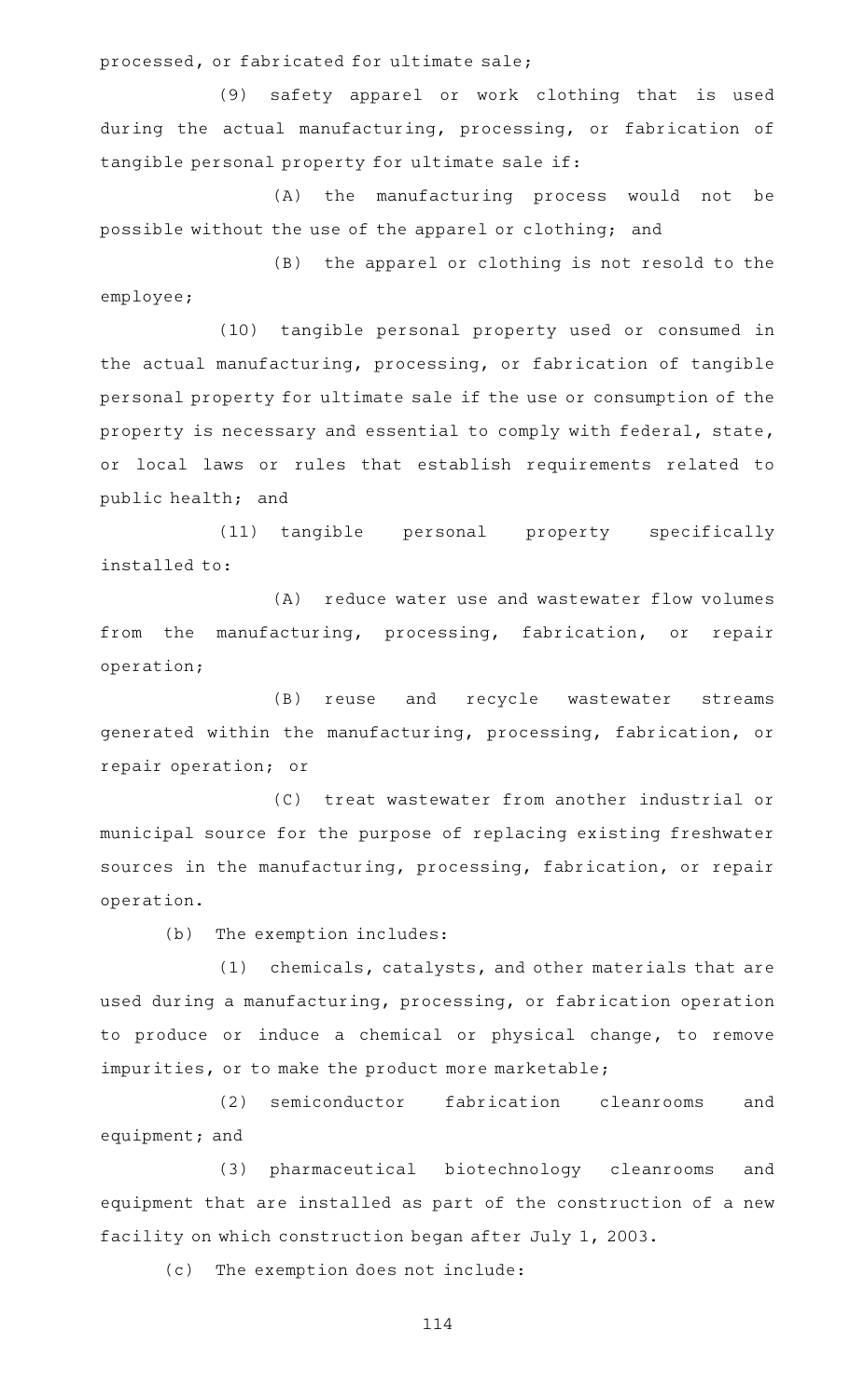processed, or fabricated for ultimate sale;

(9) safety apparel or work clothing that is used during the actual manufacturing, processing, or fabrication of tangible personal property for ultimate sale if:

(A) the manufacturing process would not be possible without the use of the apparel or clothing; and

(B) the apparel or clothing is not resold to the employee;

(10) tangible personal property used or consumed in the actual manufacturing, processing, or fabrication of tangible personal property for ultimate sale if the use or consumption of the property is necessary and essential to comply with federal, state, or local laws or rules that establish requirements related to public health; and

(11) tangible personal property specifically installed to:

(A) reduce water use and wastewater flow volumes from the manufacturing, processing, fabrication, or repair operation;

(B) reuse and recycle wastewater streams generated within the manufacturing, processing, fabrication, or repair operation; or

(C) treat wastewater from another industrial or municipal source for the purpose of replacing existing freshwater sources in the manufacturing, processing, fabrication, or repair operation.

(b) The exemption includes:

(1) chemicals, catalysts, and other materials that are used during a manufacturing, processing, or fabrication operation to produce or induce a chemical or physical change, to remove impurities, or to make the product more marketable;

(2) semiconductor fabrication cleanrooms and equipment; and

(3) pharmaceutical biotechnology cleanrooms and equipment that are installed as part of the construction of a new facility on which construction began after July 1, 2003.

(c) The exemption does not include: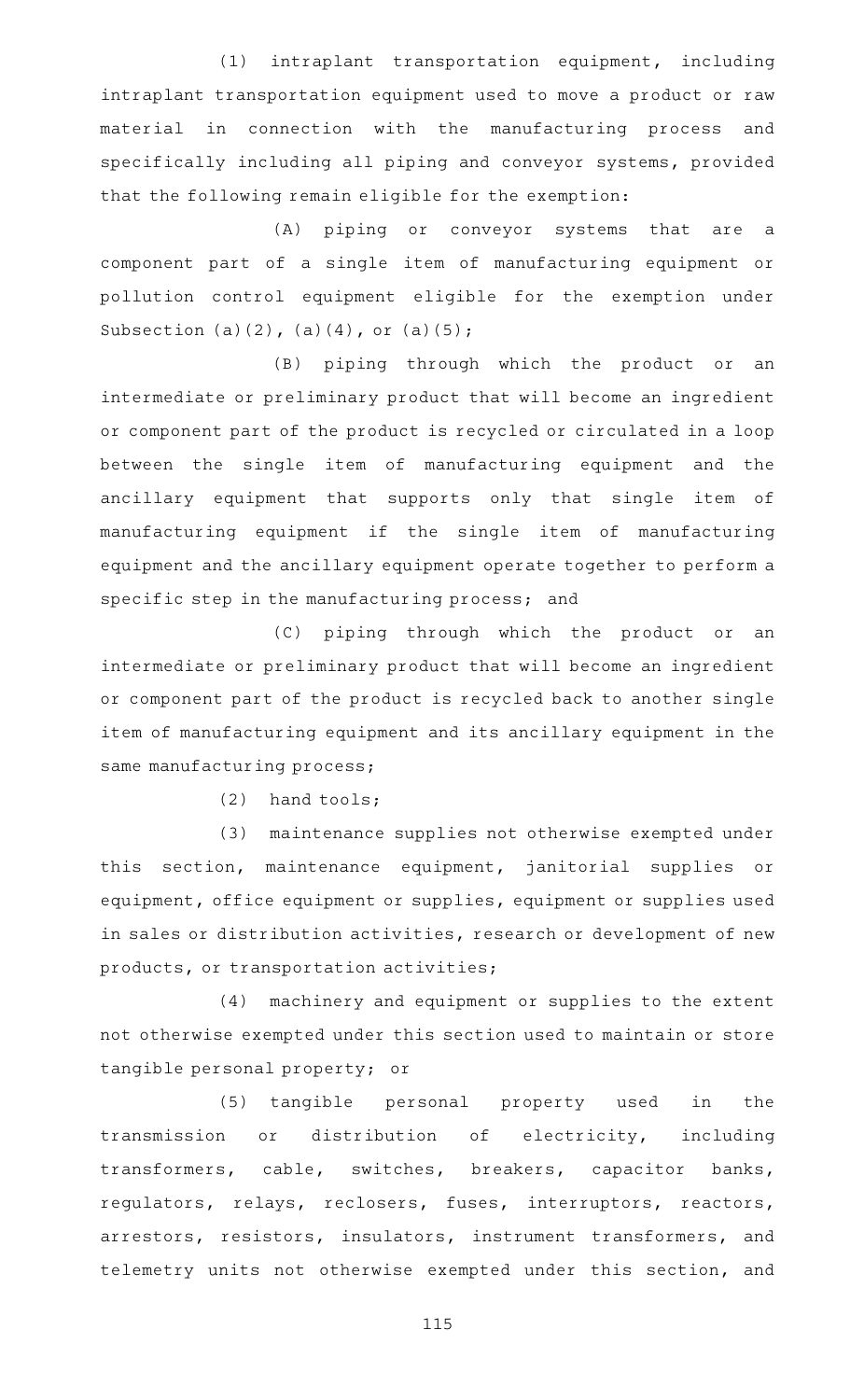(1) intraplant transportation equipment, including intraplant transportation equipment used to move a product or raw material in connection with the manufacturing process and specifically including all piping and conveyor systems, provided that the following remain eligible for the exemption:

(A) piping or conveyor systems that are a component part of a single item of manufacturing equipment or pollution control equipment eligible for the exemption under Subsection (a)(2), (a)(4), or (a)(5);

(B) piping through which the product or an intermediate or preliminary product that will become an ingredient or component part of the product is recycled or circulated in a loop between the single item of manufacturing equipment and the ancillary equipment that supports only that single item of manufacturing equipment if the single item of manufacturing equipment and the ancillary equipment operate together to perform a specific step in the manufacturing process; and

(C) piping through which the product or an intermediate or preliminary product that will become an ingredient or component part of the product is recycled back to another single item of manufacturing equipment and its ancillary equipment in the same manufacturing process;

 $(2)$  hand tools;

(3) maintenance supplies not otherwise exempted under this section, maintenance equipment, janitorial supplies or equipment, office equipment or supplies, equipment or supplies used in sales or distribution activities, research or development of new products, or transportation activities;

(4) machinery and equipment or supplies to the extent not otherwise exempted under this section used to maintain or store tangible personal property; or

(5) tangible personal property used in the transmission or distribution of electricity, including transformers, cable, switches, breakers, capacitor banks, regulators, relays, reclosers, fuses, interruptors, reactors, arrestors, resistors, insulators, instrument transformers, and telemetry units not otherwise exempted under this section, and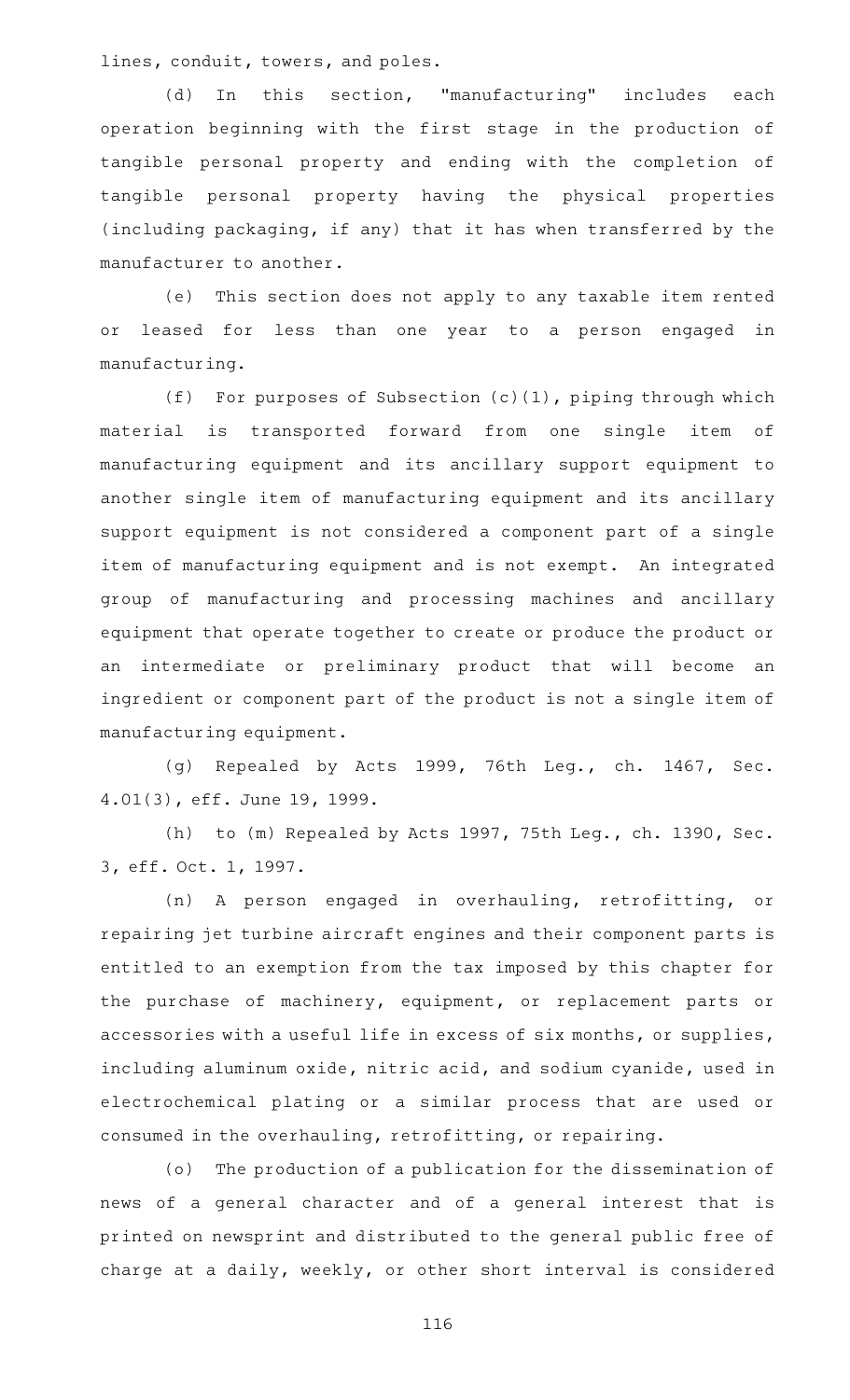lines, conduit, towers, and poles.

(d) In this section, "manufacturing" includes each operation beginning with the first stage in the production of tangible personal property and ending with the completion of tangible personal property having the physical properties (including packaging, if any) that it has when transferred by the manufacturer to another.

(e) This section does not apply to any taxable item rented or leased for less than one year to a person engaged in manufacturing.

(f) For purposes of Subsection  $(c)(1)$ , piping through which material is transported forward from one single item of manufacturing equipment and its ancillary support equipment to another single item of manufacturing equipment and its ancillary support equipment is not considered a component part of a single item of manufacturing equipment and is not exempt. An integrated group of manufacturing and processing machines and ancillary equipment that operate together to create or produce the product or an intermediate or preliminary product that will become an ingredient or component part of the product is not a single item of manufacturing equipment.

(g) Repealed by Acts 1999, 76th Leg., ch. 1467, Sec. 4.01(3), eff. June 19, 1999.

(h) to (m) Repealed by Acts 1997, 75th Leg., ch. 1390, Sec. 3, eff. Oct. 1, 1997.

(n) A person engaged in overhauling, retrofitting, or repairing jet turbine aircraft engines and their component parts is entitled to an exemption from the tax imposed by this chapter for the purchase of machinery, equipment, or replacement parts or accessories with a useful life in excess of six months, or supplies, including aluminum oxide, nitric acid, and sodium cyanide, used in electrochemical plating or a similar process that are used or consumed in the overhauling, retrofitting, or repairing.

(o) The production of a publication for the dissemination of news of a general character and of a general interest that is printed on newsprint and distributed to the general public free of charge at a daily, weekly, or other short interval is considered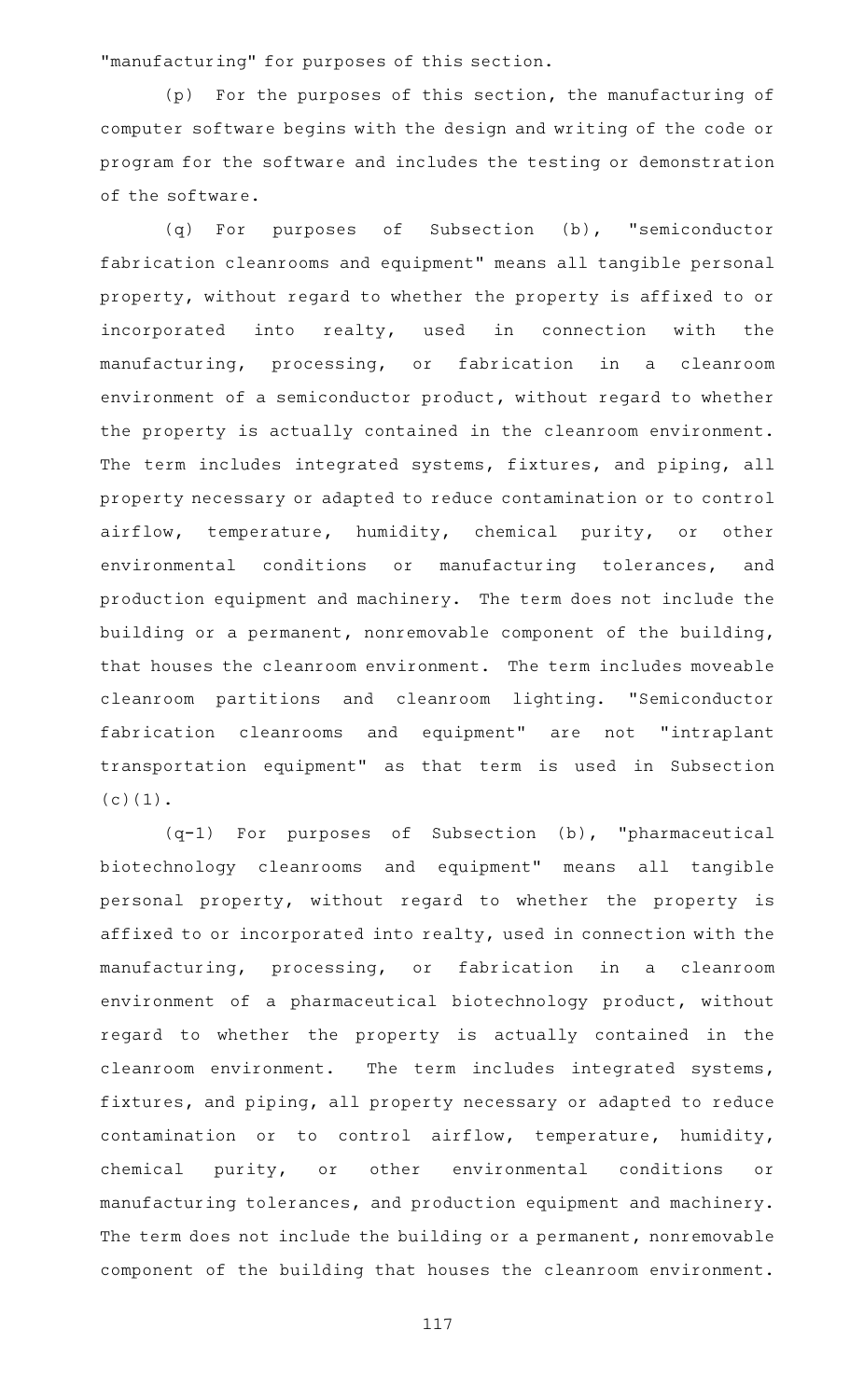"manufacturing" for purposes of this section.

(p) For the purposes of this section, the manufacturing of computer software begins with the design and writing of the code or program for the software and includes the testing or demonstration of the software.

(q) For purposes of Subsection (b), "semiconductor fabrication cleanrooms and equipment" means all tangible personal property, without regard to whether the property is affixed to or incorporated into realty, used in connection with the manufacturing, processing, or fabrication in a cleanroom environment of a semiconductor product, without regard to whether the property is actually contained in the cleanroom environment. The term includes integrated systems, fixtures, and piping, all property necessary or adapted to reduce contamination or to control airflow, temperature, humidity, chemical purity, or other environmental conditions or manufacturing tolerances, and production equipment and machinery. The term does not include the building or a permanent, nonremovable component of the building, that houses the cleanroom environment. The term includes moveable cleanroom partitions and cleanroom lighting. "Semiconductor fabrication cleanrooms and equipment" are not "intraplant transportation equipment" as that term is used in Subsection (c)(1).

 $(q-1)$  For purposes of Subsection (b), "pharmaceutical biotechnology cleanrooms and equipment" means all tangible personal property, without regard to whether the property is affixed to or incorporated into realty, used in connection with the manufacturing, processing, or fabrication in a cleanroom environment of a pharmaceutical biotechnology product, without regard to whether the property is actually contained in the cleanroom environment. The term includes integrated systems, fixtures, and piping, all property necessary or adapted to reduce contamination or to control airflow, temperature, humidity, chemical purity, or other environmental conditions or manufacturing tolerances, and production equipment and machinery. The term does not include the building or a permanent, nonremovable component of the building that houses the cleanroom environment.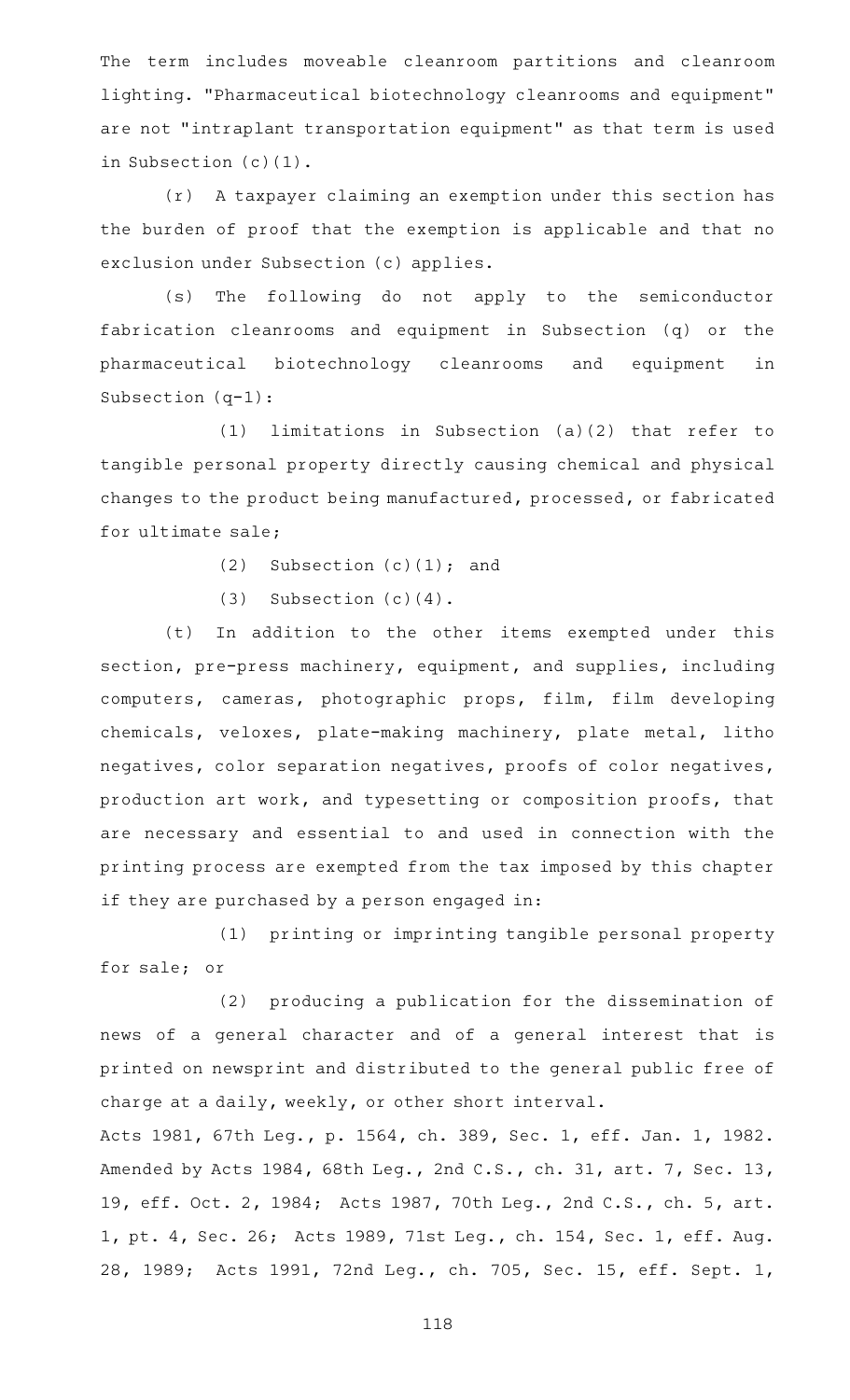The term includes moveable cleanroom partitions and cleanroom lighting. "Pharmaceutical biotechnology cleanrooms and equipment" are not "intraplant transportation equipment" as that term is used in Subsection (c)(1).

 $(r)$  A taxpayer claiming an exemption under this section has the burden of proof that the exemption is applicable and that no exclusion under Subsection (c) applies.

(s) The following do not apply to the semiconductor fabrication cleanrooms and equipment in Subsection (q) or the pharmaceutical biotechnology cleanrooms and equipment in Subsection (q-1):

 $(1)$  limitations in Subsection  $(a)(2)$  that refer to tangible personal property directly causing chemical and physical changes to the product being manufactured, processed, or fabricated for ultimate sale;

(2) Subsection  $(c)(1)$ ; and

(3) Subsection  $(c)(4)$ .

(t) In addition to the other items exempted under this section, pre-press machinery, equipment, and supplies, including computers, cameras, photographic props, film, film developing chemicals, veloxes, plate-making machinery, plate metal, litho negatives, color separation negatives, proofs of color negatives, production art work, and typesetting or composition proofs, that are necessary and essential to and used in connection with the printing process are exempted from the tax imposed by this chapter if they are purchased by a person engaged in:

(1) printing or imprinting tangible personal property for sale; or

(2) producing a publication for the dissemination of news of a general character and of a general interest that is printed on newsprint and distributed to the general public free of charge at a daily, weekly, or other short interval.

Acts 1981, 67th Leg., p. 1564, ch. 389, Sec. 1, eff. Jan. 1, 1982. Amended by Acts 1984, 68th Leg., 2nd C.S., ch. 31, art. 7, Sec. 13, 19, eff. Oct. 2, 1984; Acts 1987, 70th Leg., 2nd C.S., ch. 5, art. 1, pt. 4, Sec. 26; Acts 1989, 71st Leg., ch. 154, Sec. 1, eff. Aug. 28, 1989; Acts 1991, 72nd Leg., ch. 705, Sec. 15, eff. Sept. 1,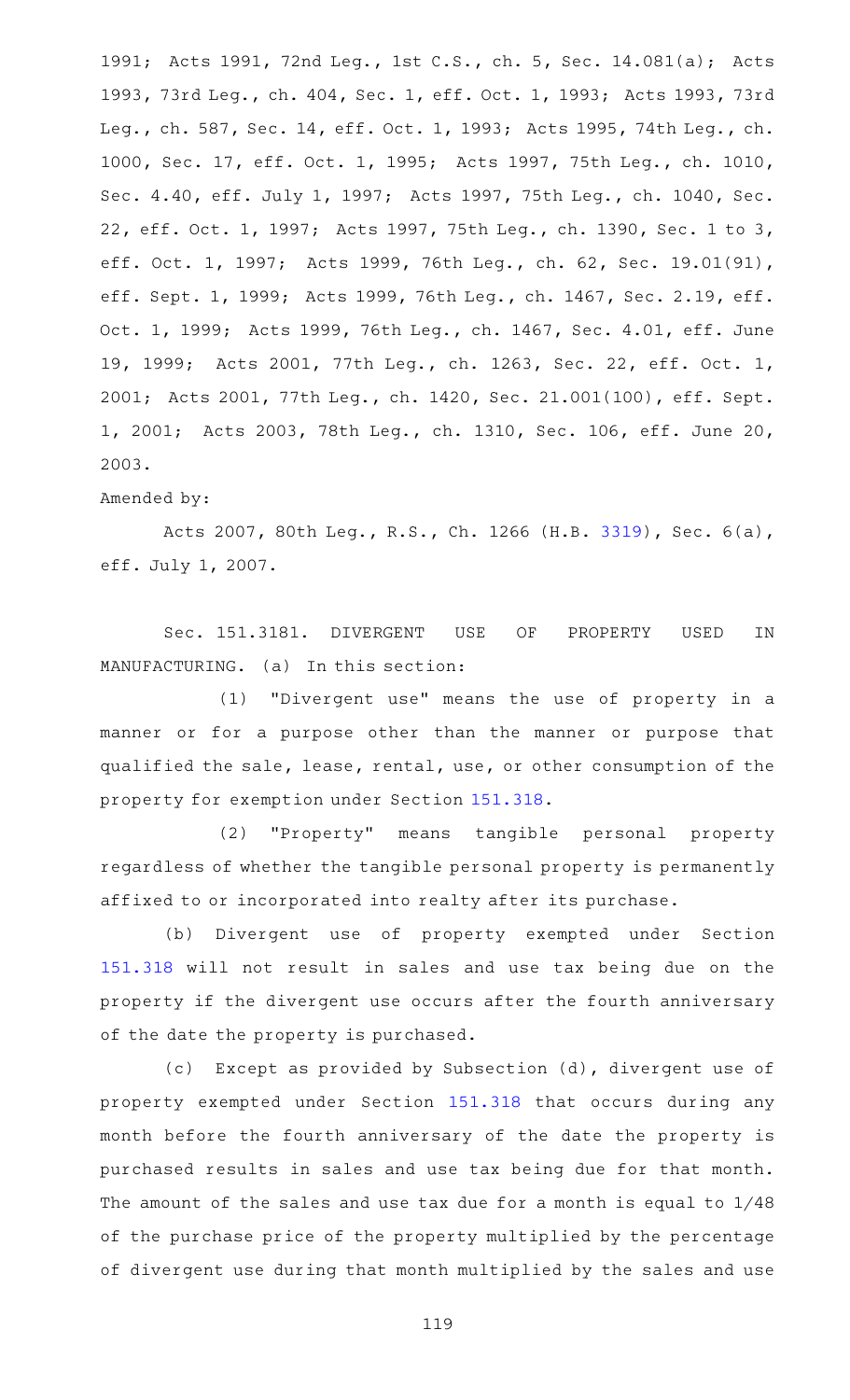1991; Acts 1991, 72nd Leg., 1st C.S., ch. 5, Sec. 14.081(a); Acts 1993, 73rd Leg., ch. 404, Sec. 1, eff. Oct. 1, 1993; Acts 1993, 73rd Leg., ch. 587, Sec. 14, eff. Oct. 1, 1993; Acts 1995, 74th Leg., ch. 1000, Sec. 17, eff. Oct. 1, 1995; Acts 1997, 75th Leg., ch. 1010, Sec. 4.40, eff. July 1, 1997; Acts 1997, 75th Leg., ch. 1040, Sec. 22, eff. Oct. 1, 1997; Acts 1997, 75th Leg., ch. 1390, Sec. 1 to 3, eff. Oct. 1, 1997; Acts 1999, 76th Leg., ch. 62, Sec. 19.01(91), eff. Sept. 1, 1999; Acts 1999, 76th Leg., ch. 1467, Sec. 2.19, eff. Oct. 1, 1999; Acts 1999, 76th Leg., ch. 1467, Sec. 4.01, eff. June 19, 1999; Acts 2001, 77th Leg., ch. 1263, Sec. 22, eff. Oct. 1, 2001; Acts 2001, 77th Leg., ch. 1420, Sec. 21.001(100), eff. Sept. 1, 2001; Acts 2003, 78th Leg., ch. 1310, Sec. 106, eff. June 20, 2003.

### Amended by:

Acts 2007, 80th Leg., R.S., Ch. 1266 (H.B. [3319](http://www.legis.state.tx.us/tlodocs/80R/billtext/html/HB03319F.HTM)), Sec. 6(a), eff. July 1, 2007.

Sec. 151.3181. DIVERGENT USE OF PROPERTY USED IN MANUFACTURING. (a) In this section:

(1) "Divergent use" means the use of property in a manner or for a purpose other than the manner or purpose that qualified the sale, lease, rental, use, or other consumption of the property for exemption under Section [151.318.](https://statutes.capitol.texas.gov/GetStatute.aspx?Code=TX&Value=151.318)

(2) "Property" means tangible personal property regardless of whether the tangible personal property is permanently affixed to or incorporated into realty after its purchase.

(b) Divergent use of property exempted under Section [151.318](https://statutes.capitol.texas.gov/GetStatute.aspx?Code=TX&Value=151.318) will not result in sales and use tax being due on the property if the divergent use occurs after the fourth anniversary of the date the property is purchased.

(c) Except as provided by Subsection (d), divergent use of property exempted under Section [151.318](https://statutes.capitol.texas.gov/GetStatute.aspx?Code=TX&Value=151.318) that occurs during any month before the fourth anniversary of the date the property is purchased results in sales and use tax being due for that month. The amount of the sales and use tax due for a month is equal to 1/48 of the purchase price of the property multiplied by the percentage of divergent use during that month multiplied by the sales and use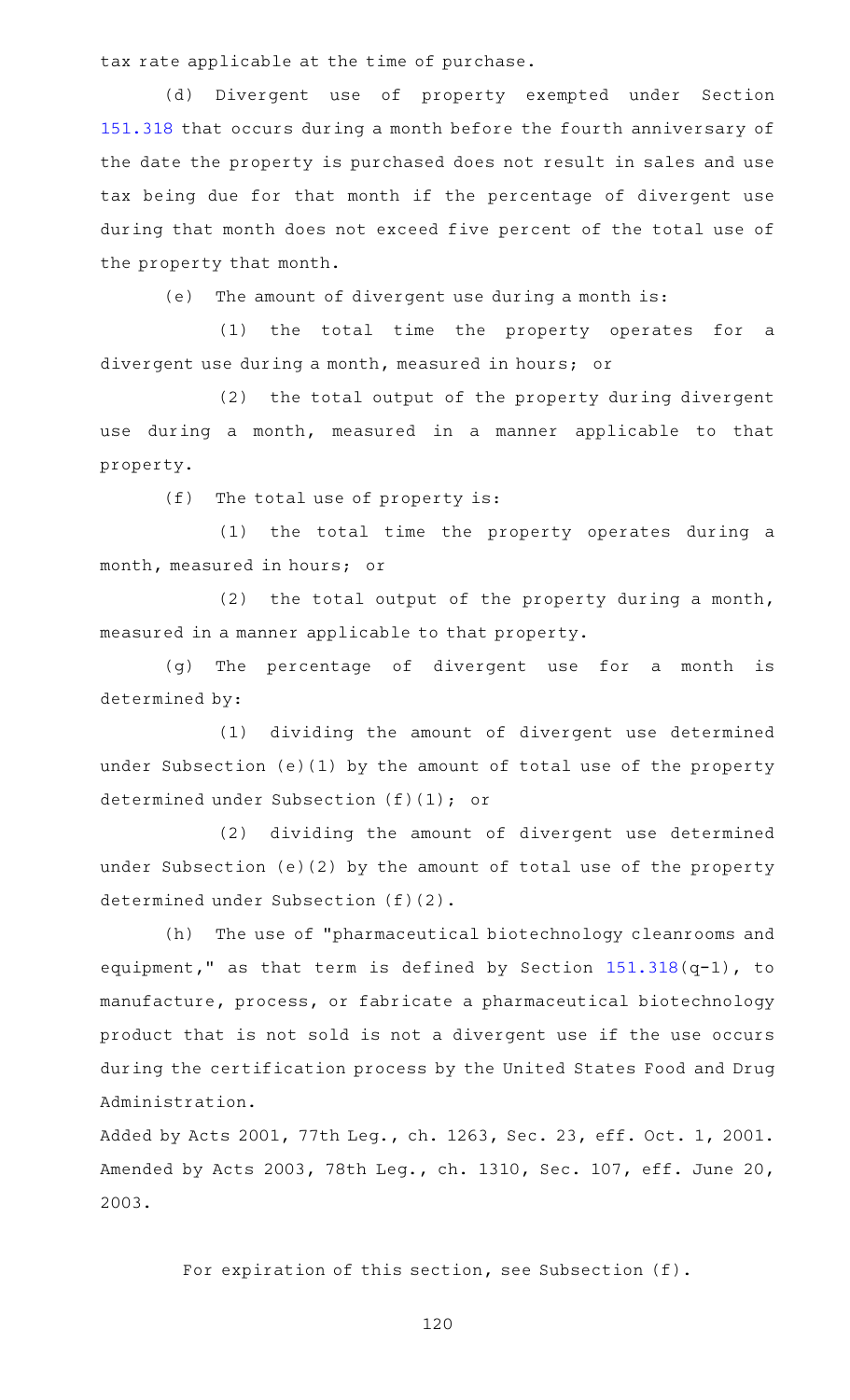tax rate applicable at the time of purchase.

(d) Divergent use of property exempted under Section [151.318](https://statutes.capitol.texas.gov/GetStatute.aspx?Code=TX&Value=151.318) that occurs during a month before the fourth anniversary of the date the property is purchased does not result in sales and use tax being due for that month if the percentage of divergent use during that month does not exceed five percent of the total use of the property that month.

(e) The amount of divergent use during a month is:

 $(1)$  the total time the property operates for a divergent use during a month, measured in hours; or

(2) the total output of the property during divergent use during a month, measured in a manner applicable to that property.

 $(f)$  The total use of property is:

(1) the total time the property operates during a month, measured in hours; or

 $(2)$  the total output of the property during a month, measured in a manner applicable to that property.

(g) The percentage of divergent use for a month is determined by:

(1) dividing the amount of divergent use determined under Subsection (e)(1) by the amount of total use of the property determined under Subsection (f)(1); or

(2) dividing the amount of divergent use determined under Subsection (e)(2) by the amount of total use of the property determined under Subsection (f)(2).

(h) The use of "pharmaceutical biotechnology cleanrooms and equipment," as that term is defined by Section [151.318\(](https://statutes.capitol.texas.gov/GetStatute.aspx?Code=TX&Value=151.318)q-1), to manufacture, process, or fabricate a pharmaceutical biotechnology product that is not sold is not a divergent use if the use occurs during the certification process by the United States Food and Drug Administration.

Added by Acts 2001, 77th Leg., ch. 1263, Sec. 23, eff. Oct. 1, 2001. Amended by Acts 2003, 78th Leg., ch. 1310, Sec. 107, eff. June 20, 2003.

For expiration of this section, see Subsection (f).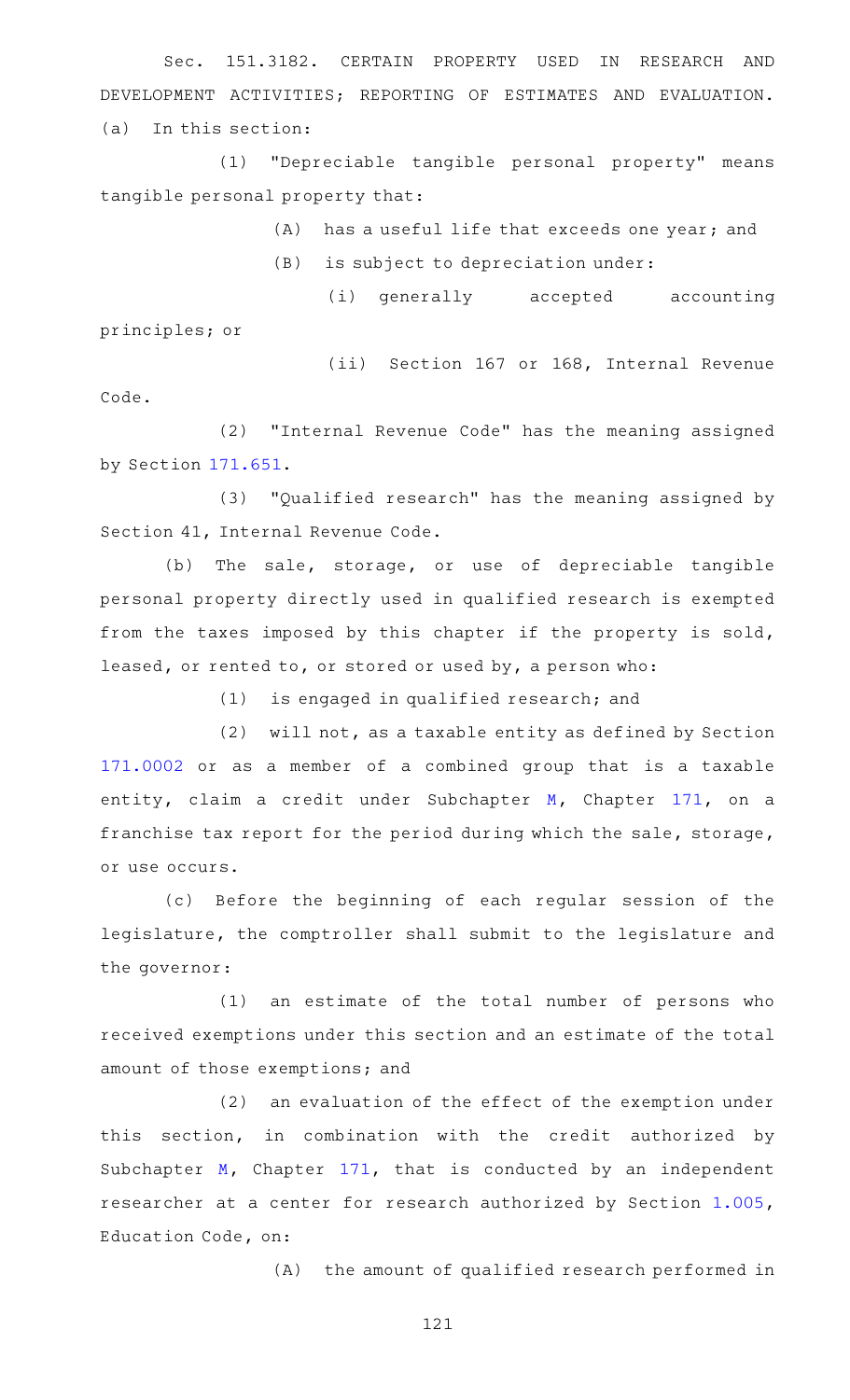Sec. 151.3182. CERTAIN PROPERTY USED IN RESEARCH AND DEVELOPMENT ACTIVITIES; REPORTING OF ESTIMATES AND EVALUATION. (a) In this section:

(1) "Depreciable tangible personal property" means tangible personal property that:

 $(A)$  has a useful life that exceeds one year; and

 $(B)$  is subject to depreciation under:

(i) generally accepted accounting principles; or

(ii) Section 167 or 168, Internal Revenue Code.

(2) "Internal Revenue Code" has the meaning assigned by Section [171.651.](https://statutes.capitol.texas.gov/GetStatute.aspx?Code=TX&Value=171.651)

(3) "Qualified research" has the meaning assigned by Section 41, Internal Revenue Code.

(b) The sale, storage, or use of depreciable tangible personal property directly used in qualified research is exempted from the taxes imposed by this chapter if the property is sold, leased, or rented to, or stored or used by, a person who:

 $(1)$  is engaged in qualified research; and

(2) will not, as a taxable entity as defined by Section [171.0002](https://statutes.capitol.texas.gov/GetStatute.aspx?Code=TX&Value=171.0002) or as a member of a combined group that is a taxable entity, claim a credit under Subchapter [M](https://statutes.capitol.texas.gov/GetStatute.aspx?Code=TX&Value=171.651), Chapter [171](https://statutes.capitol.texas.gov/GetStatute.aspx?Code=TX&Value=171), on a franchise tax report for the period during which the sale, storage, or use occurs.

(c) Before the beginning of each regular session of the legislature, the comptroller shall submit to the legislature and the governor:

 $(1)$  an estimate of the total number of persons who received exemptions under this section and an estimate of the total amount of those exemptions; and

(2) an evaluation of the effect of the exemption under this section, in combination with the credit authorized by Subchapter [M,](https://statutes.capitol.texas.gov/GetStatute.aspx?Code=TX&Value=171.651) Chapter [171,](https://statutes.capitol.texas.gov/GetStatute.aspx?Code=TX&Value=171) that is conducted by an independent researcher at a center for research authorized by Section [1.005](https://statutes.capitol.texas.gov/GetStatute.aspx?Code=ED&Value=1.005), Education Code, on:

 $(A)$  the amount of qualified research performed in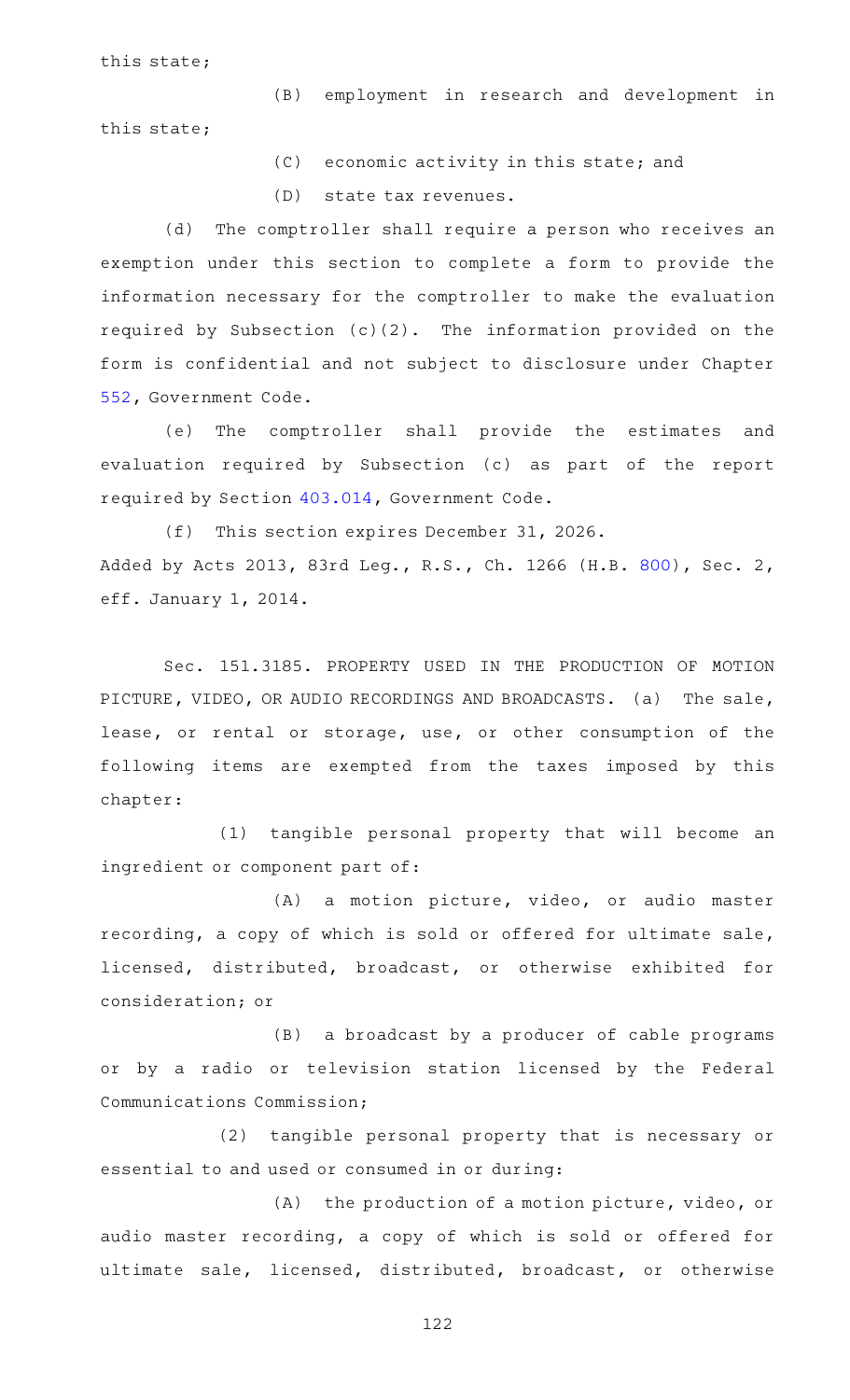this state;

(B) employment in research and development in this state;

(C) economic activity in this state; and

(D) state tax revenues.

(d) The comptroller shall require a person who receives an exemption under this section to complete a form to provide the information necessary for the comptroller to make the evaluation required by Subsection  $(c)(2)$ . The information provided on the form is confidential and not subject to disclosure under Chapter [552,](https://statutes.capitol.texas.gov/GetStatute.aspx?Code=GV&Value=552) Government Code.

(e) The comptroller shall provide the estimates and evaluation required by Subsection (c) as part of the report required by Section [403.014](https://statutes.capitol.texas.gov/GetStatute.aspx?Code=GV&Value=403.014), Government Code.

(f) This section expires December 31, 2026. Added by Acts 2013, 83rd Leg., R.S., Ch. 1266 (H.B. [800](http://www.legis.state.tx.us/tlodocs/83R/billtext/html/HB00800F.HTM)), Sec. 2, eff. January 1, 2014.

Sec. 151.3185. PROPERTY USED IN THE PRODUCTION OF MOTION PICTURE, VIDEO, OR AUDIO RECORDINGS AND BROADCASTS. (a) The sale, lease, or rental or storage, use, or other consumption of the following items are exempted from the taxes imposed by this chapter:

(1) tangible personal property that will become an ingredient or component part of:

(A) a motion picture, video, or audio master recording, a copy of which is sold or offered for ultimate sale, licensed, distributed, broadcast, or otherwise exhibited for consideration; or

(B) a broadcast by a producer of cable programs or by a radio or television station licensed by the Federal Communications Commission;

(2) tangible personal property that is necessary or essential to and used or consumed in or during:

 $(A)$  the production of a motion picture, video, or audio master recording, a copy of which is sold or offered for ultimate sale, licensed, distributed, broadcast, or otherwise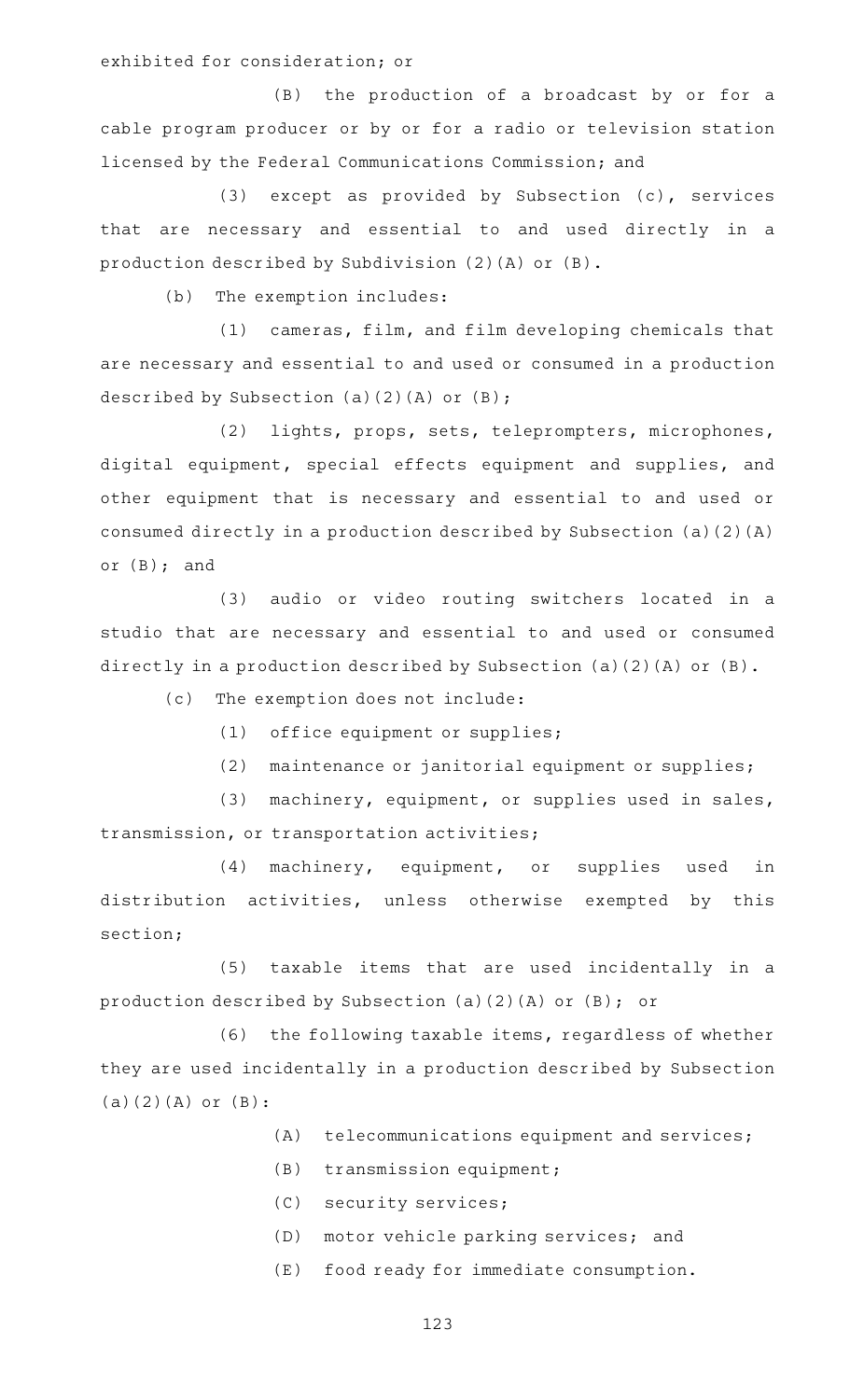exhibited for consideration; or

(B) the production of a broadcast by or for a cable program producer or by or for a radio or television station licensed by the Federal Communications Commission; and

(3) except as provided by Subsection  $(c)$ , services that are necessary and essential to and used directly in a production described by Subdivision (2)(A) or (B).

(b) The exemption includes:

(1) cameras, film, and film developing chemicals that are necessary and essential to and used or consumed in a production described by Subsection (a)(2)(A) or (B);

(2) lights, props, sets, teleprompters, microphones, digital equipment, special effects equipment and supplies, and other equipment that is necessary and essential to and used or consumed directly in a production described by Subsection (a)(2)(A) or (B); and

(3) audio or video routing switchers located in a studio that are necessary and essential to and used or consumed directly in a production described by Subsection (a)(2)(A) or (B).

 $(c)$  The exemption does not include:

(1) office equipment or supplies;

(2) maintenance or janitorial equipment or supplies;

(3) machinery, equipment, or supplies used in sales, transmission, or transportation activities;

(4) machinery, equipment, or supplies used in distribution activities, unless otherwise exempted by this section;

(5) taxable items that are used incidentally in a production described by Subsection (a)(2)(A) or (B); or

(6) the following taxable items, regardless of whether they are used incidentally in a production described by Subsection (a)(2)(A) or (B):

- $(A)$  telecommunications equipment and services;
- (B) transmission equipment;
- (C) security services;
- (D) motor vehicle parking services; and
- (E) food ready for immediate consumption.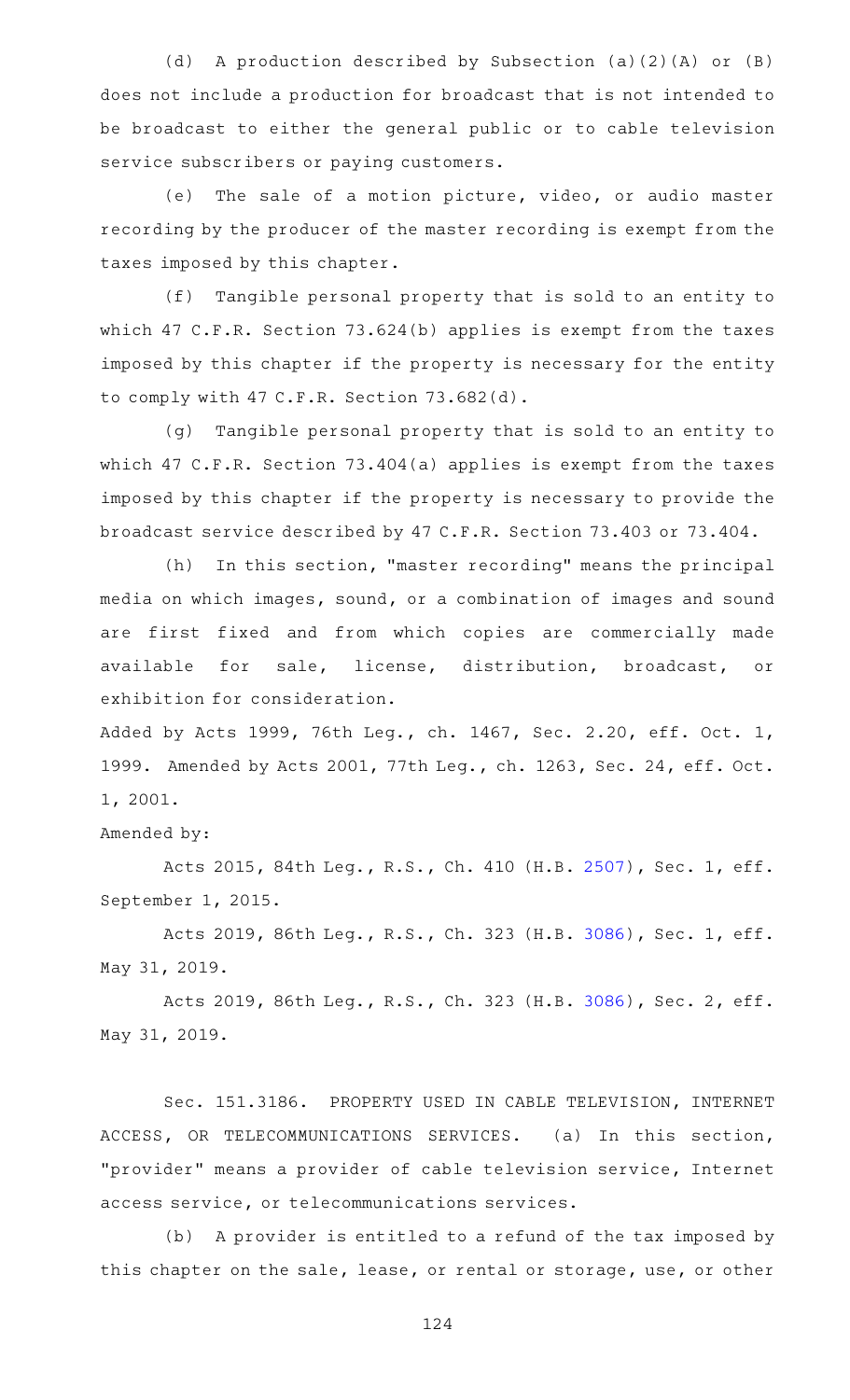(d) A production described by Subsection (a)(2)(A) or (B) does not include a production for broadcast that is not intended to be broadcast to either the general public or to cable television service subscribers or paying customers.

(e) The sale of a motion picture, video, or audio master recording by the producer of the master recording is exempt from the taxes imposed by this chapter.

(f) Tangible personal property that is sold to an entity to which 47 C.F.R. Section 73.624(b) applies is exempt from the taxes imposed by this chapter if the property is necessary for the entity to comply with 47 C.F.R. Section 73.682(d).

(g) Tangible personal property that is sold to an entity to which 47 C.F.R. Section 73.404(a) applies is exempt from the taxes imposed by this chapter if the property is necessary to provide the broadcast service described by 47 C.F.R. Section 73.403 or 73.404.

(h) In this section, "master recording" means the principal media on which images, sound, or a combination of images and sound are first fixed and from which copies are commercially made available for sale, license, distribution, broadcast, or exhibition for consideration.

Added by Acts 1999, 76th Leg., ch. 1467, Sec. 2.20, eff. Oct. 1, 1999. Amended by Acts 2001, 77th Leg., ch. 1263, Sec. 24, eff. Oct. 1, 2001.

## Amended by:

Acts 2015, 84th Leg., R.S., Ch. 410 (H.B. [2507](http://www.legis.state.tx.us/tlodocs/84R/billtext/html/HB02507F.HTM)), Sec. 1, eff. September 1, 2015.

Acts 2019, 86th Leg., R.S., Ch. 323 (H.B. [3086](http://www.legis.state.tx.us/tlodocs/86R/billtext/html/HB03086F.HTM)), Sec. 1, eff. May 31, 2019.

Acts 2019, 86th Leg., R.S., Ch. 323 (H.B. [3086](http://www.legis.state.tx.us/tlodocs/86R/billtext/html/HB03086F.HTM)), Sec. 2, eff. May 31, 2019.

Sec. 151.3186. PROPERTY USED IN CABLE TELEVISION, INTERNET ACCESS, OR TELECOMMUNICATIONS SERVICES. (a) In this section, "provider" means a provider of cable television service, Internet access service, or telecommunications services.

(b) A provider is entitled to a refund of the tax imposed by this chapter on the sale, lease, or rental or storage, use, or other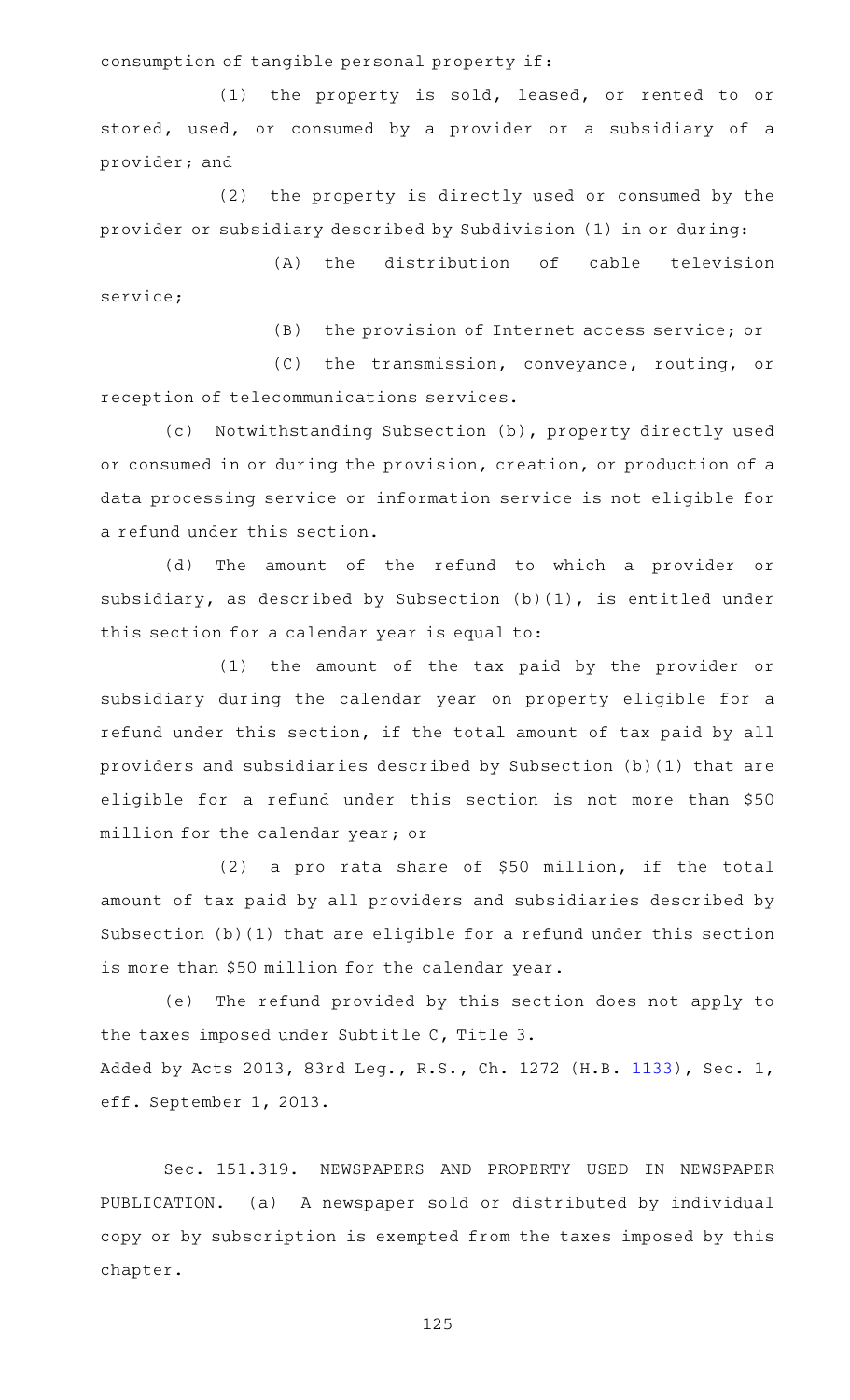consumption of tangible personal property if:

(1) the property is sold, leased, or rented to or stored, used, or consumed by a provider or a subsidiary of a provider; and

(2) the property is directly used or consumed by the provider or subsidiary described by Subdivision (1) in or during:

(A) the distribution of cable television service;

(B) the provision of Internet access service; or

(C) the transmission, conveyance, routing, or reception of telecommunications services.

(c) Notwithstanding Subsection (b), property directly used or consumed in or during the provision, creation, or production of a data processing service or information service is not eligible for a refund under this section.

(d) The amount of the refund to which a provider or subsidiary, as described by Subsection (b)(1), is entitled under this section for a calendar year is equal to:

(1) the amount of the tax paid by the provider or subsidiary during the calendar year on property eligible for a refund under this section, if the total amount of tax paid by all providers and subsidiaries described by Subsection (b)(1) that are eligible for a refund under this section is not more than \$50 million for the calendar year; or

 $(2)$  a pro rata share of \$50 million, if the total amount of tax paid by all providers and subsidiaries described by Subsection (b)(1) that are eligible for a refund under this section is more than \$50 million for the calendar year.

(e) The refund provided by this section does not apply to the taxes imposed under Subtitle C, Title 3. Added by Acts 2013, 83rd Leg., R.S., Ch. 1272 (H.B. [1133\)](http://www.legis.state.tx.us/tlodocs/83R/billtext/html/HB01133F.HTM), Sec. 1, eff. September 1, 2013.

Sec. 151.319. NEWSPAPERS AND PROPERTY USED IN NEWSPAPER PUBLICATION. (a) A newspaper sold or distributed by individual copy or by subscription is exempted from the taxes imposed by this chapter.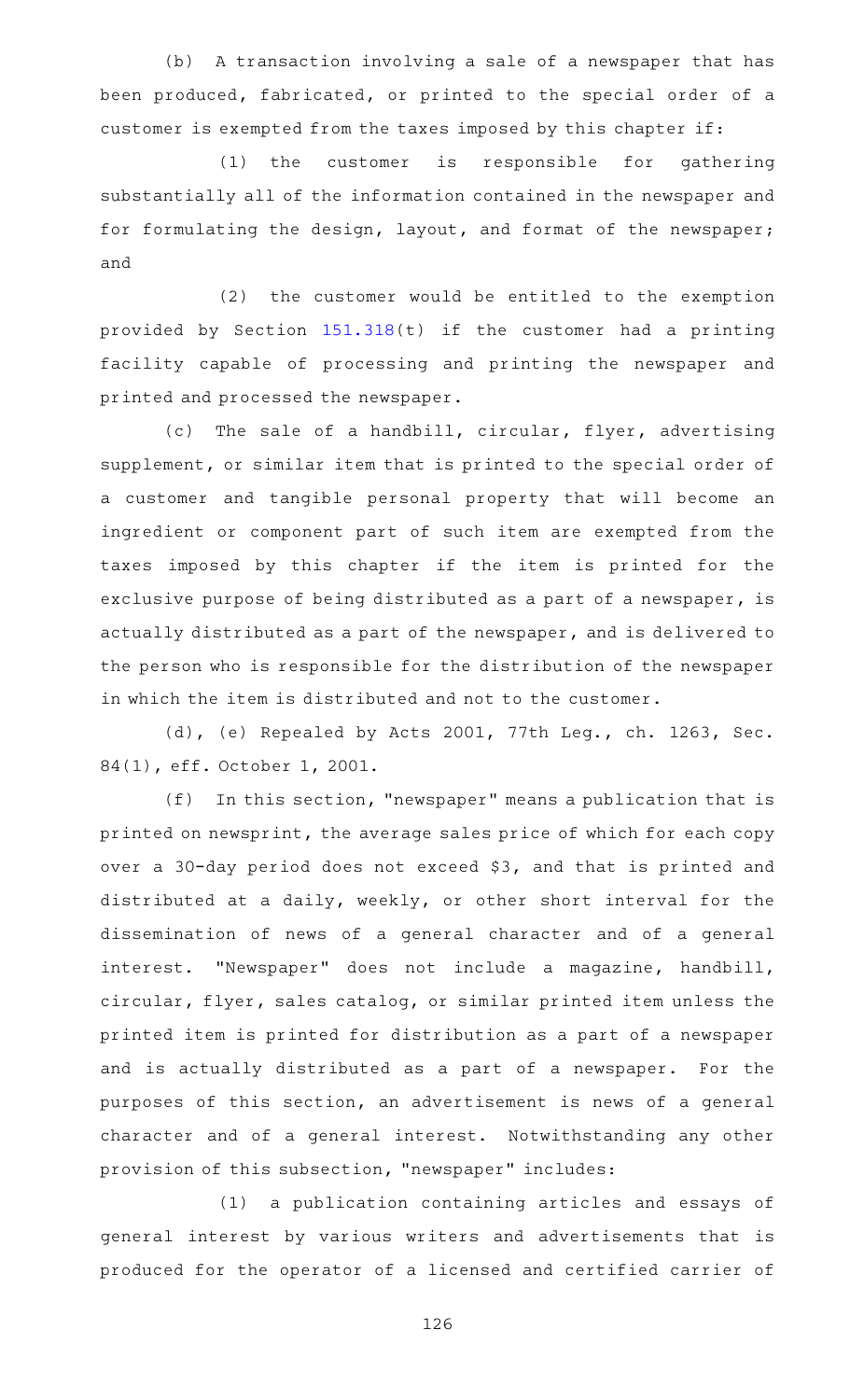(b) A transaction involving a sale of a newspaper that has been produced, fabricated, or printed to the special order of a customer is exempted from the taxes imposed by this chapter if:

(1) the customer is responsible for gathering substantially all of the information contained in the newspaper and for formulating the design, layout, and format of the newspaper; and

(2) the customer would be entitled to the exemption provided by Section [151.318](https://statutes.capitol.texas.gov/GetStatute.aspx?Code=TX&Value=151.318)(t) if the customer had a printing facility capable of processing and printing the newspaper and printed and processed the newspaper.

(c) The sale of a handbill, circular, flyer, advertising supplement, or similar item that is printed to the special order of a customer and tangible personal property that will become an ingredient or component part of such item are exempted from the taxes imposed by this chapter if the item is printed for the exclusive purpose of being distributed as a part of a newspaper, is actually distributed as a part of the newspaper, and is delivered to the person who is responsible for the distribution of the newspaper in which the item is distributed and not to the customer.

(d), (e) Repealed by Acts 2001, 77th Leg., ch. 1263, Sec. 84(1), eff. October 1, 2001.

 $(f)$  In this section, "newspaper" means a publication that is printed on newsprint, the average sales price of which for each copy over a 30-day period does not exceed \$3, and that is printed and distributed at a daily, weekly, or other short interval for the dissemination of news of a general character and of a general interest. "Newspaper" does not include a magazine, handbill, circular, flyer, sales catalog, or similar printed item unless the printed item is printed for distribution as a part of a newspaper and is actually distributed as a part of a newspaper. For the purposes of this section, an advertisement is news of a general character and of a general interest. Notwithstanding any other provision of this subsection, "newspaper" includes:

(1) a publication containing articles and essays of general interest by various writers and advertisements that is produced for the operator of a licensed and certified carrier of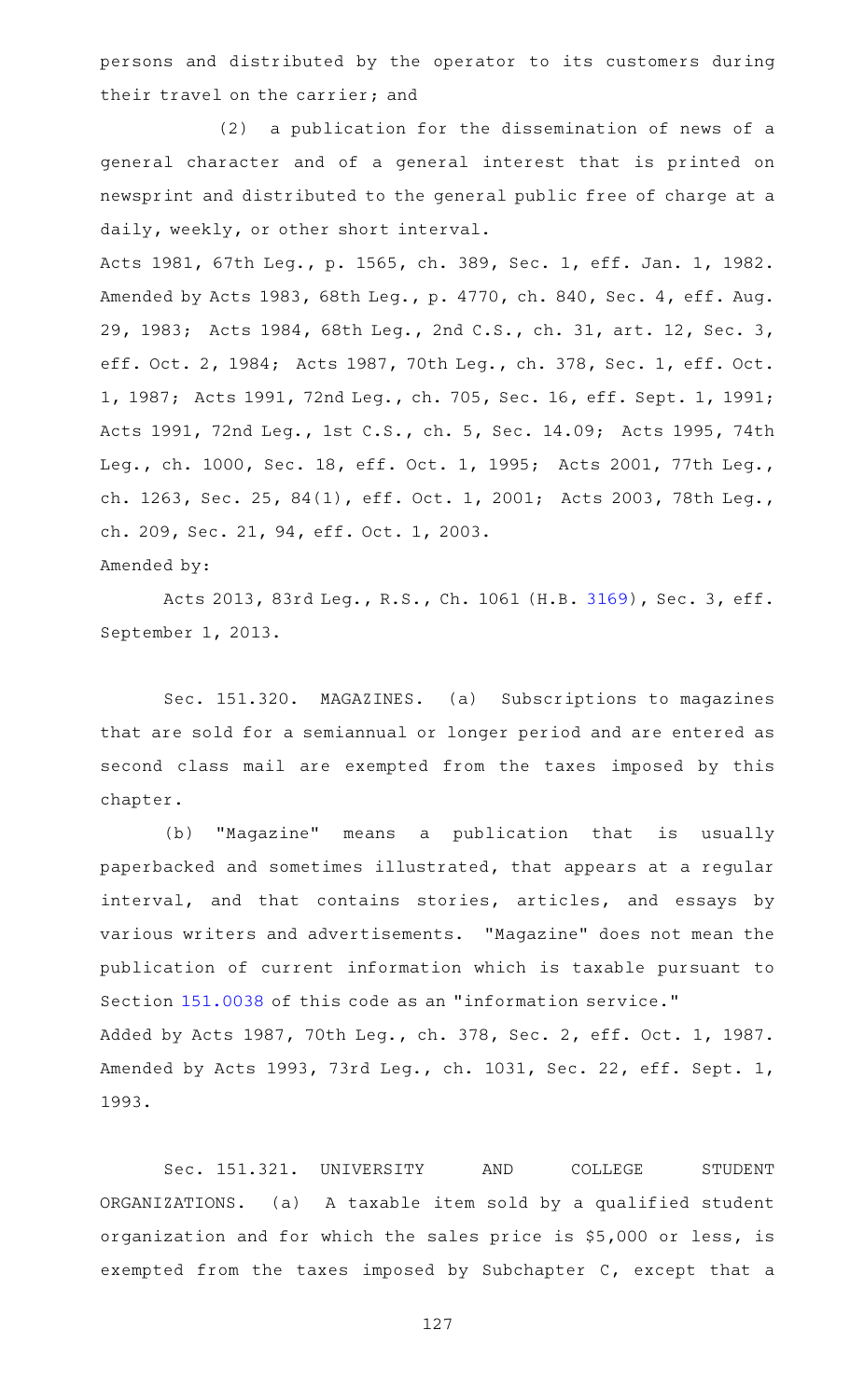persons and distributed by the operator to its customers during their travel on the carrier; and

(2) a publication for the dissemination of news of a general character and of a general interest that is printed on newsprint and distributed to the general public free of charge at a daily, weekly, or other short interval.

Acts 1981, 67th Leg., p. 1565, ch. 389, Sec. 1, eff. Jan. 1, 1982. Amended by Acts 1983, 68th Leg., p. 4770, ch. 840, Sec. 4, eff. Aug. 29, 1983; Acts 1984, 68th Leg., 2nd C.S., ch. 31, art. 12, Sec. 3, eff. Oct. 2, 1984; Acts 1987, 70th Leg., ch. 378, Sec. 1, eff. Oct. 1, 1987; Acts 1991, 72nd Leg., ch. 705, Sec. 16, eff. Sept. 1, 1991; Acts 1991, 72nd Leg., 1st C.S., ch. 5, Sec. 14.09; Acts 1995, 74th Leg., ch. 1000, Sec. 18, eff. Oct. 1, 1995; Acts 2001, 77th Leg., ch. 1263, Sec. 25, 84(1), eff. Oct. 1, 2001; Acts 2003, 78th Leg., ch. 209, Sec. 21, 94, eff. Oct. 1, 2003.

Amended by:

Acts 2013, 83rd Leg., R.S., Ch. 1061 (H.B. [3169](http://www.legis.state.tx.us/tlodocs/83R/billtext/html/HB03169F.HTM)), Sec. 3, eff. September 1, 2013.

Sec. 151.320. MAGAZINES. (a) Subscriptions to magazines that are sold for a semiannual or longer period and are entered as second class mail are exempted from the taxes imposed by this chapter.

(b) "Magazine" means a publication that is usually paperbacked and sometimes illustrated, that appears at a regular interval, and that contains stories, articles, and essays by various writers and advertisements. "Magazine" does not mean the publication of current information which is taxable pursuant to Section [151.0038](https://statutes.capitol.texas.gov/GetStatute.aspx?Code=TX&Value=151.0038) of this code as an "information service." Added by Acts 1987, 70th Leg., ch. 378, Sec. 2, eff. Oct. 1, 1987. Amended by Acts 1993, 73rd Leg., ch. 1031, Sec. 22, eff. Sept. 1, 1993.

Sec. 151.321. UNIVERSITY AND COLLEGE STUDENT ORGANIZATIONS. (a) A taxable item sold by a qualified student organization and for which the sales price is \$5,000 or less, is exempted from the taxes imposed by Subchapter C, except that a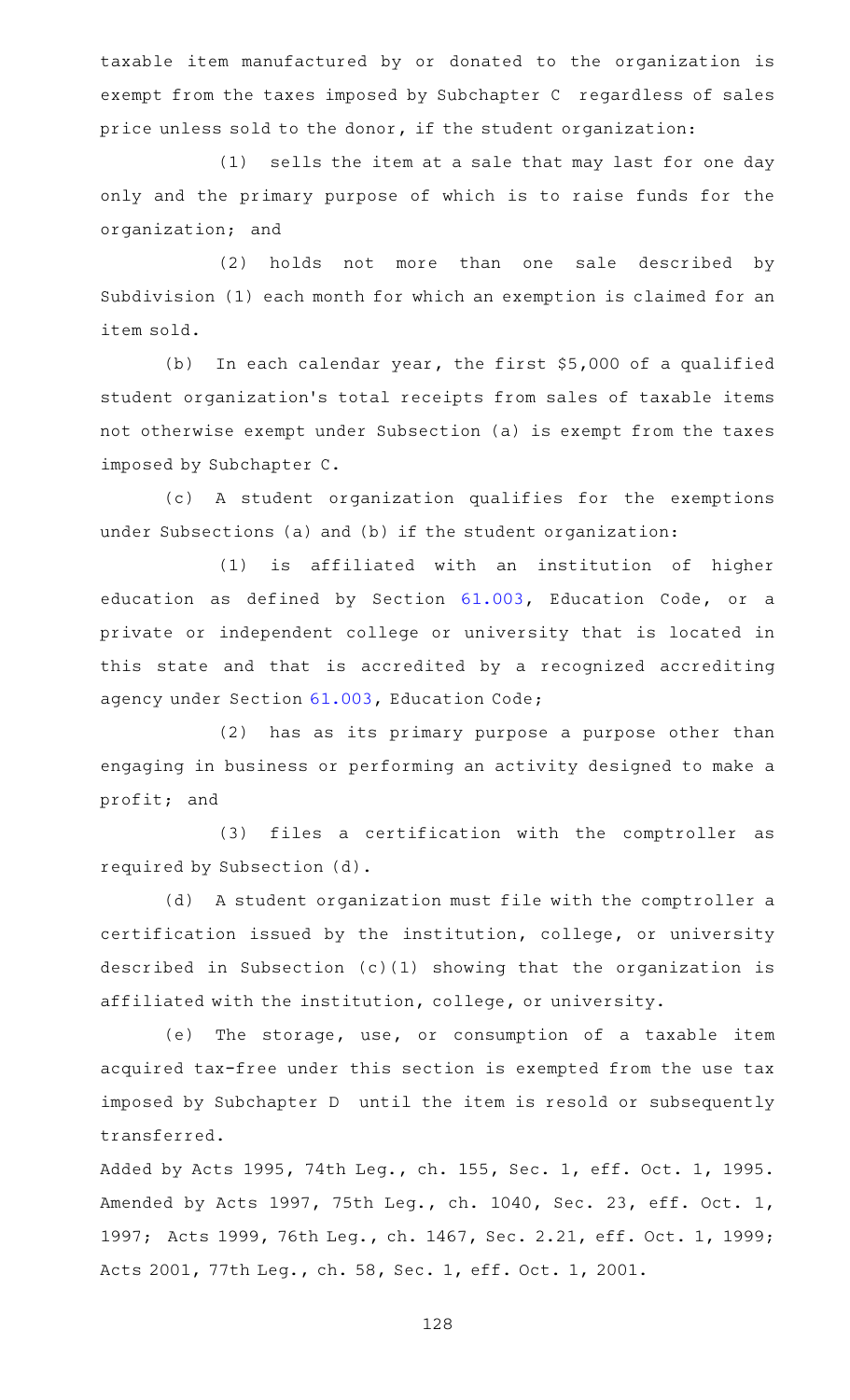taxable item manufactured by or donated to the organization is exempt from the taxes imposed by Subchapter C regardless of sales price unless sold to the donor, if the student organization:

(1) sells the item at a sale that may last for one day only and the primary purpose of which is to raise funds for the organization; and

(2) holds not more than one sale described by Subdivision (1) each month for which an exemption is claimed for an item sold.

(b) In each calendar year, the first  $$5,000$  of a qualified student organization 's total receipts from sales of taxable items not otherwise exempt under Subsection (a) is exempt from the taxes imposed by Subchapter C.

(c)AAA student organization qualifies for the exemptions under Subsections (a) and (b) if the student organization:

(1) is affiliated with an institution of higher education as defined by Section [61.003](https://statutes.capitol.texas.gov/GetStatute.aspx?Code=ED&Value=61.003), Education Code, or a private or independent college or university that is located in this state and that is accredited by a recognized accrediting agency under Section [61.003](https://statutes.capitol.texas.gov/GetStatute.aspx?Code=ED&Value=61.003), Education Code;

(2) has as its primary purpose a purpose other than engaging in business or performing an activity designed to make a profit; and

(3) files a certification with the comptroller as required by Subsection (d).

(d) A student organization must file with the comptroller a certification issued by the institution, college, or university described in Subsection (c)(1) showing that the organization is affiliated with the institution, college, or university.

(e) The storage, use, or consumption of a taxable item acquired tax-free under this section is exempted from the use tax imposed by Subchapter D until the item is resold or subsequently transferred.

Added by Acts 1995, 74th Leg., ch. 155, Sec. 1, eff. Oct. 1, 1995. Amended by Acts 1997, 75th Leg., ch. 1040, Sec. 23, eff. Oct. 1, 1997; Acts 1999, 76th Leg., ch. 1467, Sec. 2.21, eff. Oct. 1, 1999; Acts 2001, 77th Leg., ch. 58, Sec. 1, eff. Oct. 1, 2001.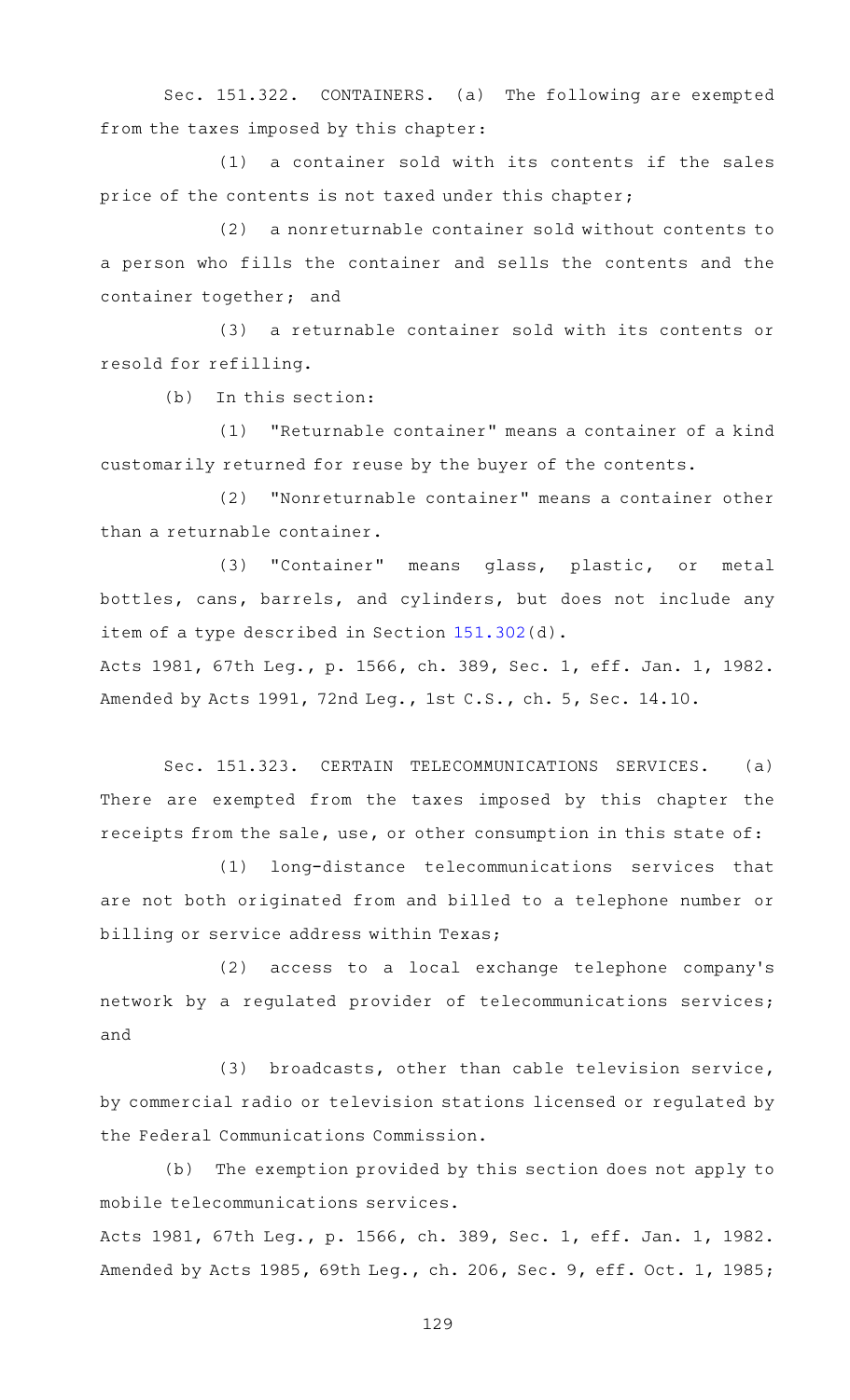Sec. 151.322. CONTAINERS. (a) The following are exempted from the taxes imposed by this chapter:

 $(1)$  a container sold with its contents if the sales price of the contents is not taxed under this chapter;

(2) a nonreturnable container sold without contents to a person who fills the container and sells the contents and the container together; and

(3) a returnable container sold with its contents or resold for refilling.

 $(b)$  In this section:

(1) "Returnable container" means a container of a kind customarily returned for reuse by the buyer of the contents.

(2) "Nonreturnable container" means a container other than a returnable container.

(3) "Container" means glass, plastic, or metal bottles, cans, barrels, and cylinders, but does not include any item of a type described in Section [151.302\(](https://statutes.capitol.texas.gov/GetStatute.aspx?Code=TX&Value=151.302)d).

Acts 1981, 67th Leg., p. 1566, ch. 389, Sec. 1, eff. Jan. 1, 1982. Amended by Acts 1991, 72nd Leg., 1st C.S., ch. 5, Sec. 14.10.

Sec. 151.323. CERTAIN TELECOMMUNICATIONS SERVICES. (a) There are exempted from the taxes imposed by this chapter the receipts from the sale, use, or other consumption in this state of:

(1) long-distance telecommunications services that are not both originated from and billed to a telephone number or billing or service address within Texas;

(2) access to a local exchange telephone company's network by a regulated provider of telecommunications services; and

(3) broadcasts, other than cable television service, by commercial radio or television stations licensed or regulated by the Federal Communications Commission.

(b) The exemption provided by this section does not apply to mobile telecommunications services.

Acts 1981, 67th Leg., p. 1566, ch. 389, Sec. 1, eff. Jan. 1, 1982. Amended by Acts 1985, 69th Leg., ch. 206, Sec. 9, eff. Oct. 1, 1985;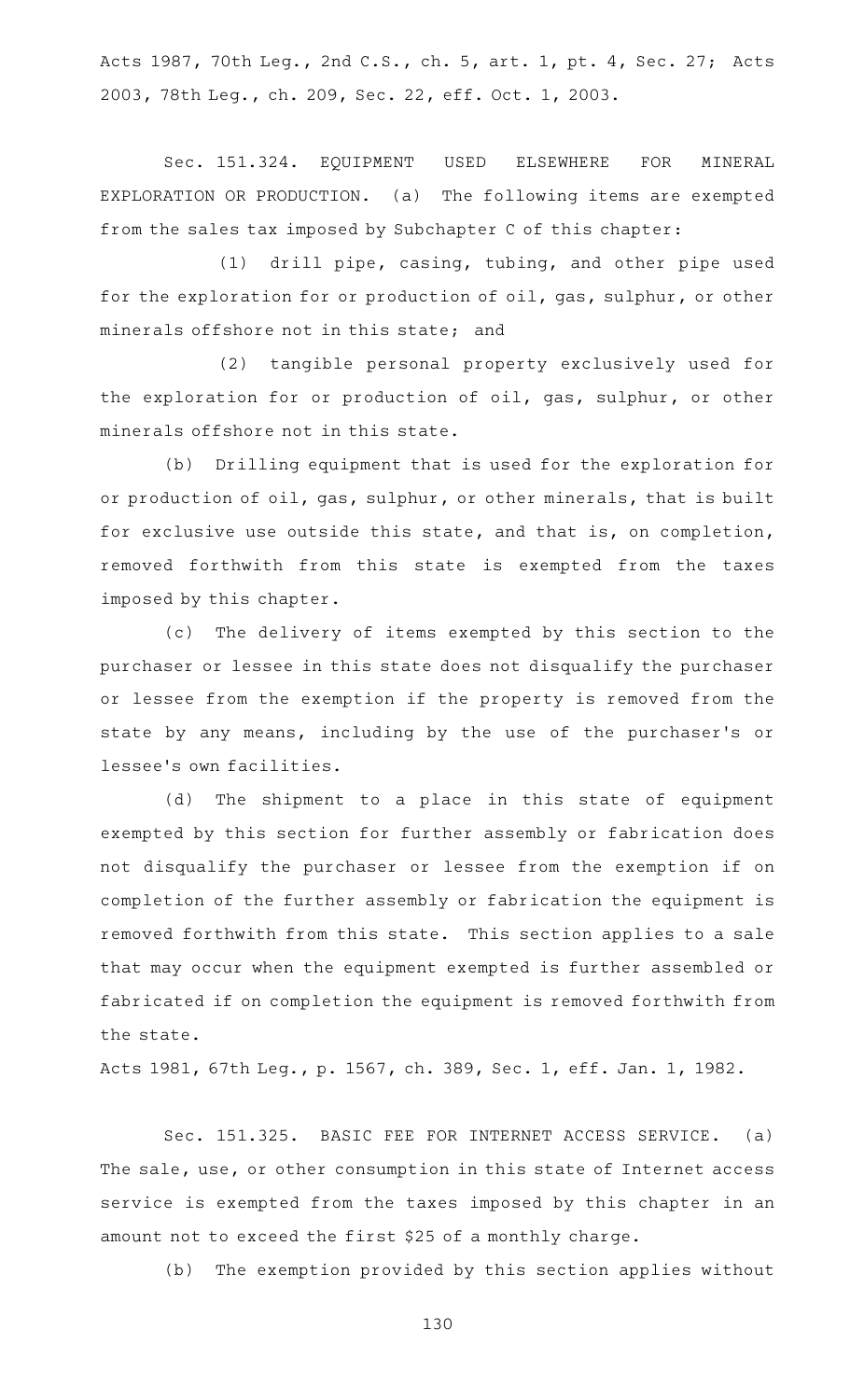Acts 1987, 70th Leg., 2nd C.S., ch. 5, art. 1, pt. 4, Sec. 27; Acts 2003, 78th Leg., ch. 209, Sec. 22, eff. Oct. 1, 2003.

Sec. 151.324. EQUIPMENT USED ELSEWHERE FOR MINERAL EXPLORATION OR PRODUCTION. (a) The following items are exempted from the sales tax imposed by Subchapter C of this chapter:

(1) drill pipe, casing, tubing, and other pipe used for the exploration for or production of oil, gas, sulphur, or other minerals offshore not in this state; and

(2) tangible personal property exclusively used for the exploration for or production of oil, gas, sulphur, or other minerals offshore not in this state.

(b) Drilling equipment that is used for the exploration for or production of oil, gas, sulphur, or other minerals, that is built for exclusive use outside this state, and that is, on completion, removed forthwith from this state is exempted from the taxes imposed by this chapter.

(c) The delivery of items exempted by this section to the purchaser or lessee in this state does not disqualify the purchaser or lessee from the exemption if the property is removed from the state by any means, including by the use of the purchaser 's or lessee 's own facilities.

(d) The shipment to a place in this state of equipment exempted by this section for further assembly or fabrication does not disqualify the purchaser or lessee from the exemption if on completion of the further assembly or fabrication the equipment is removed forthwith from this state. This section applies to a sale that may occur when the equipment exempted is further assembled or fabricated if on completion the equipment is removed forthwith from the state.

Acts 1981, 67th Leg., p. 1567, ch. 389, Sec. 1, eff. Jan. 1, 1982.

Sec. 151.325. BASIC FEE FOR INTERNET ACCESS SERVICE. (a) The sale, use, or other consumption in this state of Internet access service is exempted from the taxes imposed by this chapter in an amount not to exceed the first \$25 of a monthly charge.

(b) The exemption provided by this section applies without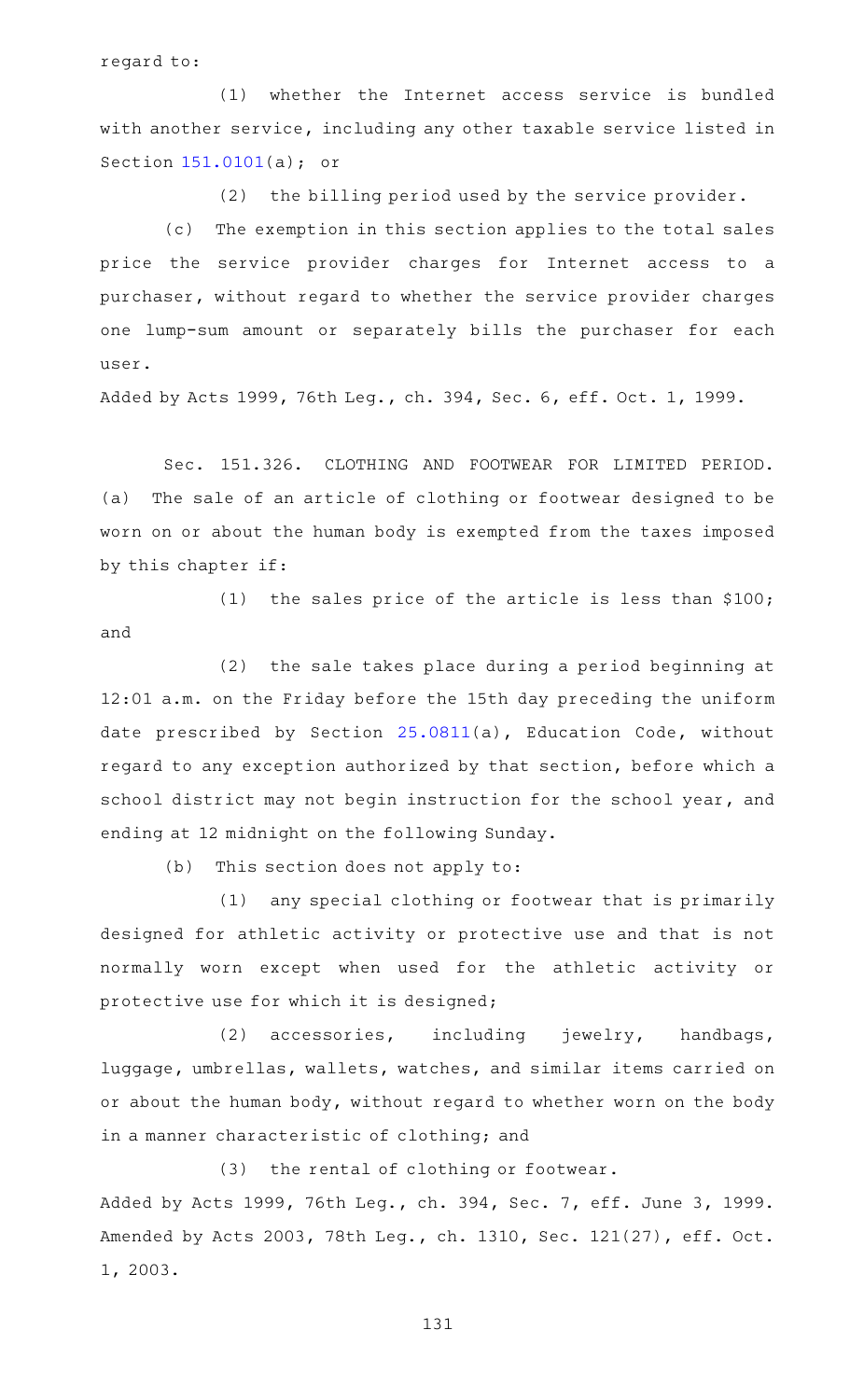regard to:

(1) whether the Internet access service is bundled with another service, including any other taxable service listed in Section [151.0101](https://statutes.capitol.texas.gov/GetStatute.aspx?Code=TX&Value=151.0101)(a); or

 $(2)$  the billing period used by the service provider.

(c) The exemption in this section applies to the total sales price the service provider charges for Internet access to a purchaser, without regard to whether the service provider charges one lump-sum amount or separately bills the purchaser for each user.

Added by Acts 1999, 76th Leg., ch. 394, Sec. 6, eff. Oct. 1, 1999.

Sec. 151.326. CLOTHING AND FOOTWEAR FOR LIMITED PERIOD. (a) The sale of an article of clothing or footwear designed to be worn on or about the human body is exempted from the taxes imposed by this chapter if:

(1) the sales price of the article is less than  $$100;$ and

 $(2)$  the sale takes place during a period beginning at 12:01 a.m. on the Friday before the 15th day preceding the uniform date prescribed by Section [25.0811\(](https://statutes.capitol.texas.gov/GetStatute.aspx?Code=ED&Value=25.0811)a), Education Code, without regard to any exception authorized by that section, before which a school district may not begin instruction for the school year, and ending at 12 midnight on the following Sunday.

 $(b)$  This section does not apply to:

(1) any special clothing or footwear that is primarily designed for athletic activity or protective use and that is not normally worn except when used for the athletic activity or protective use for which it is designed;

 $(2)$  accessories, including jewelry, handbags, luggage, umbrellas, wallets, watches, and similar items carried on or about the human body, without regard to whether worn on the body in a manner characteristic of clothing; and

(3) the rental of clothing or footwear.

Added by Acts 1999, 76th Leg., ch. 394, Sec. 7, eff. June 3, 1999. Amended by Acts 2003, 78th Leg., ch. 1310, Sec. 121(27), eff. Oct. 1, 2003.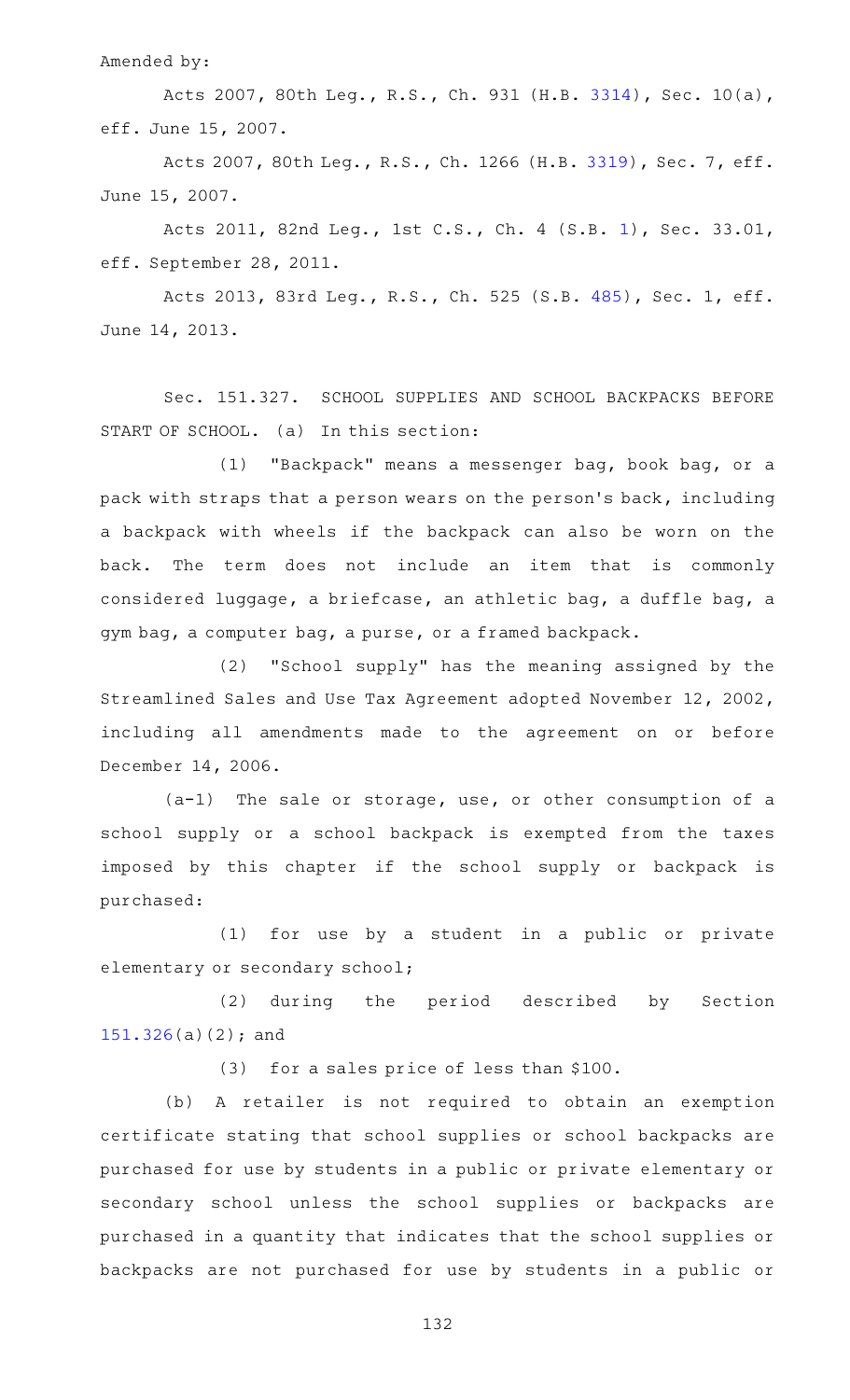Amended by:

Acts 2007, 80th Leg., R.S., Ch. 931 (H.B. [3314\)](http://www.legis.state.tx.us/tlodocs/80R/billtext/html/HB03314F.HTM), Sec. 10(a), eff. June 15, 2007.

Acts 2007, 80th Leg., R.S., Ch. 1266 (H.B. [3319](http://www.legis.state.tx.us/tlodocs/80R/billtext/html/HB03319F.HTM)), Sec. 7, eff. June 15, 2007.

Acts 2011, 82nd Leg., 1st C.S., Ch. 4 (S.B. [1](http://www.legis.state.tx.us/tlodocs/821/billtext/html/SB00001F.HTM)), Sec. 33.01, eff. September 28, 2011.

Acts 2013, 83rd Leg., R.S., Ch. 525 (S.B. [485](http://www.legis.state.tx.us/tlodocs/83R/billtext/html/SB00485F.HTM)), Sec. 1, eff. June 14, 2013.

Sec. 151.327. SCHOOL SUPPLIES AND SCHOOL BACKPACKS BEFORE START OF SCHOOL. (a) In this section:

(1) "Backpack" means a messenger bag, book bag, or a pack with straps that a person wears on the person 's back, including a backpack with wheels if the backpack can also be worn on the back. The term does not include an item that is commonly considered luggage, a briefcase, an athletic bag, a duffle bag, a gym bag, a computer bag, a purse, or a framed backpack.

(2) "School supply" has the meaning assigned by the Streamlined Sales and Use Tax Agreement adopted November 12, 2002, including all amendments made to the agreement on or before December 14, 2006.

 $(a-1)$  The sale or storage, use, or other consumption of a school supply or a school backpack is exempted from the taxes imposed by this chapter if the school supply or backpack is purchased:

(1) for use by a student in a public or private elementary or secondary school;

(2) during the period described by Section [151.326\(](https://statutes.capitol.texas.gov/GetStatute.aspx?Code=TX&Value=151.326)a)(2); and

 $(3)$  for a sales price of less than \$100.

(b) A retailer is not required to obtain an exemption certificate stating that school supplies or school backpacks are purchased for use by students in a public or private elementary or secondary school unless the school supplies or backpacks are purchased in a quantity that indicates that the school supplies or backpacks are not purchased for use by students in a public or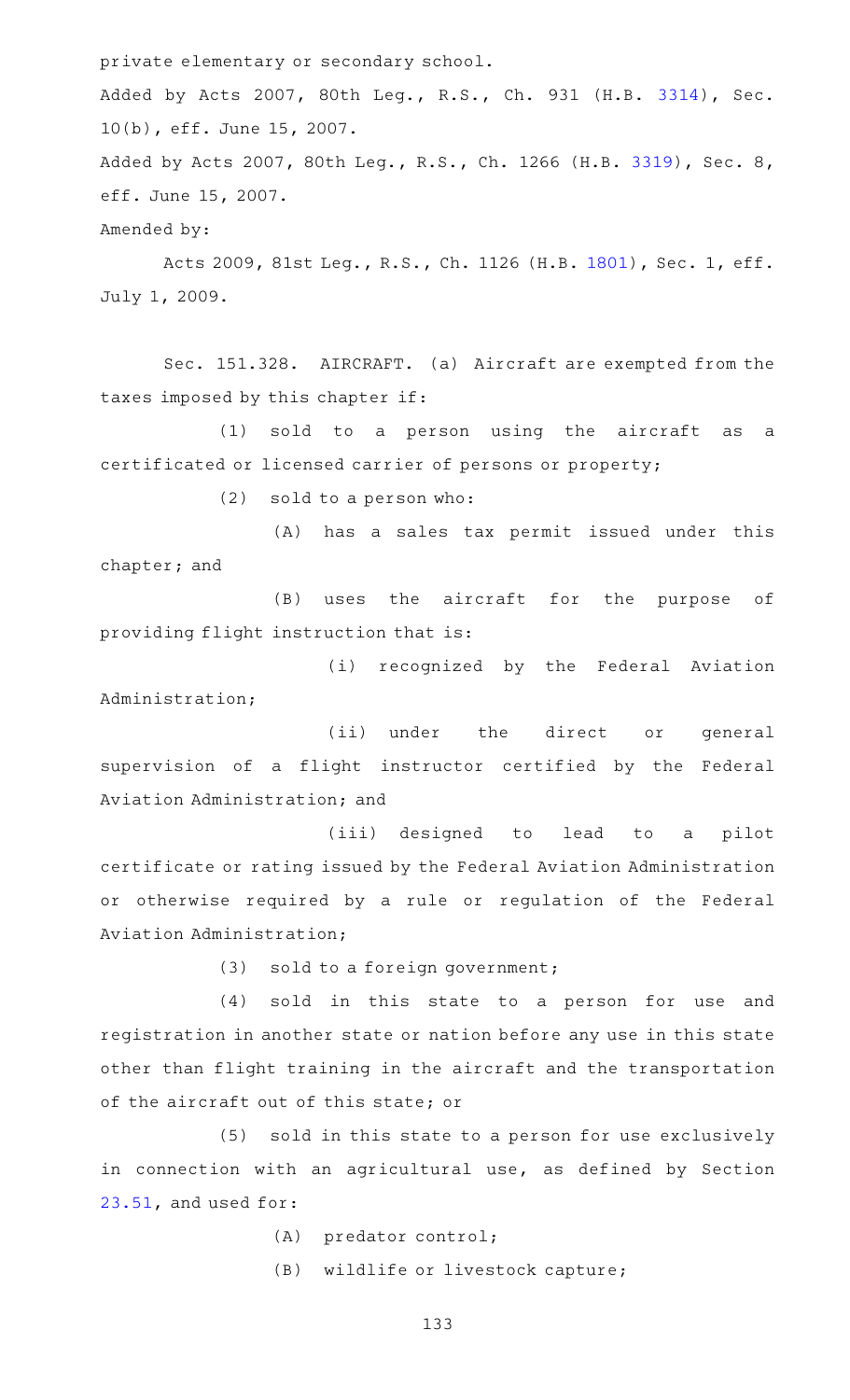private elementary or secondary school. Added by Acts 2007, 80th Leg., R.S., Ch. 931 (H.B. [3314](http://www.legis.state.tx.us/tlodocs/80R/billtext/html/HB03314F.HTM)), Sec. 10(b), eff. June 15, 2007. Added by Acts 2007, 80th Leg., R.S., Ch. 1266 (H.B. [3319\)](http://www.legis.state.tx.us/tlodocs/80R/billtext/html/HB03319F.HTM), Sec. 8, eff. June 15, 2007. Amended by:

Acts 2009, 81st Leg., R.S., Ch. 1126 (H.B. [1801](http://www.legis.state.tx.us/tlodocs/81R/billtext/html/HB01801F.HTM)), Sec. 1, eff. July 1, 2009.

Sec. 151.328. AIRCRAFT. (a) Aircraft are exempted from the taxes imposed by this chapter if:

(1) sold to a person using the aircraft as a certificated or licensed carrier of persons or property;

 $(2)$  sold to a person who:

(A) has a sales tax permit issued under this chapter; and

(B) uses the aircraft for the purpose of providing flight instruction that is:

(i) recognized by the Federal Aviation Administration;

(ii) under the direct or general supervision of a flight instructor certified by the Federal Aviation Administration; and

(iii) designed to lead to a pilot certificate or rating issued by the Federal Aviation Administration or otherwise required by a rule or regulation of the Federal Aviation Administration;

(3) sold to a foreign government;

 $(4)$  sold in this state to a person for use and registration in another state or nation before any use in this state other than flight training in the aircraft and the transportation of the aircraft out of this state; or

(5) sold in this state to a person for use exclusively in connection with an agricultural use, as defined by Section [23.51,](https://statutes.capitol.texas.gov/GetStatute.aspx?Code=TX&Value=23.51) and used for:

(A) predator control;

(B) wildlife or livestock capture;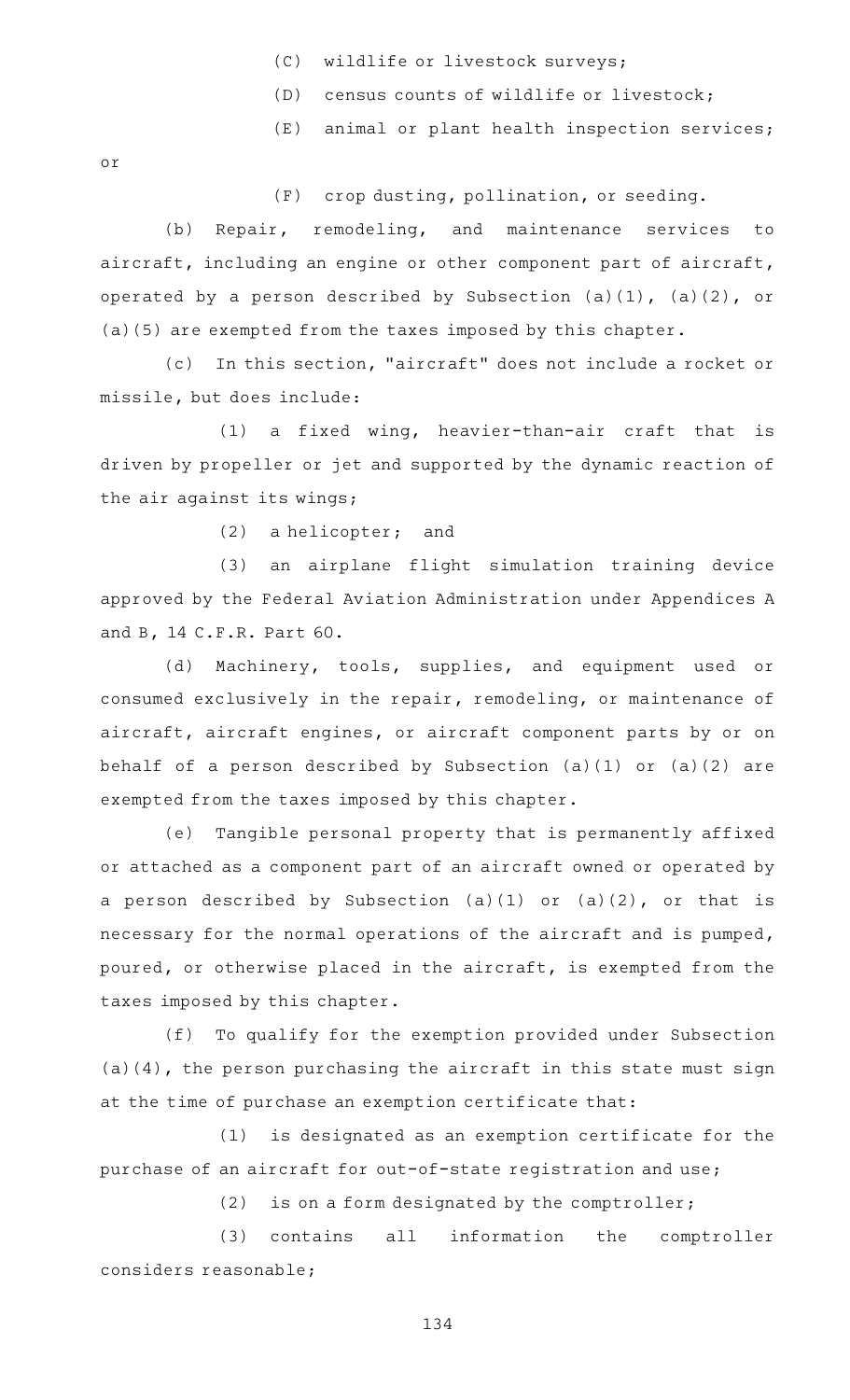- (C) wildlife or livestock surveys;
- (D) census counts of wildlife or livestock;
- (E) animal or plant health inspection services;

or

(F) crop dusting, pollination, or seeding.

(b) Repair, remodeling, and maintenance services to aircraft, including an engine or other component part of aircraft, operated by a person described by Subsection (a)(1), (a)(2), or (a)(5) are exempted from the taxes imposed by this chapter.

(c) In this section, "aircraft" does not include a rocket or missile, but does include:

(1) a fixed wing, heavier-than-air craft that is driven by propeller or jet and supported by the dynamic reaction of the air against its wings;

 $(2)$  a helicopter; and

(3) an airplane flight simulation training device approved by the Federal Aviation Administration under Appendices A and B, 14 C.F.R. Part 60.

(d) Machinery, tools, supplies, and equipment used or consumed exclusively in the repair, remodeling, or maintenance of aircraft, aircraft engines, or aircraft component parts by or on behalf of a person described by Subsection (a)(1) or (a)(2) are exempted from the taxes imposed by this chapter.

(e) Tangible personal property that is permanently affixed or attached as a component part of an aircraft owned or operated by a person described by Subsection  $(a)(1)$  or  $(a)(2)$ , or that is necessary for the normal operations of the aircraft and is pumped, poured, or otherwise placed in the aircraft, is exempted from the taxes imposed by this chapter.

(f) To qualify for the exemption provided under Subsection (a)(4), the person purchasing the aircraft in this state must sign at the time of purchase an exemption certificate that:

(1) is designated as an exemption certificate for the purchase of an aircraft for out-of-state registration and use;

 $(2)$  is on a form designated by the comptroller;

(3) contains all information the comptroller considers reasonable;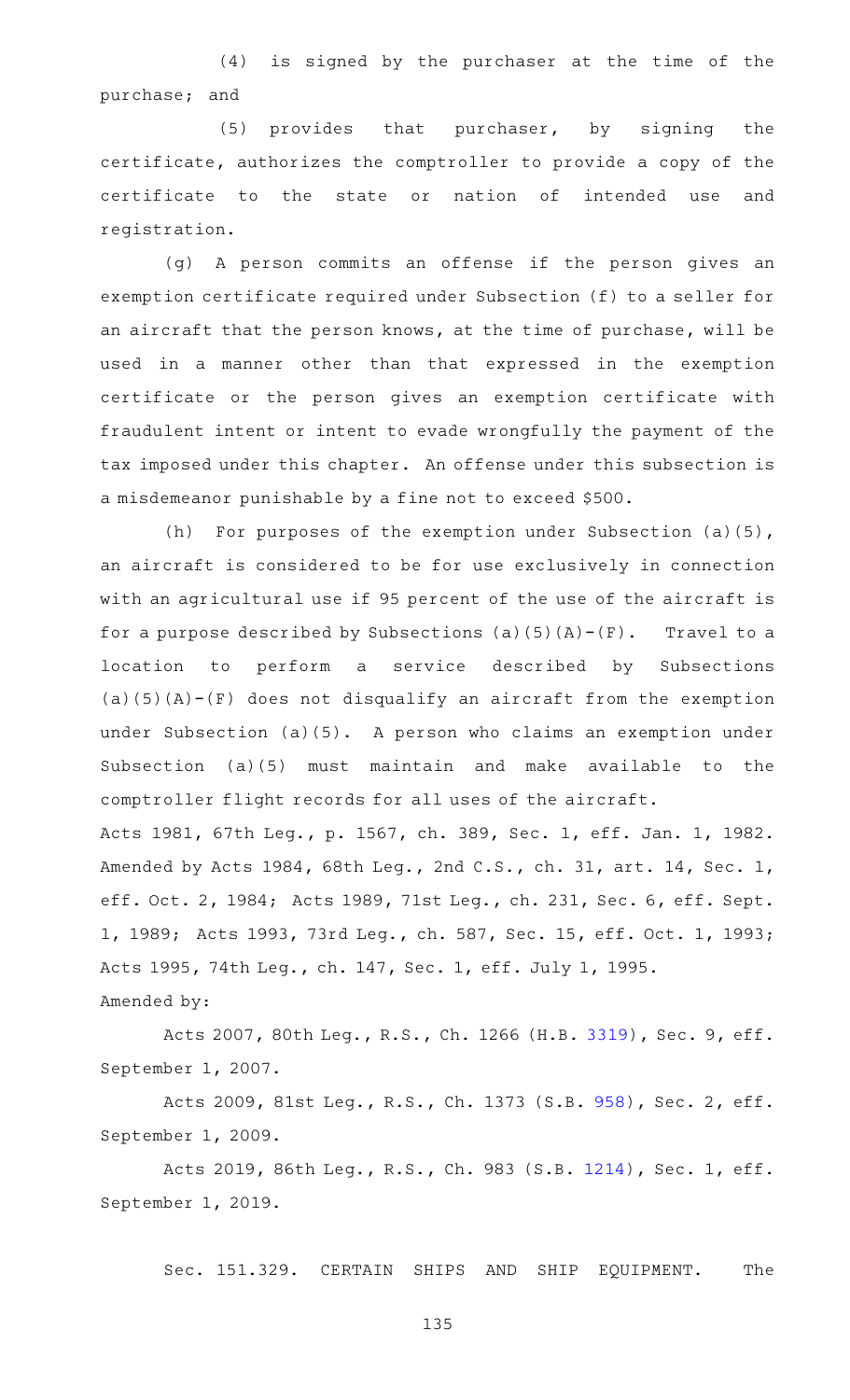$(4)$  is signed by the purchaser at the time of the purchase; and

 $(5)$  provides that purchaser, by signing the certificate, authorizes the comptroller to provide a copy of the certificate to the state or nation of intended use and registration.

(g) A person commits an offense if the person gives an exemption certificate required under Subsection (f) to a seller for an aircraft that the person knows, at the time of purchase, will be used in a manner other than that expressed in the exemption certificate or the person gives an exemption certificate with fraudulent intent or intent to evade wrongfully the payment of the tax imposed under this chapter. An offense under this subsection is a misdemeanor punishable by a fine not to exceed \$500.

(h) For purposes of the exemption under Subsection (a)(5), an aircraft is considered to be for use exclusively in connection with an agricultural use if 95 percent of the use of the aircraft is for a purpose described by Subsections (a)(5)(A)-(F). Travel to a location to perform a service described by Subsections  $(a)(5)(A) - (F)$  does not disqualify an aircraft from the exemption under Subsection (a)(5). A person who claims an exemption under Subsection (a)(5) must maintain and make available to the comptroller flight records for all uses of the aircraft. Acts 1981, 67th Leg., p. 1567, ch. 389, Sec. 1, eff. Jan. 1, 1982. Amended by Acts 1984, 68th Leg., 2nd C.S., ch. 31, art. 14, Sec. 1, eff. Oct. 2, 1984; Acts 1989, 71st Leg., ch. 231, Sec. 6, eff. Sept. 1, 1989; Acts 1993, 73rd Leg., ch. 587, Sec. 15, eff. Oct. 1, 1993;

Acts 1995, 74th Leg., ch. 147, Sec. 1, eff. July 1, 1995.

Amended by:

Acts 2007, 80th Leg., R.S., Ch. 1266 (H.B. [3319](http://www.legis.state.tx.us/tlodocs/80R/billtext/html/HB03319F.HTM)), Sec. 9, eff. September 1, 2007.

Acts 2009, 81st Leg., R.S., Ch. 1373 (S.B. [958](http://www.legis.state.tx.us/tlodocs/81R/billtext/html/SB00958F.HTM)), Sec. 2, eff. September 1, 2009.

Acts 2019, 86th Leg., R.S., Ch. 983 (S.B. [1214](http://www.legis.state.tx.us/tlodocs/86R/billtext/html/SB01214F.HTM)), Sec. 1, eff. September 1, 2019.

Sec. 151.329. CERTAIN SHIPS AND SHIP EQUIPMENT. The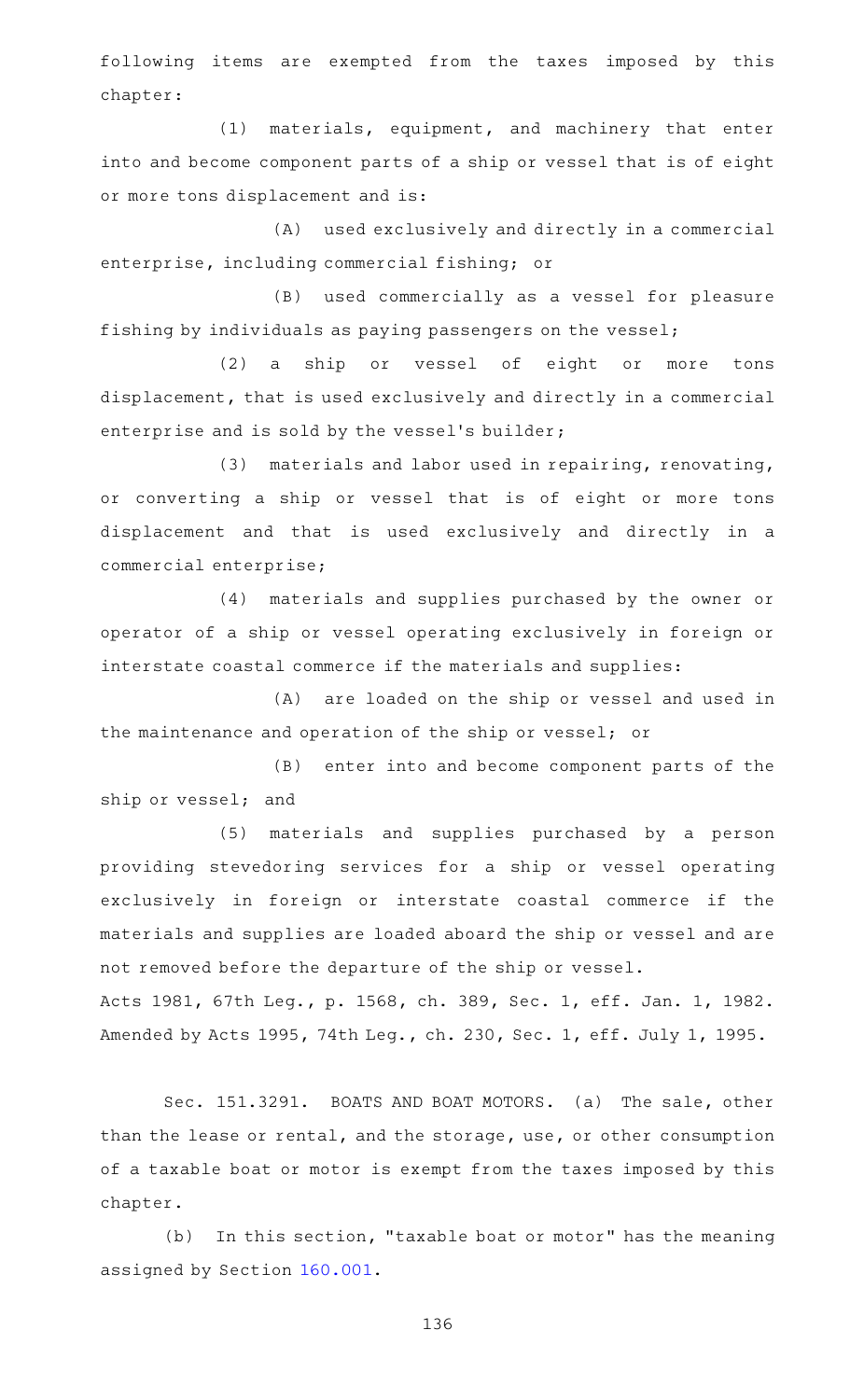following items are exempted from the taxes imposed by this chapter:

(1) materials, equipment, and machinery that enter into and become component parts of a ship or vessel that is of eight or more tons displacement and is:

(A) used exclusively and directly in a commercial enterprise, including commercial fishing; or

(B) used commercially as a vessel for pleasure fishing by individuals as paying passengers on the vessel;

(2) a ship or vessel of eight or more tons displacement, that is used exclusively and directly in a commercial enterprise and is sold by the vessel's builder;

(3) materials and labor used in repairing, renovating, or converting a ship or vessel that is of eight or more tons displacement and that is used exclusively and directly in a commercial enterprise;

(4) materials and supplies purchased by the owner or operator of a ship or vessel operating exclusively in foreign or interstate coastal commerce if the materials and supplies:

(A) are loaded on the ship or vessel and used in the maintenance and operation of the ship or vessel; or

(B) enter into and become component parts of the ship or vessel; and

(5) materials and supplies purchased by a person providing stevedoring services for a ship or vessel operating exclusively in foreign or interstate coastal commerce if the materials and supplies are loaded aboard the ship or vessel and are not removed before the departure of the ship or vessel. Acts 1981, 67th Leg., p. 1568, ch. 389, Sec. 1, eff. Jan. 1, 1982. Amended by Acts 1995, 74th Leg., ch. 230, Sec. 1, eff. July 1, 1995.

Sec. 151.3291. BOATS AND BOAT MOTORS. (a) The sale, other than the lease or rental, and the storage, use, or other consumption of a taxable boat or motor is exempt from the taxes imposed by this chapter.

(b) In this section, "taxable boat or motor" has the meaning assigned by Section [160.001](https://statutes.capitol.texas.gov/GetStatute.aspx?Code=TX&Value=160.001).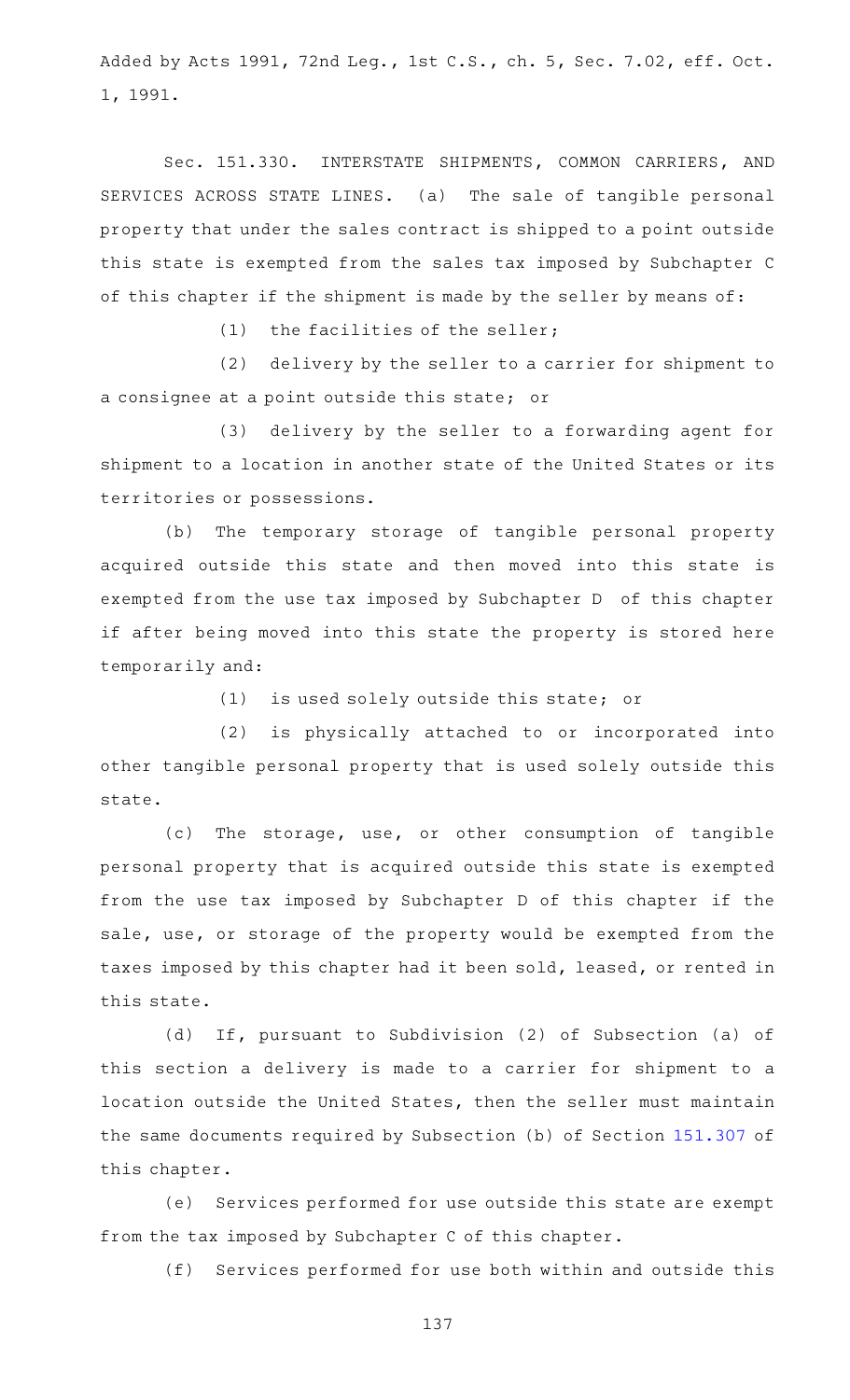Added by Acts 1991, 72nd Leg., 1st C.S., ch. 5, Sec. 7.02, eff. Oct. 1, 1991.

Sec. 151.330. INTERSTATE SHIPMENTS, COMMON CARRIERS, AND SERVICES ACROSS STATE LINES. (a) The sale of tangible personal property that under the sales contract is shipped to a point outside this state is exempted from the sales tax imposed by Subchapter C of this chapter if the shipment is made by the seller by means of:

 $(1)$  the facilities of the seller;

(2) delivery by the seller to a carrier for shipment to a consignee at a point outside this state; or

(3) delivery by the seller to a forwarding agent for shipment to a location in another state of the United States or its territories or possessions.

(b) The temporary storage of tangible personal property acquired outside this state and then moved into this state is exempted from the use tax imposed by Subchapter D of this chapter if after being moved into this state the property is stored here temporarily and:

 $(1)$  is used solely outside this state; or

(2) is physically attached to or incorporated into other tangible personal property that is used solely outside this state.

(c) The storage, use, or other consumption of tangible personal property that is acquired outside this state is exempted from the use tax imposed by Subchapter D of this chapter if the sale, use, or storage of the property would be exempted from the taxes imposed by this chapter had it been sold, leased, or rented in this state.

(d) If, pursuant to Subdivision (2) of Subsection (a) of this section a delivery is made to a carrier for shipment to a location outside the United States, then the seller must maintain the same documents required by Subsection (b) of Section [151.307](https://statutes.capitol.texas.gov/GetStatute.aspx?Code=TX&Value=151.307) of this chapter.

(e) Services performed for use outside this state are exempt from the tax imposed by Subchapter C of this chapter.

(f) Services performed for use both within and outside this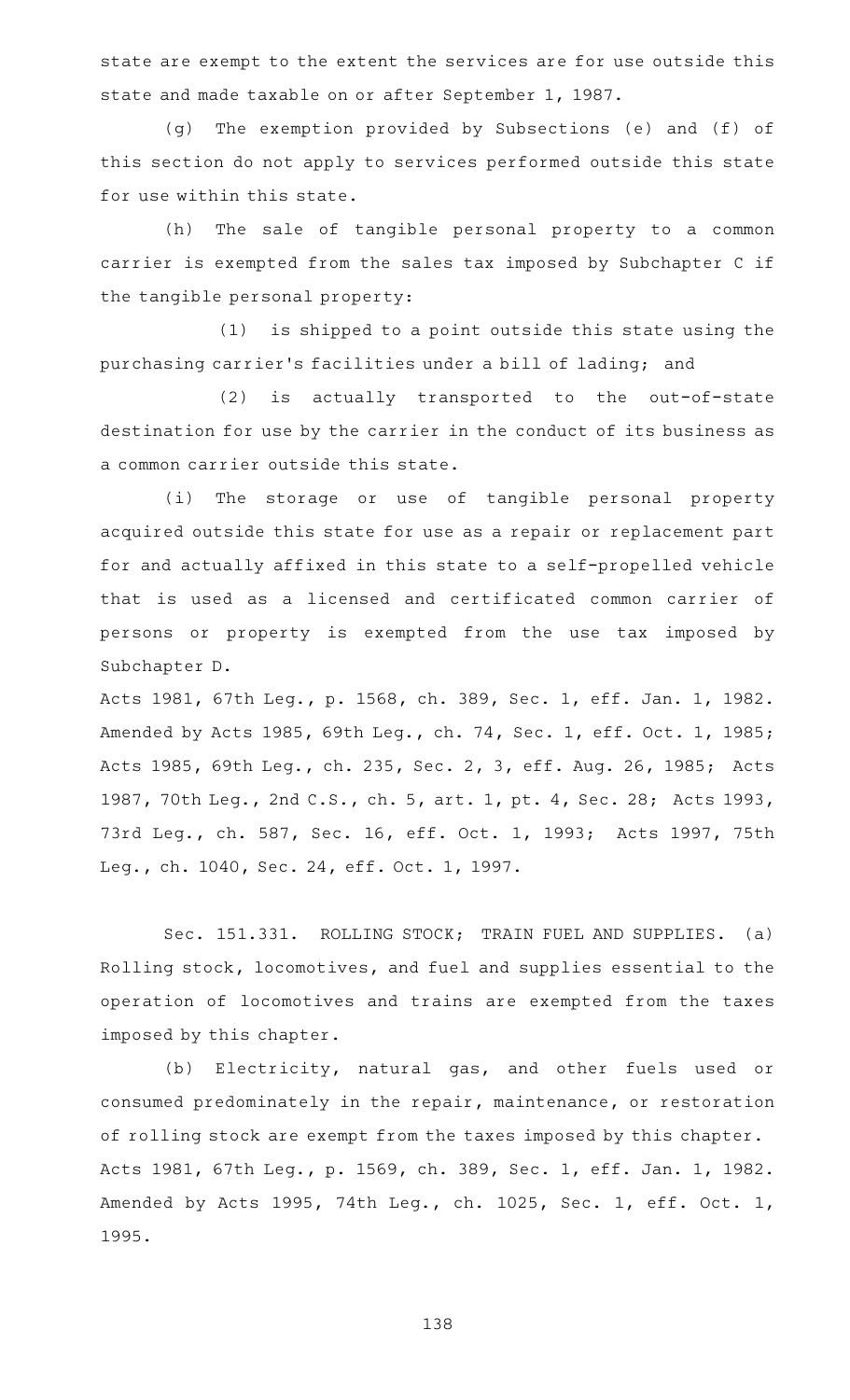state are exempt to the extent the services are for use outside this state and made taxable on or after September 1, 1987.

(g) The exemption provided by Subsections (e) and (f) of this section do not apply to services performed outside this state for use within this state.

(h) The sale of tangible personal property to a common carrier is exempted from the sales tax imposed by Subchapter C if the tangible personal property:

(1) is shipped to a point outside this state using the purchasing carrier 's facilities under a bill of lading; and

(2) is actually transported to the out-of-state destination for use by the carrier in the conduct of its business as a common carrier outside this state.

(i) The storage or use of tangible personal property acquired outside this state for use as a repair or replacement part for and actually affixed in this state to a self-propelled vehicle that is used as a licensed and certificated common carrier of persons or property is exempted from the use tax imposed by Subchapter D.

Acts 1981, 67th Leg., p. 1568, ch. 389, Sec. 1, eff. Jan. 1, 1982. Amended by Acts 1985, 69th Leg., ch. 74, Sec. 1, eff. Oct. 1, 1985; Acts 1985, 69th Leg., ch. 235, Sec. 2, 3, eff. Aug. 26, 1985; Acts 1987, 70th Leg., 2nd C.S., ch. 5, art. 1, pt. 4, Sec. 28; Acts 1993, 73rd Leg., ch. 587, Sec. 16, eff. Oct. 1, 1993; Acts 1997, 75th Leg., ch. 1040, Sec. 24, eff. Oct. 1, 1997.

Sec. 151.331. ROLLING STOCK; TRAIN FUEL AND SUPPLIES. (a) Rolling stock, locomotives, and fuel and supplies essential to the operation of locomotives and trains are exempted from the taxes imposed by this chapter.

(b) Electricity, natural gas, and other fuels used or consumed predominately in the repair, maintenance, or restoration of rolling stock are exempt from the taxes imposed by this chapter. Acts 1981, 67th Leg., p. 1569, ch. 389, Sec. 1, eff. Jan. 1, 1982. Amended by Acts 1995, 74th Leg., ch. 1025, Sec. 1, eff. Oct. 1, 1995.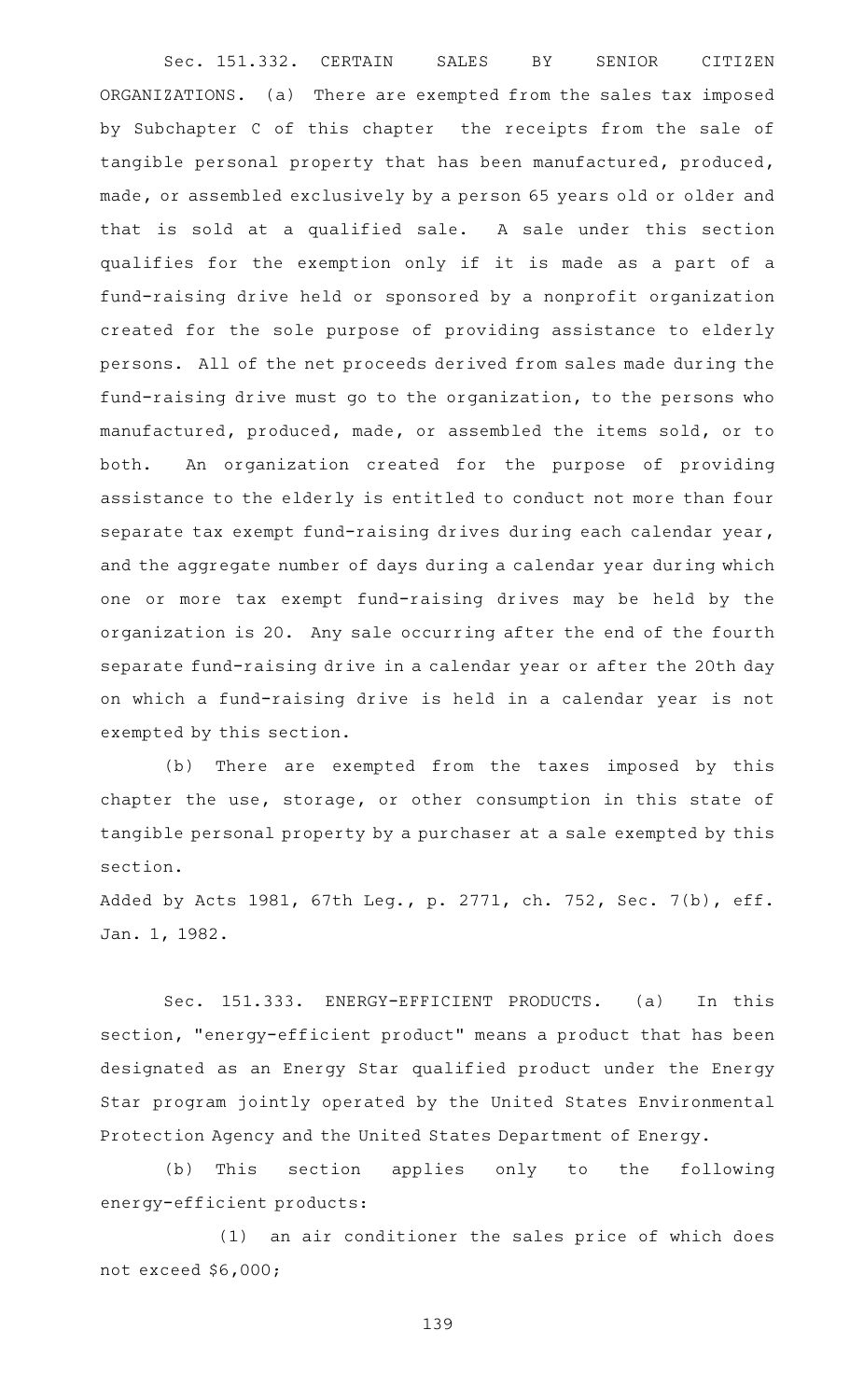Sec. 151.332. CERTAIN SALES BY SENIOR CITIZEN ORGANIZATIONS. (a) There are exempted from the sales tax imposed by Subchapter C of this chapter the receipts from the sale of tangible personal property that has been manufactured, produced, made, or assembled exclusively by a person 65 years old or older and that is sold at a qualified sale. A sale under this section qualifies for the exemption only if it is made as a part of a fund-raising drive held or sponsored by a nonprofit organization created for the sole purpose of providing assistance to elderly persons. All of the net proceeds derived from sales made during the fund-raising drive must go to the organization, to the persons who manufactured, produced, made, or assembled the items sold, or to both. An organization created for the purpose of providing assistance to the elderly is entitled to conduct not more than four separate tax exempt fund-raising drives during each calendar year, and the aggregate number of days during a calendar year during which one or more tax exempt fund-raising drives may be held by the organization is 20. Any sale occurring after the end of the fourth separate fund-raising drive in a calendar year or after the 20th day on which a fund-raising drive is held in a calendar year is not exempted by this section.

(b) There are exempted from the taxes imposed by this chapter the use, storage, or other consumption in this state of tangible personal property by a purchaser at a sale exempted by this section.

Added by Acts 1981, 67th Leg., p. 2771, ch. 752, Sec. 7(b), eff. Jan. 1, 1982.

Sec. 151.333. ENERGY-EFFICIENT PRODUCTS. (a) In this section, "energy-efficient product" means a product that has been designated as an Energy Star qualified product under the Energy Star program jointly operated by the United States Environmental Protection Agency and the United States Department of Energy.

(b) This section applies only to the following energy-efficient products:

(1) an air conditioner the sales price of which does not exceed \$6,000;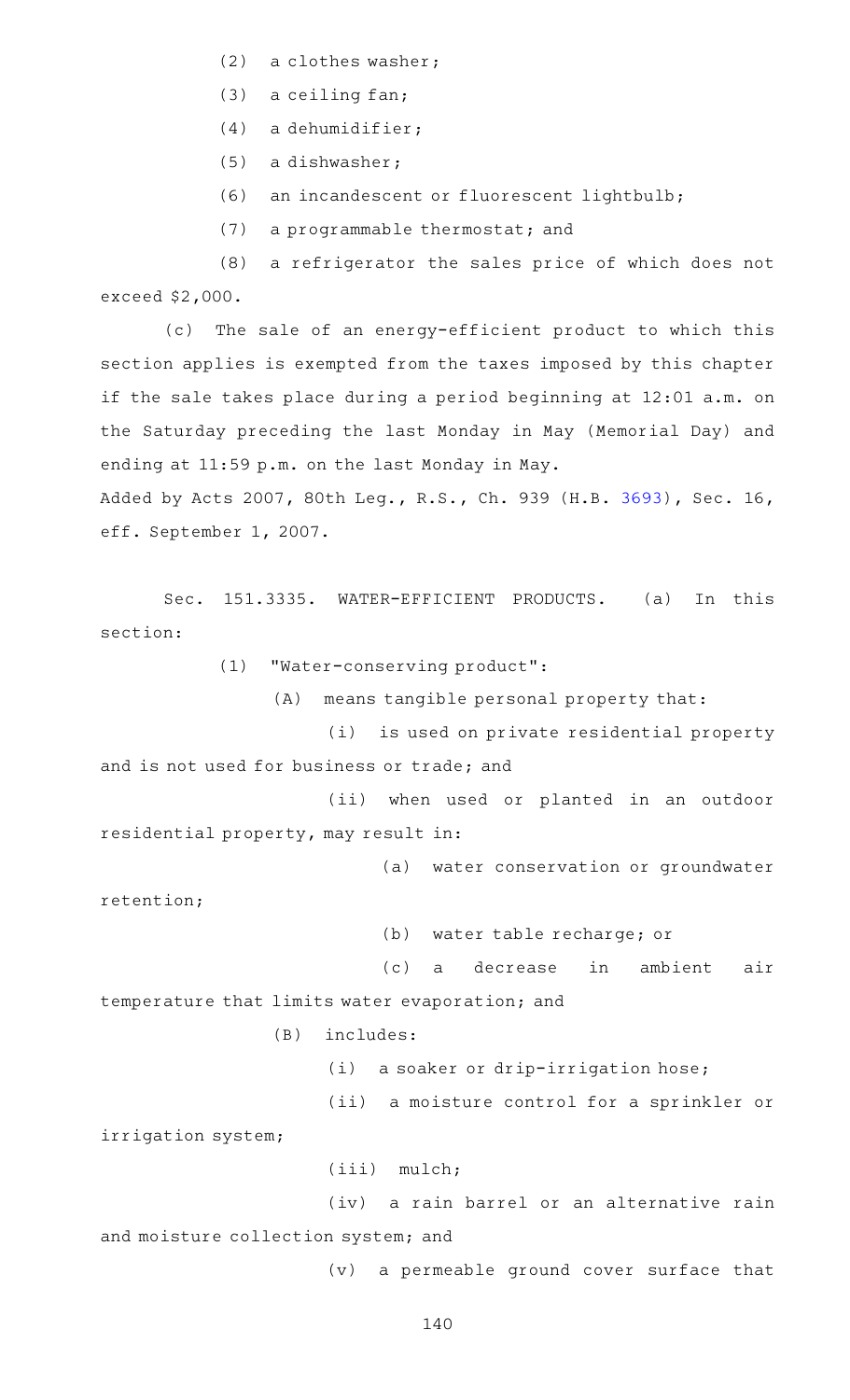- (2) a clothes washer;
- $(3)$  a ceiling fan;
- $(4)$  a dehumidifier;
- (5) a dishwasher;
- (6) an incandescent or fluorescent lightbulb;
- (7) a programmable thermostat; and

(8) a refrigerator the sales price of which does not exceed \$2,000.

(c) The sale of an energy-efficient product to which this section applies is exempted from the taxes imposed by this chapter if the sale takes place during a period beginning at 12:01 a.m. on the Saturday preceding the last Monday in May (Memorial Day) and ending at 11:59 p.m. on the last Monday in May.

Added by Acts 2007, 80th Leg., R.S., Ch. 939 (H.B. [3693\)](http://www.legis.state.tx.us/tlodocs/80R/billtext/html/HB03693F.HTM), Sec. 16, eff. September 1, 2007.

Sec. 151.3335. WATER-EFFICIENT PRODUCTS. (a) In this section:

(1) "Water-conserving product":

 $(A)$  means tangible personal property that:

(i) is used on private residential property and is not used for business or trade; and

(ii) when used or planted in an outdoor residential property, may result in:

(a) water conservation or groundwater

(b) water table recharge; or

(c) a decrease in ambient air temperature that limits water evaporation; and

 $(B)$  includes:

(i) a soaker or drip-irrigation hose;

(ii) a moisture control for a sprinkler or

irrigation system;

retention;

(iii) mulch;

(iv) a rain barrel or an alternative rain and moisture collection system; and

(v) a permeable ground cover surface that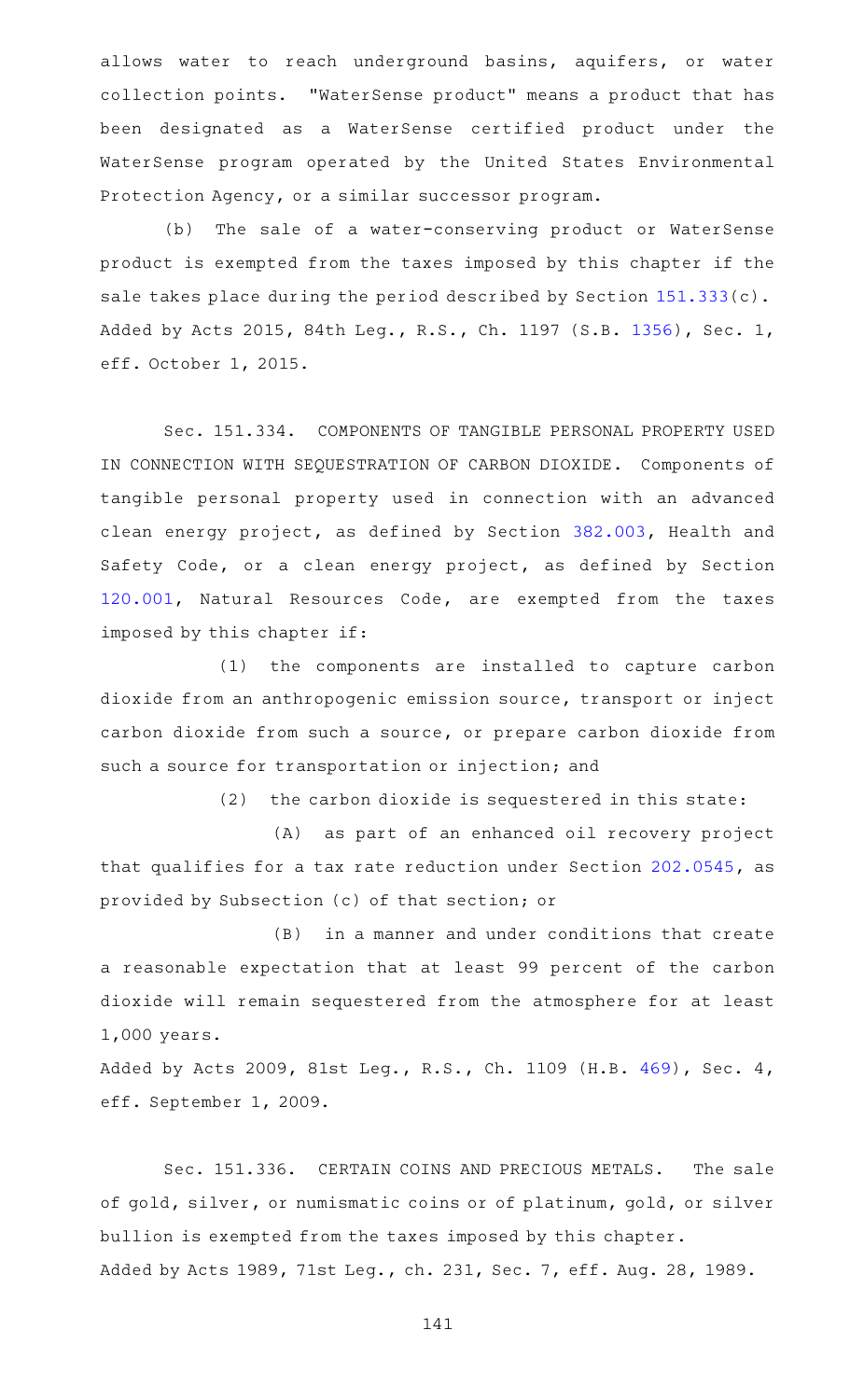allows water to reach underground basins, aquifers, or water collection points. "WaterSense product" means a product that has been designated as a WaterSense certified product under the WaterSense program operated by the United States Environmental Protection Agency, or a similar successor program.

(b) The sale of a water-conserving product or WaterSense product is exempted from the taxes imposed by this chapter if the sale takes place during the period described by Section [151.333\(](https://statutes.capitol.texas.gov/GetStatute.aspx?Code=TX&Value=151.333)c). Added by Acts 2015, 84th Leg., R.S., Ch. 1197 (S.B. [1356\)](http://www.legis.state.tx.us/tlodocs/84R/billtext/html/SB01356F.HTM), Sec. 1, eff. October 1, 2015.

Sec. 151.334. COMPONENTS OF TANGIBLE PERSONAL PROPERTY USED IN CONNECTION WITH SEQUESTRATION OF CARBON DIOXIDE. Components of tangible personal property used in connection with an advanced clean energy project, as defined by Section [382.003](https://statutes.capitol.texas.gov/GetStatute.aspx?Code=HS&Value=382.003), Health and Safety Code, or a clean energy project, as defined by Section [120.001,](https://statutes.capitol.texas.gov/GetStatute.aspx?Code=NR&Value=120.001) Natural Resources Code, are exempted from the taxes imposed by this chapter if:

(1) the components are installed to capture carbon dioxide from an anthropogenic emission source, transport or inject carbon dioxide from such a source, or prepare carbon dioxide from such a source for transportation or injection; and

 $(2)$  the carbon dioxide is sequestered in this state:

(A) as part of an enhanced oil recovery project that qualifies for a tax rate reduction under Section [202.0545,](https://statutes.capitol.texas.gov/GetStatute.aspx?Code=TX&Value=202.0545) as provided by Subsection (c) of that section; or

(B) in a manner and under conditions that create a reasonable expectation that at least 99 percent of the carbon dioxide will remain sequestered from the atmosphere for at least 1,000 years.

Added by Acts 2009, 81st Leg., R.S., Ch. 1109 (H.B. [469](http://www.legis.state.tx.us/tlodocs/81R/billtext/html/HB00469F.HTM)), Sec. 4, eff. September 1, 2009.

Sec. 151.336. CERTAIN COINS AND PRECIOUS METALS. The sale of gold, silver, or numismatic coins or of platinum, gold, or silver bullion is exempted from the taxes imposed by this chapter. Added by Acts 1989, 71st Leg., ch. 231, Sec. 7, eff. Aug. 28, 1989.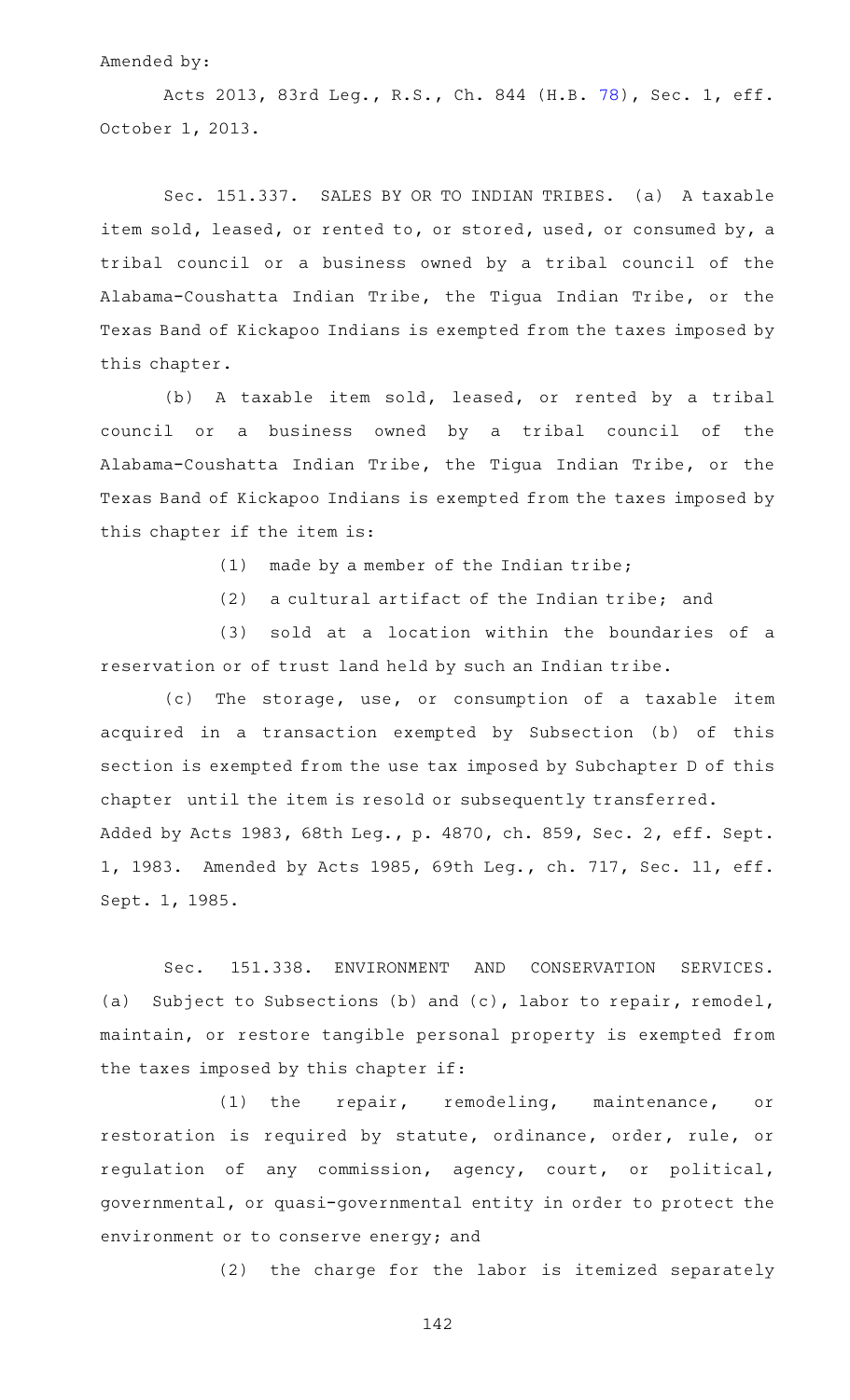### Amended by:

Acts 2013, 83rd Leg., R.S., Ch. 844 (H.B. [78](http://www.legis.state.tx.us/tlodocs/83R/billtext/html/HB00078F.HTM)), Sec. 1, eff. October 1, 2013.

Sec. 151.337. SALES BY OR TO INDIAN TRIBES. (a) A taxable item sold, leased, or rented to, or stored, used, or consumed by, a tribal council or a business owned by a tribal council of the Alabama-Coushatta Indian Tribe, the Tigua Indian Tribe, or the Texas Band of Kickapoo Indians is exempted from the taxes imposed by this chapter.

(b) A taxable item sold, leased, or rented by a tribal council or a business owned by a tribal council of the Alabama-Coushatta Indian Tribe, the Tigua Indian Tribe, or the Texas Band of Kickapoo Indians is exempted from the taxes imposed by this chapter if the item is:

- (1) made by a member of the Indian tribe;
- $(2)$  a cultural artifact of the Indian tribe; and

(3) sold at a location within the boundaries of a reservation or of trust land held by such an Indian tribe.

(c) The storage, use, or consumption of a taxable item acquired in a transaction exempted by Subsection (b) of this section is exempted from the use tax imposed by Subchapter D of this chapter until the item is resold or subsequently transferred. Added by Acts 1983, 68th Leg., p. 4870, ch. 859, Sec. 2, eff. Sept. 1, 1983. Amended by Acts 1985, 69th Leg., ch. 717, Sec. 11, eff. Sept. 1, 1985.

Sec. 151.338. ENVIRONMENT AND CONSERVATION SERVICES. (a) Subject to Subsections (b) and (c), labor to repair, remodel, maintain, or restore tangible personal property is exempted from the taxes imposed by this chapter if:

(1) the repair, remodeling, maintenance, or restoration is required by statute, ordinance, order, rule, or regulation of any commission, agency, court, or political, governmental, or quasi-governmental entity in order to protect the environment or to conserve energy; and

(2) the charge for the labor is itemized separately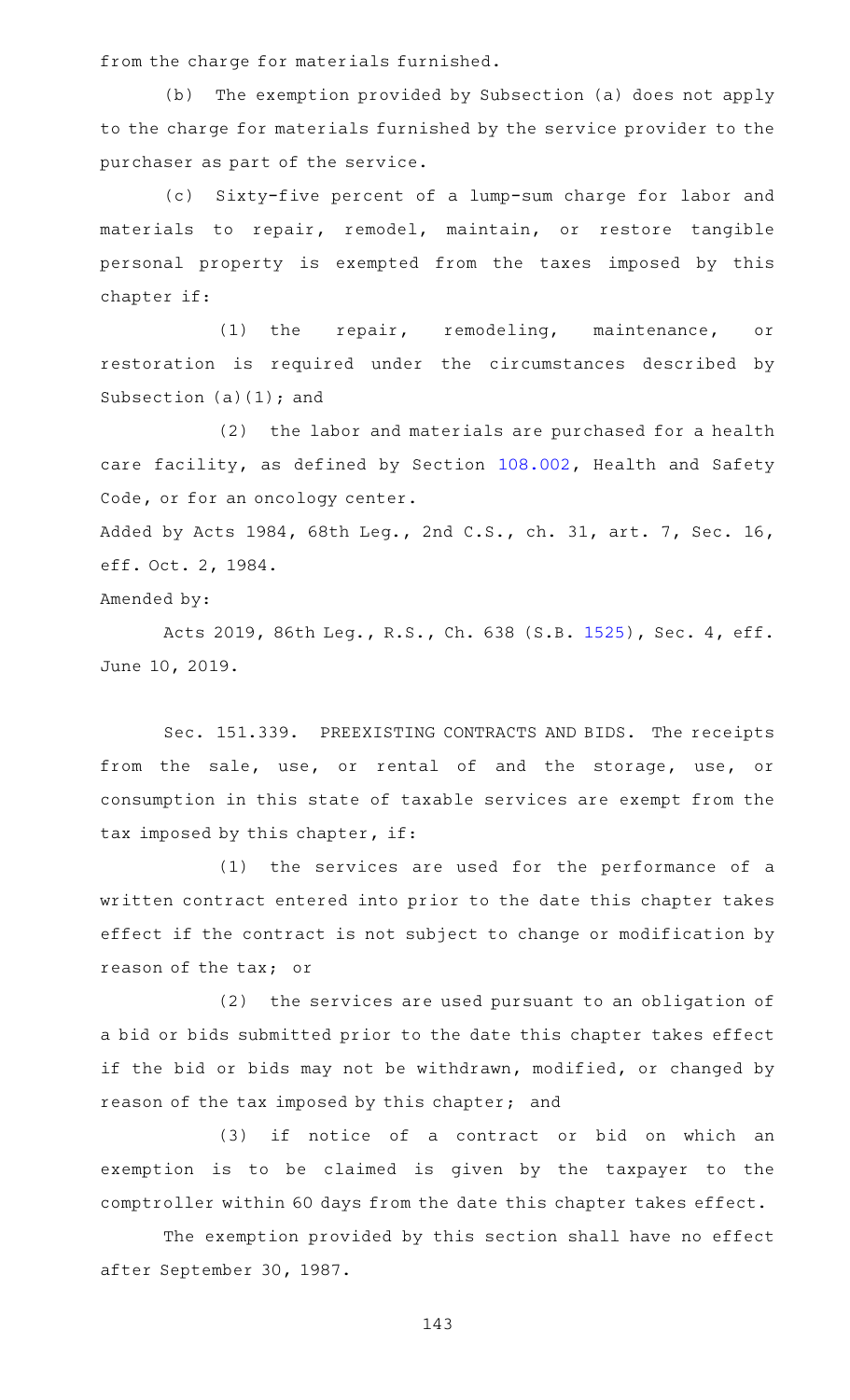from the charge for materials furnished.

(b) The exemption provided by Subsection (a) does not apply to the charge for materials furnished by the service provider to the purchaser as part of the service.

(c) Sixty-five percent of a lump-sum charge for labor and materials to repair, remodel, maintain, or restore tangible personal property is exempted from the taxes imposed by this chapter if:

(1) the repair, remodeling, maintenance, or restoration is required under the circumstances described by Subsection  $(a)(1)$ ; and

(2) the labor and materials are purchased for a health care facility, as defined by Section [108.002](https://statutes.capitol.texas.gov/GetStatute.aspx?Code=HS&Value=108.002), Health and Safety Code, or for an oncology center.

Added by Acts 1984, 68th Leg., 2nd C.S., ch. 31, art. 7, Sec. 16, eff. Oct. 2, 1984.

Amended by:

Acts 2019, 86th Leg., R.S., Ch. 638 (S.B. [1525](http://www.legis.state.tx.us/tlodocs/86R/billtext/html/SB01525F.HTM)), Sec. 4, eff. June 10, 2019.

Sec. 151.339. PREEXISTING CONTRACTS AND BIDS. The receipts from the sale, use, or rental of and the storage, use, or consumption in this state of taxable services are exempt from the tax imposed by this chapter, if:

 $(1)$  the services are used for the performance of a written contract entered into prior to the date this chapter takes effect if the contract is not subject to change or modification by reason of the tax; or

(2) the services are used pursuant to an obligation of a bid or bids submitted prior to the date this chapter takes effect if the bid or bids may not be withdrawn, modified, or changed by reason of the tax imposed by this chapter; and

(3) if notice of a contract or bid on which an exemption is to be claimed is given by the taxpayer to the comptroller within 60 days from the date this chapter takes effect.

The exemption provided by this section shall have no effect after September 30, 1987.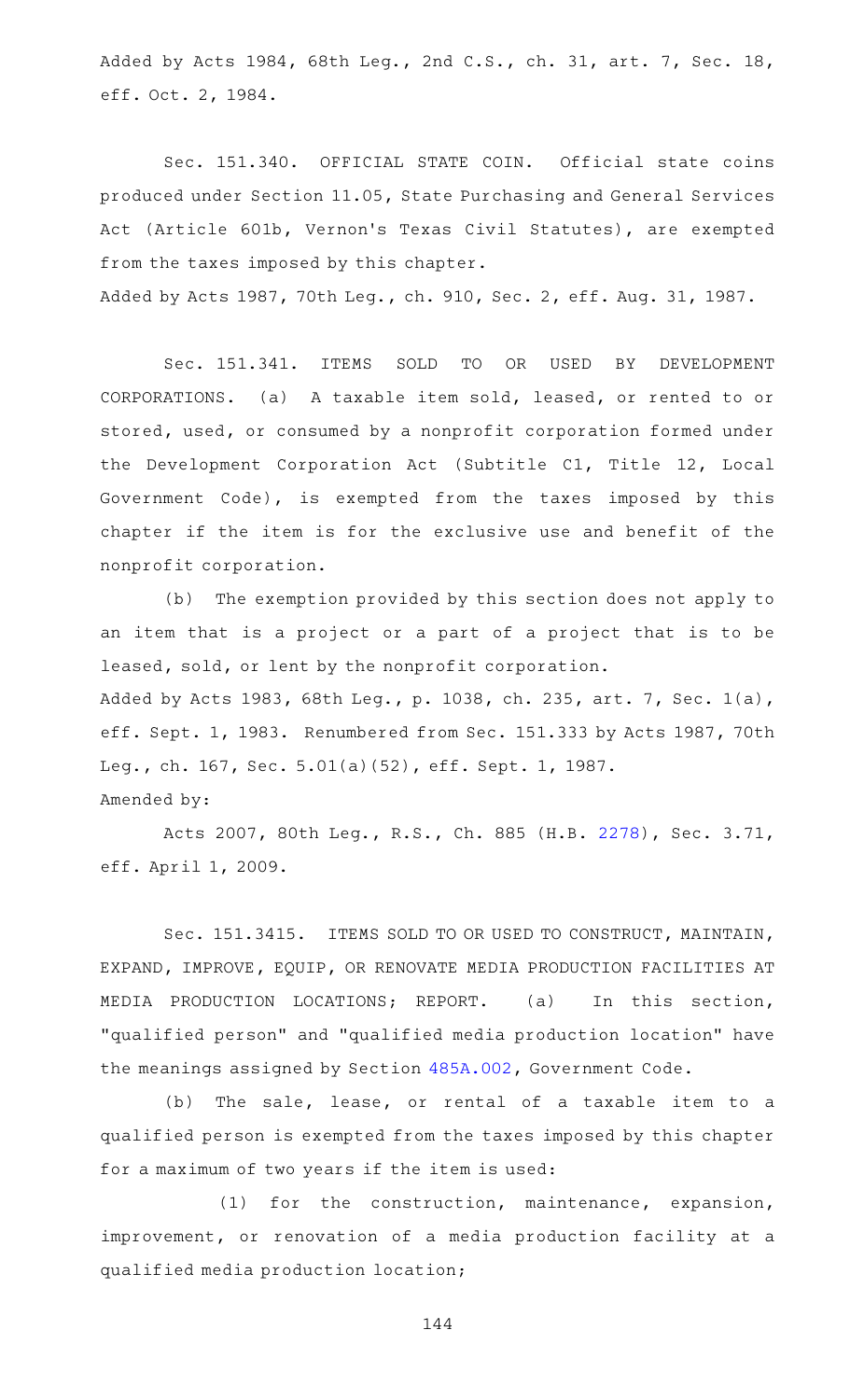Added by Acts 1984, 68th Leg., 2nd C.S., ch. 31, art. 7, Sec. 18, eff. Oct. 2, 1984.

Sec. 151.340. OFFICIAL STATE COIN. Official state coins produced under Section 11.05, State Purchasing and General Services Act (Article 601b, Vernon 's Texas Civil Statutes), are exempted from the taxes imposed by this chapter. Added by Acts 1987, 70th Leg., ch. 910, Sec. 2, eff. Aug. 31, 1987.

Sec. 151.341. ITEMS SOLD TO OR USED BY DEVELOPMENT CORPORATIONS. (a) A taxable item sold, leased, or rented to or stored, used, or consumed by a nonprofit corporation formed under the Development Corporation Act (Subtitle C1, Title 12, Local Government Code), is exempted from the taxes imposed by this chapter if the item is for the exclusive use and benefit of the nonprofit corporation.

(b) The exemption provided by this section does not apply to an item that is a project or a part of a project that is to be leased, sold, or lent by the nonprofit corporation. Added by Acts 1983, 68th Leg., p. 1038, ch. 235, art. 7, Sec. 1(a), eff. Sept. 1, 1983. Renumbered from Sec. 151.333 by Acts 1987, 70th Leg., ch. 167, Sec. 5.01(a)(52), eff. Sept. 1, 1987. Amended by:

Acts 2007, 80th Leg., R.S., Ch. 885 (H.B. [2278\)](http://www.legis.state.tx.us/tlodocs/80R/billtext/html/HB02278F.HTM), Sec. 3.71, eff. April 1, 2009.

Sec. 151.3415. ITEMS SOLD TO OR USED TO CONSTRUCT, MAINTAIN, EXPAND, IMPROVE, EQUIP, OR RENOVATE MEDIA PRODUCTION FACILITIES AT MEDIA PRODUCTION LOCATIONS; REPORT. (a) In this section, "qualified person" and "qualified media production location" have the meanings assigned by Section [485A.002,](https://statutes.capitol.texas.gov/GetStatute.aspx?Code=GV&Value=485A.002) Government Code.

(b) The sale, lease, or rental of a taxable item to a qualified person is exempted from the taxes imposed by this chapter for a maximum of two years if the item is used:

(1) for the construction, maintenance, expansion, improvement, or renovation of a media production facility at a qualified media production location;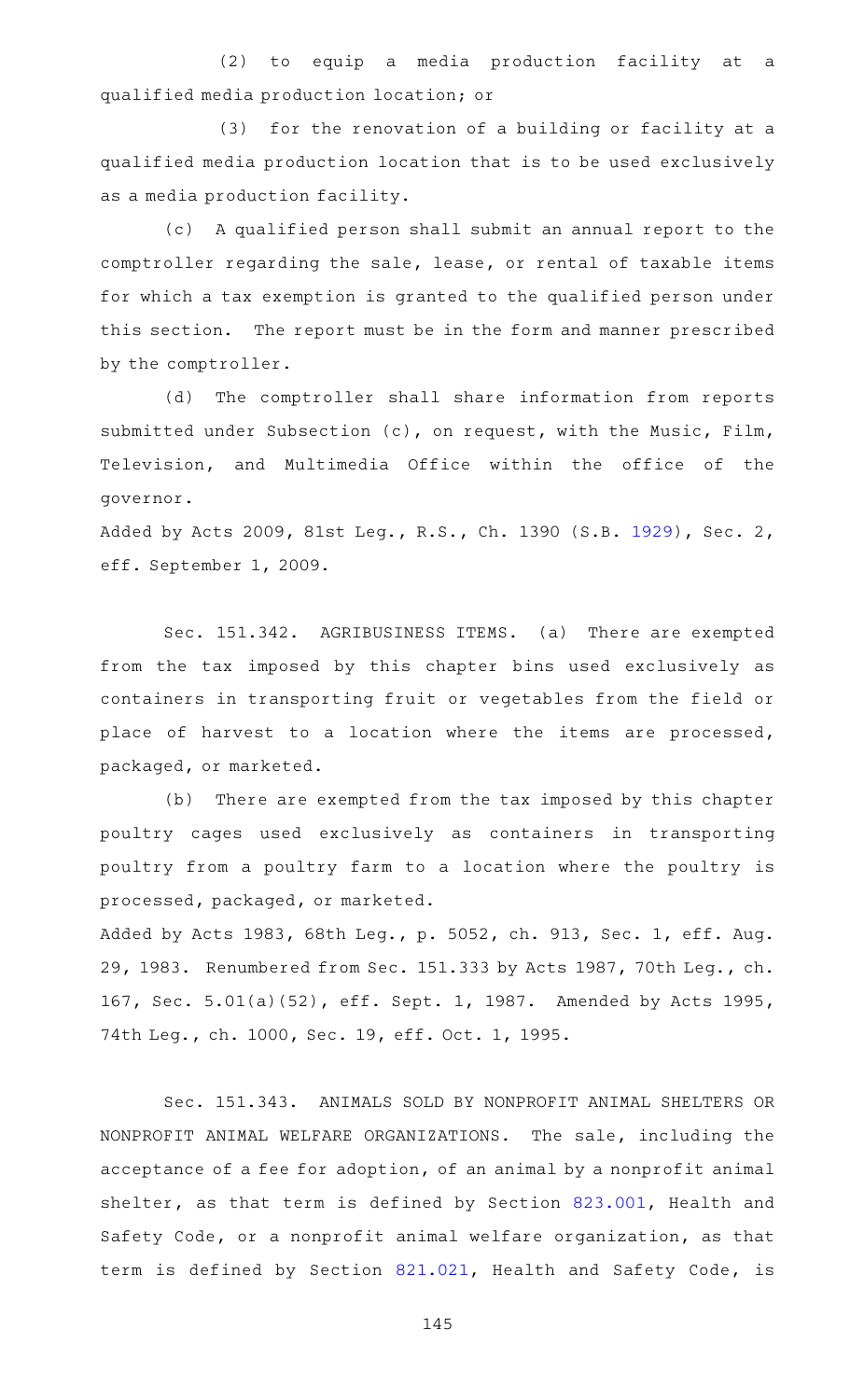(2) to equip a media production facility at a qualified media production location; or

(3) for the renovation of a building or facility at a qualified media production location that is to be used exclusively as a media production facility.

(c) A qualified person shall submit an annual report to the comptroller regarding the sale, lease, or rental of taxable items for which a tax exemption is granted to the qualified person under this section. The report must be in the form and manner prescribed by the comptroller.

(d) The comptroller shall share information from reports submitted under Subsection (c), on request, with the Music, Film, Television, and Multimedia Office within the office of the governor.

Added by Acts 2009, 81st Leg., R.S., Ch. 1390 (S.B. [1929\)](http://www.legis.state.tx.us/tlodocs/81R/billtext/html/SB01929F.HTM), Sec. 2, eff. September 1, 2009.

Sec. 151.342. AGRIBUSINESS ITEMS. (a) There are exempted from the tax imposed by this chapter bins used exclusively as containers in transporting fruit or vegetables from the field or place of harvest to a location where the items are processed, packaged, or marketed.

(b) There are exempted from the tax imposed by this chapter poultry cages used exclusively as containers in transporting poultry from a poultry farm to a location where the poultry is processed, packaged, or marketed.

Added by Acts 1983, 68th Leg., p. 5052, ch. 913, Sec. 1, eff. Aug. 29, 1983. Renumbered from Sec. 151.333 by Acts 1987, 70th Leg., ch. 167, Sec. 5.01(a)(52), eff. Sept. 1, 1987. Amended by Acts 1995, 74th Leg., ch. 1000, Sec. 19, eff. Oct. 1, 1995.

Sec. 151.343. ANIMALS SOLD BY NONPROFIT ANIMAL SHELTERS OR NONPROFIT ANIMAL WELFARE ORGANIZATIONS. The sale, including the acceptance of a fee for adoption, of an animal by a nonprofit animal shelter, as that term is defined by Section [823.001](https://statutes.capitol.texas.gov/GetStatute.aspx?Code=HS&Value=823.001), Health and Safety Code, or a nonprofit animal welfare organization, as that term is defined by Section [821.021,](https://statutes.capitol.texas.gov/GetStatute.aspx?Code=HS&Value=821.021) Health and Safety Code, is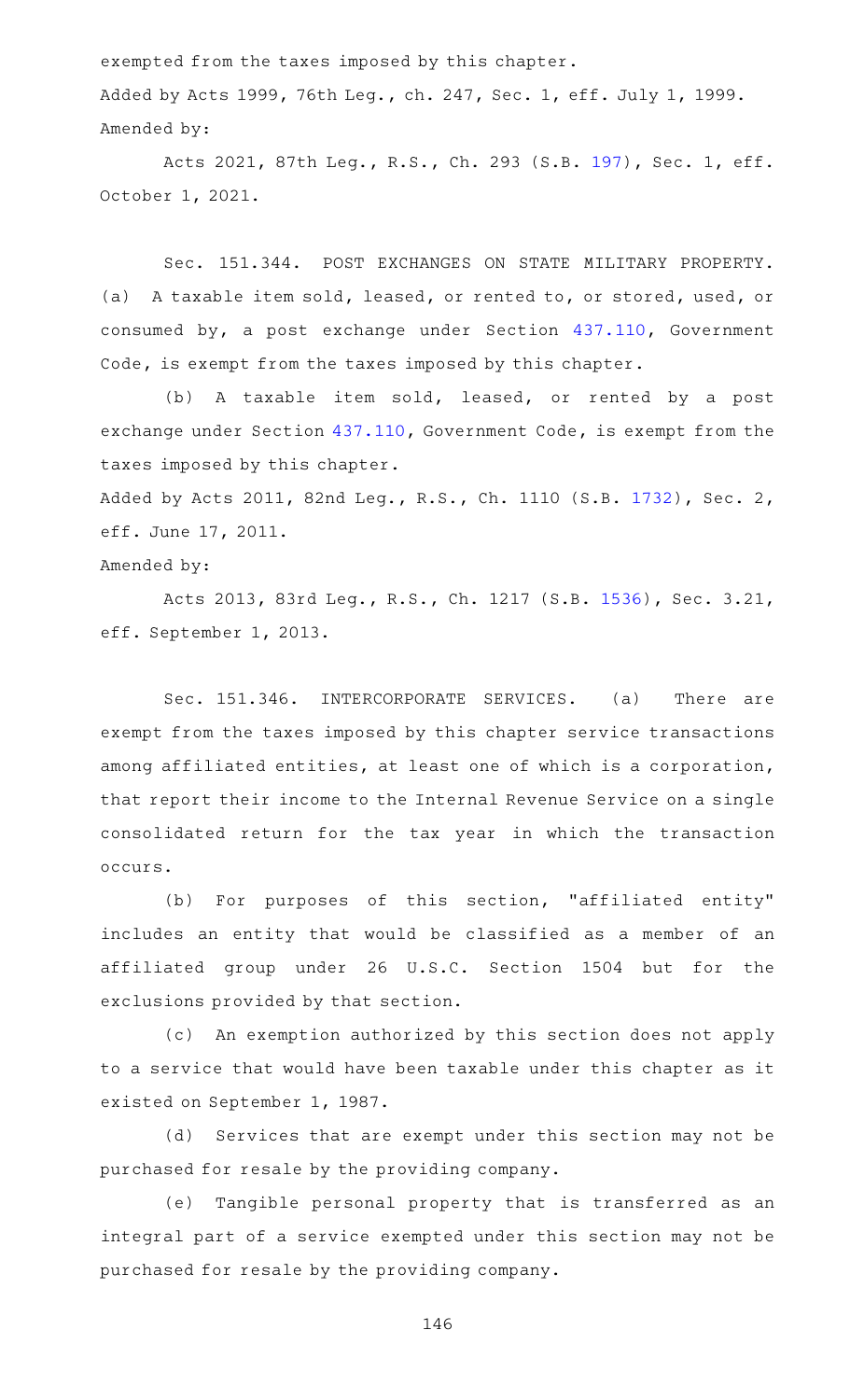exempted from the taxes imposed by this chapter. Added by Acts 1999, 76th Leg., ch. 247, Sec. 1, eff. July 1, 1999. Amended by:

Acts 2021, 87th Leg., R.S., Ch. 293 (S.B. [197](http://www.legis.state.tx.us/tlodocs/87R/billtext/html/SB00197F.HTM)), Sec. 1, eff. October 1, 2021.

Sec. 151.344. POST EXCHANGES ON STATE MILITARY PROPERTY. (a) A taxable item sold, leased, or rented to, or stored, used, or consumed by, a post exchange under Section [437.110](https://statutes.capitol.texas.gov/GetStatute.aspx?Code=GV&Value=437.110), Government Code, is exempt from the taxes imposed by this chapter.

(b) A taxable item sold, leased, or rented by a post exchange under Section [437.110,](https://statutes.capitol.texas.gov/GetStatute.aspx?Code=GV&Value=437.110) Government Code, is exempt from the taxes imposed by this chapter.

Added by Acts 2011, 82nd Leg., R.S., Ch. 1110 (S.B. [1732\)](http://www.legis.state.tx.us/tlodocs/82R/billtext/html/SB01732F.HTM), Sec. 2, eff. June 17, 2011.

## Amended by:

Acts 2013, 83rd Leg., R.S., Ch. 1217 (S.B. [1536](http://www.legis.state.tx.us/tlodocs/83R/billtext/html/SB01536F.HTM)), Sec. 3.21, eff. September 1, 2013.

Sec. 151.346. INTERCORPORATE SERVICES. (a) There are exempt from the taxes imposed by this chapter service transactions among affiliated entities, at least one of which is a corporation, that report their income to the Internal Revenue Service on a single consolidated return for the tax year in which the transaction occurs.

(b) For purposes of this section, "affiliated entity" includes an entity that would be classified as a member of an affiliated group under 26 U.S.C. Section 1504 but for the exclusions provided by that section.

(c) An exemption authorized by this section does not apply to a service that would have been taxable under this chapter as it existed on September 1, 1987.

(d) Services that are exempt under this section may not be purchased for resale by the providing company.

(e) Tangible personal property that is transferred as an integral part of a service exempted under this section may not be purchased for resale by the providing company.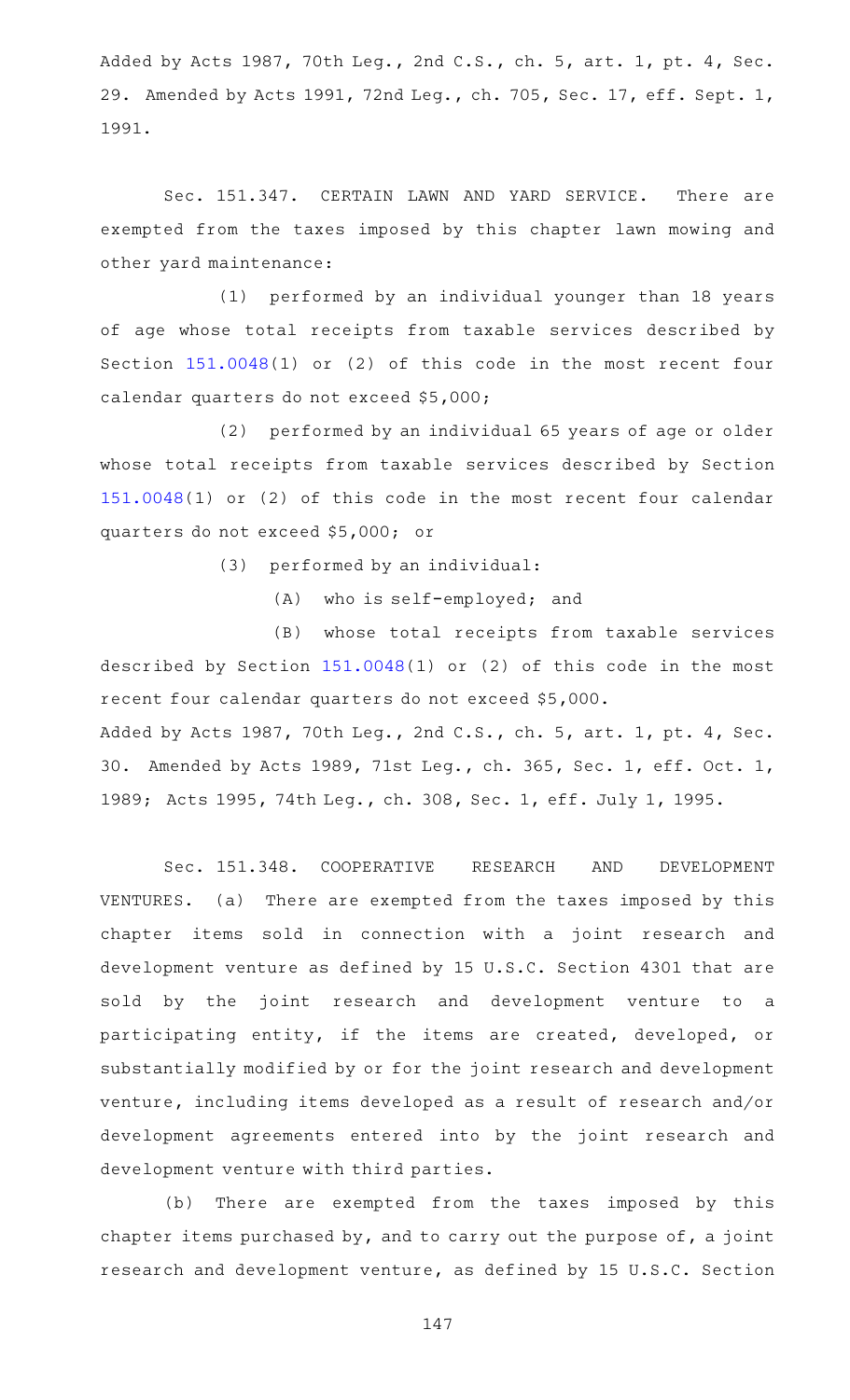Added by Acts 1987, 70th Leg., 2nd C.S., ch. 5, art. 1, pt. 4, Sec. 29. Amended by Acts 1991, 72nd Leg., ch. 705, Sec. 17, eff. Sept. 1, 1991.

Sec. 151.347. CERTAIN LAWN AND YARD SERVICE. There are exempted from the taxes imposed by this chapter lawn mowing and other yard maintenance:

(1) performed by an individual younger than 18 years of age whose total receipts from taxable services described by Section [151.0048\(](https://statutes.capitol.texas.gov/GetStatute.aspx?Code=TX&Value=151.0048)1) or (2) of this code in the most recent four calendar quarters do not exceed \$5,000;

(2) performed by an individual 65 years of age or older whose total receipts from taxable services described by Section [151.0048](https://statutes.capitol.texas.gov/GetStatute.aspx?Code=TX&Value=151.0048)(1) or (2) of this code in the most recent four calendar quarters do not exceed \$5,000; or

(3) performed by an individual:

(A) who is self-employed; and

(B) whose total receipts from taxable services described by Section [151.0048\(](https://statutes.capitol.texas.gov/GetStatute.aspx?Code=TX&Value=151.0048)1) or (2) of this code in the most recent four calendar quarters do not exceed \$5,000. Added by Acts 1987, 70th Leg., 2nd C.S., ch. 5, art. 1, pt. 4, Sec. 30. Amended by Acts 1989, 71st Leg., ch. 365, Sec. 1, eff. Oct. 1,

1989; Acts 1995, 74th Leg., ch. 308, Sec. 1, eff. July 1, 1995.

Sec. 151.348. COOPERATIVE RESEARCH AND DEVELOPMENT VENTURES. (a) There are exempted from the taxes imposed by this chapter items sold in connection with a joint research and development venture as defined by 15 U.S.C. Section 4301 that are sold by the joint research and development venture to a participating entity, if the items are created, developed, or substantially modified by or for the joint research and development venture, including items developed as a result of research and/or development agreements entered into by the joint research and development venture with third parties.

(b) There are exempted from the taxes imposed by this chapter items purchased by, and to carry out the purpose of, a joint research and development venture, as defined by 15 U.S.C. Section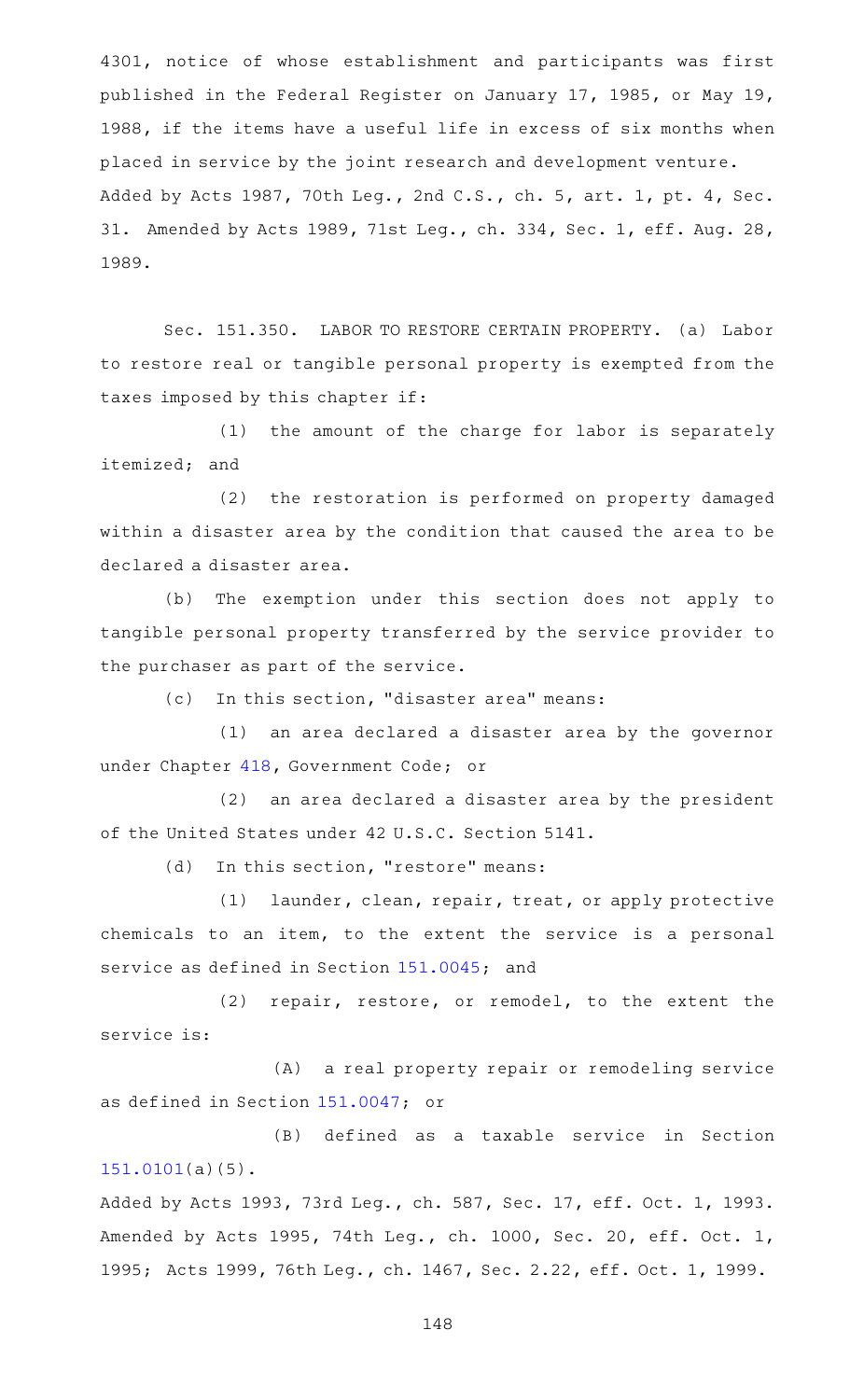4301, notice of whose establishment and participants was first published in the Federal Register on January 17, 1985, or May 19, 1988, if the items have a useful life in excess of six months when placed in service by the joint research and development venture. Added by Acts 1987, 70th Leg., 2nd C.S., ch. 5, art. 1, pt. 4, Sec. 31. Amended by Acts 1989, 71st Leg., ch. 334, Sec. 1, eff. Aug. 28, 1989.

Sec. 151.350. LABOR TO RESTORE CERTAIN PROPERTY. (a) Labor to restore real or tangible personal property is exempted from the taxes imposed by this chapter if:

(1) the amount of the charge for labor is separately itemized; and

(2) the restoration is performed on property damaged within a disaster area by the condition that caused the area to be declared a disaster area.

(b) The exemption under this section does not apply to tangible personal property transferred by the service provider to the purchaser as part of the service.

(c) In this section, "disaster area" means:

(1) an area declared a disaster area by the governor under Chapter [418](https://statutes.capitol.texas.gov/GetStatute.aspx?Code=GV&Value=418), Government Code; or

(2) an area declared a disaster area by the president of the United States under 42 U.S.C. Section 5141.

(d) In this section, "restore" means:

(1) launder, clean, repair, treat, or apply protective chemicals to an item, to the extent the service is a personal service as defined in Section [151.0045](https://statutes.capitol.texas.gov/GetStatute.aspx?Code=TX&Value=151.0045); and

(2) repair, restore, or remodel, to the extent the service is:

(A) a real property repair or remodeling service as defined in Section [151.0047](https://statutes.capitol.texas.gov/GetStatute.aspx?Code=TX&Value=151.0047); or

(B) defined as a taxable service in Section [151.0101](https://statutes.capitol.texas.gov/GetStatute.aspx?Code=TX&Value=151.0101)(a)(5).

Added by Acts 1993, 73rd Leg., ch. 587, Sec. 17, eff. Oct. 1, 1993. Amended by Acts 1995, 74th Leg., ch. 1000, Sec. 20, eff. Oct. 1, 1995; Acts 1999, 76th Leg., ch. 1467, Sec. 2.22, eff. Oct. 1, 1999.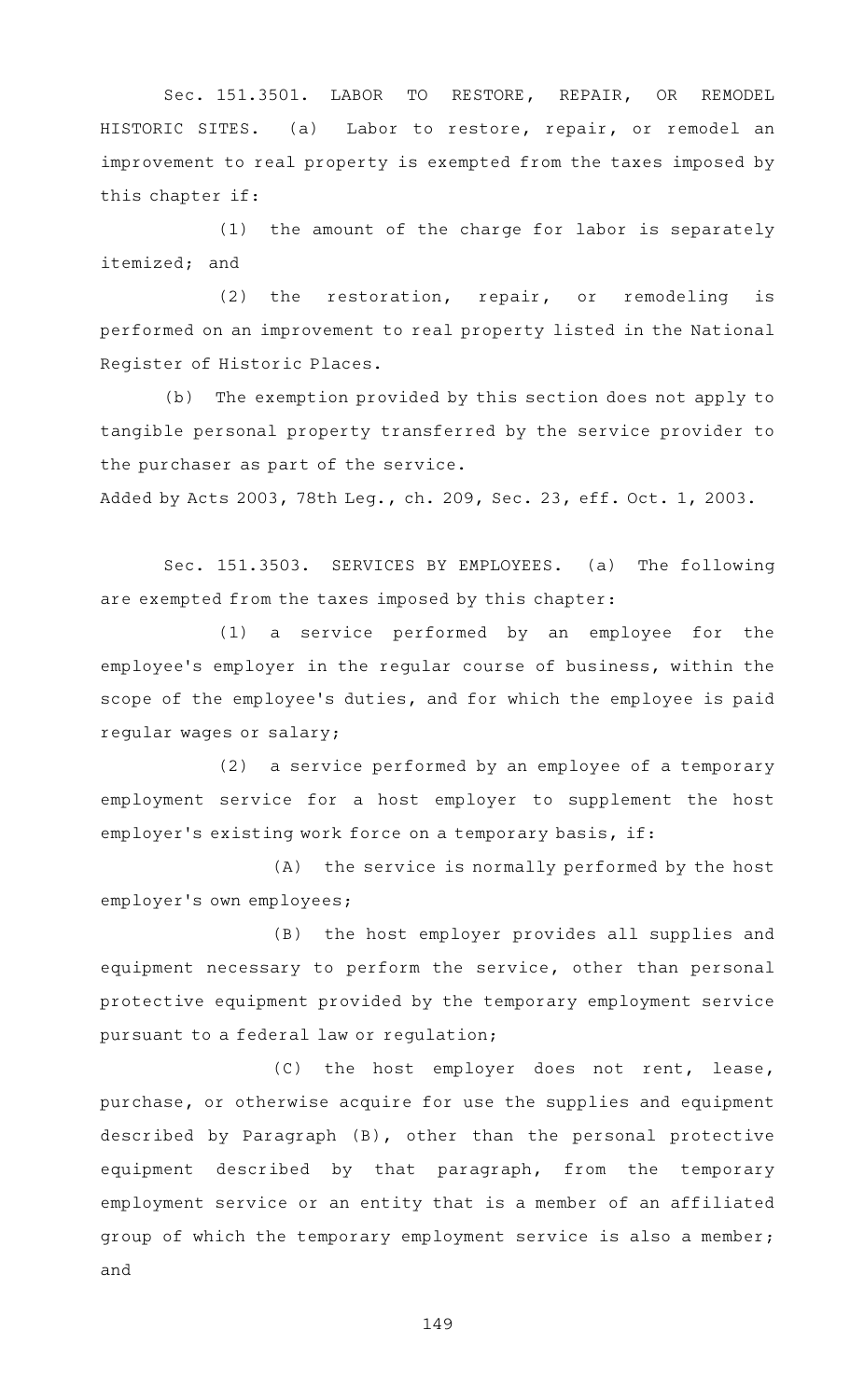Sec. 151.3501. LABOR TO RESTORE, REPAIR, OR REMODEL HISTORIC SITES. (a) Labor to restore, repair, or remodel an improvement to real property is exempted from the taxes imposed by this chapter if:

 $(1)$  the amount of the charge for labor is separately itemized; and

 $(2)$  the restoration, repair, or remodeling is performed on an improvement to real property listed in the National Register of Historic Places.

(b) The exemption provided by this section does not apply to tangible personal property transferred by the service provider to the purchaser as part of the service.

Added by Acts 2003, 78th Leg., ch. 209, Sec. 23, eff. Oct. 1, 2003.

Sec. 151.3503. SERVICES BY EMPLOYEES. (a) The following are exempted from the taxes imposed by this chapter:

 $(1)$  a service performed by an employee for the employee 's employer in the regular course of business, within the scope of the employee 's duties, and for which the employee is paid regular wages or salary;

 $(2)$  a service performed by an employee of a temporary employment service for a host employer to supplement the host employer's existing work force on a temporary basis, if:

(A) the service is normally performed by the host employer 's own employees;

(B) the host employer provides all supplies and equipment necessary to perform the service, other than personal protective equipment provided by the temporary employment service pursuant to a federal law or regulation;

(C) the host employer does not rent, lease, purchase, or otherwise acquire for use the supplies and equipment described by Paragraph (B), other than the personal protective equipment described by that paragraph, from the temporary employment service or an entity that is a member of an affiliated group of which the temporary employment service is also a member; and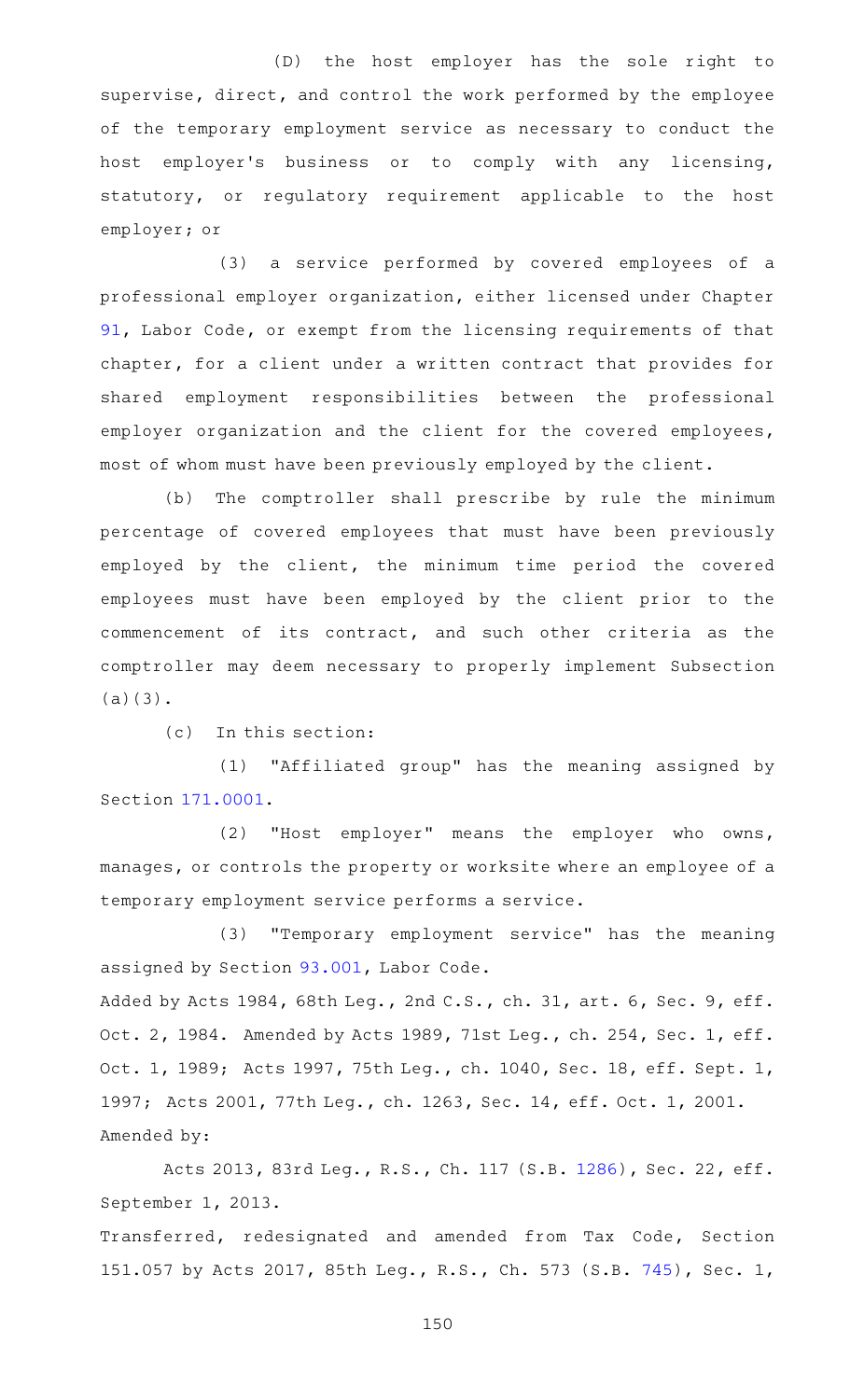(D) the host employer has the sole right to supervise, direct, and control the work performed by the employee of the temporary employment service as necessary to conduct the host employer 's business or to comply with any licensing, statutory, or regulatory requirement applicable to the host employer; or

(3) a service performed by covered employees of a professional employer organization, either licensed under Chapter [91](https://statutes.capitol.texas.gov/GetStatute.aspx?Code=LA&Value=91), Labor Code, or exempt from the licensing requirements of that chapter, for a client under a written contract that provides for shared employment responsibilities between the professional employer organization and the client for the covered employees, most of whom must have been previously employed by the client.

(b) The comptroller shall prescribe by rule the minimum percentage of covered employees that must have been previously employed by the client, the minimum time period the covered employees must have been employed by the client prior to the commencement of its contract, and such other criteria as the comptroller may deem necessary to properly implement Subsection (a)(3).

(c) In this section:

(1) "Affiliated group" has the meaning assigned by Section [171.0001](https://statutes.capitol.texas.gov/GetStatute.aspx?Code=TX&Value=171.0001).

(2) "Host employer" means the employer who owns, manages, or controls the property or worksite where an employee of a temporary employment service performs a service.

(3) "Temporary employment service" has the meaning assigned by Section [93.001,](https://statutes.capitol.texas.gov/GetStatute.aspx?Code=LA&Value=93.001) Labor Code.

Added by Acts 1984, 68th Leg., 2nd C.S., ch. 31, art. 6, Sec. 9, eff. Oct. 2, 1984. Amended by Acts 1989, 71st Leg., ch. 254, Sec. 1, eff. Oct. 1, 1989; Acts 1997, 75th Leg., ch. 1040, Sec. 18, eff. Sept. 1, 1997; Acts 2001, 77th Leg., ch. 1263, Sec. 14, eff. Oct. 1, 2001. Amended by:

Acts 2013, 83rd Leg., R.S., Ch. 117 (S.B. [1286\)](http://www.legis.state.tx.us/tlodocs/83R/billtext/html/SB01286F.HTM), Sec. 22, eff. September 1, 2013.

Transferred, redesignated and amended from Tax Code, Section 151.057 by Acts 2017, 85th Leg., R.S., Ch. 573 (S.B. [745\)](http://www.legis.state.tx.us/tlodocs/85R/billtext/html/SB00745F.HTM), Sec. 1,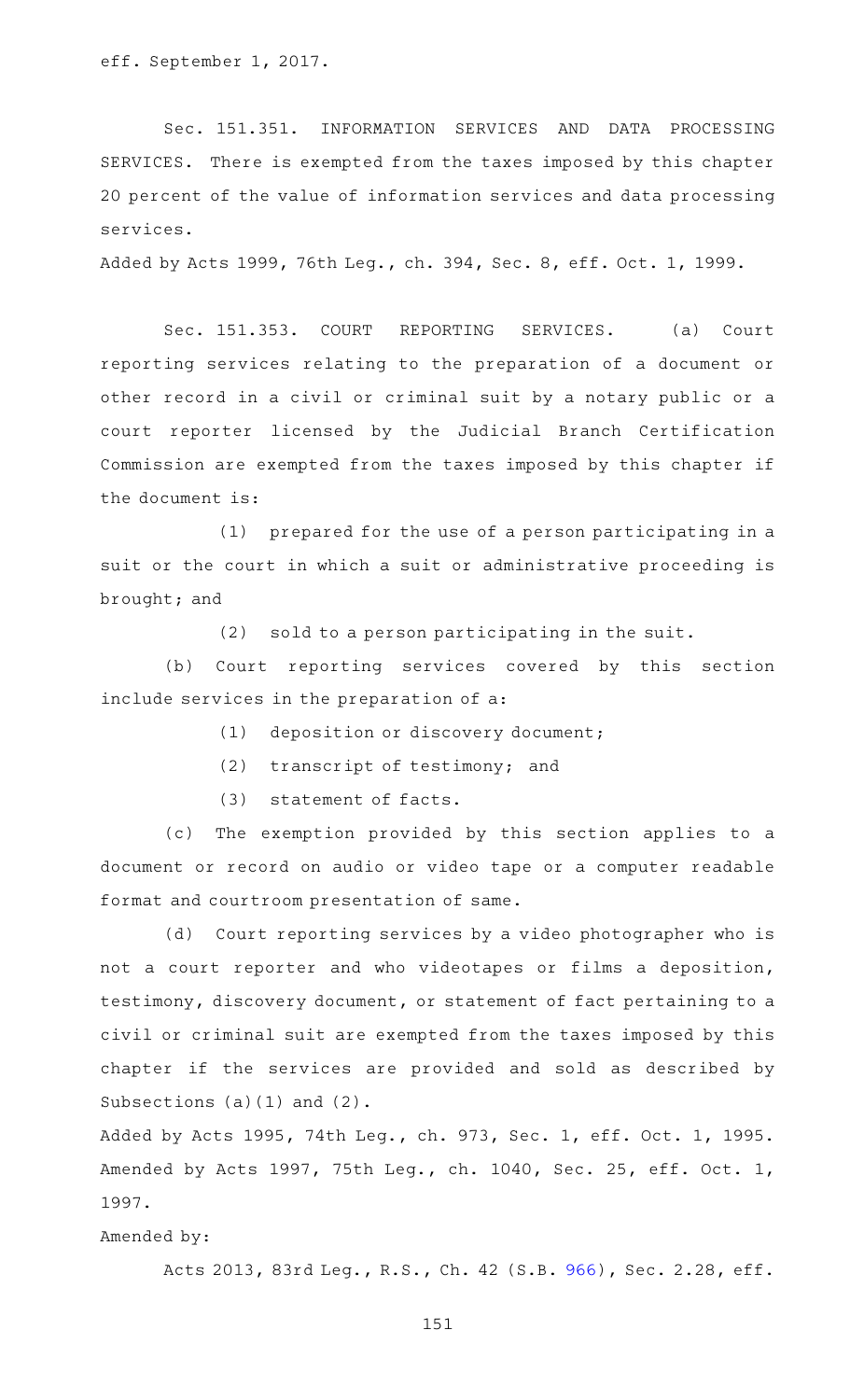eff. September 1, 2017.

Sec. 151.351. INFORMATION SERVICES AND DATA PROCESSING SERVICES. There is exempted from the taxes imposed by this chapter 20 percent of the value of information services and data processing services.

Added by Acts 1999, 76th Leg., ch. 394, Sec. 8, eff. Oct. 1, 1999.

Sec. 151.353. COURT REPORTING SERVICES. (a) Court reporting services relating to the preparation of a document or other record in a civil or criminal suit by a notary public or a court reporter licensed by the Judicial Branch Certification Commission are exempted from the taxes imposed by this chapter if the document is:

 $(1)$  prepared for the use of a person participating in a suit or the court in which a suit or administrative proceeding is brought; and

 $(2)$  sold to a person participating in the suit.

(b) Court reporting services covered by this section include services in the preparation of a:

- (1) deposition or discovery document;
- (2) transcript of testimony; and
- (3) statement of facts.

(c) The exemption provided by this section applies to a document or record on audio or video tape or a computer readable format and courtroom presentation of same.

(d) Court reporting services by a video photographer who is not a court reporter and who videotapes or films a deposition, testimony, discovery document, or statement of fact pertaining to a civil or criminal suit are exempted from the taxes imposed by this chapter if the services are provided and sold as described by Subsections (a)(1) and (2).

Added by Acts 1995, 74th Leg., ch. 973, Sec. 1, eff. Oct. 1, 1995. Amended by Acts 1997, 75th Leg., ch. 1040, Sec. 25, eff. Oct. 1, 1997.

Amended by:

Acts 2013, 83rd Leg., R.S., Ch. 42 (S.B. [966\)](http://www.legis.state.tx.us/tlodocs/83R/billtext/html/SB00966F.HTM), Sec. 2.28, eff.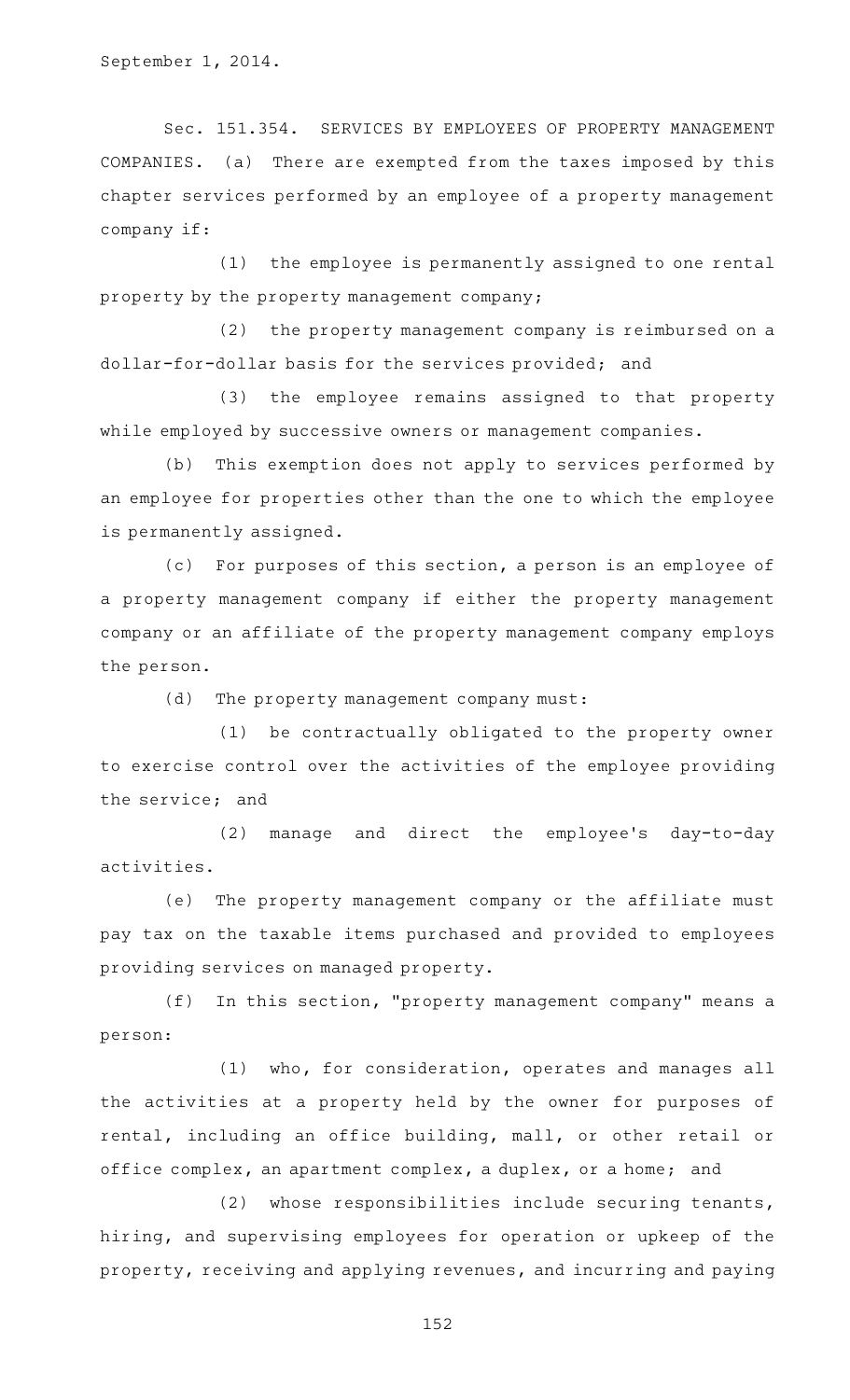September 1, 2014.

Sec. 151.354. SERVICES BY EMPLOYEES OF PROPERTY MANAGEMENT COMPANIES. (a) There are exempted from the taxes imposed by this chapter services performed by an employee of a property management company if:

(1) the employee is permanently assigned to one rental property by the property management company;

 $(2)$  the property management company is reimbursed on a dollar-for-dollar basis for the services provided; and

(3) the employee remains assigned to that property while employed by successive owners or management companies.

(b) This exemption does not apply to services performed by an employee for properties other than the one to which the employee is permanently assigned.

(c) For purposes of this section, a person is an employee of a property management company if either the property management company or an affiliate of the property management company employs the person.

 $(d)$  The property management company must:

(1) be contractually obligated to the property owner to exercise control over the activities of the employee providing the service; and

(2) manage and direct the employee's day-to-day activities.

(e) The property management company or the affiliate must pay tax on the taxable items purchased and provided to employees providing services on managed property.

 $(f)$  In this section, "property management company" means a person:

(1) who, for consideration, operates and manages all the activities at a property held by the owner for purposes of rental, including an office building, mall, or other retail or office complex, an apartment complex, a duplex, or a home; and

 $(2)$  whose responsibilities include securing tenants, hiring, and supervising employees for operation or upkeep of the property, receiving and applying revenues, and incurring and paying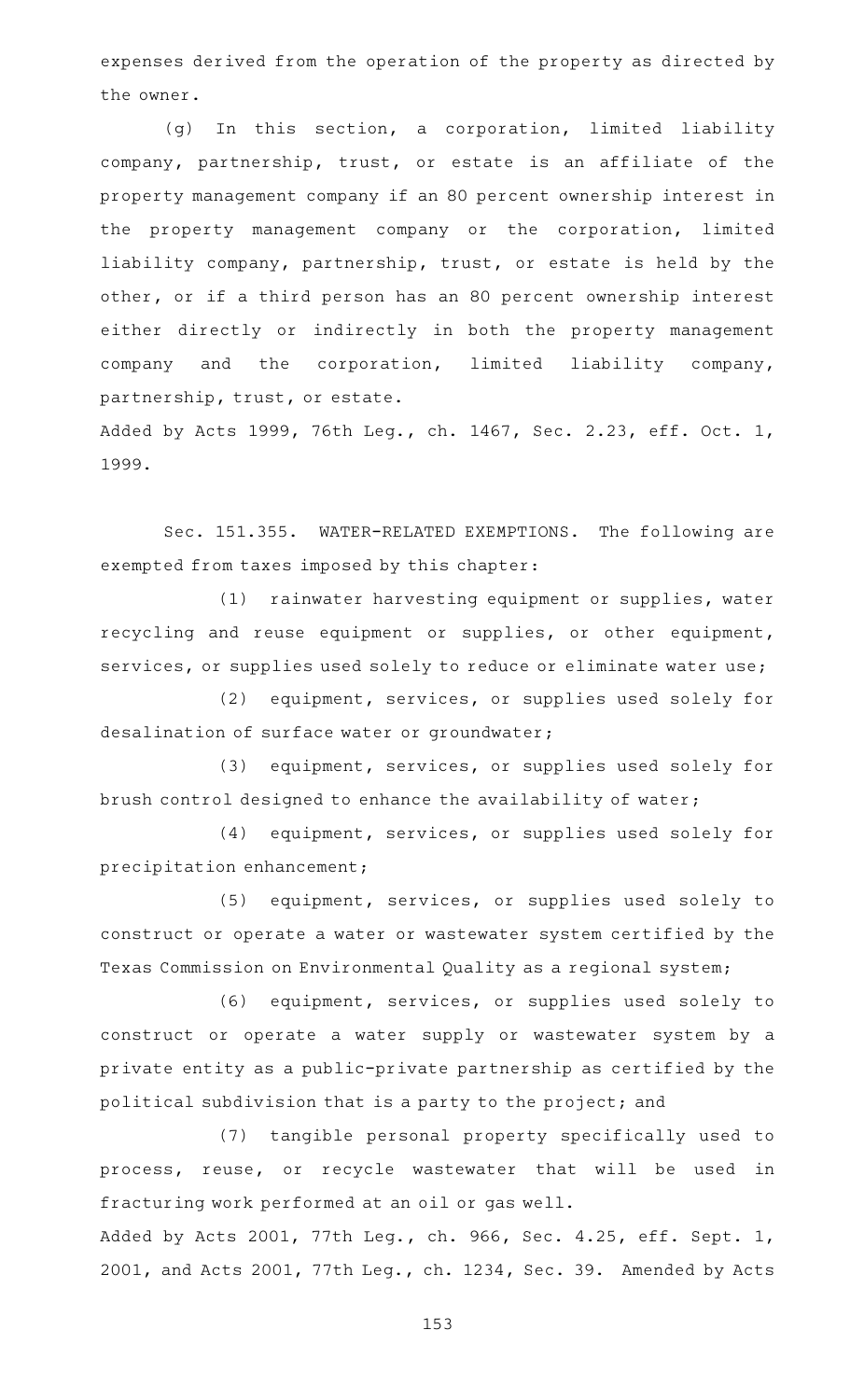expenses derived from the operation of the property as directed by the owner.

(g) In this section, a corporation, limited liability company, partnership, trust, or estate is an affiliate of the property management company if an 80 percent ownership interest in the property management company or the corporation, limited liability company, partnership, trust, or estate is held by the other, or if a third person has an 80 percent ownership interest either directly or indirectly in both the property management company and the corporation, limited liability company, partnership, trust, or estate.

Added by Acts 1999, 76th Leg., ch. 1467, Sec. 2.23, eff. Oct. 1, 1999.

Sec. 151.355. WATER-RELATED EXEMPTIONS. The following are exempted from taxes imposed by this chapter:

(1) rainwater harvesting equipment or supplies, water recycling and reuse equipment or supplies, or other equipment, services, or supplies used solely to reduce or eliminate water use;

(2) equipment, services, or supplies used solely for desalination of surface water or groundwater;

(3) equipment, services, or supplies used solely for brush control designed to enhance the availability of water;

(4) equipment, services, or supplies used solely for precipitation enhancement;

(5) equipment, services, or supplies used solely to construct or operate a water or wastewater system certified by the Texas Commission on Environmental Quality as a regional system;

(6) equipment, services, or supplies used solely to construct or operate a water supply or wastewater system by a private entity as a public-private partnership as certified by the political subdivision that is a party to the project; and

(7) tangible personal property specifically used to process, reuse, or recycle wastewater that will be used in fracturing work performed at an oil or gas well.

Added by Acts 2001, 77th Leg., ch. 966, Sec. 4.25, eff. Sept. 1, 2001, and Acts 2001, 77th Leg., ch. 1234, Sec. 39. Amended by Acts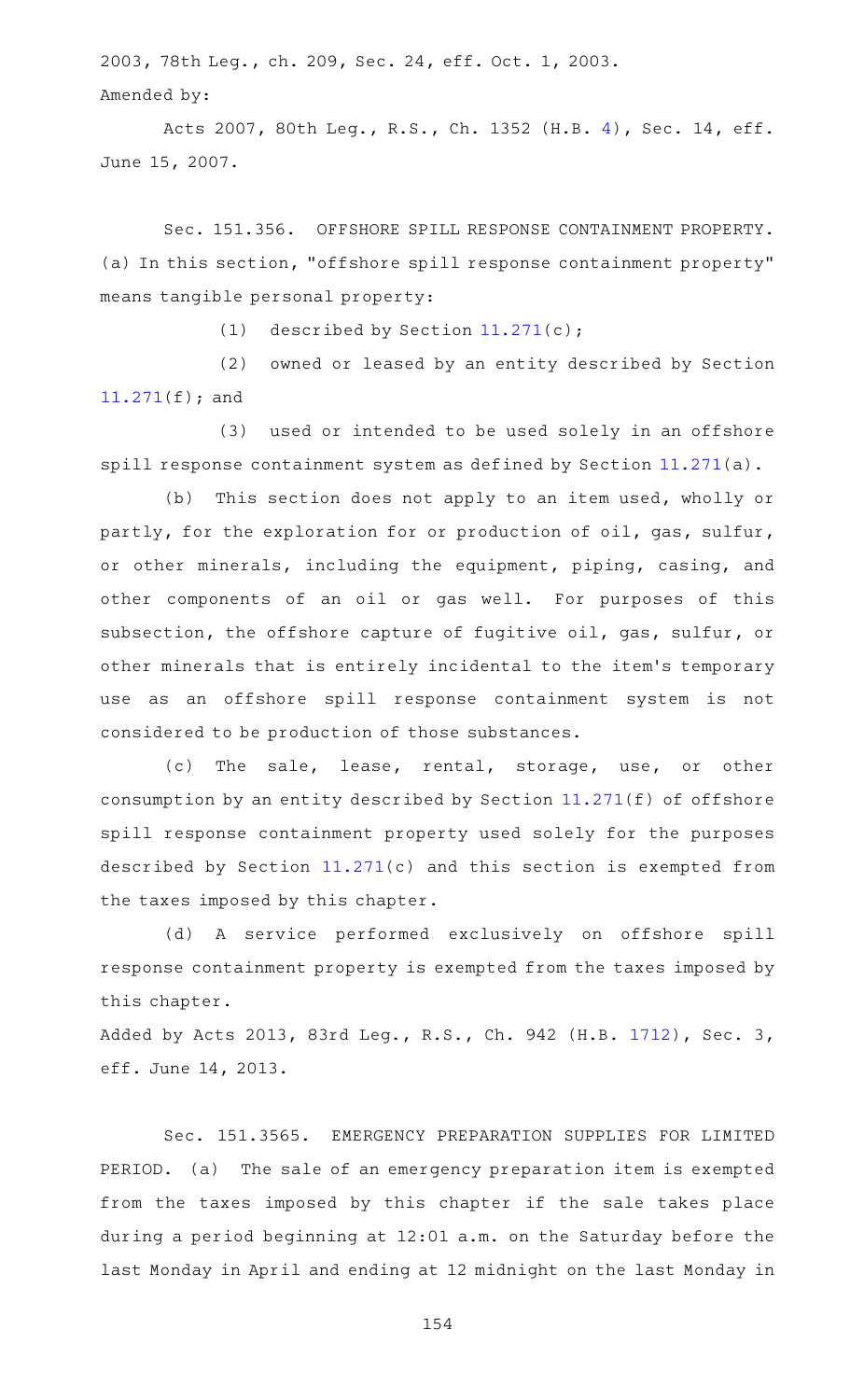2003, 78th Leg., ch. 209, Sec. 24, eff. Oct. 1, 2003. Amended by:

Acts 2007, 80th Leg., R.S., Ch. 1352 (H.B. [4\)](http://www.legis.state.tx.us/tlodocs/80R/billtext/html/HB00004F.HTM), Sec. 14, eff. June 15, 2007.

Sec. 151.356. OFFSHORE SPILL RESPONSE CONTAINMENT PROPERTY. (a) In this section, "offshore spill response containment property" means tangible personal property:

(1) described by Section  $11.271(c)$  $11.271(c)$ ;

(2) owned or leased by an entity described by Section [11.271](https://statutes.capitol.texas.gov/GetStatute.aspx?Code=TX&Value=11.271)(f); and

(3) used or intended to be used solely in an offshore spill response containment system as defined by Section [11.271\(](https://statutes.capitol.texas.gov/GetStatute.aspx?Code=TX&Value=11.271)a).

(b) This section does not apply to an item used, wholly or partly, for the exploration for or production of oil, gas, sulfur, or other minerals, including the equipment, piping, casing, and other components of an oil or gas well. For purposes of this subsection, the offshore capture of fugitive oil, gas, sulfur, or other minerals that is entirely incidental to the item 's temporary use as an offshore spill response containment system is not considered to be production of those substances.

(c) The sale, lease, rental, storage, use, or other consumption by an entity described by Section [11.271](https://statutes.capitol.texas.gov/GetStatute.aspx?Code=TX&Value=11.271)(f) of offshore spill response containment property used solely for the purposes described by Section [11.271\(](https://statutes.capitol.texas.gov/GetStatute.aspx?Code=TX&Value=11.271)c) and this section is exempted from the taxes imposed by this chapter.

(d)AAA service performed exclusively on offshore spill response containment property is exempted from the taxes imposed by this chapter.

Added by Acts 2013, 83rd Leg., R.S., Ch. 942 (H.B. [1712](http://www.legis.state.tx.us/tlodocs/83R/billtext/html/HB01712F.HTM)), Sec. 3, eff. June 14, 2013.

Sec. 151.3565. EMERGENCY PREPARATION SUPPLIES FOR LIMITED PERIOD. (a) The sale of an emergency preparation item is exempted from the taxes imposed by this chapter if the sale takes place during a period beginning at 12:01 a.m. on the Saturday before the last Monday in April and ending at 12 midnight on the last Monday in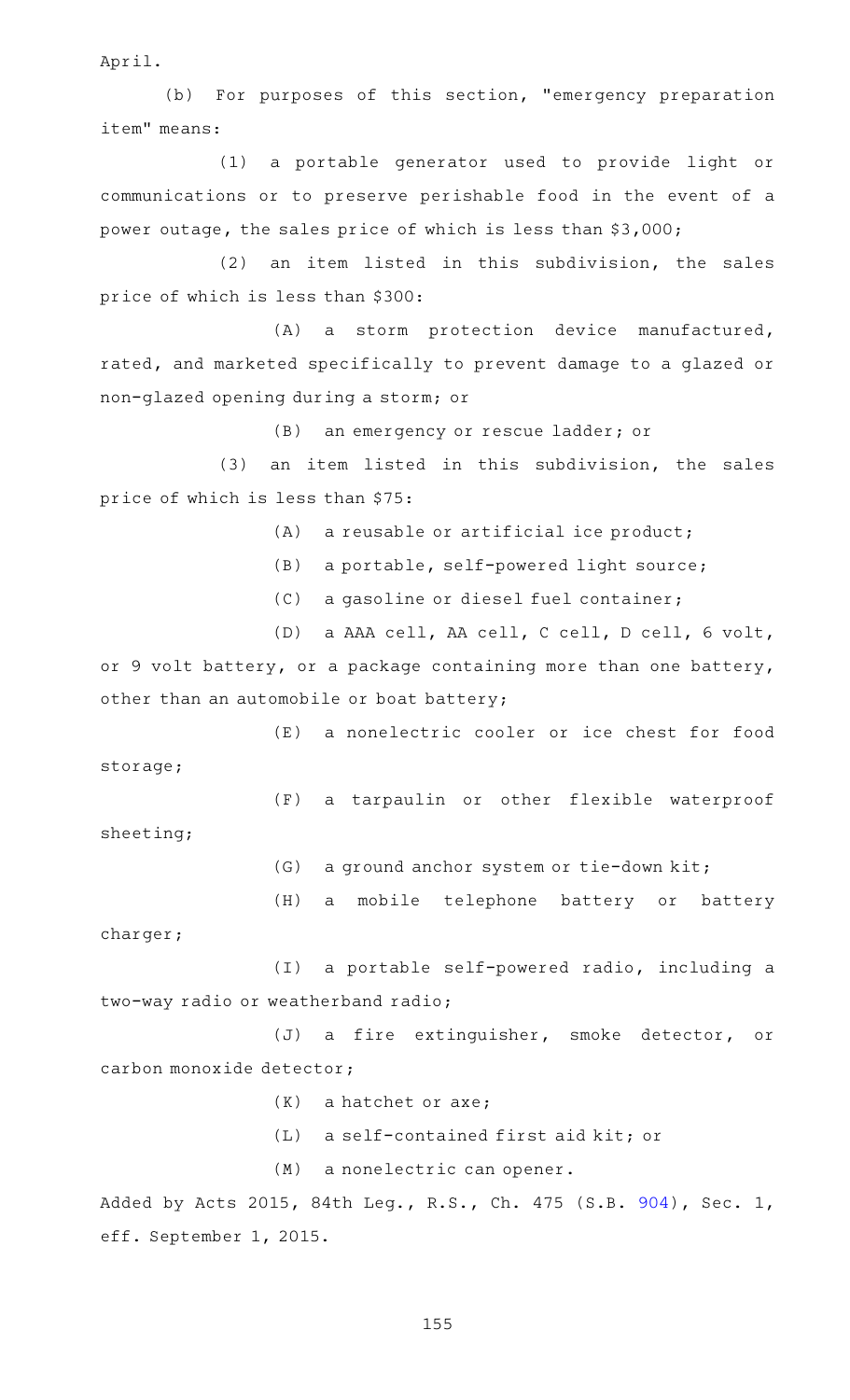April.

(b) For purposes of this section, "emergency preparation item" means:

(1) a portable generator used to provide light or communications or to preserve perishable food in the event of a power outage, the sales price of which is less than \$3,000;

 $(2)$  an item listed in this subdivision, the sales price of which is less than \$300:

(A) a storm protection device manufactured, rated, and marketed specifically to prevent damage to a glazed or non-glazed opening during a storm; or

(B) an emergency or rescue ladder; or

 $(3)$  an item listed in this subdivision, the sales price of which is less than \$75:

 $(A)$  a reusable or artificial ice product;

- (B) a portable, self-powered light source;
- (C) a gasoline or diesel fuel container;

(D) a AAA cell, AA cell, C cell, D cell, 6 volt, or 9 volt battery, or a package containing more than one battery, other than an automobile or boat battery;

(E) a nonelectric cooler or ice chest for food storage;

(F) a tarpaulin or other flexible waterproof sheeting;

(G) a ground anchor system or tie-down kit;

(H) a mobile telephone battery or battery charger;

(I) a portable self-powered radio, including a two-way radio or weatherband radio;

(J) a fire extinguisher, smoke detector, or carbon monoxide detector;

- $(K)$  a hatchet or axe;
- $(L)$  a self-contained first aid kit; or

(M) a nonelectric can opener.

Added by Acts 2015, 84th Leg., R.S., Ch. 475 (S.B. [904](http://www.legis.state.tx.us/tlodocs/84R/billtext/html/SB00904F.HTM)), Sec. 1, eff. September 1, 2015.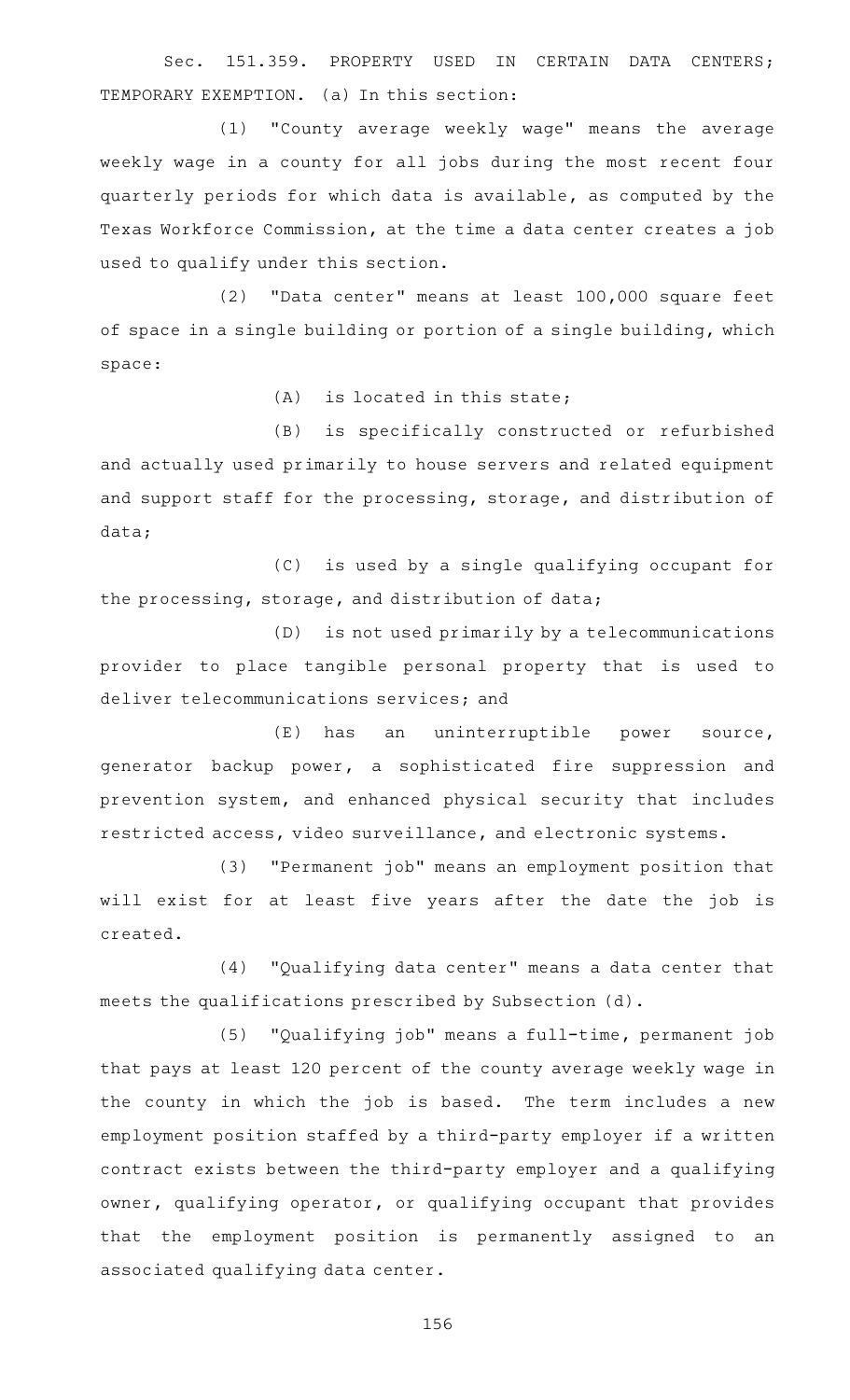Sec. 151.359. PROPERTY USED IN CERTAIN DATA CENTERS: TEMPORARY EXEMPTION. (a) In this section:

(1) "County average weekly wage" means the average weekly wage in a county for all jobs during the most recent four quarterly periods for which data is available, as computed by the Texas Workforce Commission, at the time a data center creates a job used to qualify under this section.

(2) "Data center" means at least 100,000 square feet of space in a single building or portion of a single building, which space:

 $(A)$  is located in this state;

(B) is specifically constructed or refurbished and actually used primarily to house servers and related equipment and support staff for the processing, storage, and distribution of data;

(C) is used by a single qualifying occupant for the processing, storage, and distribution of data;

(D) is not used primarily by a telecommunications provider to place tangible personal property that is used to deliver telecommunications services; and

(E) has an uninterruptible power source, generator backup power, a sophisticated fire suppression and prevention system, and enhanced physical security that includes restricted access, video surveillance, and electronic systems.

(3) "Permanent job" means an employment position that will exist for at least five years after the date the job is created.

(4) "Qualifying data center" means a data center that meets the qualifications prescribed by Subsection (d).

(5) "Qualifying job" means a full-time, permanent job that pays at least 120 percent of the county average weekly wage in the county in which the job is based. The term includes a new employment position staffed by a third-party employer if a written contract exists between the third-party employer and a qualifying owner, qualifying operator, or qualifying occupant that provides that the employment position is permanently assigned to an associated qualifying data center.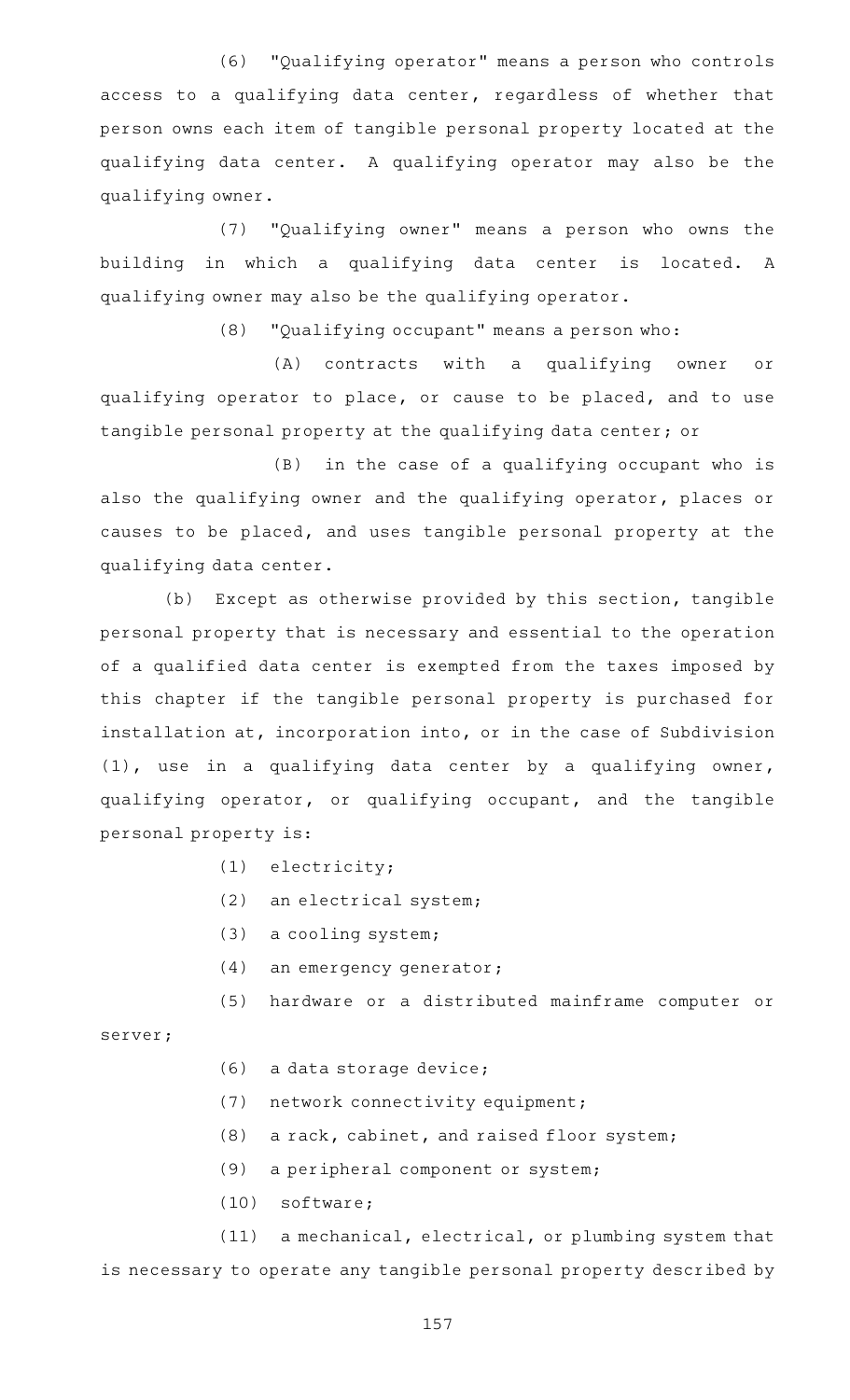(6) "Qualifying operator" means a person who controls access to a qualifying data center, regardless of whether that person owns each item of tangible personal property located at the qualifying data center. A qualifying operator may also be the qualifying owner.

(7) "Qualifying owner" means a person who owns the building in which a qualifying data center is located. A qualifying owner may also be the qualifying operator.

 $(8)$  "Qualifying occupant" means a person who:

(A) contracts with a qualifying owner or qualifying operator to place, or cause to be placed, and to use tangible personal property at the qualifying data center; or

 $(B)$  in the case of a qualifying occupant who is also the qualifying owner and the qualifying operator, places or causes to be placed, and uses tangible personal property at the qualifying data center.

(b) Except as otherwise provided by this section, tangible personal property that is necessary and essential to the operation of a qualified data center is exempted from the taxes imposed by this chapter if the tangible personal property is purchased for installation at, incorporation into, or in the case of Subdivision (1), use in a qualifying data center by a qualifying owner, qualifying operator, or qualifying occupant, and the tangible personal property is:

- $(1)$  electricity;
- (2) an electrical system;
- $(3)$  a cooling system;
- (4) an emergency generator;

(5) hardware or a distributed mainframe computer or

server;

- $(6)$  a data storage device;
- (7) network connectivity equipment;
- $(8)$  a rack, cabinet, and raised floor system;
- (9) a peripheral component or system;
- (10) software;

(11) a mechanical, electrical, or plumbing system that is necessary to operate any tangible personal property described by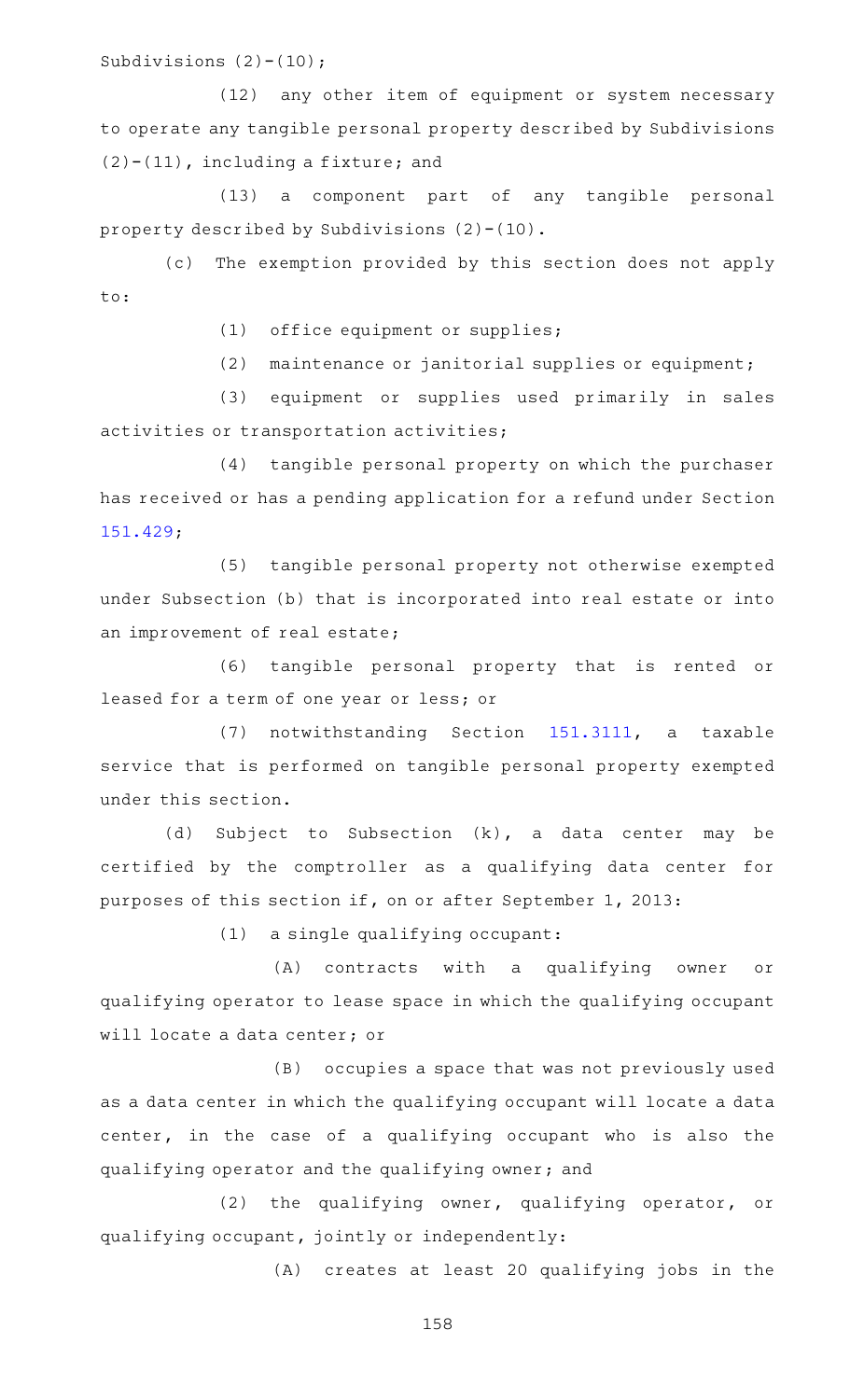Subdivisions (2)-(10);

(12) any other item of equipment or system necessary to operate any tangible personal property described by Subdivisions (2)-(11), including a fixture; and

(13) a component part of any tangible personal property described by Subdivisions (2)-(10).

(c) The exemption provided by this section does not apply to:

(1) office equipment or supplies;

 $(2)$  maintenance or janitorial supplies or equipment;

(3) equipment or supplies used primarily in sales activities or transportation activities;

(4) tangible personal property on which the purchaser has received or has a pending application for a refund under Section [151.429;](https://statutes.capitol.texas.gov/GetStatute.aspx?Code=TX&Value=151.429)

(5) tangible personal property not otherwise exempted under Subsection (b) that is incorporated into real estate or into an improvement of real estate;

(6) tangible personal property that is rented or leased for a term of one year or less; or

(7) notwithstanding Section [151.3111](https://statutes.capitol.texas.gov/GetStatute.aspx?Code=TX&Value=151.3111), a taxable service that is performed on tangible personal property exempted under this section.

(d) Subject to Subsection  $(k)$ , a data center may be certified by the comptroller as a qualifying data center for purposes of this section if, on or after September 1, 2013:

 $(1)$  a single qualifying occupant:

(A) contracts with a qualifying owner or qualifying operator to lease space in which the qualifying occupant will locate a data center; or

(B) occupies a space that was not previously used as a data center in which the qualifying occupant will locate a data center, in the case of a qualifying occupant who is also the qualifying operator and the qualifying owner; and

 $(2)$  the qualifying owner, qualifying operator, or qualifying occupant, jointly or independently:

(A) creates at least 20 qualifying jobs in the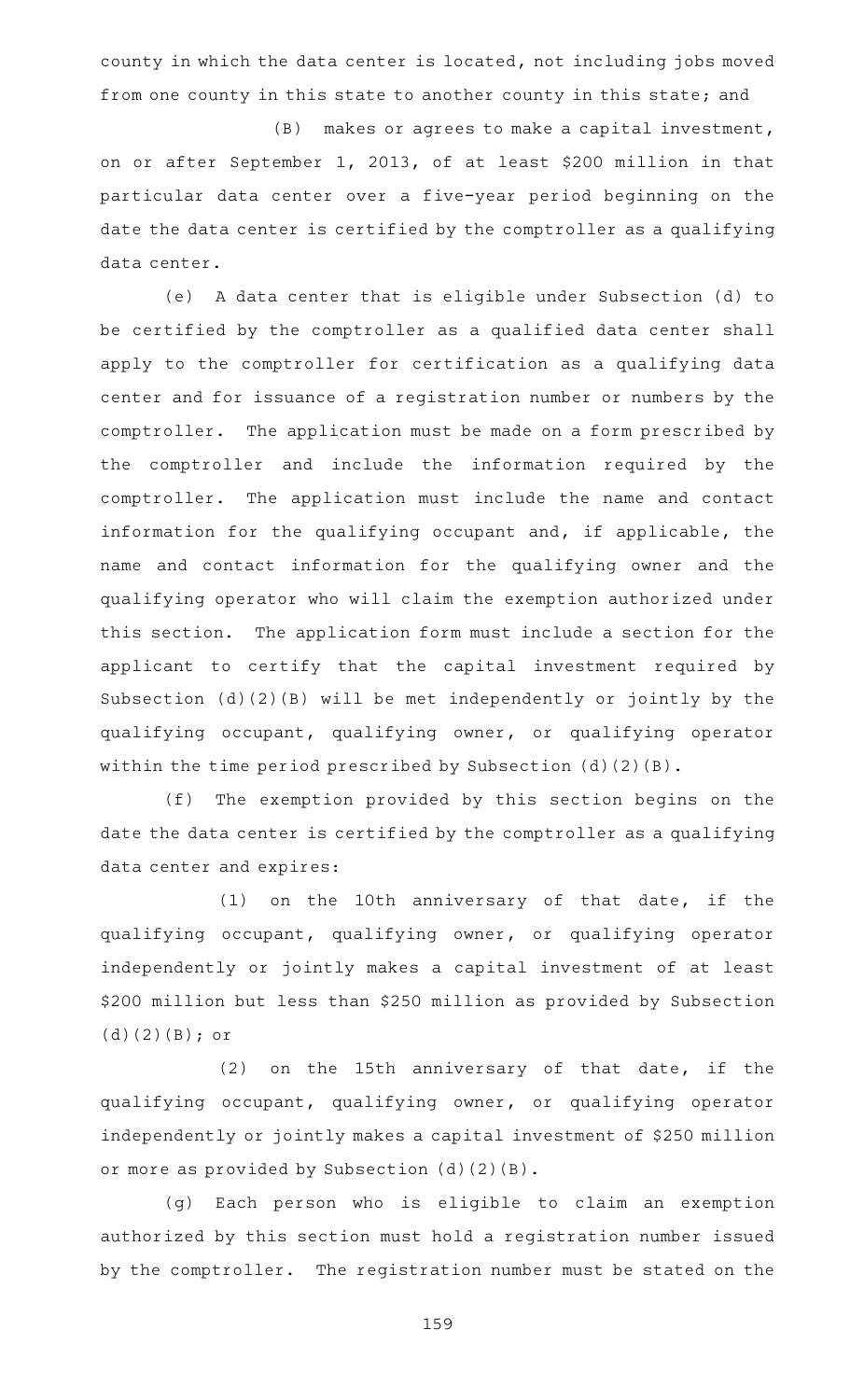county in which the data center is located, not including jobs moved from one county in this state to another county in this state; and

 $(B)$  makes or agrees to make a capital investment, on or after September 1, 2013, of at least \$200 million in that particular data center over a five-year period beginning on the date the data center is certified by the comptroller as a qualifying data center.

(e)AAA data center that is eligible under Subsection (d) to be certified by the comptroller as a qualified data center shall apply to the comptroller for certification as a qualifying data center and for issuance of a registration number or numbers by the comptroller. The application must be made on a form prescribed by the comptroller and include the information required by the comptroller. The application must include the name and contact information for the qualifying occupant and, if applicable, the name and contact information for the qualifying owner and the qualifying operator who will claim the exemption authorized under this section. The application form must include a section for the applicant to certify that the capital investment required by Subsection (d)(2)(B) will be met independently or jointly by the qualifying occupant, qualifying owner, or qualifying operator within the time period prescribed by Subsection (d)(2)(B).

(f) The exemption provided by this section begins on the date the data center is certified by the comptroller as a qualifying data center and expires:

 $(1)$  on the 10th anniversary of that date, if the qualifying occupant, qualifying owner, or qualifying operator independently or jointly makes a capital investment of at least \$200 million but less than \$250 million as provided by Subsection (d)(2)(B); or

 $(2)$  on the 15th anniversary of that date, if the qualifying occupant, qualifying owner, or qualifying operator independently or jointly makes a capital investment of \$250 million or more as provided by Subsection (d)(2)(B).

(g) Each person who is eligible to claim an exemption authorized by this section must hold a registration number issued by the comptroller. The registration number must be stated on the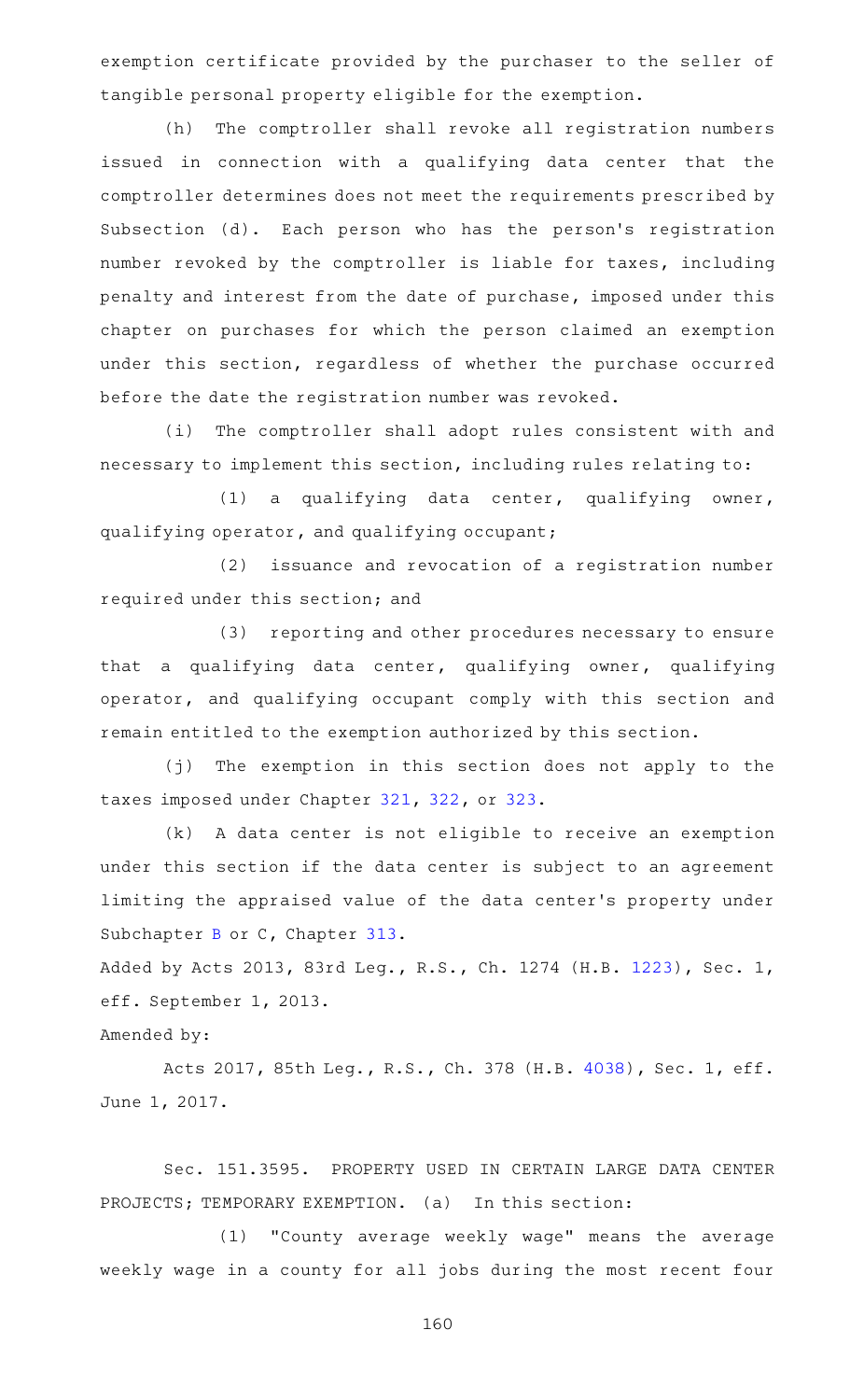exemption certificate provided by the purchaser to the seller of tangible personal property eligible for the exemption.

(h) The comptroller shall revoke all registration numbers issued in connection with a qualifying data center that the comptroller determines does not meet the requirements prescribed by Subsection (d). Each person who has the person's registration number revoked by the comptroller is liable for taxes, including penalty and interest from the date of purchase, imposed under this chapter on purchases for which the person claimed an exemption under this section, regardless of whether the purchase occurred before the date the registration number was revoked.

(i) The comptroller shall adopt rules consistent with and necessary to implement this section, including rules relating to:

 $(1)$  a qualifying data center, qualifying owner, qualifying operator, and qualifying occupant;

(2) issuance and revocation of a registration number required under this section; and

(3) reporting and other procedures necessary to ensure that a qualifying data center, qualifying owner, qualifying operator, and qualifying occupant comply with this section and remain entitled to the exemption authorized by this section.

(j) The exemption in this section does not apply to the taxes imposed under Chapter [321,](https://statutes.capitol.texas.gov/GetStatute.aspx?Code=TX&Value=321) [322](https://statutes.capitol.texas.gov/GetStatute.aspx?Code=TX&Value=322), or [323.](https://statutes.capitol.texas.gov/GetStatute.aspx?Code=TX&Value=323)

(k) A data center is not eligible to receive an exemption under this section if the data center is subject to an agreement limiting the appraised value of the data center 's property under Subchapter [B](https://statutes.capitol.texas.gov/GetStatute.aspx?Code=TX&Value=313.021) or C, Chapter [313.](https://statutes.capitol.texas.gov/GetStatute.aspx?Code=TX&Value=313)

Added by Acts 2013, 83rd Leg., R.S., Ch. 1274 (H.B. [1223\)](http://www.legis.state.tx.us/tlodocs/83R/billtext/html/HB01223F.HTM), Sec. 1, eff. September 1, 2013.

## Amended by:

Acts 2017, 85th Leg., R.S., Ch. 378 (H.B. [4038](http://www.legis.state.tx.us/tlodocs/85R/billtext/html/HB04038F.HTM)), Sec. 1, eff. June 1, 2017.

Sec. 151.3595. PROPERTY USED IN CERTAIN LARGE DATA CENTER PROJECTS; TEMPORARY EXEMPTION. (a) In this section:

(1) "County average weekly wage" means the average weekly wage in a county for all jobs during the most recent four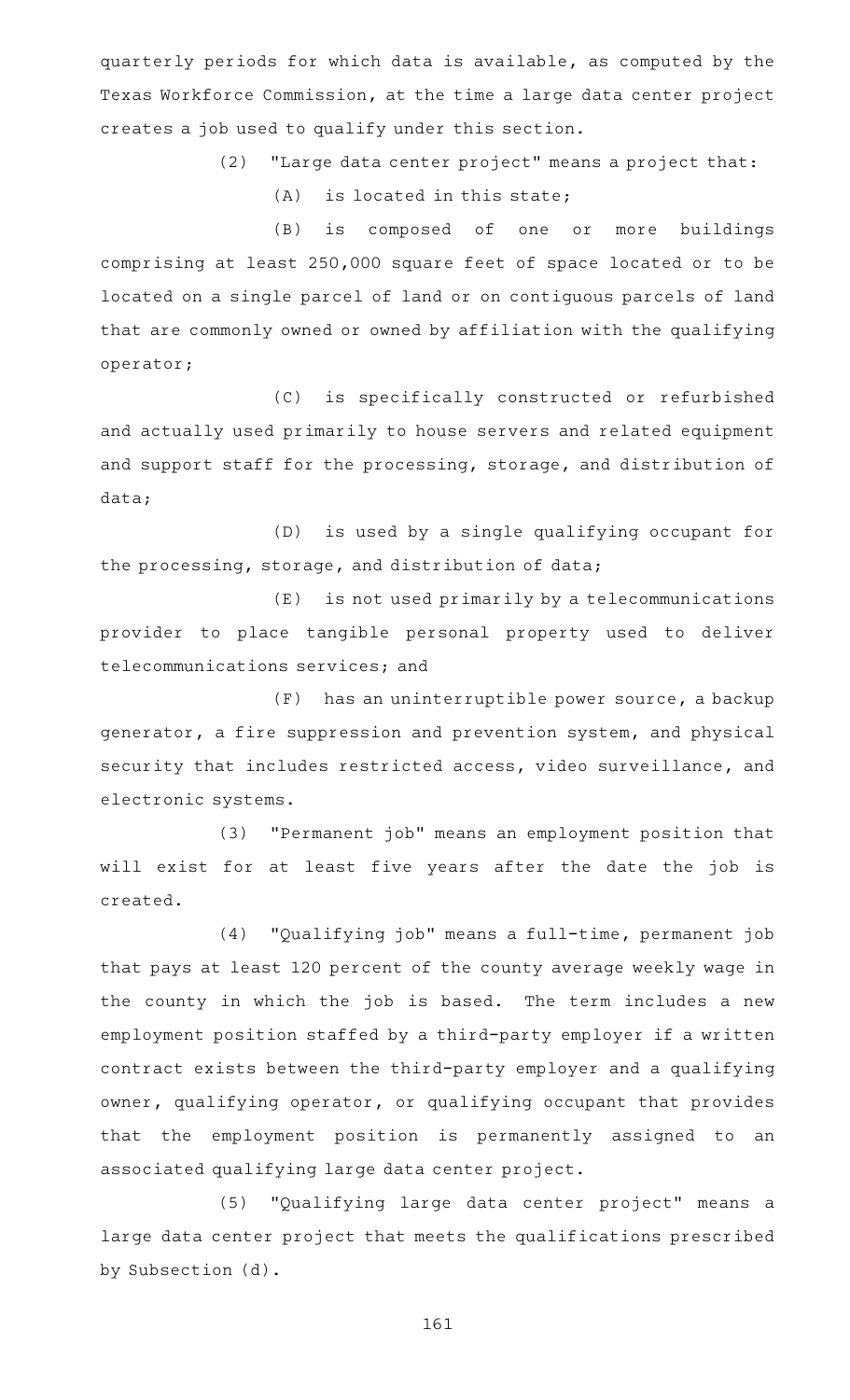quarterly periods for which data is available, as computed by the Texas Workforce Commission, at the time a large data center project creates a job used to qualify under this section.

(2) "Large data center project" means a project that:

 $(A)$  is located in this state;

(B) is composed of one or more buildings comprising at least 250,000 square feet of space located or to be located on a single parcel of land or on contiguous parcels of land that are commonly owned or owned by affiliation with the qualifying operator;

(C) is specifically constructed or refurbished and actually used primarily to house servers and related equipment and support staff for the processing, storage, and distribution of data;

(D) is used by a single qualifying occupant for the processing, storage, and distribution of data;

(E) is not used primarily by a telecommunications provider to place tangible personal property used to deliver telecommunications services; and

 $(F)$  has an uninterruptible power source, a backup generator, a fire suppression and prevention system, and physical security that includes restricted access, video surveillance, and electronic systems.

(3) "Permanent job" means an employment position that will exist for at least five years after the date the job is created.

(4) "Qualifying job" means a full-time, permanent job that pays at least 120 percent of the county average weekly wage in the county in which the job is based. The term includes a new employment position staffed by a third-party employer if a written contract exists between the third-party employer and a qualifying owner, qualifying operator, or qualifying occupant that provides that the employment position is permanently assigned to an associated qualifying large data center project.

(5) "Qualifying large data center project" means a large data center project that meets the qualifications prescribed by Subsection (d).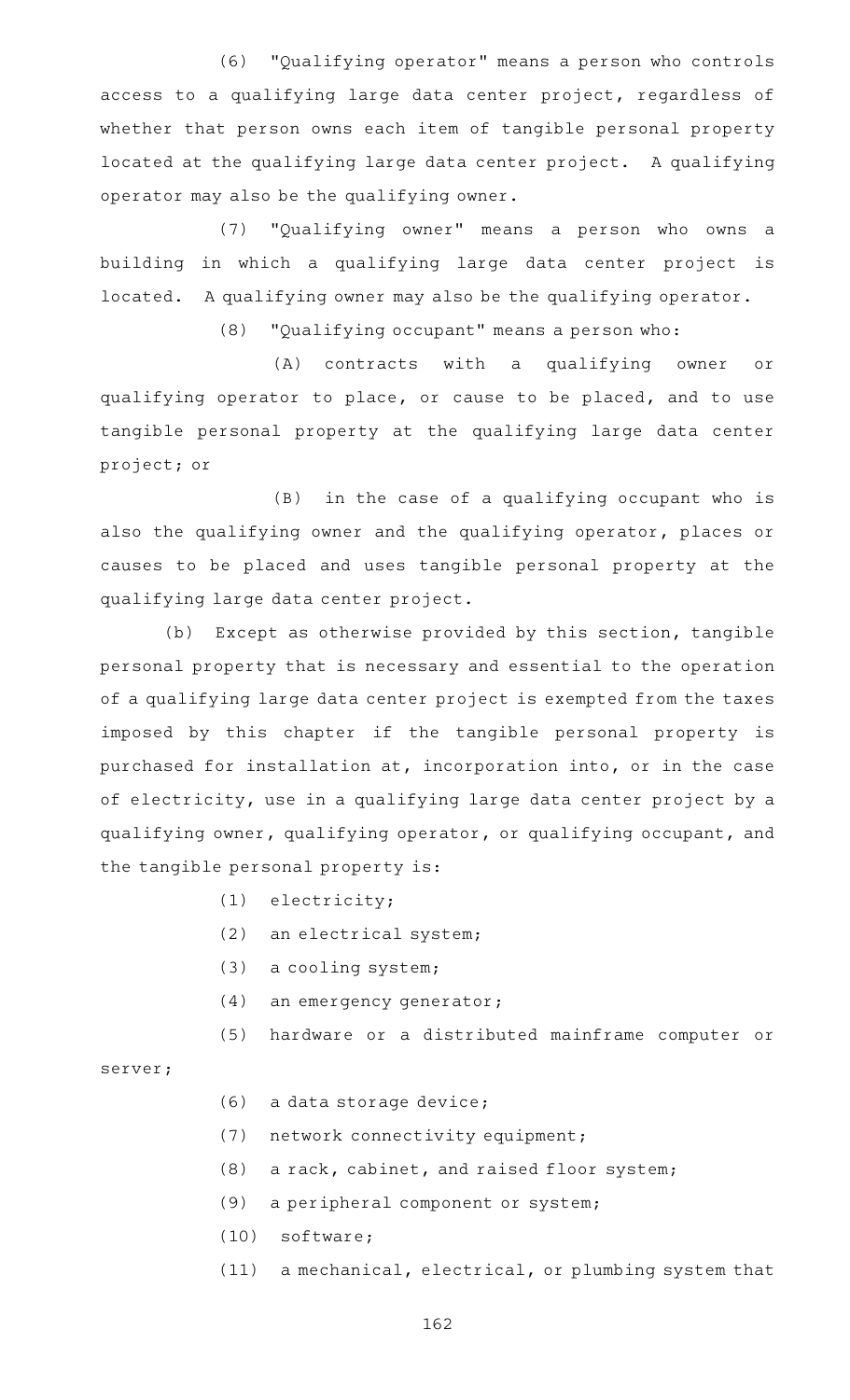(6) "Qualifying operator" means a person who controls access to a qualifying large data center project, regardless of whether that person owns each item of tangible personal property located at the qualifying large data center project. A qualifying operator may also be the qualifying owner.

(7) "Qualifying owner" means a person who owns a building in which a qualifying large data center project is located. A qualifying owner may also be the qualifying operator.

(8) "Qualifying occupant" means a person who:

(A) contracts with a qualifying owner or qualifying operator to place, or cause to be placed, and to use tangible personal property at the qualifying large data center project; or

 $(B)$  in the case of a qualifying occupant who is also the qualifying owner and the qualifying operator, places or causes to be placed and uses tangible personal property at the qualifying large data center project.

(b) Except as otherwise provided by this section, tangible personal property that is necessary and essential to the operation of a qualifying large data center project is exempted from the taxes imposed by this chapter if the tangible personal property is purchased for installation at, incorporation into, or in the case of electricity, use in a qualifying large data center project by a qualifying owner, qualifying operator, or qualifying occupant, and the tangible personal property is:

- $(1)$  electricity;
- $(2)$  an electrical system;
- $(3)$  a cooling system;
- (4) an emergency generator;
- (5) hardware or a distributed mainframe computer or

server;

- (6) a data storage device;
- (7) network connectivity equipment;
- $(8)$  a rack, cabinet, and raised floor system;
- (9) a peripheral component or system;
- $(10)$  software;
- (11) a mechanical, electrical, or plumbing system that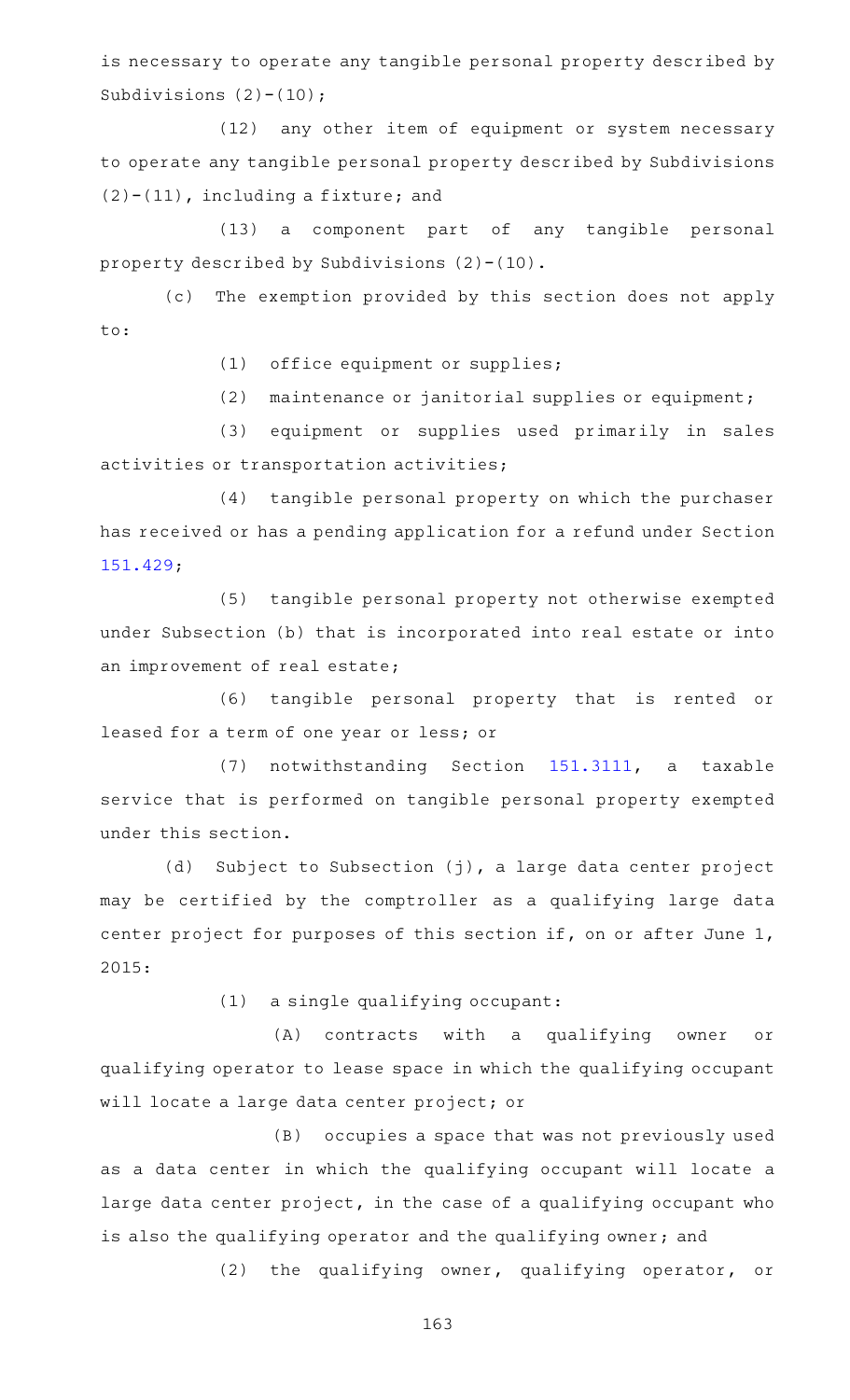is necessary to operate any tangible personal property described by Subdivisions  $(2)-(10)$ ;

(12) any other item of equipment or system necessary to operate any tangible personal property described by Subdivisions  $(2)-(11)$ , including a fixture; and

(13) a component part of any tangible personal property described by Subdivisions (2)-(10).

(c) The exemption provided by this section does not apply to:

(1) office equipment or supplies;

 $(2)$  maintenance or janitorial supplies or equipment;

(3) equipment or supplies used primarily in sales activities or transportation activities;

(4) tangible personal property on which the purchaser has received or has a pending application for a refund under Section [151.429;](https://statutes.capitol.texas.gov/GetStatute.aspx?Code=TX&Value=151.429)

(5) tangible personal property not otherwise exempted under Subsection (b) that is incorporated into real estate or into an improvement of real estate;

(6) tangible personal property that is rented or leased for a term of one year or less; or

(7) notwithstanding Section [151.3111](https://statutes.capitol.texas.gov/GetStatute.aspx?Code=TX&Value=151.3111), a taxable service that is performed on tangible personal property exempted under this section.

(d) Subject to Subsection (j), a large data center project may be certified by the comptroller as a qualifying large data center project for purposes of this section if, on or after June 1, 2015:

 $(1)$  a single qualifying occupant:

(A) contracts with a qualifying owner or qualifying operator to lease space in which the qualifying occupant will locate a large data center project; or

(B) occupies a space that was not previously used as a data center in which the qualifying occupant will locate a large data center project, in the case of a qualifying occupant who is also the qualifying operator and the qualifying owner; and

 $(2)$  the qualifying owner, qualifying operator, or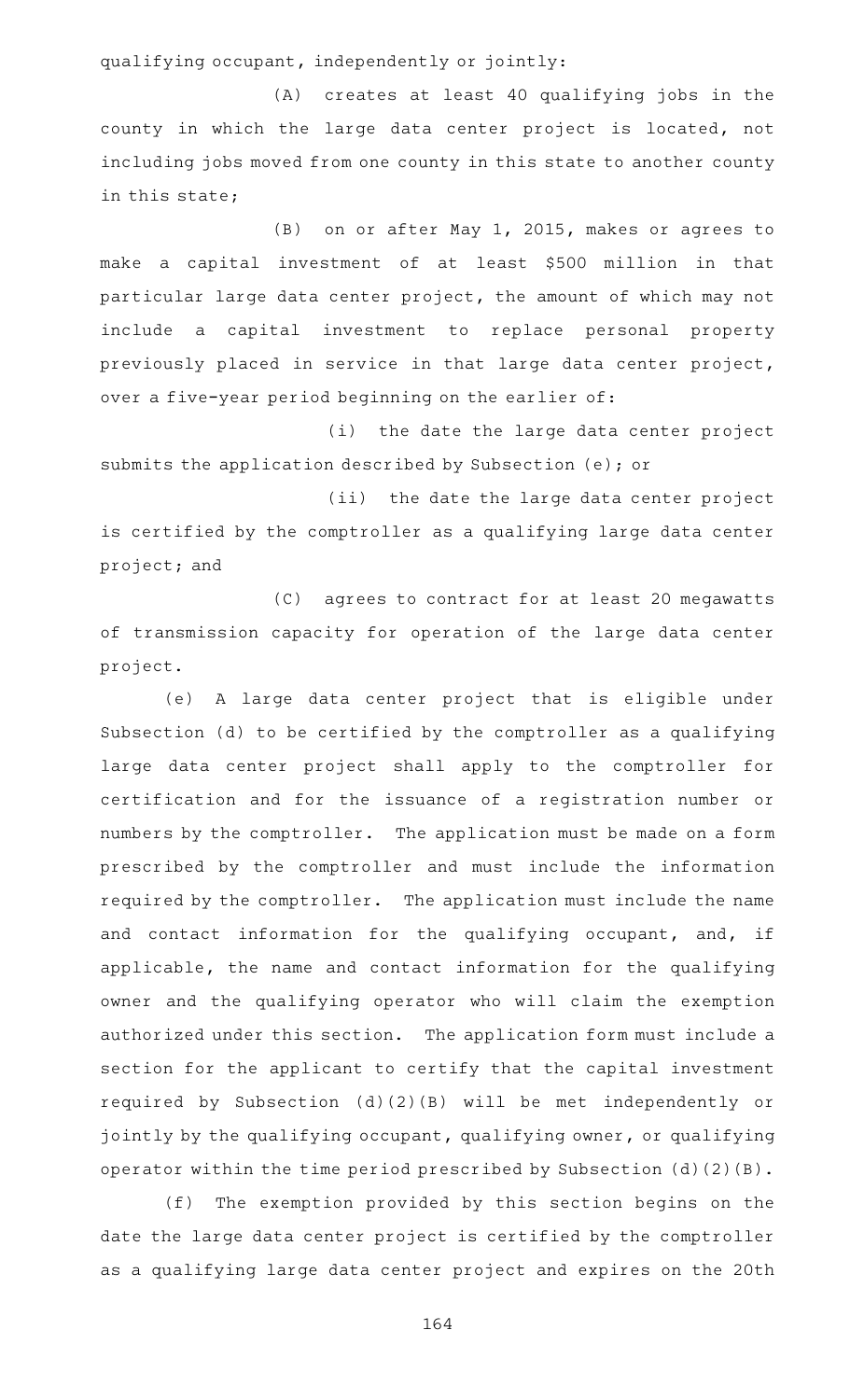qualifying occupant, independently or jointly:

(A) creates at least 40 qualifying jobs in the county in which the large data center project is located, not including jobs moved from one county in this state to another county in this state;

(B) on or after May 1, 2015, makes or agrees to make a capital investment of at least \$500 million in that particular large data center project, the amount of which may not include a capital investment to replace personal property previously placed in service in that large data center project, over a five-year period beginning on the earlier of:

(i) the date the large data center project submits the application described by Subsection (e); or

(ii) the date the large data center project is certified by the comptroller as a qualifying large data center project; and

(C) agrees to contract for at least 20 megawatts of transmission capacity for operation of the large data center project.

(e) A large data center project that is eligible under Subsection (d) to be certified by the comptroller as a qualifying large data center project shall apply to the comptroller for certification and for the issuance of a registration number or numbers by the comptroller. The application must be made on a form prescribed by the comptroller and must include the information required by the comptroller. The application must include the name and contact information for the qualifying occupant, and, if applicable, the name and contact information for the qualifying owner and the qualifying operator who will claim the exemption authorized under this section. The application form must include a section for the applicant to certify that the capital investment required by Subsection (d)(2)(B) will be met independently or jointly by the qualifying occupant, qualifying owner, or qualifying operator within the time period prescribed by Subsection (d)(2)(B).

(f) The exemption provided by this section begins on the date the large data center project is certified by the comptroller as a qualifying large data center project and expires on the 20th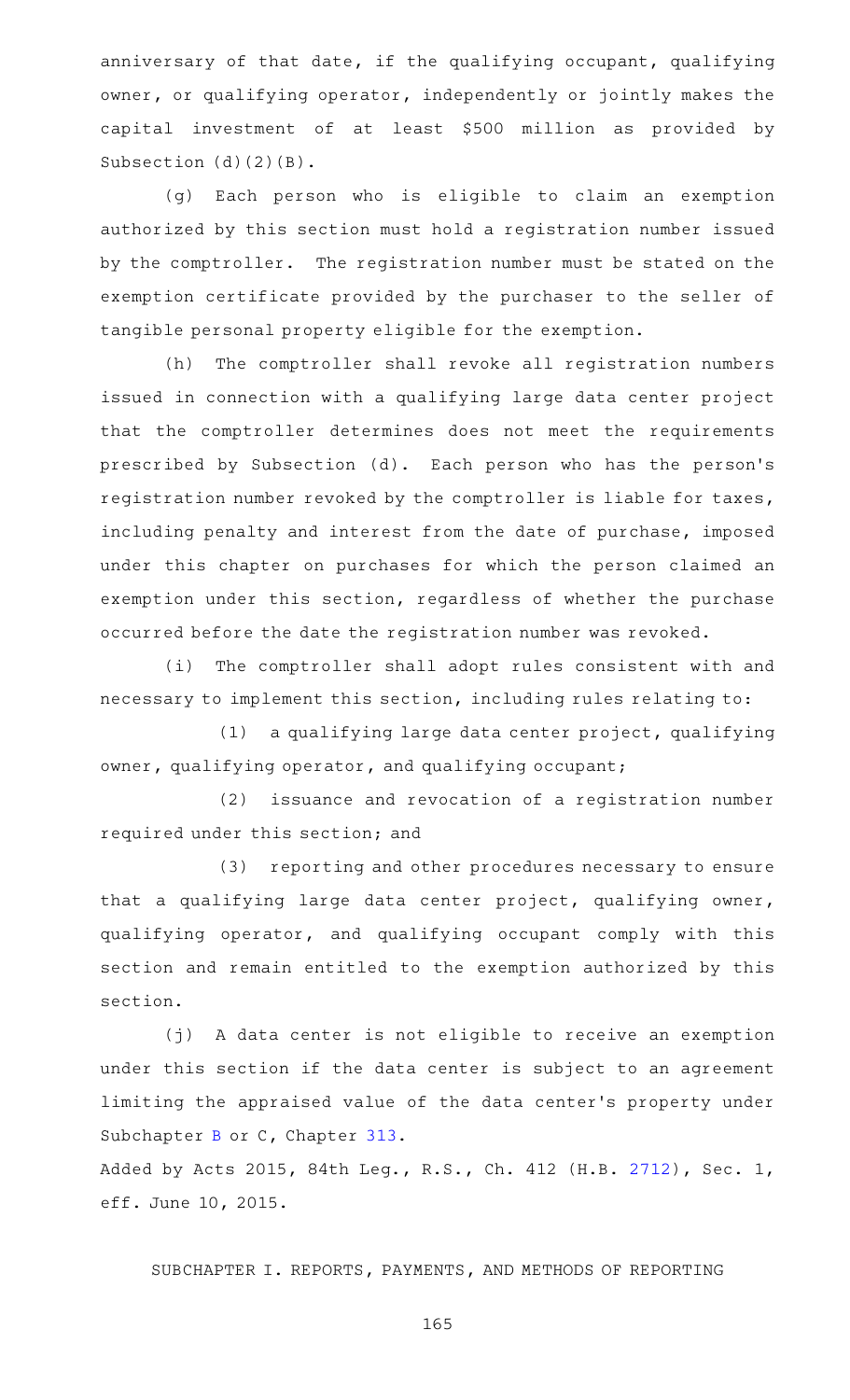anniversary of that date, if the qualifying occupant, qualifying owner, or qualifying operator, independently or jointly makes the capital investment of at least \$500 million as provided by Subsection (d)(2)(B).

(g) Each person who is eligible to claim an exemption authorized by this section must hold a registration number issued by the comptroller. The registration number must be stated on the exemption certificate provided by the purchaser to the seller of tangible personal property eligible for the exemption.

(h) The comptroller shall revoke all registration numbers issued in connection with a qualifying large data center project that the comptroller determines does not meet the requirements prescribed by Subsection (d). Each person who has the person's registration number revoked by the comptroller is liable for taxes, including penalty and interest from the date of purchase, imposed under this chapter on purchases for which the person claimed an exemption under this section, regardless of whether the purchase occurred before the date the registration number was revoked.

(i) The comptroller shall adopt rules consistent with and necessary to implement this section, including rules relating to:

 $(1)$  a qualifying large data center project, qualifying owner, qualifying operator, and qualifying occupant;

(2) issuance and revocation of a registration number required under this section; and

(3) reporting and other procedures necessary to ensure that a qualifying large data center project, qualifying owner, qualifying operator, and qualifying occupant comply with this section and remain entitled to the exemption authorized by this section.

(j) A data center is not eligible to receive an exemption under this section if the data center is subject to an agreement limiting the appraised value of the data center 's property under Subchapter [B](https://statutes.capitol.texas.gov/GetStatute.aspx?Code=TX&Value=313.021) or C, Chapter [313.](https://statutes.capitol.texas.gov/GetStatute.aspx?Code=TX&Value=313)

Added by Acts 2015, 84th Leg., R.S., Ch. 412 (H.B. [2712](http://www.legis.state.tx.us/tlodocs/84R/billtext/html/HB02712F.HTM)), Sec. 1, eff. June 10, 2015.

SUBCHAPTER I. REPORTS, PAYMENTS, AND METHODS OF REPORTING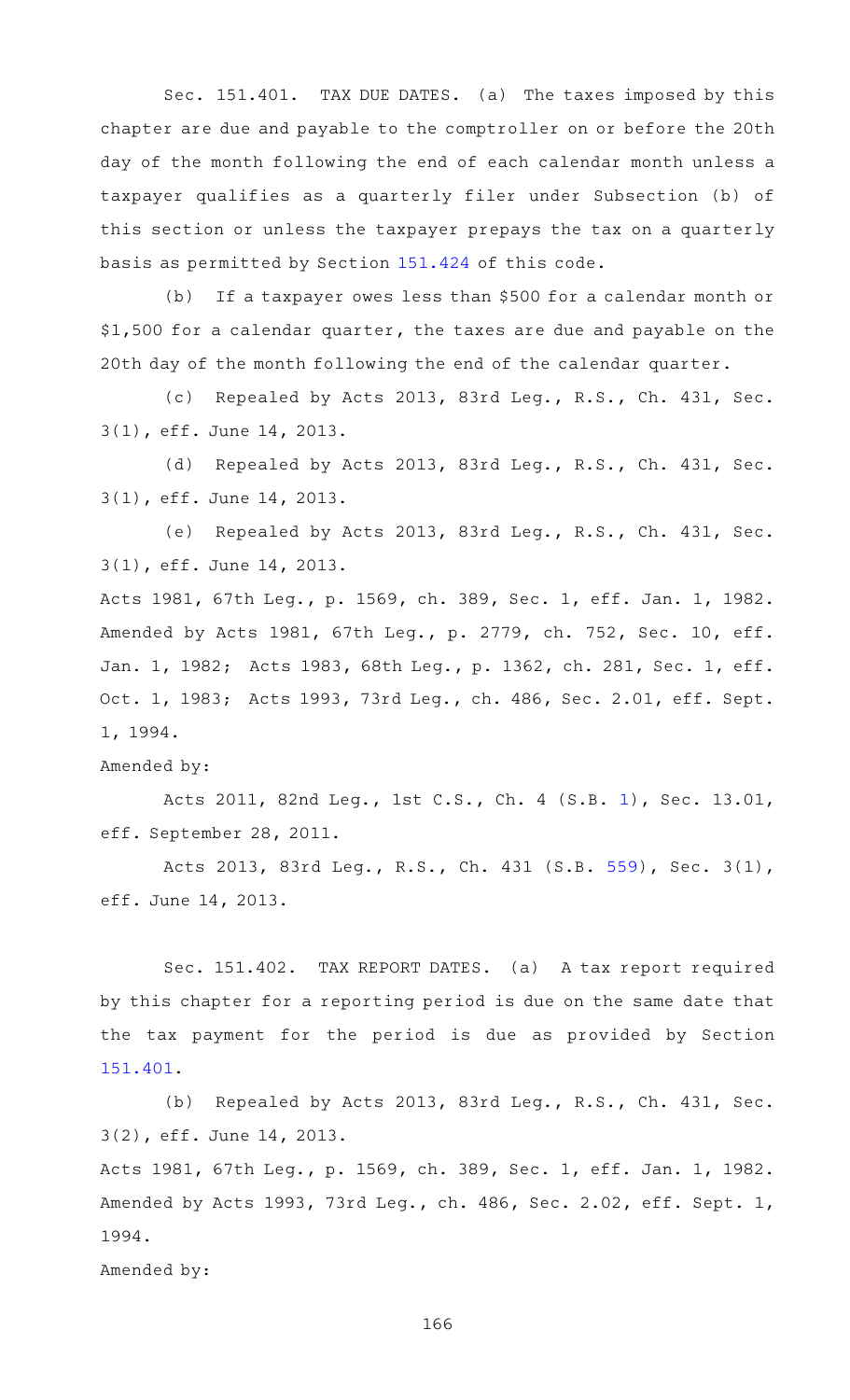Sec. 151.401. TAX DUE DATES. (a) The taxes imposed by this chapter are due and payable to the comptroller on or before the 20th day of the month following the end of each calendar month unless a taxpayer qualifies as a quarterly filer under Subsection (b) of this section or unless the taxpayer prepays the tax on a quarterly basis as permitted by Section [151.424](https://statutes.capitol.texas.gov/GetStatute.aspx?Code=TX&Value=151.424) of this code.

(b) If a taxpayer owes less than \$500 for a calendar month or \$1,500 for a calendar quarter, the taxes are due and payable on the 20th day of the month following the end of the calendar quarter.

(c) Repealed by Acts 2013, 83rd Leg., R.S., Ch. 431, Sec. 3(1), eff. June 14, 2013.

(d) Repealed by Acts 2013, 83rd Leg., R.S., Ch. 431, Sec. 3(1), eff. June 14, 2013.

(e) Repealed by Acts 2013, 83rd Leg., R.S., Ch. 431, Sec. 3(1), eff. June 14, 2013.

Acts 1981, 67th Leg., p. 1569, ch. 389, Sec. 1, eff. Jan. 1, 1982. Amended by Acts 1981, 67th Leg., p. 2779, ch. 752, Sec. 10, eff. Jan. 1, 1982; Acts 1983, 68th Leg., p. 1362, ch. 281, Sec. 1, eff. Oct. 1, 1983; Acts 1993, 73rd Leg., ch. 486, Sec. 2.01, eff. Sept. 1, 1994.

## Amended by:

Acts 2011, 82nd Leg., 1st C.S., Ch. 4 (S.B. [1](http://www.legis.state.tx.us/tlodocs/821/billtext/html/SB00001F.HTM)), Sec. 13.01, eff. September 28, 2011.

Acts 2013, 83rd Leg., R.S., Ch. 431 (S.B. [559](http://www.legis.state.tx.us/tlodocs/83R/billtext/html/SB00559F.HTM)), Sec. 3(1), eff. June 14, 2013.

Sec. 151.402. TAX REPORT DATES. (a) A tax report required by this chapter for a reporting period is due on the same date that the tax payment for the period is due as provided by Section [151.401.](https://statutes.capitol.texas.gov/GetStatute.aspx?Code=TX&Value=151.401)

(b) Repealed by Acts 2013, 83rd Leg., R.S., Ch. 431, Sec. 3(2), eff. June 14, 2013.

Acts 1981, 67th Leg., p. 1569, ch. 389, Sec. 1, eff. Jan. 1, 1982. Amended by Acts 1993, 73rd Leg., ch. 486, Sec. 2.02, eff. Sept. 1, 1994.

Amended by: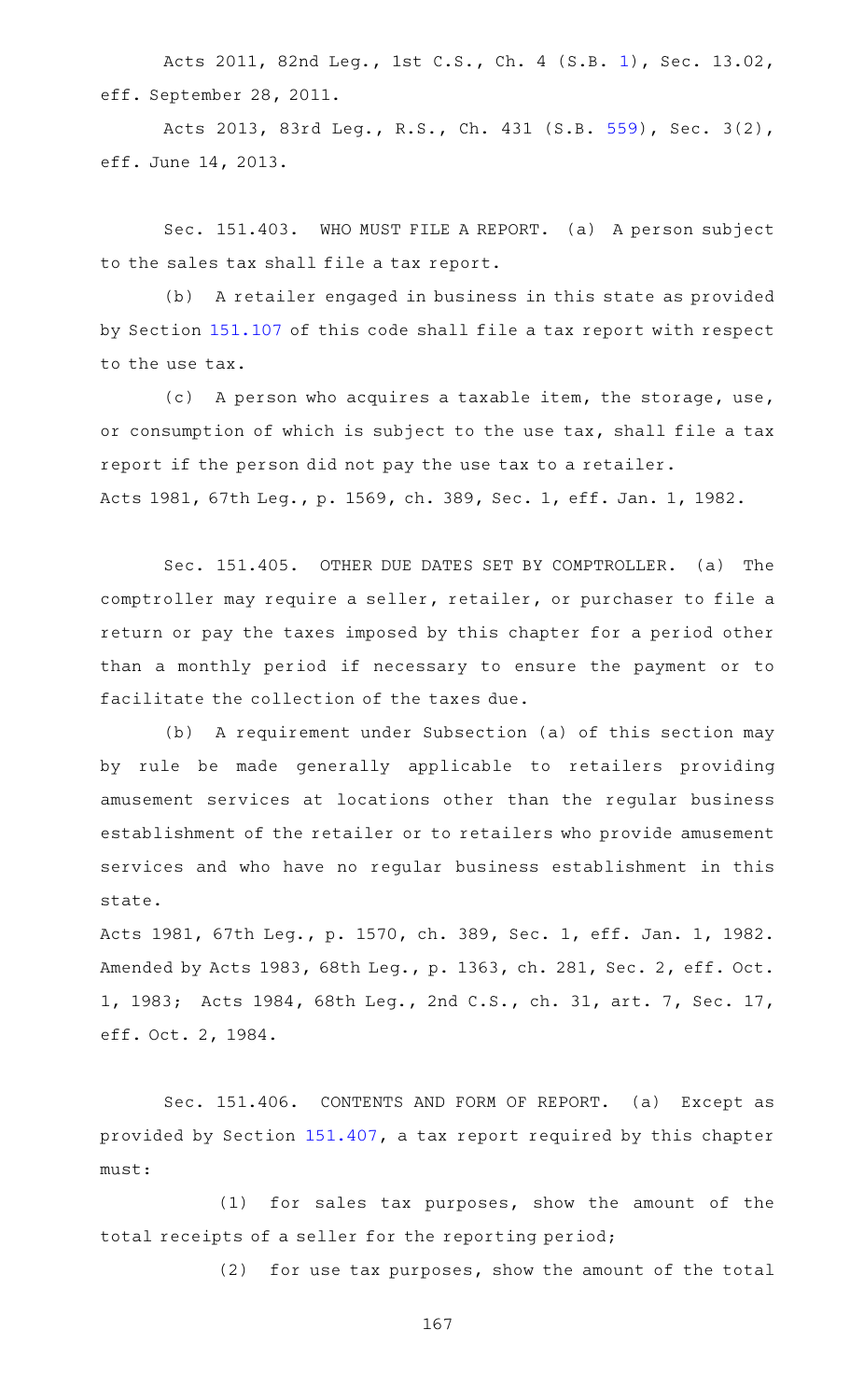Acts 2011, 82nd Leg., 1st C.S., Ch. 4 (S.B. [1](http://www.legis.state.tx.us/tlodocs/821/billtext/html/SB00001F.HTM)), Sec. 13.02, eff. September 28, 2011.

Acts 2013, 83rd Leg., R.S., Ch. 431 (S.B. [559](http://www.legis.state.tx.us/tlodocs/83R/billtext/html/SB00559F.HTM)), Sec. 3(2), eff. June 14, 2013.

Sec. 151.403. WHO MUST FILE A REPORT. (a) A person subject to the sales tax shall file a tax report.

(b) A retailer engaged in business in this state as provided by Section [151.107](https://statutes.capitol.texas.gov/GetStatute.aspx?Code=TX&Value=151.107) of this code shall file a tax report with respect to the use tax.

(c) A person who acquires a taxable item, the storage, use, or consumption of which is subject to the use tax, shall file a tax report if the person did not pay the use tax to a retailer. Acts 1981, 67th Leg., p. 1569, ch. 389, Sec. 1, eff. Jan. 1, 1982.

Sec. 151.405. OTHER DUE DATES SET BY COMPTROLLER. (a) The comptroller may require a seller, retailer, or purchaser to file a return or pay the taxes imposed by this chapter for a period other than a monthly period if necessary to ensure the payment or to facilitate the collection of the taxes due.

(b) A requirement under Subsection (a) of this section may by rule be made generally applicable to retailers providing amusement services at locations other than the regular business establishment of the retailer or to retailers who provide amusement services and who have no regular business establishment in this state.

Acts 1981, 67th Leg., p. 1570, ch. 389, Sec. 1, eff. Jan. 1, 1982. Amended by Acts 1983, 68th Leg., p. 1363, ch. 281, Sec. 2, eff. Oct. 1, 1983; Acts 1984, 68th Leg., 2nd C.S., ch. 31, art. 7, Sec. 17, eff. Oct. 2, 1984.

Sec. 151.406. CONTENTS AND FORM OF REPORT. (a) Except as provided by Section [151.407](https://statutes.capitol.texas.gov/GetStatute.aspx?Code=TX&Value=151.407), a tax report required by this chapter must:

 $(1)$  for sales tax purposes, show the amount of the total receipts of a seller for the reporting period;

(2) for use tax purposes, show the amount of the total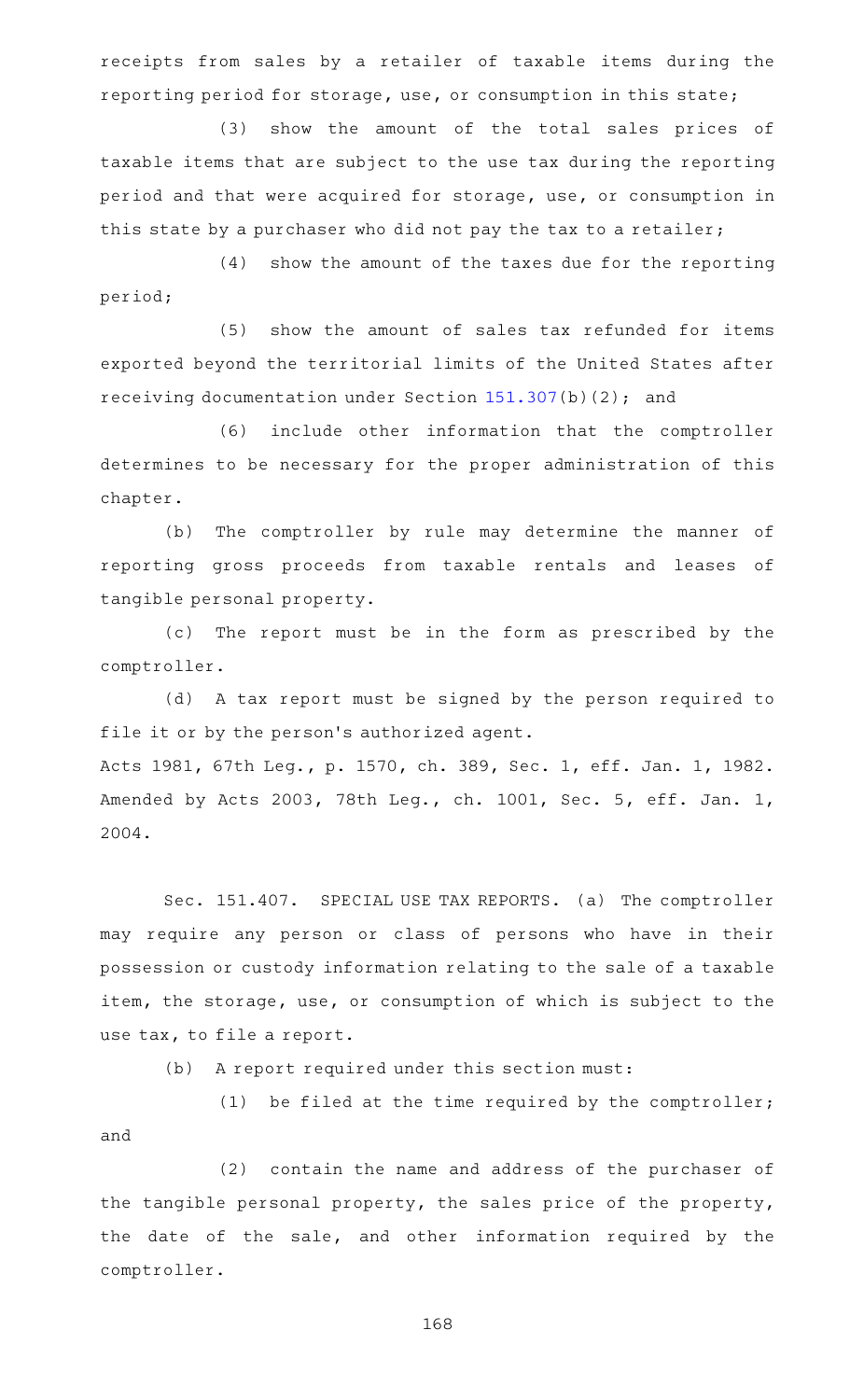receipts from sales by a retailer of taxable items during the reporting period for storage, use, or consumption in this state;

(3) show the amount of the total sales prices of taxable items that are subject to the use tax during the reporting period and that were acquired for storage, use, or consumption in this state by a purchaser who did not pay the tax to a retailer;

 $(4)$  show the amount of the taxes due for the reporting period;

(5) show the amount of sales tax refunded for items exported beyond the territorial limits of the United States after receiving documentation under Section [151.307\(](https://statutes.capitol.texas.gov/GetStatute.aspx?Code=TX&Value=151.307)b)(2); and

(6) include other information that the comptroller determines to be necessary for the proper administration of this chapter.

(b) The comptroller by rule may determine the manner of reporting gross proceeds from taxable rentals and leases of tangible personal property.

(c) The report must be in the form as prescribed by the comptroller.

(d) A tax report must be signed by the person required to file it or by the person's authorized agent. Acts 1981, 67th Leg., p. 1570, ch. 389, Sec. 1, eff. Jan. 1, 1982. Amended by Acts 2003, 78th Leg., ch. 1001, Sec. 5, eff. Jan. 1, 2004.

Sec. 151.407. SPECIAL USE TAX REPORTS. (a) The comptroller may require any person or class of persons who have in their possession or custody information relating to the sale of a taxable item, the storage, use, or consumption of which is subject to the use tax, to file a report.

 $(b)$  A report required under this section must:

(1) be filed at the time required by the comptroller; and

(2) contain the name and address of the purchaser of the tangible personal property, the sales price of the property, the date of the sale, and other information required by the comptroller.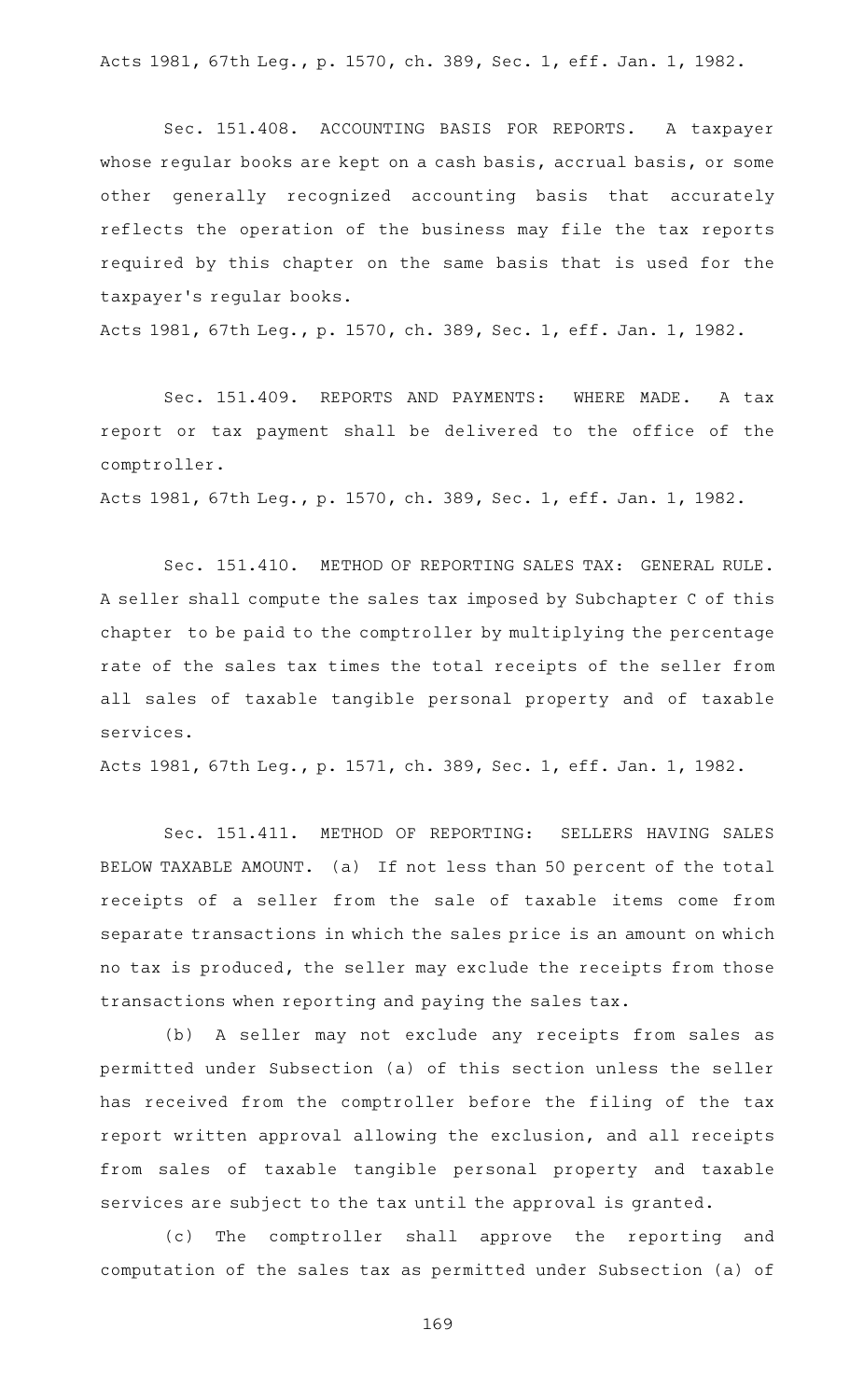Acts 1981, 67th Leg., p. 1570, ch. 389, Sec. 1, eff. Jan. 1, 1982.

Sec. 151.408. ACCOUNTING BASIS FOR REPORTS. A taxpayer whose regular books are kept on a cash basis, accrual basis, or some other generally recognized accounting basis that accurately reflects the operation of the business may file the tax reports required by this chapter on the same basis that is used for the taxpayer 's regular books.

Acts 1981, 67th Leg., p. 1570, ch. 389, Sec. 1, eff. Jan. 1, 1982.

Sec. 151.409. REPORTS AND PAYMENTS: WHERE MADE. A tax report or tax payment shall be delivered to the office of the comptroller.

Acts 1981, 67th Leg., p. 1570, ch. 389, Sec. 1, eff. Jan. 1, 1982.

Sec. 151.410. METHOD OF REPORTING SALES TAX: GENERAL RULE. A seller shall compute the sales tax imposed by Subchapter C of this chapter to be paid to the comptroller by multiplying the percentage rate of the sales tax times the total receipts of the seller from all sales of taxable tangible personal property and of taxable services.

Acts 1981, 67th Leg., p. 1571, ch. 389, Sec. 1, eff. Jan. 1, 1982.

Sec. 151.411. METHOD OF REPORTING: SELLERS HAVING SALES BELOW TAXABLE AMOUNT. (a) If not less than 50 percent of the total receipts of a seller from the sale of taxable items come from separate transactions in which the sales price is an amount on which no tax is produced, the seller may exclude the receipts from those transactions when reporting and paying the sales tax.

(b) A seller may not exclude any receipts from sales as permitted under Subsection (a) of this section unless the seller has received from the comptroller before the filing of the tax report written approval allowing the exclusion, and all receipts from sales of taxable tangible personal property and taxable services are subject to the tax until the approval is granted.

(c) The comptroller shall approve the reporting and computation of the sales tax as permitted under Subsection (a) of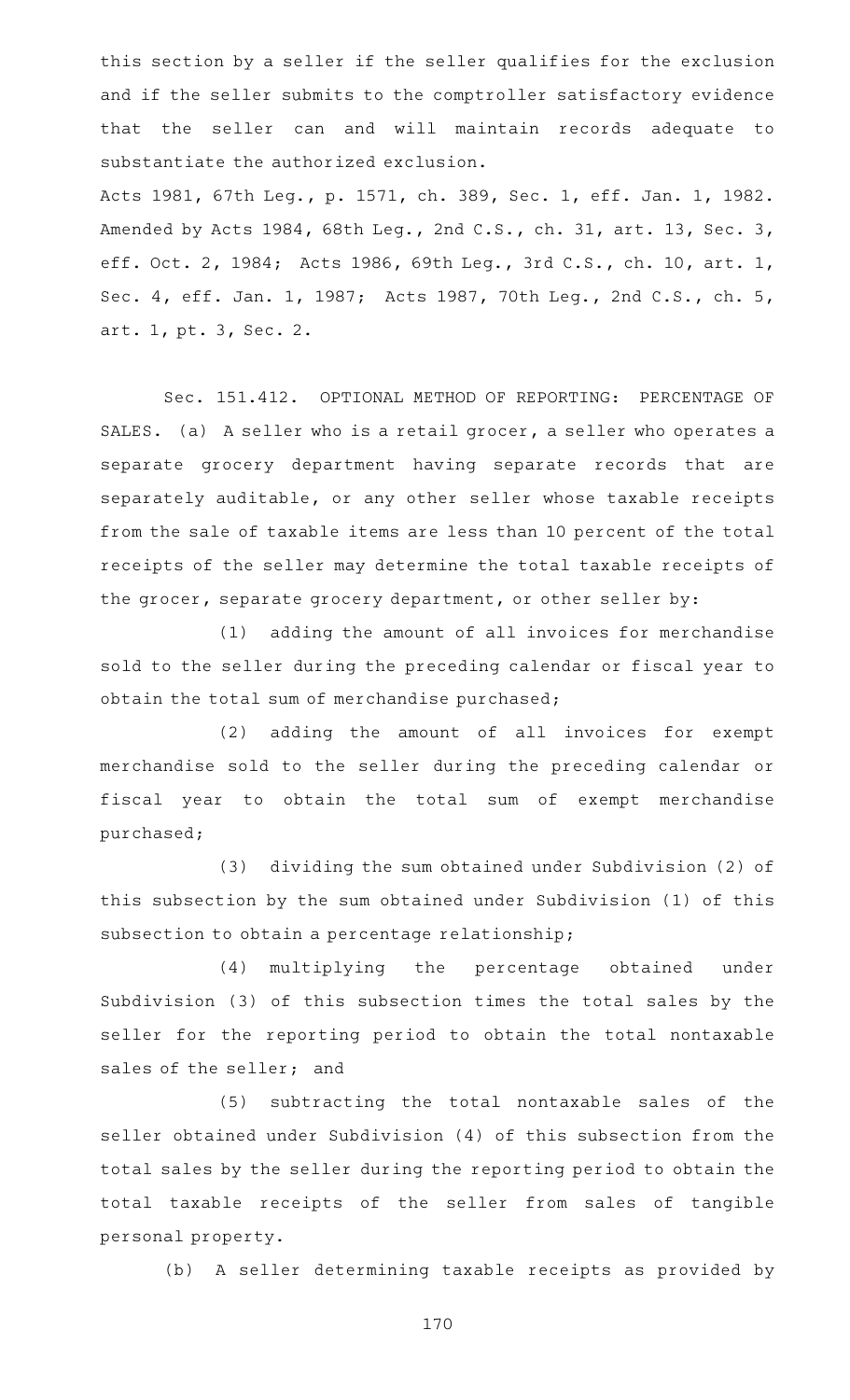this section by a seller if the seller qualifies for the exclusion and if the seller submits to the comptroller satisfactory evidence that the seller can and will maintain records adequate to substantiate the authorized exclusion.

Acts 1981, 67th Leg., p. 1571, ch. 389, Sec. 1, eff. Jan. 1, 1982. Amended by Acts 1984, 68th Leg., 2nd C.S., ch. 31, art. 13, Sec. 3, eff. Oct. 2, 1984; Acts 1986, 69th Leg., 3rd C.S., ch. 10, art. 1, Sec. 4, eff. Jan. 1, 1987; Acts 1987, 70th Leg., 2nd C.S., ch. 5, art. 1, pt. 3, Sec. 2.

Sec. 151.412. OPTIONAL METHOD OF REPORTING: PERCENTAGE OF SALES. (a) A seller who is a retail grocer, a seller who operates a separate grocery department having separate records that are separately auditable, or any other seller whose taxable receipts from the sale of taxable items are less than 10 percent of the total receipts of the seller may determine the total taxable receipts of the grocer, separate grocery department, or other seller by:

(1) adding the amount of all invoices for merchandise sold to the seller during the preceding calendar or fiscal year to obtain the total sum of merchandise purchased;

(2) adding the amount of all invoices for exempt merchandise sold to the seller during the preceding calendar or fiscal year to obtain the total sum of exempt merchandise purchased;

(3) dividing the sum obtained under Subdivision (2) of this subsection by the sum obtained under Subdivision (1) of this subsection to obtain a percentage relationship;

(4) multiplying the percentage obtained under Subdivision (3) of this subsection times the total sales by the seller for the reporting period to obtain the total nontaxable sales of the seller; and

(5) subtracting the total nontaxable sales of the seller obtained under Subdivision (4) of this subsection from the total sales by the seller during the reporting period to obtain the total taxable receipts of the seller from sales of tangible personal property.

(b) A seller determining taxable receipts as provided by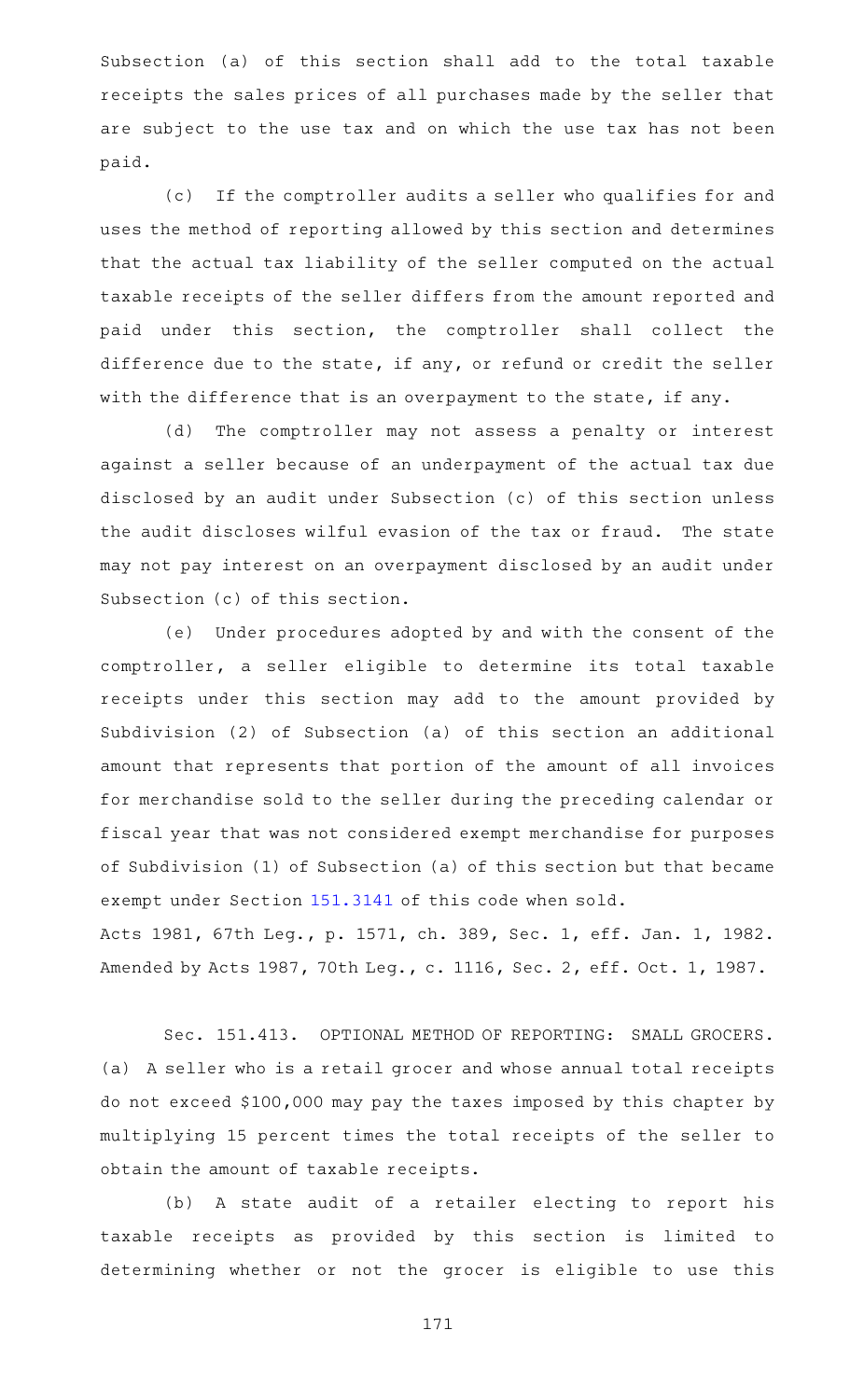Subsection (a) of this section shall add to the total taxable receipts the sales prices of all purchases made by the seller that are subject to the use tax and on which the use tax has not been paid.

(c) If the comptroller audits a seller who qualifies for and uses the method of reporting allowed by this section and determines that the actual tax liability of the seller computed on the actual taxable receipts of the seller differs from the amount reported and paid under this section, the comptroller shall collect the difference due to the state, if any, or refund or credit the seller with the difference that is an overpayment to the state, if any.

(d) The comptroller may not assess a penalty or interest against a seller because of an underpayment of the actual tax due disclosed by an audit under Subsection (c) of this section unless the audit discloses wilful evasion of the tax or fraud. The state may not pay interest on an overpayment disclosed by an audit under Subsection (c) of this section.

(e) Under procedures adopted by and with the consent of the comptroller, a seller eligible to determine its total taxable receipts under this section may add to the amount provided by Subdivision (2) of Subsection (a) of this section an additional amount that represents that portion of the amount of all invoices for merchandise sold to the seller during the preceding calendar or fiscal year that was not considered exempt merchandise for purposes of Subdivision (1) of Subsection (a) of this section but that became exempt under Section [151.3141](https://statutes.capitol.texas.gov/GetStatute.aspx?Code=TX&Value=151.3141) of this code when sold.

Acts 1981, 67th Leg., p. 1571, ch. 389, Sec. 1, eff. Jan. 1, 1982. Amended by Acts 1987, 70th Leg., c. 1116, Sec. 2, eff. Oct. 1, 1987.

Sec. 151.413. OPTIONAL METHOD OF REPORTING: SMALL GROCERS. (a) A seller who is a retail grocer and whose annual total receipts do not exceed \$100,000 may pay the taxes imposed by this chapter by multiplying 15 percent times the total receipts of the seller to obtain the amount of taxable receipts.

(b) A state audit of a retailer electing to report his taxable receipts as provided by this section is limited to determining whether or not the grocer is eligible to use this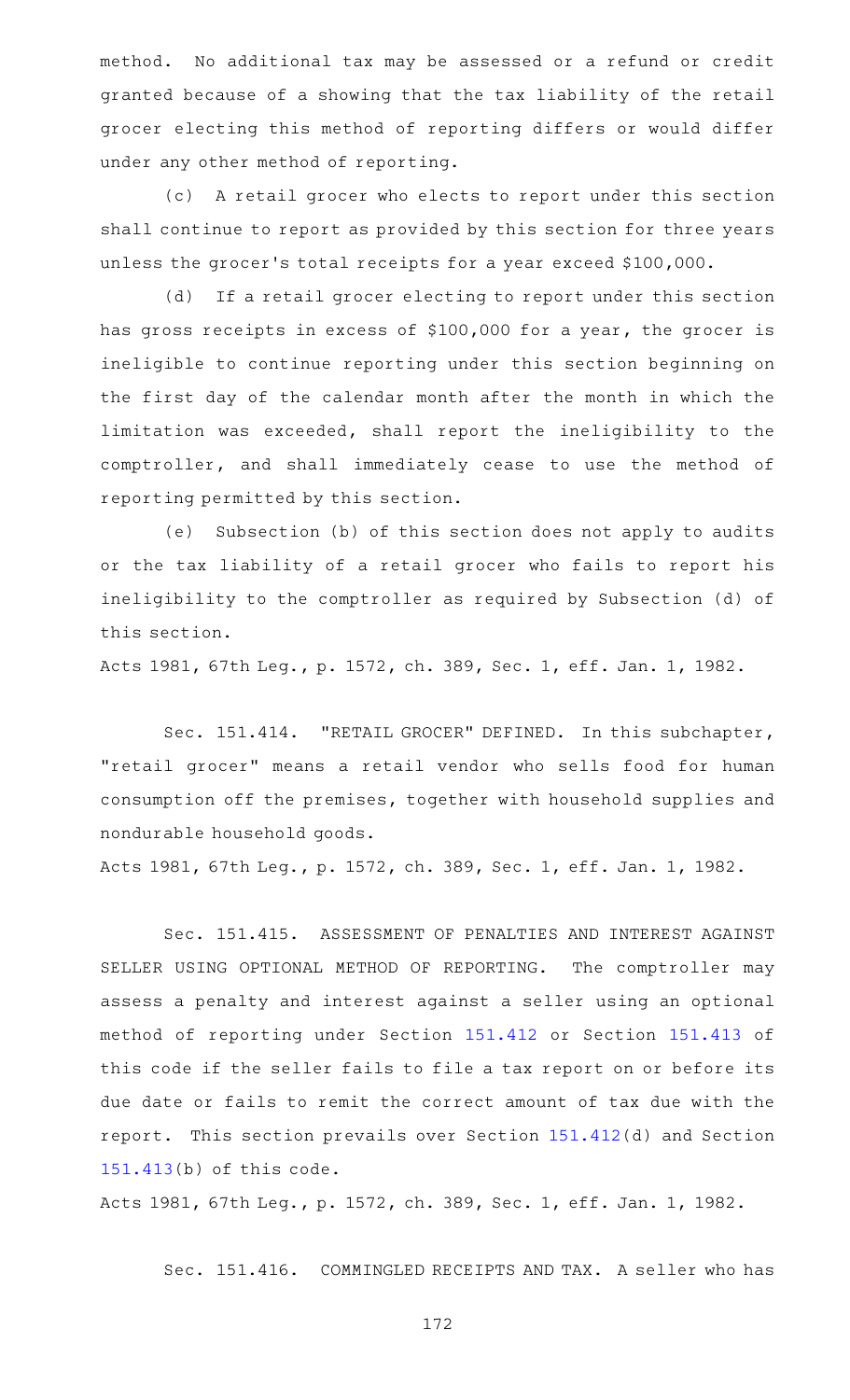method. No additional tax may be assessed or a refund or credit granted because of a showing that the tax liability of the retail grocer electing this method of reporting differs or would differ under any other method of reporting.

(c) A retail grocer who elects to report under this section shall continue to report as provided by this section for three years unless the grocer 's total receipts for a year exceed \$100,000.

(d) If a retail grocer electing to report under this section has gross receipts in excess of \$100,000 for a year, the grocer is ineligible to continue reporting under this section beginning on the first day of the calendar month after the month in which the limitation was exceeded, shall report the ineligibility to the comptroller, and shall immediately cease to use the method of reporting permitted by this section.

(e) Subsection (b) of this section does not apply to audits or the tax liability of a retail grocer who fails to report his ineligibility to the comptroller as required by Subsection (d) of this section.

Acts 1981, 67th Leg., p. 1572, ch. 389, Sec. 1, eff. Jan. 1, 1982.

Sec. 151.414. "RETAIL GROCER" DEFINED. In this subchapter, "retail grocer" means a retail vendor who sells food for human consumption off the premises, together with household supplies and nondurable household goods.

Acts 1981, 67th Leg., p. 1572, ch. 389, Sec. 1, eff. Jan. 1, 1982.

Sec. 151.415. ASSESSMENT OF PENALTIES AND INTEREST AGAINST SELLER USING OPTIONAL METHOD OF REPORTING. The comptroller may assess a penalty and interest against a seller using an optional method of reporting under Section [151.412](https://statutes.capitol.texas.gov/GetStatute.aspx?Code=TX&Value=151.412) or Section [151.413](https://statutes.capitol.texas.gov/GetStatute.aspx?Code=TX&Value=151.413) of this code if the seller fails to file a tax report on or before its due date or fails to remit the correct amount of tax due with the report. This section prevails over Section [151.412](https://statutes.capitol.texas.gov/GetStatute.aspx?Code=TX&Value=151.412)(d) and Section [151.413\(](https://statutes.capitol.texas.gov/GetStatute.aspx?Code=TX&Value=151.413)b) of this code.

Acts 1981, 67th Leg., p. 1572, ch. 389, Sec. 1, eff. Jan. 1, 1982.

Sec. 151.416. COMMINGLED RECEIPTS AND TAX. A seller who has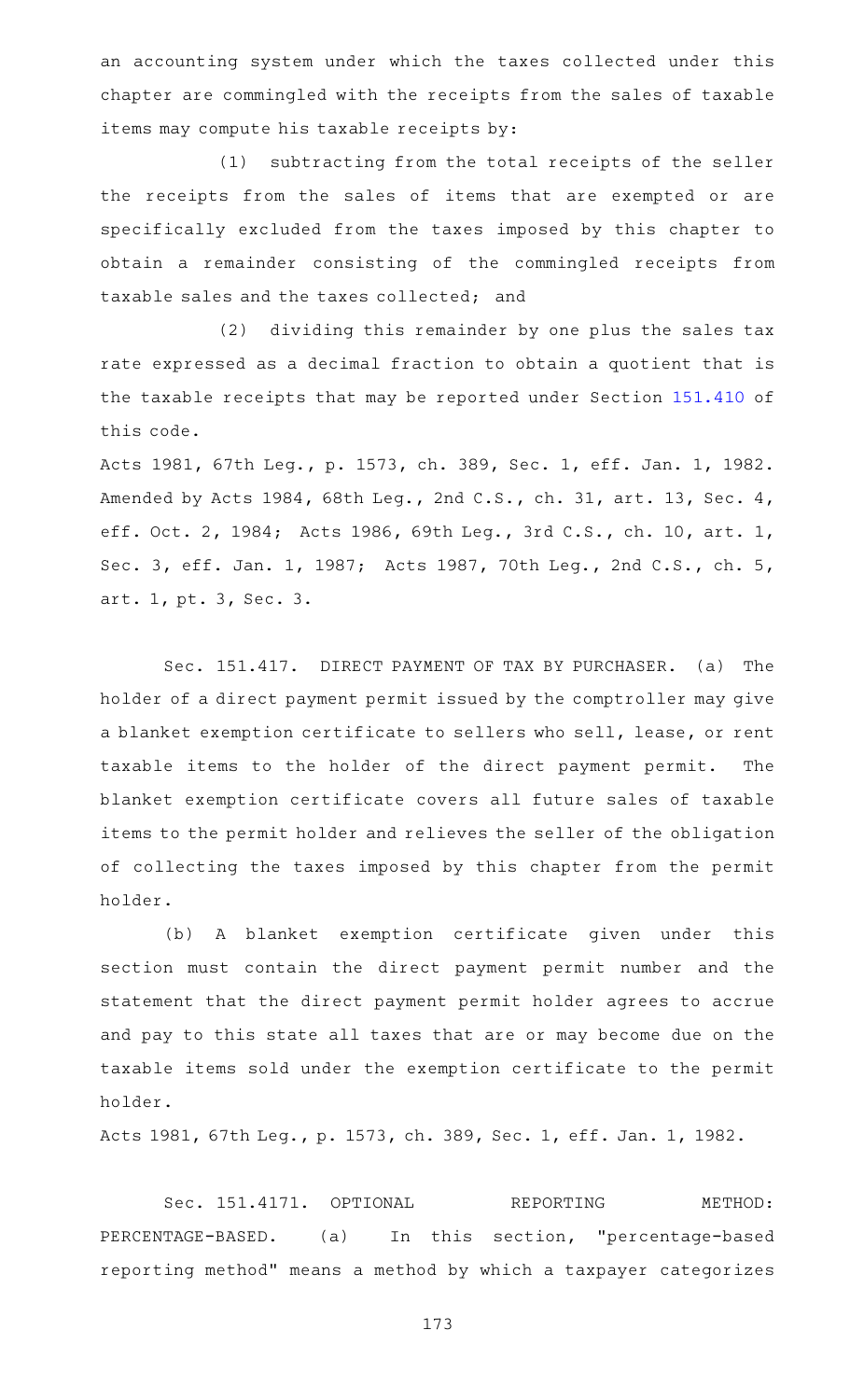an accounting system under which the taxes collected under this chapter are commingled with the receipts from the sales of taxable items may compute his taxable receipts by:

(1) subtracting from the total receipts of the seller the receipts from the sales of items that are exempted or are specifically excluded from the taxes imposed by this chapter to obtain a remainder consisting of the commingled receipts from taxable sales and the taxes collected; and

(2) dividing this remainder by one plus the sales tax rate expressed as a decimal fraction to obtain a quotient that is the taxable receipts that may be reported under Section [151.410](https://statutes.capitol.texas.gov/GetStatute.aspx?Code=TX&Value=151.410) of this code.

Acts 1981, 67th Leg., p. 1573, ch. 389, Sec. 1, eff. Jan. 1, 1982. Amended by Acts 1984, 68th Leg., 2nd C.S., ch. 31, art. 13, Sec. 4, eff. Oct. 2, 1984; Acts 1986, 69th Leg., 3rd C.S., ch. 10, art. 1, Sec. 3, eff. Jan. 1, 1987; Acts 1987, 70th Leg., 2nd C.S., ch. 5, art. 1, pt. 3, Sec. 3.

Sec. 151.417. DIRECT PAYMENT OF TAX BY PURCHASER. (a) The holder of a direct payment permit issued by the comptroller may give a blanket exemption certificate to sellers who sell, lease, or rent taxable items to the holder of the direct payment permit. The blanket exemption certificate covers all future sales of taxable items to the permit holder and relieves the seller of the obligation of collecting the taxes imposed by this chapter from the permit holder.

(b)AAA blanket exemption certificate given under this section must contain the direct payment permit number and the statement that the direct payment permit holder agrees to accrue and pay to this state all taxes that are or may become due on the taxable items sold under the exemption certificate to the permit holder.

Acts 1981, 67th Leg., p. 1573, ch. 389, Sec. 1, eff. Jan. 1, 1982.

Sec. 151.4171. OPTIONAL REPORTING METHOD: PERCENTAGE-BASED. (a) In this section, "percentage-based reporting method" means a method by which a taxpayer categorizes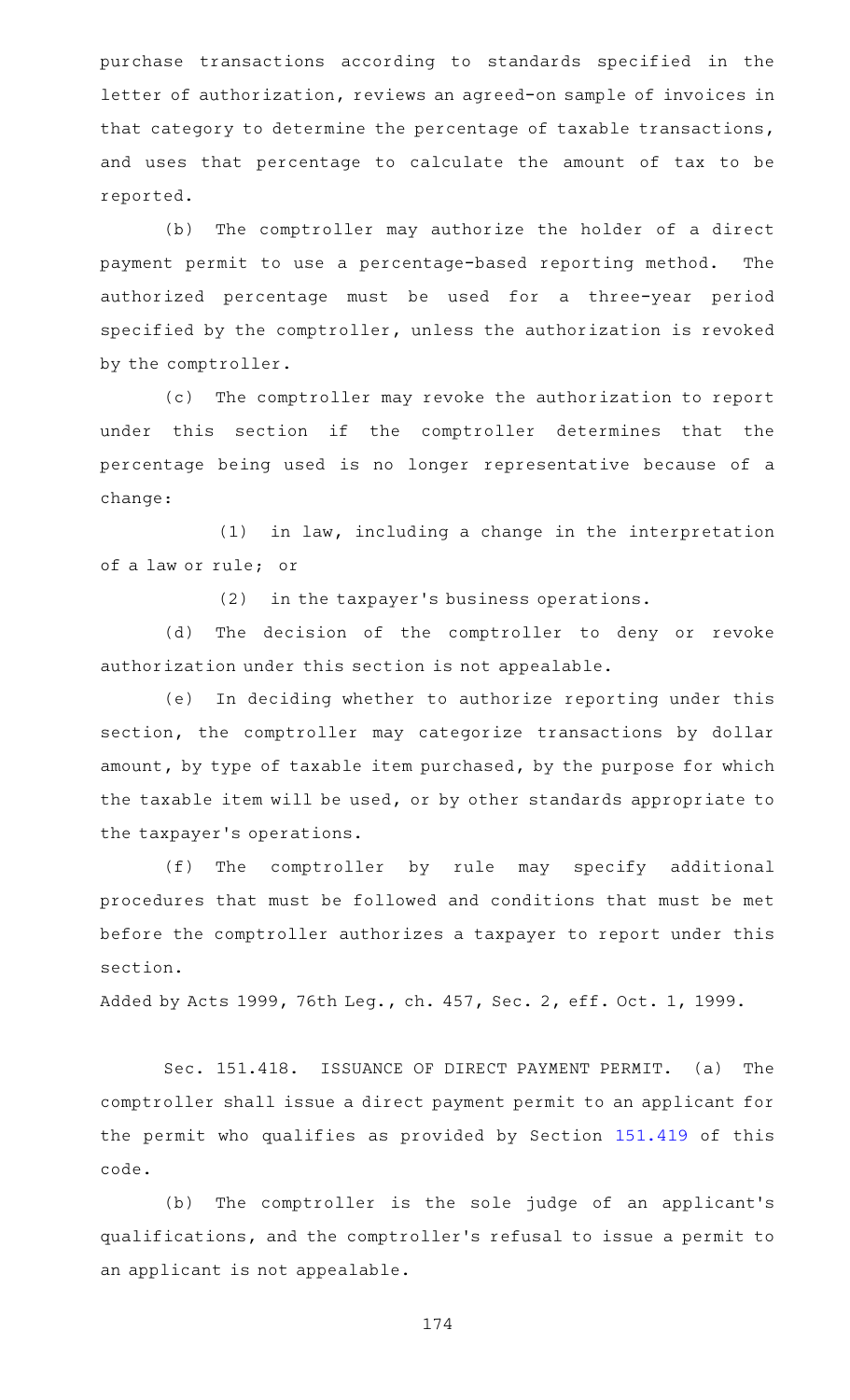purchase transactions according to standards specified in the letter of authorization, reviews an agreed-on sample of invoices in that category to determine the percentage of taxable transactions, and uses that percentage to calculate the amount of tax to be reported.

(b) The comptroller may authorize the holder of a direct payment permit to use a percentage-based reporting method. The authorized percentage must be used for a three-year period specified by the comptroller, unless the authorization is revoked by the comptroller.

(c) The comptroller may revoke the authorization to report under this section if the comptroller determines that the percentage being used is no longer representative because of a change:

 $(1)$  in law, including a change in the interpretation of a law or rule; or

(2) in the taxpayer's business operations.

(d) The decision of the comptroller to deny or revoke authorization under this section is not appealable.

(e) In deciding whether to authorize reporting under this section, the comptroller may categorize transactions by dollar amount, by type of taxable item purchased, by the purpose for which the taxable item will be used, or by other standards appropriate to the taxpayer 's operations.

(f) The comptroller by rule may specify additional procedures that must be followed and conditions that must be met before the comptroller authorizes a taxpayer to report under this section.

Added by Acts 1999, 76th Leg., ch. 457, Sec. 2, eff. Oct. 1, 1999.

Sec. 151.418. ISSUANCE OF DIRECT PAYMENT PERMIT. (a) The comptroller shall issue a direct payment permit to an applicant for the permit who qualifies as provided by Section [151.419](https://statutes.capitol.texas.gov/GetStatute.aspx?Code=TX&Value=151.419) of this code.

(b) The comptroller is the sole judge of an applicant's qualifications, and the comptroller 's refusal to issue a permit to an applicant is not appealable.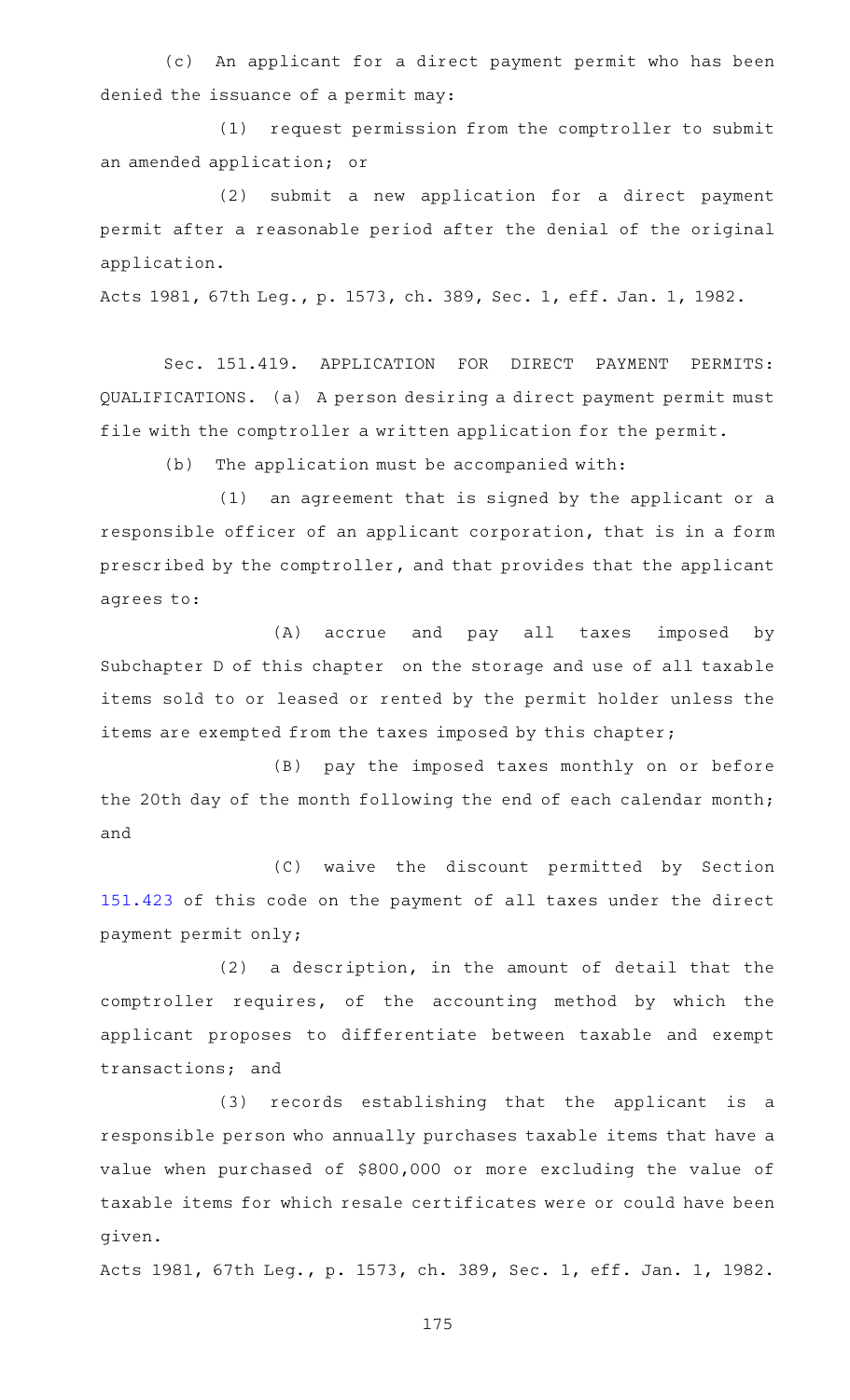(c) An applicant for a direct payment permit who has been denied the issuance of a permit may:

(1) request permission from the comptroller to submit an amended application; or

(2) submit a new application for a direct payment permit after a reasonable period after the denial of the original application.

Acts 1981, 67th Leg., p. 1573, ch. 389, Sec. 1, eff. Jan. 1, 1982.

Sec. 151.419. APPLICATION FOR DIRECT PAYMENT PERMITS: QUALIFICATIONS. (a) A person desiring a direct payment permit must file with the comptroller a written application for the permit.

(b) The application must be accompanied with:

 $(1)$  an agreement that is signed by the applicant or a responsible officer of an applicant corporation, that is in a form prescribed by the comptroller, and that provides that the applicant agrees to:

(A) accrue and pay all taxes imposed by Subchapter D of this chapter on the storage and use of all taxable items sold to or leased or rented by the permit holder unless the items are exempted from the taxes imposed by this chapter;

(B) pay the imposed taxes monthly on or before the 20th day of the month following the end of each calendar month; and

(C) waive the discount permitted by Section [151.423](https://statutes.capitol.texas.gov/GetStatute.aspx?Code=TX&Value=151.423) of this code on the payment of all taxes under the direct payment permit only;

 $(2)$  a description, in the amount of detail that the comptroller requires, of the accounting method by which the applicant proposes to differentiate between taxable and exempt transactions; and

(3) records establishing that the applicant is a responsible person who annually purchases taxable items that have a value when purchased of \$800,000 or more excluding the value of taxable items for which resale certificates were or could have been given.

Acts 1981, 67th Leg., p. 1573, ch. 389, Sec. 1, eff. Jan. 1, 1982.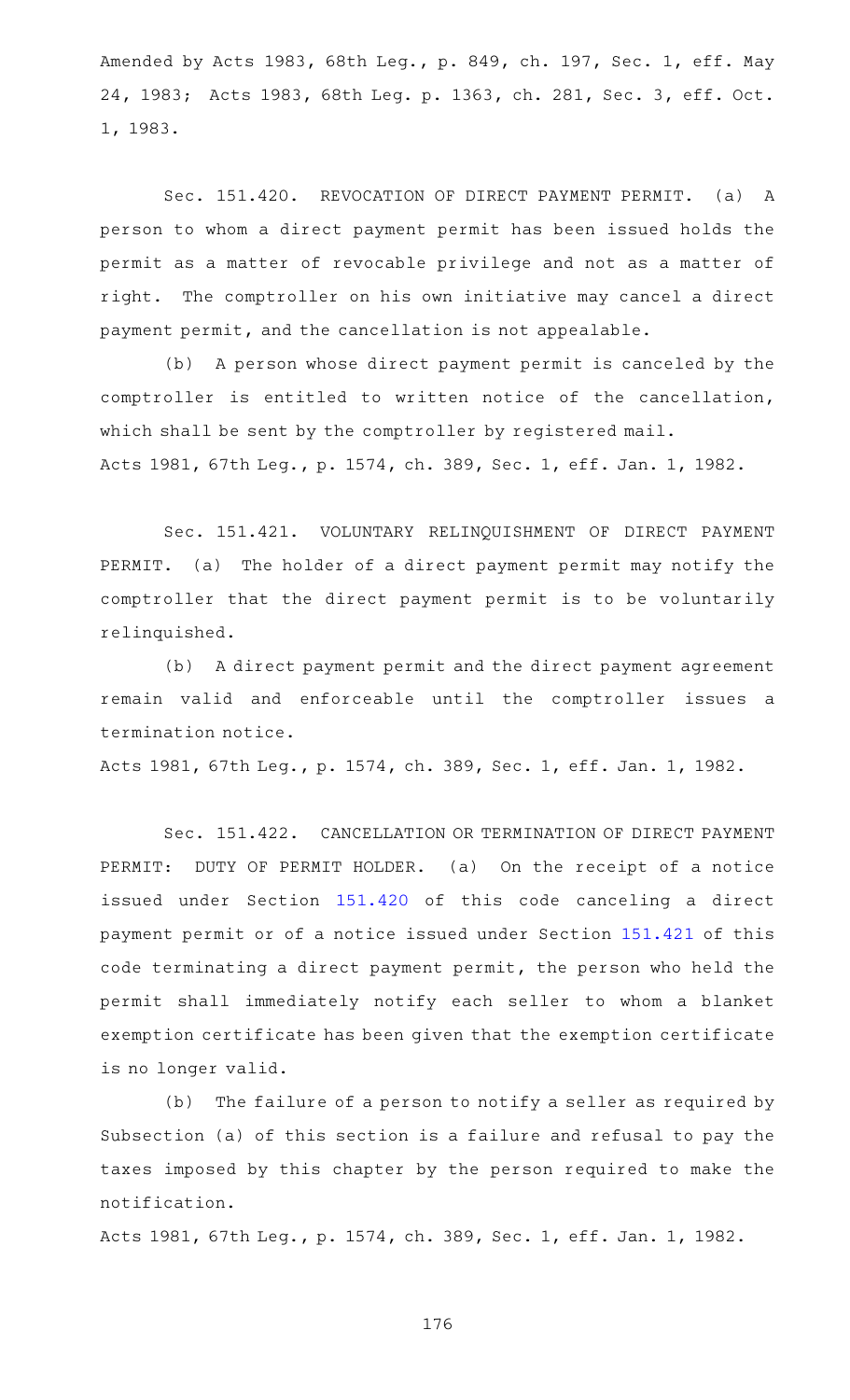Amended by Acts 1983, 68th Leg., p. 849, ch. 197, Sec. 1, eff. May 24, 1983; Acts 1983, 68th Leg. p. 1363, ch. 281, Sec. 3, eff. Oct. 1, 1983.

Sec. 151.420. REVOCATION OF DIRECT PAYMENT PERMIT. (a) A person to whom a direct payment permit has been issued holds the permit as a matter of revocable privilege and not as a matter of right. The comptroller on his own initiative may cancel a direct payment permit, and the cancellation is not appealable.

(b) A person whose direct payment permit is canceled by the comptroller is entitled to written notice of the cancellation, which shall be sent by the comptroller by registered mail. Acts 1981, 67th Leg., p. 1574, ch. 389, Sec. 1, eff. Jan. 1, 1982.

Sec. 151.421. VOLUNTARY RELINQUISHMENT OF DIRECT PAYMENT PERMIT. (a) The holder of a direct payment permit may notify the comptroller that the direct payment permit is to be voluntarily relinquished.

(b) A direct payment permit and the direct payment agreement remain valid and enforceable until the comptroller issues a termination notice.

Acts 1981, 67th Leg., p. 1574, ch. 389, Sec. 1, eff. Jan. 1, 1982.

Sec. 151.422. CANCELLATION OR TERMINATION OF DIRECT PAYMENT PERMIT: DUTY OF PERMIT HOLDER. (a) On the receipt of a notice issued under Section [151.420](https://statutes.capitol.texas.gov/GetStatute.aspx?Code=TX&Value=151.420) of this code canceling a direct payment permit or of a notice issued under Section [151.421](https://statutes.capitol.texas.gov/GetStatute.aspx?Code=TX&Value=151.421) of this code terminating a direct payment permit, the person who held the permit shall immediately notify each seller to whom a blanket exemption certificate has been given that the exemption certificate is no longer valid.

(b) The failure of a person to notify a seller as required by Subsection (a) of this section is a failure and refusal to pay the taxes imposed by this chapter by the person required to make the notification.

Acts 1981, 67th Leg., p. 1574, ch. 389, Sec. 1, eff. Jan. 1, 1982.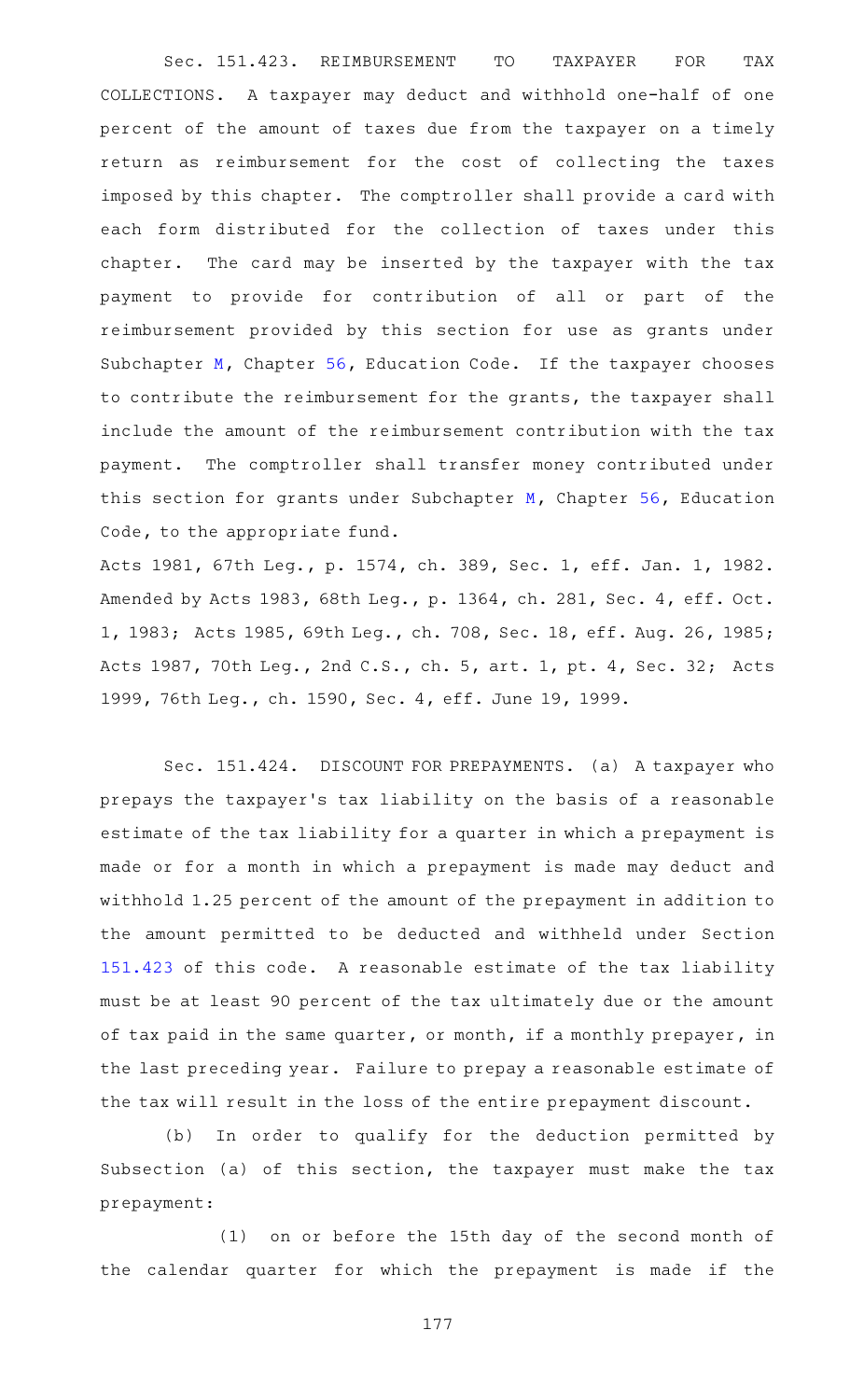Sec. 151.423. REIMBURSEMENT TO TAXPAYER FOR TAX COLLECTIONS. A taxpayer may deduct and withhold one-half of one percent of the amount of taxes due from the taxpayer on a timely return as reimbursement for the cost of collecting the taxes imposed by this chapter. The comptroller shall provide a card with each form distributed for the collection of taxes under this chapter. The card may be inserted by the taxpayer with the tax payment to provide for contribution of all or part of the reimbursement provided by this section for use as grants under Subchapter [M](https://statutes.capitol.texas.gov/GetStatute.aspx?Code=ED&Value=56.301), Chapter [56,](https://statutes.capitol.texas.gov/GetStatute.aspx?Code=ED&Value=56) Education Code. If the taxpayer chooses to contribute the reimbursement for the grants, the taxpayer shall include the amount of the reimbursement contribution with the tax payment. The comptroller shall transfer money contributed under this section for grants under Subchapter [M,](https://statutes.capitol.texas.gov/GetStatute.aspx?Code=ED&Value=56.301) Chapter [56](https://statutes.capitol.texas.gov/GetStatute.aspx?Code=ED&Value=56), Education Code, to the appropriate fund.

Acts 1981, 67th Leg., p. 1574, ch. 389, Sec. 1, eff. Jan. 1, 1982. Amended by Acts 1983, 68th Leg., p. 1364, ch. 281, Sec. 4, eff. Oct. 1, 1983; Acts 1985, 69th Leg., ch. 708, Sec. 18, eff. Aug. 26, 1985; Acts 1987, 70th Leg., 2nd C.S., ch. 5, art. 1, pt. 4, Sec. 32; Acts 1999, 76th Leg., ch. 1590, Sec. 4, eff. June 19, 1999.

Sec. 151.424. DISCOUNT FOR PREPAYMENTS. (a) A taxpayer who prepays the taxpayer 's tax liability on the basis of a reasonable estimate of the tax liability for a quarter in which a prepayment is made or for a month in which a prepayment is made may deduct and withhold 1.25 percent of the amount of the prepayment in addition to the amount permitted to be deducted and withheld under Section [151.423](https://statutes.capitol.texas.gov/GetStatute.aspx?Code=TX&Value=151.423) of this code. A reasonable estimate of the tax liability must be at least 90 percent of the tax ultimately due or the amount of tax paid in the same quarter, or month, if a monthly prepayer, in the last preceding year. Failure to prepay a reasonable estimate of the tax will result in the loss of the entire prepayment discount.

(b) In order to qualify for the deduction permitted by Subsection (a) of this section, the taxpayer must make the tax prepayment:

(1) on or before the 15th day of the second month of the calendar quarter for which the prepayment is made if the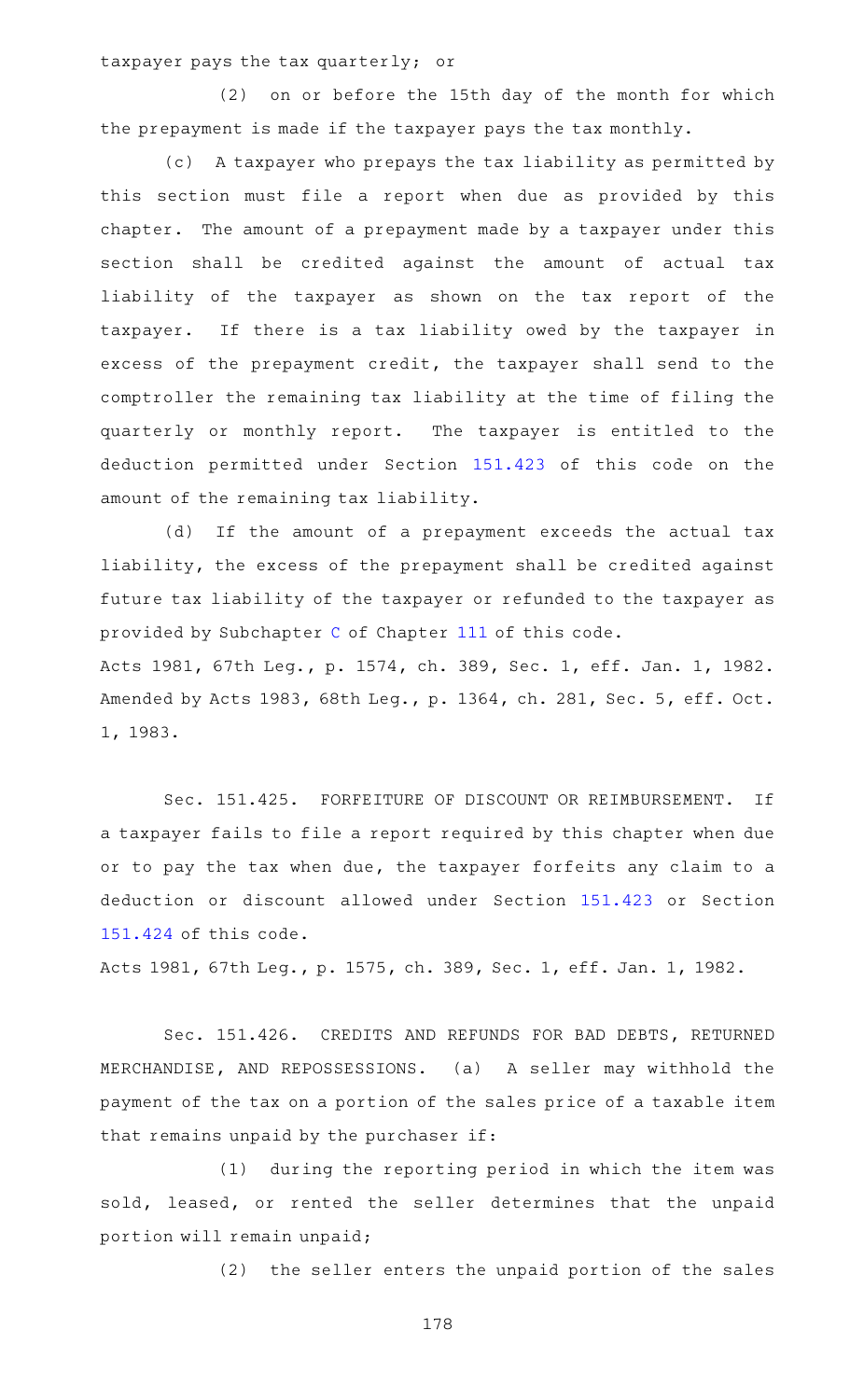taxpayer pays the tax quarterly; or

(2) on or before the 15th day of the month for which the prepayment is made if the taxpayer pays the tax monthly.

(c) A taxpayer who prepays the tax liability as permitted by this section must file a report when due as provided by this chapter. The amount of a prepayment made by a taxpayer under this section shall be credited against the amount of actual tax liability of the taxpayer as shown on the tax report of the taxpayer. If there is a tax liability owed by the taxpayer in excess of the prepayment credit, the taxpayer shall send to the comptroller the remaining tax liability at the time of filing the quarterly or monthly report. The taxpayer is entitled to the deduction permitted under Section [151.423](https://statutes.capitol.texas.gov/GetStatute.aspx?Code=TX&Value=151.423) of this code on the amount of the remaining tax liability.

(d) If the amount of a prepayment exceeds the actual tax liability, the excess of the prepayment shall be credited against future tax liability of the taxpayer or refunded to the taxpayer as provided by Subchapter [C](https://statutes.capitol.texas.gov/GetStatute.aspx?Code=TX&Value=111.101) of Chapter [111](https://statutes.capitol.texas.gov/GetStatute.aspx?Code=TX&Value=111) of this code. Acts 1981, 67th Leg., p. 1574, ch. 389, Sec. 1, eff. Jan. 1, 1982.

Amended by Acts 1983, 68th Leg., p. 1364, ch. 281, Sec. 5, eff. Oct. 1, 1983.

Sec. 151.425. FORFEITURE OF DISCOUNT OR REIMBURSEMENT. If a taxpayer fails to file a report required by this chapter when due or to pay the tax when due, the taxpayer forfeits any claim to a deduction or discount allowed under Section [151.423](https://statutes.capitol.texas.gov/GetStatute.aspx?Code=TX&Value=151.423) or Section [151.424](https://statutes.capitol.texas.gov/GetStatute.aspx?Code=TX&Value=151.424) of this code.

Acts 1981, 67th Leg., p. 1575, ch. 389, Sec. 1, eff. Jan. 1, 1982.

Sec. 151.426. CREDITS AND REFUNDS FOR BAD DEBTS, RETURNED MERCHANDISE, AND REPOSSESSIONS. (a) A seller may withhold the payment of the tax on a portion of the sales price of a taxable item that remains unpaid by the purchaser if:

(1) during the reporting period in which the item was sold, leased, or rented the seller determines that the unpaid portion will remain unpaid;

(2) the seller enters the unpaid portion of the sales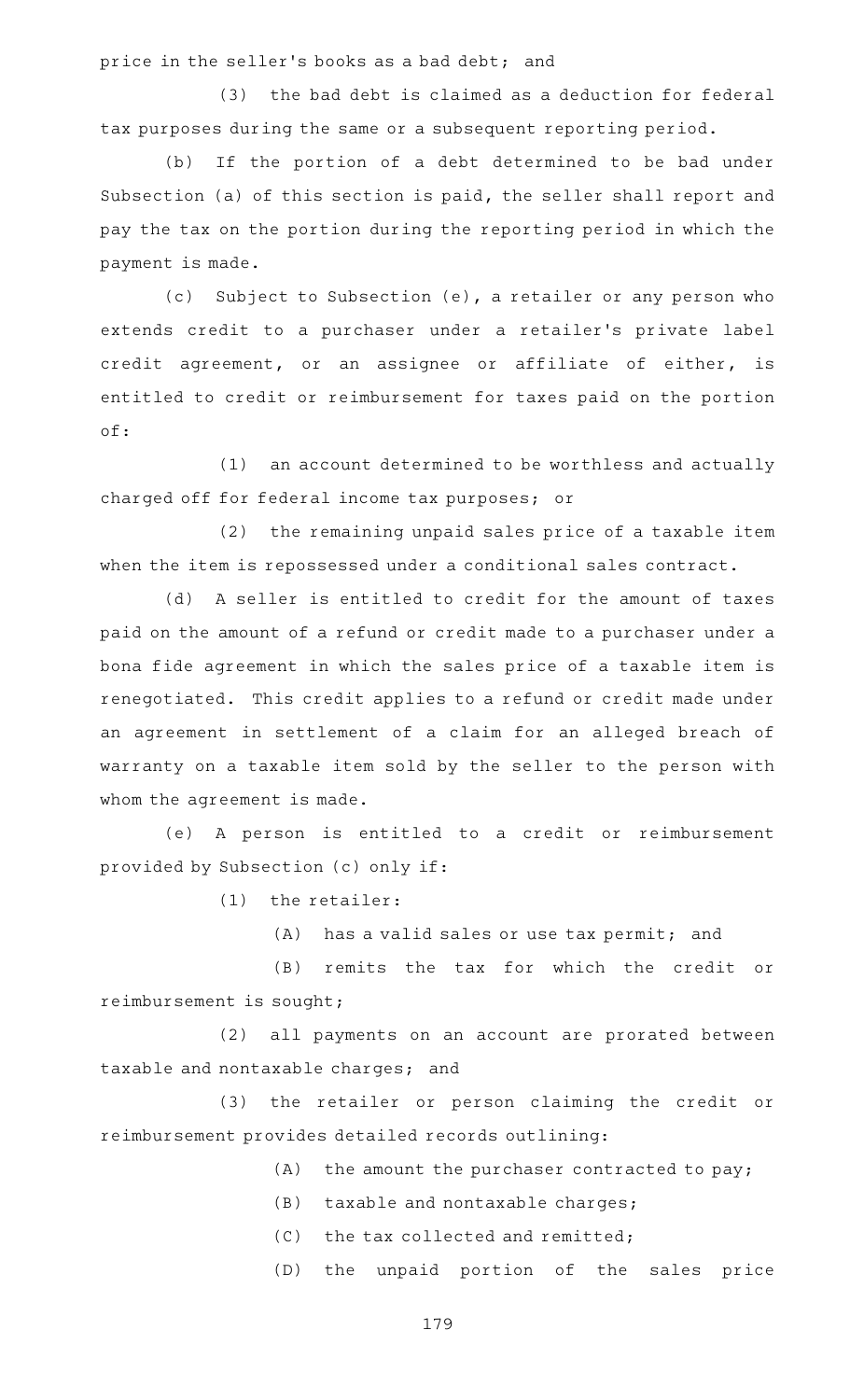price in the seller 's books as a bad debt; and

(3) the bad debt is claimed as a deduction for federal tax purposes during the same or a subsequent reporting period.

(b) If the portion of a debt determined to be bad under Subsection (a) of this section is paid, the seller shall report and pay the tax on the portion during the reporting period in which the payment is made.

(c) Subject to Subsection (e), a retailer or any person who extends credit to a purchaser under a retailer's private label credit agreement, or an assignee or affiliate of either, is entitled to credit or reimbursement for taxes paid on the portion of:

(1) an account determined to be worthless and actually charged off for federal income tax purposes; or

 $(2)$  the remaining unpaid sales price of a taxable item when the item is repossessed under a conditional sales contract.

(d) A seller is entitled to credit for the amount of taxes paid on the amount of a refund or credit made to a purchaser under a bona fide agreement in which the sales price of a taxable item is renegotiated. This credit applies to a refund or credit made under an agreement in settlement of a claim for an alleged breach of warranty on a taxable item sold by the seller to the person with whom the agreement is made.

(e)AAA person is entitled to a credit or reimbursement provided by Subsection (c) only if:

 $(1)$  the retailer:

 $(A)$  has a valid sales or use tax permit; and

(B) remits the tax for which the credit or reimbursement is sought;

(2) all payments on an account are prorated between taxable and nontaxable charges; and

(3) the retailer or person claiming the credit or reimbursement provides detailed records outlining:

 $(A)$  the amount the purchaser contracted to pay;

- $(B)$  taxable and nontaxable charges;
- $(C)$  the tax collected and remitted;

(D) the unpaid portion of the sales price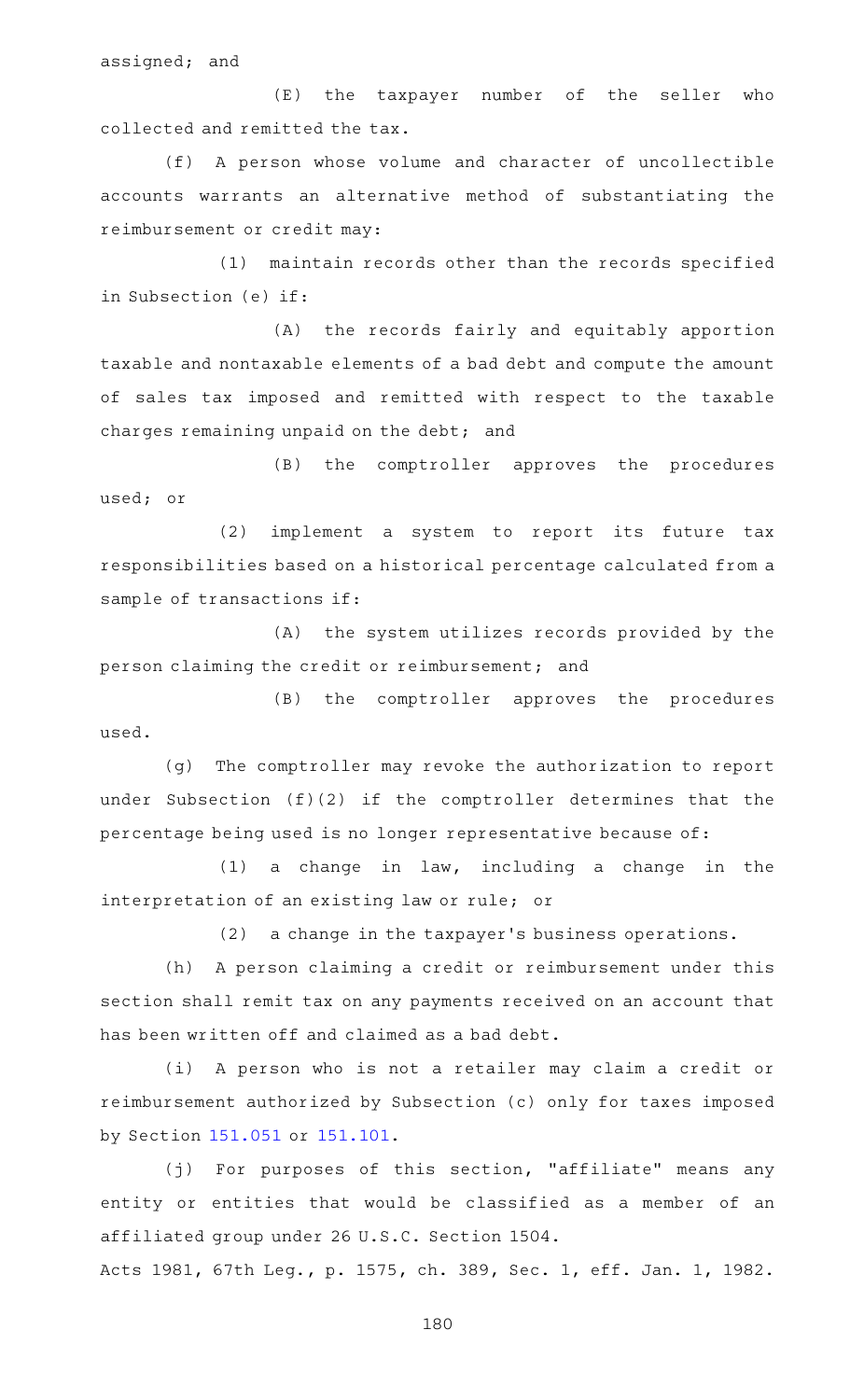assigned; and

(E) the taxpayer number of the seller who collected and remitted the tax.

(f) A person whose volume and character of uncollectible accounts warrants an alternative method of substantiating the reimbursement or credit may:

(1) maintain records other than the records specified in Subsection (e) if:

(A) the records fairly and equitably apportion taxable and nontaxable elements of a bad debt and compute the amount of sales tax imposed and remitted with respect to the taxable charges remaining unpaid on the debt; and

(B) the comptroller approves the procedures used; or

(2) implement a system to report its future tax responsibilities based on a historical percentage calculated from a sample of transactions if:

(A) the system utilizes records provided by the person claiming the credit or reimbursement; and

(B) the comptroller approves the procedures used.

(g) The comptroller may revoke the authorization to report under Subsection (f)(2) if the comptroller determines that the percentage being used is no longer representative because of:

 $(1)$  a change in law, including a change in the interpretation of an existing law or rule; or

 $(2)$  a change in the taxpayer's business operations.

(h) A person claiming a credit or reimbursement under this section shall remit tax on any payments received on an account that has been written off and claimed as a bad debt.

(i) A person who is not a retailer may claim a credit or reimbursement authorized by Subsection (c) only for taxes imposed by Section [151.051](https://statutes.capitol.texas.gov/GetStatute.aspx?Code=TX&Value=151.051) or [151.101.](https://statutes.capitol.texas.gov/GetStatute.aspx?Code=TX&Value=151.101)

(j) For purposes of this section, "affiliate" means any entity or entities that would be classified as a member of an affiliated group under 26 U.S.C. Section 1504.

Acts 1981, 67th Leg., p. 1575, ch. 389, Sec. 1, eff. Jan. 1, 1982.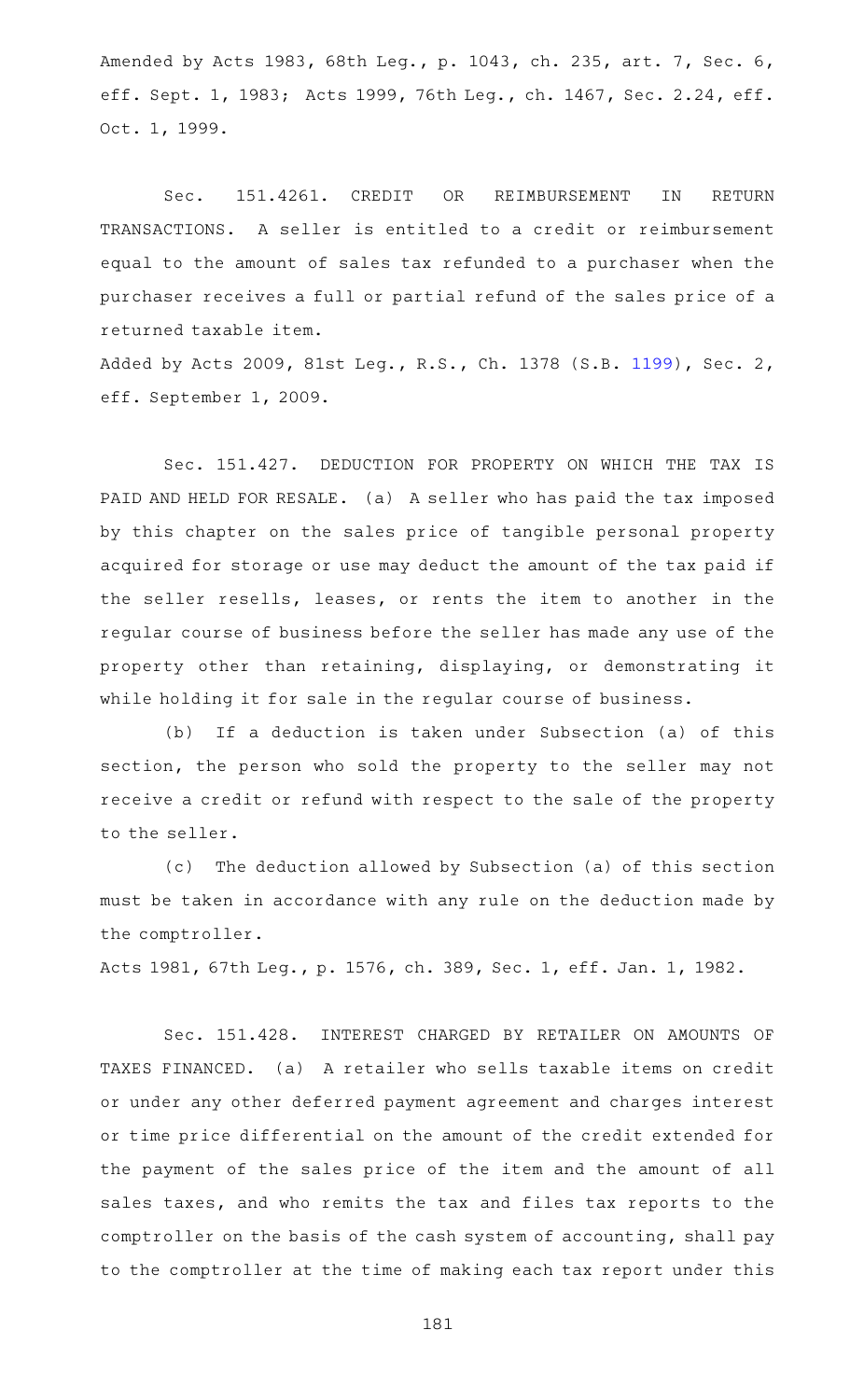Amended by Acts 1983, 68th Leg., p. 1043, ch. 235, art. 7, Sec. 6, eff. Sept. 1, 1983; Acts 1999, 76th Leg., ch. 1467, Sec. 2.24, eff. Oct. 1, 1999.

Sec. 151.4261. CREDIT OR REIMBURSEMENT IN RETURN TRANSACTIONS. A seller is entitled to a credit or reimbursement equal to the amount of sales tax refunded to a purchaser when the purchaser receives a full or partial refund of the sales price of a returned taxable item.

Added by Acts 2009, 81st Leg., R.S., Ch. 1378 (S.B. [1199\)](http://www.legis.state.tx.us/tlodocs/81R/billtext/html/SB01199F.HTM), Sec. 2, eff. September 1, 2009.

Sec. 151.427. DEDUCTION FOR PROPERTY ON WHICH THE TAX IS PAID AND HELD FOR RESALE. (a) A seller who has paid the tax imposed by this chapter on the sales price of tangible personal property acquired for storage or use may deduct the amount of the tax paid if the seller resells, leases, or rents the item to another in the regular course of business before the seller has made any use of the property other than retaining, displaying, or demonstrating it while holding it for sale in the regular course of business.

(b) If a deduction is taken under Subsection (a) of this section, the person who sold the property to the seller may not receive a credit or refund with respect to the sale of the property to the seller.

(c) The deduction allowed by Subsection (a) of this section must be taken in accordance with any rule on the deduction made by the comptroller.

Acts 1981, 67th Leg., p. 1576, ch. 389, Sec. 1, eff. Jan. 1, 1982.

Sec. 151.428. INTEREST CHARGED BY RETAILER ON AMOUNTS OF TAXES FINANCED. (a) A retailer who sells taxable items on credit or under any other deferred payment agreement and charges interest or time price differential on the amount of the credit extended for the payment of the sales price of the item and the amount of all sales taxes, and who remits the tax and files tax reports to the comptroller on the basis of the cash system of accounting, shall pay to the comptroller at the time of making each tax report under this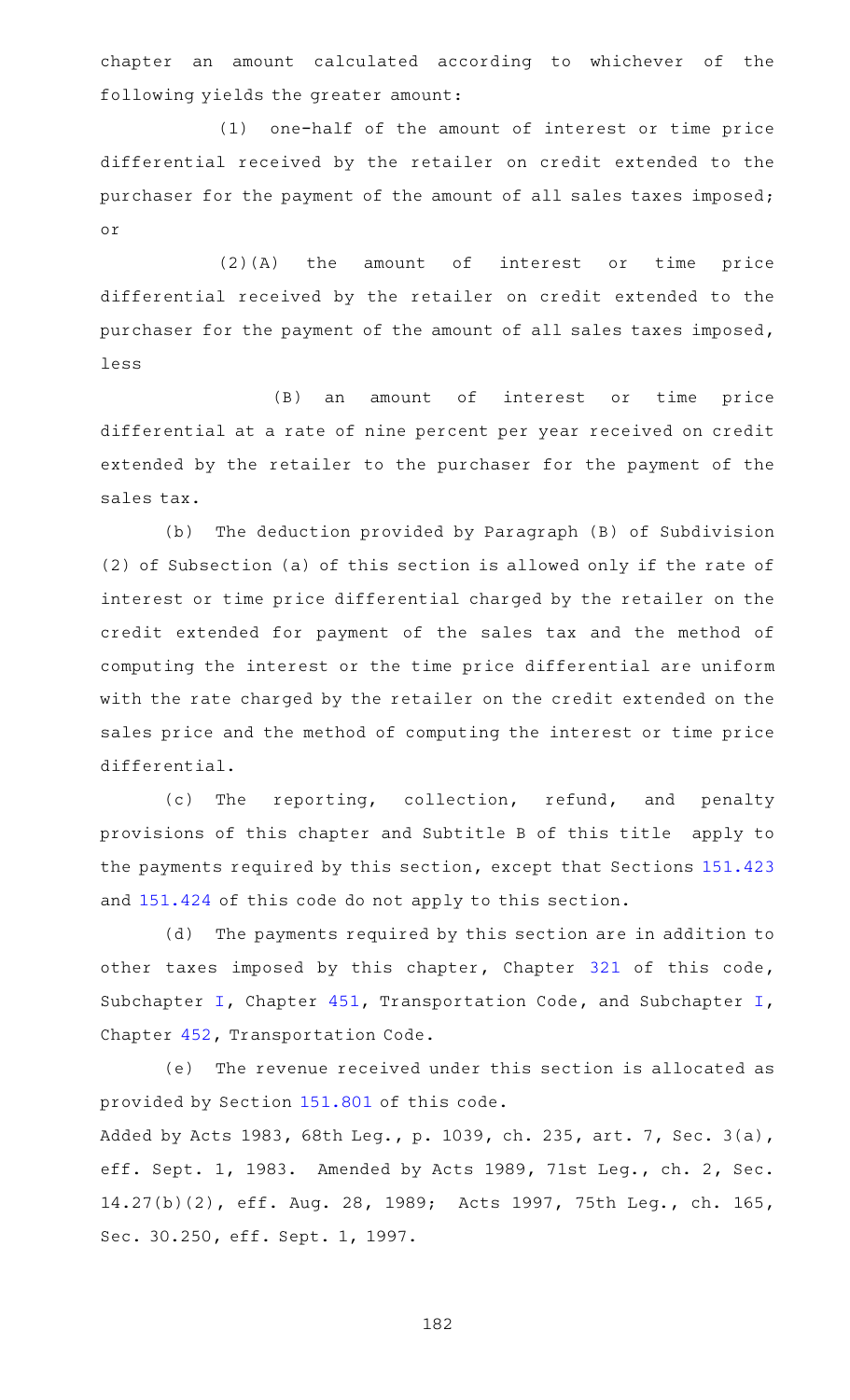chapter an amount calculated according to whichever of the following yields the greater amount:

(1) one-half of the amount of interest or time price differential received by the retailer on credit extended to the purchaser for the payment of the amount of all sales taxes imposed; or

(2)(A) the amount of interest or time price differential received by the retailer on credit extended to the purchaser for the payment of the amount of all sales taxes imposed, less

(B) an amount of interest or time price differential at a rate of nine percent per year received on credit extended by the retailer to the purchaser for the payment of the sales tax.

(b) The deduction provided by Paragraph (B) of Subdivision (2) of Subsection (a) of this section is allowed only if the rate of interest or time price differential charged by the retailer on the credit extended for payment of the sales tax and the method of computing the interest or the time price differential are uniform with the rate charged by the retailer on the credit extended on the sales price and the method of computing the interest or time price differential.

(c) The reporting, collection, refund, and penalty provisions of this chapter and Subtitle B of this title apply to the payments required by this section, except that Sections [151.423](https://statutes.capitol.texas.gov/GetStatute.aspx?Code=TX&Value=151.423) and [151.424](https://statutes.capitol.texas.gov/GetStatute.aspx?Code=TX&Value=151.424) of this code do not apply to this section.

(d) The payments required by this section are in addition to other taxes imposed by this chapter, Chapter [321](https://statutes.capitol.texas.gov/GetStatute.aspx?Code=TX&Value=321) of this code, Subchapter [I,](https://statutes.capitol.texas.gov/GetStatute.aspx?Code=TN&Value=451.401) Chapter [451,](https://statutes.capitol.texas.gov/GetStatute.aspx?Code=TN&Value=451) Transportation Code, and Subchapter [I](https://statutes.capitol.texas.gov/GetStatute.aspx?Code=TN&Value=451.401), Chapter [452,](https://statutes.capitol.texas.gov/GetStatute.aspx?Code=TN&Value=452) Transportation Code.

(e) The revenue received under this section is allocated as provided by Section [151.801](https://statutes.capitol.texas.gov/GetStatute.aspx?Code=TX&Value=151.801) of this code.

Added by Acts 1983, 68th Leg., p. 1039, ch. 235, art. 7, Sec. 3(a), eff. Sept. 1, 1983. Amended by Acts 1989, 71st Leg., ch. 2, Sec. 14.27(b)(2), eff. Aug. 28, 1989; Acts 1997, 75th Leg., ch. 165, Sec. 30.250, eff. Sept. 1, 1997.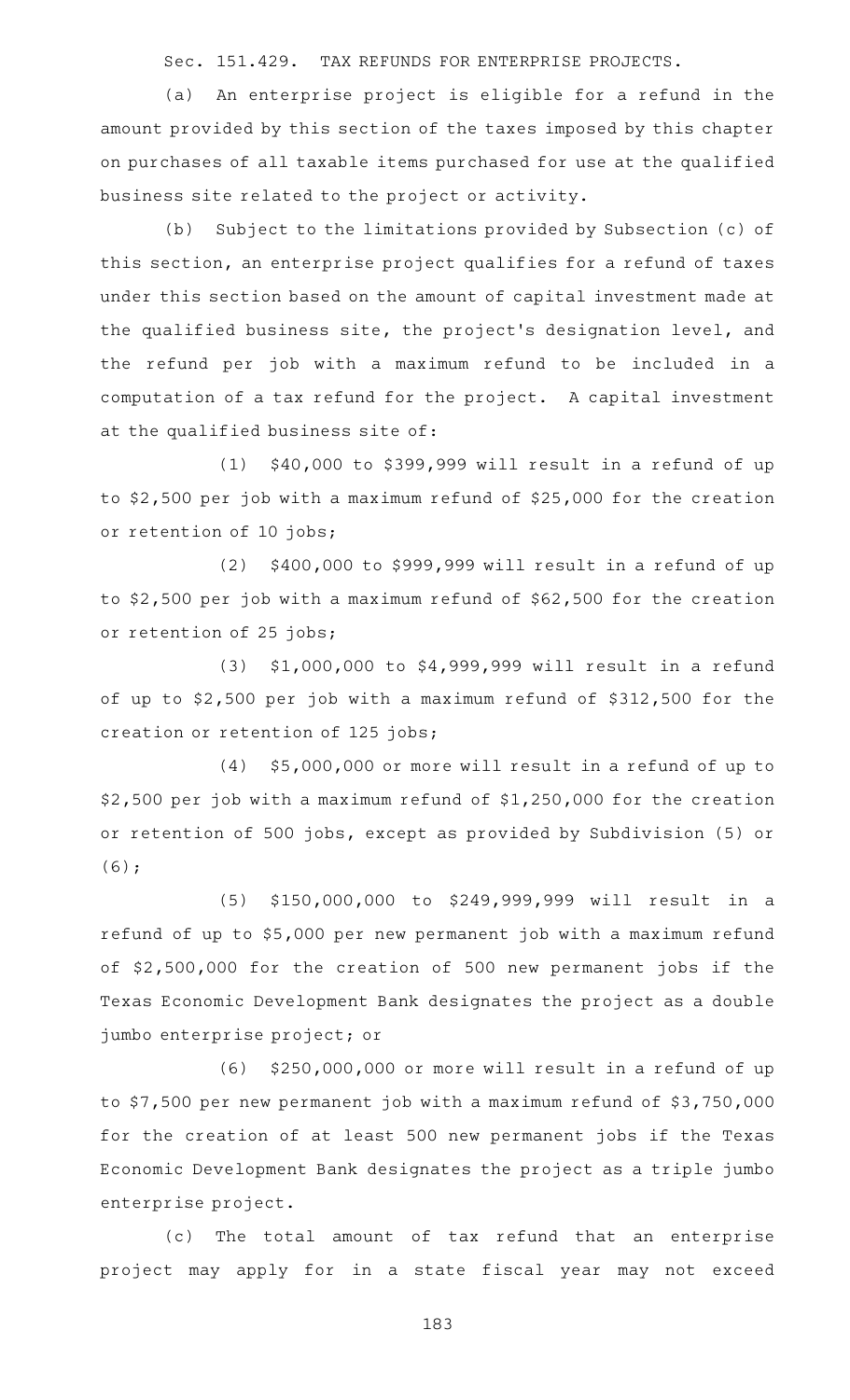Sec. 151.429. TAX REFUNDS FOR ENTERPRISE PROJECTS.

(a) An enterprise project is eligible for a refund in the amount provided by this section of the taxes imposed by this chapter on purchases of all taxable items purchased for use at the qualified business site related to the project or activity.

(b) Subject to the limitations provided by Subsection (c) of this section, an enterprise project qualifies for a refund of taxes under this section based on the amount of capital investment made at the qualified business site, the project 's designation level, and the refund per job with a maximum refund to be included in a computation of a tax refund for the project. A capital investment at the qualified business site of:

 $(1)$  \$40,000 to \$399,999 will result in a refund of up to \$2,500 per job with a maximum refund of \$25,000 for the creation or retention of 10 jobs;

 $(2)$  \$400,000 to \$999,999 will result in a refund of up to \$2,500 per job with a maximum refund of \$62,500 for the creation or retention of 25 jobs;

(3) \$1,000,000 to \$4,999,999 will result in a refund of up to \$2,500 per job with a maximum refund of \$312,500 for the creation or retention of 125 jobs;

(4) \$5,000,000 or more will result in a refund of up to \$2,500 per job with a maximum refund of \$1,250,000 for the creation or retention of 500 jobs, except as provided by Subdivision (5) or (6);

(5) \$150,000,000 to \$249,999,999 will result in a refund of up to \$5,000 per new permanent job with a maximum refund of \$2,500,000 for the creation of 500 new permanent jobs if the Texas Economic Development Bank designates the project as a double jumbo enterprise project; or

 $(6)$  \$250,000,000 or more will result in a refund of up to \$7,500 per new permanent job with a maximum refund of \$3,750,000 for the creation of at least 500 new permanent jobs if the Texas Economic Development Bank designates the project as a triple jumbo enterprise project.

(c) The total amount of tax refund that an enterprise project may apply for in a state fiscal year may not exceed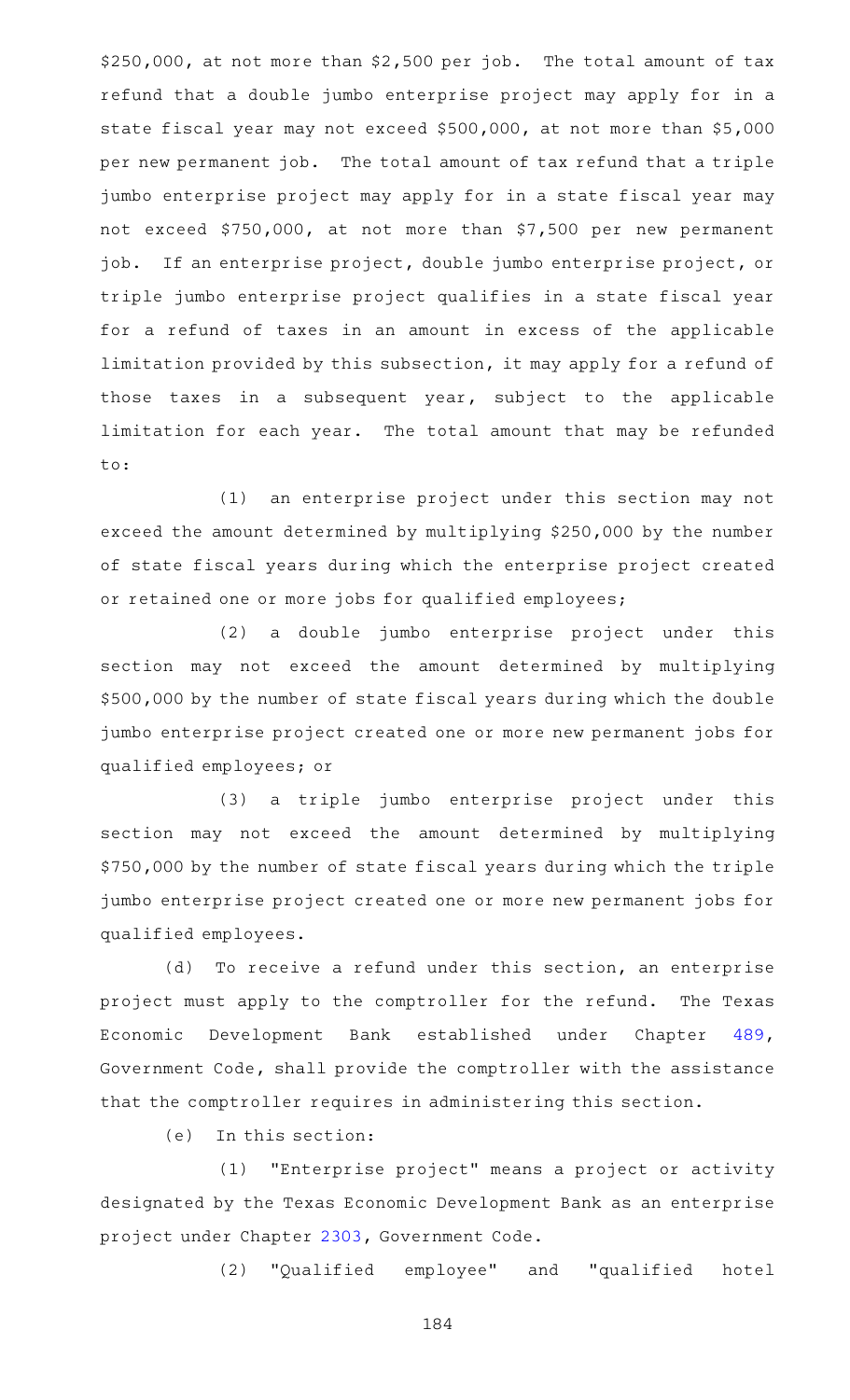$$250,000$ , at not more than  $$2,500$  per job. The total amount of tax refund that a double jumbo enterprise project may apply for in a state fiscal year may not exceed \$500,000, at not more than \$5,000 per new permanent job. The total amount of tax refund that a triple jumbo enterprise project may apply for in a state fiscal year may not exceed \$750,000, at not more than \$7,500 per new permanent job. If an enterprise project, double jumbo enterprise project, or triple jumbo enterprise project qualifies in a state fiscal year for a refund of taxes in an amount in excess of the applicable limitation provided by this subsection, it may apply for a refund of those taxes in a subsequent year, subject to the applicable limitation for each year. The total amount that may be refunded to:

(1) an enterprise project under this section may not exceed the amount determined by multiplying \$250,000 by the number of state fiscal years during which the enterprise project created or retained one or more jobs for qualified employees;

(2) a double jumbo enterprise project under this section may not exceed the amount determined by multiplying \$500,000 by the number of state fiscal years during which the double jumbo enterprise project created one or more new permanent jobs for qualified employees; or

(3) a triple jumbo enterprise project under this section may not exceed the amount determined by multiplying \$750,000 by the number of state fiscal years during which the triple jumbo enterprise project created one or more new permanent jobs for qualified employees.

(d) To receive a refund under this section, an enterprise project must apply to the comptroller for the refund. The Texas Economic Development Bank established under Chapter [489](https://statutes.capitol.texas.gov/GetStatute.aspx?Code=GV&Value=489), Government Code, shall provide the comptroller with the assistance that the comptroller requires in administering this section.

(e) In this section:

(1) "Enterprise project" means a project or activity designated by the Texas Economic Development Bank as an enterprise project under Chapter [2303,](https://statutes.capitol.texas.gov/GetStatute.aspx?Code=GV&Value=2303) Government Code.

(2) "Qualified employee" and "qualified hotel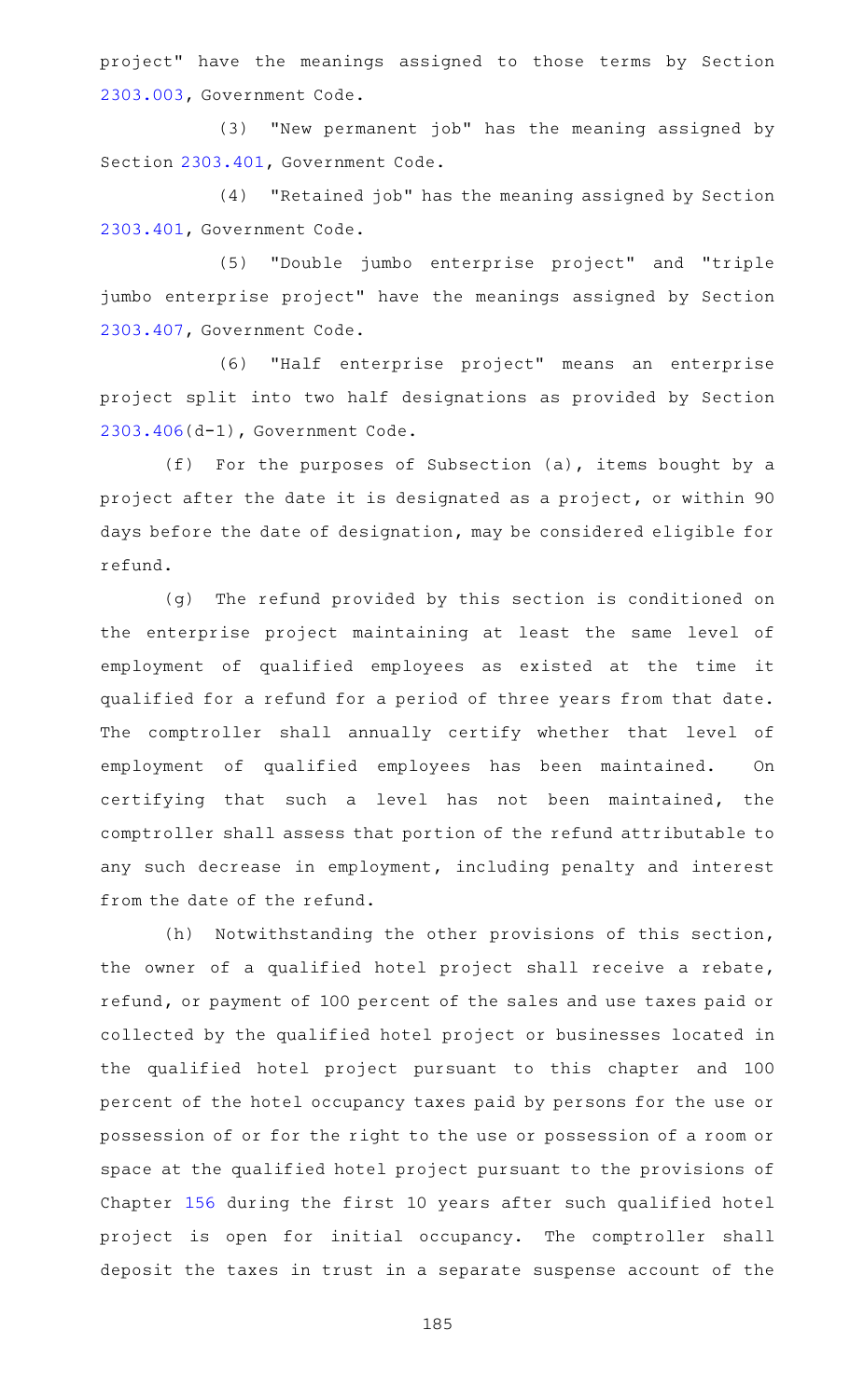project" have the meanings assigned to those terms by Section [2303.003](https://statutes.capitol.texas.gov/GetStatute.aspx?Code=GV&Value=2303.003), Government Code.

(3) "New permanent job" has the meaning assigned by Section [2303.401](https://statutes.capitol.texas.gov/GetStatute.aspx?Code=GV&Value=2303.401), Government Code.

(4) "Retained job" has the meaning assigned by Section [2303.401](https://statutes.capitol.texas.gov/GetStatute.aspx?Code=GV&Value=2303.401), Government Code.

(5) "Double jumbo enterprise project" and "triple jumbo enterprise project" have the meanings assigned by Section [2303.407](https://statutes.capitol.texas.gov/GetStatute.aspx?Code=GV&Value=2303.407), Government Code.

(6) "Half enterprise project" means an enterprise project split into two half designations as provided by Section [2303.406](https://statutes.capitol.texas.gov/GetStatute.aspx?Code=GV&Value=2303.406)(d-1), Government Code.

(f) For the purposes of Subsection (a), items bought by a project after the date it is designated as a project, or within 90 days before the date of designation, may be considered eligible for refund.

(g) The refund provided by this section is conditioned on the enterprise project maintaining at least the same level of employment of qualified employees as existed at the time it qualified for a refund for a period of three years from that date. The comptroller shall annually certify whether that level of employment of qualified employees has been maintained. On certifying that such a level has not been maintained, the comptroller shall assess that portion of the refund attributable to any such decrease in employment, including penalty and interest from the date of the refund.

(h) Notwithstanding the other provisions of this section, the owner of a qualified hotel project shall receive a rebate, refund, or payment of 100 percent of the sales and use taxes paid or collected by the qualified hotel project or businesses located in the qualified hotel project pursuant to this chapter and 100 percent of the hotel occupancy taxes paid by persons for the use or possession of or for the right to the use or possession of a room or space at the qualified hotel project pursuant to the provisions of Chapter [156](https://statutes.capitol.texas.gov/GetStatute.aspx?Code=TX&Value=156) during the first 10 years after such qualified hotel project is open for initial occupancy. The comptroller shall deposit the taxes in trust in a separate suspense account of the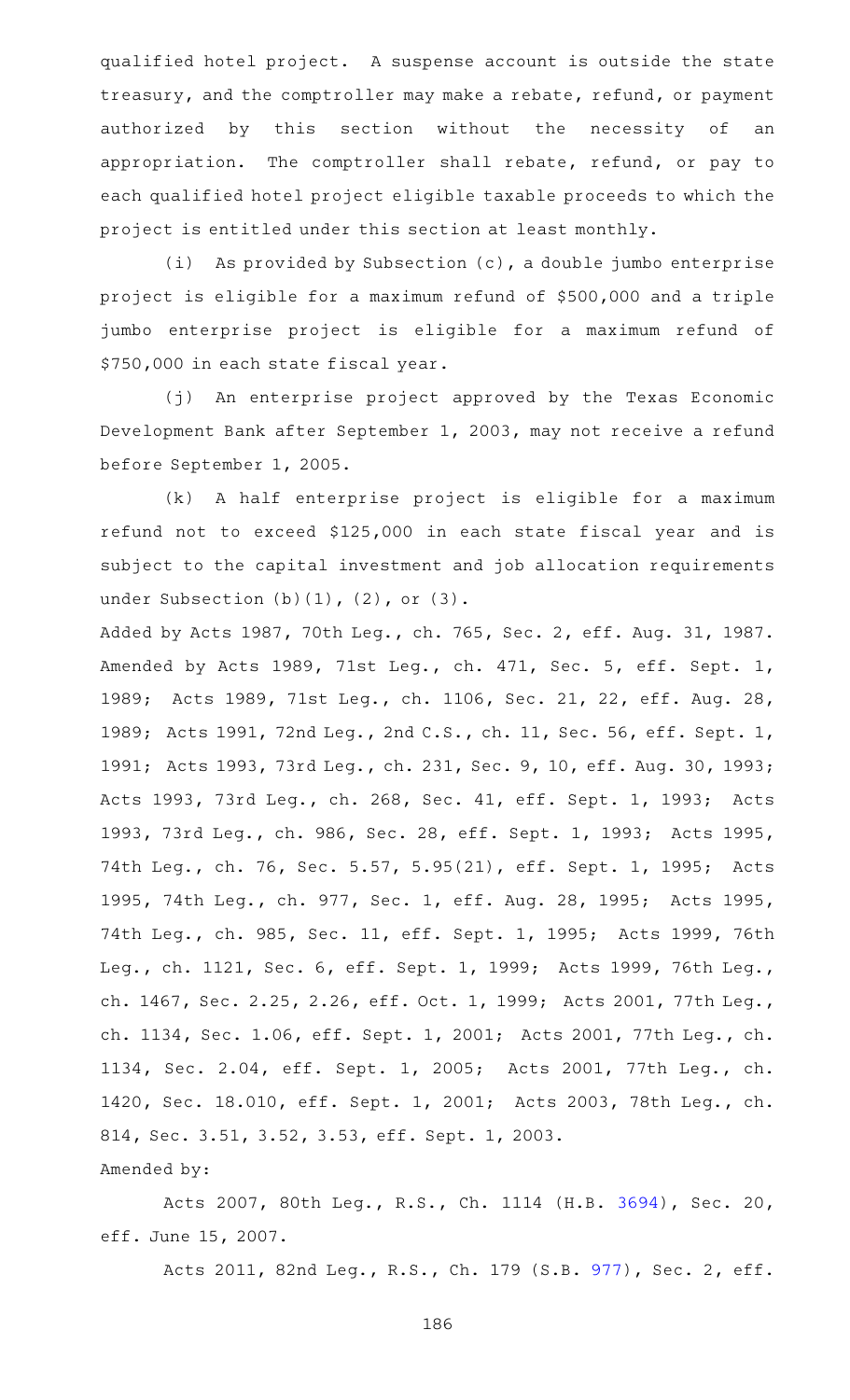qualified hotel project. A suspense account is outside the state treasury, and the comptroller may make a rebate, refund, or payment authorized by this section without the necessity of an appropriation. The comptroller shall rebate, refund, or pay to each qualified hotel project eligible taxable proceeds to which the project is entitled under this section at least monthly.

(i) As provided by Subsection  $(c)$ , a double jumbo enterprise project is eligible for a maximum refund of \$500,000 and a triple jumbo enterprise project is eligible for a maximum refund of \$750,000 in each state fiscal year.

(j) An enterprise project approved by the Texas Economic Development Bank after September 1, 2003, may not receive a refund before September 1, 2005.

(k) A half enterprise project is eligible for a maximum refund not to exceed \$125,000 in each state fiscal year and is subject to the capital investment and job allocation requirements under Subsection (b)(1), (2), or (3).

Added by Acts 1987, 70th Leg., ch. 765, Sec. 2, eff. Aug. 31, 1987. Amended by Acts 1989, 71st Leg., ch. 471, Sec. 5, eff. Sept. 1, 1989; Acts 1989, 71st Leg., ch. 1106, Sec. 21, 22, eff. Aug. 28, 1989; Acts 1991, 72nd Leg., 2nd C.S., ch. 11, Sec. 56, eff. Sept. 1, 1991; Acts 1993, 73rd Leg., ch. 231, Sec. 9, 10, eff. Aug. 30, 1993; Acts 1993, 73rd Leg., ch. 268, Sec. 41, eff. Sept. 1, 1993; Acts 1993, 73rd Leg., ch. 986, Sec. 28, eff. Sept. 1, 1993; Acts 1995, 74th Leg., ch. 76, Sec. 5.57, 5.95(21), eff. Sept. 1, 1995; Acts 1995, 74th Leg., ch. 977, Sec. 1, eff. Aug. 28, 1995; Acts 1995, 74th Leg., ch. 985, Sec. 11, eff. Sept. 1, 1995; Acts 1999, 76th Leg., ch. 1121, Sec. 6, eff. Sept. 1, 1999; Acts 1999, 76th Leg., ch. 1467, Sec. 2.25, 2.26, eff. Oct. 1, 1999; Acts 2001, 77th Leg., ch. 1134, Sec. 1.06, eff. Sept. 1, 2001; Acts 2001, 77th Leg., ch. 1134, Sec. 2.04, eff. Sept. 1, 2005; Acts 2001, 77th Leg., ch. 1420, Sec. 18.010, eff. Sept. 1, 2001; Acts 2003, 78th Leg., ch. 814, Sec. 3.51, 3.52, 3.53, eff. Sept. 1, 2003. Amended by:

Acts 2007, 80th Leg., R.S., Ch. 1114 (H.B. [3694](http://www.legis.state.tx.us/tlodocs/80R/billtext/html/HB03694F.HTM)), Sec. 20, eff. June 15, 2007.

Acts 2011, 82nd Leg., R.S., Ch. 179 (S.B. [977](http://www.legis.state.tx.us/tlodocs/82R/billtext/html/SB00977F.HTM)), Sec. 2, eff.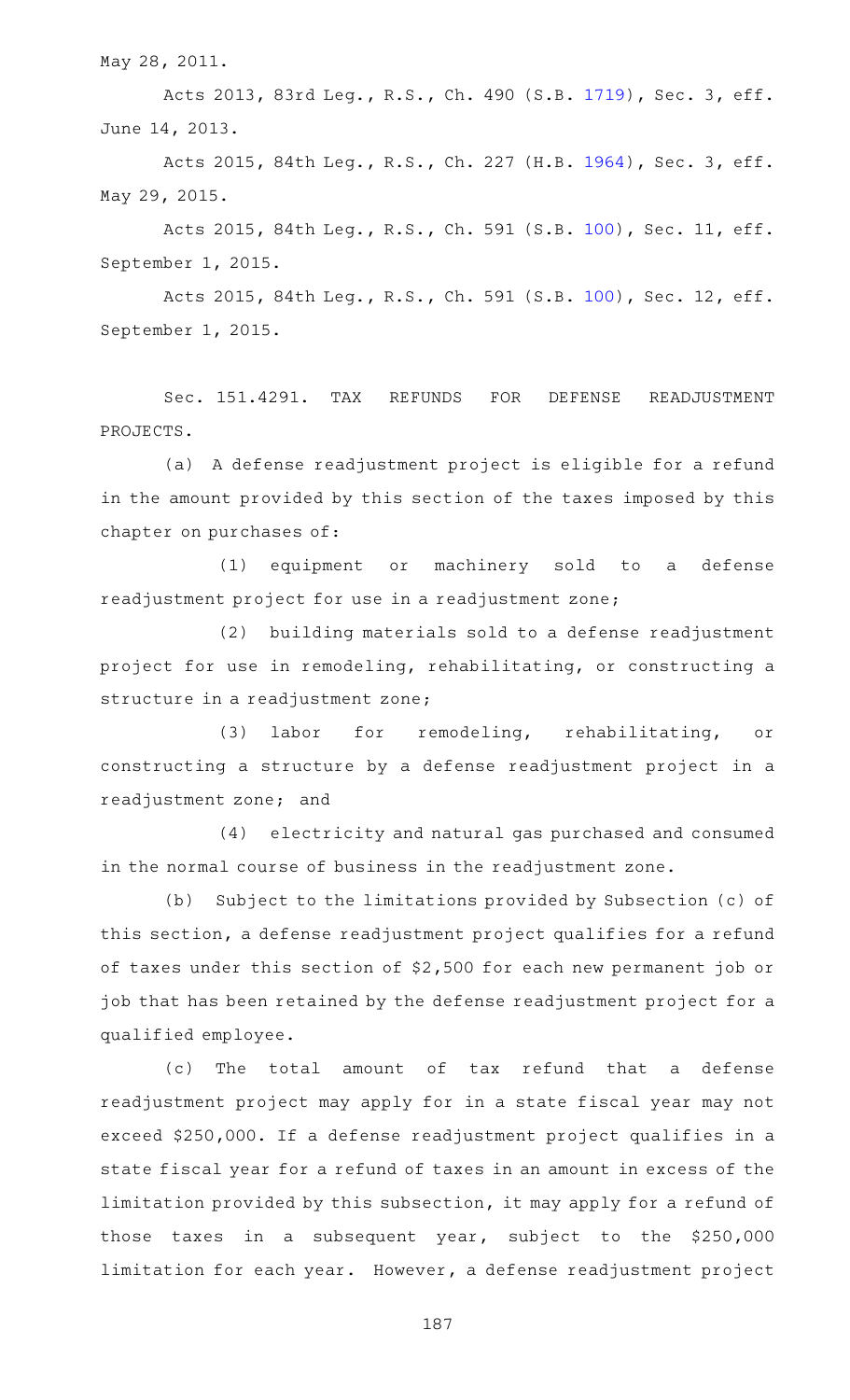May 28, 2011.

Acts 2013, 83rd Leg., R.S., Ch. 490 (S.B. [1719](http://www.legis.state.tx.us/tlodocs/83R/billtext/html/SB01719F.HTM)), Sec. 3, eff. June 14, 2013.

Acts 2015, 84th Leg., R.S., Ch. 227 (H.B. [1964](http://www.legis.state.tx.us/tlodocs/84R/billtext/html/HB01964F.HTM)), Sec. 3, eff. May 29, 2015.

Acts 2015, 84th Leg., R.S., Ch. 591 (S.B. [100\)](http://www.legis.state.tx.us/tlodocs/84R/billtext/html/SB00100F.HTM), Sec. 11, eff. September 1, 2015.

Acts 2015, 84th Leg., R.S., Ch. 591 (S.B. [100\)](http://www.legis.state.tx.us/tlodocs/84R/billtext/html/SB00100F.HTM), Sec. 12, eff. September 1, 2015.

Sec. 151.4291. TAX REFUNDS FOR DEFENSE READJUSTMENT PROJECTS.

(a) A defense readjustment project is eligible for a refund in the amount provided by this section of the taxes imposed by this chapter on purchases of:

(1) equipment or machinery sold to a defense readjustment project for use in a readjustment zone;

(2) building materials sold to a defense readjustment project for use in remodeling, rehabilitating, or constructing a structure in a readjustment zone;

(3) labor for remodeling, rehabilitating, or constructing a structure by a defense readjustment project in a readjustment zone; and

(4) electricity and natural gas purchased and consumed in the normal course of business in the readjustment zone.

(b) Subject to the limitations provided by Subsection (c) of this section, a defense readjustment project qualifies for a refund of taxes under this section of \$2,500 for each new permanent job or job that has been retained by the defense readjustment project for a qualified employee.

(c) The total amount of tax refund that a defense readjustment project may apply for in a state fiscal year may not exceed \$250,000. If a defense readjustment project qualifies in a state fiscal year for a refund of taxes in an amount in excess of the limitation provided by this subsection, it may apply for a refund of those taxes in a subsequent year, subject to the \$250,000 limitation for each year. However, a defense readjustment project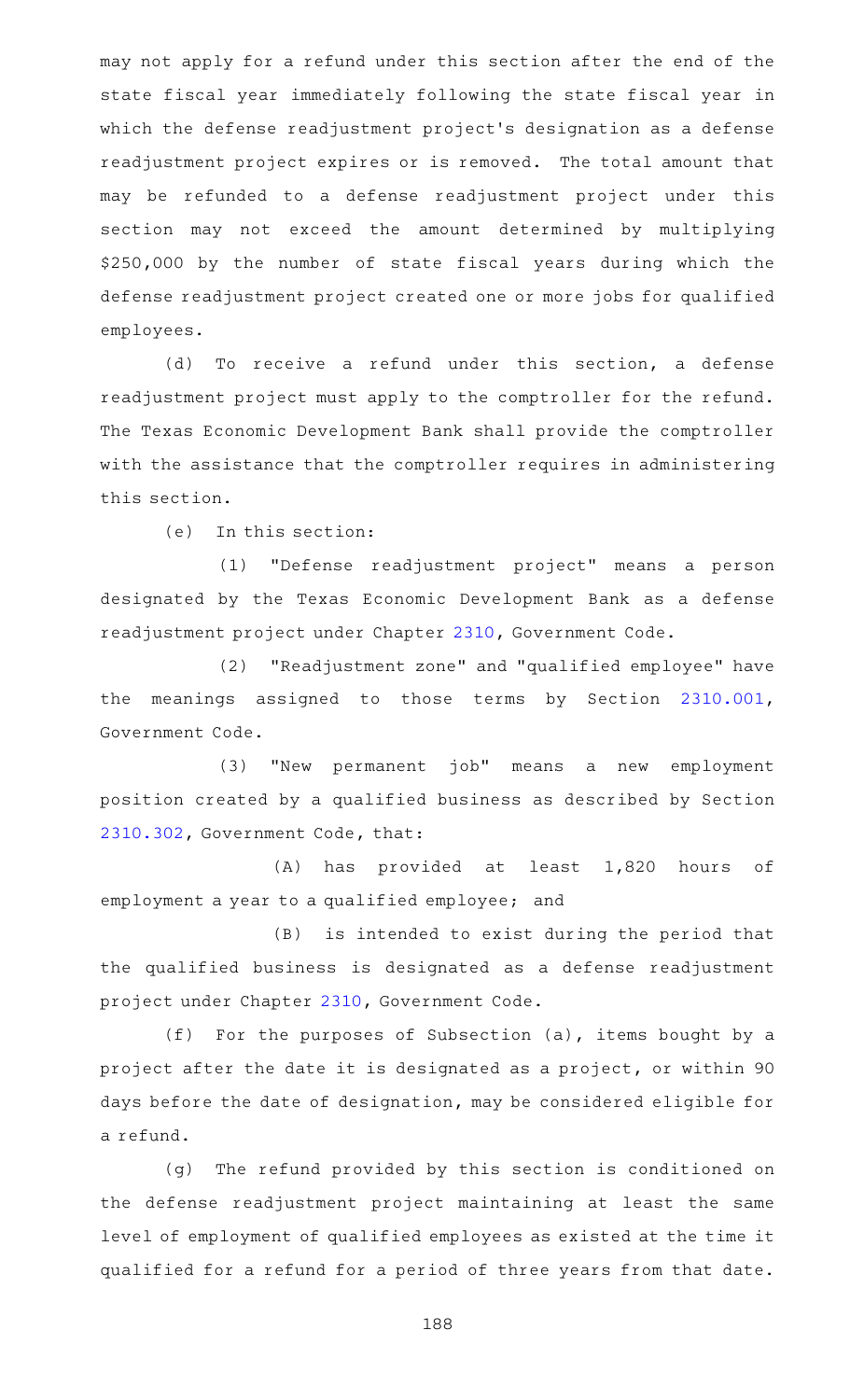may not apply for a refund under this section after the end of the state fiscal year immediately following the state fiscal year in which the defense readjustment project 's designation as a defense readjustment project expires or is removed. The total amount that may be refunded to a defense readjustment project under this section may not exceed the amount determined by multiplying \$250,000 by the number of state fiscal years during which the defense readjustment project created one or more jobs for qualified employees.

(d) To receive a refund under this section, a defense readjustment project must apply to the comptroller for the refund. The Texas Economic Development Bank shall provide the comptroller with the assistance that the comptroller requires in administering this section.

 $(e)$  In this section:

(1) "Defense readjustment project" means a person designated by the Texas Economic Development Bank as a defense readjustment project under Chapter [2310](https://statutes.capitol.texas.gov/GetStatute.aspx?Code=GV&Value=2310), Government Code.

(2) "Readjustment zone" and "qualified employee" have the meanings assigned to those terms by Section [2310.001](https://statutes.capitol.texas.gov/GetStatute.aspx?Code=GV&Value=2310.001), Government Code.

(3) "New permanent job" means a new employment position created by a qualified business as described by Section [2310.302](https://statutes.capitol.texas.gov/GetStatute.aspx?Code=GV&Value=2310.302), Government Code, that:

(A) has provided at least 1,820 hours of employment a year to a qualified employee; and

(B) is intended to exist during the period that the qualified business is designated as a defense readjustment project under Chapter [2310,](https://statutes.capitol.texas.gov/GetStatute.aspx?Code=GV&Value=2310) Government Code.

(f) For the purposes of Subsection (a), items bought by a project after the date it is designated as a project, or within 90 days before the date of designation, may be considered eligible for a refund.

(g) The refund provided by this section is conditioned on the defense readjustment project maintaining at least the same level of employment of qualified employees as existed at the time it qualified for a refund for a period of three years from that date.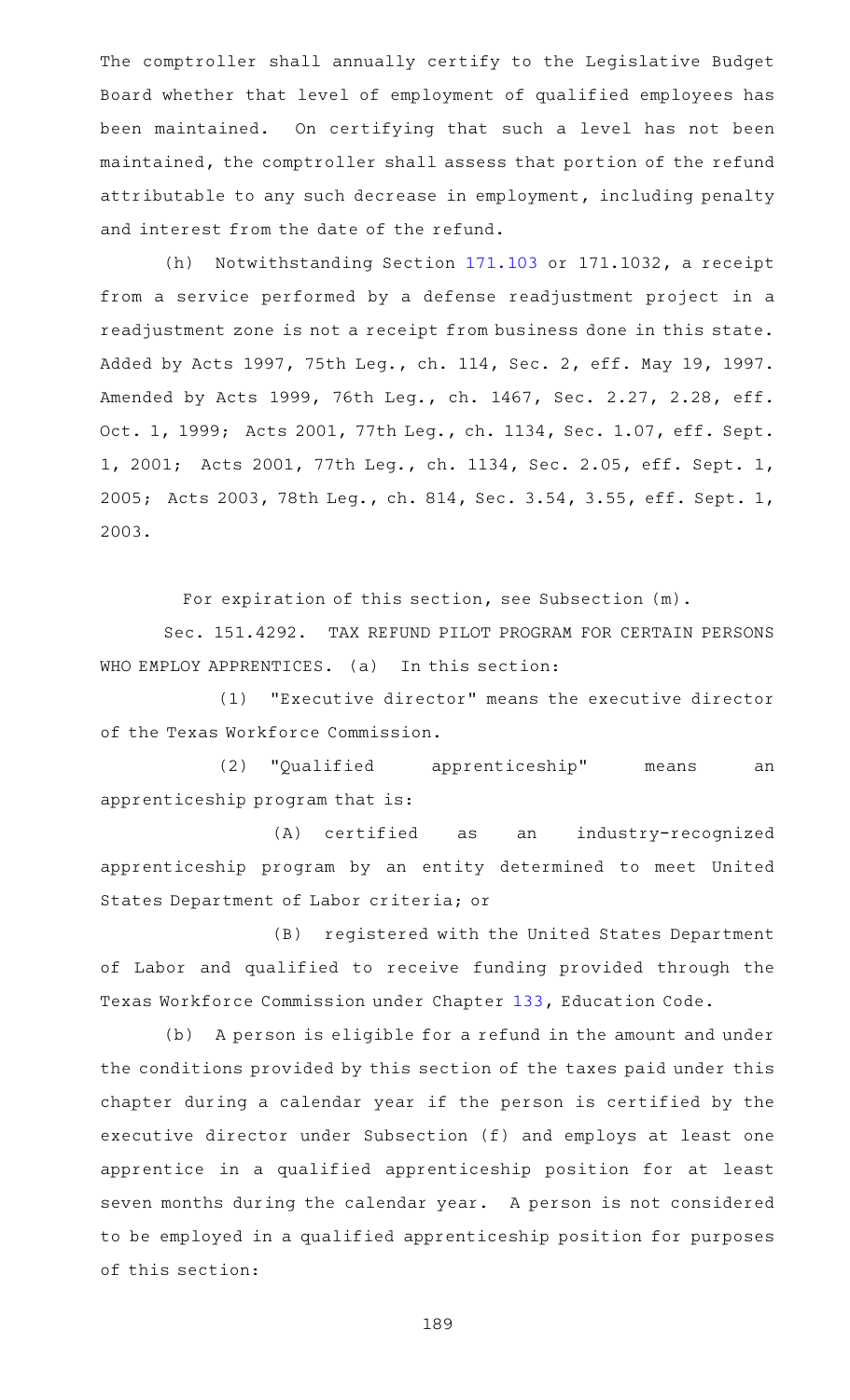The comptroller shall annually certify to the Legislative Budget Board whether that level of employment of qualified employees has been maintained. On certifying that such a level has not been maintained, the comptroller shall assess that portion of the refund attributable to any such decrease in employment, including penalty and interest from the date of the refund.

(h) Notwithstanding Section  $171.103$  or  $171.1032$ , a receipt from a service performed by a defense readjustment project in a readjustment zone is not a receipt from business done in this state. Added by Acts 1997, 75th Leg., ch. 114, Sec. 2, eff. May 19, 1997. Amended by Acts 1999, 76th Leg., ch. 1467, Sec. 2.27, 2.28, eff. Oct. 1, 1999; Acts 2001, 77th Leg., ch. 1134, Sec. 1.07, eff. Sept. 1, 2001; Acts 2001, 77th Leg., ch. 1134, Sec. 2.05, eff. Sept. 1, 2005; Acts 2003, 78th Leg., ch. 814, Sec. 3.54, 3.55, eff. Sept. 1, 2003.

For expiration of this section, see Subsection (m).

Sec. 151.4292. TAX REFUND PILOT PROGRAM FOR CERTAIN PERSONS WHO EMPLOY APPRENTICES. (a) In this section:

(1) "Executive director" means the executive director of the Texas Workforce Commission.

(2) "Qualified apprenticeship" means an apprenticeship program that is:

(A) certified as an industry-recognized apprenticeship program by an entity determined to meet United States Department of Labor criteria; or

(B) registered with the United States Department of Labor and qualified to receive funding provided through the Texas Workforce Commission under Chapter [133,](https://statutes.capitol.texas.gov/GetStatute.aspx?Code=ED&Value=133) Education Code.

(b) A person is eligible for a refund in the amount and under the conditions provided by this section of the taxes paid under this chapter during a calendar year if the person is certified by the executive director under Subsection (f) and employs at least one apprentice in a qualified apprenticeship position for at least seven months during the calendar year. A person is not considered to be employed in a qualified apprenticeship position for purposes of this section: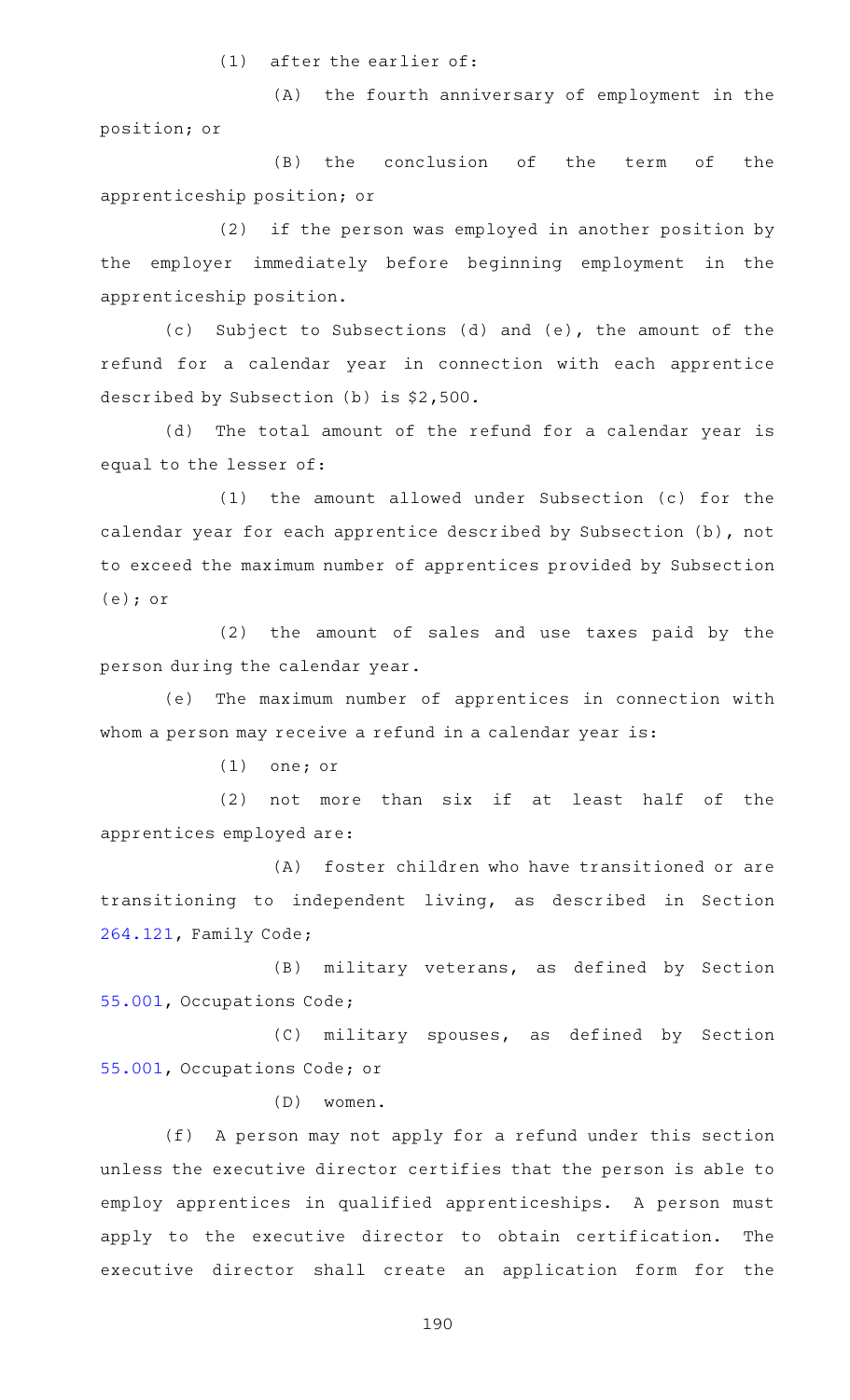$(1)$  after the earlier of:

(A) the fourth anniversary of employment in the position; or

(B) the conclusion of the term of the apprenticeship position; or

(2) if the person was employed in another position by the employer immediately before beginning employment in the apprenticeship position.

(c) Subject to Subsections (d) and (e), the amount of the refund for a calendar year in connection with each apprentice described by Subsection (b) is \$2,500.

(d) The total amount of the refund for a calendar year is equal to the lesser of:

 $(1)$  the amount allowed under Subsection  $(c)$  for the calendar year for each apprentice described by Subsection (b), not to exceed the maximum number of apprentices provided by Subsection (e); or

(2) the amount of sales and use taxes paid by the person during the calendar year.

(e) The maximum number of apprentices in connection with whom a person may receive a refund in a calendar year is:

 $(1)$  one; or

 $(2)$  not more than six if at least half of the apprentices employed are:

(A) foster children who have transitioned or are transitioning to independent living, as described in Section [264.121,](https://statutes.capitol.texas.gov/GetStatute.aspx?Code=FA&Value=264.121) Family Code;

(B) military veterans, as defined by Section [55.001](https://statutes.capitol.texas.gov/GetStatute.aspx?Code=OC&Value=55.001), Occupations Code;

(C) military spouses, as defined by Section [55.001](https://statutes.capitol.texas.gov/GetStatute.aspx?Code=OC&Value=55.001), Occupations Code; or

(D) women.

(f) A person may not apply for a refund under this section unless the executive director certifies that the person is able to employ apprentices in qualified apprenticeships. A person must apply to the executive director to obtain certification. The executive director shall create an application form for the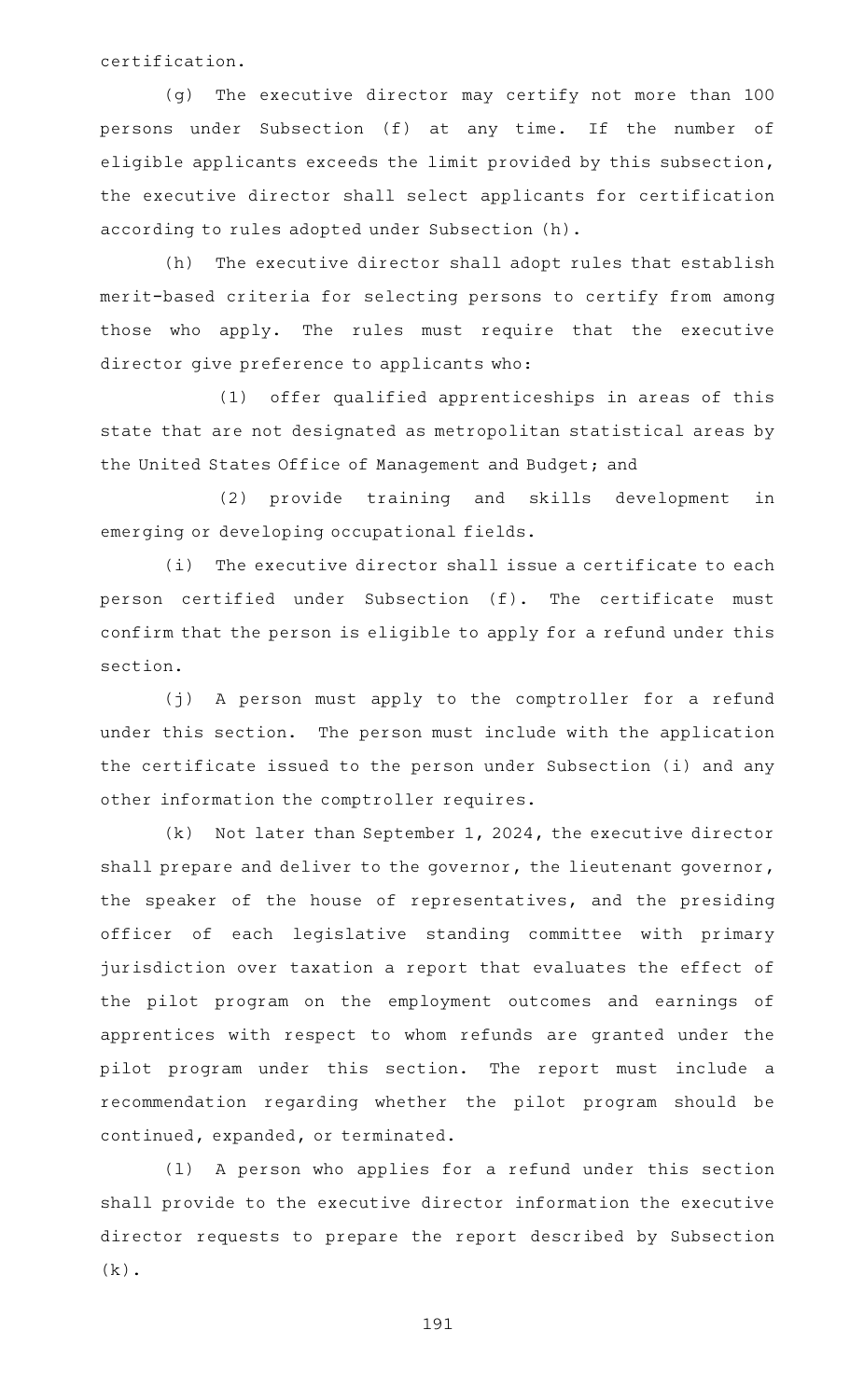certification.

(g) The executive director may certify not more than 100 persons under Subsection (f) at any time. If the number of eligible applicants exceeds the limit provided by this subsection, the executive director shall select applicants for certification according to rules adopted under Subsection (h).

(h) The executive director shall adopt rules that establish merit-based criteria for selecting persons to certify from among those who apply. The rules must require that the executive director give preference to applicants who:

(1) offer qualified apprenticeships in areas of this state that are not designated as metropolitan statistical areas by the United States Office of Management and Budget; and

(2) provide training and skills development in emerging or developing occupational fields.

 $(i)$  The executive director shall issue a certificate to each person certified under Subsection (f). The certificate must confirm that the person is eligible to apply for a refund under this section.

(j) A person must apply to the comptroller for a refund under this section. The person must include with the application the certificate issued to the person under Subsection (i) and any other information the comptroller requires.

 $(k)$  Not later than September 1, 2024, the executive director shall prepare and deliver to the governor, the lieutenant governor, the speaker of the house of representatives, and the presiding officer of each legislative standing committee with primary jurisdiction over taxation a report that evaluates the effect of the pilot program on the employment outcomes and earnings of apprentices with respect to whom refunds are granted under the pilot program under this section. The report must include a recommendation regarding whether the pilot program should be continued, expanded, or terminated.

(1) A person who applies for a refund under this section shall provide to the executive director information the executive director requests to prepare the report described by Subsection  $(k)$ .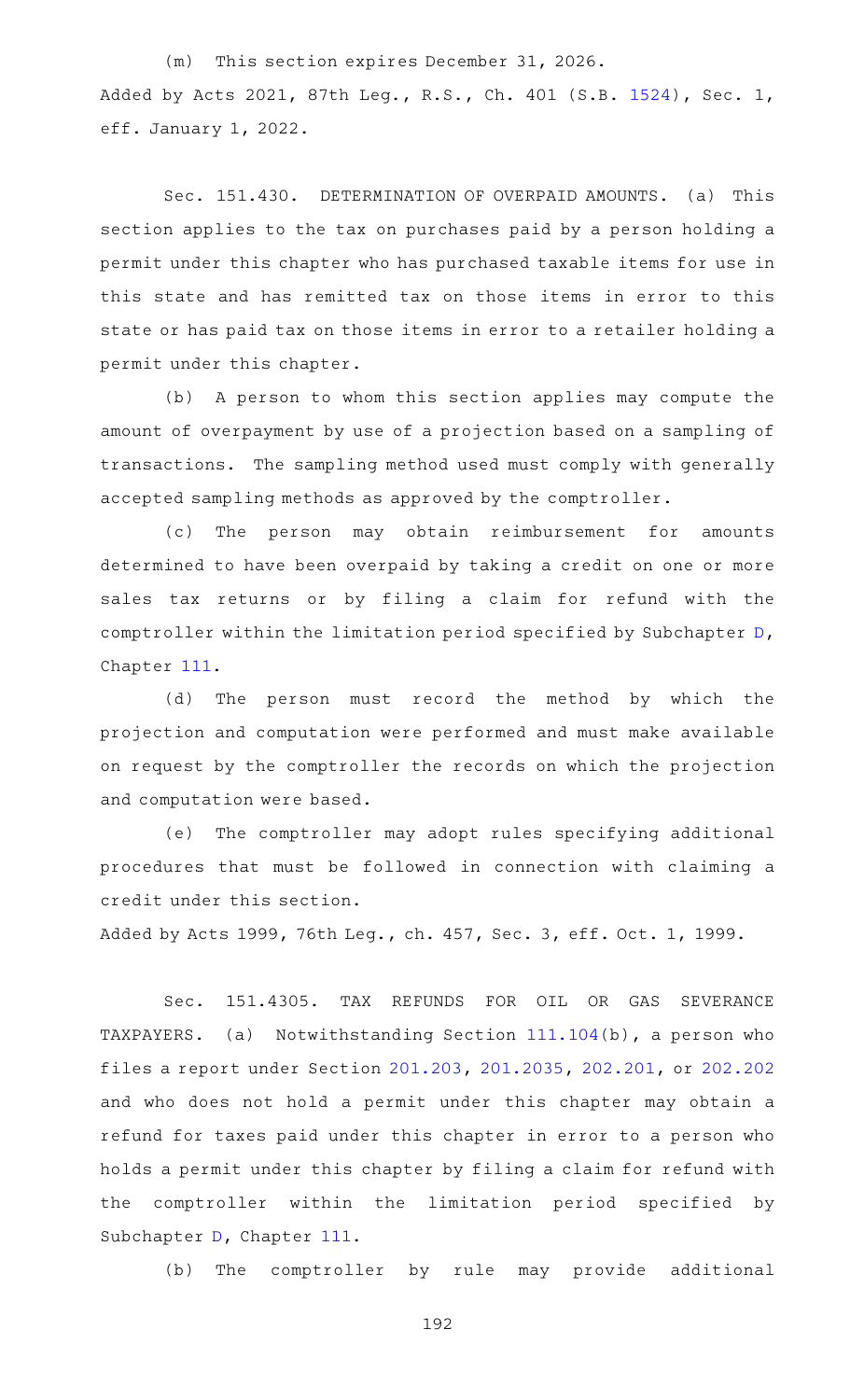(m) This section expires December 31, 2026. Added by Acts 2021, 87th Leg., R.S., Ch. 401 (S.B. [1524](http://www.legis.state.tx.us/tlodocs/87R/billtext/html/SB01524F.HTM)), Sec. 1, eff. January 1, 2022.

Sec. 151.430. DETERMINATION OF OVERPAID AMOUNTS. (a) This section applies to the tax on purchases paid by a person holding a permit under this chapter who has purchased taxable items for use in this state and has remitted tax on those items in error to this state or has paid tax on those items in error to a retailer holding a permit under this chapter.

(b) A person to whom this section applies may compute the amount of overpayment by use of a projection based on a sampling of transactions. The sampling method used must comply with generally accepted sampling methods as approved by the comptroller.

(c) The person may obtain reimbursement for amounts determined to have been overpaid by taking a credit on one or more sales tax returns or by filing a claim for refund with the comptroller within the limitation period specified by Subchapter [D](https://statutes.capitol.texas.gov/GetStatute.aspx?Code=TX&Value=111.201), Chapter [111.](https://statutes.capitol.texas.gov/GetStatute.aspx?Code=TX&Value=111)

(d) The person must record the method by which the projection and computation were performed and must make available on request by the comptroller the records on which the projection and computation were based.

(e) The comptroller may adopt rules specifying additional procedures that must be followed in connection with claiming a credit under this section.

Added by Acts 1999, 76th Leg., ch. 457, Sec. 3, eff. Oct. 1, 1999.

Sec. 151.4305. TAX REFUNDS FOR OIL OR GAS SEVERANCE TAXPAYERS. (a) Notwithstanding Section  $111.104(b)$  $111.104(b)$ , a person who files a report under Section [201.203,](https://statutes.capitol.texas.gov/GetStatute.aspx?Code=TX&Value=201.203) [201.2035](https://statutes.capitol.texas.gov/GetStatute.aspx?Code=TX&Value=201.2035), [202.201,](https://statutes.capitol.texas.gov/GetStatute.aspx?Code=TX&Value=202.201) or [202.202](https://statutes.capitol.texas.gov/GetStatute.aspx?Code=TX&Value=202.202) and who does not hold a permit under this chapter may obtain a refund for taxes paid under this chapter in error to a person who holds a permit under this chapter by filing a claim for refund with the comptroller within the limitation period specified by Subchapter [D](https://statutes.capitol.texas.gov/GetStatute.aspx?Code=TX&Value=111.201), Chapter [111](https://statutes.capitol.texas.gov/GetStatute.aspx?Code=TX&Value=111).

(b) The comptroller by rule may provide additional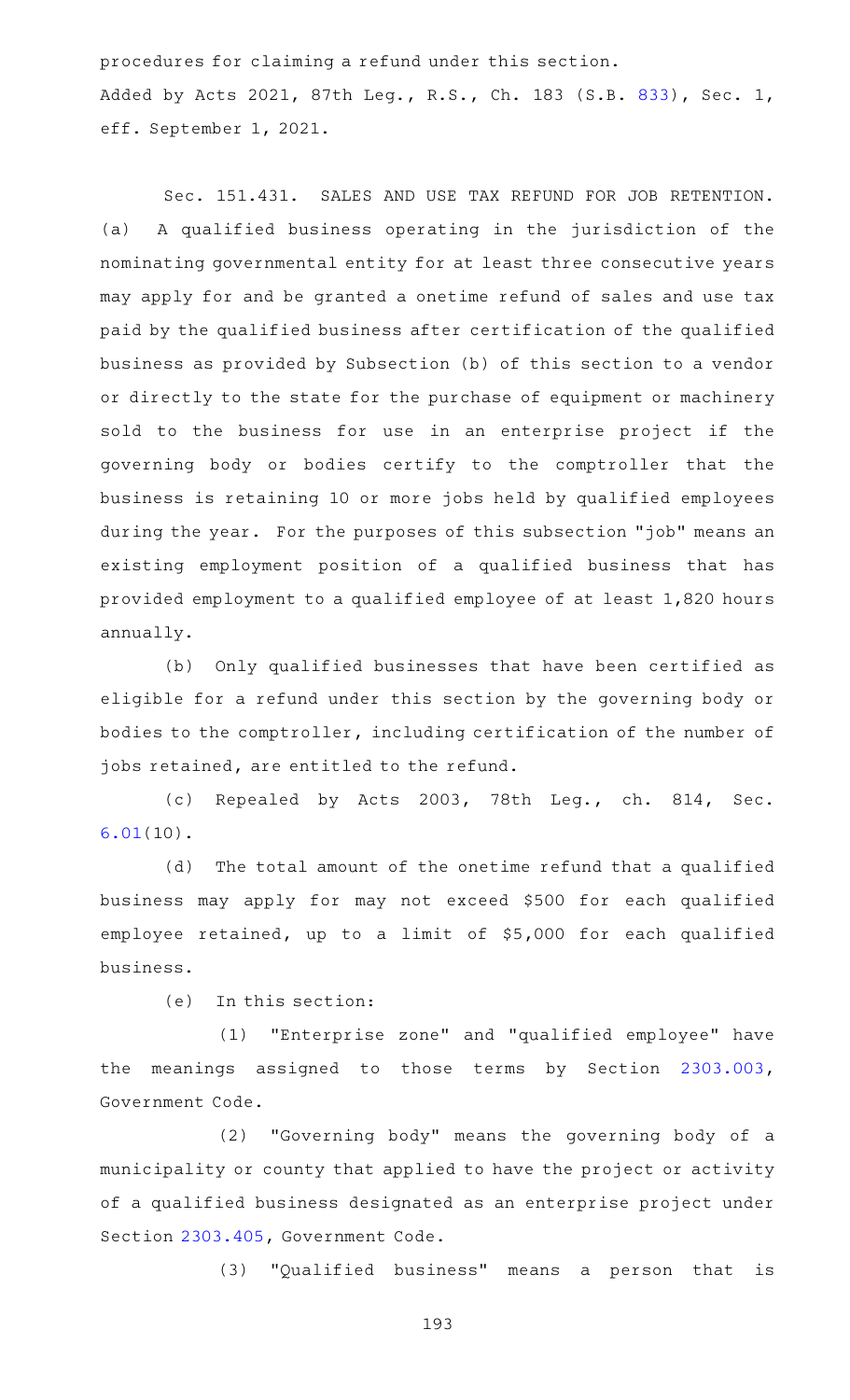procedures for claiming a refund under this section. Added by Acts 2021, 87th Leg., R.S., Ch. 183 (S.B. [833](http://www.legis.state.tx.us/tlodocs/87R/billtext/html/SB00833F.HTM)), Sec. 1, eff. September 1, 2021.

Sec. 151.431. SALES AND USE TAX REFUND FOR JOB RETENTION. (a) A qualified business operating in the jurisdiction of the nominating governmental entity for at least three consecutive years may apply for and be granted a onetime refund of sales and use tax paid by the qualified business after certification of the qualified business as provided by Subsection (b) of this section to a vendor or directly to the state for the purchase of equipment or machinery sold to the business for use in an enterprise project if the governing body or bodies certify to the comptroller that the business is retaining 10 or more jobs held by qualified employees during the year. For the purposes of this subsection "job" means an existing employment position of a qualified business that has provided employment to a qualified employee of at least 1,820 hours annually.

(b) Only qualified businesses that have been certified as eligible for a refund under this section by the governing body or bodies to the comptroller, including certification of the number of jobs retained, are entitled to the refund.

(c) Repealed by Acts 2003, 78th Leg., ch. 814, Sec. [6.01](https://statutes.capitol.texas.gov/GetStatute.aspx?Code=TX&Value=6.01)(10).

(d) The total amount of the onetime refund that a qualified business may apply for may not exceed \$500 for each qualified employee retained, up to a limit of \$5,000 for each qualified business.

 $(e)$  In this section:

(1) "Enterprise zone" and "qualified employee" have the meanings assigned to those terms by Section [2303.003](https://statutes.capitol.texas.gov/GetStatute.aspx?Code=GV&Value=2303.003), Government Code.

(2) "Governing body" means the governing body of a municipality or county that applied to have the project or activity of a qualified business designated as an enterprise project under Section [2303.405](https://statutes.capitol.texas.gov/GetStatute.aspx?Code=GV&Value=2303.405), Government Code.

(3) "Qualified business" means a person that is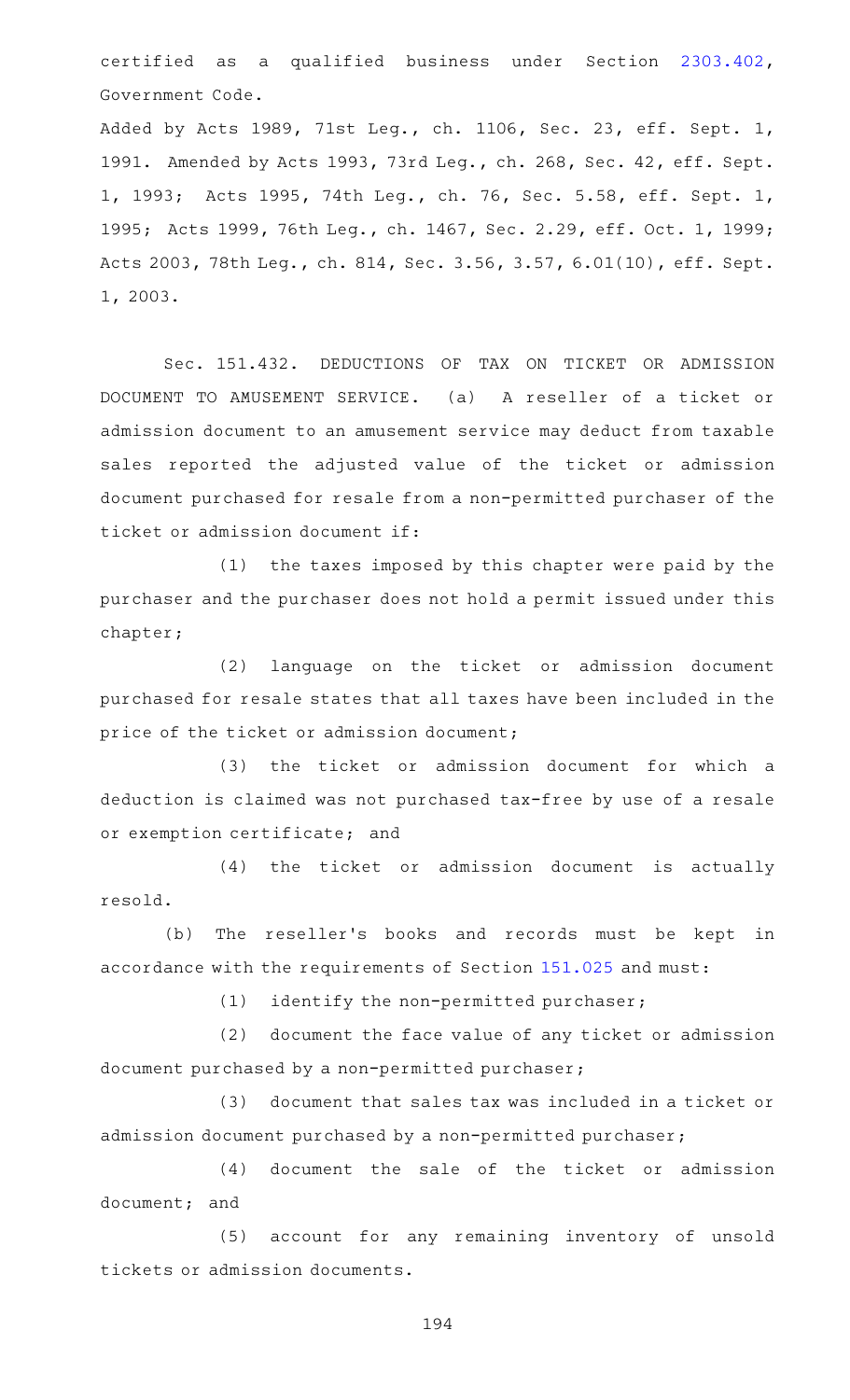certified as a qualified business under Section [2303.402](https://statutes.capitol.texas.gov/GetStatute.aspx?Code=GV&Value=2303.402), Government Code.

Added by Acts 1989, 71st Leg., ch. 1106, Sec. 23, eff. Sept. 1, 1991. Amended by Acts 1993, 73rd Leg., ch. 268, Sec. 42, eff. Sept. 1, 1993; Acts 1995, 74th Leg., ch. 76, Sec. 5.58, eff. Sept. 1, 1995; Acts 1999, 76th Leg., ch. 1467, Sec. 2.29, eff. Oct. 1, 1999; Acts 2003, 78th Leg., ch. 814, Sec. 3.56, 3.57, 6.01(10), eff. Sept. 1, 2003.

Sec. 151.432. DEDUCTIONS OF TAX ON TICKET OR ADMISSION DOCUMENT TO AMUSEMENT SERVICE. (a) A reseller of a ticket or admission document to an amusement service may deduct from taxable sales reported the adjusted value of the ticket or admission document purchased for resale from a non-permitted purchaser of the ticket or admission document if:

 $(1)$  the taxes imposed by this chapter were paid by the purchaser and the purchaser does not hold a permit issued under this chapter;

(2) language on the ticket or admission document purchased for resale states that all taxes have been included in the price of the ticket or admission document;

(3) the ticket or admission document for which a deduction is claimed was not purchased tax-free by use of a resale or exemption certificate; and

(4) the ticket or admission document is actually resold.

(b) The reseller's books and records must be kept in accordance with the requirements of Section [151.025](https://statutes.capitol.texas.gov/GetStatute.aspx?Code=TX&Value=151.025) and must:

 $(1)$  identify the non-permitted purchaser;

(2) document the face value of any ticket or admission document purchased by a non-permitted purchaser;

(3) document that sales tax was included in a ticket or admission document purchased by a non-permitted purchaser;

(4) document the sale of the ticket or admission document; and

(5) account for any remaining inventory of unsold tickets or admission documents.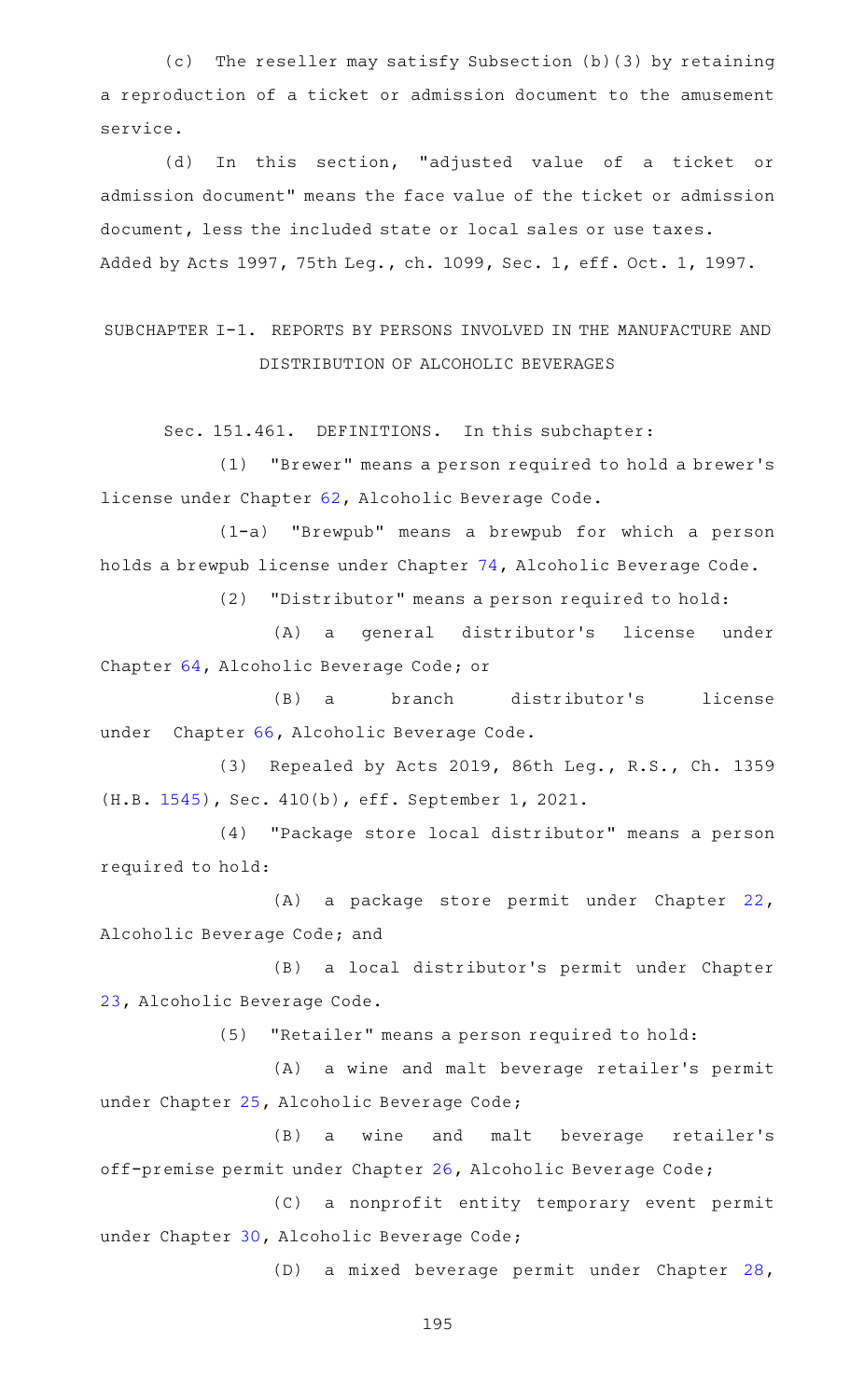(c) The reseller may satisfy Subsection (b)(3) by retaining a reproduction of a ticket or admission document to the amusement service.

(d) In this section, "adjusted value of a ticket or admission document" means the face value of the ticket or admission document, less the included state or local sales or use taxes. Added by Acts 1997, 75th Leg., ch. 1099, Sec. 1, eff. Oct. 1, 1997.

# SUBCHAPTER I-1. REPORTS BY PERSONS INVOLVED IN THE MANUFACTURE AND DISTRIBUTION OF ALCOHOLIC BEVERAGES

Sec. 151.461. DEFINITIONS. In this subchapter:

(1) "Brewer" means a person required to hold a brewer's license under Chapter [62,](https://statutes.capitol.texas.gov/GetStatute.aspx?Code=AL&Value=62) Alcoholic Beverage Code.

(1-a) "Brewpub" means a brewpub for which a person holds a brewpub license under Chapter [74,](https://statutes.capitol.texas.gov/GetStatute.aspx?Code=AL&Value=74) Alcoholic Beverage Code.

(2) "Distributor" means a person required to hold:

(A) a general distributor's license under Chapter [64,](https://statutes.capitol.texas.gov/GetStatute.aspx?Code=AL&Value=64) Alcoholic Beverage Code; or

(B) a branch distributor's license under Chapter [66,](https://statutes.capitol.texas.gov/GetStatute.aspx?Code=AL&Value=66) Alcoholic Beverage Code.

(3) Repealed by Acts 2019, 86th Leg., R.S., Ch. 1359 (H.B. [1545\)](http://www.legis.state.tx.us/tlodocs/86R/billtext/html/HB01545F.HTM), Sec. 410(b), eff. September 1, 2021.

(4) "Package store local distributor" means a person required to hold:

(A) a package store permit under Chapter [22](https://statutes.capitol.texas.gov/GetStatute.aspx?Code=AL&Value=22), Alcoholic Beverage Code; and

(B) a local distributor's permit under Chapter [23](https://statutes.capitol.texas.gov/GetStatute.aspx?Code=AL&Value=23), Alcoholic Beverage Code.

(5) "Retailer" means a person required to hold:

(A) a wine and malt beverage retailer's permit under Chapter [25,](https://statutes.capitol.texas.gov/GetStatute.aspx?Code=AL&Value=25) Alcoholic Beverage Code;

(B) a wine and malt beverage retailer's off-premise permit under Chapter [26](https://statutes.capitol.texas.gov/GetStatute.aspx?Code=AL&Value=26), Alcoholic Beverage Code;

(C) a nonprofit entity temporary event permit under Chapter [30,](https://statutes.capitol.texas.gov/GetStatute.aspx?Code=AL&Value=30) Alcoholic Beverage Code;

(D) a mixed beverage permit under Chapter [28](https://statutes.capitol.texas.gov/GetStatute.aspx?Code=AL&Value=28),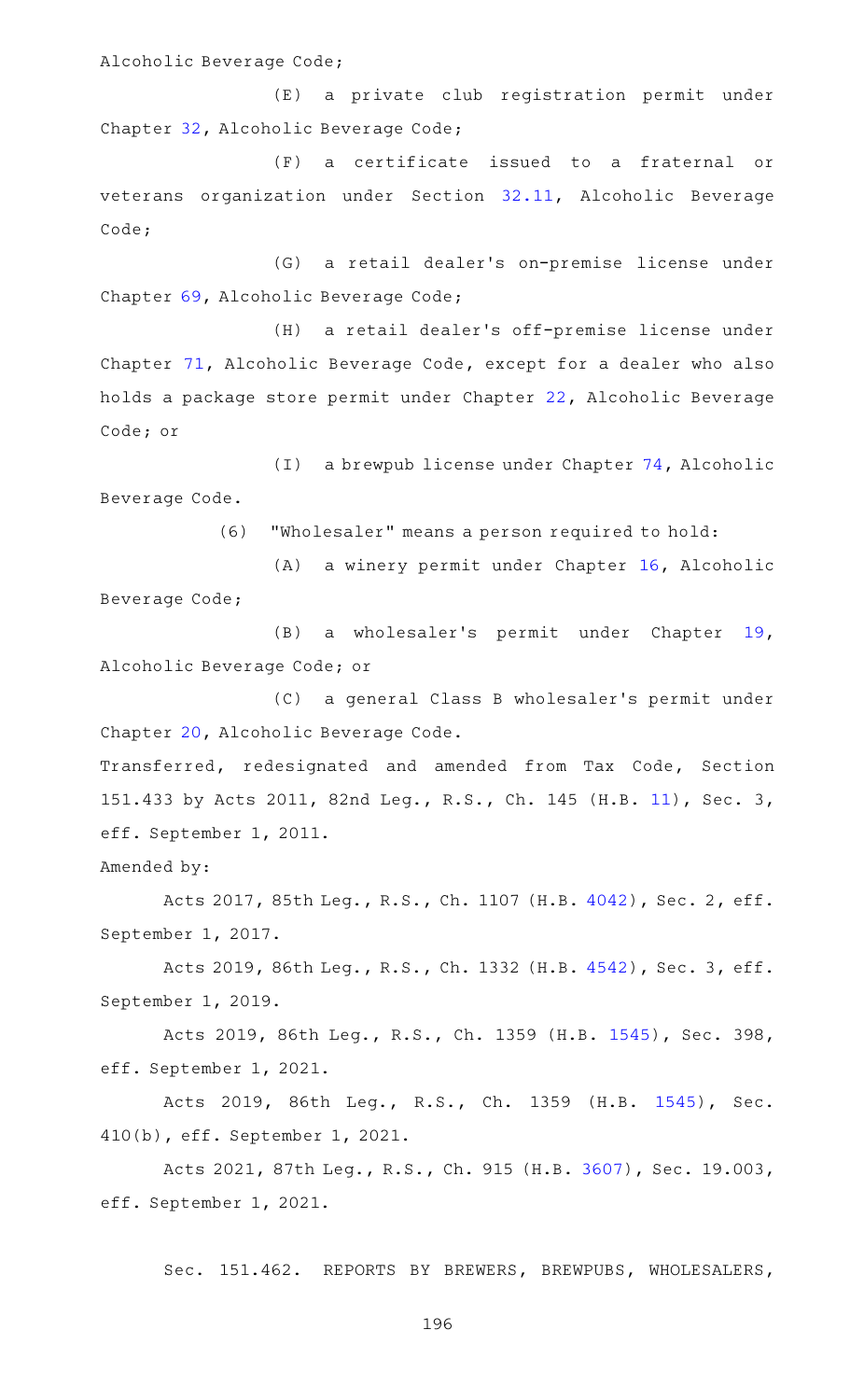Alcoholic Beverage Code;

(E) a private club registration permit under Chapter [32,](https://statutes.capitol.texas.gov/GetStatute.aspx?Code=AL&Value=32) Alcoholic Beverage Code;

(F) a certificate issued to a fraternal or veterans organization under Section [32.11](https://statutes.capitol.texas.gov/GetStatute.aspx?Code=AL&Value=32.11), Alcoholic Beverage Code;

(G) a retail dealer's on-premise license under Chapter [69,](https://statutes.capitol.texas.gov/GetStatute.aspx?Code=AL&Value=69) Alcoholic Beverage Code;

(H) a retail dealer's off-premise license under Chapter [71](https://statutes.capitol.texas.gov/GetStatute.aspx?Code=AL&Value=71), Alcoholic Beverage Code, except for a dealer who also holds a package store permit under Chapter [22](https://statutes.capitol.texas.gov/GetStatute.aspx?Code=AL&Value=22), Alcoholic Beverage Code; or

(I) a brewpub license under Chapter  $74$ , Alcoholic Beverage Code.

(6) "Wholesaler" means a person required to hold:

(A) a winery permit under Chapter [16,](https://statutes.capitol.texas.gov/GetStatute.aspx?Code=AL&Value=16) Alcoholic Beverage Code;

(B) a wholesaler's permit under Chapter [19](https://statutes.capitol.texas.gov/GetStatute.aspx?Code=AL&Value=19), Alcoholic Beverage Code; or

(C) a general Class B wholesaler's permit under Chapter [20,](https://statutes.capitol.texas.gov/GetStatute.aspx?Code=AL&Value=20) Alcoholic Beverage Code.

Transferred, redesignated and amended from Tax Code, Section 151.433 by Acts 2011, 82nd Leg., R.S., Ch. 145 (H.B. [11](http://www.legis.state.tx.us/tlodocs/82R/billtext/html/HB00011F.HTM)), Sec. 3, eff. September 1, 2011.

Amended by:

Acts 2017, 85th Leg., R.S., Ch. 1107 (H.B. [4042](http://www.legis.state.tx.us/tlodocs/85R/billtext/html/HB04042F.HTM)), Sec. 2, eff. September 1, 2017.

Acts 2019, 86th Leg., R.S., Ch. 1332 (H.B. [4542](http://www.legis.state.tx.us/tlodocs/86R/billtext/html/HB04542F.HTM)), Sec. 3, eff. September 1, 2019.

Acts 2019, 86th Leg., R.S., Ch. 1359 (H.B. [1545](http://www.legis.state.tx.us/tlodocs/86R/billtext/html/HB01545F.HTM)), Sec. 398, eff. September 1, 2021.

Acts 2019, 86th Leg., R.S., Ch. 1359 (H.B. [1545\)](http://www.legis.state.tx.us/tlodocs/86R/billtext/html/HB01545F.HTM), Sec. 410(b), eff. September 1, 2021.

Acts 2021, 87th Leg., R.S., Ch. 915 (H.B. [3607\)](http://www.legis.state.tx.us/tlodocs/87R/billtext/html/HB03607F.HTM), Sec. 19.003, eff. September 1, 2021.

Sec. 151.462. REPORTS BY BREWERS, BREWPUBS, WHOLESALERS,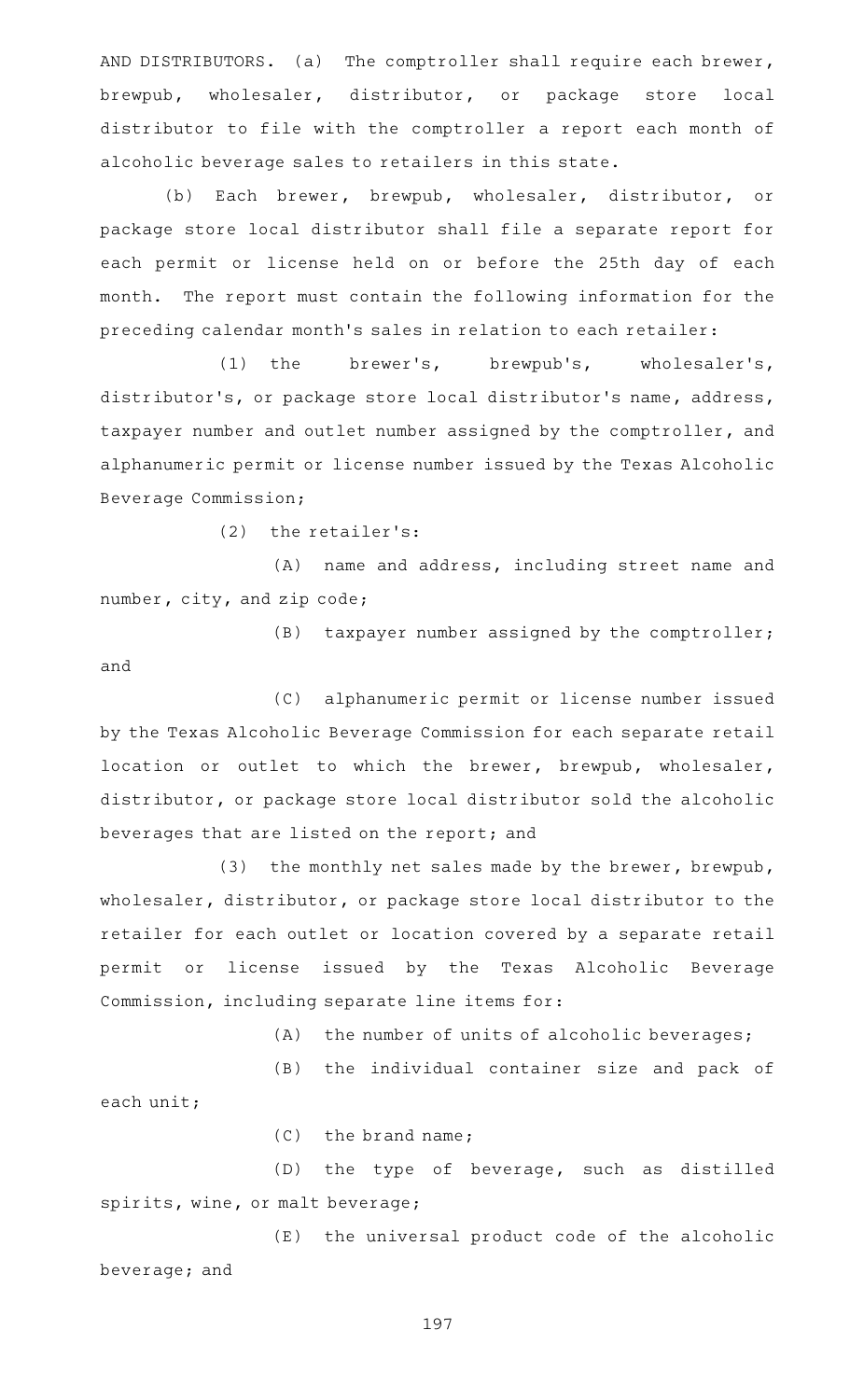AND DISTRIBUTORS. (a) The comptroller shall require each brewer, brewpub, wholesaler, distributor, or package store local distributor to file with the comptroller a report each month of alcoholic beverage sales to retailers in this state.

(b) Each brewer, brewpub, wholesaler, distributor, or package store local distributor shall file a separate report for each permit or license held on or before the 25th day of each month. The report must contain the following information for the preceding calendar month 's sales in relation to each retailer:

(1) the brewer's, brewpub's, wholesaler's, distributor 's, or package store local distributor 's name, address, taxpayer number and outlet number assigned by the comptroller, and alphanumeric permit or license number issued by the Texas Alcoholic Beverage Commission;

 $(2)$  the retailer's:

(A) name and address, including street name and number, city, and zip code;

(B) taxpayer number assigned by the comptroller; and

(C) alphanumeric permit or license number issued by the Texas Alcoholic Beverage Commission for each separate retail location or outlet to which the brewer, brewpub, wholesaler, distributor, or package store local distributor sold the alcoholic beverages that are listed on the report; and

(3) the monthly net sales made by the brewer, brewpub, wholesaler, distributor, or package store local distributor to the retailer for each outlet or location covered by a separate retail permit or license issued by the Texas Alcoholic Beverage Commission, including separate line items for:

 $(A)$  the number of units of alcoholic beverages;

(B) the individual container size and pack of

each unit;

 $(C)$  the brand name;

(D) the type of beverage, such as distilled spirits, wine, or malt beverage;

(E) the universal product code of the alcoholic beverage; and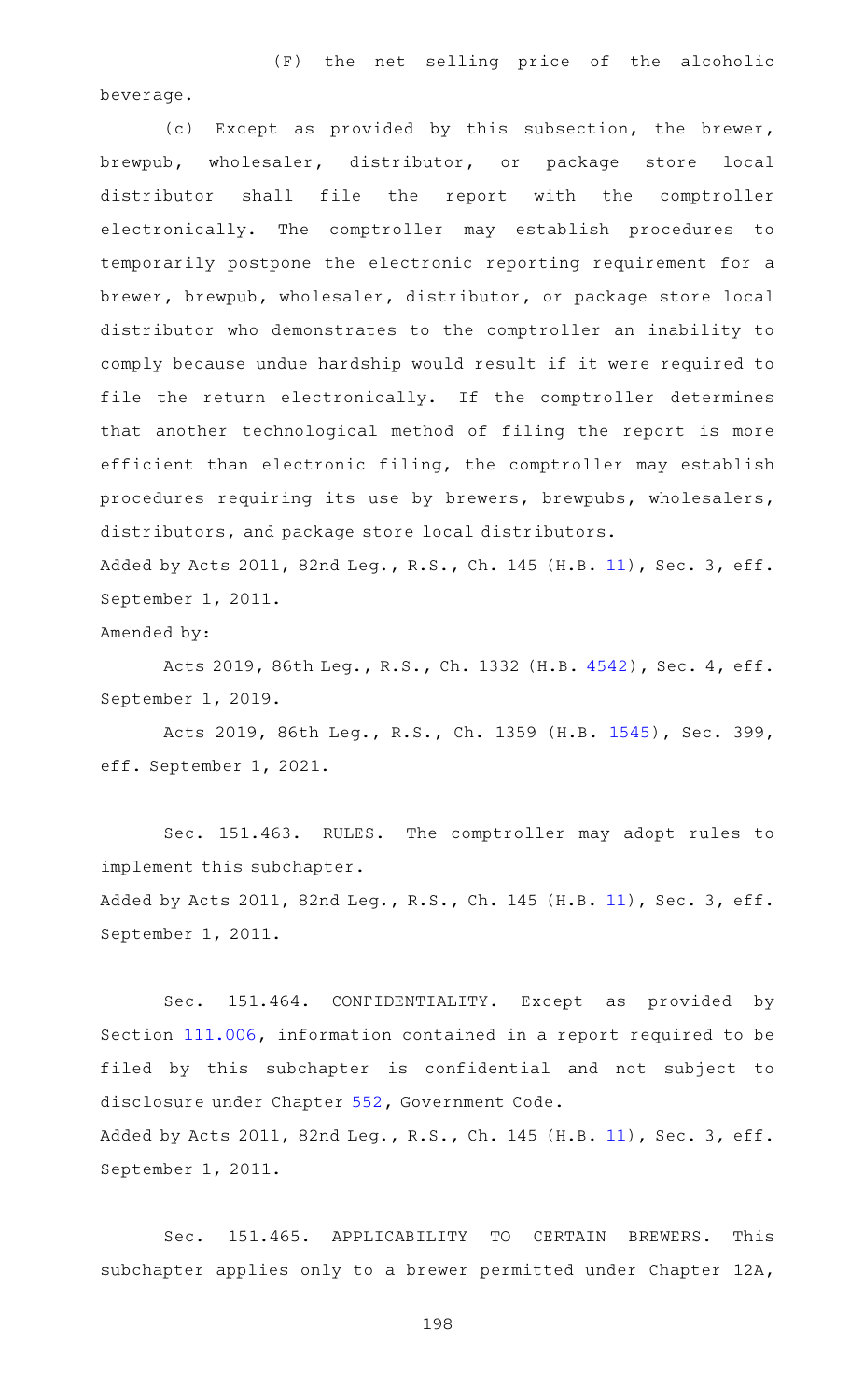(F) the net selling price of the alcoholic beverage.

(c) Except as provided by this subsection, the brewer, brewpub, wholesaler, distributor, or package store local distributor shall file the report with the comptroller electronically. The comptroller may establish procedures to temporarily postpone the electronic reporting requirement for a brewer, brewpub, wholesaler, distributor, or package store local distributor who demonstrates to the comptroller an inability to comply because undue hardship would result if it were required to file the return electronically. If the comptroller determines that another technological method of filing the report is more efficient than electronic filing, the comptroller may establish procedures requiring its use by brewers, brewpubs, wholesalers, distributors, and package store local distributors.

Added by Acts 2011, 82nd Leg., R.S., Ch. 145 (H.B. [11](http://www.legis.state.tx.us/tlodocs/82R/billtext/html/HB00011F.HTM)), Sec. 3, eff. September 1, 2011.

Amended by:

Acts 2019, 86th Leg., R.S., Ch. 1332 (H.B. [4542](http://www.legis.state.tx.us/tlodocs/86R/billtext/html/HB04542F.HTM)), Sec. 4, eff. September 1, 2019.

Acts 2019, 86th Leg., R.S., Ch. 1359 (H.B. [1545](http://www.legis.state.tx.us/tlodocs/86R/billtext/html/HB01545F.HTM)), Sec. 399, eff. September 1, 2021.

Sec. 151.463. RULES. The comptroller may adopt rules to implement this subchapter. Added by Acts 2011, 82nd Leg., R.S., Ch. 145 (H.B. [11](http://www.legis.state.tx.us/tlodocs/82R/billtext/html/HB00011F.HTM)), Sec. 3, eff. September 1, 2011.

Sec. 151.464. CONFIDENTIALITY. Except as provided by Section [111.006,](https://statutes.capitol.texas.gov/GetStatute.aspx?Code=TX&Value=111.006) information contained in a report required to be filed by this subchapter is confidential and not subject to disclosure under Chapter [552,](https://statutes.capitol.texas.gov/GetStatute.aspx?Code=GV&Value=552) Government Code. Added by Acts 2011, 82nd Leg., R.S., Ch. 145 (H.B. [11](http://www.legis.state.tx.us/tlodocs/82R/billtext/html/HB00011F.HTM)), Sec. 3, eff. September 1, 2011.

Sec. 151.465. APPLICABILITY TO CERTAIN BREWERS. This subchapter applies only to a brewer permitted under Chapter 12A,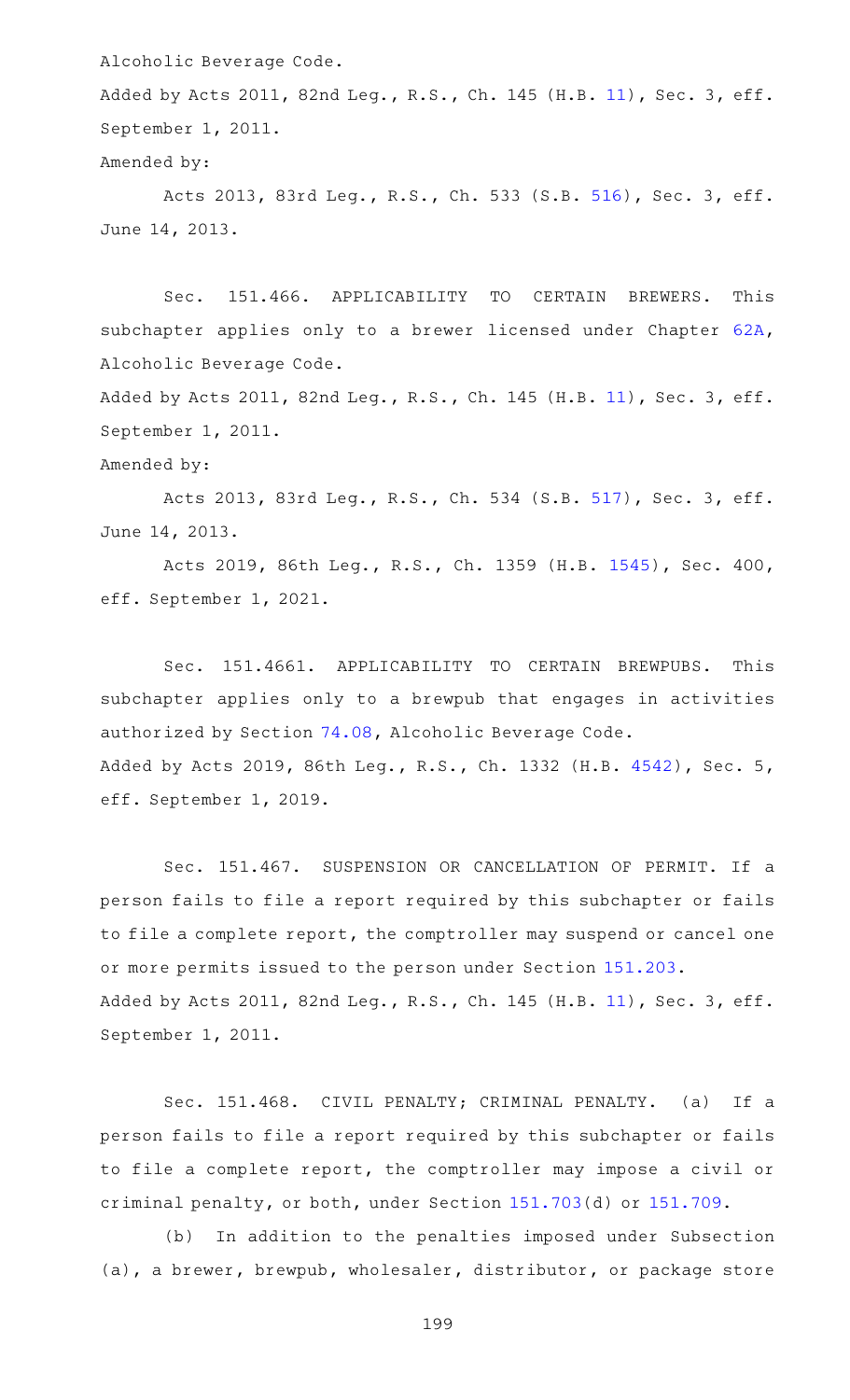Alcoholic Beverage Code.

Added by Acts 2011, 82nd Leg., R.S., Ch. 145 (H.B. [11](http://www.legis.state.tx.us/tlodocs/82R/billtext/html/HB00011F.HTM)), Sec. 3, eff. September 1, 2011.

#### Amended by:

Acts 2013, 83rd Leg., R.S., Ch. 533 (S.B. [516](http://www.legis.state.tx.us/tlodocs/83R/billtext/html/SB00516F.HTM)), Sec. 3, eff. June 14, 2013.

Sec. 151.466. APPLICABILITY TO CERTAIN BREWERS. This subchapter applies only to a brewer licensed under Chapter [62A](https://statutes.capitol.texas.gov/GetStatute.aspx?Code=AL&Value=62A), Alcoholic Beverage Code.

Added by Acts 2011, 82nd Leg., R.S., Ch. 145 (H.B. [11](http://www.legis.state.tx.us/tlodocs/82R/billtext/html/HB00011F.HTM)), Sec. 3, eff. September 1, 2011.

Amended by:

Acts 2013, 83rd Leg., R.S., Ch. 534 (S.B. [517](http://www.legis.state.tx.us/tlodocs/83R/billtext/html/SB00517F.HTM)), Sec. 3, eff. June 14, 2013.

Acts 2019, 86th Leg., R.S., Ch. 1359 (H.B. [1545](http://www.legis.state.tx.us/tlodocs/86R/billtext/html/HB01545F.HTM)), Sec. 400, eff. September 1, 2021.

Sec. 151.4661. APPLICABILITY TO CERTAIN BREWPUBS. This subchapter applies only to a brewpub that engages in activities authorized by Section [74.08](https://statutes.capitol.texas.gov/GetStatute.aspx?Code=AL&Value=74.08), Alcoholic Beverage Code. Added by Acts 2019, 86th Leg., R.S., Ch. 1332 (H.B. [4542\)](http://www.legis.state.tx.us/tlodocs/86R/billtext/html/HB04542F.HTM), Sec. 5, eff. September 1, 2019.

Sec. 151.467. SUSPENSION OR CANCELLATION OF PERMIT. If a person fails to file a report required by this subchapter or fails to file a complete report, the comptroller may suspend or cancel one or more permits issued to the person under Section [151.203](https://statutes.capitol.texas.gov/GetStatute.aspx?Code=TX&Value=151.203). Added by Acts 2011, 82nd Leg., R.S., Ch. 145 (H.B. [11](http://www.legis.state.tx.us/tlodocs/82R/billtext/html/HB00011F.HTM)), Sec. 3, eff. September 1, 2011.

Sec. 151.468. CIVIL PENALTY; CRIMINAL PENALTY. (a) If a person fails to file a report required by this subchapter or fails to file a complete report, the comptroller may impose a civil or criminal penalty, or both, under Section [151.703](https://statutes.capitol.texas.gov/GetStatute.aspx?Code=TX&Value=151.703)(d) or [151.709.](https://statutes.capitol.texas.gov/GetStatute.aspx?Code=TX&Value=151.709)

(b) In addition to the penalties imposed under Subsection (a), a brewer, brewpub, wholesaler, distributor, or package store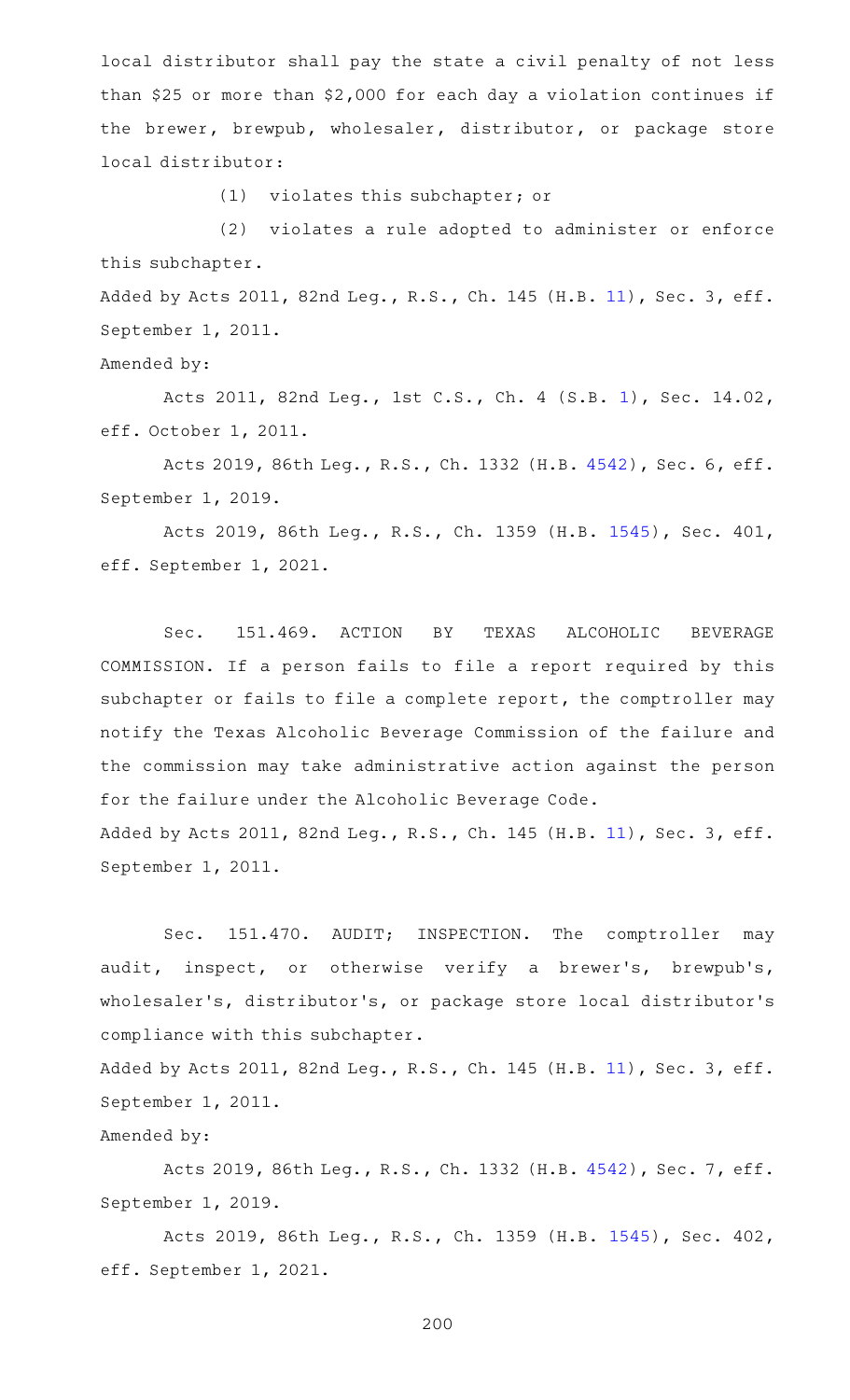local distributor shall pay the state a civil penalty of not less than \$25 or more than \$2,000 for each day a violation continues if the brewer, brewpub, wholesaler, distributor, or package store local distributor:

(1) violates this subchapter; or

(2) violates a rule adopted to administer or enforce this subchapter.

Added by Acts 2011, 82nd Leg., R.S., Ch. 145 (H.B. [11](http://www.legis.state.tx.us/tlodocs/82R/billtext/html/HB00011F.HTM)), Sec. 3, eff. September 1, 2011.

Amended by:

Acts 2011, 82nd Leg., 1st C.S., Ch. 4 (S.B. [1](http://www.legis.state.tx.us/tlodocs/821/billtext/html/SB00001F.HTM)), Sec. 14.02, eff. October 1, 2011.

Acts 2019, 86th Leg., R.S., Ch. 1332 (H.B. [4542](http://www.legis.state.tx.us/tlodocs/86R/billtext/html/HB04542F.HTM)), Sec. 6, eff. September 1, 2019.

Acts 2019, 86th Leg., R.S., Ch. 1359 (H.B. [1545](http://www.legis.state.tx.us/tlodocs/86R/billtext/html/HB01545F.HTM)), Sec. 401, eff. September 1, 2021.

Sec. 151.469. ACTION BY TEXAS ALCOHOLIC BEVERAGE COMMISSION. If a person fails to file a report required by this subchapter or fails to file a complete report, the comptroller may notify the Texas Alcoholic Beverage Commission of the failure and the commission may take administrative action against the person for the failure under the Alcoholic Beverage Code. Added by Acts 2011, 82nd Leg., R.S., Ch. 145 (H.B. [11](http://www.legis.state.tx.us/tlodocs/82R/billtext/html/HB00011F.HTM)), Sec. 3, eff.

September 1, 2011.

Sec. 151.470. AUDIT; INSPECTION. The comptroller may audit, inspect, or otherwise verify a brewer's, brewpub's, wholesaler 's, distributor 's, or package store local distributor 's compliance with this subchapter.

Added by Acts 2011, 82nd Leg., R.S., Ch. 145 (H.B. [11](http://www.legis.state.tx.us/tlodocs/82R/billtext/html/HB00011F.HTM)), Sec. 3, eff. September 1, 2011.

## Amended by:

Acts 2019, 86th Leg., R.S., Ch. 1332 (H.B. [4542](http://www.legis.state.tx.us/tlodocs/86R/billtext/html/HB04542F.HTM)), Sec. 7, eff. September 1, 2019.

Acts 2019, 86th Leg., R.S., Ch. 1359 (H.B. [1545](http://www.legis.state.tx.us/tlodocs/86R/billtext/html/HB01545F.HTM)), Sec. 402, eff. September 1, 2021.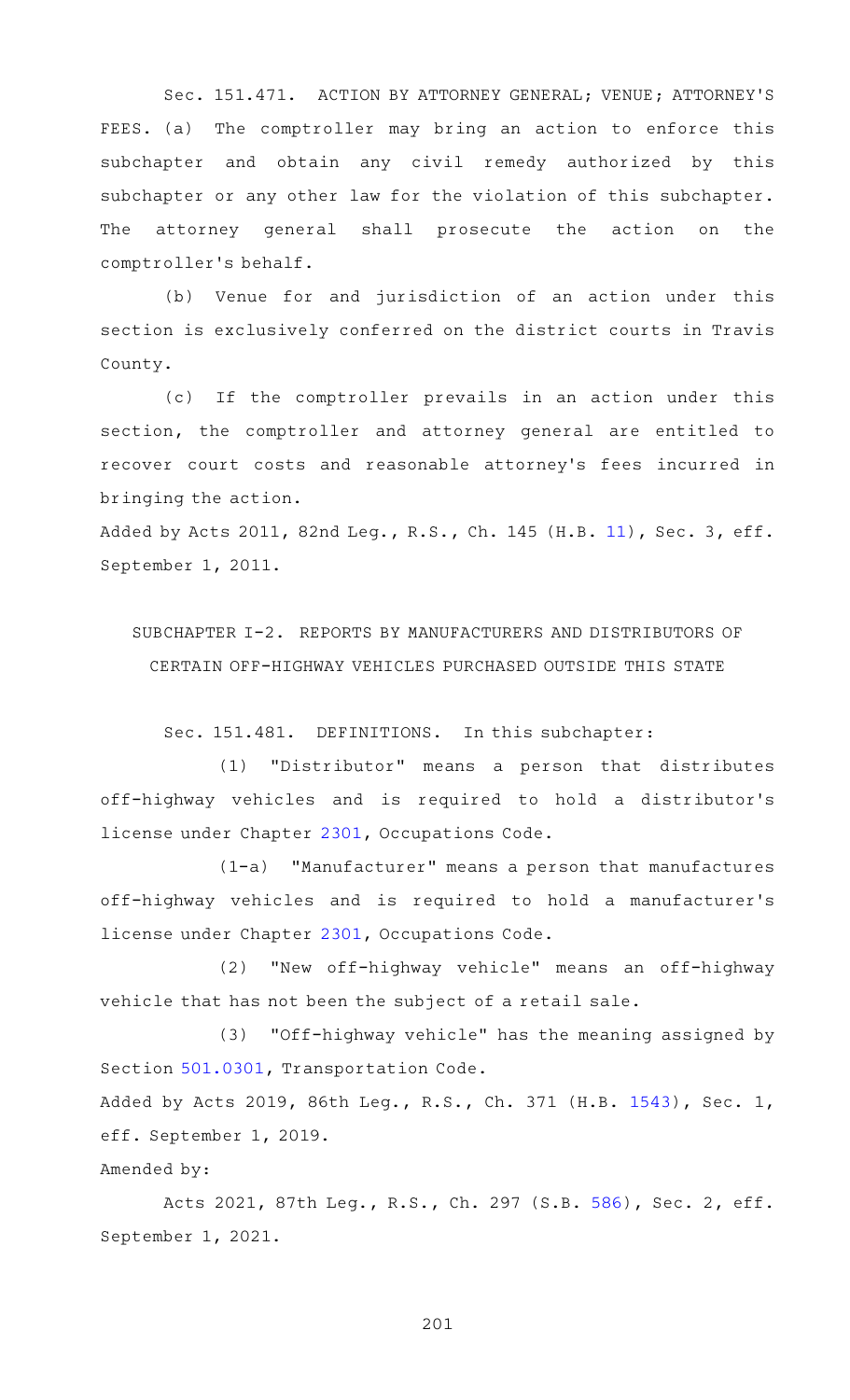Sec. 151.471. ACTION BY ATTORNEY GENERAL; VENUE; ATTORNEY'S FEES. (a) The comptroller may bring an action to enforce this subchapter and obtain any civil remedy authorized by this subchapter or any other law for the violation of this subchapter. The attorney general shall prosecute the action on the comptroller 's behalf.

(b) Venue for and jurisdiction of an action under this section is exclusively conferred on the district courts in Travis County.

(c) If the comptroller prevails in an action under this section, the comptroller and attorney general are entitled to recover court costs and reasonable attorney 's fees incurred in bringing the action.

Added by Acts 2011, 82nd Leg., R.S., Ch. 145 (H.B. [11](http://www.legis.state.tx.us/tlodocs/82R/billtext/html/HB00011F.HTM)), Sec. 3, eff. September 1, 2011.

SUBCHAPTER I-2. REPORTS BY MANUFACTURERS AND DISTRIBUTORS OF CERTAIN OFF-HIGHWAY VEHICLES PURCHASED OUTSIDE THIS STATE

Sec. 151.481. DEFINITIONS. In this subchapter:

(1) "Distributor" means a person that distributes off-highway vehicles and is required to hold a distributor 's license under Chapter [2301,](https://statutes.capitol.texas.gov/GetStatute.aspx?Code=OC&Value=2301) Occupations Code.

(1-a) "Manufacturer" means a person that manufactures off-highway vehicles and is required to hold a manufacturer 's license under Chapter [2301,](https://statutes.capitol.texas.gov/GetStatute.aspx?Code=OC&Value=2301) Occupations Code.

(2) "New off-highway vehicle" means an off-highway vehicle that has not been the subject of a retail sale.

(3) "Off-highway vehicle" has the meaning assigned by Section [501.0301](https://statutes.capitol.texas.gov/GetStatute.aspx?Code=TN&Value=501.0301), Transportation Code.

Added by Acts 2019, 86th Leg., R.S., Ch. 371 (H.B. [1543](http://www.legis.state.tx.us/tlodocs/86R/billtext/html/HB01543F.HTM)), Sec. 1, eff. September 1, 2019.

Amended by:

Acts 2021, 87th Leg., R.S., Ch. 297 (S.B. [586](http://www.legis.state.tx.us/tlodocs/87R/billtext/html/SB00586F.HTM)), Sec. 2, eff. September 1, 2021.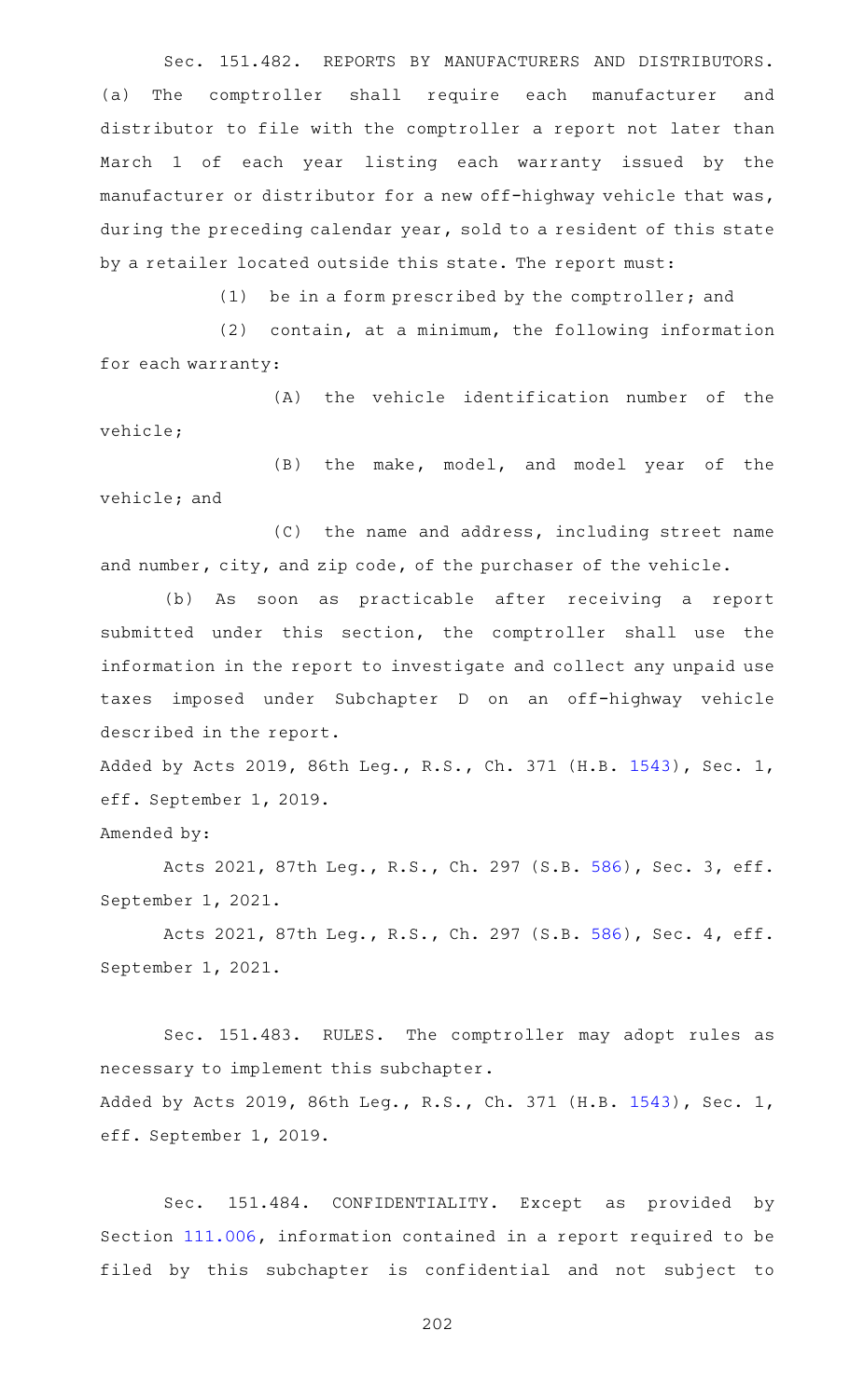Sec. 151.482. REPORTS BY MANUFACTURERS AND DISTRIBUTORS. (a) The comptroller shall require each manufacturer and distributor to file with the comptroller a report not later than March 1 of each year listing each warranty issued by the manufacturer or distributor for a new off-highway vehicle that was, during the preceding calendar year, sold to a resident of this state by a retailer located outside this state. The report must:

(1) be in a form prescribed by the comptroller; and

 $(2)$  contain, at a minimum, the following information for each warranty:

(A) the vehicle identification number of the vehicle;

(B) the make, model, and model year of the vehicle; and

(C) the name and address, including street name and number, city, and zip code, of the purchaser of the vehicle.

(b) As soon as practicable after receiving a report submitted under this section, the comptroller shall use the information in the report to investigate and collect any unpaid use taxes imposed under Subchapter D on an off-highway vehicle described in the report.

Added by Acts 2019, 86th Leg., R.S., Ch. 371 (H.B. [1543](http://www.legis.state.tx.us/tlodocs/86R/billtext/html/HB01543F.HTM)), Sec. 1, eff. September 1, 2019.

Amended by:

Acts 2021, 87th Leg., R.S., Ch. 297 (S.B. [586](http://www.legis.state.tx.us/tlodocs/87R/billtext/html/SB00586F.HTM)), Sec. 3, eff. September 1, 2021.

Acts 2021, 87th Leg., R.S., Ch. 297 (S.B. [586](http://www.legis.state.tx.us/tlodocs/87R/billtext/html/SB00586F.HTM)), Sec. 4, eff. September 1, 2021.

Sec. 151.483. RULES. The comptroller may adopt rules as necessary to implement this subchapter. Added by Acts 2019, 86th Leg., R.S., Ch. 371 (H.B. [1543](http://www.legis.state.tx.us/tlodocs/86R/billtext/html/HB01543F.HTM)), Sec. 1, eff. September 1, 2019.

Sec. 151.484. CONFIDENTIALITY. Except as provided by Section [111.006,](https://statutes.capitol.texas.gov/GetStatute.aspx?Code=TX&Value=111.006) information contained in a report required to be filed by this subchapter is confidential and not subject to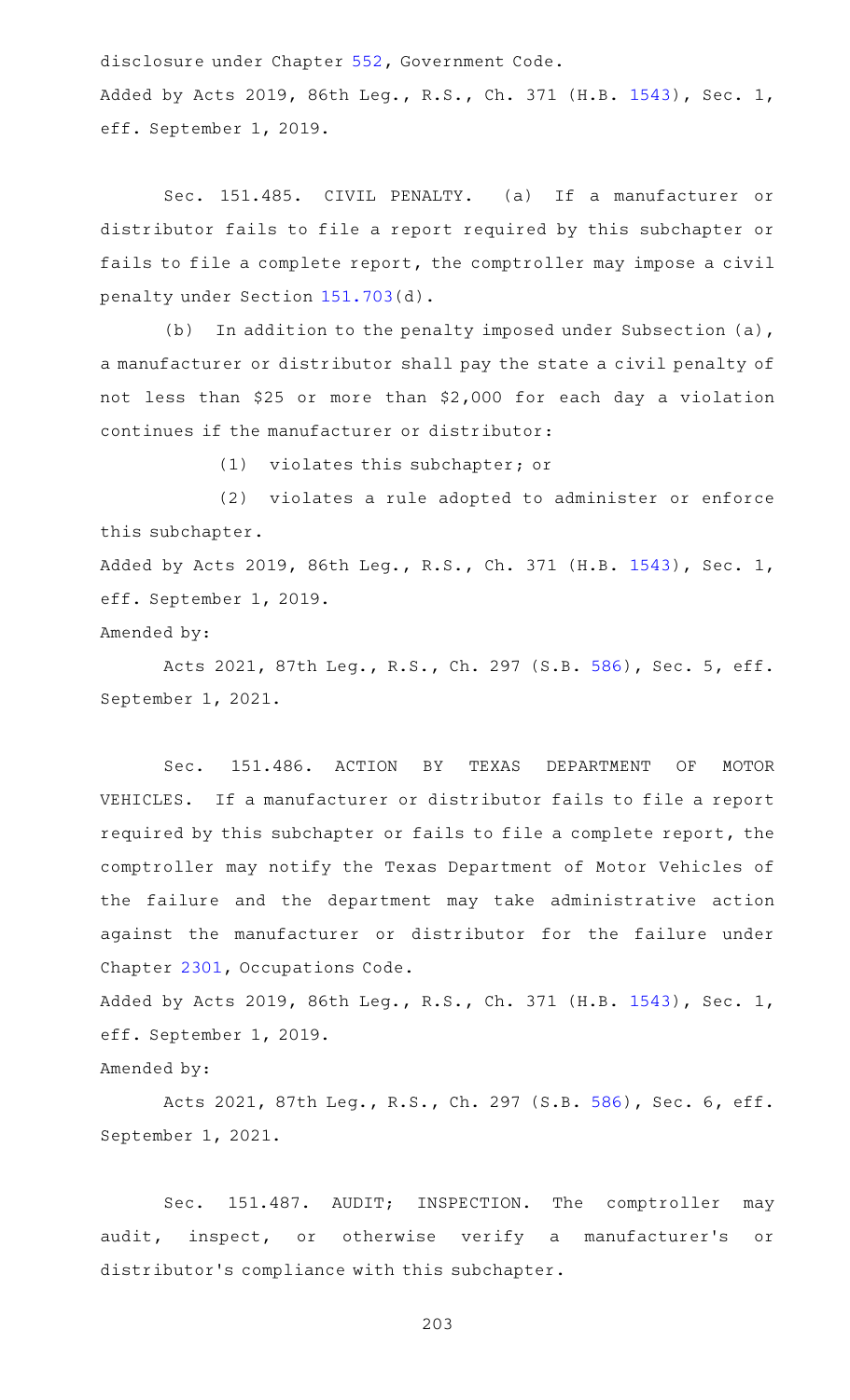disclosure under Chapter [552,](https://statutes.capitol.texas.gov/GetStatute.aspx?Code=GV&Value=552) Government Code.

Added by Acts 2019, 86th Leg., R.S., Ch. 371 (H.B. [1543](http://www.legis.state.tx.us/tlodocs/86R/billtext/html/HB01543F.HTM)), Sec. 1, eff. September 1, 2019.

Sec. 151.485. CIVIL PENALTY. (a) If a manufacturer or distributor fails to file a report required by this subchapter or fails to file a complete report, the comptroller may impose a civil penalty under Section [151.703](https://statutes.capitol.texas.gov/GetStatute.aspx?Code=TX&Value=151.703)(d).

(b) In addition to the penalty imposed under Subsection  $(a)$ , a manufacturer or distributor shall pay the state a civil penalty of not less than \$25 or more than \$2,000 for each day a violation continues if the manufacturer or distributor:

 $(1)$  violates this subchapter; or

(2) violates a rule adopted to administer or enforce this subchapter.

Added by Acts 2019, 86th Leg., R.S., Ch. 371 (H.B. [1543](http://www.legis.state.tx.us/tlodocs/86R/billtext/html/HB01543F.HTM)), Sec. 1, eff. September 1, 2019.

Amended by:

Acts 2021, 87th Leg., R.S., Ch. 297 (S.B. [586](http://www.legis.state.tx.us/tlodocs/87R/billtext/html/SB00586F.HTM)), Sec. 5, eff. September 1, 2021.

Sec. 151.486. ACTION BY TEXAS DEPARTMENT OF MOTOR VEHICLES. If a manufacturer or distributor fails to file a report required by this subchapter or fails to file a complete report, the comptroller may notify the Texas Department of Motor Vehicles of the failure and the department may take administrative action against the manufacturer or distributor for the failure under Chapter [2301](https://statutes.capitol.texas.gov/GetStatute.aspx?Code=OC&Value=2301), Occupations Code.

Added by Acts 2019, 86th Leg., R.S., Ch. 371 (H.B. [1543](http://www.legis.state.tx.us/tlodocs/86R/billtext/html/HB01543F.HTM)), Sec. 1, eff. September 1, 2019.

Amended by:

Acts 2021, 87th Leg., R.S., Ch. 297 (S.B. [586](http://www.legis.state.tx.us/tlodocs/87R/billtext/html/SB00586F.HTM)), Sec. 6, eff. September 1, 2021.

Sec. 151.487. AUDIT; INSPECTION. The comptroller may audit, inspect, or otherwise verify a manufacturer's or distributor 's compliance with this subchapter.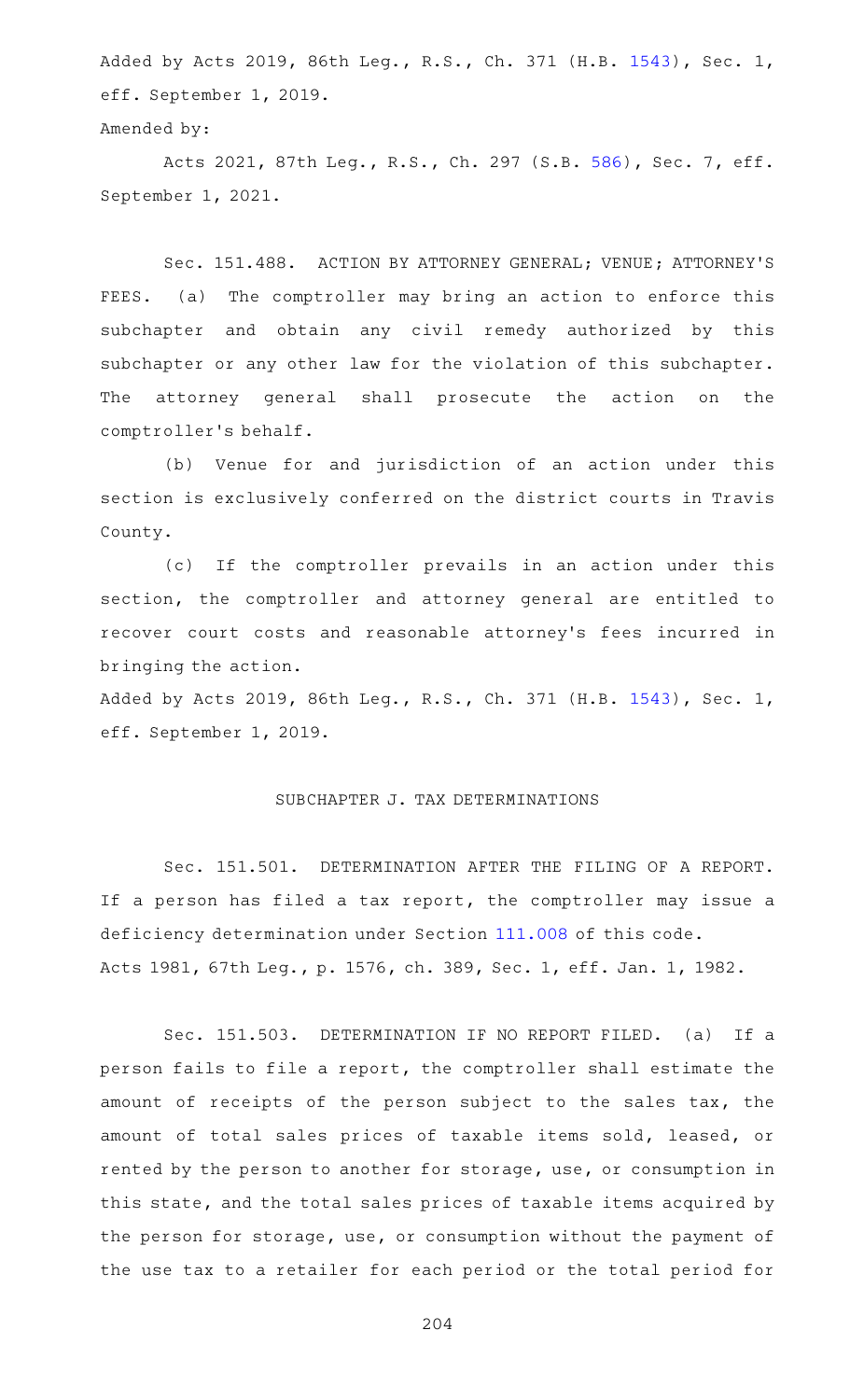Added by Acts 2019, 86th Leg., R.S., Ch. 371 (H.B. [1543](http://www.legis.state.tx.us/tlodocs/86R/billtext/html/HB01543F.HTM)), Sec. 1, eff. September 1, 2019.

```
Amended by:
```
Acts 2021, 87th Leg., R.S., Ch. 297 (S.B. [586](http://www.legis.state.tx.us/tlodocs/87R/billtext/html/SB00586F.HTM)), Sec. 7, eff. September 1, 2021.

Sec. 151.488. ACTION BY ATTORNEY GENERAL; VENUE; ATTORNEY'S FEES. (a) The comptroller may bring an action to enforce this subchapter and obtain any civil remedy authorized by this subchapter or any other law for the violation of this subchapter. The attorney general shall prosecute the action on the comptroller 's behalf.

(b) Venue for and jurisdiction of an action under this section is exclusively conferred on the district courts in Travis County.

(c) If the comptroller prevails in an action under this section, the comptroller and attorney general are entitled to recover court costs and reasonable attorney 's fees incurred in bringing the action.

Added by Acts 2019, 86th Leg., R.S., Ch. 371 (H.B. [1543](http://www.legis.state.tx.us/tlodocs/86R/billtext/html/HB01543F.HTM)), Sec. 1, eff. September 1, 2019.

## SUBCHAPTER J. TAX DETERMINATIONS

Sec. 151.501. DETERMINATION AFTER THE FILING OF A REPORT. If a person has filed a tax report, the comptroller may issue a deficiency determination under Section [111.008](https://statutes.capitol.texas.gov/GetStatute.aspx?Code=TX&Value=111.008) of this code. Acts 1981, 67th Leg., p. 1576, ch. 389, Sec. 1, eff. Jan. 1, 1982.

Sec. 151.503. DETERMINATION IF NO REPORT FILED. (a) If a person fails to file a report, the comptroller shall estimate the amount of receipts of the person subject to the sales tax, the amount of total sales prices of taxable items sold, leased, or rented by the person to another for storage, use, or consumption in this state, and the total sales prices of taxable items acquired by the person for storage, use, or consumption without the payment of the use tax to a retailer for each period or the total period for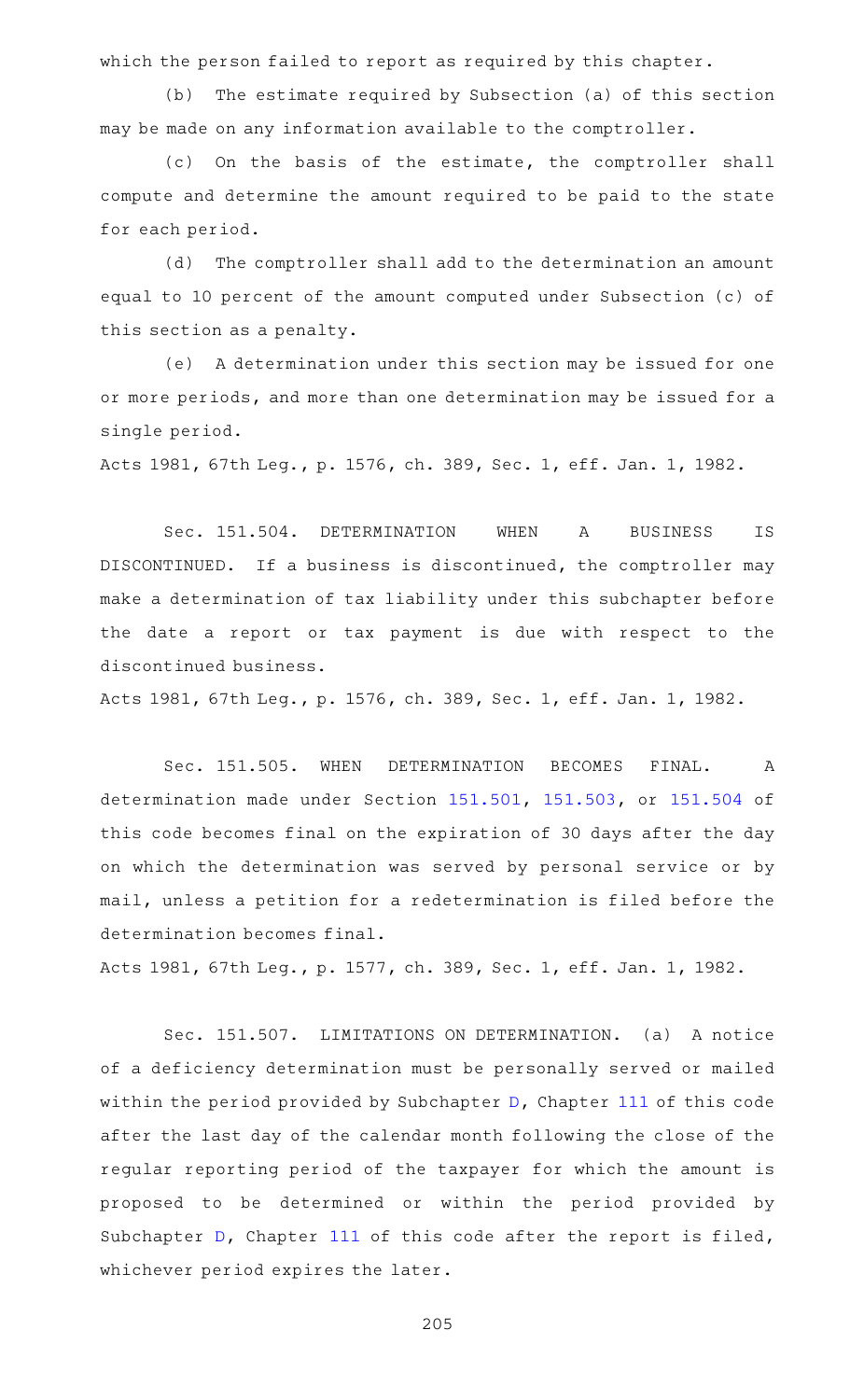which the person failed to report as required by this chapter.

(b) The estimate required by Subsection (a) of this section may be made on any information available to the comptroller.

(c) On the basis of the estimate, the comptroller shall compute and determine the amount required to be paid to the state for each period.

(d) The comptroller shall add to the determination an amount equal to 10 percent of the amount computed under Subsection (c) of this section as a penalty.

(e) A determination under this section may be issued for one or more periods, and more than one determination may be issued for a single period.

Acts 1981, 67th Leg., p. 1576, ch. 389, Sec. 1, eff. Jan. 1, 1982.

Sec. 151.504. DETERMINATION WHEN A BUSINESS IS DISCONTINUED. If a business is discontinued, the comptroller may make a determination of tax liability under this subchapter before the date a report or tax payment is due with respect to the discontinued business.

Acts 1981, 67th Leg., p. 1576, ch. 389, Sec. 1, eff. Jan. 1, 1982.

Sec. 151.505. WHEN DETERMINATION BECOMES FINAL. A determination made under Section [151.501](https://statutes.capitol.texas.gov/GetStatute.aspx?Code=TX&Value=151.501), [151.503,](https://statutes.capitol.texas.gov/GetStatute.aspx?Code=TX&Value=151.503) or [151.504](https://statutes.capitol.texas.gov/GetStatute.aspx?Code=TX&Value=151.504) of this code becomes final on the expiration of 30 days after the day on which the determination was served by personal service or by mail, unless a petition for a redetermination is filed before the determination becomes final.

Acts 1981, 67th Leg., p. 1577, ch. 389, Sec. 1, eff. Jan. 1, 1982.

Sec. 151.507. LIMITATIONS ON DETERMINATION. (a) A notice of a deficiency determination must be personally served or mailed within the period provided by Subchapter [D](https://statutes.capitol.texas.gov/GetStatute.aspx?Code=TX&Value=111.201), Chapter [111](https://statutes.capitol.texas.gov/GetStatute.aspx?Code=TX&Value=111) of this code after the last day of the calendar month following the close of the regular reporting period of the taxpayer for which the amount is proposed to be determined or within the period provided by Subchapter [D](https://statutes.capitol.texas.gov/GetStatute.aspx?Code=TX&Value=111.201), Chapter [111](https://statutes.capitol.texas.gov/GetStatute.aspx?Code=TX&Value=111) of this code after the report is filed, whichever period expires the later.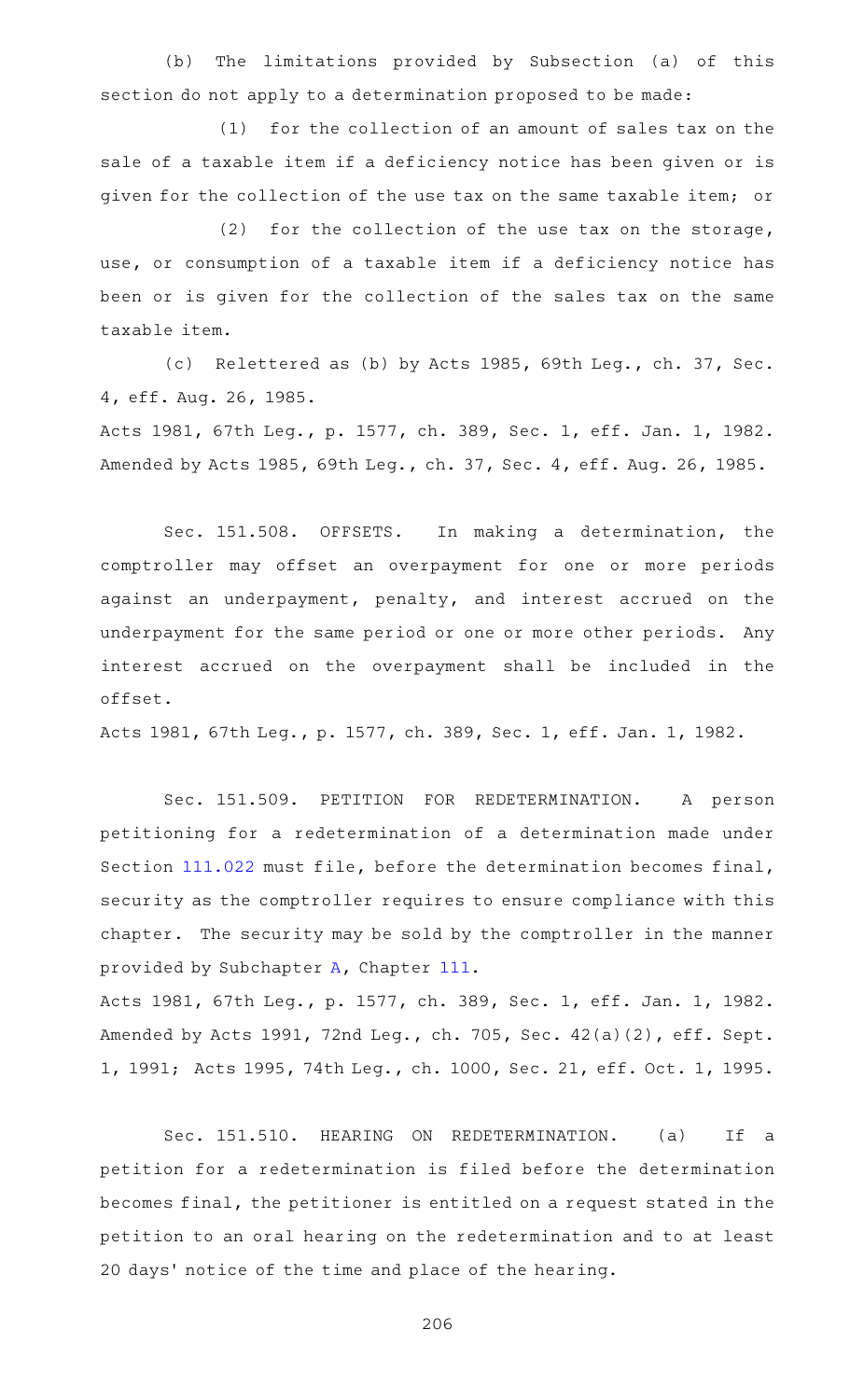(b) The limitations provided by Subsection (a) of this section do not apply to a determination proposed to be made:

 $(1)$  for the collection of an amount of sales tax on the sale of a taxable item if a deficiency notice has been given or is given for the collection of the use tax on the same taxable item; or

(2) for the collection of the use tax on the storage, use, or consumption of a taxable item if a deficiency notice has been or is given for the collection of the sales tax on the same taxable item.

(c) Relettered as (b) by Acts 1985, 69th Leg., ch. 37, Sec. 4, eff. Aug. 26, 1985.

Acts 1981, 67th Leg., p. 1577, ch. 389, Sec. 1, eff. Jan. 1, 1982. Amended by Acts 1985, 69th Leg., ch. 37, Sec. 4, eff. Aug. 26, 1985.

Sec. 151.508. OFFSETS. In making a determination, the comptroller may offset an overpayment for one or more periods against an underpayment, penalty, and interest accrued on the underpayment for the same period or one or more other periods. Any interest accrued on the overpayment shall be included in the offset.

Acts 1981, 67th Leg., p. 1577, ch. 389, Sec. 1, eff. Jan. 1, 1982.

Sec. 151.509. PETITION FOR REDETERMINATION. A person petitioning for a redetermination of a determination made under Section [111.022](https://statutes.capitol.texas.gov/GetStatute.aspx?Code=TX&Value=111.022) must file, before the determination becomes final, security as the comptroller requires to ensure compliance with this chapter. The security may be sold by the comptroller in the manner provided by Subchapter [A,](https://statutes.capitol.texas.gov/GetStatute.aspx?Code=TX&Value=111.001) Chapter [111.](https://statutes.capitol.texas.gov/GetStatute.aspx?Code=TX&Value=111)

Acts 1981, 67th Leg., p. 1577, ch. 389, Sec. 1, eff. Jan. 1, 1982. Amended by Acts 1991, 72nd Leg., ch. 705, Sec. 42(a)(2), eff. Sept. 1, 1991; Acts 1995, 74th Leg., ch. 1000, Sec. 21, eff. Oct. 1, 1995.

Sec. 151.510. HEARING ON REDETERMINATION. (a) If a petition for a redetermination is filed before the determination becomes final, the petitioner is entitled on a request stated in the petition to an oral hearing on the redetermination and to at least 20 days' notice of the time and place of the hearing.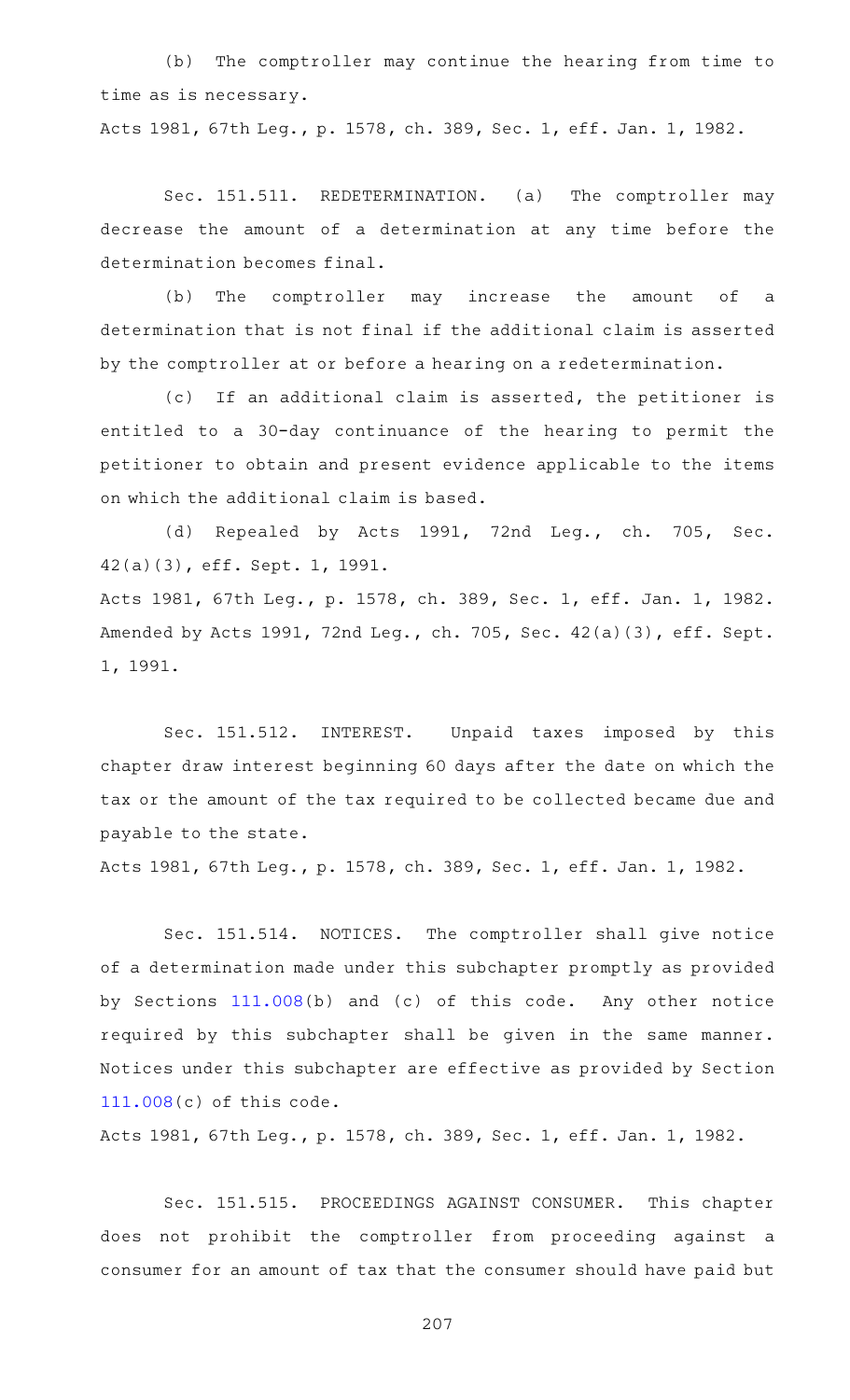(b) The comptroller may continue the hearing from time to time as is necessary.

Acts 1981, 67th Leg., p. 1578, ch. 389, Sec. 1, eff. Jan. 1, 1982.

Sec. 151.511. REDETERMINATION. (a) The comptroller may decrease the amount of a determination at any time before the determination becomes final.

(b) The comptroller may increase the amount of a determination that is not final if the additional claim is asserted by the comptroller at or before a hearing on a redetermination.

(c) If an additional claim is asserted, the petitioner is entitled to a 30-day continuance of the hearing to permit the petitioner to obtain and present evidence applicable to the items on which the additional claim is based.

(d) Repealed by Acts 1991, 72nd Leg., ch. 705, Sec. 42(a)(3), eff. Sept. 1, 1991. Acts 1981, 67th Leg., p. 1578, ch. 389, Sec. 1, eff. Jan. 1, 1982. Amended by Acts 1991, 72nd Leg., ch. 705, Sec. 42(a)(3), eff. Sept. 1, 1991.

Sec. 151.512. INTEREST. Unpaid taxes imposed by this chapter draw interest beginning 60 days after the date on which the tax or the amount of the tax required to be collected became due and payable to the state.

Acts 1981, 67th Leg., p. 1578, ch. 389, Sec. 1, eff. Jan. 1, 1982.

Sec. 151.514. NOTICES. The comptroller shall give notice of a determination made under this subchapter promptly as provided by Sections [111.008\(](https://statutes.capitol.texas.gov/GetStatute.aspx?Code=TX&Value=111.008)b) and (c) of this code. Any other notice required by this subchapter shall be given in the same manner. Notices under this subchapter are effective as provided by Section [111.008\(](https://statutes.capitol.texas.gov/GetStatute.aspx?Code=TX&Value=111.008)c) of this code.

Acts 1981, 67th Leg., p. 1578, ch. 389, Sec. 1, eff. Jan. 1, 1982.

Sec. 151.515. PROCEEDINGS AGAINST CONSUMER. This chapter does not prohibit the comptroller from proceeding against a consumer for an amount of tax that the consumer should have paid but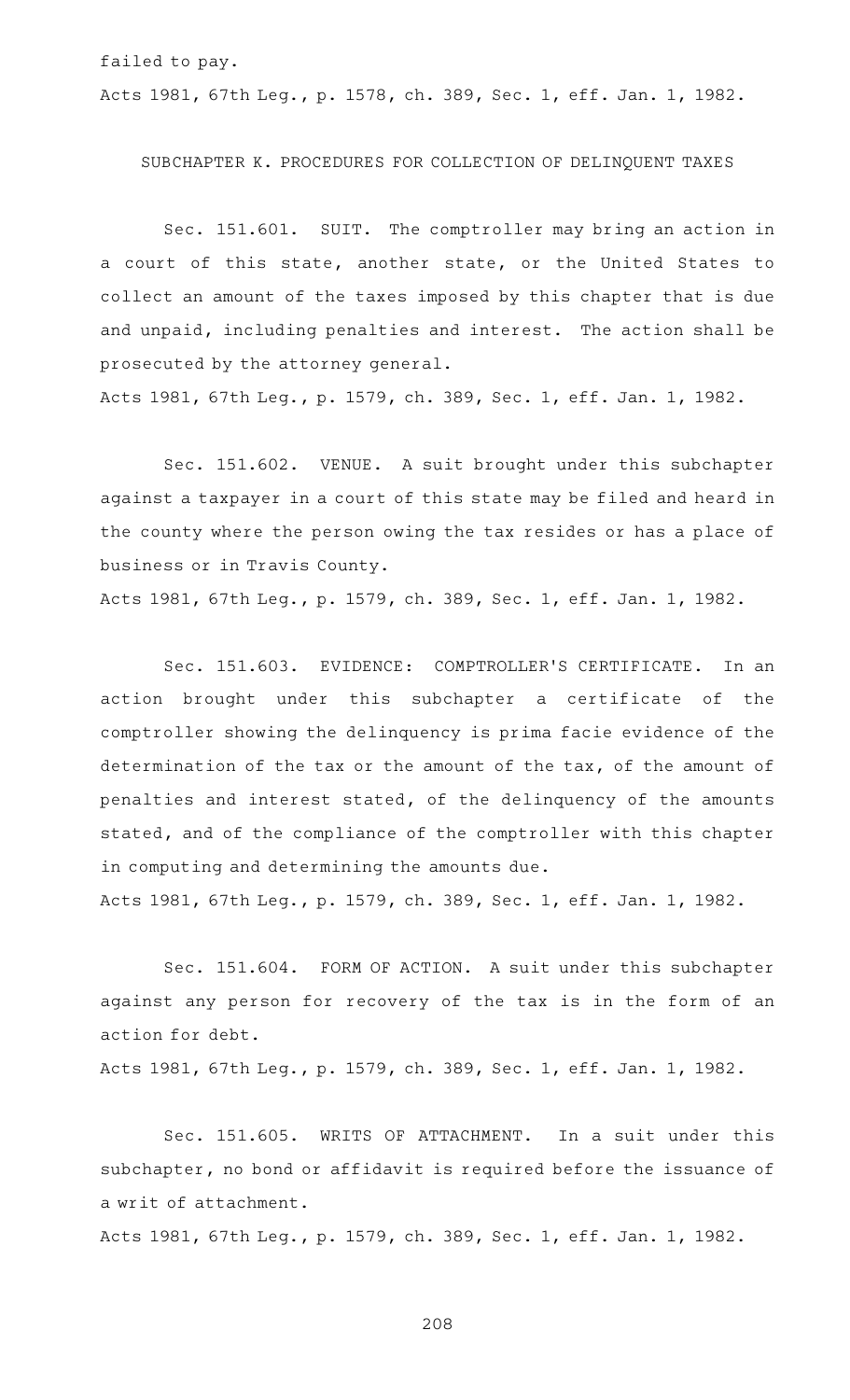failed to pay.

Acts 1981, 67th Leg., p. 1578, ch. 389, Sec. 1, eff. Jan. 1, 1982.

#### SUBCHAPTER K. PROCEDURES FOR COLLECTION OF DELINQUENT TAXES

Sec. 151.601. SUIT. The comptroller may bring an action in a court of this state, another state, or the United States to collect an amount of the taxes imposed by this chapter that is due and unpaid, including penalties and interest. The action shall be prosecuted by the attorney general.

Acts 1981, 67th Leg., p. 1579, ch. 389, Sec. 1, eff. Jan. 1, 1982.

Sec. 151.602. VENUE. A suit brought under this subchapter against a taxpayer in a court of this state may be filed and heard in the county where the person owing the tax resides or has a place of business or in Travis County.

Acts 1981, 67th Leg., p. 1579, ch. 389, Sec. 1, eff. Jan. 1, 1982.

Sec. 151.603. EVIDENCE: COMPTROLLER'S CERTIFICATE. In an action brought under this subchapter a certificate of the comptroller showing the delinquency is prima facie evidence of the determination of the tax or the amount of the tax, of the amount of penalties and interest stated, of the delinquency of the amounts stated, and of the compliance of the comptroller with this chapter in computing and determining the amounts due.

Acts 1981, 67th Leg., p. 1579, ch. 389, Sec. 1, eff. Jan. 1, 1982.

Sec. 151.604. FORM OF ACTION. A suit under this subchapter against any person for recovery of the tax is in the form of an action for debt.

Acts 1981, 67th Leg., p. 1579, ch. 389, Sec. 1, eff. Jan. 1, 1982.

Sec. 151.605. WRITS OF ATTACHMENT. In a suit under this subchapter, no bond or affidavit is required before the issuance of a writ of attachment.

Acts 1981, 67th Leg., p. 1579, ch. 389, Sec. 1, eff. Jan. 1, 1982.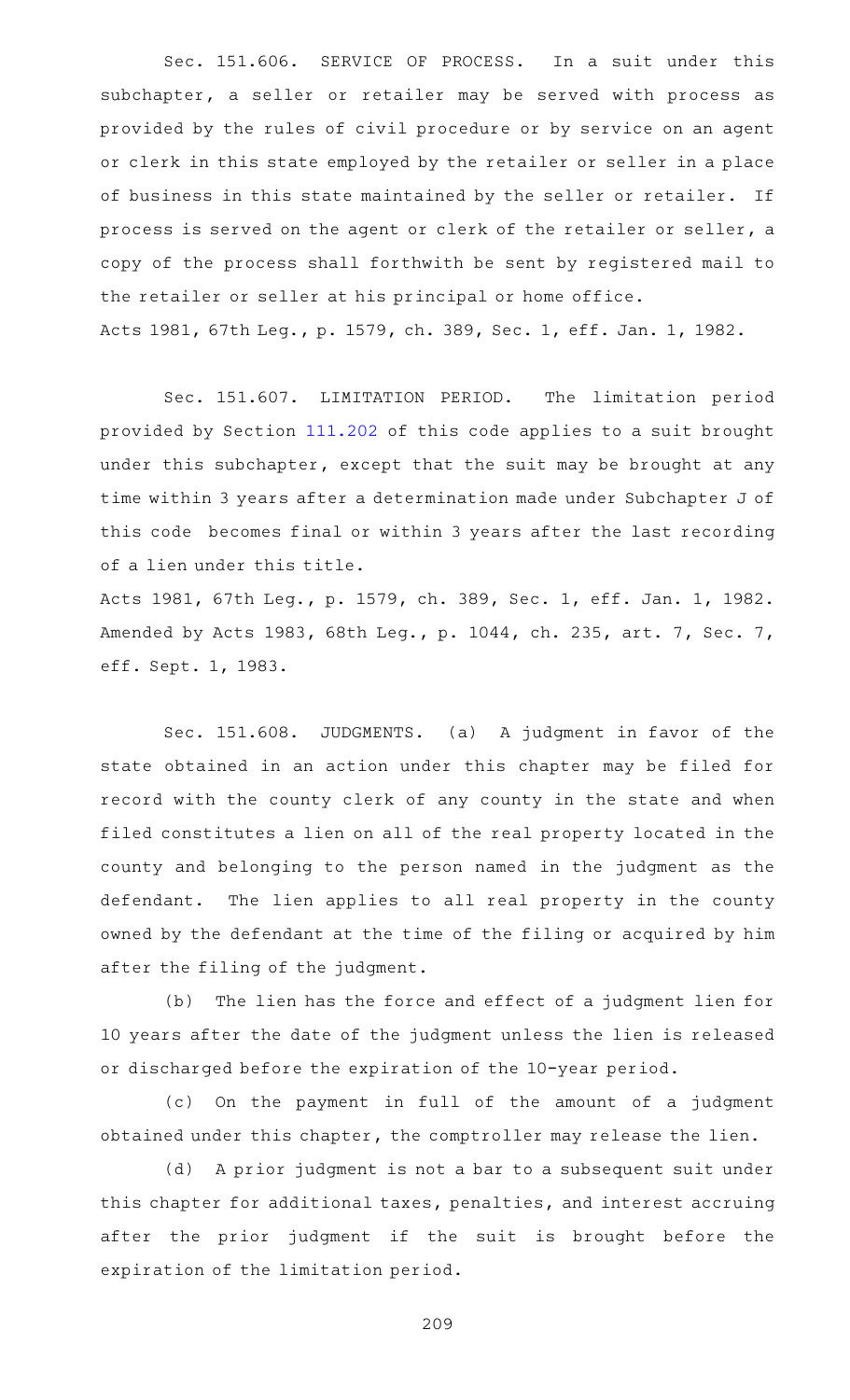Sec. 151.606. SERVICE OF PROCESS. In a suit under this subchapter, a seller or retailer may be served with process as provided by the rules of civil procedure or by service on an agent or clerk in this state employed by the retailer or seller in a place of business in this state maintained by the seller or retailer. If process is served on the agent or clerk of the retailer or seller, a copy of the process shall forthwith be sent by registered mail to the retailer or seller at his principal or home office. Acts 1981, 67th Leg., p. 1579, ch. 389, Sec. 1, eff. Jan. 1, 1982.

Sec. 151.607. LIMITATION PERIOD. The limitation period provided by Section [111.202](https://statutes.capitol.texas.gov/GetStatute.aspx?Code=TX&Value=111.202) of this code applies to a suit brought under this subchapter, except that the suit may be brought at any time within 3 years after a determination made under Subchapter J of this code becomes final or within 3 years after the last recording of a lien under this title.

Acts 1981, 67th Leg., p. 1579, ch. 389, Sec. 1, eff. Jan. 1, 1982. Amended by Acts 1983, 68th Leg., p. 1044, ch. 235, art. 7, Sec. 7, eff. Sept. 1, 1983.

Sec. 151.608. JUDGMENTS. (a) A judgment in favor of the state obtained in an action under this chapter may be filed for record with the county clerk of any county in the state and when filed constitutes a lien on all of the real property located in the county and belonging to the person named in the judgment as the defendant. The lien applies to all real property in the county owned by the defendant at the time of the filing or acquired by him after the filing of the judgment.

(b) The lien has the force and effect of a judgment lien for 10 years after the date of the judgment unless the lien is released or discharged before the expiration of the 10-year period.

(c) On the payment in full of the amount of a judgment obtained under this chapter, the comptroller may release the lien.

(d) A prior judgment is not a bar to a subsequent suit under this chapter for additional taxes, penalties, and interest accruing after the prior judgment if the suit is brought before the expiration of the limitation period.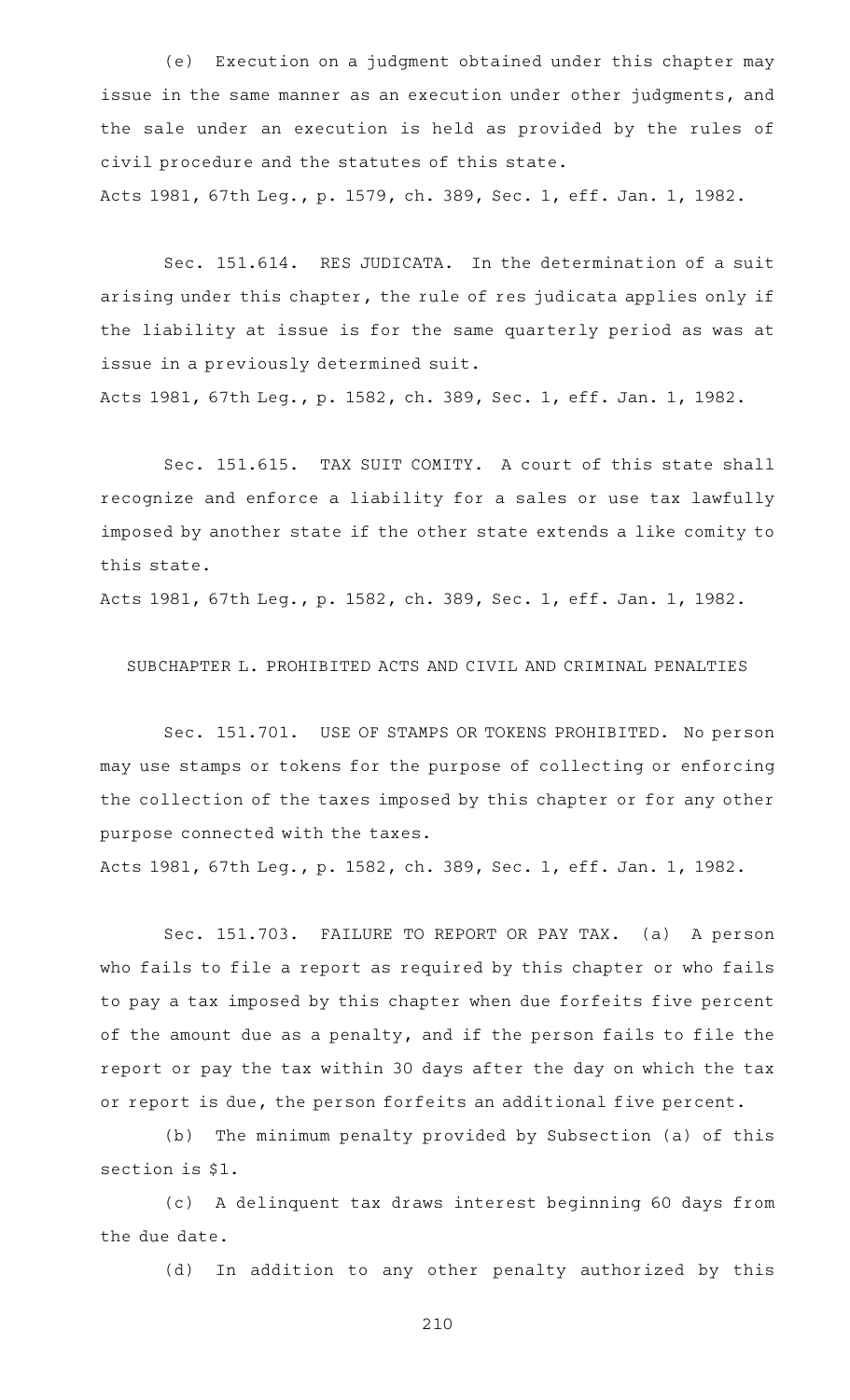(e) Execution on a judgment obtained under this chapter may issue in the same manner as an execution under other judgments, and the sale under an execution is held as provided by the rules of civil procedure and the statutes of this state.

Acts 1981, 67th Leg., p. 1579, ch. 389, Sec. 1, eff. Jan. 1, 1982.

Sec. 151.614. RES JUDICATA. In the determination of a suit arising under this chapter, the rule of res judicata applies only if the liability at issue is for the same quarterly period as was at issue in a previously determined suit.

Acts 1981, 67th Leg., p. 1582, ch. 389, Sec. 1, eff. Jan. 1, 1982.

Sec. 151.615. TAX SUIT COMITY. A court of this state shall recognize and enforce a liability for a sales or use tax lawfully imposed by another state if the other state extends a like comity to this state.

Acts 1981, 67th Leg., p. 1582, ch. 389, Sec. 1, eff. Jan. 1, 1982.

SUBCHAPTER L. PROHIBITED ACTS AND CIVIL AND CRIMINAL PENALTIES

Sec. 151.701. USE OF STAMPS OR TOKENS PROHIBITED. No person may use stamps or tokens for the purpose of collecting or enforcing the collection of the taxes imposed by this chapter or for any other purpose connected with the taxes.

Acts 1981, 67th Leg., p. 1582, ch. 389, Sec. 1, eff. Jan. 1, 1982.

Sec. 151.703. FAILURE TO REPORT OR PAY TAX. (a) A person who fails to file a report as required by this chapter or who fails to pay a tax imposed by this chapter when due forfeits five percent of the amount due as a penalty, and if the person fails to file the report or pay the tax within 30 days after the day on which the tax or report is due, the person forfeits an additional five percent.

(b) The minimum penalty provided by Subsection (a) of this section is \$1.

(c)AAA delinquent tax draws interest beginning 60 days from the due date.

(d) In addition to any other penalty authorized by this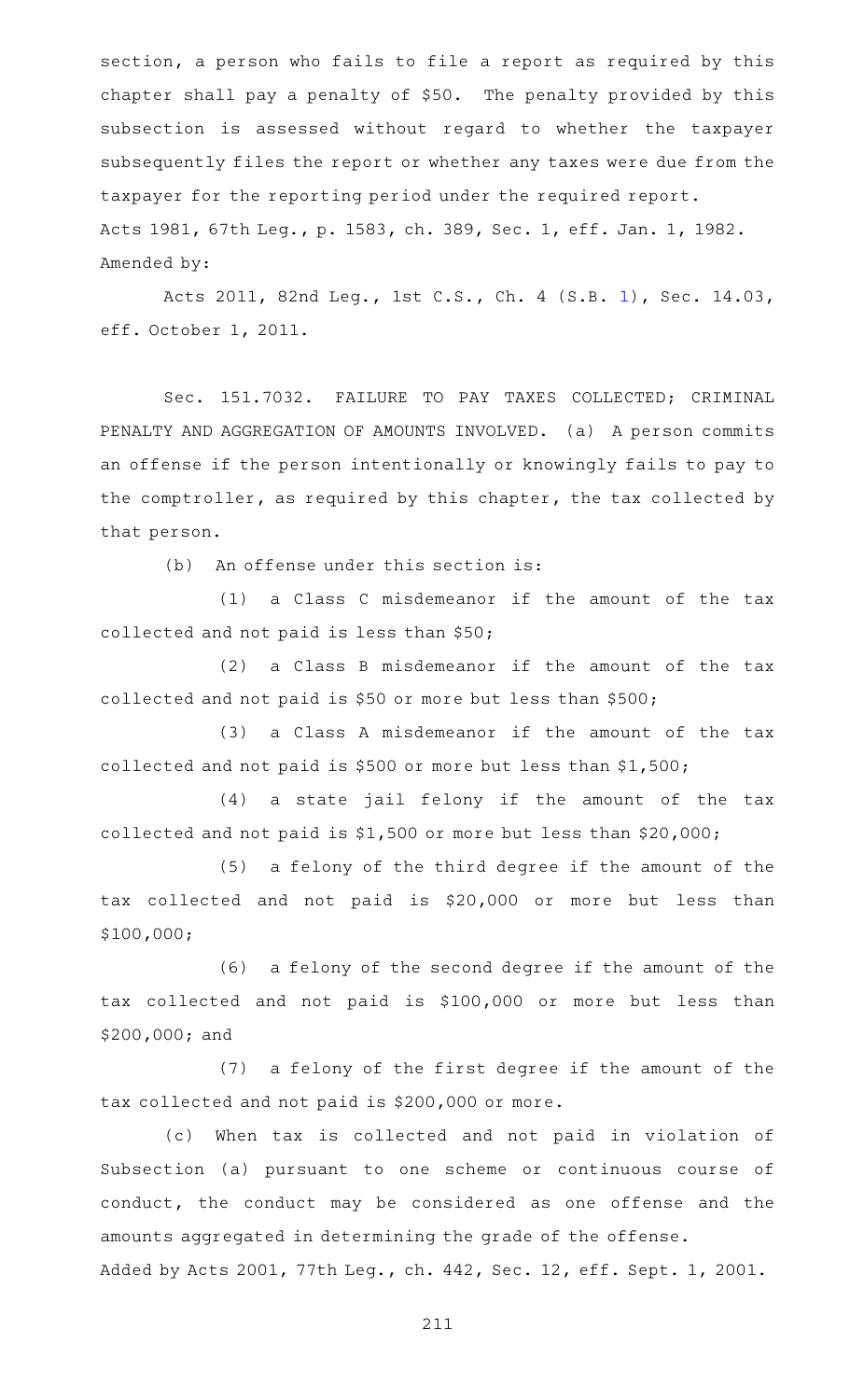section, a person who fails to file a report as required by this chapter shall pay a penalty of \$50. The penalty provided by this subsection is assessed without regard to whether the taxpayer subsequently files the report or whether any taxes were due from the taxpayer for the reporting period under the required report. Acts 1981, 67th Leg., p. 1583, ch. 389, Sec. 1, eff. Jan. 1, 1982. Amended by:

Acts 2011, 82nd Leg., 1st C.S., Ch. 4 (S.B. [1](http://www.legis.state.tx.us/tlodocs/821/billtext/html/SB00001F.HTM)), Sec. 14.03, eff. October 1, 2011.

Sec. 151.7032. FAILURE TO PAY TAXES COLLECTED; CRIMINAL PENALTY AND AGGREGATION OF AMOUNTS INVOLVED. (a) A person commits an offense if the person intentionally or knowingly fails to pay to the comptroller, as required by this chapter, the tax collected by that person.

 $(b)$  An offense under this section is:

 $(1)$  a Class C misdemeanor if the amount of the tax collected and not paid is less than \$50;

 $(2)$  a Class B misdemeanor if the amount of the tax collected and not paid is \$50 or more but less than \$500;

(3) a Class A misdemeanor if the amount of the tax collected and not paid is \$500 or more but less than \$1,500;

(4) a state jail felony if the amount of the tax collected and not paid is \$1,500 or more but less than \$20,000;

(5) a felony of the third degree if the amount of the tax collected and not paid is \$20,000 or more but less than \$100,000;

(6) a felony of the second degree if the amount of the tax collected and not paid is \$100,000 or more but less than \$200,000; and

 $(7)$  a felony of the first degree if the amount of the tax collected and not paid is \$200,000 or more.

(c) When tax is collected and not paid in violation of Subsection (a) pursuant to one scheme or continuous course of conduct, the conduct may be considered as one offense and the amounts aggregated in determining the grade of the offense. Added by Acts 2001, 77th Leg., ch. 442, Sec. 12, eff. Sept. 1, 2001.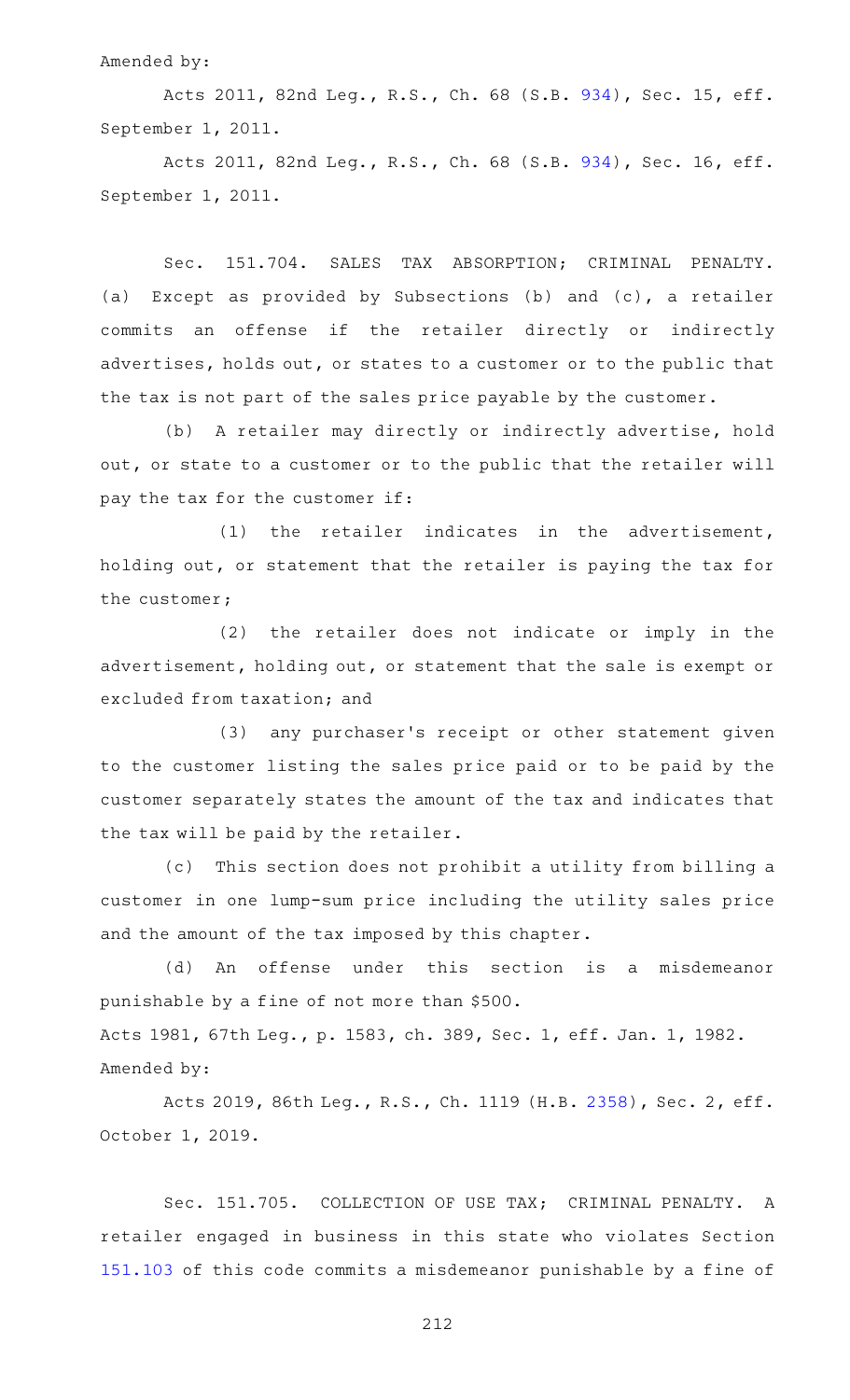### Amended by:

Acts 2011, 82nd Leg., R.S., Ch. 68 (S.B. [934\)](http://www.legis.state.tx.us/tlodocs/82R/billtext/html/SB00934F.HTM), Sec. 15, eff. September 1, 2011.

Acts 2011, 82nd Leg., R.S., Ch. 68 (S.B. [934\)](http://www.legis.state.tx.us/tlodocs/82R/billtext/html/SB00934F.HTM), Sec. 16, eff. September 1, 2011.

Sec. 151.704. SALES TAX ABSORPTION; CRIMINAL PENALTY. (a) Except as provided by Subsections (b) and (c), a retailer commits an offense if the retailer directly or indirectly advertises, holds out, or states to a customer or to the public that the tax is not part of the sales price payable by the customer.

(b) A retailer may directly or indirectly advertise, hold out, or state to a customer or to the public that the retailer will pay the tax for the customer if:

 $(1)$  the retailer indicates in the advertisement, holding out, or statement that the retailer is paying the tax for the customer;

(2) the retailer does not indicate or imply in the advertisement, holding out, or statement that the sale is exempt or excluded from taxation; and

(3) any purchaser's receipt or other statement given to the customer listing the sales price paid or to be paid by the customer separately states the amount of the tax and indicates that the tax will be paid by the retailer.

(c) This section does not prohibit a utility from billing a customer in one lump-sum price including the utility sales price and the amount of the tax imposed by this chapter.

(d) An offense under this section is a misdemeanor punishable by a fine of not more than \$500. Acts 1981, 67th Leg., p. 1583, ch. 389, Sec. 1, eff. Jan. 1, 1982. Amended by:

Acts 2019, 86th Leg., R.S., Ch. 1119 (H.B. [2358](http://www.legis.state.tx.us/tlodocs/86R/billtext/html/HB02358F.HTM)), Sec. 2, eff. October 1, 2019.

Sec. 151.705. COLLECTION OF USE TAX; CRIMINAL PENALTY. A retailer engaged in business in this state who violates Section [151.103](https://statutes.capitol.texas.gov/GetStatute.aspx?Code=TX&Value=151.103) of this code commits a misdemeanor punishable by a fine of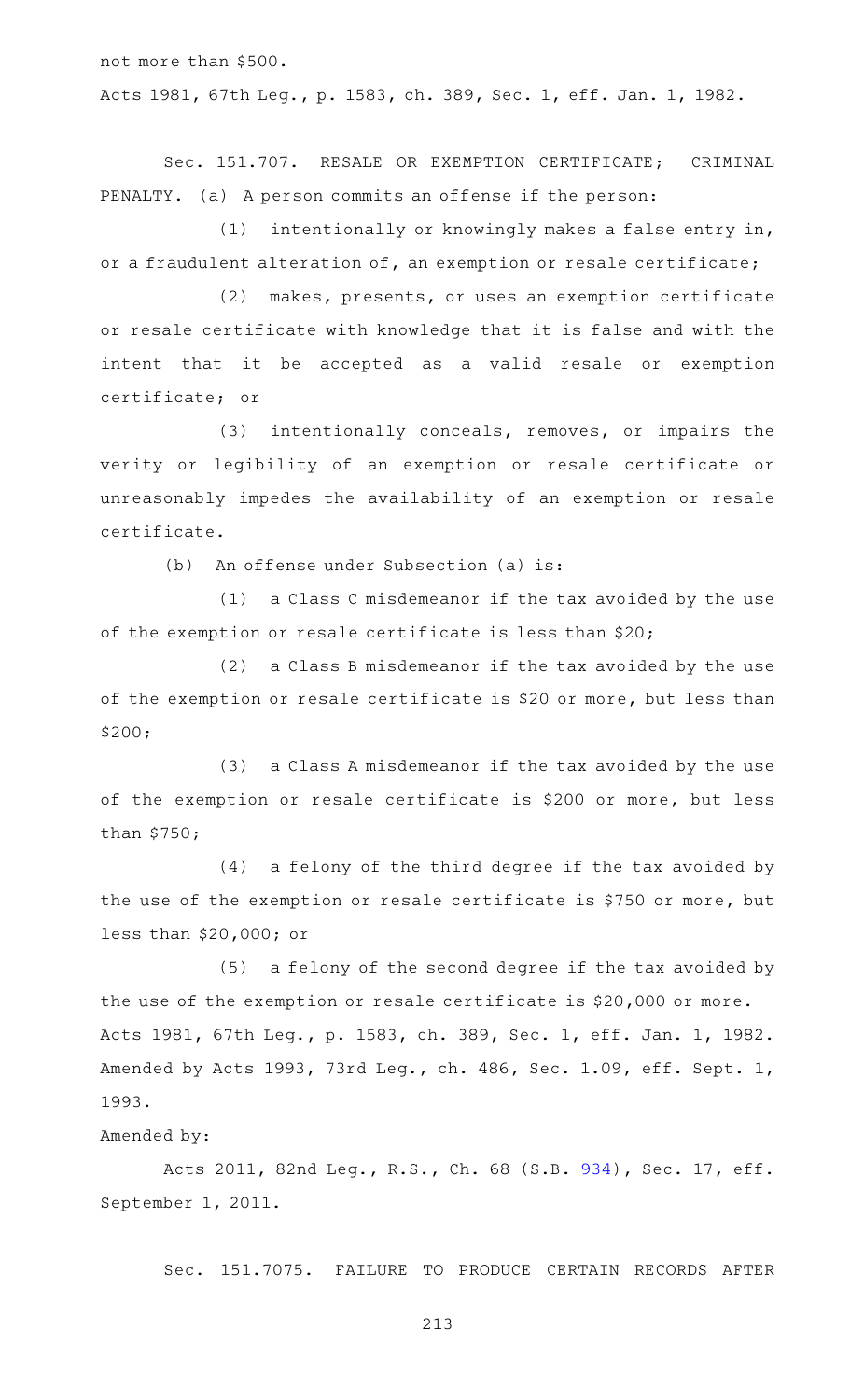not more than \$500. Acts 1981, 67th Leg., p. 1583, ch. 389, Sec. 1, eff. Jan. 1, 1982.

Sec. 151.707. RESALE OR EXEMPTION CERTIFICATE; CRIMINAL PENALTY. (a) A person commits an offense if the person:

(1) intentionally or knowingly makes a false entry in, or a fraudulent alteration of, an exemption or resale certificate;

(2) makes, presents, or uses an exemption certificate or resale certificate with knowledge that it is false and with the intent that it be accepted as a valid resale or exemption certificate; or

(3) intentionally conceals, removes, or impairs the verity or legibility of an exemption or resale certificate or unreasonably impedes the availability of an exemption or resale certificate.

(b) An offense under Subsection (a) is:

 $(1)$  a Class C misdemeanor if the tax avoided by the use of the exemption or resale certificate is less than \$20;

 $(2)$  a Class B misdemeanor if the tax avoided by the use of the exemption or resale certificate is \$20 or more, but less than \$200;

 $(3)$  a Class A misdemeanor if the tax avoided by the use of the exemption or resale certificate is \$200 or more, but less than \$750;

 $(4)$  a felony of the third degree if the tax avoided by the use of the exemption or resale certificate is \$750 or more, but less than \$20,000; or

(5) a felony of the second degree if the tax avoided by the use of the exemption or resale certificate is \$20,000 or more. Acts 1981, 67th Leg., p. 1583, ch. 389, Sec. 1, eff. Jan. 1, 1982. Amended by Acts 1993, 73rd Leg., ch. 486, Sec. 1.09, eff. Sept. 1, 1993.

## Amended by:

Acts 2011, 82nd Leg., R.S., Ch. 68 (S.B. [934\)](http://www.legis.state.tx.us/tlodocs/82R/billtext/html/SB00934F.HTM), Sec. 17, eff. September 1, 2011.

Sec. 151.7075. FAILURE TO PRODUCE CERTAIN RECORDS AFTER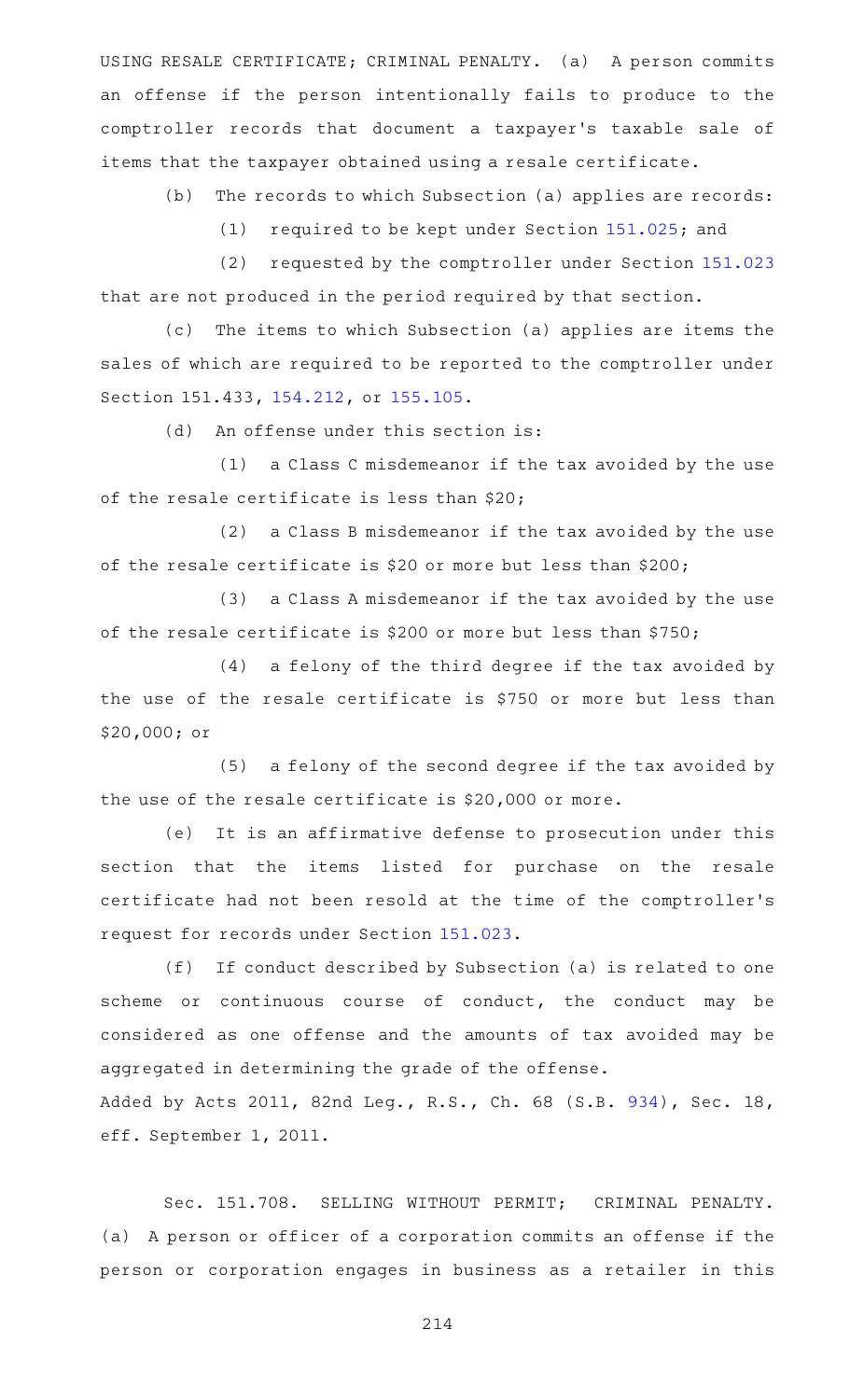USING RESALE CERTIFICATE; CRIMINAL PENALTY. (a) A person commits an offense if the person intentionally fails to produce to the comptroller records that document a taxpayer 's taxable sale of items that the taxpayer obtained using a resale certificate.

(b) The records to which Subsection (a) applies are records:

(1) required to be kept under Section [151.025;](https://statutes.capitol.texas.gov/GetStatute.aspx?Code=TX&Value=151.025) and

(2) requested by the comptroller under Section [151.023](https://statutes.capitol.texas.gov/GetStatute.aspx?Code=TX&Value=151.023) that are not produced in the period required by that section.

(c) The items to which Subsection (a) applies are items the sales of which are required to be reported to the comptroller under Section 151.433, [154.212](https://statutes.capitol.texas.gov/GetStatute.aspx?Code=TX&Value=154.212), or [155.105.](https://statutes.capitol.texas.gov/GetStatute.aspx?Code=TX&Value=155.105)

(d) An offense under this section is:

 $(1)$  a Class C misdemeanor if the tax avoided by the use of the resale certificate is less than \$20;

 $(2)$  a Class B misdemeanor if the tax avoided by the use of the resale certificate is \$20 or more but less than \$200;

(3) a Class A misdemeanor if the tax avoided by the use of the resale certificate is \$200 or more but less than \$750;

 $(4)$  a felony of the third degree if the tax avoided by the use of the resale certificate is \$750 or more but less than \$20,000; or

 $(5)$  a felony of the second degree if the tax avoided by the use of the resale certificate is \$20,000 or more.

(e) It is an affirmative defense to prosecution under this section that the items listed for purchase on the resale certificate had not been resold at the time of the comptroller 's request for records under Section [151.023.](https://statutes.capitol.texas.gov/GetStatute.aspx?Code=TX&Value=151.023)

(f) If conduct described by Subsection (a) is related to one scheme or continuous course of conduct, the conduct may be considered as one offense and the amounts of tax avoided may be aggregated in determining the grade of the offense. Added by Acts 2011, 82nd Leg., R.S., Ch. 68 (S.B. [934](http://www.legis.state.tx.us/tlodocs/82R/billtext/html/SB00934F.HTM)), Sec. 18,

eff. September 1, 2011.

Sec. 151.708. SELLING WITHOUT PERMIT; CRIMINAL PENALTY. (a) A person or officer of a corporation commits an offense if the person or corporation engages in business as a retailer in this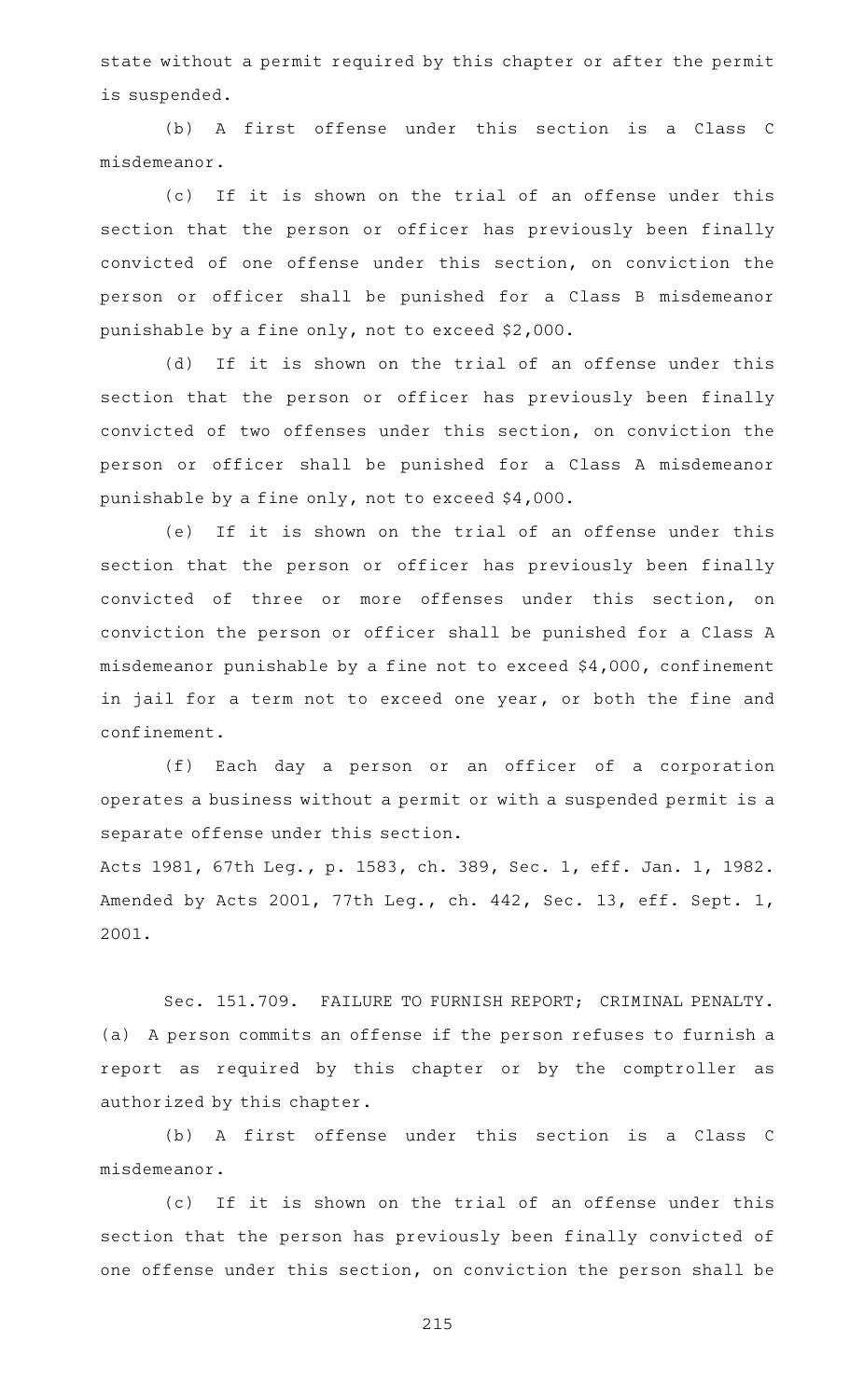state without a permit required by this chapter or after the permit is suspended.

(b) A first offense under this section is a Class C misdemeanor.

(c) If it is shown on the trial of an offense under this section that the person or officer has previously been finally convicted of one offense under this section, on conviction the person or officer shall be punished for a Class B misdemeanor punishable by a fine only, not to exceed \$2,000.

(d) If it is shown on the trial of an offense under this section that the person or officer has previously been finally convicted of two offenses under this section, on conviction the person or officer shall be punished for a Class A misdemeanor punishable by a fine only, not to exceed \$4,000.

(e) If it is shown on the trial of an offense under this section that the person or officer has previously been finally convicted of three or more offenses under this section, on conviction the person or officer shall be punished for a Class A misdemeanor punishable by a fine not to exceed \$4,000, confinement in jail for a term not to exceed one year, or both the fine and confinement.

(f) Each day a person or an officer of a corporation operates a business without a permit or with a suspended permit is a separate offense under this section.

Acts 1981, 67th Leg., p. 1583, ch. 389, Sec. 1, eff. Jan. 1, 1982. Amended by Acts 2001, 77th Leg., ch. 442, Sec. 13, eff. Sept. 1, 2001.

Sec. 151.709. FAILURE TO FURNISH REPORT; CRIMINAL PENALTY. (a) A person commits an offense if the person refuses to furnish a report as required by this chapter or by the comptroller as authorized by this chapter.

(b) A first offense under this section is a Class C misdemeanor.

(c) If it is shown on the trial of an offense under this section that the person has previously been finally convicted of one offense under this section, on conviction the person shall be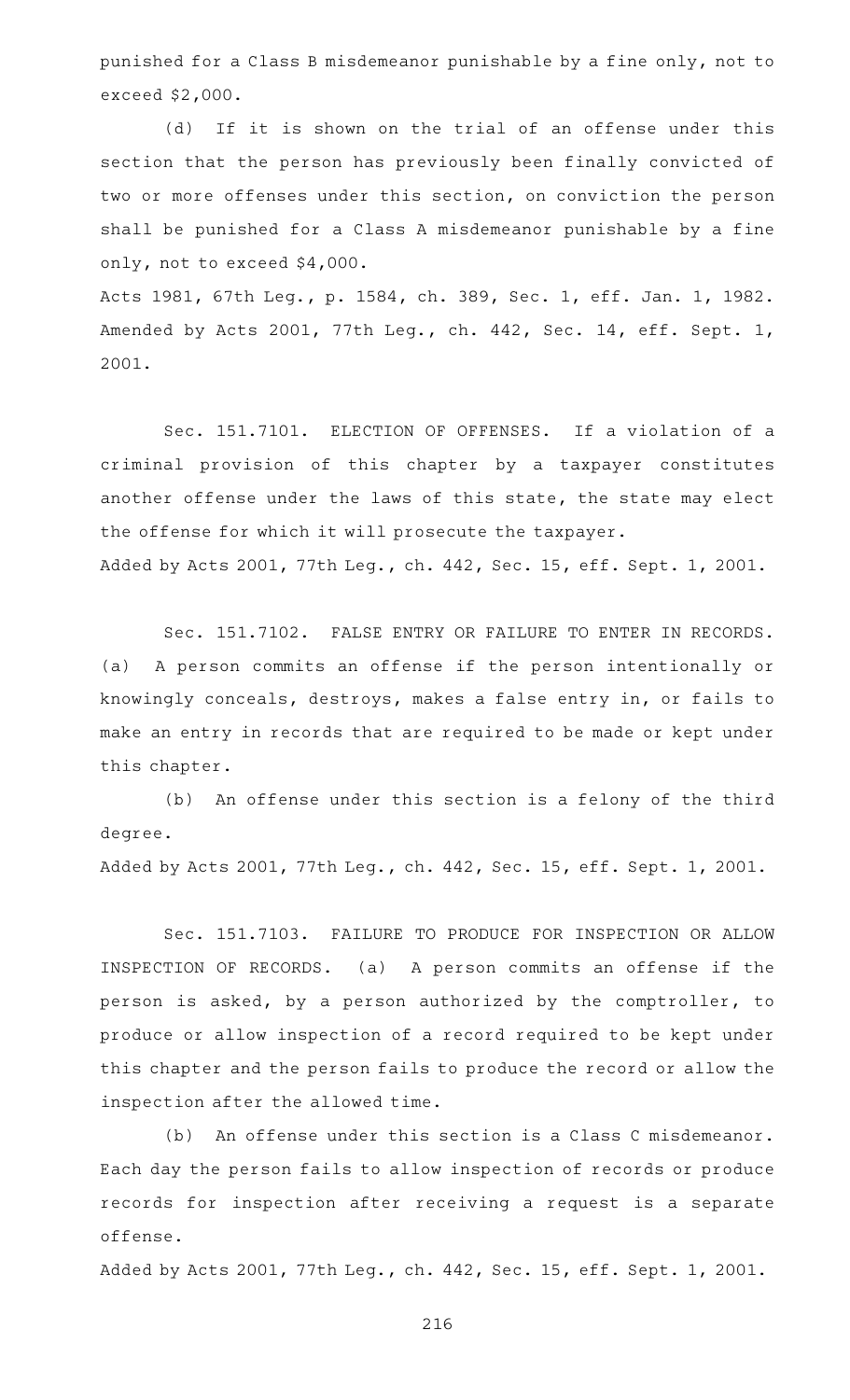punished for a Class B misdemeanor punishable by a fine only, not to exceed \$2,000.

(d) If it is shown on the trial of an offense under this section that the person has previously been finally convicted of two or more offenses under this section, on conviction the person shall be punished for a Class A misdemeanor punishable by a fine only, not to exceed \$4,000.

Acts 1981, 67th Leg., p. 1584, ch. 389, Sec. 1, eff. Jan. 1, 1982. Amended by Acts 2001, 77th Leg., ch. 442, Sec. 14, eff. Sept. 1, 2001.

Sec. 151.7101. ELECTION OF OFFENSES. If a violation of a criminal provision of this chapter by a taxpayer constitutes another offense under the laws of this state, the state may elect the offense for which it will prosecute the taxpayer. Added by Acts 2001, 77th Leg., ch. 442, Sec. 15, eff. Sept. 1, 2001.

Sec. 151.7102. FALSE ENTRY OR FAILURE TO ENTER IN RECORDS. (a) A person commits an offense if the person intentionally or knowingly conceals, destroys, makes a false entry in, or fails to make an entry in records that are required to be made or kept under this chapter.

(b) An offense under this section is a felony of the third degree.

Added by Acts 2001, 77th Leg., ch. 442, Sec. 15, eff. Sept. 1, 2001.

Sec. 151.7103. FAILURE TO PRODUCE FOR INSPECTION OR ALLOW INSPECTION OF RECORDS. (a) A person commits an offense if the person is asked, by a person authorized by the comptroller, to produce or allow inspection of a record required to be kept under this chapter and the person fails to produce the record or allow the inspection after the allowed time.

(b) An offense under this section is a Class C misdemeanor. Each day the person fails to allow inspection of records or produce records for inspection after receiving a request is a separate offense.

Added by Acts 2001, 77th Leg., ch. 442, Sec. 15, eff. Sept. 1, 2001.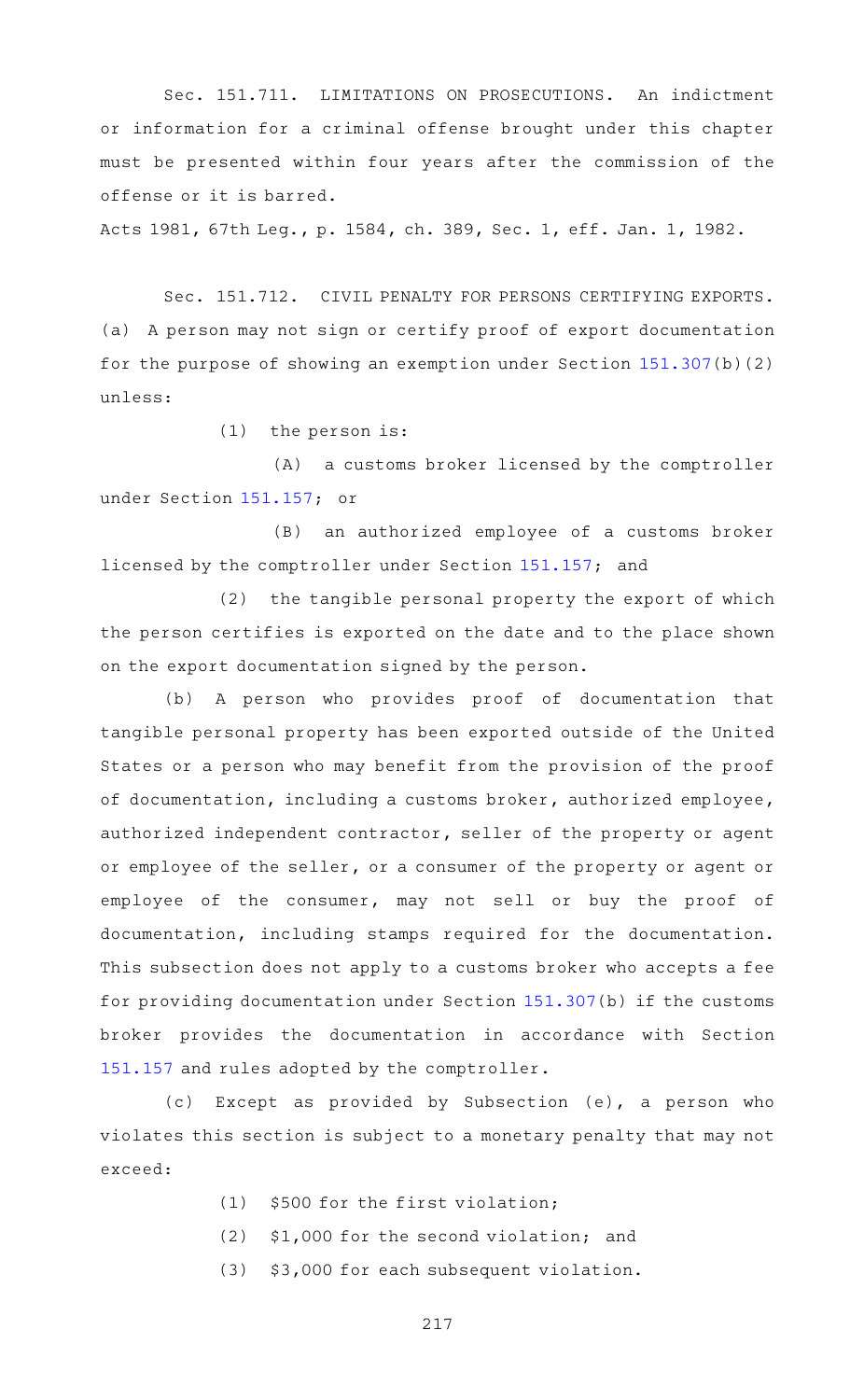Sec. 151.711. LIMITATIONS ON PROSECUTIONS. An indictment or information for a criminal offense brought under this chapter must be presented within four years after the commission of the offense or it is barred.

Acts 1981, 67th Leg., p. 1584, ch. 389, Sec. 1, eff. Jan. 1, 1982.

Sec. 151.712. CIVIL PENALTY FOR PERSONS CERTIFYING EXPORTS. (a) A person may not sign or certify proof of export documentation for the purpose of showing an exemption under Section [151.307\(](https://statutes.capitol.texas.gov/GetStatute.aspx?Code=TX&Value=151.307)b)(2) unless:

 $(1)$  the person is:

(A) a customs broker licensed by the comptroller under Section [151.157](https://statutes.capitol.texas.gov/GetStatute.aspx?Code=TX&Value=151.157); or

 $(B)$  an authorized employee of a customs broker licensed by the comptroller under Section [151.157;](https://statutes.capitol.texas.gov/GetStatute.aspx?Code=TX&Value=151.157) and

(2) the tangible personal property the export of which the person certifies is exported on the date and to the place shown on the export documentation signed by the person.

(b) A person who provides proof of documentation that tangible personal property has been exported outside of the United States or a person who may benefit from the provision of the proof of documentation, including a customs broker, authorized employee, authorized independent contractor, seller of the property or agent or employee of the seller, or a consumer of the property or agent or employee of the consumer, may not sell or buy the proof of documentation, including stamps required for the documentation. This subsection does not apply to a customs broker who accepts a fee for providing documentation under Section [151.307\(](https://statutes.capitol.texas.gov/GetStatute.aspx?Code=TX&Value=151.307)b) if the customs broker provides the documentation in accordance with Section [151.157](https://statutes.capitol.texas.gov/GetStatute.aspx?Code=TX&Value=151.157) and rules adopted by the comptroller.

(c) Except as provided by Subsection (e), a person who violates this section is subject to a monetary penalty that may not exceed:

- $(1)$  \$500 for the first violation;
- $(2)$  \$1,000 for the second violation; and
- (3) \$3,000 for each subsequent violation.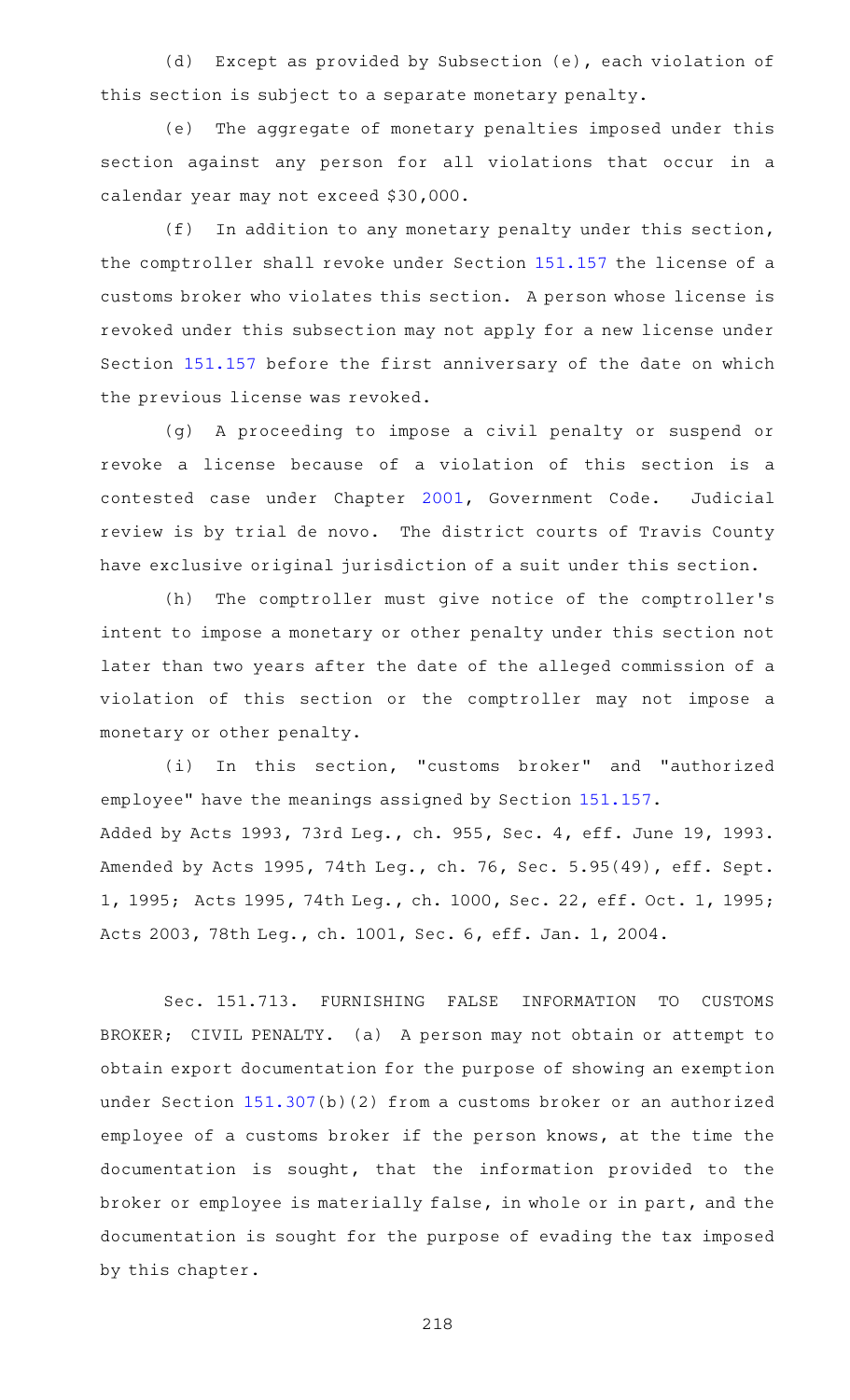(d) Except as provided by Subsection (e), each violation of this section is subject to a separate monetary penalty.

(e) The aggregate of monetary penalties imposed under this section against any person for all violations that occur in a calendar year may not exceed \$30,000.

 $(f)$  In addition to any monetary penalty under this section, the comptroller shall revoke under Section [151.157](https://statutes.capitol.texas.gov/GetStatute.aspx?Code=TX&Value=151.157) the license of a customs broker who violates this section. A person whose license is revoked under this subsection may not apply for a new license under Section [151.157](https://statutes.capitol.texas.gov/GetStatute.aspx?Code=TX&Value=151.157) before the first anniversary of the date on which the previous license was revoked.

(g) A proceeding to impose a civil penalty or suspend or revoke a license because of a violation of this section is a contested case under Chapter [2001,](https://statutes.capitol.texas.gov/GetStatute.aspx?Code=GV&Value=2001) Government Code. Judicial review is by trial de novo. The district courts of Travis County have exclusive original jurisdiction of a suit under this section.

(h) The comptroller must give notice of the comptroller's intent to impose a monetary or other penalty under this section not later than two years after the date of the alleged commission of a violation of this section or the comptroller may not impose a monetary or other penalty.

(i) In this section, "customs broker" and "authorized employee" have the meanings assigned by Section [151.157.](https://statutes.capitol.texas.gov/GetStatute.aspx?Code=TX&Value=151.157) Added by Acts 1993, 73rd Leg., ch. 955, Sec. 4, eff. June 19, 1993. Amended by Acts 1995, 74th Leg., ch. 76, Sec. 5.95(49), eff. Sept. 1, 1995; Acts 1995, 74th Leg., ch. 1000, Sec. 22, eff. Oct. 1, 1995; Acts 2003, 78th Leg., ch. 1001, Sec. 6, eff. Jan. 1, 2004.

Sec. 151.713. FURNISHING FALSE INFORMATION TO CUSTOMS BROKER; CIVIL PENALTY. (a) A person may not obtain or attempt to obtain export documentation for the purpose of showing an exemption under Section [151.307\(](https://statutes.capitol.texas.gov/GetStatute.aspx?Code=TX&Value=151.307)b)(2) from a customs broker or an authorized employee of a customs broker if the person knows, at the time the documentation is sought, that the information provided to the broker or employee is materially false, in whole or in part, and the documentation is sought for the purpose of evading the tax imposed by this chapter.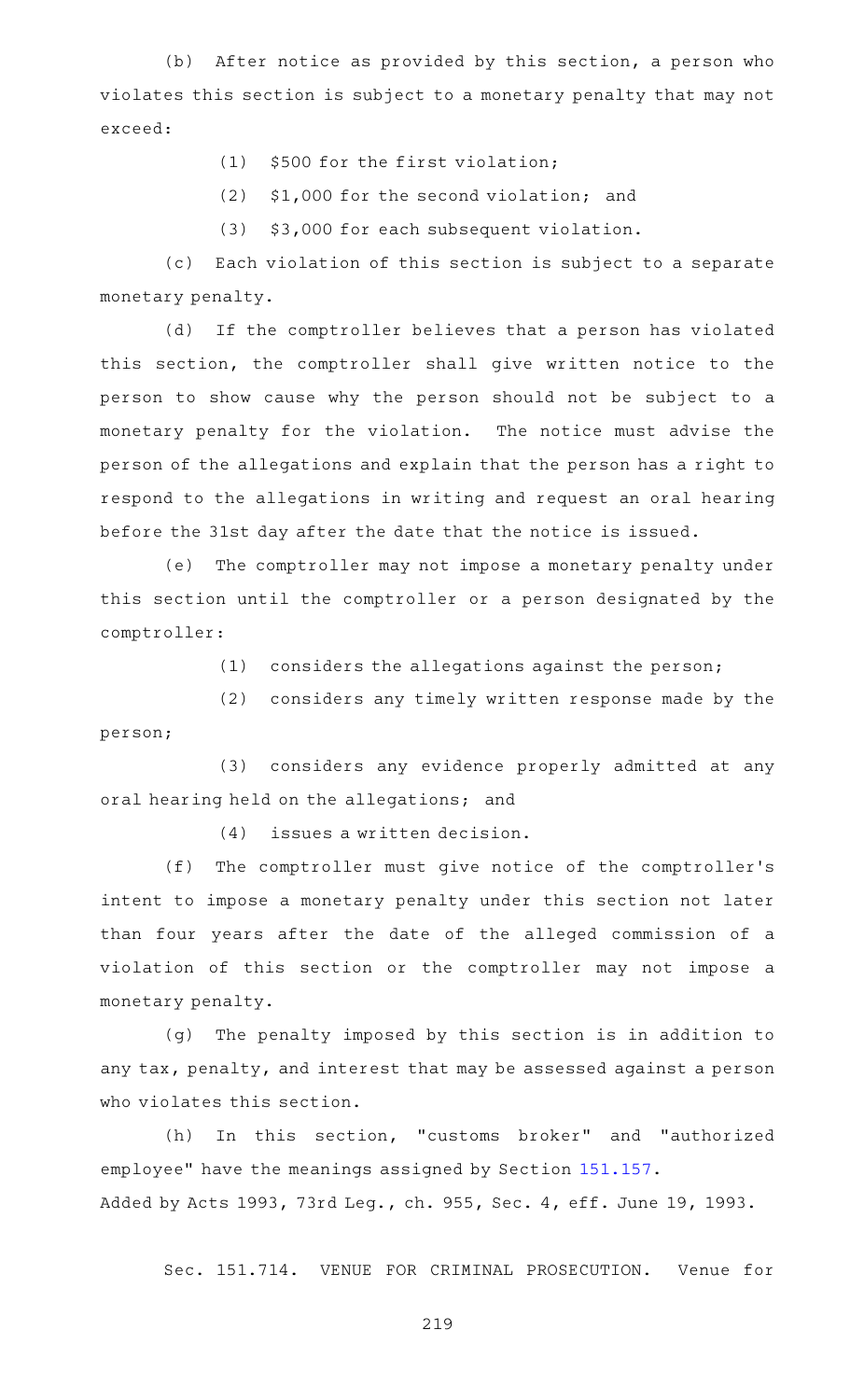$(b)$  After notice as provided by this section, a person who violates this section is subject to a monetary penalty that may not exceed:

- $(1)$  \$500 for the first violation;
- $(2)$  \$1,000 for the second violation; and
- (3) \$3,000 for each subsequent violation.

(c) Each violation of this section is subject to a separate monetary penalty.

(d) If the comptroller believes that a person has violated this section, the comptroller shall give written notice to the person to show cause why the person should not be subject to a monetary penalty for the violation. The notice must advise the person of the allegations and explain that the person has a right to respond to the allegations in writing and request an oral hearing before the 31st day after the date that the notice is issued.

(e) The comptroller may not impose a monetary penalty under this section until the comptroller or a person designated by the comptroller:

 $(1)$  considers the allegations against the person;

 $(2)$  considers any timely written response made by the person;

(3) considers any evidence properly admitted at any oral hearing held on the allegations; and

 $(4)$  issues a written decision.

(f) The comptroller must give notice of the comptroller's intent to impose a monetary penalty under this section not later than four years after the date of the alleged commission of a violation of this section or the comptroller may not impose a monetary penalty.

(g) The penalty imposed by this section is in addition to any tax, penalty, and interest that may be assessed against a person who violates this section.

(h) In this section, "customs broker" and "authorized employee" have the meanings assigned by Section [151.157.](https://statutes.capitol.texas.gov/GetStatute.aspx?Code=TX&Value=151.157) Added by Acts 1993, 73rd Leg., ch. 955, Sec. 4, eff. June 19, 1993.

Sec. 151.714. VENUE FOR CRIMINAL PROSECUTION. Venue for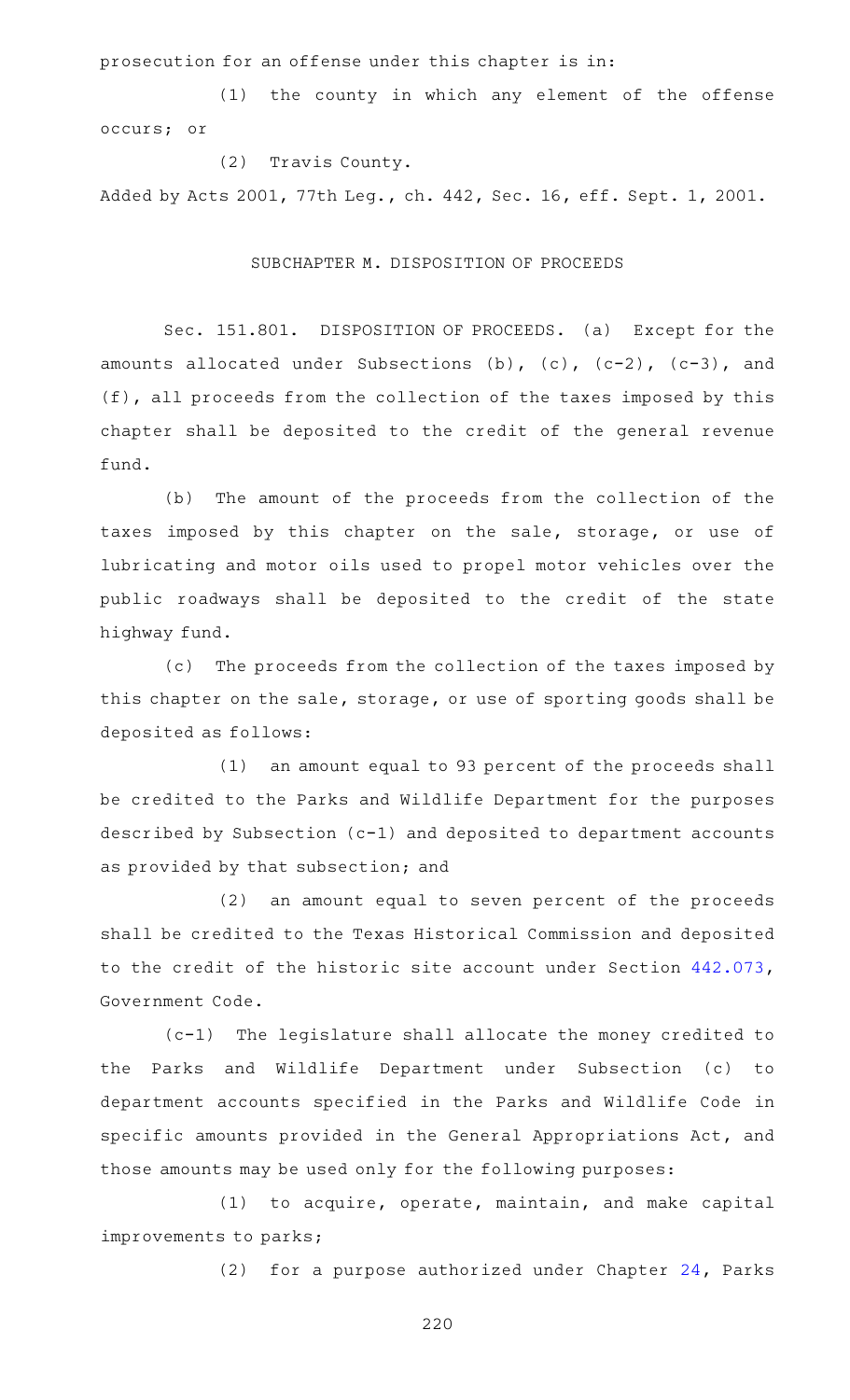prosecution for an offense under this chapter is in:

(1) the county in which any element of the offense occurs; or

(2) Travis County. Added by Acts 2001, 77th Leg., ch. 442, Sec. 16, eff. Sept. 1, 2001.

## SUBCHAPTER M. DISPOSITION OF PROCEEDS

Sec. 151.801. DISPOSITION OF PROCEEDS. (a) Except for the amounts allocated under Subsections  $(b)$ ,  $(c)$ ,  $(c-2)$ ,  $(c-3)$ , and (f), all proceeds from the collection of the taxes imposed by this chapter shall be deposited to the credit of the general revenue fund.

(b) The amount of the proceeds from the collection of the taxes imposed by this chapter on the sale, storage, or use of lubricating and motor oils used to propel motor vehicles over the public roadways shall be deposited to the credit of the state highway fund.

(c) The proceeds from the collection of the taxes imposed by this chapter on the sale, storage, or use of sporting goods shall be deposited as follows:

(1) an amount equal to 93 percent of the proceeds shall be credited to the Parks and Wildlife Department for the purposes described by Subsection (c-1) and deposited to department accounts as provided by that subsection; and

(2) an amount equal to seven percent of the proceeds shall be credited to the Texas Historical Commission and deposited to the credit of the historic site account under Section [442.073](https://statutes.capitol.texas.gov/GetStatute.aspx?Code=GV&Value=442.073), Government Code.

(c-1) The legislature shall allocate the money credited to the Parks and Wildlife Department under Subsection (c) to department accounts specified in the Parks and Wildlife Code in specific amounts provided in the General Appropriations Act, and those amounts may be used only for the following purposes:

 $(1)$  to acquire, operate, maintain, and make capital improvements to parks;

(2) for a purpose authorized under Chapter  $24$ , Parks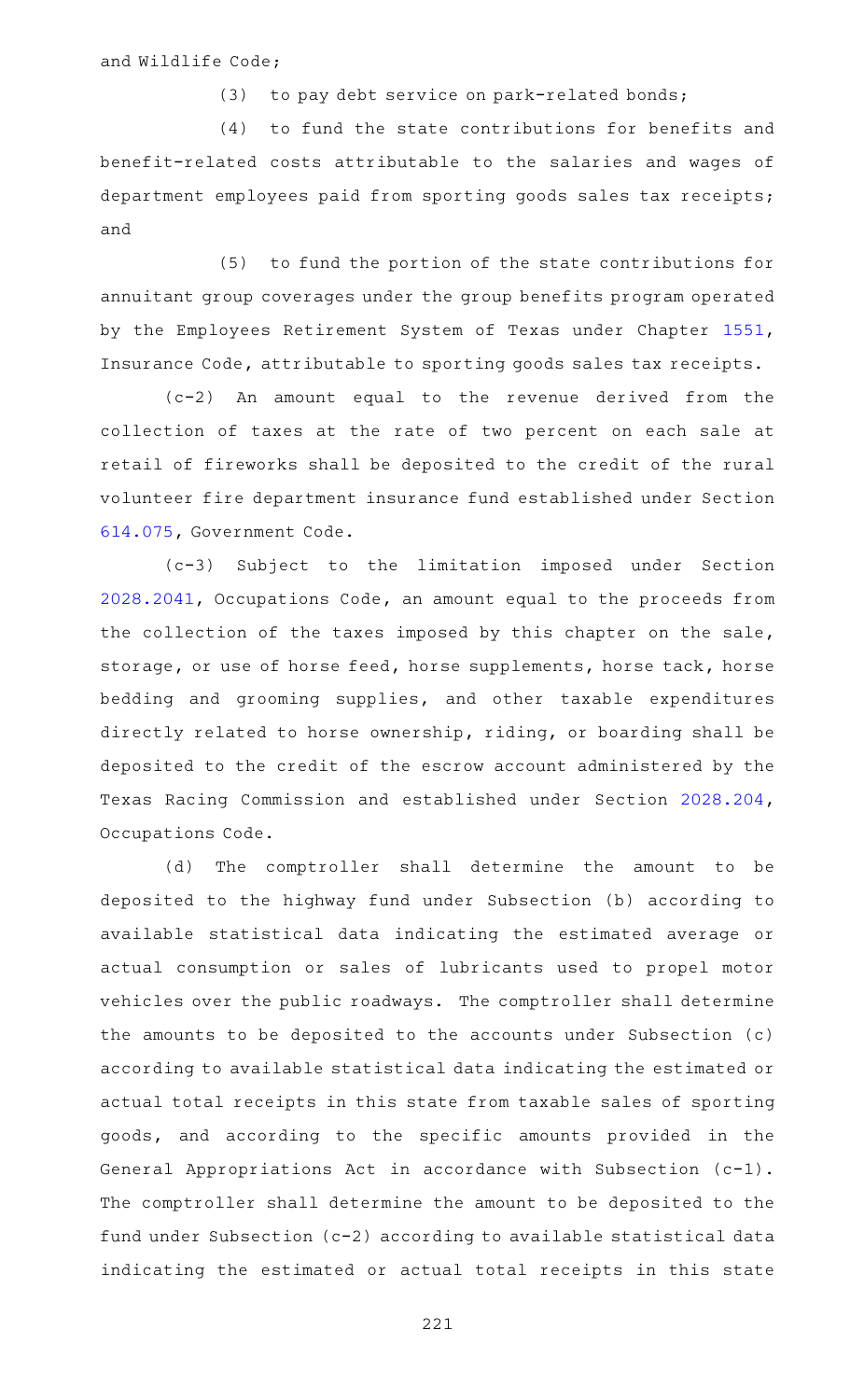and Wildlife Code;

 $(3)$  to pay debt service on park-related bonds;

(4) to fund the state contributions for benefits and benefit-related costs attributable to the salaries and wages of department employees paid from sporting goods sales tax receipts; and

(5) to fund the portion of the state contributions for annuitant group coverages under the group benefits program operated by the Employees Retirement System of Texas under Chapter [1551](https://statutes.capitol.texas.gov/GetStatute.aspx?Code=IN&Value=1551), Insurance Code, attributable to sporting goods sales tax receipts.

 $(c-2)$  An amount equal to the revenue derived from the collection of taxes at the rate of two percent on each sale at retail of fireworks shall be deposited to the credit of the rural volunteer fire department insurance fund established under Section [614.075,](https://statutes.capitol.texas.gov/GetStatute.aspx?Code=GV&Value=614.075) Government Code.

(c-3) Subject to the limitation imposed under Section [2028.2041,](https://statutes.capitol.texas.gov/GetStatute.aspx?Code=OC&Value=2028.2041) Occupations Code, an amount equal to the proceeds from the collection of the taxes imposed by this chapter on the sale, storage, or use of horse feed, horse supplements, horse tack, horse bedding and grooming supplies, and other taxable expenditures directly related to horse ownership, riding, or boarding shall be deposited to the credit of the escrow account administered by the Texas Racing Commission and established under Section [2028.204](https://statutes.capitol.texas.gov/GetStatute.aspx?Code=OC&Value=2028.204), Occupations Code.

(d) The comptroller shall determine the amount to be deposited to the highway fund under Subsection (b) according to available statistical data indicating the estimated average or actual consumption or sales of lubricants used to propel motor vehicles over the public roadways. The comptroller shall determine the amounts to be deposited to the accounts under Subsection (c) according to available statistical data indicating the estimated or actual total receipts in this state from taxable sales of sporting goods, and according to the specific amounts provided in the General Appropriations Act in accordance with Subsection (c-1). The comptroller shall determine the amount to be deposited to the fund under Subsection (c-2) according to available statistical data indicating the estimated or actual total receipts in this state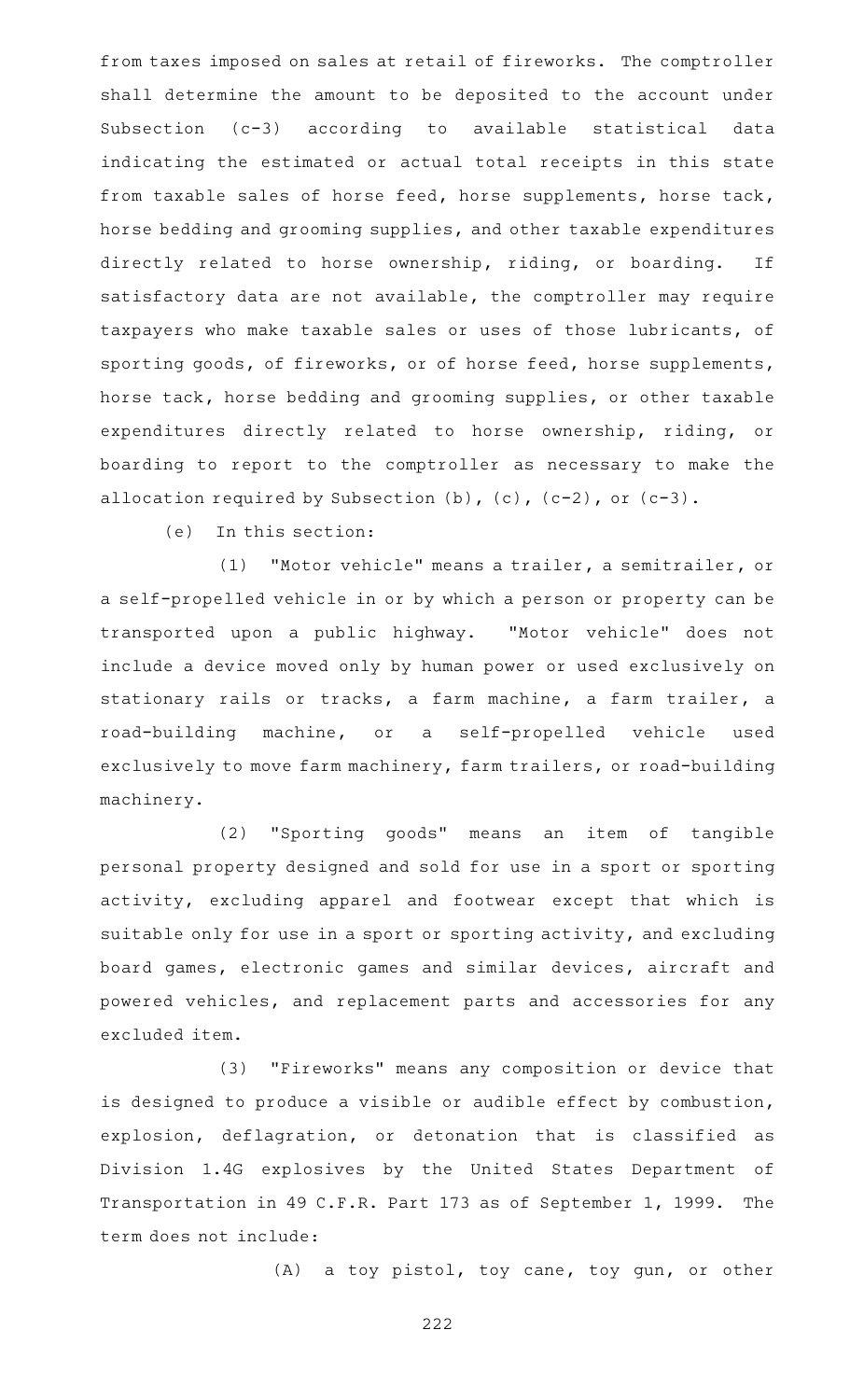from taxes imposed on sales at retail of fireworks. The comptroller shall determine the amount to be deposited to the account under Subsection (c-3) according to available statistical data indicating the estimated or actual total receipts in this state from taxable sales of horse feed, horse supplements, horse tack, horse bedding and grooming supplies, and other taxable expenditures directly related to horse ownership, riding, or boarding. If satisfactory data are not available, the comptroller may require taxpayers who make taxable sales or uses of those lubricants, of sporting goods, of fireworks, or of horse feed, horse supplements, horse tack, horse bedding and grooming supplies, or other taxable expenditures directly related to horse ownership, riding, or boarding to report to the comptroller as necessary to make the allocation required by Subsection  $(b)$ ,  $(c)$ ,  $(c-2)$ , or  $(c-3)$ .

 $(e)$  In this section:

(1) "Motor vehicle" means a trailer, a semitrailer, or a self-propelled vehicle in or by which a person or property can be transported upon a public highway. "Motor vehicle" does not include a device moved only by human power or used exclusively on stationary rails or tracks, a farm machine, a farm trailer, a road-building machine, or a self-propelled vehicle used exclusively to move farm machinery, farm trailers, or road-building machinery.

(2) "Sporting goods" means an item of tangible personal property designed and sold for use in a sport or sporting activity, excluding apparel and footwear except that which is suitable only for use in a sport or sporting activity, and excluding board games, electronic games and similar devices, aircraft and powered vehicles, and replacement parts and accessories for any excluded item.

(3) "Fireworks" means any composition or device that is designed to produce a visible or audible effect by combustion, explosion, deflagration, or detonation that is classified as Division 1.4G explosives by the United States Department of Transportation in 49 C.F.R. Part 173 as of September 1, 1999. The term does not include:

(A) a toy pistol, toy cane, toy gun, or other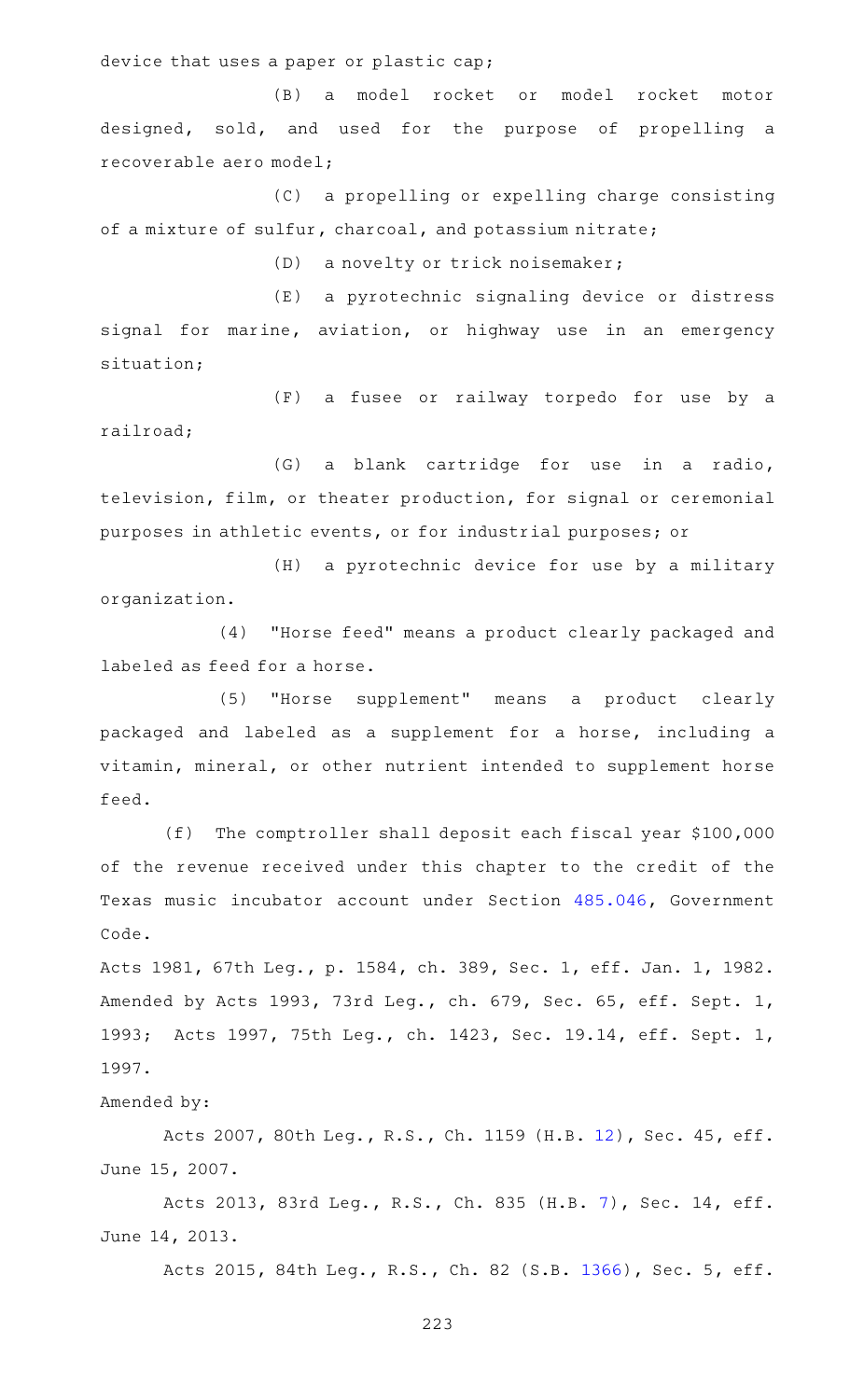device that uses a paper or plastic cap;

(B) a model rocket or model rocket motor designed, sold, and used for the purpose of propelling a recoverable aero model;

 $(C)$  a propelling or expelling charge consisting of a mixture of sulfur, charcoal, and potassium nitrate;

(D) a novelty or trick noisemaker;

(E) a pyrotechnic signaling device or distress signal for marine, aviation, or highway use in an emergency situation;

(F) a fusee or railway torpedo for use by a railroad;

(G) a blank cartridge for use in a radio, television, film, or theater production, for signal or ceremonial purposes in athletic events, or for industrial purposes; or

(H) a pyrotechnic device for use by a military organization.

(4) "Horse feed" means a product clearly packaged and labeled as feed for a horse.

(5) "Horse supplement" means a product clearly packaged and labeled as a supplement for a horse, including a vitamin, mineral, or other nutrient intended to supplement horse feed.

 $(f)$  The comptroller shall deposit each fiscal year \$100,000 of the revenue received under this chapter to the credit of the Texas music incubator account under Section [485.046,](https://statutes.capitol.texas.gov/GetStatute.aspx?Code=GV&Value=485.046) Government Code.

Acts 1981, 67th Leg., p. 1584, ch. 389, Sec. 1, eff. Jan. 1, 1982. Amended by Acts 1993, 73rd Leg., ch. 679, Sec. 65, eff. Sept. 1, 1993; Acts 1997, 75th Leg., ch. 1423, Sec. 19.14, eff. Sept. 1, 1997.

Amended by:

Acts 2007, 80th Leg., R.S., Ch. 1159 (H.B. [12\)](http://www.legis.state.tx.us/tlodocs/80R/billtext/html/HB00012F.HTM), Sec. 45, eff. June 15, 2007.

Acts 2013, 83rd Leg., R.S., Ch. 835 (H.B. [7\)](http://www.legis.state.tx.us/tlodocs/83R/billtext/html/HB00007F.HTM), Sec. 14, eff. June 14, 2013.

Acts 2015, 84th Leg., R.S., Ch. 82 (S.B. [1366](http://www.legis.state.tx.us/tlodocs/84R/billtext/html/SB01366F.HTM)), Sec. 5, eff.